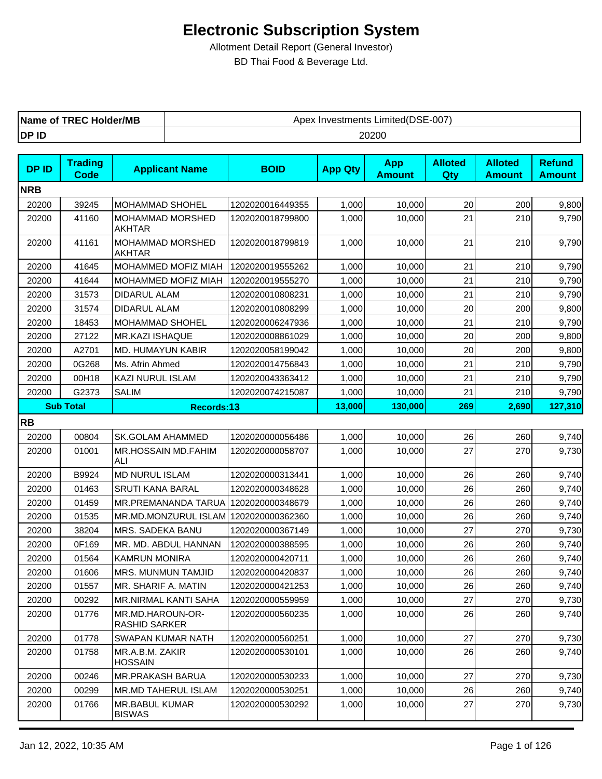| <b>TREC Holder/MB</b> | `Limited(DSE-007, |
|-----------------------|-------------------|
| Name of               | Apex Investments  |
| DP ID                 | 20200             |

| <b>DPID</b> | <b>Trading</b><br><b>Code</b> | <b>Applicant Name</b>                    | <b>BOID</b>      | <b>App Qty</b> | <b>App</b><br><b>Amount</b> | <b>Alloted</b><br>Qty | <b>Alloted</b><br><b>Amount</b> | <b>Refund</b><br><b>Amount</b> |
|-------------|-------------------------------|------------------------------------------|------------------|----------------|-----------------------------|-----------------------|---------------------------------|--------------------------------|
| <b>NRB</b>  |                               |                                          |                  |                |                             |                       |                                 |                                |
| 20200       | 39245                         | MOHAMMAD SHOHEL                          | 1202020016449355 | 1,000          | 10,000                      | 20                    | 200                             | 9,800                          |
| 20200       | 41160                         | MOHAMMAD MORSHED<br><b>AKHTAR</b>        | 1202020018799800 | 1,000          | 10,000                      | 21                    | 210                             | 9,790                          |
| 20200       | 41161                         | MOHAMMAD MORSHED<br><b>AKHTAR</b>        | 1202020018799819 | 1,000          | 10,000                      | 21                    | 210                             | 9,790                          |
| 20200       | 41645                         | MOHAMMED MOFIZ MIAH                      | 1202020019555262 | 1,000          | 10,000                      | 21                    | 210                             | 9,790                          |
| 20200       | 41644                         | MOHAMMED MOFIZ MIAH                      | 1202020019555270 | 1,000          | 10,000                      | 21                    | 210                             | 9,790                          |
| 20200       | 31573                         | DIDARUL ALAM                             | 1202020010808231 | 1,000          | 10,000                      | 21                    | 210                             | 9,790                          |
| 20200       | 31574                         | DIDARUL ALAM                             | 1202020010808299 | 1,000          | 10,000                      | 20                    | 200                             | 9,800                          |
| 20200       | 18453                         | MOHAMMAD SHOHEL                          | 1202020006247936 | 1,000          | 10,000                      | 21                    | 210                             | 9,790                          |
| 20200       | 27122                         | <b>MR.KAZI ISHAQUE</b>                   | 1202020008861029 | 1,000          | 10,000                      | 20                    | 200                             | 9,800                          |
| 20200       | A2701                         | MD. HUMAYUN KABIR                        | 1202020058199042 | 1,000          | 10,000                      | 20                    | 200                             | 9,800                          |
| 20200       | 0G268                         | Ms. Afrin Ahmed                          | 1202020014756843 | 1,000          | 10,000                      | 21                    | 210                             | 9,790                          |
| 20200       | 00H18                         | <b>KAZI NURUL ISLAM</b>                  | 1202020043363412 | 1,000          | 10,000                      | 21                    | 210                             | 9,790                          |
| 20200       | G2373                         | <b>SALIM</b>                             | 1202020074215087 | 1,000          | 10,000                      | 21                    | 210                             | 9,790                          |
|             | <b>Sub Total</b>              | Records:13                               |                  | 13,000         | 130,000                     | 269                   | 2,690                           | 127,310                        |
| <b>RB</b>   |                               |                                          |                  |                |                             |                       |                                 |                                |
| 20200       | 00804                         | SK.GOLAM AHAMMED                         | 1202020000056486 | 1,000          | 10,000                      | 26                    | 260                             | 9,740                          |
| 20200       | 01001                         | MR.HOSSAIN MD.FAHIM<br>ALI               | 1202020000058707 | 1,000          | 10,000                      | 27                    | 270                             | 9,730                          |
| 20200       | B9924                         | <b>MD NURUL ISLAM</b>                    | 1202020000313441 | 1,000          | 10,000                      | 26                    | 260                             | 9,740                          |
| 20200       | 01463                         | <b>SRUTI KANA BARAL</b>                  | 1202020000348628 | 1,000          | 10,000                      | 26                    | 260                             | 9,740                          |
| 20200       | 01459                         | MR.PREMANANDA TARUA 1202020000348679     |                  | 1,000          | 10,000                      | 26                    | 260                             | 9,740                          |
| 20200       | 01535                         | MR.MD.MONZURUL ISLAM 1202020000362360    |                  | 1,000          | 10,000                      | 26                    | 260                             | 9,740                          |
| 20200       | 38204                         | MRS. SADEKA BANU                         | 1202020000367149 | 1,000          | 10,000                      | 27                    | 270                             | 9,730                          |
| 20200       | 0F169                         | MR. MD. ABDUL HANNAN                     | 1202020000388595 | 1,000          | 10,000                      | 26                    | 260                             | 9,740                          |
| 20200       | 01564                         | <b>KAMRUN MONIRA</b>                     | 1202020000420711 | 1,000          | 10,000                      | 26                    | 260                             | 9,740                          |
| 20200       | 01606                         | MRS. MUNMUN TAMJID                       | 1202020000420837 | 1,000          | 10,000                      | 26                    | 260                             | 9,740                          |
| 20200       | 01557                         | MR. SHARIF A. MATIN                      | 1202020000421253 | 1,000          | 10,000                      | 26                    | 260                             | 9,740                          |
| 20200       | 00292                         | MR.NIRMAL KANTI SAHA                     | 1202020000559959 | 1,000          | 10,000                      | 27                    | 270                             | 9,730                          |
| 20200       | 01776                         | MR.MD.HAROUN-OR-<br><b>RASHID SARKER</b> | 1202020000560235 | 1,000          | 10,000                      | 26                    | 260                             | 9,740                          |
| 20200       | 01778                         | SWAPAN KUMAR NATH                        | 1202020000560251 | 1,000          | 10,000                      | 27                    | 270                             | 9,730                          |
| 20200       | 01758                         | MR.A.B.M. ZAKIR<br><b>HOSSAIN</b>        | 1202020000530101 | 1,000          | 10,000                      | 26                    | 260                             | 9,740                          |
| 20200       | 00246                         | <b>MR.PRAKASH BARUA</b>                  | 1202020000530233 | 1,000          | 10,000                      | 27                    | 270                             | 9,730                          |
| 20200       | 00299                         | <b>MR.MD TAHERUL ISLAM</b>               | 1202020000530251 | 1,000          | 10,000                      | 26                    | 260                             | 9,740                          |
| 20200       | 01766                         | <b>MR.BABUL KUMAR</b><br><b>BISWAS</b>   | 1202020000530292 | 1,000          | 10,000                      | 27                    | 270                             | 9,730                          |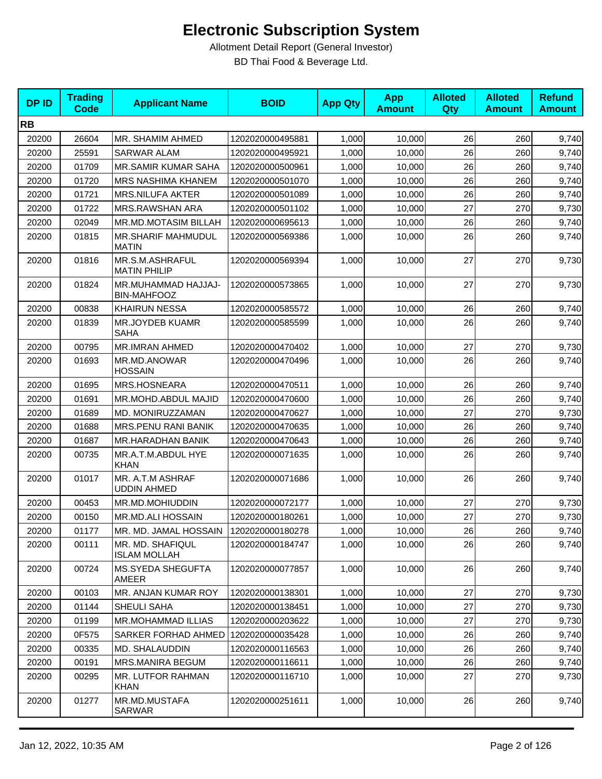| <b>DPID</b> | <b>Trading</b><br>Code | <b>Applicant Name</b>                     | <b>BOID</b>      | <b>App Qty</b> | <b>App</b><br><b>Amount</b> | <b>Alloted</b><br>Qty | <b>Alloted</b><br><b>Amount</b> | <b>Refund</b><br><b>Amount</b> |
|-------------|------------------------|-------------------------------------------|------------------|----------------|-----------------------------|-----------------------|---------------------------------|--------------------------------|
| <b>RB</b>   |                        |                                           |                  |                |                             |                       |                                 |                                |
| 20200       | 26604                  | MR. SHAMIM AHMED                          | 1202020000495881 | 1,000          | 10,000                      | 26                    | 260                             | 9,740                          |
| 20200       | 25591                  | <b>SARWAR ALAM</b>                        | 1202020000495921 | 1,000          | 10,000                      | 26                    | 260                             | 9,740                          |
| 20200       | 01709                  | <b>MR.SAMIR KUMAR SAHA</b>                | 1202020000500961 | 1,000          | 10,000                      | 26                    | 260                             | 9,740                          |
| 20200       | 01720                  | <b>MRS NASHIMA KHANEM</b>                 | 1202020000501070 | 1,000          | 10,000                      | 26                    | 260                             | 9,740                          |
| 20200       | 01721                  | <b>MRS.NILUFA AKTER</b>                   | 1202020000501089 | 1,000          | 10,000                      | 26                    | 260                             | 9,740                          |
| 20200       | 01722                  | MRS.RAWSHAN ARA                           | 1202020000501102 | 1,000          | 10,000                      | 27                    | 270                             | 9,730                          |
| 20200       | 02049                  | <b>MR.MD.MOTASIM BILLAH</b>               | 1202020000695613 | 1,000          | 10,000                      | 26                    | 260                             | 9,740                          |
| 20200       | 01815                  | MR.SHARIF MAHMUDUL<br><b>MATIN</b>        | 1202020000569386 | 1,000          | 10,000                      | 26                    | 260                             | 9,740                          |
| 20200       | 01816                  | MR.S.M.ASHRAFUL<br><b>MATIN PHILIP</b>    | 1202020000569394 | 1,000          | 10,000                      | 27                    | 270                             | 9,730                          |
| 20200       | 01824                  | MR.MUHAMMAD HAJJAJ-<br><b>BIN-MAHFOOZ</b> | 1202020000573865 | 1,000          | 10,000                      | 27                    | 270                             | 9,730                          |
| 20200       | 00838                  | <b>KHAIRUN NESSA</b>                      | 1202020000585572 | 1,000          | 10,000                      | 26                    | 260                             | 9,740                          |
| 20200       | 01839                  | MR.JOYDEB KUAMR<br>SAHA                   | 1202020000585599 | 1,000          | 10,000                      | 26                    | 260                             | 9,740                          |
| 20200       | 00795                  | MR.IMRAN AHMED                            | 1202020000470402 | 1,000          | 10,000                      | 27                    | 270                             | 9,730                          |
| 20200       | 01693                  | MR.MD.ANOWAR<br><b>HOSSAIN</b>            | 1202020000470496 | 1,000          | 10.000                      | 26                    | 260                             | 9,740                          |
| 20200       | 01695                  | MRS.HOSNEARA                              | 1202020000470511 | 1,000          | 10,000                      | 26                    | 260                             | 9,740                          |
| 20200       | 01691                  | MR.MOHD.ABDUL MAJID                       | 1202020000470600 | 1,000          | 10,000                      | 26                    | 260                             | 9,740                          |
| 20200       | 01689                  | MD. MONIRUZZAMAN                          | 1202020000470627 | 1,000          | 10,000                      | 27                    | 270                             | 9,730                          |
| 20200       | 01688                  | MRS.PENU RANI BANIK                       | 1202020000470635 | 1,000          | 10,000                      | 26                    | 260                             | 9,740                          |
| 20200       | 01687                  | MR.HARADHAN BANIK                         | 1202020000470643 | 1,000          | 10,000                      | 26                    | 260                             | 9,740                          |
| 20200       | 00735                  | MR.A.T.M.ABDUL HYE<br><b>KHAN</b>         | 1202020000071635 | 1,000          | 10,000                      | 26                    | 260                             | 9,740                          |
| 20200       | 01017                  | MR. A.T.M ASHRAF<br><b>UDDIN AHMED</b>    | 1202020000071686 | 1,000          | 10,000                      | 26                    | 260                             | 9,740                          |
| 20200       | 00453                  | MR.MD.MOHIUDDIN                           | 1202020000072177 | 1,000          | 10,000                      | 27                    | 270                             | 9,730                          |
| 20200       | 00150                  | <b>MR.MD.ALI HOSSAIN</b>                  | 1202020000180261 | 1,000          | 10,000                      | 27                    | 270                             | 9,730                          |
| 20200       | 01177                  | MR. MD. JAMAL HOSSAIN   1202020000180278  |                  | 1,000          | 10,000                      | 26                    | 260                             | 9,740                          |
| 20200       | 00111                  | MR. MD. SHAFIQUL<br><b>ISLAM MOLLAH</b>   | 1202020000184747 | 1,000          | 10,000                      | 26                    | 260                             | 9,740                          |
| 20200       | 00724                  | <b>MS.SYEDA SHEGUFTA</b><br>AMEER         | 1202020000077857 | 1,000          | 10,000                      | 26                    | 260                             | 9,740                          |
| 20200       | 00103                  | MR. ANJAN KUMAR ROY                       | 1202020000138301 | 1,000          | 10,000                      | 27                    | 270                             | 9,730                          |
| 20200       | 01144                  | SHEULI SAHA                               | 1202020000138451 | 1,000          | 10,000                      | 27                    | 270                             | 9,730                          |
| 20200       | 01199                  | MR.MOHAMMAD ILLIAS                        | 1202020000203622 | 1,000          | 10,000                      | 27                    | 270                             | 9,730                          |
| 20200       | 0F575                  | SARKER FORHAD AHMED                       | 1202020000035428 | 1,000          | 10,000                      | 26                    | 260                             | 9,740                          |
| 20200       | 00335                  | MD. SHALAUDDIN                            | 1202020000116563 | 1,000          | 10,000                      | 26                    | 260                             | 9,740                          |
| 20200       | 00191                  | MRS.MANIRA BEGUM                          | 1202020000116611 | 1,000          | 10,000                      | 26                    | 260                             | 9,740                          |
| 20200       | 00295                  | MR. LUTFOR RAHMAN<br><b>KHAN</b>          | 1202020000116710 | 1,000          | 10,000                      | 27                    | 270                             | 9,730                          |
| 20200       | 01277                  | MR.MD.MUSTAFA<br><b>SARWAR</b>            | 1202020000251611 | 1,000          | 10,000                      | 26                    | 260                             | 9,740                          |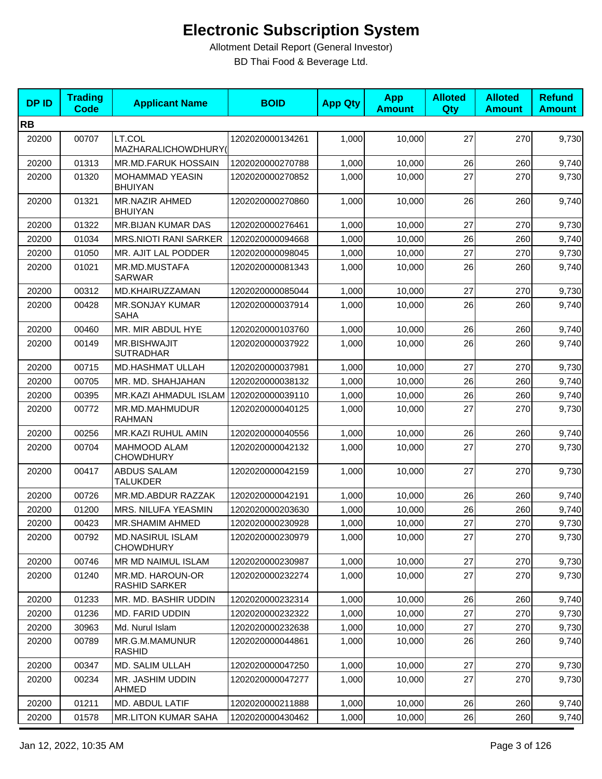| <b>DPID</b> | <b>Trading</b><br><b>Code</b> | <b>Applicant Name</b>                       | <b>BOID</b>      | <b>App Qty</b> | <b>App</b><br><b>Amount</b> | <b>Alloted</b><br>Qty | <b>Alloted</b><br><b>Amount</b> | <b>Refund</b><br><b>Amount</b> |
|-------------|-------------------------------|---------------------------------------------|------------------|----------------|-----------------------------|-----------------------|---------------------------------|--------------------------------|
| <b>RB</b>   |                               |                                             |                  |                |                             |                       |                                 |                                |
| 20200       | 00707                         | LT.COL<br>MAZHARALICHOWDHURY(               | 1202020000134261 | 1,000          | 10,000                      | 27                    | 270                             | 9,730                          |
| 20200       | 01313                         | MR.MD.FARUK HOSSAIN                         | 1202020000270788 | 1,000          | 10,000                      | 26                    | 260                             | 9,740                          |
| 20200       | 01320                         | MOHAMMAD YEASIN<br><b>BHUIYAN</b>           | 1202020000270852 | 1,000          | 10,000                      | 27                    | 270                             | 9,730                          |
| 20200       | 01321                         | <b>MR.NAZIR AHMED</b><br><b>BHUIYAN</b>     | 1202020000270860 | 1,000          | 10,000                      | 26                    | 260                             | 9,740                          |
| 20200       | 01322                         | MR.BIJAN KUMAR DAS                          | 1202020000276461 | 1,000          | 10,000                      | 27                    | 270                             | 9,730                          |
| 20200       | 01034                         | <b>MRS.NIOTI RANI SARKER</b>                | 1202020000094668 | 1,000          | 10,000                      | 26                    | 260                             | 9,740                          |
| 20200       | 01050                         | MR. AJIT LAL PODDER                         | 1202020000098045 | 1,000          | 10,000                      | 27                    | 270                             | 9,730                          |
| 20200       | 01021                         | MR.MD.MUSTAFA<br><b>SARWAR</b>              | 1202020000081343 | 1,000          | 10,000                      | 26                    | 260                             | 9,740                          |
| 20200       | 00312                         | MD.KHAIRUZZAMAN                             | 1202020000085044 | 1,000          | 10,000                      | 27                    | 270                             | 9,730                          |
| 20200       | 00428                         | <b>MR.SONJAY KUMAR</b><br><b>SAHA</b>       | 1202020000037914 | 1,000          | 10,000                      | 26                    | 260                             | 9,740                          |
| 20200       | 00460                         | MR. MIR ABDUL HYE                           | 1202020000103760 | 1,000          | 10,000                      | 26                    | 260                             | 9,740                          |
| 20200       | 00149                         | <b>MR.BISHWAJIT</b><br><b>SUTRADHAR</b>     | 1202020000037922 | 1,000          | 10,000                      | 26                    | 260                             | 9,740                          |
| 20200       | 00715                         | <b>MD.HASHMAT ULLAH</b>                     | 1202020000037981 | 1,000          | 10,000                      | 27                    | 270                             | 9,730                          |
| 20200       | 00705                         | MR. MD. SHAHJAHAN                           | 1202020000038132 | 1,000          | 10,000                      | 26                    | 260                             | 9,740                          |
| 20200       | 00395                         | MR.KAZI AHMADUL ISLAM                       | 1202020000039110 | 1,000          | 10,000                      | 26                    | 260                             | 9,740                          |
| 20200       | 00772                         | MR.MD.MAHMUDUR<br><b>RAHMAN</b>             | 1202020000040125 | 1,000          | 10,000                      | 27                    | 270                             | 9,730                          |
| 20200       | 00256                         | MR.KAZI RUHUL AMIN                          | 1202020000040556 | 1,000          | 10,000                      | 26                    | 260                             | 9,740                          |
| 20200       | 00704                         | <b>MAHMOOD ALAM</b><br><b>CHOWDHURY</b>     | 1202020000042132 | 1,000          | 10,000                      | 27                    | 270                             | 9,730                          |
| 20200       | 00417                         | <b>ABDUS SALAM</b><br>TALUKDER              | 1202020000042159 | 1,000          | 10,000                      | 27                    | 270                             | 9,730                          |
| 20200       | 00726                         | MR.MD.ABDUR RAZZAK                          | 1202020000042191 | 1,000          | 10,000                      | 26                    | 260                             | 9,740                          |
| 20200       | 01200                         | MRS. NILUFA YEASMIN                         | 1202020000203630 | 1,000          | 10,000                      | 26                    | 260                             | 9,740                          |
| 20200       | 00423                         | <b>MR.SHAMIM AHMED</b>                      | 1202020000230928 | 1,000          | 10,000                      | 27                    | 270                             | 9,730                          |
| 20200       | 00792                         | <b>MD.NASIRUL ISLAM</b><br><b>CHOWDHURY</b> | 1202020000230979 | 1,000          | 10,000                      | 27                    | 270                             | 9,730                          |
| 20200       | 00746                         | MR MD NAIMUL ISLAM                          | 1202020000230987 | 1,000          | 10,000                      | 27                    | 270                             | 9,730                          |
| 20200       | 01240                         | MR.MD. HAROUN-OR<br>RASHID SARKER           | 1202020000232274 | 1,000          | 10,000                      | 27                    | 270                             | 9,730                          |
| 20200       | 01233                         | MR. MD. BASHIR UDDIN                        | 1202020000232314 | 1,000          | 10,000                      | 26                    | 260                             | 9,740                          |
| 20200       | 01236                         | MD. FARID UDDIN                             | 1202020000232322 | 1,000          | 10,000                      | 27                    | 270                             | 9,730                          |
| 20200       | 30963                         | Md. Nurul Islam                             | 1202020000232638 | 1,000          | 10,000                      | 27                    | 270                             | 9,730                          |
| 20200       | 00789                         | MR.G.M.MAMUNUR<br><b>RASHID</b>             | 1202020000044861 | 1,000          | 10,000                      | 26                    | 260                             | 9,740                          |
| 20200       | 00347                         | MD. SALIM ULLAH                             | 1202020000047250 | 1,000          | 10,000                      | 27                    | 270                             | 9,730                          |
| 20200       | 00234                         | MR. JASHIM UDDIN<br>AHMED                   | 1202020000047277 | 1,000          | 10,000                      | 27                    | 270                             | 9,730                          |
| 20200       | 01211                         | MD. ABDUL LATIF                             | 1202020000211888 | 1,000          | 10,000                      | 26                    | 260                             | 9,740                          |
| 20200       | 01578                         | <b>MR.LITON KUMAR SAHA</b>                  | 1202020000430462 | 1,000          | 10,000                      | 26                    | 260                             | 9,740                          |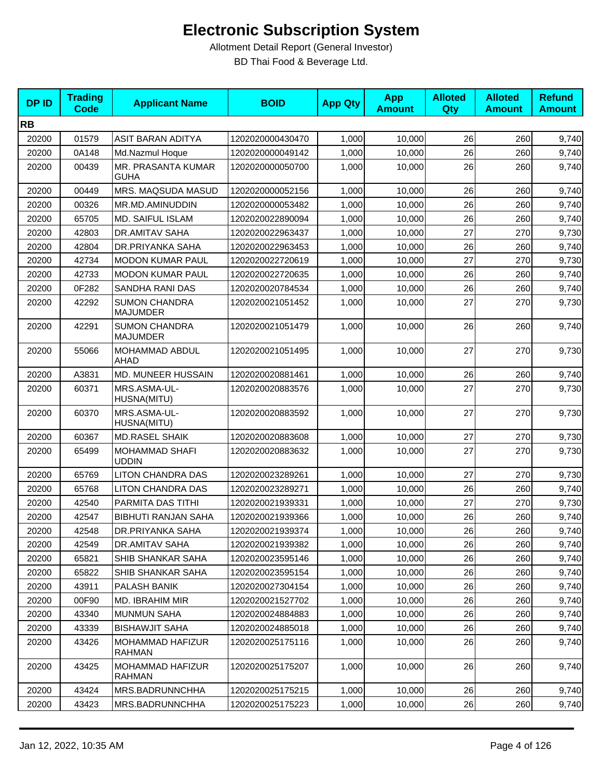| <b>DPID</b> | <b>Trading</b><br><b>Code</b> | <b>Applicant Name</b>                   | <b>BOID</b>      | <b>App Qty</b> | <b>App</b><br><b>Amount</b> | <b>Alloted</b><br>Qty | <b>Alloted</b><br><b>Amount</b> | <b>Refund</b><br><b>Amount</b> |
|-------------|-------------------------------|-----------------------------------------|------------------|----------------|-----------------------------|-----------------------|---------------------------------|--------------------------------|
| <b>RB</b>   |                               |                                         |                  |                |                             |                       |                                 |                                |
| 20200       | 01579                         | ASIT BARAN ADITYA                       | 1202020000430470 | 1,000          | 10,000                      | 26                    | 260                             | 9,740                          |
| 20200       | 0A148                         | Md.Nazmul Hoque                         | 1202020000049142 | 1,000          | 10,000                      | 26                    | 260                             | 9,740                          |
| 20200       | 00439                         | MR. PRASANTA KUMAR<br><b>GUHA</b>       | 1202020000050700 | 1,000          | 10,000                      | 26                    | 260                             | 9,740                          |
| 20200       | 00449                         | MRS. MAQSUDA MASUD                      | 1202020000052156 | 1,000          | 10.000                      | 26                    | 260                             | 9,740                          |
| 20200       | 00326                         | MR.MD.AMINUDDIN                         | 1202020000053482 | 1,000          | 10,000                      | 26                    | 260                             | 9,740                          |
| 20200       | 65705                         | MD. SAIFUL ISLAM                        | 1202020022890094 | 1,000          | 10,000                      | 26                    | 260                             | 9,740                          |
| 20200       | 42803                         | DR.AMITAV SAHA                          | 1202020022963437 | 1,000          | 10,000                      | 27                    | 270                             | 9,730                          |
| 20200       | 42804                         | DR.PRIYANKA SAHA                        | 1202020022963453 | 1,000          | 10,000                      | 26                    | 260                             | 9,740                          |
| 20200       | 42734                         | <b>MODON KUMAR PAUL</b>                 | 1202020022720619 | 1,000          | 10,000                      | 27                    | 270                             | 9,730                          |
| 20200       | 42733                         | <b>MODON KUMAR PAUL</b>                 | 1202020022720635 | 1,000          | 10,000                      | 26                    | 260                             | 9,740                          |
| 20200       | 0F282                         | SANDHA RANI DAS                         | 1202020020784534 | 1,000          | 10,000                      | 26                    | 260                             | 9,740                          |
| 20200       | 42292                         | <b>SUMON CHANDRA</b><br><b>MAJUMDER</b> | 1202020021051452 | 1,000          | 10,000                      | 27                    | 270                             | 9,730                          |
| 20200       | 42291                         | <b>SUMON CHANDRA</b><br><b>MAJUMDER</b> | 1202020021051479 | 1,000          | 10,000                      | 26                    | 260                             | 9,740                          |
| 20200       | 55066                         | MOHAMMAD ABDUL<br>AHAD                  | 1202020021051495 | 1,000          | 10,000                      | 27                    | 270                             | 9,730                          |
| 20200       | A3831                         | MD. MUNEER HUSSAIN                      | 1202020020881461 | 1,000          | 10,000                      | 26                    | 260                             | 9,740                          |
| 20200       | 60371                         | MRS.ASMA-UL-<br>HUSNA(MITU)             | 1202020020883576 | 1,000          | 10,000                      | 27                    | 270                             | 9,730                          |
| 20200       | 60370                         | MRS.ASMA-UL-<br>HUSNA(MITU)             | 1202020020883592 | 1,000          | 10,000                      | 27                    | 270                             | 9,730                          |
| 20200       | 60367                         | <b>MD.RASEL SHAIK</b>                   | 1202020020883608 | 1,000          | 10,000                      | 27                    | 270                             | 9,730                          |
| 20200       | 65499                         | <b>MOHAMMAD SHAFI</b><br><b>UDDIN</b>   | 1202020020883632 | 1,000          | 10,000                      | 27                    | 270                             | 9,730                          |
| 20200       | 65769                         | <b>LITON CHANDRA DAS</b>                | 1202020023289261 | 1,000          | 10,000                      | 27                    | 270                             | 9,730                          |
| 20200       | 65768                         | <b>LITON CHANDRA DAS</b>                | 1202020023289271 | 1,000          | 10,000                      | 26                    | 260                             | 9,740                          |
| 20200       | 42540                         | PARMITA DAS TITHI                       | 1202020021939331 | 1,000          | 10,000                      | 27                    | 270                             | 9,730                          |
| 20200       | 42547                         | <b>BIBHUTI RANJAN SAHA</b>              | 1202020021939366 | 1,000          | 10,000                      | 26                    | 260                             | 9,740                          |
| 20200       | 42548                         | DR.PRIYANKA SAHA                        | 1202020021939374 | 1,000          | 10,000                      | 26                    | 260                             | 9,740                          |
| 20200       | 42549                         | DR.AMITAV SAHA                          | 1202020021939382 | 1,000          | 10,000                      | 26                    | 260                             | 9,740                          |
| 20200       | 65821                         | SHIB SHANKAR SAHA                       | 1202020023595146 | 1,000          | 10,000                      | 26                    | 260                             | 9,740                          |
| 20200       | 65822                         | SHIB SHANKAR SAHA                       | 1202020023595154 | 1,000          | 10,000                      | 26                    | 260                             | 9,740                          |
| 20200       | 43911                         | PALASH BANIK                            | 1202020027304154 | 1,000          | 10,000                      | 26                    | 260                             | 9,740                          |
| 20200       | 00F90                         | MD. IBRAHIM MIR                         | 1202020021527702 | 1,000          | 10,000                      | 26                    | 260                             | 9,740                          |
| 20200       | 43340                         | <b>MUNMUN SAHA</b>                      | 1202020024884883 | 1,000          | 10,000                      | 26                    | 260                             | 9,740                          |
| 20200       | 43339                         | <b>BISHAWJIT SAHA</b>                   | 1202020024885018 | 1,000          | 10,000                      | 26                    | 260                             | 9,740                          |
| 20200       | 43426                         | MOHAMMAD HAFIZUR<br><b>RAHMAN</b>       | 1202020025175116 | 1,000          | 10,000                      | 26                    | 260                             | 9,740                          |
| 20200       | 43425                         | MOHAMMAD HAFIZUR<br><b>RAHMAN</b>       | 1202020025175207 | 1,000          | 10,000                      | 26                    | 260                             | 9,740                          |
| 20200       | 43424                         | MRS.BADRUNNCHHA                         | 1202020025175215 | 1,000          | 10,000                      | 26                    | 260                             | 9,740                          |
| 20200       | 43423                         | MRS.BADRUNNCHHA                         | 1202020025175223 | 1,000          | 10,000                      | 26                    | 260                             | 9,740                          |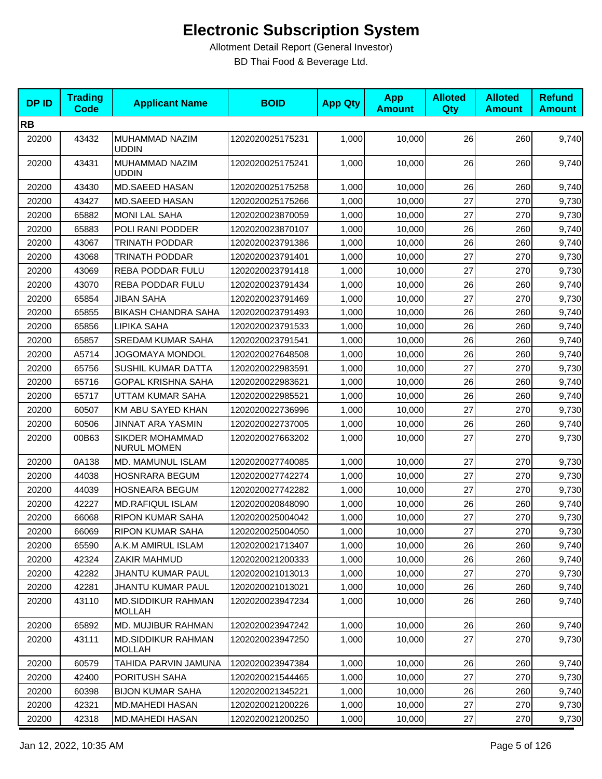| <b>DPID</b> | <b>Trading</b><br><b>Code</b> | <b>Applicant Name</b>                      | <b>BOID</b>      | <b>App Qty</b> | <b>App</b><br><b>Amount</b> | <b>Alloted</b><br>Qty | <b>Alloted</b><br><b>Amount</b> | <b>Refund</b><br><b>Amount</b> |
|-------------|-------------------------------|--------------------------------------------|------------------|----------------|-----------------------------|-----------------------|---------------------------------|--------------------------------|
| <b>RB</b>   |                               |                                            |                  |                |                             |                       |                                 |                                |
| 20200       | 43432                         | MUHAMMAD NAZIM<br><b>UDDIN</b>             | 1202020025175231 | 1,000          | 10,000                      | 26                    | 260                             | 9,740                          |
| 20200       | 43431                         | MUHAMMAD NAZIM<br>UDDIN                    | 1202020025175241 | 1,000          | 10,000                      | 26                    | 260                             | 9,740                          |
| 20200       | 43430                         | MD.SAEED HASAN                             | 1202020025175258 | 1,000          | 10,000                      | 26                    | 260                             | 9,740                          |
| 20200       | 43427                         | <b>MD.SAEED HASAN</b>                      | 1202020025175266 | 1,000          | 10,000                      | 27                    | 270                             | 9,730                          |
| 20200       | 65882                         | <b>MONI LAL SAHA</b>                       | 1202020023870059 | 1,000          | 10,000                      | 27                    | 270                             | 9,730                          |
| 20200       | 65883                         | POLI RANI PODDER                           | 1202020023870107 | 1,000          | 10,000                      | 26                    | 260                             | 9,740                          |
| 20200       | 43067                         | <b>TRINATH PODDAR</b>                      | 1202020023791386 | 1,000          | 10,000                      | 26                    | 260                             | 9,740                          |
| 20200       | 43068                         | <b>TRINATH PODDAR</b>                      | 1202020023791401 | 1,000          | 10,000                      | 27                    | 270                             | 9,730                          |
| 20200       | 43069                         | REBA PODDAR FULU                           | 1202020023791418 | 1,000          | 10,000                      | 27                    | 270                             | 9,730                          |
| 20200       | 43070                         | REBA PODDAR FULU                           | 1202020023791434 | 1,000          | 10,000                      | 26                    | 260                             | 9,740                          |
| 20200       | 65854                         | <b>JIBAN SAHA</b>                          | 1202020023791469 | 1,000          | 10,000                      | 27                    | 270                             | 9,730                          |
| 20200       | 65855                         | <b>BIKASH CHANDRA SAHA</b>                 | 1202020023791493 | 1,000          | 10,000                      | 26                    | 260                             | 9,740                          |
| 20200       | 65856                         | LIPIKA SAHA                                | 1202020023791533 | 1,000          | 10,000                      | 26                    | 260                             | 9,740                          |
| 20200       | 65857                         | <b>SREDAM KUMAR SAHA</b>                   | 1202020023791541 | 1,000          | 10,000                      | 26                    | 260                             | 9,740                          |
| 20200       | A5714                         | <b>JOGOMAYA MONDOL</b>                     | 1202020027648508 | 1,000          | 10,000                      | 26                    | 260                             | 9,740                          |
| 20200       | 65756                         | <b>SUSHIL KUMAR DATTA</b>                  | 1202020022983591 | 1,000          | 10,000                      | 27                    | 270                             | 9,730                          |
| 20200       | 65716                         | <b>GOPAL KRISHNA SAHA</b>                  | 1202020022983621 | 1,000          | 10,000                      | 26                    | 260                             | 9,740                          |
| 20200       | 65717                         | UTTAM KUMAR SAHA                           | 1202020022985521 | 1,000          | 10,000                      | 26                    | 260                             | 9,740                          |
| 20200       | 60507                         | KM ABU SAYED KHAN                          | 1202020022736996 | 1,000          | 10,000                      | 27                    | 270                             | 9,730                          |
| 20200       | 60506                         | JINNAT ARA YASMIN                          | 1202020022737005 | 1,000          | 10,000                      | 26                    | 260                             | 9,740                          |
| 20200       | 00B63                         | SIKDER MOHAMMAD<br><b>NURUL MOMEN</b>      | 1202020027663202 | 1,000          | 10,000                      | 27                    | 270                             | 9,730                          |
| 20200       | 0A138                         | MD. MAMUNUL ISLAM                          | 1202020027740085 | 1,000          | 10,000                      | 27                    | 270                             | 9,730                          |
| 20200       | 44038                         | <b>HOSNRARA BEGUM</b>                      | 1202020027742274 | 1,000          | 10,000                      | 27                    | 270                             | 9,730                          |
| 20200       | 44039                         | <b>HOSNEARA BEGUM</b>                      | 1202020027742282 | 1,000          | 10,000                      | 27                    | 270                             | 9,730                          |
| 20200       | 42227                         | <b>MD.RAFIQUL ISLAM</b>                    | 1202020020848090 | 1,000          | 10,000                      | 26                    | 260                             | 9,740                          |
| 20200       | 66068                         | RIPON KUMAR SAHA                           | 1202020025004042 | 1,000          | 10,000                      | 27                    | 270                             | 9,730                          |
| 20200       | 66069                         | RIPON KUMAR SAHA                           | 1202020025004050 | 1,000          | 10,000                      | $27\,$                | 270                             | 9,730                          |
| 20200       | 65590                         | A.K.M AMIRUL ISLAM                         | 1202020021713407 | 1,000          | 10,000                      | 26                    | 260                             | 9,740                          |
| 20200       | 42324                         | ZAKIR MAHMUD                               | 1202020021200333 | 1,000          | 10,000                      | 26                    | 260                             | 9,740                          |
| 20200       | 42282                         | JHANTU KUMAR PAUL                          | 1202020021013013 | 1,000          | 10,000                      | 27                    | 270                             | 9,730                          |
| 20200       | 42281                         | JHANTU KUMAR PAUL                          | 1202020021013021 | 1,000          | 10,000                      | 26                    | 260                             | 9,740                          |
| 20200       | 43110                         | <b>MD.SIDDIKUR RAHMAN</b><br><b>MOLLAH</b> | 1202020023947234 | 1,000          | 10,000                      | 26                    | 260                             | 9,740                          |
| 20200       | 65892                         | MD. MUJIBUR RAHMAN                         | 1202020023947242 | 1,000          | 10,000                      | 26                    | 260                             | 9,740                          |
| 20200       | 43111                         | <b>MD.SIDDIKUR RAHMAN</b><br><b>MOLLAH</b> | 1202020023947250 | 1,000          | 10,000                      | 27                    | 270                             | 9,730                          |
| 20200       | 60579                         | TAHIDA PARVIN JAMUNA                       | 1202020023947384 | 1,000          | 10,000                      | 26                    | 260                             | 9,740                          |
| 20200       | 42400                         | PORITUSH SAHA                              | 1202020021544465 | 1,000          | 10,000                      | 27                    | 270                             | 9,730                          |
| 20200       | 60398                         | <b>BIJON KUMAR SAHA</b>                    | 1202020021345221 | 1,000          | 10,000                      | 26                    | 260                             | 9,740                          |
| 20200       | 42321                         | MD.MAHEDI HASAN                            | 1202020021200226 | 1,000          | 10,000                      | 27                    | 270                             | 9,730                          |
| 20200       | 42318                         | MD.MAHEDI HASAN                            | 1202020021200250 | 1,000          | 10,000                      | 27                    | 270                             | 9,730                          |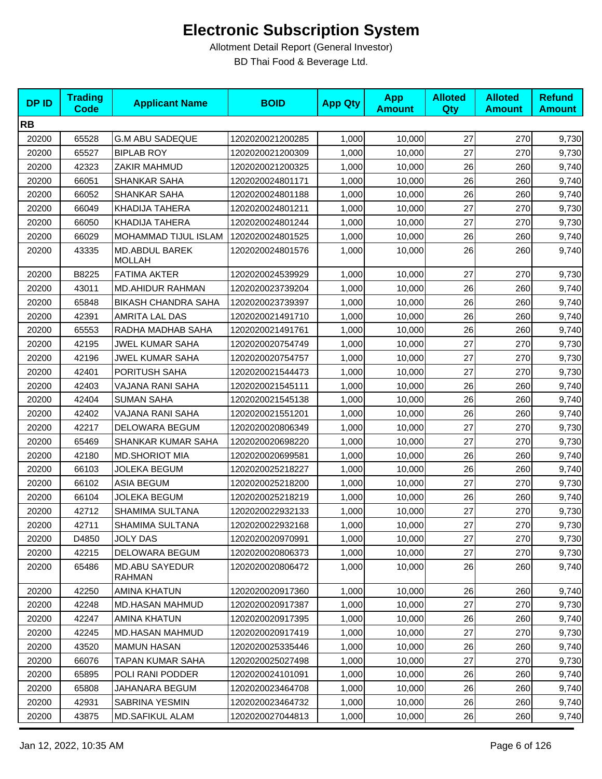| <b>DPID</b> | <b>Trading</b><br><b>Code</b> | <b>Applicant Name</b>                  | <b>BOID</b>      | <b>App Qty</b> | <b>App</b><br><b>Amount</b> | <b>Alloted</b><br>Qty | <b>Alloted</b><br><b>Amount</b> | <b>Refund</b><br><b>Amount</b> |
|-------------|-------------------------------|----------------------------------------|------------------|----------------|-----------------------------|-----------------------|---------------------------------|--------------------------------|
| <b>RB</b>   |                               |                                        |                  |                |                             |                       |                                 |                                |
| 20200       | 65528                         | <b>G.M ABU SADEQUE</b>                 | 1202020021200285 | 1,000          | 10,000                      | 27                    | 270                             | 9,730                          |
| 20200       | 65527                         | <b>BIPLAB ROY</b>                      | 1202020021200309 | 1,000          | 10,000                      | 27                    | 270                             | 9,730                          |
| 20200       | 42323                         | ZAKIR MAHMUD                           | 1202020021200325 | 1,000          | 10,000                      | 26                    | 260                             | 9,740                          |
| 20200       | 66051                         | <b>SHANKAR SAHA</b>                    | 1202020024801171 | 1,000          | 10,000                      | 26                    | 260                             | 9,740                          |
| 20200       | 66052                         | <b>SHANKAR SAHA</b>                    | 1202020024801188 | 1,000          | 10,000                      | 26                    | 260                             | 9,740                          |
| 20200       | 66049                         | KHADIJA TAHERA                         | 1202020024801211 | 1,000          | 10,000                      | 27                    | 270                             | 9,730                          |
| 20200       | 66050                         | <b>KHADIJA TAHERA</b>                  | 1202020024801244 | 1,000          | 10,000                      | 27                    | 270                             | 9,730                          |
| 20200       | 66029                         | MOHAMMAD TIJUL ISLAM                   | 1202020024801525 | 1,000          | 10,000                      | 26                    | 260                             | 9,740                          |
| 20200       | 43335                         | <b>MD.ABDUL BAREK</b><br><b>MOLLAH</b> | 1202020024801576 | 1,000          | 10,000                      | 26                    | 260                             | 9,740                          |
| 20200       | B8225                         | <b>FATIMA AKTER</b>                    | 1202020024539929 | 1,000          | 10,000                      | 27                    | 270                             | 9,730                          |
| 20200       | 43011                         | <b>MD.AHIDUR RAHMAN</b>                | 1202020023739204 | 1,000          | 10,000                      | 26                    | 260                             | 9,740                          |
| 20200       | 65848                         | <b>BIKASH CHANDRA SAHA</b>             | 1202020023739397 | 1,000          | 10,000                      | 26                    | 260                             | 9,740                          |
| 20200       | 42391                         | AMRITA LAL DAS                         | 1202020021491710 | 1,000          | 10,000                      | 26                    | 260                             | 9,740                          |
| 20200       | 65553                         | RADHA MADHAB SAHA                      | 1202020021491761 | 1,000          | 10,000                      | 26                    | 260                             | 9,740                          |
| 20200       | 42195                         | <b>JWEL KUMAR SAHA</b>                 | 1202020020754749 | 1,000          | 10,000                      | 27                    | 270                             | 9,730                          |
| 20200       | 42196                         | <b>JWEL KUMAR SAHA</b>                 | 1202020020754757 | 1,000          | 10,000                      | 27                    | 270                             | 9,730                          |
| 20200       | 42401                         | PORITUSH SAHA                          | 1202020021544473 | 1,000          | 10,000                      | 27                    | 270                             | 9,730                          |
| 20200       | 42403                         | VAJANA RANI SAHA                       | 1202020021545111 | 1,000          | 10,000                      | 26                    | 260                             | 9,740                          |
| 20200       | 42404                         | <b>SUMAN SAHA</b>                      | 1202020021545138 | 1,000          | 10,000                      | 26                    | 260                             | 9,740                          |
| 20200       | 42402                         | VAJANA RANI SAHA                       | 1202020021551201 | 1,000          | 10,000                      | 26                    | 260                             | 9,740                          |
| 20200       | 42217                         | DELOWARA BEGUM                         | 1202020020806349 | 1,000          | 10,000                      | 27                    | 270                             | 9,730                          |
| 20200       | 65469                         | SHANKAR KUMAR SAHA                     | 1202020020698220 | 1,000          | 10,000                      | 27                    | 270                             | 9,730                          |
| 20200       | 42180                         | <b>MD.SHORIOT MIA</b>                  | 1202020020699581 | 1,000          | 10,000                      | 26                    | 260                             | 9,740                          |
| 20200       | 66103                         | <b>JOLEKA BEGUM</b>                    | 1202020025218227 | 1,000          | 10,000                      | 26                    | 260                             | 9,740                          |
| 20200       | 66102                         | <b>ASIA BEGUM</b>                      | 1202020025218200 | 1,000          | 10,000                      | 27                    | 270                             | 9,730                          |
| 20200       | 66104                         | <b>JOLEKA BEGUM</b>                    | 1202020025218219 | 1,000          | 10,000                      | 26                    | 260                             | 9,740                          |
| 20200       | 42712                         | SHAMIMA SULTANA                        | 1202020022932133 | 1,000          | 10,000                      | 27                    | 270                             | 9,730                          |
| 20200       | 42711                         | SHAMIMA SULTANA                        | 1202020022932168 | 1,000          | 10,000                      | 27                    | 270                             | 9,730                          |
| 20200       | D4850                         | <b>JOLY DAS</b>                        | 1202020020970991 | 1,000          | 10,000                      | 27                    | 270                             | 9,730                          |
| 20200       | 42215                         | <b>DELOWARA BEGUM</b>                  | 1202020020806373 | 1,000          | 10,000                      | 27                    | 270                             | 9,730                          |
| 20200       | 65486                         | <b>MD.ABU SAYEDUR</b><br><b>RAHMAN</b> | 1202020020806472 | 1,000          | 10,000                      | 26                    | 260                             | 9,740                          |
| 20200       | 42250                         | AMINA KHATUN                           | 1202020020917360 | 1,000          | 10,000                      | 26                    | 260                             | 9,740                          |
| 20200       | 42248                         | <b>MD.HASAN MAHMUD</b>                 | 1202020020917387 | 1,000          | 10,000                      | 27                    | 270                             | 9,730                          |
| 20200       | 42247                         | <b>AMINA KHATUN</b>                    | 1202020020917395 | 1,000          | 10,000                      | 26                    | 260                             | 9,740                          |
| 20200       | 42245                         | <b>MD.HASAN MAHMUD</b>                 | 1202020020917419 | 1,000          | 10,000                      | 27                    | 270                             | 9,730                          |
| 20200       | 43520                         | <b>MAMUN HASAN</b>                     | 1202020025335446 | 1,000          | 10,000                      | 26                    | 260                             | 9,740                          |
| 20200       | 66076                         | TAPAN KUMAR SAHA                       | 1202020025027498 | 1,000          | 10,000                      | 27                    | 270                             | 9,730                          |
| 20200       | 65895                         | POLI RANI PODDER                       | 1202020024101091 | 1,000          | 10,000                      | 26                    | 260                             | 9,740                          |
| 20200       | 65808                         | JAHANARA BEGUM                         | 1202020023464708 | 1,000          | 10,000                      | 26                    | 260                             | 9,740                          |
| 20200       | 42931                         | <b>SABRINA YESMIN</b>                  | 1202020023464732 | 1,000          | 10,000                      | 26                    | 260                             | 9,740                          |
| 20200       | 43875                         | MD.SAFIKUL ALAM                        | 1202020027044813 | 1,000          | 10,000                      | 26                    | 260                             | 9,740                          |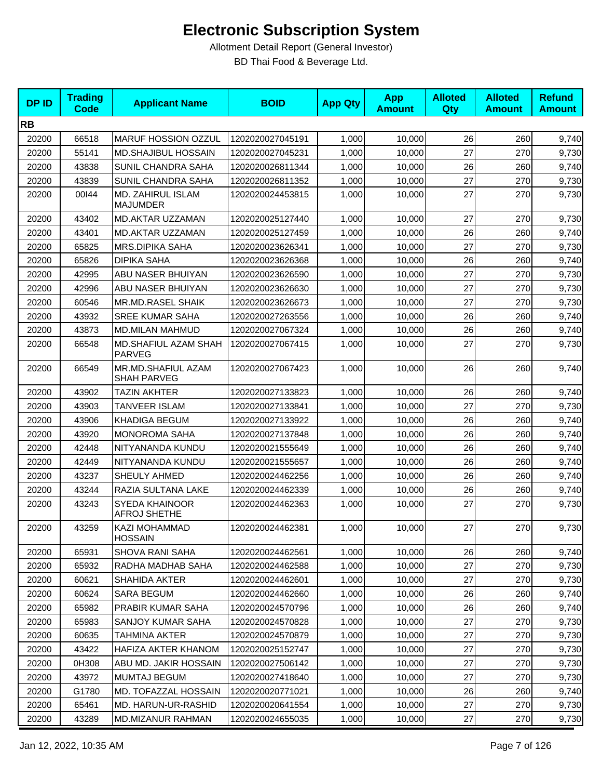| <b>DPID</b> | <b>Trading</b><br><b>Code</b> | <b>Applicant Name</b>                    | <b>BOID</b>      | <b>App Qty</b> | <b>App</b><br><b>Amount</b> | <b>Alloted</b><br><b>Qty</b> | <b>Alloted</b><br><b>Amount</b> | <b>Refund</b><br><b>Amount</b> |
|-------------|-------------------------------|------------------------------------------|------------------|----------------|-----------------------------|------------------------------|---------------------------------|--------------------------------|
| <b>RB</b>   |                               |                                          |                  |                |                             |                              |                                 |                                |
| 20200       | 66518                         | MARUF HOSSION OZZUL                      | 1202020027045191 | 1,000          | 10,000                      | 26                           | 260                             | 9,740                          |
| 20200       | 55141                         | MD.SHAJIBUL HOSSAIN                      | 1202020027045231 | 1,000          | 10,000                      | 27                           | 270                             | 9,730                          |
| 20200       | 43838                         | SUNIL CHANDRA SAHA                       | 1202020026811344 | 1,000          | 10,000                      | 26                           | 260                             | 9,740                          |
| 20200       | 43839                         | SUNIL CHANDRA SAHA                       | 1202020026811352 | 1,000          | 10,000                      | 27                           | 270                             | 9,730                          |
| 20200       | 00144                         | MD. ZAHIRUL ISLAM<br><b>MAJUMDER</b>     | 1202020024453815 | 1,000          | 10,000                      | 27                           | 270                             | 9,730                          |
| 20200       | 43402                         | MD.AKTAR UZZAMAN                         | 1202020025127440 | 1,000          | 10,000                      | 27                           | 270                             | 9,730                          |
| 20200       | 43401                         | MD.AKTAR UZZAMAN                         | 1202020025127459 | 1,000          | 10,000                      | 26                           | 260                             | 9,740                          |
| 20200       | 65825                         | <b>MRS.DIPIKA SAHA</b>                   | 1202020023626341 | 1,000          | 10,000                      | 27                           | 270                             | 9,730                          |
| 20200       | 65826                         | <b>DIPIKA SAHA</b>                       | 1202020023626368 | 1,000          | 10,000                      | 26                           | 260                             | 9,740                          |
| 20200       | 42995                         | ABU NASER BHUIYAN                        | 1202020023626590 | 1,000          | 10,000                      | 27                           | 270                             | 9,730                          |
| 20200       | 42996                         | ABU NASER BHUIYAN                        | 1202020023626630 | 1,000          | 10,000                      | 27                           | 270                             | 9,730                          |
| 20200       | 60546                         | <b>MR.MD.RASEL SHAIK</b>                 | 1202020023626673 | 1,000          | 10,000                      | 27                           | 270                             | 9,730                          |
| 20200       | 43932                         | <b>SREE KUMAR SAHA</b>                   | 1202020027263556 | 1,000          | 10.000                      | 26                           | 260                             | 9,740                          |
| 20200       | 43873                         | <b>MD.MILAN MAHMUD</b>                   | 1202020027067324 | 1,000          | 10,000                      | 26                           | 260                             | 9,740                          |
| 20200       | 66548                         | MD.SHAFIUL AZAM SHAH<br><b>PARVEG</b>    | 1202020027067415 | 1,000          | 10,000                      | 27                           | 270                             | 9,730                          |
| 20200       | 66549                         | MR.MD.SHAFIUL AZAM<br><b>SHAH PARVEG</b> | 1202020027067423 | 1,000          | 10,000                      | 26                           | 260                             | 9,740                          |
| 20200       | 43902                         | <b>TAZIN AKHTER</b>                      | 1202020027133823 | 1,000          | 10,000                      | 26                           | 260                             | 9,740                          |
| 20200       | 43903                         | <b>TANVEER ISLAM</b>                     | 1202020027133841 | 1,000          | 10,000                      | 27                           | 270                             | 9,730                          |
| 20200       | 43906                         | <b>KHADIGA BEGUM</b>                     | 1202020027133922 | 1,000          | 10,000                      | 26                           | 260                             | 9,740                          |
| 20200       | 43920                         | <b>MONOROMA SAHA</b>                     | 1202020027137848 | 1,000          | 10,000                      | 26                           | 260                             | 9,740                          |
| 20200       | 42448                         | NITYANANDA KUNDU                         | 1202020021555649 | 1,000          | 10,000                      | 26                           | 260                             | 9,740                          |
| 20200       | 42449                         | NITYANANDA KUNDU                         | 1202020021555657 | 1,000          | 10,000                      | 26                           | 260                             | 9,740                          |
| 20200       | 43237                         | SHEULY AHMED                             | 1202020024462256 | 1,000          | 10,000                      | 26                           | 260                             | 9,740                          |
| 20200       | 43244                         | RAZIA SULTANA LAKE                       | 1202020024462339 | 1,000          | 10,000                      | 26                           | 260                             | 9,740                          |
| 20200       | 43243                         | SYEDA KHAINOOR<br><b>AFROJ SHETHE</b>    | 1202020024462363 | 1,000          | 10,000                      | 27                           | 270                             | 9,730                          |
| 20200       | 43259                         | KAZI MOHAMMAD<br><b>HOSSAIN</b>          | 1202020024462381 | 1,000          | 10,000                      | 27                           | 270                             | 9,730                          |
| 20200       | 65931                         | <b>SHOVA RANI SAHA</b>                   | 1202020024462561 | 1,000          | 10,000                      | 26                           | 260                             | 9,740                          |
| 20200       | 65932                         | RADHA MADHAB SAHA                        | 1202020024462588 | 1,000          | 10,000                      | 27                           | 270                             | 9,730                          |
| 20200       | 60621                         | SHAHIDA AKTER                            | 1202020024462601 | 1,000          | 10,000                      | 27                           | 270                             | 9,730                          |
| 20200       | 60624                         | <b>SARA BEGUM</b>                        | 1202020024462660 | 1,000          | 10,000                      | 26                           | 260                             | 9,740                          |
| 20200       | 65982                         | PRABIR KUMAR SAHA                        | 1202020024570796 | 1,000          | 10,000                      | 26                           | 260                             | 9,740                          |
| 20200       | 65983                         | SANJOY KUMAR SAHA                        | 1202020024570828 | 1,000          | 10,000                      | 27                           | 270                             | 9,730                          |
| 20200       | 60635                         | <b>TAHMINA AKTER</b>                     | 1202020024570879 | 1,000          | 10,000                      | 27                           | 270                             | 9,730                          |
| 20200       | 43422                         | HAFIZA AKTER KHANOM                      | 1202020025152747 | 1,000          | 10,000                      | 27                           | 270                             | 9,730                          |
| 20200       | 0H308                         | ABU MD. JAKIR HOSSAIN                    | 1202020027506142 | 1,000          | 10,000                      | 27                           | 270                             | 9,730                          |
| 20200       | 43972                         | MUMTAJ BEGUM                             | 1202020027418640 | 1,000          | 10,000                      | 27                           | 270                             | 9,730                          |
| 20200       | G1780                         | MD. TOFAZZAL HOSSAIN                     | 1202020020771021 | 1,000          | 10,000                      | 26                           | 260                             | 9,740                          |
| 20200       | 65461                         | MD. HARUN-UR-RASHID                      | 1202020020641554 | 1,000          | 10,000                      | 27                           | 270                             | 9,730                          |
| 20200       | 43289                         | MD.MIZANUR RAHMAN                        | 1202020024655035 | 1,000          | 10,000                      | $27\,$                       | 270                             | 9,730                          |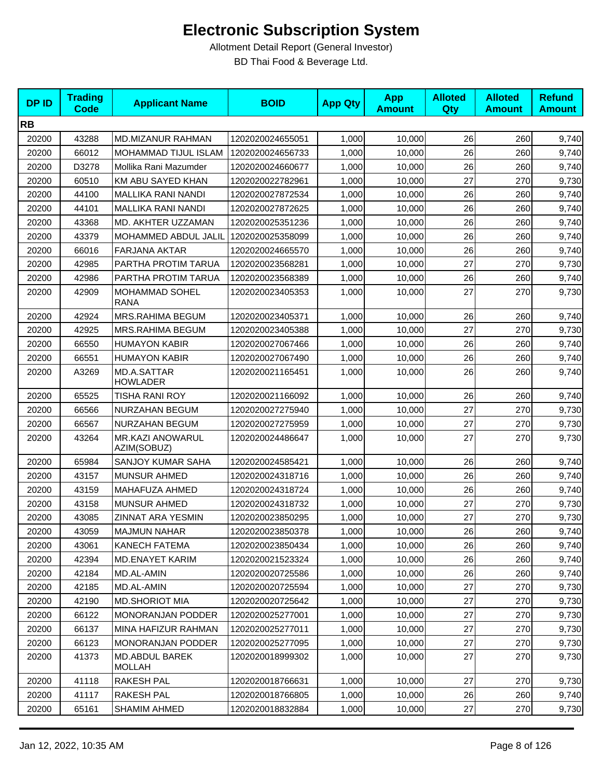| <b>DPID</b> | <b>Trading</b><br><b>Code</b> | <b>Applicant Name</b>                  | <b>BOID</b>      | <b>App Qty</b> | <b>App</b><br><b>Amount</b> | <b>Alloted</b><br>Qty | <b>Alloted</b><br><b>Amount</b> | <b>Refund</b><br><b>Amount</b> |
|-------------|-------------------------------|----------------------------------------|------------------|----------------|-----------------------------|-----------------------|---------------------------------|--------------------------------|
| <b>RB</b>   |                               |                                        |                  |                |                             |                       |                                 |                                |
| 20200       | 43288                         | MD.MIZANUR RAHMAN                      | 1202020024655051 | 1,000          | 10,000                      | 26                    | 260                             | 9,740                          |
| 20200       | 66012                         | <b>MOHAMMAD TIJUL ISLAM</b>            | 1202020024656733 | 1,000          | 10,000                      | 26                    | 260                             | 9,740                          |
| 20200       | D3278                         | Mollika Rani Mazumder                  | 1202020024660677 | 1,000          | 10,000                      | 26                    | 260                             | 9,740                          |
| 20200       | 60510                         | KM ABU SAYED KHAN                      | 1202020022782961 | 1,000          | 10,000                      | 27                    | 270                             | 9,730                          |
| 20200       | 44100                         | <b>MALLIKA RANI NANDI</b>              | 1202020027872534 | 1,000          | 10,000                      | 26                    | 260                             | 9,740                          |
| 20200       | 44101                         | <b>MALLIKA RANI NANDI</b>              | 1202020027872625 | 1,000          | 10,000                      | 26                    | 260                             | 9,740                          |
| 20200       | 43368                         | MD. AKHTER UZZAMAN                     | 1202020025351236 | 1,000          | 10,000                      | 26                    | 260                             | 9,740                          |
| 20200       | 43379                         | MOHAMMED ABDUL JALIL                   | 1202020025358099 | 1,000          | 10,000                      | 26                    | 260                             | 9,740                          |
| 20200       | 66016                         | <b>FARJANA AKTAR</b>                   | 1202020024665570 | 1,000          | 10,000                      | 26                    | 260                             | 9,740                          |
| 20200       | 42985                         | PARTHA PROTIM TARUA                    | 1202020023568281 | 1,000          | 10,000                      | 27                    | 270                             | 9,730                          |
| 20200       | 42986                         | PARTHA PROTIM TARUA                    | 1202020023568389 | 1,000          | 10,000                      | 26                    | 260                             | 9,740                          |
| 20200       | 42909                         | <b>MOHAMMAD SOHEL</b><br><b>RANA</b>   | 1202020023405353 | 1,000          | 10,000                      | 27                    | 270                             | 9,730                          |
| 20200       | 42924                         | MRS.RAHIMA BEGUM                       | 1202020023405371 | 1,000          | 10,000                      | 26                    | 260                             | 9,740                          |
| 20200       | 42925                         | <b>MRS.RAHIMA BEGUM</b>                | 1202020023405388 | 1,000          | 10,000                      | 27                    | 270                             | 9,730                          |
| 20200       | 66550                         | <b>HUMAYON KABIR</b>                   | 1202020027067466 | 1,000          | 10.000                      | 26                    | 260                             | 9,740                          |
| 20200       | 66551                         | <b>HUMAYON KABIR</b>                   | 1202020027067490 | 1,000          | 10,000                      | 26                    | 260                             | 9,740                          |
| 20200       | A3269                         | MD.A.SATTAR<br><b>HOWLADER</b>         | 1202020021165451 | 1,000          | 10,000                      | 26                    | 260                             | 9,740                          |
| 20200       | 65525                         | TISHA RANI ROY                         | 1202020021166092 | 1,000          | 10,000                      | 26                    | 260                             | 9,740                          |
| 20200       | 66566                         | NURZAHAN BEGUM                         | 1202020027275940 | 1,000          | 10,000                      | 27                    | 270                             | 9,730                          |
| 20200       | 66567                         | NURZAHAN BEGUM                         | 1202020027275959 | 1,000          | 10,000                      | 27                    | 270                             | 9,730                          |
| 20200       | 43264                         | MR.KAZI ANOWARUL<br>AZIM(SOBUZ)        | 1202020024486647 | 1,000          | 10,000                      | 27                    | 270                             | 9,730                          |
| 20200       | 65984                         | SANJOY KUMAR SAHA                      | 1202020024585421 | 1,000          | 10,000                      | 26                    | 260                             | 9,740                          |
| 20200       | 43157                         | <b>MUNSUR AHMED</b>                    | 1202020024318716 | 1,000          | 10,000                      | 26                    | 260                             | 9,740                          |
| 20200       | 43159                         | MAHAFUZA AHMED                         | 1202020024318724 | 1,000          | 10,000                      | 26                    | 260                             | 9,740                          |
| 20200       | 43158                         | <b>MUNSUR AHMED</b>                    | 1202020024318732 | 1,000          | 10,000                      | 27                    | 270                             | 9,730                          |
| 20200       | 43085                         | ZINNAT ARA YESMIN                      | 1202020023850295 | 1,000          | 10,000                      | 27                    | 270                             | 9,730                          |
| 20200       | 43059                         | <b>MAJMUN NAHAR</b>                    | 1202020023850378 | 1,000          | 10,000                      | 26                    | 260                             | 9,740                          |
| 20200       | 43061                         | <b>KANECH FATEMA</b>                   | 1202020023850434 | 1,000          | 10.000                      | 26                    | 260                             | 9,740                          |
| 20200       | 42394                         | MD.ENAYET KARIM                        | 1202020021523324 | 1,000          | 10,000                      | 26                    | 260                             | 9,740                          |
| 20200       | 42184                         | MD.AL-AMIN                             | 1202020020725586 | 1,000          | 10,000                      | 26                    | 260                             | 9,740                          |
| 20200       | 42185                         | MD.AL-AMIN                             | 1202020020725594 | 1,000          | 10,000                      | 27                    | 270                             | 9,730                          |
| 20200       | 42190                         | <b>MD.SHORIOT MIA</b>                  | 1202020020725642 | 1,000          | 10,000                      | 27                    | 270                             | 9,730                          |
| 20200       | 66122                         | <b>MONORANJAN PODDER</b>               | 1202020025277001 | 1,000          | 10,000                      | 27                    | 270                             | 9,730                          |
| 20200       | 66137                         | MINA HAFIZUR RAHMAN                    | 1202020025277011 | 1,000          | 10,000                      | 27                    | 270                             | 9,730                          |
| 20200       | 66123                         | <b>MONORANJAN PODDER</b>               | 1202020025277095 | 1,000          | 10,000                      | 27                    | 270                             | 9,730                          |
| 20200       | 41373                         | <b>MD.ABDUL BAREK</b><br><b>MOLLAH</b> | 1202020018999302 | 1,000          | 10.000                      | 27                    | 270                             | 9,730                          |
| 20200       | 41118                         | RAKESH PAL                             | 1202020018766631 | 1,000          | 10,000                      | 27                    | 270                             | 9,730                          |
| 20200       | 41117                         | RAKESH PAL                             | 1202020018766805 | 1,000          | 10,000                      | 26                    | 260                             | 9,740                          |
| 20200       | 65161                         | <b>SHAMIM AHMED</b>                    | 1202020018832884 | 1,000          | 10,000                      | 27                    | 270                             | 9,730                          |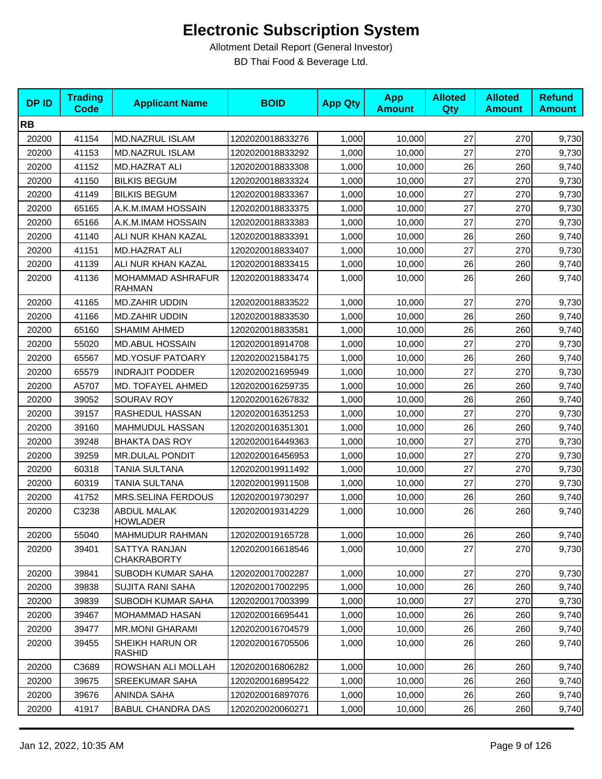| <b>DPID</b> | <b>Trading</b><br><b>Code</b> | <b>Applicant Name</b>                 | <b>BOID</b>      | <b>App Qty</b> | <b>App</b><br><b>Amount</b> | <b>Alloted</b><br><b>Qty</b> | <b>Alloted</b><br><b>Amount</b> | <b>Refund</b><br><b>Amount</b> |
|-------------|-------------------------------|---------------------------------------|------------------|----------------|-----------------------------|------------------------------|---------------------------------|--------------------------------|
| <b>RB</b>   |                               |                                       |                  |                |                             |                              |                                 |                                |
| 20200       | 41154                         | MD.NAZRUL ISLAM                       | 1202020018833276 | 1,000          | 10,000                      | 27                           | 270                             | 9,730                          |
| 20200       | 41153                         | MD.NAZRUL ISLAM                       | 1202020018833292 | 1,000          | 10,000                      | 27                           | 270                             | 9,730                          |
| 20200       | 41152                         | <b>MD.HAZRAT ALI</b>                  | 1202020018833308 | 1,000          | 10,000                      | 26                           | 260                             | 9,740                          |
| 20200       | 41150                         | <b>BILKIS BEGUM</b>                   | 1202020018833324 | 1,000          | 10,000                      | 27                           | 270                             | 9,730                          |
| 20200       | 41149                         | <b>BILKIS BEGUM</b>                   | 1202020018833367 | 1,000          | 10,000                      | 27                           | 270                             | 9,730                          |
| 20200       | 65165                         | A.K.M.IMAM HOSSAIN                    | 1202020018833375 | 1,000          | 10,000                      | 27                           | 270                             | 9,730                          |
| 20200       | 65166                         | A.K.M.IMAM HOSSAIN                    | 1202020018833383 | 1,000          | 10,000                      | 27                           | 270                             | 9,730                          |
| 20200       | 41140                         | ALI NUR KHAN KAZAL                    | 1202020018833391 | 1,000          | 10,000                      | 26                           | 260                             | 9,740                          |
| 20200       | 41151                         | <b>MD.HAZRAT ALI</b>                  | 1202020018833407 | 1,000          | 10,000                      | 27                           | 270                             | 9,730                          |
| 20200       | 41139                         | ALI NUR KHAN KAZAL                    | 1202020018833415 | 1,000          | 10,000                      | 26                           | 260                             | 9,740                          |
| 20200       | 41136                         | MOHAMMAD ASHRAFUR<br><b>RAHMAN</b>    | 1202020018833474 | 1,000          | 10,000                      | 26                           | 260                             | 9,740                          |
| 20200       | 41165                         | <b>MD.ZAHIR UDDIN</b>                 | 1202020018833522 | 1,000          | 10,000                      | 27                           | 270                             | 9,730                          |
| 20200       | 41166                         | <b>MD.ZAHIR UDDIN</b>                 | 1202020018833530 | 1,000          | 10,000                      | 26                           | 260                             | 9,740                          |
| 20200       | 65160                         | <b>SHAMIM AHMED</b>                   | 1202020018833581 | 1,000          | 10,000                      | 26                           | 260                             | 9,740                          |
| 20200       | 55020                         | <b>MD.ABUL HOSSAIN</b>                | 1202020018914708 | 1,000          | 10,000                      | 27                           | 270                             | 9,730                          |
| 20200       | 65567                         | <b>MD.YOSUF PATOARY</b>               | 1202020021584175 | 1,000          | 10,000                      | 26                           | 260                             | 9,740                          |
| 20200       | 65579                         | <b>INDRAJIT PODDER</b>                | 1202020021695949 | 1,000          | 10,000                      | 27                           | 270                             | 9,730                          |
| 20200       | A5707                         | MD. TOFAYEL AHMED                     | 1202020016259735 | 1,000          | 10,000                      | 26                           | 260                             | 9,740                          |
| 20200       | 39052                         | SOURAV ROY                            | 1202020016267832 | 1,000          | 10,000                      | 26                           | 260                             | 9,740                          |
| 20200       | 39157                         | RASHEDUL HASSAN                       | 1202020016351253 | 1,000          | 10,000                      | 27                           | 270                             | 9,730                          |
| 20200       | 39160                         | MAHMUDUL HASSAN                       | 1202020016351301 | 1,000          | 10,000                      | 26                           | 260                             | 9,740                          |
| 20200       | 39248                         | <b>BHAKTA DAS ROY</b>                 | 1202020016449363 | 1,000          | 10,000                      | 27                           | 270                             | 9,730                          |
| 20200       | 39259                         | <b>MR.DULAL PONDIT</b>                | 1202020016456953 | 1,000          | 10,000                      | 27                           | 270                             | 9,730                          |
| 20200       | 60318                         | TANIA SULTANA                         | 1202020019911492 | 1,000          | 10,000                      | 27                           | 270                             | 9,730                          |
| 20200       | 60319                         | TANIA SULTANA                         | 1202020019911508 | 1,000          | 10,000                      | 27                           | 270                             | 9,730                          |
| 20200       | 41752                         | MRS.SELINA FERDOUS                    | 1202020019730297 | 1,000          | 10,000                      | 26                           | 260                             | 9,740                          |
| 20200       | C3238                         | <b>ABDUL MALAK</b><br><b>HOWLADER</b> | 1202020019314229 | 1,000          | 10,000                      | 26                           | 260                             | 9,740                          |
| 20200       | 55040                         | MAHMUDUR RAHMAN                       | 1202020019165728 | 1,000          | 10,000                      | 26                           | 260                             | 9,740                          |
| 20200       | 39401                         | SATTYA RANJAN<br><b>CHAKRABORTY</b>   | 1202020016618546 | 1,000          | 10,000                      | 27                           | 270                             | 9,730                          |
| 20200       | 39841                         | SUBODH KUMAR SAHA                     | 1202020017002287 | 1,000          | 10,000                      | 27                           | 270                             | 9,730                          |
| 20200       | 39838                         | <b>SUJITA RANI SAHA</b>               | 1202020017002295 | 1,000          | 10,000                      | 26                           | 260                             | 9,740                          |
| 20200       | 39839                         | SUBODH KUMAR SAHA                     | 1202020017003399 | 1,000          | 10,000                      | 27                           | 270                             | 9,730                          |
| 20200       | 39467                         | <b>MOHAMMAD HASAN</b>                 | 1202020016695441 | 1,000          | 10,000                      | 26                           | 260                             | 9,740                          |
| 20200       | 39477                         | <b>MR.MONI GHARAMI</b>                | 1202020016704579 | 1,000          | 10,000                      | 26                           | 260                             | 9,740                          |
| 20200       | 39455                         | SHEIKH HARUN OR<br><b>RASHID</b>      | 1202020016705506 | 1,000          | 10,000                      | 26                           | 260                             | 9,740                          |
| 20200       | C3689                         | ROWSHAN ALI MOLLAH                    | 1202020016806282 | 1,000          | 10,000                      | 26                           | 260                             | 9,740                          |
| 20200       | 39675                         | <b>SREEKUMAR SAHA</b>                 | 1202020016895422 | 1,000          | 10,000                      | 26                           | 260                             | 9,740                          |
| 20200       | 39676                         | ANINDA SAHA                           | 1202020016897076 | 1,000          | 10,000                      | 26                           | 260                             | 9,740                          |
| 20200       | 41917                         | <b>BABUL CHANDRA DAS</b>              | 1202020020060271 | 1,000          | 10,000                      | 26                           | 260                             | 9,740                          |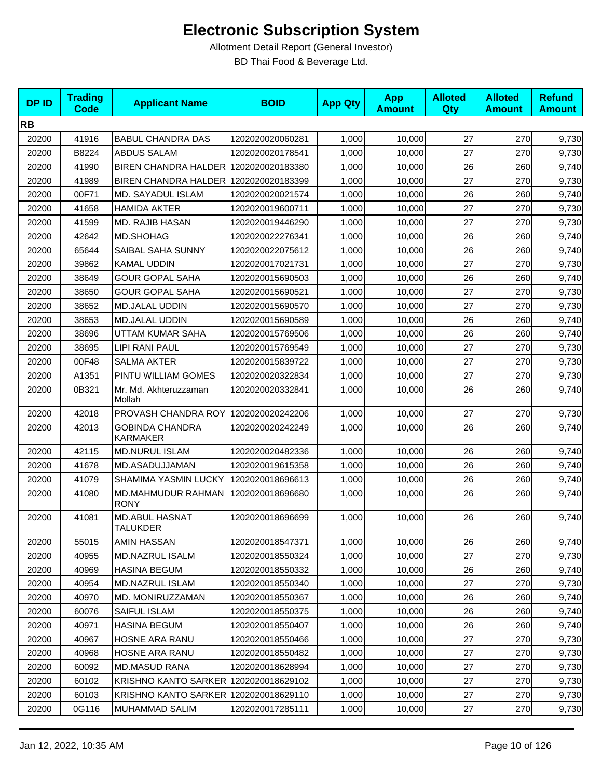| <b>DPID</b> | <b>Trading</b><br><b>Code</b> | <b>Applicant Name</b>                     | <b>BOID</b>      | <b>App Qty</b> | <b>App</b><br><b>Amount</b> | <b>Alloted</b><br><b>Qty</b> | <b>Alloted</b><br><b>Amount</b> | <b>Refund</b><br><b>Amount</b> |
|-------------|-------------------------------|-------------------------------------------|------------------|----------------|-----------------------------|------------------------------|---------------------------------|--------------------------------|
| <b>RB</b>   |                               |                                           |                  |                |                             |                              |                                 |                                |
| 20200       | 41916                         | <b>BABUL CHANDRA DAS</b>                  | 1202020020060281 | 1,000          | 10,000                      | 27                           | 270                             | 9,730                          |
| 20200       | B8224                         | <b>ABDUS SALAM</b>                        | 1202020020178541 | 1,000          | 10,000                      | 27                           | 270                             | 9,730                          |
| 20200       | 41990                         | BIREN CHANDRA HALDER 1202020020183380     |                  | 1,000          | 10,000                      | 26                           | 260                             | 9,740                          |
| 20200       | 41989                         | BIREN CHANDRA HALDER                      | 1202020020183399 | 1,000          | 10,000                      | 27                           | 270                             | 9,730                          |
| 20200       | 00F71                         | MD. SAYADUL ISLAM                         | 1202020020021574 | 1,000          | 10,000                      | 26                           | 260                             | 9,740                          |
| 20200       | 41658                         | <b>HAMIDA AKTER</b>                       | 1202020019600711 | 1,000          | 10,000                      | 27                           | 270                             | 9,730                          |
| 20200       | 41599                         | MD. RAJIB HASAN                           | 1202020019446290 | 1,000          | 10,000                      | 27                           | 270                             | 9,730                          |
| 20200       | 42642                         | MD.SHOHAG                                 | 1202020022276341 | 1,000          | 10,000                      | 26                           | 260                             | 9,740                          |
| 20200       | 65644                         | SAIBAL SAHA SUNNY                         | 1202020022075612 | 1,000          | 10,000                      | 26                           | 260                             | 9,740                          |
| 20200       | 39862                         | <b>KAMAL UDDIN</b>                        | 1202020017021731 | 1,000          | 10,000                      | 27                           | 270                             | 9,730                          |
| 20200       | 38649                         | <b>GOUR GOPAL SAHA</b>                    | 1202020015690503 | 1,000          | 10,000                      | 26                           | 260                             | 9,740                          |
| 20200       | 38650                         | <b>GOUR GOPAL SAHA</b>                    | 1202020015690521 | 1,000          | 10,000                      | 27                           | 270                             | 9,730                          |
| 20200       | 38652                         | MD.JALAL UDDIN                            | 1202020015690570 | 1,000          | 10,000                      | 27                           | 270                             | 9,730                          |
| 20200       | 38653                         | <b>MD.JALAL UDDIN</b>                     | 1202020015690589 | 1,000          | 10,000                      | 26                           | 260                             | 9,740                          |
| 20200       | 38696                         | UTTAM KUMAR SAHA                          | 1202020015769506 | 1,000          | 10,000                      | 26                           | 260                             | 9,740                          |
| 20200       | 38695                         | LIPI RANI PAUL                            | 1202020015769549 | 1,000          | 10,000                      | 27                           | 270                             | 9,730                          |
| 20200       | 00F48                         | <b>SALMA AKTER</b>                        | 1202020015839722 | 1,000          | 10,000                      | 27                           | 270                             | 9,730                          |
| 20200       | A1351                         | PINTU WILLIAM GOMES                       | 1202020020322834 | 1,000          | 10,000                      | 27                           | 270                             | 9,730                          |
| 20200       | 0B321                         | Mr. Md. Akhteruzzaman<br>Mollah           | 1202020020332841 | 1,000          | 10,000                      | 26                           | 260                             | 9,740                          |
| 20200       | 42018                         | PROVASH CHANDRA ROY                       | 1202020020242206 | 1,000          | 10,000                      | 27                           | 270                             | 9,730                          |
| 20200       | 42013                         | <b>GOBINDA CHANDRA</b><br><b>KARMAKER</b> | 1202020020242249 | 1,000          | 10,000                      | 26                           | 260                             | 9,740                          |
| 20200       | 42115                         | <b>MD.NURUL ISLAM</b>                     | 1202020020482336 | 1,000          | 10,000                      | 26                           | 260                             | 9,740                          |
| 20200       | 41678                         | MD.ASADUJJAMAN                            | 1202020019615358 | 1,000          | 10,000                      | 26                           | 260                             | 9,740                          |
| 20200       | 41079                         | <b>SHAMIMA YASMIN LUCKY</b>               | 1202020018696613 | 1,000          | 10,000                      | 26                           | 260                             | 9,740                          |
| 20200       | 41080                         | MD.MAHMUDUR RAHMAN<br><b>RONY</b>         | 1202020018696680 | 1,000          | 10,000                      | 26                           | 260                             | 9,740                          |
| 20200       | 41081                         | <b>MD.ABUL HASNAT</b><br><b>TALUKDER</b>  | 1202020018696699 | 1,000          | 10,000                      | 26                           | 260                             | 9,740                          |
| 20200       | 55015                         | AMIN HASSAN                               | 1202020018547371 | 1,000          | 10,000                      | 26                           | 260                             | 9,740                          |
| 20200       | 40955                         | MD.NAZRUL ISALM                           | 1202020018550324 | 1,000          | 10,000                      | 27                           | 270                             | 9,730                          |
| 20200       | 40969                         | <b>HASINA BEGUM</b>                       | 1202020018550332 | 1,000          | 10.000                      | 26                           | 260                             | 9,740                          |
| 20200       | 40954                         | MD.NAZRUL ISLAM                           | 1202020018550340 | 1,000          | 10,000                      | 27                           | 270                             | 9,730                          |
| 20200       | 40970                         | MD. MONIRUZZAMAN                          | 1202020018550367 | 1,000          | 10,000                      | 26                           | 260                             | 9,740                          |
| 20200       | 60076                         | SAIFUL ISLAM                              | 1202020018550375 | 1,000          | 10,000                      | 26                           | 260                             | 9,740                          |
| 20200       | 40971                         | <b>HASINA BEGUM</b>                       | 1202020018550407 | 1,000          | 10,000                      | 26                           | 260                             | 9,740                          |
| 20200       | 40967                         | HOSNE ARA RANU                            | 1202020018550466 | 1,000          | 10,000                      | 27                           | 270                             | 9,730                          |
| 20200       | 40968                         | HOSNE ARA RANU                            | 1202020018550482 | 1,000          | 10,000                      | 27                           | 270                             | 9,730                          |
| 20200       | 60092                         | <b>MD.MASUD RANA</b>                      | 1202020018628994 | 1,000          | 10,000                      | 27                           | 270                             | 9,730                          |
| 20200       | 60102                         | KRISHNO KANTO SARKER 1202020018629102     |                  | 1,000          | 10,000                      | 27                           | 270                             | 9,730                          |
| 20200       | 60103                         | KRISHNO KANTO SARKER 1202020018629110     |                  | 1,000          | 10,000                      | 27                           | 270                             | 9,730                          |
| 20200       | 0G116                         | MUHAMMAD SALIM                            | 1202020017285111 | 1,000          | 10,000                      | 27                           | 270                             | 9,730                          |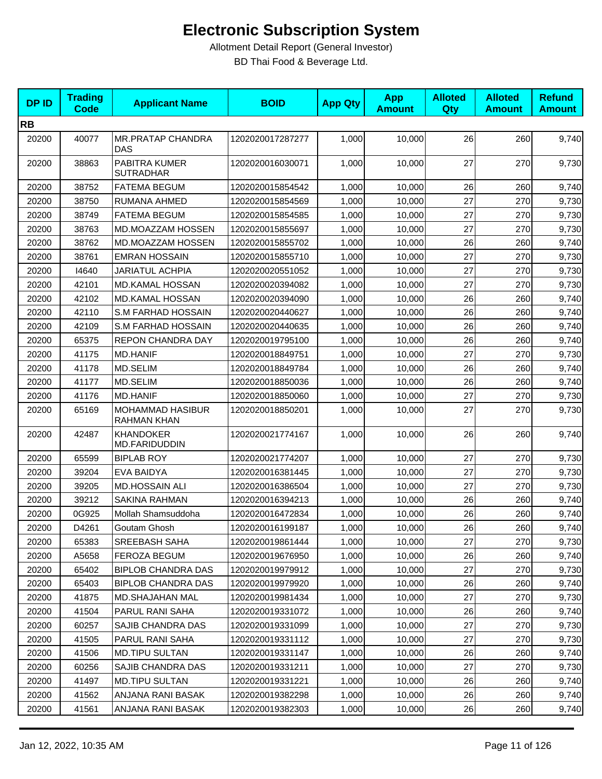| <b>DPID</b> | <b>Trading</b><br><b>Code</b> | <b>Applicant Name</b>                  | <b>BOID</b>      | <b>App Qty</b> | <b>App</b><br><b>Amount</b> | <b>Alloted</b><br>Qty | <b>Alloted</b><br><b>Amount</b> | <b>Refund</b><br><b>Amount</b> |
|-------------|-------------------------------|----------------------------------------|------------------|----------------|-----------------------------|-----------------------|---------------------------------|--------------------------------|
| <b>RB</b>   |                               |                                        |                  |                |                             |                       |                                 |                                |
| 20200       | 40077                         | <b>MR.PRATAP CHANDRA</b><br><b>DAS</b> | 1202020017287277 | 1,000          | 10,000                      | 26                    | 260                             | 9,740                          |
| 20200       | 38863                         | PABITRA KUMER<br><b>SUTRADHAR</b>      | 1202020016030071 | 1,000          | 10,000                      | 27                    | 270                             | 9,730                          |
| 20200       | 38752                         | <b>FATEMA BEGUM</b>                    | 1202020015854542 | 1,000          | 10,000                      | 26                    | 260                             | 9,740                          |
| 20200       | 38750                         | RUMANA AHMED                           | 1202020015854569 | 1,000          | 10,000                      | 27                    | 270                             | 9,730                          |
| 20200       | 38749                         | <b>FATEMA BEGUM</b>                    | 1202020015854585 | 1,000          | 10,000                      | 27                    | 270                             | 9,730                          |
| 20200       | 38763                         | MD.MOAZZAM HOSSEN                      | 1202020015855697 | 1,000          | 10,000                      | 27                    | 270                             | 9,730                          |
| 20200       | 38762                         | MD.MOAZZAM HOSSEN                      | 1202020015855702 | 1,000          | 10,000                      | 26                    | 260                             | 9,740                          |
| 20200       | 38761                         | <b>EMRAN HOSSAIN</b>                   | 1202020015855710 | 1,000          | 10,000                      | 27                    | 270                             | 9,730                          |
| 20200       | 14640                         | <b>JARIATUL ACHPIA</b>                 | 1202020020551052 | 1,000          | 10,000                      | 27                    | 270                             | 9,730                          |
| 20200       | 42101                         | <b>MD.KAMAL HOSSAN</b>                 | 1202020020394082 | 1,000          | 10,000                      | 27                    | 270                             | 9,730                          |
| 20200       | 42102                         | <b>MD.KAMAL HOSSAN</b>                 | 1202020020394090 | 1,000          | 10,000                      | 26                    | 260                             | 9,740                          |
| 20200       | 42110                         | S.M FARHAD HOSSAIN                     | 1202020020440627 | 1,000          | 10,000                      | 26                    | 260                             | 9,740                          |
| 20200       | 42109                         | <b>S.M FARHAD HOSSAIN</b>              | 1202020020440635 | 1,000          | 10.000                      | 26                    | 260                             | 9,740                          |
| 20200       | 65375                         | REPON CHANDRA DAY                      | 1202020019795100 | 1,000          | 10,000                      | 26                    | 260                             | 9,740                          |
| 20200       | 41175                         | <b>MD.HANIF</b>                        | 1202020018849751 | 1,000          | 10,000                      | 27                    | 270                             | 9,730                          |
| 20200       | 41178                         | MD.SELIM                               | 1202020018849784 | 1,000          | 10,000                      | 26                    | 260                             | 9,740                          |
| 20200       | 41177                         | MD.SELIM                               | 1202020018850036 | 1,000          | 10,000                      | 26                    | 260                             | 9,740                          |
| 20200       | 41176                         | <b>MD.HANIF</b>                        | 1202020018850060 | 1,000          | 10,000                      | 27                    | 270                             | 9,730                          |
| 20200       | 65169                         | <b>MOHAMMAD HASIBUR</b><br>RAHMAN KHAN | 1202020018850201 | 1,000          | 10,000                      | 27                    | 270                             | 9,730                          |
| 20200       | 42487                         | <b>KHANDOKER</b><br>MD.FARIDUDDIN      | 1202020021774167 | 1,000          | 10,000                      | 26                    | 260                             | 9,740                          |
| 20200       | 65599                         | <b>BIPLAB ROY</b>                      | 1202020021774207 | 1,000          | 10,000                      | 27                    | 270                             | 9,730                          |
| 20200       | 39204                         | EVA BAIDYA                             | 1202020016381445 | 1,000          | 10,000                      | 27                    | 270                             | 9,730                          |
| 20200       | 39205                         | <b>MD.HOSSAIN ALI</b>                  | 1202020016386504 | 1,000          | 10,000                      | 27                    | 270                             | 9,730                          |
| 20200       | 39212                         | SAKINA RAHMAN                          | 1202020016394213 | 1,000          | 10,000                      | 26                    | 260                             | 9,740                          |
| 20200       | 0G925                         | Mollah Shamsuddoha                     | 1202020016472834 | 1,000          | 10,000                      | 26                    | 260                             | 9,740                          |
| 20200       | D4261                         | Goutam Ghosh                           | 1202020016199187 | 1,000          | 10,000                      | 26                    | 260                             | 9,740                          |
| 20200       | 65383                         | SREEBASH SAHA                          | 1202020019861444 | 1,000          | 10,000                      | 27                    | 270                             | 9,730                          |
| 20200       | A5658                         | FEROZA BEGUM                           | 1202020019676950 | 1,000          | 10,000                      | 26                    | 260                             | 9,740                          |
| 20200       | 65402                         | <b>BIPLOB CHANDRA DAS</b>              | 1202020019979912 | 1,000          | 10.000                      | 27                    | 270                             | 9,730                          |
| 20200       | 65403                         | <b>BIPLOB CHANDRA DAS</b>              | 1202020019979920 | 1,000          | 10,000                      | 26                    | 260                             | 9,740                          |
| 20200       | 41875                         | MD.SHAJAHAN MAL                        | 1202020019981434 | 1,000          | 10,000                      | 27                    | 270                             | 9,730                          |
| 20200       | 41504                         | PARUL RANI SAHA                        | 1202020019331072 | 1,000          | 10,000                      | 26                    | 260                             | 9,740                          |
| 20200       | 60257                         | SAJIB CHANDRA DAS                      | 1202020019331099 | 1,000          | 10,000                      | 27                    | 270                             | 9,730                          |
| 20200       | 41505                         | PARUL RANI SAHA                        | 1202020019331112 | 1,000          | 10,000                      | 27                    | 270                             | 9,730                          |
| 20200       | 41506                         | <b>MD.TIPU SULTAN</b>                  | 1202020019331147 | 1,000          | 10,000                      | 26                    | 260                             | 9,740                          |
| 20200       | 60256                         | SAJIB CHANDRA DAS                      | 1202020019331211 | 1,000          | 10,000                      | 27                    | 270                             | 9,730                          |
| 20200       | 41497                         | <b>MD.TIPU SULTAN</b>                  | 1202020019331221 | 1,000          | 10,000                      | 26                    | 260                             | 9,740                          |
| 20200       | 41562                         | ANJANA RANI BASAK                      | 1202020019382298 | 1,000          | 10,000                      | 26                    | 260                             | 9,740                          |
| 20200       | 41561                         | ANJANA RANI BASAK                      | 1202020019382303 | 1,000          | 10,000                      | 26                    | 260                             | 9,740                          |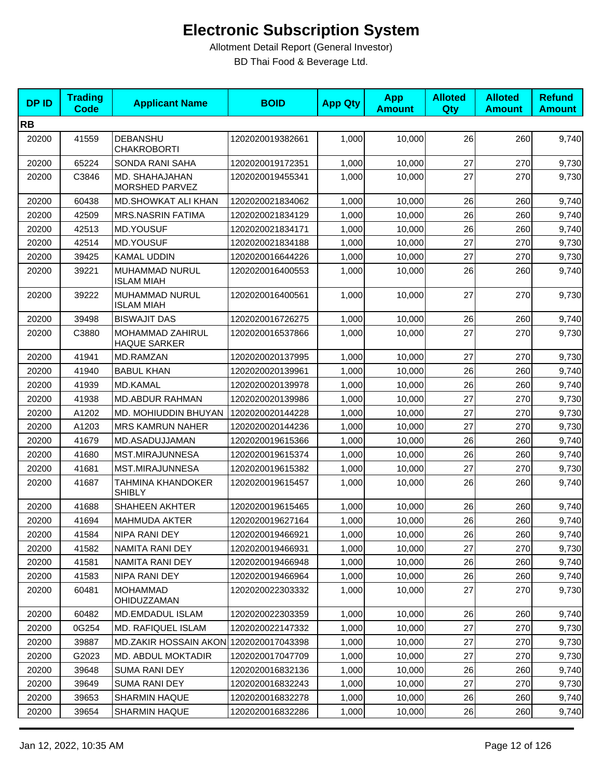| <b>DPID</b> | <b>Trading</b><br><b>Code</b> | <b>Applicant Name</b>                     | <b>BOID</b>      | <b>App Qty</b> | <b>App</b><br><b>Amount</b> | <b>Alloted</b><br>Qty | <b>Alloted</b><br><b>Amount</b> | <b>Refund</b><br><b>Amount</b> |
|-------------|-------------------------------|-------------------------------------------|------------------|----------------|-----------------------------|-----------------------|---------------------------------|--------------------------------|
| <b>RB</b>   |                               |                                           |                  |                |                             |                       |                                 |                                |
| 20200       | 41559                         | DEBANSHU<br><b>CHAKROBORTI</b>            | 1202020019382661 | 1,000          | 10,000                      | 26                    | 260                             | 9,740                          |
| 20200       | 65224                         | SONDA RANI SAHA                           | 1202020019172351 | 1,000          | 10,000                      | 27                    | 270                             | 9,730                          |
| 20200       | C3846                         | MD. SHAHAJAHAN<br>MORSHED PARVEZ          | 1202020019455341 | 1,000          | 10,000                      | 27                    | 270                             | 9,730                          |
| 20200       | 60438                         | MD.SHOWKAT ALI KHAN                       | 1202020021834062 | 1,000          | 10,000                      | 26                    | 260                             | 9,740                          |
| 20200       | 42509                         | <b>MRS.NASRIN FATIMA</b>                  | 1202020021834129 | 1,000          | 10,000                      | 26                    | 260                             | 9,740                          |
| 20200       | 42513                         | <b>MD.YOUSUF</b>                          | 1202020021834171 | 1,000          | 10,000                      | 26                    | 260                             | 9,740                          |
| 20200       | 42514                         | <b>MD.YOUSUF</b>                          | 1202020021834188 | 1,000          | 10,000                      | 27                    | 270                             | 9,730                          |
| 20200       | 39425                         | <b>KAMAL UDDIN</b>                        | 1202020016644226 | 1,000          | 10,000                      | 27                    | 270                             | 9,730                          |
| 20200       | 39221                         | MUHAMMAD NURUL<br><b>ISLAM MIAH</b>       | 1202020016400553 | 1,000          | 10,000                      | 26                    | 260                             | 9,740                          |
| 20200       | 39222                         | MUHAMMAD NURUL<br><b>ISLAM MIAH</b>       | 1202020016400561 | 1,000          | 10,000                      | 27                    | 270                             | 9,730                          |
| 20200       | 39498                         | <b>BISWAJIT DAS</b>                       | 1202020016726275 | 1,000          | 10,000                      | 26                    | 260                             | 9,740                          |
| 20200       | C3880                         | MOHAMMAD ZAHIRUL<br><b>HAQUE SARKER</b>   | 1202020016537866 | 1,000          | 10,000                      | 27                    | 270                             | 9,730                          |
| 20200       | 41941                         | MD.RAMZAN                                 | 1202020020137995 | 1,000          | 10,000                      | 27                    | 270                             | 9,730                          |
| 20200       | 41940                         | <b>BABUL KHAN</b>                         | 1202020020139961 | 1,000          | 10,000                      | 26                    | 260                             | 9,740                          |
| 20200       | 41939                         | <b>MD.KAMAL</b>                           | 1202020020139978 | 1,000          | 10,000                      | 26                    | 260                             | 9,740                          |
| 20200       | 41938                         | <b>MD.ABDUR RAHMAN</b>                    | 1202020020139986 | 1,000          | 10,000                      | 27                    | 270                             | 9,730                          |
| 20200       | A1202                         | <b>MD. MOHIUDDIN BHUYAN</b>               | 1202020020144228 | 1,000          | 10,000                      | 27                    | 270                             | 9,730                          |
| 20200       | A1203                         | <b>MRS KAMRUN NAHER</b>                   | 1202020020144236 | 1,000          | 10,000                      | 27                    | 270                             | 9,730                          |
| 20200       | 41679                         | MD.ASADUJJAMAN                            | 1202020019615366 | 1,000          | 10,000                      | 26                    | 260                             | 9,740                          |
| 20200       | 41680                         | MST.MIRAJUNNESA                           | 1202020019615374 | 1,000          | 10,000                      | 26                    | 260                             | 9,740                          |
| 20200       | 41681                         | MST.MIRAJUNNESA                           | 1202020019615382 | 1,000          | 10,000                      | 27                    | 270                             | 9,730                          |
| 20200       | 41687                         | <b>TAHMINA KHANDOKER</b><br><b>SHIBLY</b> | 1202020019615457 | 1,000          | 10,000                      | 26                    | 260                             | 9,740                          |
| 20200       | 41688                         | <b>SHAHEEN AKHTER</b>                     | 1202020019615465 | 1,000          | 10,000                      | 26                    | 260                             | 9,740                          |
| 20200       | 41694                         | <b>MAHMUDA AKTER</b>                      | 1202020019627164 | 1,000          | 10,000                      | 26                    | 260                             | 9,740                          |
| 20200       | 41584                         | NIPA RANI DEY                             | 1202020019466921 | 1,000          | 10,000                      | 26                    | 260                             | 9,740                          |
| 20200       | 41582                         | NAMITA RANI DEY                           | 1202020019466931 | 1,000          | 10,000                      | 27                    | 270                             | 9,730                          |
| 20200       | 41581                         | NAMITA RANI DEY                           | 1202020019466948 | 1,000          | 10,000                      | 26                    | 260                             | 9,740                          |
| 20200       | 41583                         | NIPA RANI DEY                             | 1202020019466964 | 1,000          | 10,000                      | 26                    | 260                             | 9,740                          |
| 20200       | 60481                         | <b>MOHAMMAD</b><br>OHIDUZZAMAN            | 1202020022303332 | 1,000          | 10,000                      | 27                    | 270                             | 9,730                          |
| 20200       | 60482                         | MD.EMDADUL ISLAM                          | 1202020022303359 | 1,000          | 10,000                      | 26                    | 260                             | 9,740                          |
| 20200       | 0G254                         | <b>MD. RAFIQUEL ISLAM</b>                 | 1202020022147332 | 1,000          | 10,000                      | 27                    | 270                             | 9,730                          |
| 20200       | 39887                         | MD.ZAKIR HOSSAIN AKON 1202020017043398    |                  | 1,000          | 10,000                      | 27                    | 270                             | 9,730                          |
| 20200       | G2023                         | MD. ABDUL MOKTADIR                        | 1202020017047709 | 1,000          | 10,000                      | 27                    | 270                             | 9,730                          |
| 20200       | 39648                         | <b>SUMA RANI DEY</b>                      | 1202020016832136 | 1,000          | 10,000                      | 26                    | 260                             | 9,740                          |
| 20200       | 39649                         | <b>SUMA RANI DEY</b>                      | 1202020016832243 | 1,000          | 10,000                      | 27                    | 270                             | 9,730                          |
| 20200       | 39653                         | SHARMIN HAQUE                             | 1202020016832278 | 1,000          | 10,000                      | 26                    | 260                             | 9,740                          |
| 20200       | 39654                         | <b>SHARMIN HAQUE</b>                      | 1202020016832286 | 1,000          | 10,000                      | 26                    | 260                             | 9,740                          |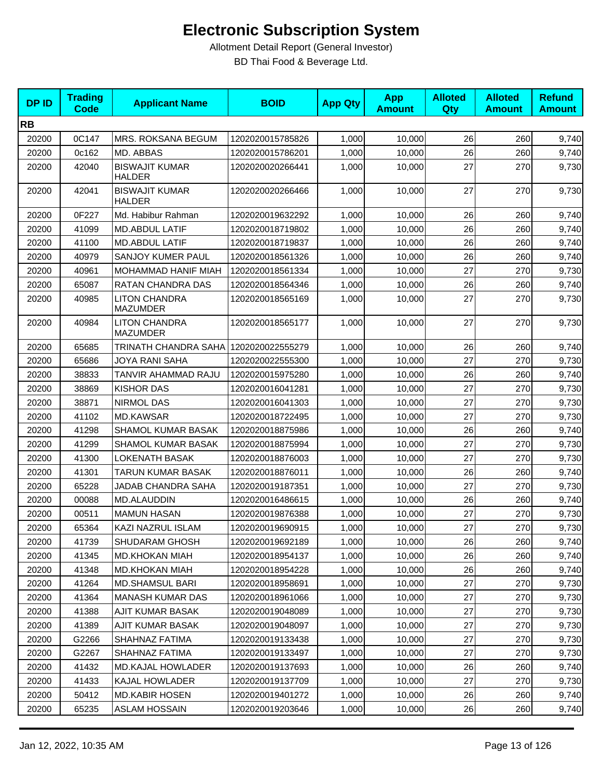| <b>DPID</b> | <b>Trading</b><br><b>Code</b> | <b>Applicant Name</b>                   | <b>BOID</b>      | <b>App Qty</b> | <b>App</b><br><b>Amount</b> | <b>Alloted</b><br>Qty | <b>Alloted</b><br><b>Amount</b> | <b>Refund</b><br><b>Amount</b> |
|-------------|-------------------------------|-----------------------------------------|------------------|----------------|-----------------------------|-----------------------|---------------------------------|--------------------------------|
| <b>RB</b>   |                               |                                         |                  |                |                             |                       |                                 |                                |
| 20200       | 0C147                         | MRS. ROKSANA BEGUM                      | 1202020015785826 | 1,000          | 10,000                      | 26                    | 260                             | 9,740                          |
| 20200       | 0c162                         | MD. ABBAS                               | 1202020015786201 | 1,000          | 10,000                      | 26                    | 260                             | 9,740                          |
| 20200       | 42040                         | <b>BISWAJIT KUMAR</b><br><b>HALDER</b>  | 1202020020266441 | 1,000          | 10,000                      | 27                    | 270                             | 9,730                          |
| 20200       | 42041                         | <b>BISWAJIT KUMAR</b><br><b>HALDER</b>  | 1202020020266466 | 1,000          | 10,000                      | 27                    | 270                             | 9,730                          |
| 20200       | 0F227                         | Md. Habibur Rahman                      | 1202020019632292 | 1,000          | 10,000                      | 26                    | 260                             | 9,740                          |
| 20200       | 41099                         | MD.ABDUL LATIF                          | 1202020018719802 | 1,000          | 10,000                      | 26                    | 260                             | 9,740                          |
| 20200       | 41100                         | MD.ABDUL LATIF                          | 1202020018719837 | 1,000          | 10,000                      | 26                    | 260                             | 9,740                          |
| 20200       | 40979                         | SANJOY KUMER PAUL                       | 1202020018561326 | 1,000          | 10,000                      | 26                    | 260                             | 9,740                          |
| 20200       | 40961                         | MOHAMMAD HANIF MIAH                     | 1202020018561334 | 1,000          | 10,000                      | 27                    | 270                             | 9,730                          |
| 20200       | 65087                         | <b>RATAN CHANDRA DAS</b>                | 1202020018564346 | 1.000          | 10,000                      | 26                    | 260                             | 9,740                          |
| 20200       | 40985                         | <b>LITON CHANDRA</b><br><b>MAZUMDER</b> | 1202020018565169 | 1,000          | 10,000                      | 27                    | 270                             | 9,730                          |
| 20200       | 40984                         | <b>LITON CHANDRA</b><br><b>MAZUMDER</b> | 1202020018565177 | 1,000          | 10,000                      | 27                    | 270                             | 9,730                          |
| 20200       | 65685                         | TRINATH CHANDRA SAHA 1202020022555279   |                  | 1,000          | 10,000                      | 26                    | 260                             | 9,740                          |
| 20200       | 65686                         | JOYA RANI SAHA                          | 1202020022555300 | 1,000          | 10,000                      | 27                    | 270                             | 9,730                          |
| 20200       | 38833                         | TANVIR AHAMMAD RAJU                     | 1202020015975280 | 1,000          | 10,000                      | 26                    | 260                             | 9,740                          |
| 20200       | 38869                         | <b>KISHOR DAS</b>                       | 1202020016041281 | 1,000          | 10,000                      | 27                    | 270                             | 9,730                          |
| 20200       | 38871                         | <b>NIRMOL DAS</b>                       | 1202020016041303 | 1,000          | 10,000                      | 27                    | 270                             | 9,730                          |
| 20200       | 41102                         | <b>MD.KAWSAR</b>                        | 1202020018722495 | 1,000          | 10,000                      | 27                    | 270                             | 9,730                          |
| 20200       | 41298                         | SHAMOL KUMAR BASAK                      | 1202020018875986 | 1,000          | 10,000                      | 26                    | 260                             | 9,740                          |
| 20200       | 41299                         | SHAMOL KUMAR BASAK                      | 1202020018875994 | 1,000          | 10,000                      | 27                    | 270                             | 9,730                          |
| 20200       | 41300                         | <b>LOKENATH BASAK</b>                   | 1202020018876003 | 1,000          | 10,000                      | 27                    | 270                             | 9,730                          |
| 20200       | 41301                         | <b>TARUN KUMAR BASAK</b>                | 1202020018876011 | 1,000          | 10,000                      | 26                    | 260                             | 9,740                          |
| 20200       | 65228                         | JADAB CHANDRA SAHA                      | 1202020019187351 | 1,000          | 10,000                      | 27                    | 270                             | 9,730                          |
| 20200       | 00088                         | MD.ALAUDDIN                             | 1202020016486615 | 1,000          | 10,000                      | 26                    | 260                             | 9,740                          |
| 20200       | 00511                         | <b>MAMUN HASAN</b>                      | 1202020019876388 | 1,000          | 10,000                      | 27                    | 270                             | 9,730                          |
| 20200       | 65364                         | KAZI NAZRUL ISLAM                       | 1202020019690915 | 1,000          | 10,000                      | 27                    | 270                             | 9,730                          |
| 20200       | 41739                         | SHUDARAM GHOSH                          | 1202020019692189 | 1,000          | 10,000                      | 26                    | 260                             | 9,740                          |
| 20200       | 41345                         | <b>MD.KHOKAN MIAH</b>                   | 1202020018954137 | 1,000          | 10,000                      | 26                    | 260                             | 9,740                          |
| 20200       | 41348                         | <b>MD.KHOKAN MIAH</b>                   | 1202020018954228 | 1,000          | 10,000                      | 26                    | 260                             | 9,740                          |
| 20200       | 41264                         | <b>MD.SHAMSUL BARI</b>                  | 1202020018958691 | 1,000          | 10,000                      | 27                    | 270                             | 9,730                          |
| 20200       | 41364                         | <b>MANASH KUMAR DAS</b>                 | 1202020018961066 | 1,000          | 10,000                      | 27                    | 270                             | 9,730                          |
| 20200       | 41388                         | AJIT KUMAR BASAK                        | 1202020019048089 | 1,000          | 10,000                      | 27                    | 270                             | 9,730                          |
| 20200       | 41389                         | AJIT KUMAR BASAK                        | 1202020019048097 | 1,000          | 10,000                      | 27                    | 270                             | 9,730                          |
| 20200       | G2266                         | SHAHNAZ FATIMA                          | 1202020019133438 | 1,000          | 10,000                      | 27                    | 270                             | 9,730                          |
| 20200       | G2267                         | SHAHNAZ FATIMA                          | 1202020019133497 | 1,000          | 10,000                      | 27                    | 270                             | 9,730                          |
| 20200       | 41432                         | <b>MD.KAJAL HOWLADER</b>                | 1202020019137693 | 1,000          | 10,000                      | 26                    | 260                             | 9,740                          |
| 20200       | 41433                         | KAJAL HOWLADER                          | 1202020019137709 | 1,000          | 10,000                      | 27                    | 270                             | 9,730                          |
| 20200       | 50412                         | <b>MD.KABIR HOSEN</b>                   | 1202020019401272 | 1,000          | 10,000                      | 26                    | 260                             | 9,740                          |
| 20200       | 65235                         | ASLAM HOSSAIN                           | 1202020019203646 | 1,000          | 10,000                      | 26                    | 260                             | 9,740                          |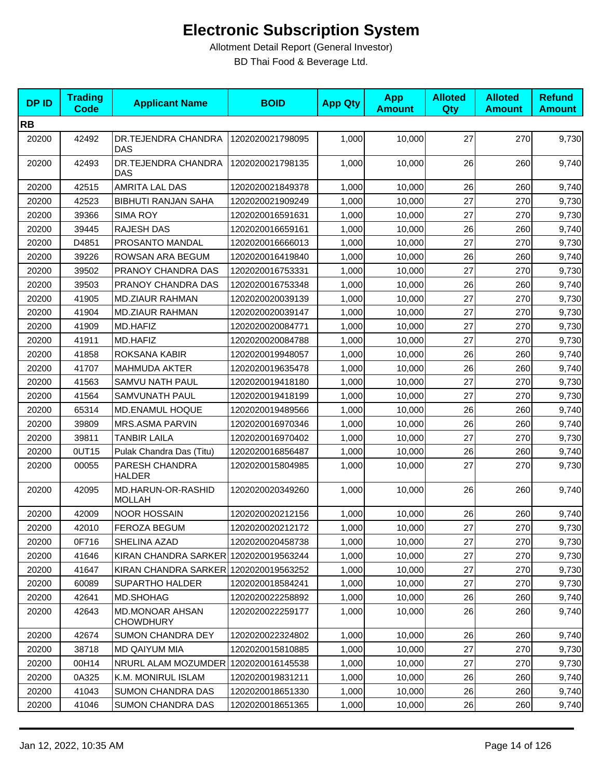| <b>DPID</b> | <b>Trading</b><br><b>Code</b> | <b>Applicant Name</b>                      | <b>BOID</b>      | <b>App Qty</b> | <b>App</b><br><b>Amount</b> | <b>Alloted</b><br>Qty | <b>Alloted</b><br><b>Amount</b> | <b>Refund</b><br><b>Amount</b> |
|-------------|-------------------------------|--------------------------------------------|------------------|----------------|-----------------------------|-----------------------|---------------------------------|--------------------------------|
| <b>RB</b>   |                               |                                            |                  |                |                             |                       |                                 |                                |
| 20200       | 42492                         | DR.TEJENDRA CHANDRA<br><b>DAS</b>          | 1202020021798095 | 1,000          | 10,000                      | 27                    | 270                             | 9,730                          |
| 20200       | 42493                         | DR.TEJENDRA CHANDRA<br>DAS                 | 1202020021798135 | 1,000          | 10,000                      | 26                    | 260                             | 9,740                          |
| 20200       | 42515                         | AMRITA LAL DAS                             | 1202020021849378 | 1,000          | 10,000                      | 26                    | 260                             | 9,740                          |
| 20200       | 42523                         | <b>BIBHUTI RANJAN SAHA</b>                 | 1202020021909249 | 1,000          | 10,000                      | 27                    | 270                             | 9,730                          |
| 20200       | 39366                         | <b>SIMA ROY</b>                            | 1202020016591631 | 1,000          | 10,000                      | 27                    | 270                             | 9,730                          |
| 20200       | 39445                         | RAJESH DAS                                 | 1202020016659161 | 1,000          | 10,000                      | 26                    | 260                             | 9,740                          |
| 20200       | D4851                         | PROSANTO MANDAL                            | 1202020016666013 | 1,000          | 10,000                      | 27                    | 270                             | 9,730                          |
| 20200       | 39226                         | ROWSAN ARA BEGUM                           | 1202020016419840 | 1,000          | 10,000                      | 26                    | 260                             | 9,740                          |
| 20200       | 39502                         | PRANOY CHANDRA DAS                         | 1202020016753331 | 1,000          | 10,000                      | 27                    | 270                             | 9,730                          |
| 20200       | 39503                         | PRANOY CHANDRA DAS                         | 1202020016753348 | 1,000          | 10,000                      | 26                    | 260                             | 9,740                          |
| 20200       | 41905                         | <b>MD.ZIAUR RAHMAN</b>                     | 1202020020039139 | 1,000          | 10,000                      | 27                    | 270                             | 9,730                          |
| 20200       | 41904                         | <b>MD.ZIAUR RAHMAN</b>                     | 1202020020039147 | 1,000          | 10,000                      | 27                    | 270                             | 9,730                          |
| 20200       | 41909                         | MD.HAFIZ                                   | 1202020020084771 | 1,000          | 10,000                      | 27                    | 270                             | 9,730                          |
| 20200       | 41911                         | MD.HAFIZ                                   | 1202020020084788 | 1,000          | 10,000                      | 27                    | 270                             | 9,730                          |
| 20200       | 41858                         | <b>ROKSANA KABIR</b>                       | 1202020019948057 | 1,000          | 10,000                      | 26                    | 260                             | 9,740                          |
| 20200       | 41707                         | <b>MAHMUDA AKTER</b>                       | 1202020019635478 | 1,000          | 10,000                      | 26                    | 260                             | 9,740                          |
| 20200       | 41563                         | SAMVU NATH PAUL                            | 1202020019418180 | 1,000          | 10,000                      | 27                    | 270                             | 9,730                          |
| 20200       | 41564                         | SAMVUNATH PAUL                             | 1202020019418199 | 1,000          | 10,000                      | 27                    | 270                             | 9,730                          |
| 20200       | 65314                         | MD.ENAMUL HOQUE                            | 1202020019489566 | 1,000          | 10,000                      | 26                    | 260                             | 9,740                          |
| 20200       | 39809                         | MRS.ASMA PARVIN                            | 1202020016970346 | 1,000          | 10,000                      | 26                    | 260                             | 9,740                          |
| 20200       | 39811                         | TANBIR LAILA                               | 1202020016970402 | 1,000          | 10,000                      | 27                    | 270                             | 9,730                          |
| 20200       | 0UT15                         | Pulak Chandra Das (Titu)                   | 1202020016856487 | 1,000          | 10,000                      | 26                    | 260                             | 9,740                          |
| 20200       | 00055                         | PARESH CHANDRA<br><b>HALDER</b>            | 1202020015804985 | 1,000          | 10,000                      | 27                    | 270                             | 9,730                          |
| 20200       | 42095                         | MD.HARUN-OR-RASHID<br><b>MOLLAH</b>        | 1202020020349260 | 1,000          | 10,000                      | 26                    | 260                             | 9,740                          |
| 20200       | 42009                         | <b>NOOR HOSSAIN</b>                        | 1202020020212156 | 1,000          | 10,000                      | 26                    | 260                             | 9,740                          |
| 20200       | 42010                         | <b>FEROZA BEGUM</b>                        | 1202020020212172 | 1,000          | 10,000                      | 27                    | 270                             | 9,730                          |
| 20200       | 0F716                         | SHELINA AZAD                               | 1202020020458738 | 1,000          | 10,000                      | 27                    | 270                             | 9,730                          |
| 20200       | 41646                         | KIRAN CHANDRA SARKER 1202020019563244      |                  | 1,000          | 10,000                      | 27                    | 270                             | 9,730                          |
| 20200       | 41647                         | KIRAN CHANDRA SARKER 1202020019563252      |                  | 1,000          | 10,000                      | 27                    | 270                             | 9,730                          |
| 20200       | 60089                         | <b>SUPARTHO HALDER</b>                     | 1202020018584241 | 1,000          | 10,000                      | 27                    | 270                             | 9,730                          |
| 20200       | 42641                         | MD.SHOHAG                                  | 1202020022258892 | 1,000          | 10,000                      | 26                    | 260                             | 9,740                          |
| 20200       | 42643                         | <b>MD.MONOAR AHSAN</b><br><b>CHOWDHURY</b> | 1202020022259177 | 1,000          | 10,000                      | 26                    | 260                             | 9,740                          |
| 20200       | 42674                         | SUMON CHANDRA DEY                          | 1202020022324802 | 1,000          | 10,000                      | 26                    | 260                             | 9,740                          |
| 20200       | 38718                         | MD QAIYUM MIA                              | 1202020015810885 | 1,000          | 10,000                      | 27                    | 270                             | 9,730                          |
| 20200       | 00H14                         | NRURL ALAM MOZUMDER 1202020016145538       |                  | 1,000          | 10,000                      | 27                    | 270                             | 9,730                          |
| 20200       | 0A325                         | K.M. MONIRUL ISLAM                         | 1202020019831211 | 1,000          | 10,000                      | 26                    | 260                             | 9,740                          |
| 20200       | 41043                         | <b>SUMON CHANDRA DAS</b>                   | 1202020018651330 | 1,000          | 10,000                      | 26                    | 260                             | 9,740                          |
| 20200       | 41046                         | <b>SUMON CHANDRA DAS</b>                   | 1202020018651365 | 1,000          | 10,000                      | 26                    | 260                             | 9,740                          |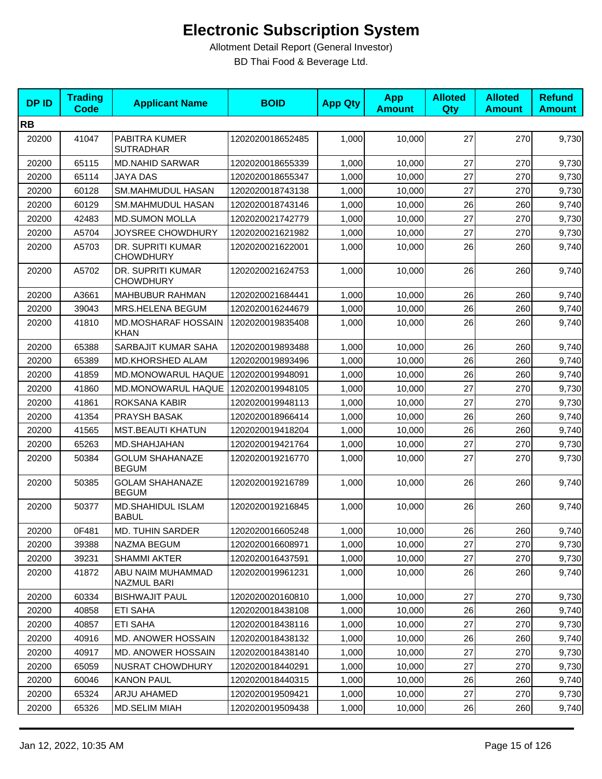| <b>DPID</b> | <b>Trading</b><br><b>Code</b> | <b>Applicant Name</b>                     | <b>BOID</b>      | <b>App Qty</b> | <b>App</b><br><b>Amount</b> | <b>Alloted</b><br>Qty | <b>Alloted</b><br><b>Amount</b> | <b>Refund</b><br><b>Amount</b> |
|-------------|-------------------------------|-------------------------------------------|------------------|----------------|-----------------------------|-----------------------|---------------------------------|--------------------------------|
| <b>RB</b>   |                               |                                           |                  |                |                             |                       |                                 |                                |
| 20200       | 41047                         | PABITRA KUMER<br><b>SUTRADHAR</b>         | 1202020018652485 | 1,000          | 10,000                      | 27                    | 270                             | 9,730                          |
| 20200       | 65115                         | <b>MD.NAHID SARWAR</b>                    | 1202020018655339 | 1,000          | 10,000                      | 27                    | 270                             | 9,730                          |
| 20200       | 65114                         | <b>JAYA DAS</b>                           | 1202020018655347 | 1,000          | 10,000                      | 27                    | 270                             | 9,730                          |
| 20200       | 60128                         | SM.MAHMUDUL HASAN                         | 1202020018743138 | 1,000          | 10,000                      | 27                    | 270                             | 9,730                          |
| 20200       | 60129                         | SM.MAHMUDUL HASAN                         | 1202020018743146 | 1,000          | 10,000                      | 26                    | 260                             | 9,740                          |
| 20200       | 42483                         | <b>MD.SUMON MOLLA</b>                     | 1202020021742779 | 1,000          | 10,000                      | 27                    | 270                             | 9,730                          |
| 20200       | A5704                         | JOYSREE CHOWDHURY                         | 1202020021621982 | 1,000          | 10,000                      | 27                    | 270                             | 9,730                          |
| 20200       | A5703                         | DR. SUPRITI KUMAR<br><b>CHOWDHURY</b>     | 1202020021622001 | 1,000          | 10,000                      | 26                    | 260                             | 9,740                          |
| 20200       | A5702                         | DR. SUPRITI KUMAR<br><b>CHOWDHURY</b>     | 1202020021624753 | 1,000          | 10,000                      | 26                    | 260                             | 9,740                          |
| 20200       | A3661                         | <b>MAHBUBUR RAHMAN</b>                    | 1202020021684441 | 1,000          | 10,000                      | 26                    | 260                             | 9,740                          |
| 20200       | 39043                         | MRS.HELENA BEGUM                          | 1202020016244679 | 1,000          | 10,000                      | 26                    | 260                             | 9,740                          |
| 20200       | 41810                         | <b>MD.MOSHARAF HOSSAIN</b><br><b>KHAN</b> | 1202020019835408 | 1,000          | 10,000                      | 26                    | 260                             | 9,740                          |
| 20200       | 65388                         | SARBAJIT KUMAR SAHA                       | 1202020019893488 | 1,000          | 10,000                      | 26                    | 260                             | 9,740                          |
| 20200       | 65389                         | MD.KHORSHED ALAM                          | 1202020019893496 | 1,000          | 10,000                      | 26                    | 260                             | 9,740                          |
| 20200       | 41859                         | MD.MONOWARUL HAQUE                        | 1202020019948091 | 1,000          | 10,000                      | 26                    | 260                             | 9,740                          |
| 20200       | 41860                         | MD.MONOWARUL HAQUE                        | 1202020019948105 | 1,000          | 10,000                      | 27                    | 270                             | 9,730                          |
| 20200       | 41861                         | ROKSANA KABIR                             | 1202020019948113 | 1,000          | 10,000                      | 27                    | 270                             | 9,730                          |
| 20200       | 41354                         | PRAYSH BASAK                              | 1202020018966414 | 1,000          | 10,000                      | 26                    | 260                             | 9,740                          |
| 20200       | 41565                         | <b>MST.BEAUTI KHATUN</b>                  | 1202020019418204 | 1,000          | 10,000                      | 26                    | 260                             | 9,740                          |
| 20200       | 65263                         | MD.SHAHJAHAN                              | 1202020019421764 | 1,000          | 10,000                      | 27                    | 270                             | 9,730                          |
| 20200       | 50384                         | <b>GOLUM SHAHANAZE</b><br><b>BEGUM</b>    | 1202020019216770 | 1,000          | 10,000                      | 27                    | 270                             | 9,730                          |
| 20200       | 50385                         | <b>GOLAM SHAHANAZE</b><br><b>BEGUM</b>    | 1202020019216789 | 1,000          | 10,000                      | 26                    | 260                             | 9,740                          |
| 20200       | 50377                         | <b>MD.SHAHIDUL ISLAM</b><br><b>BABUL</b>  | 1202020019216845 | 1,000          | 10,000                      | 26                    | 260                             | 9,740                          |
| 20200       | 0F481                         | <b>MD. TUHIN SARDER</b>                   | 1202020016605248 | 1,000          | 10,000                      | 26                    | 260                             | 9,740                          |
| 20200       | 39388                         | NAZMA BEGUM                               | 1202020016608971 | 1,000          | 10,000                      | 27                    | 270                             | 9,730                          |
| 20200       | 39231                         | <b>SHAMMI AKTER</b>                       | 1202020016437591 | 1,000          | 10,000                      | 27                    | 270                             | 9,730                          |
| 20200       | 41872                         | ABU NAIM MUHAMMAD<br>NAZMUL BARI          | 1202020019961231 | 1,000          | 10,000                      | 26                    | 260                             | 9,740                          |
| 20200       | 60334                         | <b>BISHWAJIT PAUL</b>                     | 1202020020160810 | 1,000          | 10,000                      | 27                    | 270                             | 9,730                          |
| 20200       | 40858                         | ETI SAHA                                  | 1202020018438108 | 1,000          | 10,000                      | 26                    | 260                             | 9,740                          |
| 20200       | 40857                         | ETI SAHA                                  | 1202020018438116 | 1,000          | 10,000                      | 27                    | 270                             | 9,730                          |
| 20200       | 40916                         | MD. ANOWER HOSSAIN                        | 1202020018438132 | 1,000          | 10,000                      | 26                    | 260                             | 9,740                          |
| 20200       | 40917                         | MD. ANOWER HOSSAIN                        | 1202020018438140 | 1,000          | 10,000                      | 27                    | 270                             | 9,730                          |
| 20200       | 65059                         | NUSRAT CHOWDHURY                          | 1202020018440291 | 1,000          | 10,000                      | 27                    | 270                             | 9,730                          |
| 20200       | 60046                         | <b>KANON PAUL</b>                         | 1202020018440315 | 1,000          | 10,000                      | 26                    | 260                             | 9,740                          |
| 20200       | 65324                         | ARJU AHAMED                               | 1202020019509421 | 1,000          | 10,000                      | 27                    | 270                             | 9,730                          |
| 20200       | 65326                         | MD.SELIM MIAH                             | 1202020019509438 | 1,000          | 10,000                      | 26                    | 260                             | 9,740                          |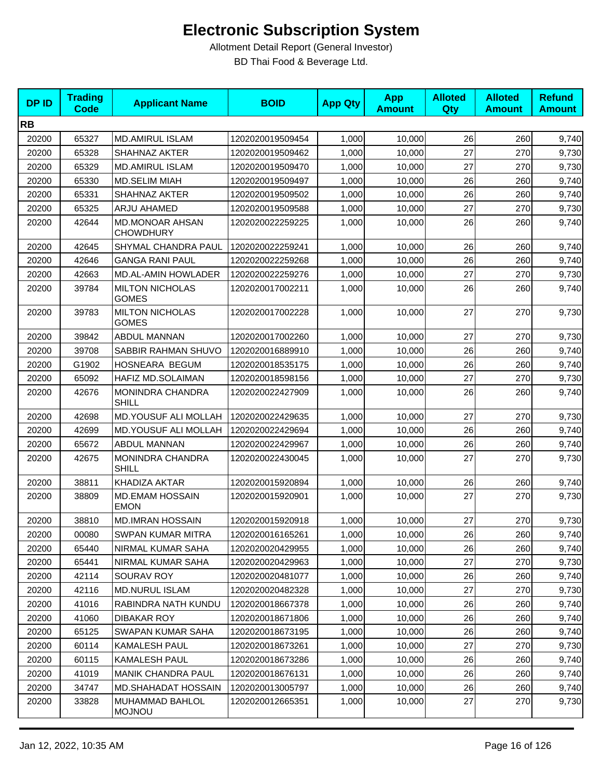| <b>DPID</b> | <b>Trading</b><br><b>Code</b> | <b>Applicant Name</b>                      | <b>BOID</b>      | <b>App Qty</b> | <b>App</b><br><b>Amount</b> | <b>Alloted</b><br><b>Qty</b> | <b>Alloted</b><br><b>Amount</b> | <b>Refund</b><br><b>Amount</b> |
|-------------|-------------------------------|--------------------------------------------|------------------|----------------|-----------------------------|------------------------------|---------------------------------|--------------------------------|
| <b>RB</b>   |                               |                                            |                  |                |                             |                              |                                 |                                |
| 20200       | 65327                         | <b>MD.AMIRUL ISLAM</b>                     | 1202020019509454 | 1,000          | 10,000                      | 26                           | 260                             | 9,740                          |
| 20200       | 65328                         | SHAHNAZ AKTER                              | 1202020019509462 | 1,000          | 10,000                      | 27                           | 270                             | 9,730                          |
| 20200       | 65329                         | <b>MD.AMIRUL ISLAM</b>                     | 1202020019509470 | 1,000          | 10,000                      | 27                           | 270                             | 9,730                          |
| 20200       | 65330                         | <b>MD.SELIM MIAH</b>                       | 1202020019509497 | 1,000          | 10,000                      | 26                           | 260                             | 9,740                          |
| 20200       | 65331                         | SHAHNAZ AKTER                              | 1202020019509502 | 1,000          | 10,000                      | 26                           | 260                             | 9,740                          |
| 20200       | 65325                         | ARJU AHAMED                                | 1202020019509588 | 1,000          | 10,000                      | 27                           | 270                             | 9,730                          |
| 20200       | 42644                         | <b>MD.MONOAR AHSAN</b><br><b>CHOWDHURY</b> | 1202020022259225 | 1,000          | 10,000                      | 26                           | 260                             | 9,740                          |
| 20200       | 42645                         | SHYMAL CHANDRA PAUL                        | 1202020022259241 | 1,000          | 10,000                      | 26                           | 260                             | 9,740                          |
| 20200       | 42646                         | <b>GANGA RANI PAUL</b>                     | 1202020022259268 | 1,000          | 10,000                      | 26                           | 260                             | 9,740                          |
| 20200       | 42663                         | MD.AL-AMIN HOWLADER                        | 1202020022259276 | 1,000          | 10,000                      | 27                           | 270                             | 9,730                          |
| 20200       | 39784                         | <b>MILTON NICHOLAS</b><br><b>GOMES</b>     | 1202020017002211 | 1,000          | 10,000                      | 26                           | 260                             | 9,740                          |
| 20200       | 39783                         | <b>MILTON NICHOLAS</b><br><b>GOMES</b>     | 1202020017002228 | 1,000          | 10,000                      | 27                           | 270                             | 9,730                          |
| 20200       | 39842                         | <b>ABDUL MANNAN</b>                        | 1202020017002260 | 1,000          | 10,000                      | 27                           | 270                             | 9,730                          |
| 20200       | 39708                         | SABBIR RAHMAN SHUVO                        | 1202020016889910 | 1,000          | 10,000                      | 26                           | 260                             | 9,740                          |
| 20200       | G1902                         | HOSNEARA BEGUM                             | 1202020018535175 | 1,000          | 10,000                      | 26                           | 260                             | 9,740                          |
| 20200       | 65092                         | HAFIZ MD.SOLAIMAN                          | 1202020018598156 | 1,000          | 10,000                      | 27                           | 270                             | 9,730                          |
| 20200       | 42676                         | MONINDRA CHANDRA<br>SHILL                  | 1202020022427909 | 1,000          | 10,000                      | 26                           | 260                             | 9,740                          |
| 20200       | 42698                         | MD.YOUSUF ALI MOLLAH                       | 1202020022429635 | 1,000          | 10,000                      | 27                           | 270                             | 9,730                          |
| 20200       | 42699                         | MD.YOUSUF ALI MOLLAH                       | 1202020022429694 | 1,000          | 10,000                      | 26                           | 260                             | 9,740                          |
| 20200       | 65672                         | ABDUL MANNAN                               | 1202020022429967 | 1,000          | 10,000                      | 26                           | 260                             | 9,740                          |
| 20200       | 42675                         | MONINDRA CHANDRA<br><b>SHILL</b>           | 1202020022430045 | 1,000          | 10,000                      | 27                           | 270                             | 9,730                          |
| 20200       | 38811                         | KHADIZA AKTAR                              | 1202020015920894 | 1,000          | 10,000                      | 26                           | 260                             | 9,740                          |
| 20200       | 38809                         | <b>MD.EMAM HOSSAIN</b><br><b>EMON</b>      | 1202020015920901 | 1,000          | 10,000                      | 27                           | 270                             | 9,730                          |
| 20200       | 38810                         | <b>MD.IMRAN HOSSAIN</b>                    | 1202020015920918 | 1,000          | 10,000                      | 27                           | 270                             | 9,730                          |
| 20200       | 00080                         | <b>SWPAN KUMAR MITRA</b>                   | 1202020016165261 | 1,000          | 10,000                      | 26                           | 260                             | 9,740                          |
| 20200       | 65440                         | NIRMAL KUMAR SAHA                          | 1202020020429955 | 1,000          | 10,000                      | 26                           | 260                             | 9,740                          |
| 20200       | 65441                         | NIRMAL KUMAR SAHA                          | 1202020020429963 | 1,000          | 10,000                      | 27                           | 270                             | 9,730                          |
| 20200       | 42114                         | SOURAV ROY                                 | 1202020020481077 | 1,000          | 10,000                      | 26                           | 260                             | 9,740                          |
| 20200       | 42116                         | <b>MD.NURUL ISLAM</b>                      | 1202020020482328 | 1,000          | 10,000                      | 27                           | 270                             | 9,730                          |
| 20200       | 41016                         | RABINDRA NATH KUNDU                        | 1202020018667378 | 1,000          | 10,000                      | 26                           | 260                             | 9,740                          |
| 20200       | 41060                         | DIBAKAR ROY                                | 1202020018671806 | 1,000          | 10,000                      | 26                           | 260                             | 9,740                          |
| 20200       | 65125                         | SWAPAN KUMAR SAHA                          | 1202020018673195 | 1,000          | 10,000                      | 26                           | 260                             | 9,740                          |
| 20200       | 60114                         | <b>KAMALESH PAUL</b>                       | 1202020018673261 | 1,000          | 10,000                      | 27                           | 270                             | 9,730                          |
| 20200       | 60115                         | KAMALESH PAUL                              | 1202020018673286 | 1,000          | 10,000                      | 26                           | 260                             | 9,740                          |
| 20200       | 41019                         | <b>MANIK CHANDRA PAUL</b>                  | 1202020018676131 | 1,000          | 10,000                      | 26                           | 260                             | 9,740                          |
| 20200       | 34747                         | <b>MD.SHAHADAT HOSSAIN</b>                 | 1202020013005797 | 1,000          | 10,000                      | 26                           | 260                             | 9,740                          |
| 20200       | 33828                         | MUHAMMAD BAHLOL<br><b>MOJNOU</b>           | 1202020012665351 | 1,000          | 10,000                      | 27                           | 270                             | 9,730                          |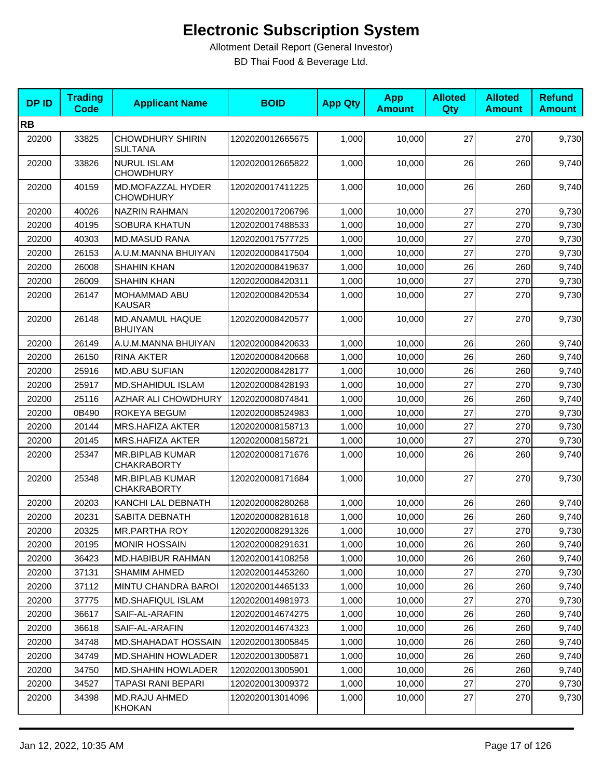| <b>DPID</b> | <b>Trading</b><br><b>Code</b> | <b>Applicant Name</b>                        | <b>BOID</b>      | <b>App Qty</b> | <b>App</b><br><b>Amount</b> | <b>Alloted</b><br>Qty | <b>Alloted</b><br><b>Amount</b> | <b>Refund</b><br><b>Amount</b> |
|-------------|-------------------------------|----------------------------------------------|------------------|----------------|-----------------------------|-----------------------|---------------------------------|--------------------------------|
| <b>RB</b>   |                               |                                              |                  |                |                             |                       |                                 |                                |
| 20200       | 33825                         | <b>CHOWDHURY SHIRIN</b><br><b>SULTANA</b>    | 1202020012665675 | 1,000          | 10,000                      | 27                    | 270                             | 9,730                          |
| 20200       | 33826                         | <b>NURUL ISLAM</b><br><b>CHOWDHURY</b>       | 1202020012665822 | 1,000          | 10,000                      | 26                    | 260                             | 9,740                          |
| 20200       | 40159                         | MD.MOFAZZAL HYDER<br><b>CHOWDHURY</b>        | 1202020017411225 | 1,000          | 10,000                      | 26                    | 260                             | 9,740                          |
| 20200       | 40026                         | <b>NAZRIN RAHMAN</b>                         | 1202020017206796 | 1,000          | 10,000                      | 27                    | 270                             | 9,730                          |
| 20200       | 40195                         | <b>SOBURA KHATUN</b>                         | 1202020017488533 | 1,000          | 10,000                      | 27                    | 270                             | 9,730                          |
| 20200       | 40303                         | <b>MD.MASUD RANA</b>                         | 1202020017577725 | 1,000          | 10,000                      | 27                    | 270                             | 9,730                          |
| 20200       | 26153                         | A.U.M.MANNA BHUIYAN                          | 1202020008417504 | 1,000          | 10,000                      | 27                    | 270                             | 9,730                          |
| 20200       | 26008                         | <b>SHAHIN KHAN</b>                           | 1202020008419637 | 1,000          | 10,000                      | 26                    | 260                             | 9,740                          |
| 20200       | 26009                         | <b>SHAHIN KHAN</b>                           | 1202020008420311 | 1,000          | 10,000                      | 27                    | 270                             | 9,730                          |
| 20200       | 26147                         | MOHAMMAD ABU<br><b>KAUSAR</b>                | 1202020008420534 | 1,000          | 10,000                      | 27                    | 270                             | 9,730                          |
| 20200       | 26148                         | MD.ANAMUL HAQUE<br><b>BHUIYAN</b>            | 1202020008420577 | 1,000          | 10,000                      | 27                    | 270                             | 9,730                          |
| 20200       | 26149                         | A.U.M.MANNA BHUIYAN                          | 1202020008420633 | 1,000          | 10,000                      | 26                    | 260                             | 9,740                          |
| 20200       | 26150                         | <b>RINA AKTER</b>                            | 1202020008420668 | 1,000          | 10,000                      | 26                    | 260                             | 9,740                          |
| 20200       | 25916                         | <b>MD.ABU SUFIAN</b>                         | 1202020008428177 | 1,000          | 10,000                      | 26                    | 260                             | 9,740                          |
| 20200       | 25917                         | <b>MD.SHAHIDUL ISLAM</b>                     | 1202020008428193 | 1,000          | 10,000                      | 27                    | 270                             | 9,730                          |
| 20200       | 25116                         | AZHAR ALI CHOWDHURY                          | 1202020008074841 | 1,000          | 10,000                      | 26                    | 260                             | 9,740                          |
| 20200       | 0B490                         | ROKEYA BEGUM                                 | 1202020008524983 | 1,000          | 10,000                      | 27                    | 270                             | 9,730                          |
| 20200       | 20144                         | <b>MRS.HAFIZA AKTER</b>                      | 1202020008158713 | 1,000          | 10,000                      | 27                    | 270                             | 9,730                          |
| 20200       | 20145                         | MRS.HAFIZA AKTER                             | 1202020008158721 | 1,000          | 10,000                      | 27                    | 270                             | 9,730                          |
| 20200       | 25347                         | <b>MR.BIPLAB KUMAR</b><br><b>CHAKRABORTY</b> | 1202020008171676 | 1,000          | 10,000                      | 26                    | 260                             | 9,740                          |
| 20200       | 25348                         | MR.BIPLAB KUMAR<br><b>CHAKRABORTY</b>        | 1202020008171684 | 1,000          | 10,000                      | 27                    | 270                             | 9,730                          |
| 20200       | 20203                         | KANCHI LAL DEBNATH                           | 1202020008280268 | 1,000          | 10,000                      | 26                    | 260                             | 9,740                          |
| 20200       | 20231                         | SABITA DEBNATH                               | 1202020008281618 | 1,000          | 10,000                      | 26                    | 260                             | 9,740                          |
| 20200       | 20325                         | MR.PARTHA ROY                                | 1202020008291326 | 1,000          | 10,000                      | $27\,$                | 270                             | 9,730                          |
| 20200       | 20195                         | <b>MONIR HOSSAIN</b>                         | 1202020008291631 | 1,000          | 10,000                      | 26                    | 260                             | 9,740                          |
| 20200       | 36423                         | <b>MD.HABIBUR RAHMAN</b>                     | 1202020014108258 | 1,000          | 10,000                      | 26                    | 260                             | 9,740                          |
| 20200       | 37131                         | <b>SHAMIM AHMED</b>                          | 1202020014453260 | 1,000          | 10,000                      | 27                    | 270                             | 9,730                          |
| 20200       | 37112                         | MINTU CHANDRA BAROI                          | 1202020014465133 | 1,000          | 10,000                      | 26                    | 260                             | 9,740                          |
| 20200       | 37775                         | <b>MD.SHAFIQUL ISLAM</b>                     | 1202020014981973 | 1,000          | 10,000                      | 27                    | 270                             | 9,730                          |
| 20200       | 36617                         | SAIF-AL-ARAFIN                               | 1202020014674275 | 1,000          | 10,000                      | 26                    | 260                             | 9,740                          |
| 20200       | 36618                         | SAIF-AL-ARAFIN                               | 1202020014674323 | 1,000          | 10,000                      | 26                    | 260                             | 9,740                          |
| 20200       | 34748                         | <b>MD.SHAHADAT HOSSAIN</b>                   | 1202020013005845 | 1,000          | 10,000                      | 26                    | 260                             | 9,740                          |
| 20200       | 34749                         | <b>MD.SHAHIN HOWLADER</b>                    | 1202020013005871 | 1,000          | 10,000                      | 26                    | 260                             | 9,740                          |
| 20200       | 34750                         | <b>MD.SHAHIN HOWLADER</b>                    | 1202020013005901 | 1,000          | 10,000                      | 26                    | 260                             | 9,740                          |
| 20200       | 34527                         | TAPASI RANI BEPARI                           | 1202020013009372 | 1,000          | 10,000                      | 27                    | 270                             | 9,730                          |
| 20200       | 34398                         | <b>MD.RAJU AHMED</b><br>KHOKAN               | 1202020013014096 | 1,000          | 10,000                      | 27                    | 270                             | 9,730                          |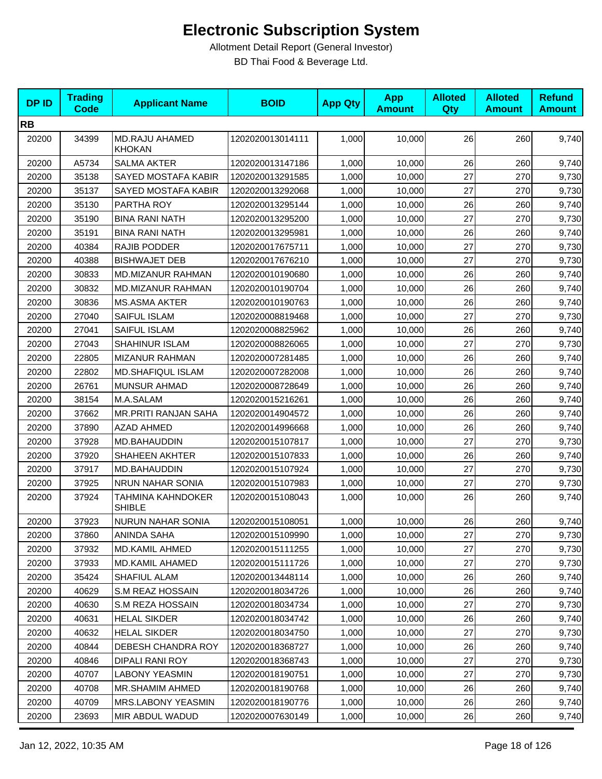| <b>DPID</b> | <b>Trading</b><br><b>Code</b> | <b>Applicant Name</b>              | <b>BOID</b>      | <b>App Qty</b> | <b>App</b><br><b>Amount</b> | <b>Alloted</b><br>Qty | <b>Alloted</b><br><b>Amount</b> | <b>Refund</b><br><b>Amount</b> |
|-------------|-------------------------------|------------------------------------|------------------|----------------|-----------------------------|-----------------------|---------------------------------|--------------------------------|
| <b>RB</b>   |                               |                                    |                  |                |                             |                       |                                 |                                |
| 20200       | 34399                         | MD.RAJU AHAMED<br><b>KHOKAN</b>    | 1202020013014111 | 1,000          | 10,000                      | 26                    | 260                             | 9,740                          |
| 20200       | A5734                         | <b>SALMA AKTER</b>                 | 1202020013147186 | 1,000          | 10,000                      | 26                    | 260                             | 9,740                          |
| 20200       | 35138                         | SAYED MOSTAFA KABIR                | 1202020013291585 | 1,000          | 10,000                      | 27                    | 270                             | 9,730                          |
| 20200       | 35137                         | SAYED MOSTAFA KABIR                | 1202020013292068 | 1,000          | 10,000                      | 27                    | 270                             | 9,730                          |
| 20200       | 35130                         | PARTHA ROY                         | 1202020013295144 | 1,000          | 10,000                      | 26                    | 260                             | 9,740                          |
| 20200       | 35190                         | <b>BINA RANI NATH</b>              | 1202020013295200 | 1,000          | 10,000                      | 27                    | 270                             | 9,730                          |
| 20200       | 35191                         | <b>BINA RANI NATH</b>              | 1202020013295981 | 1,000          | 10,000                      | 26                    | 260                             | 9,740                          |
| 20200       | 40384                         | RAJIB PODDER                       | 1202020017675711 | 1,000          | 10,000                      | 27                    | 270                             | 9,730                          |
| 20200       | 40388                         | <b>BISHWAJET DEB</b>               | 1202020017676210 | 1,000          | 10,000                      | 27                    | 270                             | 9,730                          |
| 20200       | 30833                         | MD.MIZANUR RAHMAN                  | 1202020010190680 | 1,000          | 10,000                      | 26                    | 260                             | 9,740                          |
| 20200       | 30832                         | MD.MIZANUR RAHMAN                  | 1202020010190704 | 1,000          | 10,000                      | 26                    | 260                             | 9,740                          |
| 20200       | 30836                         | MS.ASMA AKTER                      | 1202020010190763 | 1,000          | 10,000                      | 26                    | 260                             | 9,740                          |
| 20200       | 27040                         | <b>SAIFUL ISLAM</b>                | 1202020008819468 | 1,000          | 10,000                      | 27                    | 270                             | 9,730                          |
| 20200       | 27041                         | SAIFUL ISLAM                       | 1202020008825962 | 1,000          | 10,000                      | 26                    | 260                             | 9,740                          |
| 20200       | 27043                         | <b>SHAHINUR ISLAM</b>              | 1202020008826065 | 1,000          | 10,000                      | 27                    | 270                             | 9,730                          |
| 20200       | 22805                         | <b>MIZANUR RAHMAN</b>              | 1202020007281485 | 1,000          | 10,000                      | 26                    | 260                             | 9,740                          |
| 20200       | 22802                         | MD.SHAFIQUL ISLAM                  | 1202020007282008 | 1,000          | 10,000                      | 26                    | 260                             | 9,740                          |
| 20200       | 26761                         | <b>MUNSUR AHMAD</b>                | 1202020008728649 | 1,000          | 10,000                      | 26                    | 260                             | 9,740                          |
| 20200       | 38154                         | M.A.SALAM                          | 1202020015216261 | 1,000          | 10,000                      | 26                    | 260                             | 9,740                          |
| 20200       | 37662                         | MR.PRITI RANJAN SAHA               | 1202020014904572 | 1,000          | 10,000                      | 26                    | 260                             | 9,740                          |
| 20200       | 37890                         | <b>AZAD AHMED</b>                  | 1202020014996668 | 1,000          | 10,000                      | 26                    | 260                             | 9,740                          |
| 20200       | 37928                         | MD.BAHAUDDIN                       | 1202020015107817 | 1,000          | 10,000                      | 27                    | 270                             | 9,730                          |
| 20200       | 37920                         | <b>SHAHEEN AKHTER</b>              | 1202020015107833 | 1,000          | 10,000                      | 26                    | 260                             | 9,740                          |
| 20200       | 37917                         | MD.BAHAUDDIN                       | 1202020015107924 | 1,000          | 10,000                      | 27                    | 270                             | 9,730                          |
| 20200       | 37925                         | <b>NRUN NAHAR SONIA</b>            | 1202020015107983 | 1,000          | 10,000                      | 27                    | 270                             | 9,730                          |
| 20200       | 37924                         | TAHMINA KAHNDOKER<br><b>SHIBLE</b> | 1202020015108043 | 1,000          | 10,000                      | 26                    | 260                             | 9,740                          |
| 20200       | 37923                         | NURUN NAHAR SONIA                  | 1202020015108051 | 1,000          | 10,000                      | 26                    | 260                             | 9,740                          |
| 20200       | 37860                         | ANINDA SAHA                        | 1202020015109990 | 1,000          | 10,000                      | 27                    | 270                             | 9,730                          |
| 20200       | 37932                         | <b>MD.KAMIL AHMED</b>              | 1202020015111255 | 1,000          | 10,000                      | 27                    | 270                             | 9,730                          |
| 20200       | 37933                         | MD.KAMIL AHAMED                    | 1202020015111726 | 1,000          | 10,000                      | 27                    | 270                             | 9,730                          |
| 20200       | 35424                         | SHAFIUL ALAM                       | 1202020013448114 | 1,000          | 10,000                      | 26                    | 260                             | 9,740                          |
| 20200       | 40629                         | S.M REAZ HOSSAIN                   | 1202020018034726 | 1,000          | 10,000                      | 26                    | 260                             | 9,740                          |
| 20200       | 40630                         | S.M REZA HOSSAIN                   | 1202020018034734 | 1,000          | 10,000                      | 27                    | 270                             | 9,730                          |
| 20200       | 40631                         | <b>HELAL SIKDER</b>                | 1202020018034742 | 1,000          | 10,000                      | 26                    | 260                             | 9,740                          |
| 20200       | 40632                         | <b>HELAL SIKDER</b>                | 1202020018034750 | 1,000          | 10,000                      | 27                    | 270                             | 9,730                          |
| 20200       | 40844                         | DEBESH CHANDRA ROY                 | 1202020018368727 | 1,000          | 10,000                      | 26                    | 260                             | 9,740                          |
| 20200       | 40846                         | DIPALI RANI ROY                    | 1202020018368743 | 1,000          | 10,000                      | 27                    | 270                             | 9,730                          |
| 20200       | 40707                         | <b>LABONY YEASMIN</b>              | 1202020018190751 | 1,000          | 10,000                      | 27                    | 270                             | 9,730                          |
| 20200       | 40708                         | MR.SHAMIM AHMED                    | 1202020018190768 | 1,000          | 10,000                      | 26                    | 260                             | 9,740                          |
| 20200       | 40709                         | MRS.LABONY YEASMIN                 | 1202020018190776 | 1,000          | 10,000                      | 26                    | 260                             | 9,740                          |
| 20200       | 23693                         | MIR ABDUL WADUD                    | 1202020007630149 | 1,000          | 10,000                      | 26                    | 260                             | 9,740                          |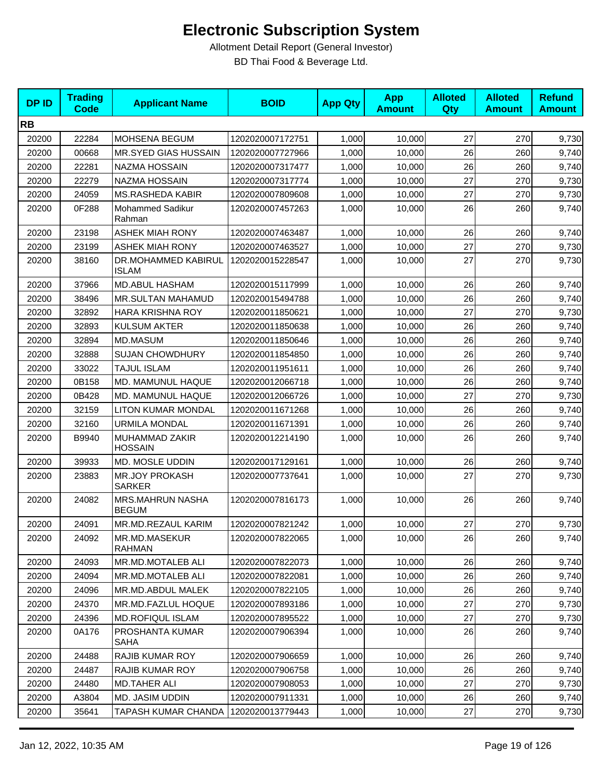| <b>DPID</b> | <b>Trading</b><br><b>Code</b> | <b>Applicant Name</b>                  | <b>BOID</b>      | <b>App Qty</b> | <b>App</b><br><b>Amount</b> | <b>Alloted</b><br>Qty | <b>Alloted</b><br><b>Amount</b> | <b>Refund</b><br><b>Amount</b> |
|-------------|-------------------------------|----------------------------------------|------------------|----------------|-----------------------------|-----------------------|---------------------------------|--------------------------------|
| <b>RB</b>   |                               |                                        |                  |                |                             |                       |                                 |                                |
| 20200       | 22284                         | MOHSENA BEGUM                          | 1202020007172751 | 1,000          | 10,000                      | 27                    | 270                             | 9,730                          |
| 20200       | 00668                         | MR.SYED GIAS HUSSAIN                   | 1202020007727966 | 1,000          | 10.000                      | 26                    | 260                             | 9,740                          |
| 20200       | 22281                         | NAZMA HOSSAIN                          | 1202020007317477 | 1,000          | 10,000                      | 26                    | 260                             | 9,740                          |
| 20200       | 22279                         | NAZMA HOSSAIN                          | 1202020007317774 | 1,000          | 10,000                      | 27                    | 270                             | 9,730                          |
| 20200       | 24059                         | <b>MS.RASHEDA KABIR</b>                | 1202020007809608 | 1,000          | 10,000                      | 27                    | 270                             | 9,730                          |
| 20200       | 0F288                         | <b>Mohammed Sadikur</b><br>Rahman      | 1202020007457263 | 1,000          | 10,000                      | 26                    | 260                             | 9,740                          |
| 20200       | 23198                         | <b>ASHEK MIAH RONY</b>                 | 1202020007463487 | 1,000          | 10,000                      | 26                    | 260                             | 9,740                          |
| 20200       | 23199                         | <b>ASHEK MIAH RONY</b>                 | 1202020007463527 | 1,000          | 10,000                      | 27                    | 270                             | 9,730                          |
| 20200       | 38160                         | DR.MOHAMMED KABIRUL<br><b>ISLAM</b>    | 1202020015228547 | 1,000          | 10,000                      | 27                    | 270                             | 9,730                          |
| 20200       | 37966                         | MD.ABUL HASHAM                         | 1202020015117999 | 1,000          | 10,000                      | 26                    | 260                             | 9,740                          |
| 20200       | 38496                         | MR.SULTAN MAHAMUD                      | 1202020015494788 | 1,000          | 10,000                      | 26                    | 260                             | 9,740                          |
| 20200       | 32892                         | HARA KRISHNA ROY                       | 1202020011850621 | 1,000          | 10,000                      | 27                    | 270                             | 9,730                          |
| 20200       | 32893                         | <b>KULSUM AKTER</b>                    | 1202020011850638 | 1,000          | 10,000                      | 26                    | 260                             | 9,740                          |
| 20200       | 32894                         | MD.MASUM                               | 1202020011850646 | 1,000          | 10,000                      | 26                    | 260                             | 9,740                          |
| 20200       | 32888                         | <b>SUJAN CHOWDHURY</b>                 | 1202020011854850 | 1,000          | 10,000                      | 26                    | 260                             | 9,740                          |
| 20200       | 33022                         | <b>TAJUL ISLAM</b>                     | 1202020011951611 | 1,000          | 10,000                      | 26                    | 260                             | 9,740                          |
| 20200       | 0B158                         | MD. MAMUNUL HAQUE                      | 1202020012066718 | 1,000          | 10,000                      | 26                    | 260                             | 9,740                          |
| 20200       | 0B428                         | MD. MAMUNUL HAQUE                      | 1202020012066726 | 1,000          | 10,000                      | 27                    | 270                             | 9,730                          |
| 20200       | 32159                         | <b>LITON KUMAR MONDAL</b>              | 1202020011671268 | 1,000          | 10,000                      | 26                    | 260                             | 9,740                          |
| 20200       | 32160                         | <b>URMILA MONDAL</b>                   | 1202020011671391 | 1,000          | 10,000                      | 26                    | 260                             | 9,740                          |
| 20200       | B9940                         | MUHAMMAD ZAKIR<br><b>HOSSAIN</b>       | 1202020012214190 | 1,000          | 10,000                      | 26                    | 260                             | 9,740                          |
| 20200       | 39933                         | MD. MOSLE UDDIN                        | 1202020017129161 | 1,000          | 10,000                      | 26                    | 260                             | 9,740                          |
| 20200       | 23883                         | <b>MR.JOY PROKASH</b><br><b>SARKER</b> | 1202020007737641 | 1,000          | 10,000                      | 27                    | 270                             | 9,730                          |
| 20200       | 24082                         | MRS.MAHRUN NASHA<br><b>BEGUM</b>       | 1202020007816173 | 1,000          | 10,000                      | 26                    | 260                             | 9,740                          |
| 20200       | 24091                         | MR.MD.REZAUL KARIM                     | 1202020007821242 | 1,000          | 10,000                      | 27                    | 270                             | 9,730                          |
| 20200       | 24092                         | MR.MD.MASEKUR<br><b>RAHMAN</b>         | 1202020007822065 | 1,000          | 10,000                      | 26                    | 260                             | 9,740                          |
| 20200       | 24093                         | MR.MD.MOTALEB ALI                      | 1202020007822073 | 1,000          | 10,000                      | 26                    | 260                             | 9,740                          |
| 20200       | 24094                         | MR.MD.MOTALEB ALI                      | 1202020007822081 | 1,000          | 10,000                      | 26                    | 260                             | 9,740                          |
| 20200       | 24096                         | MR.MD.ABDUL MALEK                      | 1202020007822105 | 1,000          | 10,000                      | 26                    | 260                             | 9,740                          |
| 20200       | 24370                         | MR.MD.FAZLUL HOQUE                     | 1202020007893186 | 1,000          | 10,000                      | 27                    | 270                             | 9,730                          |
| 20200       | 24396                         | <b>MD.ROFIQUL ISLAM</b>                | 1202020007895522 | 1,000          | 10,000                      | 27                    | 270                             | 9,730                          |
| 20200       | 0A176                         | PROSHANTA KUMAR<br><b>SAHA</b>         | 1202020007906394 | 1,000          | 10,000                      | 26                    | 260                             | 9,740                          |
| 20200       | 24488                         | <b>RAJIB KUMAR ROY</b>                 | 1202020007906659 | 1,000          | 10,000                      | 26                    | 260                             | 9,740                          |
| 20200       | 24487                         | <b>RAJIB KUMAR ROY</b>                 | 1202020007906758 | 1,000          | 10,000                      | 26                    | 260                             | 9,740                          |
| 20200       | 24480                         | <b>MD.TAHER ALI</b>                    | 1202020007908053 | 1,000          | 10,000                      | 27                    | 270                             | 9,730                          |
| 20200       | A3804                         | MD. JASIM UDDIN                        | 1202020007911331 | 1,000          | 10,000                      | 26                    | 260                             | 9,740                          |
| 20200       | 35641                         | TAPASH KUMAR CHANDA                    | 1202020013779443 | 1,000          | 10,000                      | 27                    | 270                             | 9,730                          |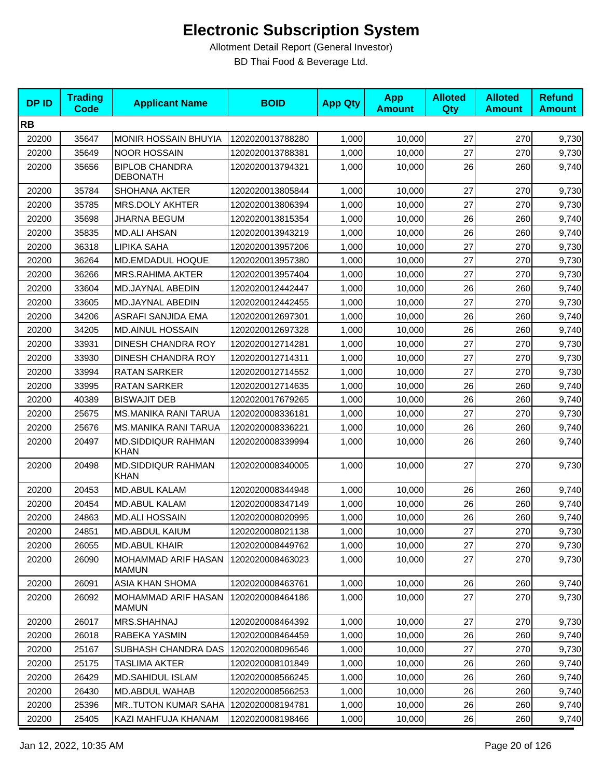| <b>DPID</b> | <b>Trading</b><br><b>Code</b> | <b>Applicant Name</b>                      | <b>BOID</b>      | <b>App Qty</b> | <b>App</b><br><b>Amount</b> | <b>Alloted</b><br>Qty | <b>Alloted</b><br><b>Amount</b> | <b>Refund</b><br><b>Amount</b> |
|-------------|-------------------------------|--------------------------------------------|------------------|----------------|-----------------------------|-----------------------|---------------------------------|--------------------------------|
| <b>RB</b>   |                               |                                            |                  |                |                             |                       |                                 |                                |
| 20200       | 35647                         | <b>MONIR HOSSAIN BHUYIA</b>                | 1202020013788280 | 1,000          | 10,000                      | 27                    | 270                             | 9,730                          |
| 20200       | 35649                         | <b>NOOR HOSSAIN</b>                        | 1202020013788381 | 1,000          | 10,000                      | 27                    | 270                             | 9,730                          |
| 20200       | 35656                         | <b>BIPLOB CHANDRA</b><br><b>DEBONATH</b>   | 1202020013794321 | 1,000          | 10,000                      | 26                    | 260                             | 9,740                          |
| 20200       | 35784                         | <b>SHOHANA AKTER</b>                       | 1202020013805844 | 1,000          | 10,000                      | 27                    | 270                             | 9,730                          |
| 20200       | 35785                         | MRS.DOLY AKHTER                            | 1202020013806394 | 1,000          | 10,000                      | 27                    | 270                             | 9,730                          |
| 20200       | 35698                         | JHARNA BEGUM                               | 1202020013815354 | 1,000          | 10.000                      | 26                    | 260                             | 9,740                          |
| 20200       | 35835                         | <b>MD.ALI AHSAN</b>                        | 1202020013943219 | 1,000          | 10,000                      | 26                    | 260                             | 9,740                          |
| 20200       | 36318                         | LIPIKA SAHA                                | 1202020013957206 | 1,000          | 10,000                      | 27                    | 270                             | 9,730                          |
| 20200       | 36264                         | MD.EMDADUL HOQUE                           | 1202020013957380 | 1,000          | 10,000                      | 27                    | 270                             | 9,730                          |
| 20200       | 36266                         | <b>MRS.RAHIMA AKTER</b>                    | 1202020013957404 | 1,000          | 10,000                      | 27                    | 270                             | 9,730                          |
| 20200       | 33604                         | MD.JAYNAL ABEDIN                           | 1202020012442447 | 1,000          | 10,000                      | 26                    | 260                             | 9,740                          |
| 20200       | 33605                         | MD.JAYNAL ABEDIN                           | 1202020012442455 | 1,000          | 10,000                      | 27                    | 270                             | 9,730                          |
| 20200       | 34206                         | ASRAFI SANJIDA EMA                         | 1202020012697301 | 1,000          | 10,000                      | 26                    | 260                             | 9,740                          |
| 20200       | 34205                         | <b>MD.AINUL HOSSAIN</b>                    | 1202020012697328 | 1,000          | 10,000                      | 26                    | 260                             | 9,740                          |
| 20200       | 33931                         | <b>DINESH CHANDRA ROY</b>                  | 1202020012714281 | 1,000          | 10,000                      | 27                    | 270                             | 9,730                          |
| 20200       | 33930                         | DINESH CHANDRA ROY                         | 1202020012714311 | 1,000          | 10,000                      | 27                    | 270                             | 9,730                          |
| 20200       | 33994                         | <b>RATAN SARKER</b>                        | 1202020012714552 | 1,000          | 10,000                      | 27                    | 270                             | 9,730                          |
| 20200       | 33995                         | <b>RATAN SARKER</b>                        | 1202020012714635 | 1,000          | 10,000                      | 26                    | 260                             | 9,740                          |
| 20200       | 40389                         | <b>BISWAJIT DEB</b>                        | 1202020017679265 | 1,000          | 10,000                      | 26                    | 260                             | 9,740                          |
| 20200       | 25675                         | <b>MS.MANIKA RANI TARUA</b>                | 1202020008336181 | 1,000          | 10,000                      | 27                    | 270                             | 9,730                          |
| 20200       | 25676                         | <b>MS.MANIKA RANI TARUA</b>                | 1202020008336221 | 1,000          | 10,000                      | 26                    | 260                             | 9,740                          |
| 20200       | 20497                         | <b>MD.SIDDIQUR RAHMAN</b><br><b>KHAN</b>   | 1202020008339994 | 1,000          | 10,000                      | 26                    | 260                             | 9,740                          |
| 20200       | 20498                         | <b>MD.SIDDIQUR RAHMAN</b><br><b>KHAN</b>   | 1202020008340005 | 1,000          | 10,000                      | 27                    | 270                             | 9,730                          |
| 20200       | 20453                         | MD.ABUL KALAM                              | 1202020008344948 | 1,000          | 10,000                      | 26                    | 260                             | 9,740                          |
| 20200       | 20454                         | <b>MD.ABUL KALAM</b>                       | 1202020008347149 | 1,000          | 10.000                      | 26                    | 260                             | 9,740                          |
| 20200       | 24863                         | <b>MD.ALI HOSSAIN</b>                      | 1202020008020995 | 1,000          | 10,000                      | 26                    | 260                             | 9,740                          |
| 20200       | 24851                         | MD.ABDUL KAIUM                             | 1202020008021138 | 1,000          | 10,000                      | 27                    | 270                             | 9,730                          |
| 20200       | 26055                         | <b>MD.ABUL KHAIR</b>                       | 1202020008449762 | 1,000          | 10,000                      | 27                    | 270                             | 9,730                          |
| 20200       | 26090                         | MOHAMMAD ARIF HASAN<br><b>MAMUN</b>        | 1202020008463023 | 1,000          | 10,000                      | 27                    | 270                             | 9,730                          |
| 20200       | 26091                         | ASIA KHAN SHOMA                            | 1202020008463761 | 1,000          | 10,000                      | 26                    | 260                             | 9,740                          |
| 20200       | 26092                         | <b>MOHAMMAD ARIF HASAN</b><br><b>MAMUN</b> | 1202020008464186 | 1,000          | 10,000                      | 27                    | 270                             | 9,730                          |
| 20200       | 26017                         | MRS.SHAHNAJ                                | 1202020008464392 | 1,000          | 10,000                      | 27                    | 270                             | 9,730                          |
| 20200       | 26018                         | RABEKA YASMIN                              | 1202020008464459 | 1,000          | 10,000                      | 26                    | 260                             | 9,740                          |
| 20200       | 25167                         | SUBHASH CHANDRA DAS                        | 1202020008096546 | 1,000          | 10,000                      | 27                    | 270                             | 9,730                          |
| 20200       | 25175                         | TASLIMA AKTER                              | 1202020008101849 | 1,000          | 10,000                      | 26                    | 260                             | 9,740                          |
| 20200       | 26429                         | MD.SAHIDUL ISLAM                           | 1202020008566245 | 1,000          | 10,000                      | 26                    | 260                             | 9,740                          |
| 20200       | 26430                         | MD.ABDUL WAHAB                             | 1202020008566253 | 1,000          | 10,000                      | 26                    | 260                             | 9,740                          |
| 20200       | 25396                         | <b>MRTUTON KUMAR SAHA</b>                  | 1202020008194781 | 1,000          | 10,000                      | 26                    | 260                             | 9,740                          |
| 20200       | 25405                         | KAZI MAHFUJA KHANAM                        | 1202020008198466 | 1,000          | 10,000                      | 26                    | 260                             | 9,740                          |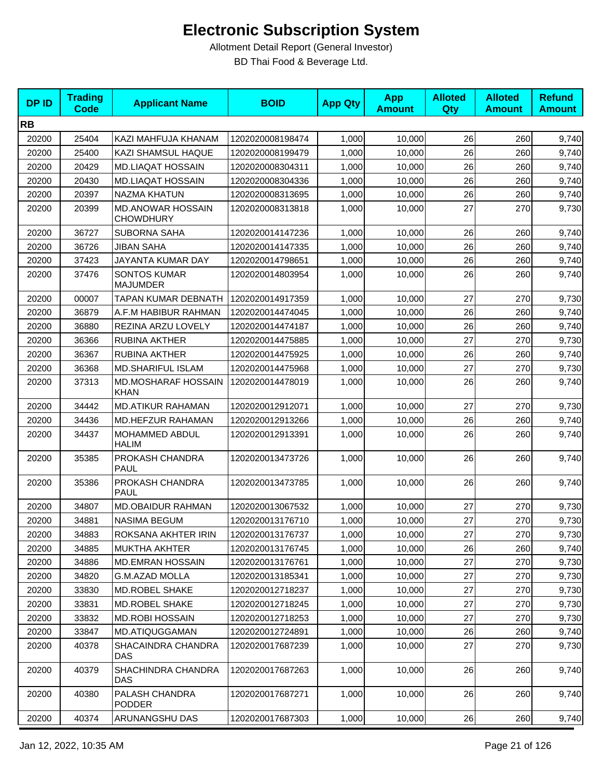| <b>DPID</b> | <b>Trading</b><br><b>Code</b> | <b>Applicant Name</b>                        | <b>BOID</b>      | <b>App Qty</b> | <b>App</b><br><b>Amount</b> | <b>Alloted</b><br><b>Qty</b> | <b>Alloted</b><br><b>Amount</b> | <b>Refund</b><br><b>Amount</b> |
|-------------|-------------------------------|----------------------------------------------|------------------|----------------|-----------------------------|------------------------------|---------------------------------|--------------------------------|
| <b>RB</b>   |                               |                                              |                  |                |                             |                              |                                 |                                |
| 20200       | 25404                         | KAZI MAHFUJA KHANAM                          | 1202020008198474 | 1,000          | 10,000                      | 26                           | 260                             | 9,740                          |
| 20200       | 25400                         | KAZI SHAMSUL HAQUE                           | 1202020008199479 | 1,000          | 10,000                      | 26                           | 260                             | 9,740                          |
| 20200       | 20429                         | <b>MD.LIAQAT HOSSAIN</b>                     | 1202020008304311 | 1,000          | 10,000                      | 26                           | 260                             | 9,740                          |
| 20200       | 20430                         | MD.LIAQAT HOSSAIN                            | 1202020008304336 | 1,000          | 10,000                      | 26                           | 260                             | 9,740                          |
| 20200       | 20397                         | <b>NAZMA KHATUN</b>                          | 1202020008313695 | 1,000          | 10,000                      | 26                           | 260                             | 9,740                          |
| 20200       | 20399                         | <b>MD.ANOWAR HOSSAIN</b><br><b>CHOWDHURY</b> | 1202020008313818 | 1,000          | 10,000                      | 27                           | 270                             | 9,730                          |
| 20200       | 36727                         | <b>SUBORNA SAHA</b>                          | 1202020014147236 | 1,000          | 10,000                      | 26                           | 260                             | 9,740                          |
| 20200       | 36726                         | JIBAN SAHA                                   | 1202020014147335 | 1,000          | 10,000                      | 26                           | 260                             | 9,740                          |
| 20200       | 37423                         | JAYANTA KUMAR DAY                            | 1202020014798651 | 1,000          | 10,000                      | 26                           | 260                             | 9,740                          |
| 20200       | 37476                         | <b>SONTOS KUMAR</b><br><b>MAJUMDER</b>       | 1202020014803954 | 1,000          | 10,000                      | 26                           | 260                             | 9,740                          |
| 20200       | 00007                         | <b>TAPAN KUMAR DEBNATH</b>                   | 1202020014917359 | 1,000          | 10,000                      | 27                           | 270                             | 9,730                          |
| 20200       | 36879                         | A.F.M HABIBUR RAHMAN                         | 1202020014474045 | 1,000          | 10,000                      | 26                           | 260                             | 9,740                          |
| 20200       | 36880                         | REZINA ARZU LOVELY                           | 1202020014474187 | 1,000          | 10.000                      | 26                           | 260                             | 9,740                          |
| 20200       | 36366                         | <b>RUBINA AKTHER</b>                         | 1202020014475885 | 1,000          | 10,000                      | 27                           | 270                             | 9,730                          |
| 20200       | 36367                         | <b>RUBINA AKTHER</b>                         | 1202020014475925 | 1,000          | 10,000                      | 26                           | 260                             | 9,740                          |
| 20200       | 36368                         | <b>MD.SHARIFUL ISLAM</b>                     | 1202020014475968 | 1,000          | 10,000                      | 27                           | 270                             | 9,730                          |
| 20200       | 37313                         | <b>MD.MOSHARAF HOSSAIN</b><br><b>KHAN</b>    | 1202020014478019 | 1,000          | 10,000                      | 26                           | 260                             | 9,740                          |
| 20200       | 34442                         | <b>MD.ATIKUR RAHAMAN</b>                     | 1202020012912071 | 1,000          | 10,000                      | 27                           | 270                             | 9,730                          |
| 20200       | 34436                         | MD.HEFZUR RAHAMAN                            | 1202020012913266 | 1,000          | 10,000                      | 26                           | 260                             | 9,740                          |
| 20200       | 34437                         | MOHAMMED ABDUL<br><b>HALIM</b>               | 1202020012913391 | 1,000          | 10,000                      | 26                           | 260                             | 9,740                          |
| 20200       | 35385                         | PROKASH CHANDRA<br><b>PAUL</b>               | 1202020013473726 | 1,000          | 10,000                      | 26                           | 260                             | 9,740                          |
| 20200       | 35386                         | PROKASH CHANDRA<br>PAUL                      | 1202020013473785 | 1,000          | 10,000                      | 26                           | 260                             | 9,740                          |
| 20200       | 34807                         | <b>MD.OBAIDUR RAHMAN</b>                     | 1202020013067532 | 1,000          | 10,000                      | 27                           | 270                             | 9,730                          |
| 20200       | 34881                         | <b>NASIMA BEGUM</b>                          | 1202020013176710 | 1,000          | 10,000                      | 27                           | 270                             | 9,730                          |
| 20200       | 34883                         | ROKSANA AKHTER IRIN                          | 1202020013176737 | 1,000          | 10,000                      | 27                           | 270                             | 9,730                          |
| 20200       | 34885                         | <b>MUKTHA AKHTER</b>                         | 1202020013176745 | 1,000          | 10,000                      | 26                           | 260                             | 9,740                          |
| 20200       | 34886                         | <b>MD.EMRAN HOSSAIN</b>                      | 1202020013176761 | 1,000          | 10,000                      | 27                           | 270                             | 9,730                          |
| 20200       | 34820                         | <b>G.M.AZAD MOLLA</b>                        | 1202020013185341 | 1,000          | 10,000                      | 27                           | 270                             | 9,730                          |
| 20200       | 33830                         | MD.ROBEL SHAKE                               | 1202020012718237 | 1,000          | 10,000                      | 27                           | 270                             | 9,730                          |
| 20200       | 33831                         | MD.ROBEL SHAKE                               | 1202020012718245 | 1,000          | 10.000                      | 27                           | 270                             | 9,730                          |
| 20200       | 33832                         | <b>MD.ROBI HOSSAIN</b>                       | 1202020012718253 | 1,000          | 10,000                      | 27                           | 270                             | 9,730                          |
| 20200       | 33847                         | MD.ATIQUGGAMAN                               | 1202020012724891 | 1,000          | 10,000                      | 26                           | 260                             | 9,740                          |
| 20200       | 40378                         | SHACAINDRA CHANDRA<br><b>DAS</b>             | 1202020017687239 | 1,000          | 10,000                      | 27                           | 270                             | 9,730                          |
| 20200       | 40379                         | SHACHINDRA CHANDRA<br><b>DAS</b>             | 1202020017687263 | 1,000          | 10,000                      | 26                           | 260                             | 9,740                          |
| 20200       | 40380                         | PALASH CHANDRA<br><b>PODDER</b>              | 1202020017687271 | 1,000          | 10,000                      | 26                           | 260                             | 9,740                          |
| 20200       | 40374                         | ARUNANGSHU DAS                               | 1202020017687303 | 1,000          | 10,000                      | 26                           | 260                             | 9,740                          |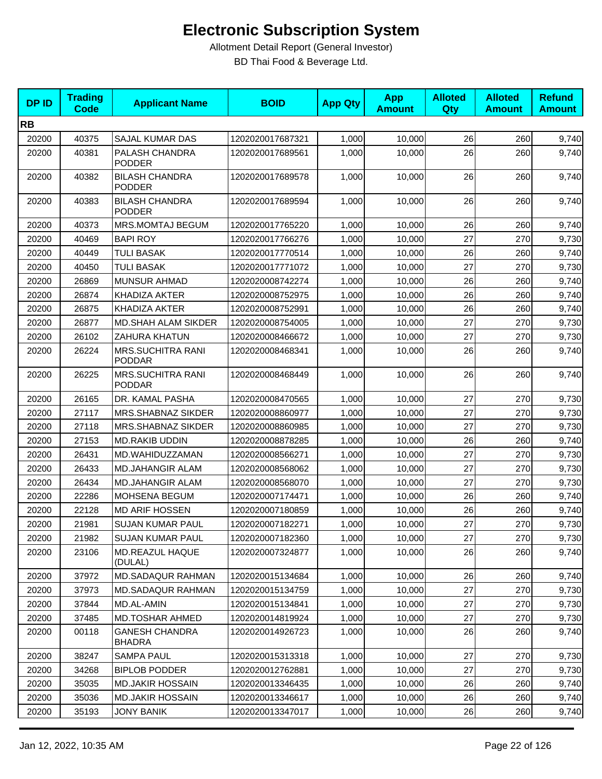| <b>DPID</b> | <b>Trading</b><br><b>Code</b> | <b>Applicant Name</b>                     | <b>BOID</b>      | <b>App Qty</b> | <b>App</b><br><b>Amount</b> | <b>Alloted</b><br><b>Qty</b> | <b>Alloted</b><br><b>Amount</b> | <b>Refund</b><br><b>Amount</b> |
|-------------|-------------------------------|-------------------------------------------|------------------|----------------|-----------------------------|------------------------------|---------------------------------|--------------------------------|
| <b>RB</b>   |                               |                                           |                  |                |                             |                              |                                 |                                |
| 20200       | 40375                         | SAJAL KUMAR DAS                           | 1202020017687321 | 1,000          | 10,000                      | 26                           | 260                             | 9,740                          |
| 20200       | 40381                         | PALASH CHANDRA<br><b>PODDER</b>           | 1202020017689561 | 1,000          | 10,000                      | 26                           | 260                             | 9,740                          |
| 20200       | 40382                         | <b>BILASH CHANDRA</b><br><b>PODDER</b>    | 1202020017689578 | 1,000          | 10,000                      | 26                           | 260                             | 9,740                          |
| 20200       | 40383                         | <b>BILASH CHANDRA</b><br><b>PODDER</b>    | 1202020017689594 | 1,000          | 10,000                      | 26                           | 260                             | 9,740                          |
| 20200       | 40373                         | MRS.MOMTAJ BEGUM                          | 1202020017765220 | 1,000          | 10,000                      | 26                           | 260                             | 9,740                          |
| 20200       | 40469                         | <b>BAPI ROY</b>                           | 1202020017766276 | 1,000          | 10,000                      | 27                           | 270                             | 9,730                          |
| 20200       | 40449                         | <b>TULI BASAK</b>                         | 1202020017770514 | 1,000          | 10,000                      | 26                           | 260                             | 9,740                          |
| 20200       | 40450                         | <b>TULI BASAK</b>                         | 1202020017771072 | 1,000          | 10,000                      | 27                           | 270                             | 9,730                          |
| 20200       | 26869                         | <b>MUNSUR AHMAD</b>                       | 1202020008742274 | 1,000          | 10,000                      | 26                           | 260                             | 9,740                          |
| 20200       | 26874                         | KHADIZA AKTER                             | 1202020008752975 | 1,000          | 10,000                      | 26                           | 260                             | 9,740                          |
| 20200       | 26875                         | KHADIZA AKTER                             | 1202020008752991 | 1,000          | 10,000                      | 26                           | 260                             | 9,740                          |
| 20200       | 26877                         | <b>MD.SHAH ALAM SIKDER</b>                | 1202020008754005 | 1,000          | 10,000                      | 27                           | 270                             | 9,730                          |
| 20200       | 26102                         | ZAHURA KHATUN                             | 1202020008466672 | 1,000          | 10,000                      | 27                           | 270                             | 9,730                          |
| 20200       | 26224                         | <b>MRS.SUCHITRA RANI</b><br><b>PODDAR</b> | 1202020008468341 | 1,000          | 10,000                      | 26                           | 260                             | 9,740                          |
| 20200       | 26225                         | <b>MRS.SUCHITRA RANI</b><br><b>PODDAR</b> | 1202020008468449 | 1,000          | 10,000                      | 26                           | 260                             | 9,740                          |
| 20200       | 26165                         | DR. KAMAL PASHA                           | 1202020008470565 | 1,000          | 10,000                      | 27                           | 270                             | 9,730                          |
| 20200       | 27117                         | MRS.SHABNAZ SIKDER                        | 1202020008860977 | 1,000          | 10,000                      | 27                           | 270                             | 9,730                          |
| 20200       | 27118                         | <b>MRS.SHABNAZ SIKDER</b>                 | 1202020008860985 | 1,000          | 10,000                      | 27                           | 270                             | 9,730                          |
| 20200       | 27153                         | <b>MD.RAKIB UDDIN</b>                     | 1202020008878285 | 1,000          | 10,000                      | 26                           | 260                             | 9,740                          |
| 20200       | 26431                         | MD.WAHIDUZZAMAN                           | 1202020008566271 | 1,000          | 10,000                      | 27                           | 270                             | 9,730                          |
| 20200       | 26433                         | <b>MD.JAHANGIR ALAM</b>                   | 1202020008568062 | 1,000          | 10,000                      | 27                           | 270                             | 9,730                          |
| 20200       | 26434                         | <b>MD.JAHANGIR ALAM</b>                   | 1202020008568070 | 1,000          | 10,000                      | 27                           | 270                             | 9,730                          |
| 20200       | 22286                         | MOHSENA BEGUM                             | 1202020007174471 | 1,000          | 10,000                      | 26                           | 260                             | 9,740                          |
| 20200       | 22128                         | <b>MD ARIF HOSSEN</b>                     | 1202020007180859 | 1,000          | 10,000                      | 26                           | 260                             | 9,740                          |
| 20200       | 21981                         | <b>SUJAN KUMAR PAUL</b>                   | 1202020007182271 | 1,000          | 10,000                      | 27                           | 270                             | 9,730                          |
| 20200       | 21982                         | SUJAN KUMAR PAUL                          | 1202020007182360 | 1,000          | 10,000                      | 27                           | 270                             | 9,730                          |
| 20200       | 23106                         | MD.REAZUL HAQUE<br>(DULAL)                | 1202020007324877 | 1,000          | 10,000                      | 26                           | 260                             | 9,740                          |
| 20200       | 37972                         | <b>MD.SADAQUR RAHMAN</b>                  | 1202020015134684 | 1,000          | 10,000                      | 26                           | 260                             | 9,740                          |
| 20200       | 37973                         | <b>MD.SADAQUR RAHMAN</b>                  | 1202020015134759 | 1,000          | 10,000                      | 27                           | 270                             | 9,730                          |
| 20200       | 37844                         | MD.AL-AMIN                                | 1202020015134841 | 1,000          | 10,000                      | 27                           | 270                             | 9,730                          |
| 20200       | 37485                         | <b>MD.TOSHAR AHMED</b>                    | 1202020014819924 | 1,000          | 10,000                      | 27                           | 270                             | 9,730                          |
| 20200       | 00118                         | <b>GANESH CHANDRA</b><br><b>BHADRA</b>    | 1202020014926723 | 1,000          | 10,000                      | 26                           | 260                             | 9,740                          |
| 20200       | 38247                         | <b>SAMPA PAUL</b>                         | 1202020015313318 | 1,000          | 10,000                      | 27                           | 270                             | 9,730                          |
| 20200       | 34268                         | <b>BIPLOB PODDER</b>                      | 1202020012762881 | 1,000          | 10,000                      | 27                           | 270                             | 9,730                          |
| 20200       | 35035                         | <b>MD.JAKIR HOSSAIN</b>                   | 1202020013346435 | 1,000          | 10,000                      | 26                           | 260                             | 9,740                          |
| 20200       | 35036                         | <b>MD.JAKIR HOSSAIN</b>                   | 1202020013346617 | 1,000          | 10,000                      | 26                           | 260                             | 9,740                          |
| 20200       | 35193                         | <b>JONY BANIK</b>                         | 1202020013347017 | 1,000          | 10,000                      | 26                           | 260                             | 9,740                          |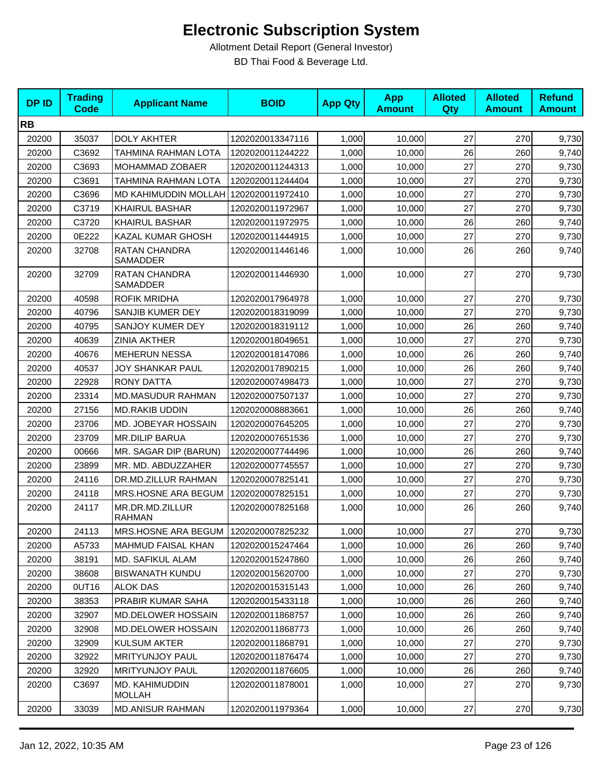| <b>DPID</b> | <b>Trading</b><br><b>Code</b> | <b>Applicant Name</b>                  | <b>BOID</b>      | <b>App Qty</b> | <b>App</b><br><b>Amount</b> | <b>Alloted</b><br><b>Qty</b> | <b>Alloted</b><br><b>Amount</b> | <b>Refund</b><br><b>Amount</b> |
|-------------|-------------------------------|----------------------------------------|------------------|----------------|-----------------------------|------------------------------|---------------------------------|--------------------------------|
| <b>RB</b>   |                               |                                        |                  |                |                             |                              |                                 |                                |
| 20200       | 35037                         | <b>DOLY AKHTER</b>                     | 1202020013347116 | 1,000          | 10,000                      | 27                           | 270                             | 9,730                          |
| 20200       | C3692                         | TAHMINA RAHMAN LOTA                    | 1202020011244222 | 1,000          | 10,000                      | 26                           | 260                             | 9,740                          |
| 20200       | C3693                         | MOHAMMAD ZOBAER                        | 1202020011244313 | 1,000          | 10,000                      | 27                           | 270                             | 9,730                          |
| 20200       | C3691                         | <b>TAHMINA RAHMAN LOTA</b>             | 1202020011244404 | 1,000          | 10,000                      | 27                           | 270                             | 9,730                          |
| 20200       | C3696                         | MD KAHIMUDDIN MOLLAH                   | 1202020011972410 | 1,000          | 10,000                      | 27                           | 270                             | 9,730                          |
| 20200       | C3719                         | <b>KHAIRUL BASHAR</b>                  | 1202020011972967 | 1,000          | 10.000                      | 27                           | 270                             | 9,730                          |
| 20200       | C3720                         | <b>KHAIRUL BASHAR</b>                  | 1202020011972975 | 1,000          | 10,000                      | 26                           | 260                             | 9,740                          |
| 20200       | 0E222                         | KAZAL KUMAR GHOSH                      | 1202020011444915 | 1,000          | 10,000                      | 27                           | 270                             | 9,730                          |
| 20200       | 32708                         | RATAN CHANDRA<br><b>SAMADDER</b>       | 1202020011446146 | 1,000          | 10,000                      | 26                           | 260                             | 9,740                          |
| 20200       | 32709                         | RATAN CHANDRA<br><b>SAMADDER</b>       | 1202020011446930 | 1,000          | 10,000                      | 27                           | 270                             | 9,730                          |
| 20200       | 40598                         | <b>ROFIK MRIDHA</b>                    | 1202020017964978 | 1,000          | 10,000                      | 27                           | 270                             | 9,730                          |
| 20200       | 40796                         | SANJIB KUMER DEY                       | 1202020018319099 | 1,000          | 10,000                      | 27                           | 270                             | 9,730                          |
| 20200       | 40795                         | SANJOY KUMER DEY                       | 1202020018319112 | 1,000          | 10,000                      | 26                           | 260                             | 9,740                          |
| 20200       | 40639                         | <b>ZINIA AKTHER</b>                    | 1202020018049651 | 1,000          | 10,000                      | 27                           | 270                             | 9,730                          |
| 20200       | 40676                         | <b>MEHERUN NESSA</b>                   | 1202020018147086 | 1,000          | 10,000                      | 26                           | 260                             | 9,740                          |
| 20200       | 40537                         | <b>JOY SHANKAR PAUL</b>                | 1202020017890215 | 1,000          | 10,000                      | 26                           | 260                             | 9,740                          |
| 20200       | 22928                         | <b>RONY DATTA</b>                      | 1202020007498473 | 1,000          | 10,000                      | 27                           | 270                             | 9,730                          |
| 20200       | 23314                         | <b>MD.MASUDUR RAHMAN</b>               | 1202020007507137 | 1,000          | 10,000                      | 27                           | 270                             | 9,730                          |
| 20200       | 27156                         | <b>MD.RAKIB UDDIN</b>                  | 1202020008883661 | 1,000          | 10,000                      | 26                           | 260                             | 9,740                          |
| 20200       | 23706                         | MD. JOBEYAR HOSSAIN                    | 1202020007645205 | 1,000          | 10,000                      | 27                           | 270                             | 9,730                          |
| 20200       | 23709                         | <b>MR.DILIP BARUA</b>                  | 1202020007651536 | 1,000          | 10,000                      | 27                           | 270                             | 9,730                          |
| 20200       | 00666                         | MR. SAGAR DIP (BARUN)                  | 1202020007744496 | 1,000          | 10,000                      | 26                           | 260                             | 9,740                          |
| 20200       | 23899                         | MR. MD. ABDUZZAHER                     | 1202020007745557 | 1,000          | 10,000                      | 27                           | 270                             | 9,730                          |
| 20200       | 24116                         | DR.MD.ZILLUR RAHMAN                    | 1202020007825141 | 1,000          | 10,000                      | 27                           | 270                             | 9,730                          |
| 20200       | 24118                         | MRS.HOSNE ARA BEGUM                    | 1202020007825151 | 1,000          | 10,000                      | 27                           | 270                             | 9,730                          |
| 20200       | 24117                         | MR.DR.MD.ZILLUR<br><b>RAHMAN</b>       | 1202020007825168 | 1,000          | 10,000                      | 26                           | 260                             | 9,740                          |
| 20200       | 24113                         | MRS.HOSNE ARA BEGUM   1202020007825232 |                  | 1,000          | 10,000                      | 27                           | 270                             | 9,730                          |
| 20200       | A5733                         | <b>MAHMUD FAISAL KHAN</b>              | 1202020015247464 | 1,000          | 10.000                      | 26                           | 260                             | 9,740                          |
| 20200       | 38191                         | MD. SAFIKUL ALAM                       | 1202020015247860 | 1,000          | 10,000                      | 26                           | 260                             | 9,740                          |
| 20200       | 38608                         | <b>BISWANATH KUNDU</b>                 | 1202020015620700 | 1,000          | 10,000                      | 27                           | 270                             | 9,730                          |
| 20200       | 0UT16                         | <b>ALOK DAS</b>                        | 1202020015315143 | 1,000          | 10,000                      | 26                           | 260                             | 9,740                          |
| 20200       | 38353                         | PRABIR KUMAR SAHA                      | 1202020015433118 | 1,000          | 10,000                      | 26                           | 260                             | 9,740                          |
| 20200       | 32907                         | <b>MD.DELOWER HOSSAIN</b>              | 1202020011868757 | 1,000          | 10,000                      | 26                           | 260                             | 9,740                          |
| 20200       | 32908                         | MD.DELOWER HOSSAIN                     | 1202020011868773 | 1,000          | 10,000                      | 26                           | 260                             | 9,740                          |
| 20200       | 32909                         | <b>KULSUM AKTER</b>                    | 1202020011868791 | 1,000          | 10,000                      | 27                           | 270                             | 9,730                          |
| 20200       | 32922                         | <b>MRITYUNJOY PAUL</b>                 | 1202020011876474 | 1,000          | 10,000                      | 27                           | 270                             | 9,730                          |
| 20200       | 32920                         | <b>MRITYUNJOY PAUL</b>                 | 1202020011876605 | 1,000          | 10,000                      | 26                           | 260                             | 9,740                          |
| 20200       | C3697                         | MD. KAHIMUDDIN<br><b>MOLLAH</b>        | 1202020011878001 | 1,000          | 10,000                      | 27                           | 270                             | 9,730                          |
| 20200       | 33039                         | <b>MD.ANISUR RAHMAN</b>                | 1202020011979364 | 1,000          | 10,000                      | $27\,$                       | 270                             | 9,730                          |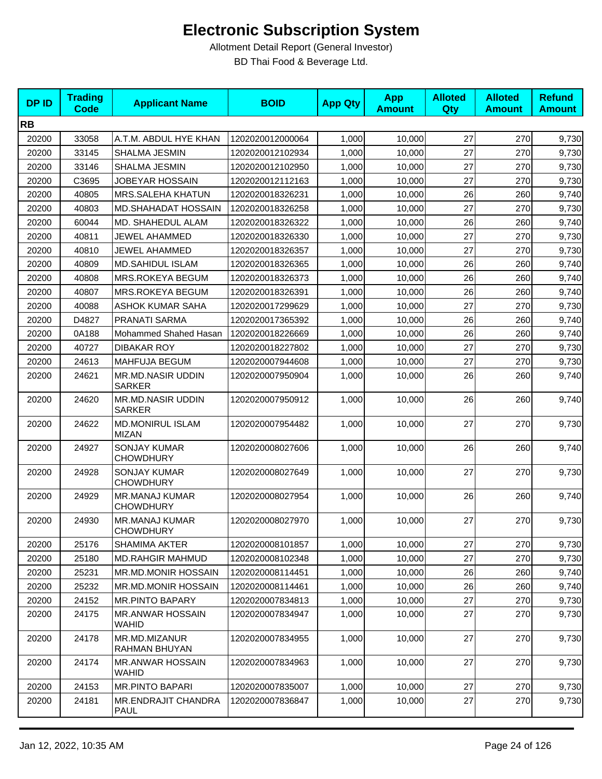| <b>DP ID</b> | <b>Trading</b><br><b>Code</b> | <b>Applicant Name</b>                     | <b>BOID</b>      | <b>App Qty</b> | <b>App</b><br><b>Amount</b> | <b>Alloted</b><br>Qty | <b>Alloted</b><br><b>Amount</b> | <b>Refund</b><br><b>Amount</b> |
|--------------|-------------------------------|-------------------------------------------|------------------|----------------|-----------------------------|-----------------------|---------------------------------|--------------------------------|
| <b>RB</b>    |                               |                                           |                  |                |                             |                       |                                 |                                |
| 20200        | 33058                         | A.T.M. ABDUL HYE KHAN                     | 1202020012000064 | 1,000          | 10,000                      | 27                    | 270                             | 9,730                          |
| 20200        | 33145                         | SHALMA JESMIN                             | 1202020012102934 | 1,000          | 10,000                      | 27                    | 270                             | 9,730                          |
| 20200        | 33146                         | SHALMA JESMIN                             | 1202020012102950 | 1,000          | 10,000                      | 27                    | 270                             | 9,730                          |
| 20200        | C3695                         | <b>JOBEYAR HOSSAIN</b>                    | 1202020012112163 | 1,000          | 10,000                      | 27                    | 270                             | 9,730                          |
| 20200        | 40805                         | MRS.SALEHA KHATUN                         | 1202020018326231 | 1,000          | 10,000                      | 26                    | 260                             | 9,740                          |
| 20200        | 40803                         | <b>MD.SHAHADAT HOSSAIN</b>                | 1202020018326258 | 1,000          | 10.000                      | 27                    | 270                             | 9,730                          |
| 20200        | 60044                         | MD. SHAHEDUL ALAM                         | 1202020018326322 | 1,000          | 10,000                      | 26                    | 260                             | 9,740                          |
| 20200        | 40811                         | <b>JEWEL AHAMMED</b>                      | 1202020018326330 | 1,000          | 10,000                      | 27                    | 270                             | 9,730                          |
| 20200        | 40810                         | <b>JEWEL AHAMMED</b>                      | 1202020018326357 | 1,000          | 10,000                      | 27                    | 270                             | 9,730                          |
| 20200        | 40809                         | MD.SAHIDUL ISLAM                          | 1202020018326365 | 1,000          | 10,000                      | 26                    | 260                             | 9,740                          |
| 20200        | 40808                         | MRS.ROKEYA BEGUM                          | 1202020018326373 | 1,000          | 10,000                      | 26                    | 260                             | 9,740                          |
| 20200        | 40807                         | MRS.ROKEYA BEGUM                          | 1202020018326391 | 1,000          | 10,000                      | 26                    | 260                             | 9,740                          |
| 20200        | 40088                         | <b>ASHOK KUMAR SAHA</b>                   | 1202020017299629 | 1,000          | 10,000                      | 27                    | 270                             | 9,730                          |
| 20200        | D4827                         | PRANATI SARMA                             | 1202020017365392 | 1,000          | 10,000                      | 26                    | 260                             | 9,740                          |
| 20200        | 0A188                         | Mohammed Shahed Hasan                     | 1202020018226669 | 1,000          | 10,000                      | 26                    | 260                             | 9,740                          |
| 20200        | 40727                         | <b>DIBAKAR ROY</b>                        | 1202020018227802 | 1,000          | 10,000                      | 27                    | 270                             | 9,730                          |
| 20200        | 24613                         | <b>MAHFUJA BEGUM</b>                      | 1202020007944608 | 1,000          | 10,000                      | 27                    | 270                             | 9,730                          |
| 20200        | 24621                         | <b>MR.MD.NASIR UDDIN</b><br><b>SARKER</b> | 1202020007950904 | 1,000          | 10,000                      | 26                    | 260                             | 9,740                          |
| 20200        | 24620                         | <b>MR.MD.NASIR UDDIN</b><br><b>SARKER</b> | 1202020007950912 | 1,000          | 10,000                      | 26                    | 260                             | 9,740                          |
| 20200        | 24622                         | <b>MD.MONIRUL ISLAM</b><br><b>MIZAN</b>   | 1202020007954482 | 1,000          | 10,000                      | 27                    | 270                             | 9,730                          |
| 20200        | 24927                         | <b>SONJAY KUMAR</b><br><b>CHOWDHURY</b>   | 1202020008027606 | 1,000          | 10,000                      | 26                    | 260                             | 9,740                          |
| 20200        | 24928                         | <b>SONJAY KUMAR</b><br><b>CHOWDHURY</b>   | 1202020008027649 | 1,000          | 10,000                      | 27                    | 270                             | 9,730                          |
| 20200        | 24929                         | MR.MANAJ KUMAR<br><b>CHOWDHURY</b>        | 1202020008027954 | 1,000          | 10,000                      | 26                    | 260                             | 9,740                          |
| 20200        | 24930                         | <b>MR.MANAJ KUMAR</b><br><b>CHOWDHURY</b> | 1202020008027970 | 1,000          | 10,000                      | 27                    | 270                             | 9,730                          |
| 20200        | 25176                         | SHAMIMA AKTER                             | 1202020008101857 | 1,000          | 10,000                      | 27                    | 270                             | 9,730                          |
| 20200        | 25180                         | <b>MD.RAHGIR MAHMUD</b>                   | 1202020008102348 | 1,000          | 10,000                      | 27                    | 270                             | 9,730                          |
| 20200        | 25231                         | <b>MR.MD.MONIR HOSSAIN</b>                | 1202020008114451 | 1,000          | 10,000                      | 26                    | 260                             | 9,740                          |
| 20200        | 25232                         | MR.MD.MONIR HOSSAIN                       | 1202020008114461 | 1,000          | 10,000                      | 26                    | 260                             | 9,740                          |
| 20200        | 24152                         | <b>MR.PINTO BAPARY</b>                    | 1202020007834813 | 1,000          | 10,000                      | 27                    | 270                             | 9,730                          |
| 20200        | 24175                         | <b>MR.ANWAR HOSSAIN</b><br>WAHID          | 1202020007834947 | 1,000          | 10.000                      | 27                    | 270                             | 9,730                          |
| 20200        | 24178                         | MR.MD.MIZANUR<br>RAHMAN BHUYAN            | 1202020007834955 | 1,000          | 10,000                      | 27                    | 270                             | 9,730                          |
| 20200        | 24174                         | <b>MR.ANWAR HOSSAIN</b><br>WAHID          | 1202020007834963 | 1,000          | 10,000                      | 27                    | 270                             | 9,730                          |
| 20200        | 24153                         | <b>MR.PINTO BAPARI</b>                    | 1202020007835007 | 1,000          | 10,000                      | 27                    | 270                             | 9,730                          |
| 20200        | 24181                         | MR.ENDRAJIT CHANDRA<br>PAUL               | 1202020007836847 | 1,000          | 10,000                      | 27                    | 270                             | 9,730                          |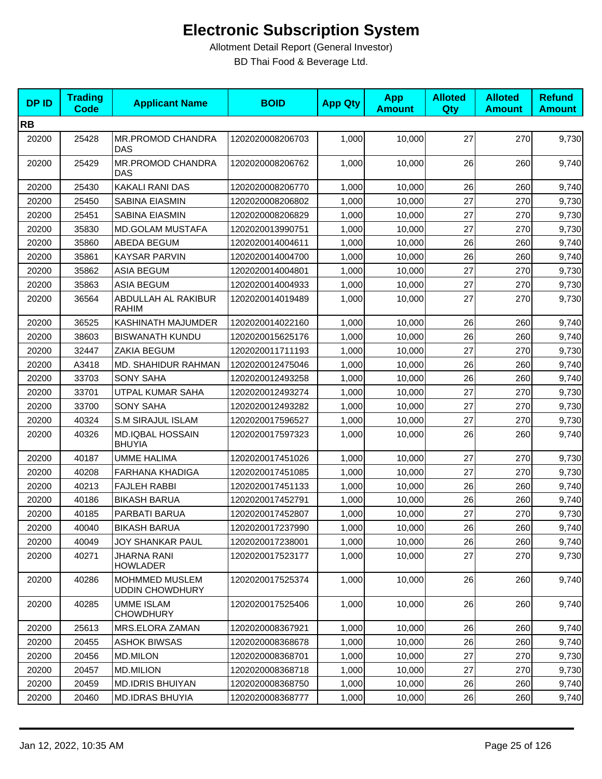| <b>DPID</b> | <b>Trading</b><br><b>Code</b> | <b>Applicant Name</b>                    | <b>BOID</b>      | <b>App Qty</b> | <b>App</b><br><b>Amount</b> | <b>Alloted</b><br>Qty | <b>Alloted</b><br><b>Amount</b> | <b>Refund</b><br><b>Amount</b> |
|-------------|-------------------------------|------------------------------------------|------------------|----------------|-----------------------------|-----------------------|---------------------------------|--------------------------------|
| <b>RB</b>   |                               |                                          |                  |                |                             |                       |                                 |                                |
| 20200       | 25428                         | MR.PROMOD CHANDRA<br>DAS                 | 1202020008206703 | 1,000          | 10,000                      | 27                    | 270                             | 9,730                          |
| 20200       | 25429                         | MR.PROMOD CHANDRA<br><b>DAS</b>          | 1202020008206762 | 1,000          | 10,000                      | 26                    | 260                             | 9,740                          |
| 20200       | 25430                         | <b>KAKALI RANI DAS</b>                   | 1202020008206770 | 1,000          | 10,000                      | 26                    | 260                             | 9,740                          |
| 20200       | 25450                         | SABINA EIASMIN                           | 1202020008206802 | 1,000          | 10,000                      | 27                    | 270                             | 9,730                          |
| 20200       | 25451                         | SABINA EIASMIN                           | 1202020008206829 | 1,000          | 10,000                      | 27                    | 270                             | 9,730                          |
| 20200       | 35830                         | <b>MD.GOLAM MUSTAFA</b>                  | 1202020013990751 | 1,000          | 10,000                      | 27                    | 270                             | 9,730                          |
| 20200       | 35860                         | ABEDA BEGUM                              | 1202020014004611 | 1,000          | 10,000                      | 26                    | 260                             | 9,740                          |
| 20200       | 35861                         | <b>KAYSAR PARVIN</b>                     | 1202020014004700 | 1,000          | 10,000                      | 26                    | 260                             | 9,740                          |
| 20200       | 35862                         | <b>ASIA BEGUM</b>                        | 1202020014004801 | 1,000          | 10,000                      | 27                    | 270                             | 9,730                          |
| 20200       | 35863                         | ASIA BEGUM                               | 1202020014004933 | 1,000          | 10,000                      | 27                    | 270                             | 9,730                          |
| 20200       | 36564                         | ABDULLAH AL RAKIBUR<br><b>RAHIM</b>      | 1202020014019489 | 1,000          | 10,000                      | 27                    | 270                             | 9,730                          |
| 20200       | 36525                         | KASHINATH MAJUMDER                       | 1202020014022160 | 1,000          | 10,000                      | 26                    | 260                             | 9,740                          |
| 20200       | 38603                         | <b>BISWANATH KUNDU</b>                   | 1202020015625176 | 1,000          | 10,000                      | 26                    | 260                             | 9,740                          |
| 20200       | 32447                         | ZAKIA BEGUM                              | 1202020011711193 | 1,000          | 10,000                      | 27                    | 270                             | 9,730                          |
| 20200       | A3418                         | MD. SHAHIDUR RAHMAN                      | 1202020012475046 | 1,000          | 10,000                      | 26                    | 260                             | 9,740                          |
| 20200       | 33703                         | <b>SONY SAHA</b>                         | 1202020012493258 | 1,000          | 10,000                      | 26                    | 260                             | 9,740                          |
| 20200       | 33701                         | UTPAL KUMAR SAHA                         | 1202020012493274 | 1,000          | 10,000                      | 27                    | 270                             | 9,730                          |
| 20200       | 33700                         | <b>SONY SAHA</b>                         | 1202020012493282 | 1,000          | 10,000                      | 27                    | 270                             | 9,730                          |
| 20200       | 40324                         | <b>S.M SIRAJUL ISLAM</b>                 | 1202020017596527 | 1,000          | 10,000                      | 27                    | 270                             | 9,730                          |
| 20200       | 40326                         | <b>MD.IQBAL HOSSAIN</b><br><b>BHUYIA</b> | 1202020017597323 | 1,000          | 10,000                      | 26                    | 260                             | 9,740                          |
| 20200       | 40187                         | <b>UMME HALIMA</b>                       | 1202020017451026 | 1,000          | 10,000                      | 27                    | 270                             | 9,730                          |
| 20200       | 40208                         | <b>FARHANA KHADIGA</b>                   | 1202020017451085 | 1,000          | 10,000                      | 27                    | 270                             | 9,730                          |
| 20200       | 40213                         | <b>FAJLEH RABBI</b>                      | 1202020017451133 | 1,000          | 10,000                      | 26                    | 260                             | 9,740                          |
| 20200       | 40186                         | <b>BIKASH BARUA</b>                      | 1202020017452791 | 1,000          | 10,000                      | 26                    | 260                             | 9,740                          |
| 20200       | 40185                         | PARBATI BARUA                            | 1202020017452807 | 1,000          | 10,000                      | 27                    | 270                             | 9,730                          |
| 20200       | 40040                         | <b>BIKASH BARUA</b>                      | 1202020017237990 | 1,000          | 10,000                      | 26                    | 260                             | 9,740                          |
| 20200       | 40049                         | <b>JOY SHANKAR PAUL</b>                  | 1202020017238001 | 1,000          | 10,000                      | 26                    | 260                             | 9,740                          |
| 20200       | 40271                         | JHARNA RANI<br><b>HOWLADER</b>           | 1202020017523177 | 1,000          | 10,000                      | 27                    | 270                             | 9,730                          |
| 20200       | 40286                         | MOHMMED MUSLEM<br><b>UDDIN CHOWDHURY</b> | 1202020017525374 | 1,000          | 10,000                      | 26                    | 260                             | 9,740                          |
| 20200       | 40285                         | <b>UMME ISLAM</b><br><b>CHOWDHURY</b>    | 1202020017525406 | 1,000          | 10,000                      | 26                    | 260                             | 9,740                          |
| 20200       | 25613                         | MRS.ELORA ZAMAN                          | 1202020008367921 | 1,000          | 10,000                      | 26                    | 260                             | 9,740                          |
| 20200       | 20455                         | <b>ASHOK BIWSAS</b>                      | 1202020008368678 | 1,000          | 10,000                      | 26                    | 260                             | 9,740                          |
| 20200       | 20456                         | <b>MD.MILON</b>                          | 1202020008368701 | 1,000          | 10,000                      | 27                    | 270                             | 9,730                          |
| 20200       | 20457                         | <b>MD.MILION</b>                         | 1202020008368718 | 1,000          | 10,000                      | 27                    | 270                             | 9,730                          |
| 20200       | 20459                         | <b>MD.IDRIS BHUIYAN</b>                  | 1202020008368750 | 1,000          | 10,000                      | 26                    | 260                             | 9,740                          |
| 20200       | 20460                         | <b>MD.IDRAS BHUYIA</b>                   | 1202020008368777 | 1,000          | 10,000                      | 26                    | 260                             | 9,740                          |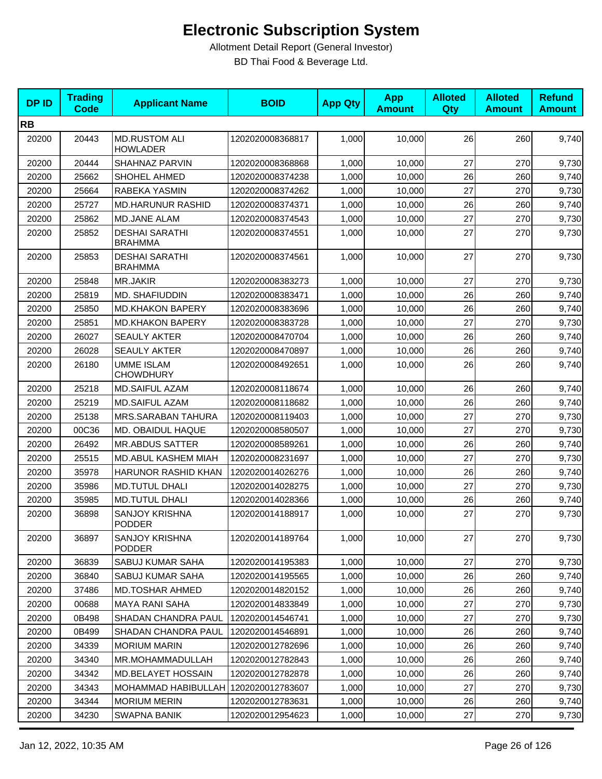| <b>DPID</b> | <b>Trading</b><br>Code | <b>Applicant Name</b>                   | <b>BOID</b>      | <b>App Qty</b> | <b>App</b><br><b>Amount</b> | <b>Alloted</b><br>Qty | <b>Alloted</b><br><b>Amount</b> | <b>Refund</b><br><b>Amount</b> |
|-------------|------------------------|-----------------------------------------|------------------|----------------|-----------------------------|-----------------------|---------------------------------|--------------------------------|
| <b>RB</b>   |                        |                                         |                  |                |                             |                       |                                 |                                |
| 20200       | 20443                  | <b>MD.RUSTOM ALI</b><br><b>HOWLADER</b> | 1202020008368817 | 1,000          | 10,000                      | 26                    | 260                             | 9,740                          |
| 20200       | 20444                  | SHAHNAZ PARVIN                          | 1202020008368868 | 1,000          | 10.000                      | 27                    | 270                             | 9,730                          |
| 20200       | 25662                  | SHOHEL AHMED                            | 1202020008374238 | 1,000          | 10,000                      | 26                    | 260                             | 9,740                          |
| 20200       | 25664                  | RABEKA YASMIN                           | 1202020008374262 | 1,000          | 10,000                      | 27                    | 270                             | 9,730                          |
| 20200       | 25727                  | <b>MD.HARUNUR RASHID</b>                | 1202020008374371 | 1,000          | 10,000                      | 26                    | 260                             | 9,740                          |
| 20200       | 25862                  | <b>MD.JANE ALAM</b>                     | 1202020008374543 | 1,000          | 10,000                      | 27                    | 270                             | 9,730                          |
| 20200       | 25852                  | <b>DESHAI SARATHI</b><br><b>BRAHMMA</b> | 1202020008374551 | 1,000          | 10,000                      | 27                    | 270                             | 9,730                          |
| 20200       | 25853                  | <b>DESHAI SARATHI</b><br><b>BRAHMMA</b> | 1202020008374561 | 1,000          | 10,000                      | 27                    | 270                             | 9,730                          |
| 20200       | 25848                  | MR.JAKIR                                | 1202020008383273 | 1,000          | 10,000                      | 27                    | 270                             | 9,730                          |
| 20200       | 25819                  | MD. SHAFIUDDIN                          | 1202020008383471 | 1,000          | 10,000                      | 26                    | 260                             | 9,740                          |
| 20200       | 25850                  | <b>MD.KHAKON BAPERY</b>                 | 1202020008383696 | 1,000          | 10,000                      | 26                    | 260                             | 9,740                          |
| 20200       | 25851                  | <b>MD.KHAKON BAPERY</b>                 | 1202020008383728 | 1,000          | 10,000                      | 27                    | 270                             | 9,730                          |
| 20200       | 26027                  | SEAULY AKTER                            | 1202020008470704 | 1,000          | 10,000                      | 26                    | 260                             | 9,740                          |
| 20200       | 26028                  | <b>SEAULY AKTER</b>                     | 1202020008470897 | 1,000          | 10,000                      | 26                    | 260                             | 9,740                          |
| 20200       | 26180                  | <b>UMME ISLAM</b><br><b>CHOWDHURY</b>   | 1202020008492651 | 1,000          | 10,000                      | 26                    | 260                             | 9,740                          |
| 20200       | 25218                  | <b>MD.SAIFUL AZAM</b>                   | 1202020008118674 | 1,000          | 10,000                      | 26                    | 260                             | 9,740                          |
| 20200       | 25219                  | <b>MD.SAIFUL AZAM</b>                   | 1202020008118682 | 1,000          | 10,000                      | 26                    | 260                             | 9,740                          |
| 20200       | 25138                  | MRS.SARABAN TAHURA                      | 1202020008119403 | 1,000          | 10,000                      | 27                    | 270                             | 9,730                          |
| 20200       | 00C36                  | MD. OBAIDUL HAQUE                       | 1202020008580507 | 1,000          | 10,000                      | 27                    | 270                             | 9,730                          |
| 20200       | 26492                  | <b>MR.ABDUS SATTER</b>                  | 1202020008589261 | 1,000          | 10,000                      | 26                    | 260                             | 9,740                          |
| 20200       | 25515                  | MD.ABUL KASHEM MIAH                     | 1202020008231697 | 1,000          | 10,000                      | 27                    | 270                             | 9,730                          |
| 20200       | 35978                  | HARUNOR RASHID KHAN                     | 1202020014026276 | 1,000          | 10,000                      | 26                    | 260                             | 9,740                          |
| 20200       | 35986                  | <b>MD.TUTUL DHALI</b>                   | 1202020014028275 | 1,000          | 10,000                      | 27                    | 270                             | 9,730                          |
| 20200       | 35985                  | <b>MD.TUTUL DHALI</b>                   | 1202020014028366 | 1,000          | 10,000                      | 26                    | 260                             | 9,740                          |
| 20200       | 36898                  | <b>SANJOY KRISHNA</b><br>PODDER         | 1202020014188917 | 1,000          | 10,000                      | 27                    | 270                             | 9,730                          |
| 20200       | 36897                  | <b>SANJOY KRISHNA</b><br><b>PODDER</b>  | 1202020014189764 | 1,000          | 10,000                      | 27                    | 270                             | 9,730                          |
| 20200       | 36839                  | SABUJ KUMAR SAHA                        | 1202020014195383 | 1,000          | 10,000                      | 27                    | 270                             | 9,730                          |
| 20200       | 36840                  | SABUJ KUMAR SAHA                        | 1202020014195565 | 1,000          | 10,000                      | 26                    | 260                             | 9,740                          |
| 20200       | 37486                  | MD.TOSHAR AHMED                         | 1202020014820152 | 1,000          | 10,000                      | 26                    | 260                             | 9,740                          |
| 20200       | 00688                  | MAYA RANI SAHA                          | 1202020014833849 | 1,000          | 10,000                      | 27                    | 270                             | 9,730                          |
| 20200       | 0B498                  | SHADAN CHANDRA PAUL                     | 1202020014546741 | 1,000          | 10,000                      | 27                    | 270                             | 9,730                          |
| 20200       | 0B499                  | SHADAN CHANDRA PAUL                     | 1202020014546891 | 1,000          | 10,000                      | 26                    | 260                             | 9,740                          |
| 20200       | 34339                  | <b>MORIUM MARIN</b>                     | 1202020012782696 | 1,000          | 10,000                      | 26                    | 260                             | 9,740                          |
| 20200       | 34340                  | MR.MOHAMMADULLAH                        | 1202020012782843 | 1,000          | 10,000                      | 26                    | 260                             | 9,740                          |
| 20200       | 34342                  | MD.BELAYET HOSSAIN                      | 1202020012782878 | 1,000          | 10,000                      | 26                    | 260                             | 9,740                          |
| 20200       | 34343                  | MOHAMMAD HABIBULLAH 1202020012783607    |                  | 1,000          | 10,000                      | 27                    | 270                             | 9,730                          |
| 20200       | 34344                  | <b>MORIUM MERIN</b>                     | 1202020012783631 | 1,000          | 10,000                      | 26                    | 260                             | 9,740                          |
| 20200       | 34230                  | SWAPNA BANIK                            | 1202020012954623 | 1,000          | 10,000                      | 27                    | 270                             | 9,730                          |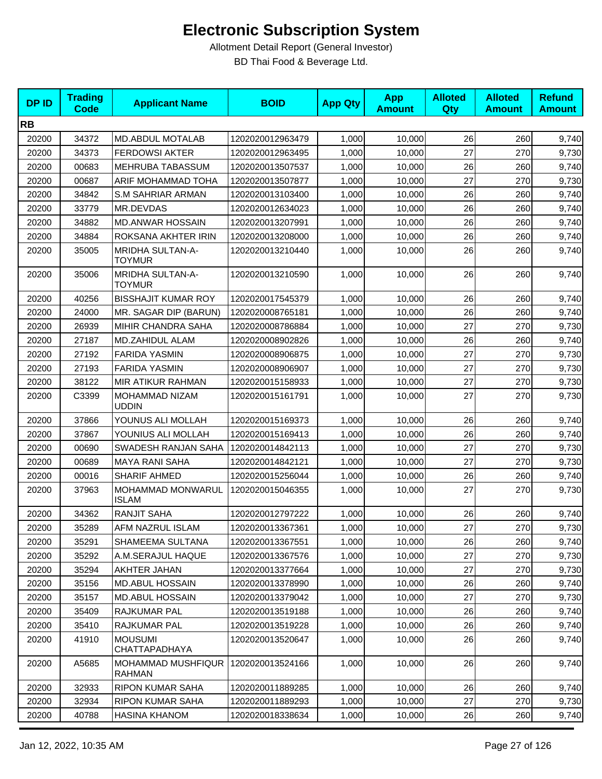| <b>DPID</b> | <b>Trading</b><br><b>Code</b> | <b>Applicant Name</b>                    | <b>BOID</b>      | <b>App Qty</b> | <b>App</b><br><b>Amount</b> | <b>Alloted</b><br><b>Qty</b> | <b>Alloted</b><br><b>Amount</b> | <b>Refund</b><br><b>Amount</b> |
|-------------|-------------------------------|------------------------------------------|------------------|----------------|-----------------------------|------------------------------|---------------------------------|--------------------------------|
| <b>RB</b>   |                               |                                          |                  |                |                             |                              |                                 |                                |
| 20200       | 34372                         | MD.ABDUL MOTALAB                         | 1202020012963479 | 1,000          | 10,000                      | 26                           | 260                             | 9,740                          |
| 20200       | 34373                         | <b>FERDOWSI AKTER</b>                    | 1202020012963495 | 1,000          | 10,000                      | 27                           | 270                             | 9,730                          |
| 20200       | 00683                         | MEHRUBA TABASSUM                         | 1202020013507537 | 1,000          | 10,000                      | 26                           | 260                             | 9,740                          |
| 20200       | 00687                         | ARIF MOHAMMAD TOHA                       | 1202020013507877 | 1,000          | 10,000                      | 27                           | 270                             | 9,730                          |
| 20200       | 34842                         | <b>S.M SAHRIAR ARMAN</b>                 | 1202020013103400 | 1,000          | 10,000                      | 26                           | 260                             | 9,740                          |
| 20200       | 33779                         | MR.DEVDAS                                | 1202020012634023 | 1,000          | 10.000                      | 26                           | 260                             | 9,740                          |
| 20200       | 34882                         | <b>MD.ANWAR HOSSAIN</b>                  | 1202020013207991 | 1,000          | 10,000                      | 26                           | 260                             | 9,740                          |
| 20200       | 34884                         | ROKSANA AKHTER IRIN                      | 1202020013208000 | 1,000          | 10,000                      | 26                           | 260                             | 9,740                          |
| 20200       | 35005                         | <b>MRIDHA SULTAN-A-</b><br><b>TOYMUR</b> | 1202020013210440 | 1,000          | 10,000                      | 26                           | 260                             | 9,740                          |
| 20200       | 35006                         | MRIDHA SULTAN-A-<br><b>TOYMUR</b>        | 1202020013210590 | 1,000          | 10,000                      | 26                           | 260                             | 9,740                          |
| 20200       | 40256                         | <b>BISSHAJIT KUMAR ROY</b>               | 1202020017545379 | 1,000          | 10,000                      | 26                           | 260                             | 9,740                          |
| 20200       | 24000                         | MR. SAGAR DIP (BARUN)                    | 1202020008765181 | 1,000          | 10,000                      | 26                           | 260                             | 9,740                          |
| 20200       | 26939                         | MIHIR CHANDRA SAHA                       | 1202020008786884 | 1,000          | 10,000                      | 27                           | 270                             | 9,730                          |
| 20200       | 27187                         | MD.ZAHIDUL ALAM                          | 1202020008902826 | 1,000          | 10,000                      | 26                           | 260                             | 9,740                          |
| 20200       | 27192                         | <b>FARIDA YASMIN</b>                     | 1202020008906875 | 1,000          | 10,000                      | 27                           | 270                             | 9,730                          |
| 20200       | 27193                         | <b>FARIDA YASMIN</b>                     | 1202020008906907 | 1,000          | 10,000                      | 27                           | 270                             | 9,730                          |
| 20200       | 38122                         | MIR ATIKUR RAHMAN                        | 1202020015158933 | 1,000          | 10,000                      | 27                           | 270                             | 9,730                          |
| 20200       | C3399                         | MOHAMMAD NIZAM<br><b>UDDIN</b>           | 1202020015161791 | 1,000          | 10,000                      | 27                           | 270                             | 9,730                          |
| 20200       | 37866                         | YOUNUS ALI MOLLAH                        | 1202020015169373 | 1,000          | 10,000                      | 26                           | 260                             | 9,740                          |
| 20200       | 37867                         | YOUNIUS ALI MOLLAH                       | 1202020015169413 | 1,000          | 10,000                      | 26                           | 260                             | 9,740                          |
| 20200       | 00690                         | SWADESH RANJAN SAHA                      | 1202020014842113 | 1,000          | 10,000                      | 27                           | 270                             | 9,730                          |
| 20200       | 00689                         | <b>MAYA RANI SAHA</b>                    | 1202020014842121 | 1,000          | 10,000                      | 27                           | 270                             | 9,730                          |
| 20200       | 00016                         | <b>SHARIF AHMED</b>                      | 1202020015256044 | 1,000          | 10,000                      | 26                           | 260                             | 9,740                          |
| 20200       | 37963                         | MOHAMMAD MONWARUL<br><b>ISLAM</b>        | 1202020015046355 | 1,000          | 10,000                      | 27                           | 270                             | 9,730                          |
| 20200       | 34362                         | <b>RANJIT SAHA</b>                       | 1202020012797222 | 1,000          | 10,000                      | 26                           | 260                             | 9,740                          |
| 20200       | 35289                         | AFM NAZRUL ISLAM                         | 1202020013367361 | 1,000          | 10,000                      | 27                           | 270                             | 9,730                          |
| 20200       | 35291                         | SHAMEEMA SULTANA                         | 1202020013367551 | 1,000          | 10,000                      | 26                           | 260                             | 9,740                          |
| 20200       | 35292                         | A.M.SERAJUL HAQUE                        | 1202020013367576 | 1,000          | 10,000                      | 27                           | 270                             | 9,730                          |
| 20200       | 35294                         | AKHTER JAHAN                             | 1202020013377664 | 1,000          | 10,000                      | 27                           | 270                             | 9,730                          |
| 20200       | 35156                         | <b>MD.ABUL HOSSAIN</b>                   | 1202020013378990 | 1,000          | 10,000                      | 26                           | 260                             | 9,740                          |
| 20200       | 35157                         | <b>MD.ABUL HOSSAIN</b>                   | 1202020013379042 | 1,000          | 10,000                      | 27                           | 270                             | 9,730                          |
| 20200       | 35409                         | RAJKUMAR PAL                             | 1202020013519188 | 1,000          | 10,000                      | 26                           | 260                             | 9,740                          |
| 20200       | 35410                         | RAJKUMAR PAL                             | 1202020013519228 | 1,000          | 10,000                      | 26                           | 260                             | 9,740                          |
| 20200       | 41910                         | <b>MOUSUMI</b><br>CHATTAPADHAYA          | 1202020013520647 | 1,000          | 10,000                      | 26                           | 260                             | 9,740                          |
| 20200       | A5685                         | MOHAMMAD MUSHFIQUR<br><b>RAHMAN</b>      | 1202020013524166 | 1,000          | 10,000                      | 26                           | 260                             | 9,740                          |
| 20200       | 32933                         | <b>RIPON KUMAR SAHA</b>                  | 1202020011889285 | 1,000          | 10,000                      | 26                           | 260                             | 9,740                          |
| 20200       | 32934                         | <b>RIPON KUMAR SAHA</b>                  | 1202020011889293 | 1,000          | 10,000                      | 27                           | 270                             | 9,730                          |
| 20200       | 40788                         | HASINA KHANOM                            | 1202020018338634 | 1,000          | 10,000                      | 26                           | 260                             | 9,740                          |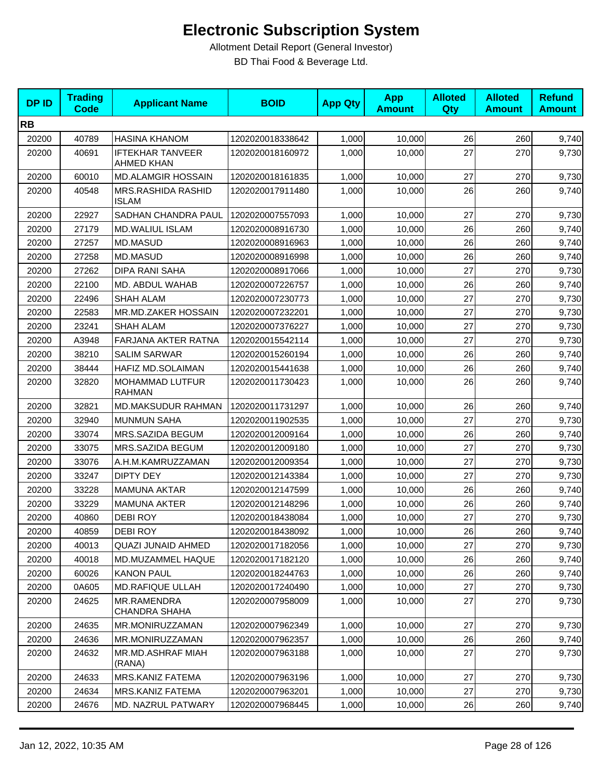| <b>DPID</b> | <b>Trading</b><br><b>Code</b> | <b>Applicant Name</b>                        | <b>BOID</b>      | <b>App Qty</b> | <b>App</b><br><b>Amount</b> | <b>Alloted</b><br>Qty | <b>Alloted</b><br><b>Amount</b> | <b>Refund</b><br><b>Amount</b> |
|-------------|-------------------------------|----------------------------------------------|------------------|----------------|-----------------------------|-----------------------|---------------------------------|--------------------------------|
| <b>RB</b>   |                               |                                              |                  |                |                             |                       |                                 |                                |
| 20200       | 40789                         | <b>HASINA KHANOM</b>                         | 1202020018338642 | 1,000          | 10,000                      | 26                    | 260                             | 9,740                          |
| 20200       | 40691                         | <b>IFTEKHAR TANVEER</b><br><b>AHMED KHAN</b> | 1202020018160972 | 1,000          | 10,000                      | 27                    | 270                             | 9,730                          |
| 20200       | 60010                         | <b>MD.ALAMGIR HOSSAIN</b>                    | 1202020018161835 | 1,000          | 10,000                      | 27                    | 270                             | 9,730                          |
| 20200       | 40548                         | MRS.RASHIDA RASHID<br><b>ISLAM</b>           | 1202020017911480 | 1,000          | 10,000                      | 26                    | 260                             | 9,740                          |
| 20200       | 22927                         | SADHAN CHANDRA PAUL                          | 1202020007557093 | 1,000          | 10,000                      | 27                    | 270                             | 9,730                          |
| 20200       | 27179                         | <b>MD.WALIUL ISLAM</b>                       | 1202020008916730 | 1,000          | 10,000                      | 26                    | 260                             | 9,740                          |
| 20200       | 27257                         | MD.MASUD                                     | 1202020008916963 | 1,000          | 10,000                      | 26                    | 260                             | 9,740                          |
| 20200       | 27258                         | MD.MASUD                                     | 1202020008916998 | 1,000          | 10,000                      | 26                    | 260                             | 9,740                          |
| 20200       | 27262                         | <b>DIPA RANI SAHA</b>                        | 1202020008917066 | 1,000          | 10,000                      | 27                    | 270                             | 9,730                          |
| 20200       | 22100                         | MD. ABDUL WAHAB                              | 1202020007226757 | 1,000          | 10,000                      | 26                    | 260                             | 9,740                          |
| 20200       | 22496                         | <b>SHAH ALAM</b>                             | 1202020007230773 | 1,000          | 10,000                      | 27                    | 270                             | 9,730                          |
| 20200       | 22583                         | MR.MD.ZAKER HOSSAIN                          | 1202020007232201 | 1,000          | 10,000                      | 27                    | 270                             | 9,730                          |
| 20200       | 23241                         | <b>SHAH ALAM</b>                             | 1202020007376227 | 1,000          | 10,000                      | 27                    | 270                             | 9,730                          |
| 20200       | A3948                         | FARJANA AKTER RATNA                          | 1202020015542114 | 1,000          | 10,000                      | 27                    | 270                             | 9,730                          |
| 20200       | 38210                         | <b>SALIM SARWAR</b>                          | 1202020015260194 | 1,000          | 10,000                      | 26                    | 260                             | 9,740                          |
| 20200       | 38444                         | HAFIZ MD.SOLAIMAN                            | 1202020015441638 | 1,000          | 10,000                      | 26                    | 260                             | 9,740                          |
| 20200       | 32820                         | MOHAMMAD LUTFUR<br>RAHMAN                    | 1202020011730423 | 1,000          | 10,000                      | 26                    | 260                             | 9,740                          |
| 20200       | 32821                         | MD.MAKSUDUR RAHMAN                           | 1202020011731297 | 1,000          | 10,000                      | 26                    | 260                             | 9,740                          |
| 20200       | 32940                         | <b>MUNMUN SAHA</b>                           | 1202020011902535 | 1,000          | 10,000                      | 27                    | 270                             | 9,730                          |
| 20200       | 33074                         | MRS.SAZIDA BEGUM                             | 1202020012009164 | 1,000          | 10,000                      | 26                    | 260                             | 9,740                          |
| 20200       | 33075                         | MRS.SAZIDA BEGUM                             | 1202020012009180 | 1,000          | 10,000                      | 27                    | 270                             | 9,730                          |
| 20200       | 33076                         | A.H.M.KAMRUZZAMAN                            | 1202020012009354 | 1,000          | 10,000                      | 27                    | 270                             | 9,730                          |
| 20200       | 33247                         | <b>DIPTY DEY</b>                             | 1202020012143384 | 1,000          | 10,000                      | 27                    | 270                             | 9,730                          |
| 20200       | 33228                         | <b>MAMUNA AKTAR</b>                          | 1202020012147599 | 1,000          | 10,000                      | 26                    | 260                             | 9,740                          |
| 20200       | 33229                         | <b>MAMUNA AKTER</b>                          | 1202020012148296 | 1,000          | 10,000                      | 26                    | 260                             | 9,740                          |
| 20200       | 40860                         | <b>DEBIROY</b>                               | 1202020018438084 | 1,000          | 10,000                      | 27                    | 270                             | 9,730                          |
| 20200       | 40859                         | DEBI ROY                                     | 1202020018438092 | 1,000          | 10,000                      | 26                    | 260                             | 9,740                          |
| 20200       | 40013                         | QUAZI JUNAID AHMED                           | 1202020017182056 | 1,000          | 10,000                      | 27                    | 270                             | 9,730                          |
| 20200       | 40018                         | MD.MUZAMMEL HAQUE                            | 1202020017182120 | 1,000          | 10,000                      | 26                    | 260                             | 9,740                          |
| 20200       | 60026                         | <b>KANON PAUL</b>                            | 1202020018244763 | 1,000          | 10,000                      | 26                    | 260                             | 9,740                          |
| 20200       | 0A605                         | <b>MD.RAFIQUE ULLAH</b>                      | 1202020017240490 | 1,000          | 10,000                      | 27                    | 270                             | 9,730                          |
| 20200       | 24625                         | MR.RAMENDRA<br><b>CHANDRA SHAHA</b>          | 1202020007958009 | 1,000          | 10,000                      | 27                    | 270                             | 9,730                          |
| 20200       | 24635                         | MR.MONIRUZZAMAN                              | 1202020007962349 | 1,000          | 10,000                      | 27                    | 270                             | 9,730                          |
| 20200       | 24636                         | MR.MONIRUZZAMAN                              | 1202020007962357 | 1,000          | 10,000                      | 26                    | 260                             | 9,740                          |
| 20200       | 24632                         | MR.MD.ASHRAF MIAH<br>(RANA)                  | 1202020007963188 | 1,000          | 10,000                      | 27                    | 270                             | 9,730                          |
| 20200       | 24633                         | MRS.KANIZ FATEMA                             | 1202020007963196 | 1,000          | 10,000                      | 27                    | 270                             | 9,730                          |
| 20200       | 24634                         | MRS.KANIZ FATEMA                             | 1202020007963201 | 1,000          | 10,000                      | 27                    | 270                             | 9,730                          |
| 20200       | 24676                         | MD. NAZRUL PATWARY                           | 1202020007968445 | 1,000          | 10,000                      | 26                    | 260                             | 9,740                          |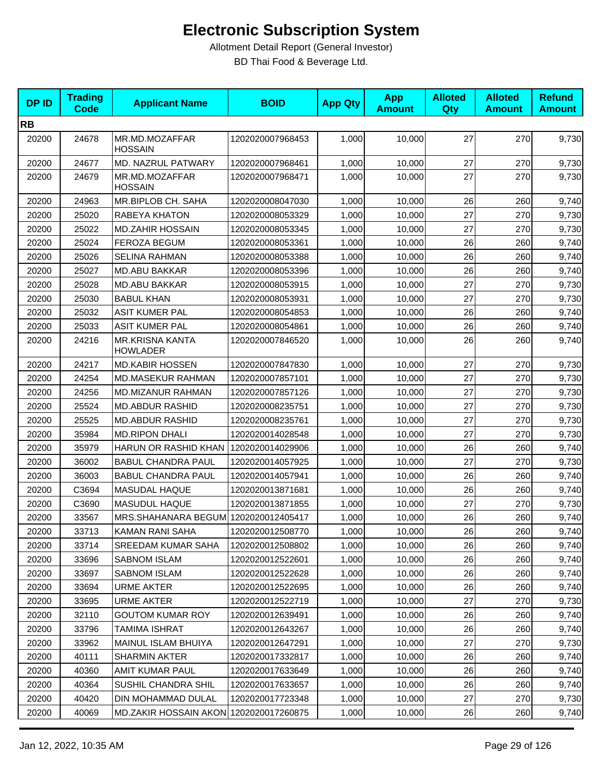| <b>DPID</b> | <b>Trading</b><br><b>Code</b> | <b>Applicant Name</b>                     | <b>BOID</b>      | <b>App Qty</b> | <b>App</b><br><b>Amount</b> | <b>Alloted</b><br>Qty | <b>Alloted</b><br><b>Amount</b> | <b>Refund</b><br><b>Amount</b> |
|-------------|-------------------------------|-------------------------------------------|------------------|----------------|-----------------------------|-----------------------|---------------------------------|--------------------------------|
| <b>RB</b>   |                               |                                           |                  |                |                             |                       |                                 |                                |
| 20200       | 24678                         | MR.MD.MOZAFFAR<br><b>HOSSAIN</b>          | 1202020007968453 | 1,000          | 10,000                      | 27                    | 270                             | 9,730                          |
| 20200       | 24677                         | MD. NAZRUL PATWARY                        | 1202020007968461 | 1,000          | 10,000                      | 27                    | 270                             | 9,730                          |
| 20200       | 24679                         | MR.MD.MOZAFFAR<br><b>HOSSAIN</b>          | 1202020007968471 | 1,000          | 10,000                      | 27                    | 270                             | 9,730                          |
| 20200       | 24963                         | MR.BIPLOB CH. SAHA                        | 1202020008047030 | 1,000          | 10,000                      | 26                    | 260                             | 9,740                          |
| 20200       | 25020                         | RABEYA KHATON                             | 1202020008053329 | 1,000          | 10,000                      | 27                    | 270                             | 9,730                          |
| 20200       | 25022                         | <b>MD.ZAHIR HOSSAIN</b>                   | 1202020008053345 | 1,000          | 10,000                      | 27                    | 270                             | 9,730                          |
| 20200       | 25024                         | FEROZA BEGUM                              | 1202020008053361 | 1,000          | 10,000                      | 26                    | 260                             | 9,740                          |
| 20200       | 25026                         | <b>SELINA RAHMAN</b>                      | 1202020008053388 | 1,000          | 10,000                      | 26                    | 260                             | 9,740                          |
| 20200       | 25027                         | <b>MD.ABU BAKKAR</b>                      | 1202020008053396 | 1,000          | 10,000                      | 26                    | 260                             | 9,740                          |
| 20200       | 25028                         | <b>MD.ABU BAKKAR</b>                      | 1202020008053915 | 1,000          | 10,000                      | 27                    | 270                             | 9,730                          |
| 20200       | 25030                         | <b>BABUL KHAN</b>                         | 1202020008053931 | 1,000          | 10,000                      | 27                    | 270                             | 9,730                          |
| 20200       | 25032                         | <b>ASIT KUMER PAL</b>                     | 1202020008054853 | 1,000          | 10,000                      | 26                    | 260                             | 9,740                          |
| 20200       | 25033                         | <b>ASIT KUMER PAL</b>                     | 1202020008054861 | 1,000          | 10,000                      | 26                    | 260                             | 9,740                          |
| 20200       | 24216                         | <b>MR.KRISNA KANTA</b><br><b>HOWLADER</b> | 1202020007846520 | 1,000          | 10,000                      | 26                    | 260                             | 9,740                          |
| 20200       | 24217                         | <b>MD.KABIR HOSSEN</b>                    | 1202020007847830 | 1,000          | 10,000                      | 27                    | 270                             | 9,730                          |
| 20200       | 24254                         | MD.MASEKUR RAHMAN                         | 1202020007857101 | 1,000          | 10,000                      | 27                    | 270                             | 9,730                          |
| 20200       | 24256                         | MD.MIZANUR RAHMAN                         | 1202020007857126 | 1,000          | 10,000                      | 27                    | 270                             | 9,730                          |
| 20200       | 25524                         | <b>MD.ABDUR RASHID</b>                    | 1202020008235751 | 1,000          | 10,000                      | 27                    | 270                             | 9,730                          |
| 20200       | 25525                         | <b>MD.ABDUR RASHID</b>                    | 1202020008235761 | 1,000          | 10,000                      | 27                    | 270                             | 9,730                          |
| 20200       | 35984                         | <b>MD.RIPON DHALI</b>                     | 1202020014028548 | 1,000          | 10,000                      | 27                    | 270                             | 9,730                          |
| 20200       | 35979                         | HARUN OR RASHID KHAN                      | 1202020014029906 | 1,000          | 10,000                      | 26                    | 260                             | 9,740                          |
| 20200       | 36002                         | <b>BABUL CHANDRA PAUL</b>                 | 1202020014057925 | 1,000          | 10,000                      | 27                    | 270                             | 9,730                          |
| 20200       | 36003                         | <b>BABUL CHANDRA PAUL</b>                 | 1202020014057941 | 1,000          | 10,000                      | 26                    | 260                             | 9,740                          |
| 20200       | C3694                         | MASUDAL HAQUE                             | 1202020013871681 | 1,000          | 10,000                      | 26                    | 260                             | 9,740                          |
| 20200       | C3690                         | MASUDUL HAQUE                             | 1202020013871855 | 1,000          | 10,000                      | 27                    | 270                             | 9,730                          |
| 20200       | 33567                         | MRS.SHAHANARA BEGUM 1202020012405417      |                  | 1,000          | 10,000                      | 26                    | 260                             | 9,740                          |
| 20200       | 33713                         | KAMAN RANI SAHA                           | 1202020012508770 | 1,000          | 10,000                      | 26                    | 260                             | 9,740                          |
| 20200       | 33714                         | <b>SREEDAM KUMAR SAHA</b>                 | 1202020012508802 | 1,000          | 10,000                      | 26                    | 260                             | 9,740                          |
| 20200       | 33696                         | <b>SABNOM ISLAM</b>                       | 1202020012522601 | 1,000          | 10,000                      | 26                    | 260                             | 9,740                          |
| 20200       | 33697                         | <b>SABNOM ISLAM</b>                       | 1202020012522628 | 1,000          | 10,000                      | 26                    | 260                             | 9,740                          |
| 20200       | 33694                         | <b>URME AKTER</b>                         | 1202020012522695 | 1,000          | 10,000                      | 26                    | 260                             | 9,740                          |
| 20200       | 33695                         | <b>URME AKTER</b>                         | 1202020012522719 | 1,000          | 10,000                      | 27                    | 270                             | 9,730                          |
| 20200       | 32110                         | <b>GOUTOM KUMAR ROY</b>                   | 1202020012639491 | 1,000          | 10,000                      | 26                    | 260                             | 9,740                          |
| 20200       | 33796                         | <b>TAMIMA ISHRAT</b>                      | 1202020012643267 | 1,000          | 10,000                      | 26                    | 260                             | 9,740                          |
| 20200       | 33962                         | <b>MAINUL ISLAM BHUIYA</b>                | 1202020012647291 | 1,000          | 10,000                      | 27                    | 270                             | 9,730                          |
| 20200       | 40111                         | <b>SHARMIN AKTER</b>                      | 1202020017332817 | 1,000          | 10,000                      | 26                    | 260                             | 9,740                          |
| 20200       | 40360                         | AMIT KUMAR PAUL                           | 1202020017633649 | 1,000          | 10,000                      | 26                    | 260                             | 9,740                          |
| 20200       | 40364                         | SUSHIL CHANDRA SHIL                       | 1202020017633657 | 1,000          | 10,000                      | 26                    | 260                             | 9,740                          |
| 20200       | 40420                         | DIN MOHAMMAD DULAL                        | 1202020017723348 | 1,000          | 10,000                      | 27                    | 270                             | 9,730                          |
| 20200       | 40069                         | MD.ZAKIR HOSSAIN AKON 1202020017260875    |                  | 1,000          | 10,000                      | 26                    | 260                             | 9,740                          |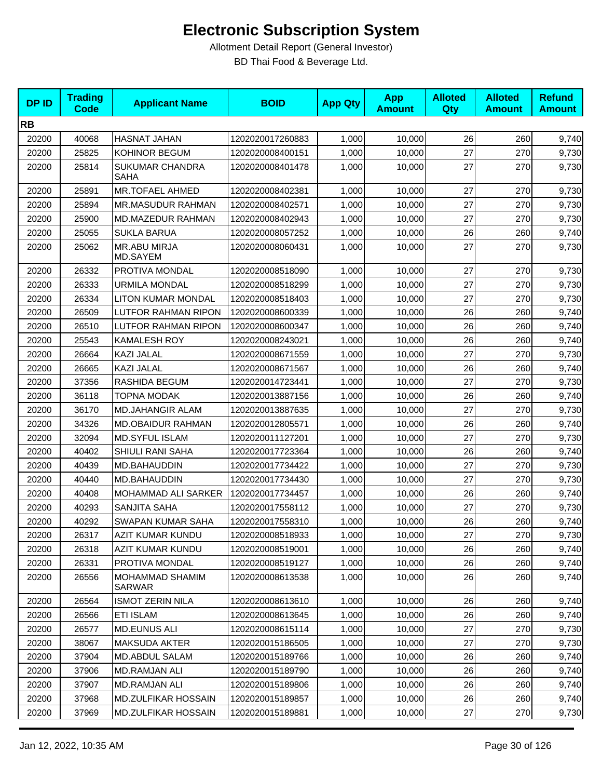| <b>DPID</b> | <b>Trading</b><br><b>Code</b> | <b>Applicant Name</b>                 | <b>BOID</b>      | <b>App Qty</b> | <b>App</b><br><b>Amount</b> | <b>Alloted</b><br>Qty | <b>Alloted</b><br><b>Amount</b> | <b>Refund</b><br><b>Amount</b> |
|-------------|-------------------------------|---------------------------------------|------------------|----------------|-----------------------------|-----------------------|---------------------------------|--------------------------------|
| <b>RB</b>   |                               |                                       |                  |                |                             |                       |                                 |                                |
| 20200       | 40068                         | HASNAT JAHAN                          | 1202020017260883 | 1,000          | 10,000                      | 26                    | 260                             | 9,740                          |
| 20200       | 25825                         | KOHINOR BEGUM                         | 1202020008400151 | 1,000          | 10,000                      | 27                    | 270                             | 9,730                          |
| 20200       | 25814                         | <b>SUKUMAR CHANDRA</b><br><b>SAHA</b> | 1202020008401478 | 1,000          | 10,000                      | 27                    | 270                             | 9,730                          |
| 20200       | 25891                         | <b>MR.TOFAEL AHMED</b>                | 1202020008402381 | 1,000          | 10,000                      | 27                    | 270                             | 9,730                          |
| 20200       | 25894                         | MR.MASUDUR RAHMAN                     | 1202020008402571 | 1,000          | 10,000                      | 27                    | 270                             | 9,730                          |
| 20200       | 25900                         | MD.MAZEDUR RAHMAN                     | 1202020008402943 | 1,000          | 10,000                      | 27                    | 270                             | 9,730                          |
| 20200       | 25055                         | <b>SUKLA BARUA</b>                    | 1202020008057252 | 1,000          | 10,000                      | 26                    | 260                             | 9,740                          |
| 20200       | 25062                         | <b>MR.ABU MIRJA</b><br>MD.SAYEM       | 1202020008060431 | 1,000          | 10,000                      | 27                    | 270                             | 9,730                          |
| 20200       | 26332                         | PROTIVA MONDAL                        | 1202020008518090 | 1,000          | 10,000                      | 27                    | 270                             | 9,730                          |
| 20200       | 26333                         | <b>URMILA MONDAL</b>                  | 1202020008518299 | 1,000          | 10,000                      | 27                    | 270                             | 9,730                          |
| 20200       | 26334                         | <b>LITON KUMAR MONDAL</b>             | 1202020008518403 | 1,000          | 10,000                      | 27                    | 270                             | 9,730                          |
| 20200       | 26509                         | <b>LUTFOR RAHMAN RIPON</b>            | 1202020008600339 | 1,000          | 10,000                      | 26                    | 260                             | 9,740                          |
| 20200       | 26510                         | LUTFOR RAHMAN RIPON                   | 1202020008600347 | 1,000          | 10,000                      | 26                    | 260                             | 9,740                          |
| 20200       | 25543                         | <b>KAMALESH ROY</b>                   | 1202020008243021 | 1,000          | 10,000                      | 26                    | 260                             | 9,740                          |
| 20200       | 26664                         | KAZI JALAL                            | 1202020008671559 | 1,000          | 10,000                      | 27                    | 270                             | 9,730                          |
| 20200       | 26665                         | KAZI JALAL                            | 1202020008671567 | 1,000          | 10,000                      | 26                    | 260                             | 9,740                          |
| 20200       | 37356                         | RASHIDA BEGUM                         | 1202020014723441 | 1,000          | 10,000                      | 27                    | 270                             | 9,730                          |
| 20200       | 36118                         | TOPNA MODAK                           | 1202020013887156 | 1,000          | 10,000                      | 26                    | 260                             | 9,740                          |
| 20200       | 36170                         | <b>MD.JAHANGIR ALAM</b>               | 1202020013887635 | 1,000          | 10,000                      | 27                    | 270                             | 9,730                          |
| 20200       | 34326                         | MD.OBAIDUR RAHMAN                     | 1202020012805571 | 1,000          | 10,000                      | 26                    | 260                             | 9,740                          |
| 20200       | 32094                         | <b>MD.SYFUL ISLAM</b>                 | 1202020011127201 | 1,000          | 10,000                      | 27                    | 270                             | 9,730                          |
| 20200       | 40402                         | SHIULI RANI SAHA                      | 1202020017723364 | 1,000          | 10,000                      | 26                    | 260                             | 9,740                          |
| 20200       | 40439                         | MD.BAHAUDDIN                          | 1202020017734422 | 1,000          | 10,000                      | 27                    | 270                             | 9,730                          |
| 20200       | 40440                         | MD.BAHAUDDIN                          | 1202020017734430 | 1,000          | 10,000                      | 27                    | 270                             | 9,730                          |
| 20200       | 40408                         | MOHAMMAD ALI SARKER                   | 1202020017734457 | 1,000          | 10,000                      | 26                    | 260                             | 9,740                          |
| 20200       | 40293                         | SANJITA SAHA                          | 1202020017558112 | 1,000          | 10,000                      | 27                    | 270                             | 9,730                          |
| 20200       | 40292                         | SWAPAN KUMAR SAHA                     | 1202020017558310 | 1,000          | 10,000                      | 26                    | 260                             | 9,740                          |
| 20200       | 26317                         | AZIT KUMAR KUNDU                      | 1202020008518933 | 1,000          | 10,000                      | 27                    | 270                             | 9,730                          |
| 20200       | 26318                         | AZIT KUMAR KUNDU                      | 1202020008519001 | 1,000          | 10,000                      | 26                    | 260                             | 9,740                          |
| 20200       | 26331                         | PROTIVA MONDAL                        | 1202020008519127 | 1,000          | 10,000                      | 26                    | 260                             | 9,740                          |
| 20200       | 26556                         | MOHAMMAD SHAMIM<br>SARWAR             | 1202020008613538 | 1,000          | 10,000                      | 26                    | 260                             | 9,740                          |
| 20200       | 26564                         | <b>ISMOT ZERIN NILA</b>               | 1202020008613610 | 1,000          | 10,000                      | 26                    | 260                             | 9,740                          |
| 20200       | 26566                         | ETI ISLAM                             | 1202020008613645 | 1,000          | 10,000                      | 26                    | 260                             | 9,740                          |
| 20200       | 26577                         | <b>MD.EUNUS ALI</b>                   | 1202020008615114 | 1,000          | 10,000                      | 27                    | 270                             | 9,730                          |
| 20200       | 38067                         | <b>MAKSUDA AKTER</b>                  | 1202020015186505 | 1,000          | 10,000                      | 27                    | 270                             | 9,730                          |
| 20200       | 37904                         | MD.ABDUL SALAM                        | 1202020015189766 | 1,000          | 10,000                      | 26                    | 260                             | 9,740                          |
| 20200       | 37906                         | <b>MD.RAMJAN ALI</b>                  | 1202020015189790 | 1,000          | 10,000                      | 26                    | 260                             | 9,740                          |
| 20200       | 37907                         | MD.RAMJAN ALI                         | 1202020015189806 | 1,000          | 10,000                      | 26                    | 260                             | 9,740                          |
| 20200       | 37968                         | MD.ZULFIKAR HOSSAIN                   | 1202020015189857 | 1,000          | 10,000                      | 26                    | 260                             | 9,740                          |
| 20200       | 37969                         | <b>MD.ZULFIKAR HOSSAIN</b>            | 1202020015189881 | 1,000          | 10,000                      | 27                    | 270                             | 9,730                          |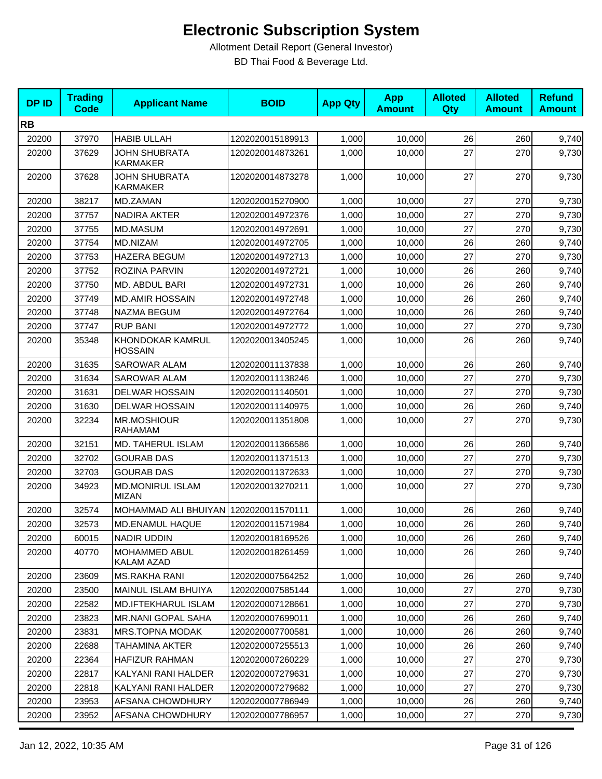| <b>DPID</b> | <b>Trading</b><br><b>Code</b> | <b>Applicant Name</b>                   | <b>BOID</b>      | <b>App Qty</b> | <b>App</b><br><b>Amount</b> | <b>Alloted</b><br><b>Qty</b> | <b>Alloted</b><br><b>Amount</b> | <b>Refund</b><br><b>Amount</b> |
|-------------|-------------------------------|-----------------------------------------|------------------|----------------|-----------------------------|------------------------------|---------------------------------|--------------------------------|
| <b>RB</b>   |                               |                                         |                  |                |                             |                              |                                 |                                |
| 20200       | 37970                         | <b>HABIB ULLAH</b>                      | 1202020015189913 | 1,000          | 10,000                      | 26                           | 260                             | 9,740                          |
| 20200       | 37629                         | <b>JOHN SHUBRATA</b><br><b>KARMAKER</b> | 1202020014873261 | 1,000          | 10,000                      | 27                           | 270                             | 9,730                          |
| 20200       | 37628                         | <b>JOHN SHUBRATA</b><br><b>KARMAKER</b> | 1202020014873278 | 1,000          | 10,000                      | 27                           | 270                             | 9,730                          |
| 20200       | 38217                         | MD.ZAMAN                                | 1202020015270900 | 1,000          | 10,000                      | 27                           | 270                             | 9,730                          |
| 20200       | 37757                         | <b>NADIRA AKTER</b>                     | 1202020014972376 | 1,000          | 10,000                      | 27                           | 270                             | 9,730                          |
| 20200       | 37755                         | MD.MASUM                                | 1202020014972691 | 1,000          | 10,000                      | 27                           | 270                             | 9,730                          |
| 20200       | 37754                         | MD.NIZAM                                | 1202020014972705 | 1,000          | 10,000                      | 26                           | 260                             | 9,740                          |
| 20200       | 37753                         | <b>HAZERA BEGUM</b>                     | 1202020014972713 | 1,000          | 10,000                      | 27                           | 270                             | 9,730                          |
| 20200       | 37752                         | ROZINA PARVIN                           | 1202020014972721 | 1,000          | 10,000                      | 26                           | 260                             | 9,740                          |
| 20200       | 37750                         | MD. ABDUL BARI                          | 1202020014972731 | 1,000          | 10,000                      | 26                           | 260                             | 9,740                          |
| 20200       | 37749                         | <b>MD.AMIR HOSSAIN</b>                  | 1202020014972748 | 1,000          | 10,000                      | 26                           | 260                             | 9,740                          |
| 20200       | 37748                         | NAZMA BEGUM                             | 1202020014972764 | 1,000          | 10,000                      | 26                           | 260                             | 9,740                          |
| 20200       | 37747                         | <b>RUP BANI</b>                         | 1202020014972772 | 1,000          | 10,000                      | 27                           | 270                             | 9,730                          |
| 20200       | 35348                         | KHONDOKAR KAMRUL<br><b>HOSSAIN</b>      | 1202020013405245 | 1,000          | 10,000                      | 26                           | 260                             | 9,740                          |
| 20200       | 31635                         | <b>SAROWAR ALAM</b>                     | 1202020011137838 | 1,000          | 10,000                      | 26                           | 260                             | 9,740                          |
| 20200       | 31634                         | <b>SAROWAR ALAM</b>                     | 1202020011138246 | 1,000          | 10,000                      | 27                           | 270                             | 9,730                          |
| 20200       | 31631                         | <b>DELWAR HOSSAIN</b>                   | 1202020011140501 | 1,000          | 10,000                      | 27                           | 270                             | 9,730                          |
| 20200       | 31630                         | <b>DELWAR HOSSAIN</b>                   | 1202020011140975 | 1,000          | 10,000                      | 26                           | 260                             | 9,740                          |
| 20200       | 32234                         | <b>MR.MOSHIOUR</b><br><b>RAHAMAM</b>    | 1202020011351808 | 1,000          | 10,000                      | 27                           | 270                             | 9,730                          |
| 20200       | 32151                         | MD. TAHERUL ISLAM                       | 1202020011366586 | 1,000          | 10,000                      | 26                           | 260                             | 9,740                          |
| 20200       | 32702                         | <b>GOURAB DAS</b>                       | 1202020011371513 | 1,000          | 10,000                      | 27                           | 270                             | 9,730                          |
| 20200       | 32703                         | <b>GOURAB DAS</b>                       | 1202020011372633 | 1,000          | 10,000                      | 27                           | 270                             | 9,730                          |
| 20200       | 34923                         | <b>MD.MONIRUL ISLAM</b><br><b>MIZAN</b> | 1202020013270211 | 1,000          | 10,000                      | 27                           | 270                             | 9,730                          |
| 20200       | 32574                         | MOHAMMAD ALI BHUIYAN 1202020011570111   |                  | 1,000          | 10,000                      | 26                           | 260                             | 9,740                          |
| 20200       | 32573                         | MD.ENAMUL HAQUE                         | 1202020011571984 | 1,000          | 10,000                      | 26                           | 260                             | 9,740                          |
| 20200       | 60015                         | NADIR UDDIN                             | 1202020018169526 | 1,000          | 10,000                      | 26                           | 260                             | 9,740                          |
| 20200       | 40770                         | MOHAMMED ABUL<br>KALAM AZAD             | 1202020018261459 | 1,000          | 10,000                      | 26                           | 260                             | 9,740                          |
| 20200       | 23609                         | <b>MS.RAKHA RANI</b>                    | 1202020007564252 | 1,000          | 10,000                      | 26                           | 260                             | 9,740                          |
| 20200       | 23500                         | MAINUL ISLAM BHUIYA                     | 1202020007585144 | 1,000          | 10,000                      | 27                           | 270                             | 9,730                          |
| 20200       | 22582                         | MD.IFTEKHARUL ISLAM                     | 1202020007128661 | 1,000          | 10,000                      | 27                           | 270                             | 9,730                          |
| 20200       | 23823                         | MR.NANI GOPAL SAHA                      | 1202020007699011 | 1,000          | 10,000                      | 26                           | 260                             | 9,740                          |
| 20200       | 23831                         | <b>MRS.TOPNA MODAK</b>                  | 1202020007700581 | 1,000          | 10,000                      | 26                           | 260                             | 9,740                          |
| 20200       | 22688                         | TAHAMINA AKTER                          | 1202020007255513 | 1,000          | 10,000                      | 26                           | 260                             | 9,740                          |
| 20200       | 22364                         | HAFIZUR RAHMAN                          | 1202020007260229 | 1,000          | 10,000                      | 27                           | 270                             | 9,730                          |
| 20200       | 22817                         | KALYANI RANI HALDER                     | 1202020007279631 | 1,000          | 10,000                      | 27                           | 270                             | 9,730                          |
| 20200       | 22818                         | KALYANI RANI HALDER                     | 1202020007279682 | 1,000          | 10,000                      | 27                           | 270                             | 9,730                          |
| 20200       | 23953                         | AFSANA CHOWDHURY                        | 1202020007786949 | 1,000          | 10,000                      | 26                           | 260                             | 9,740                          |
| 20200       | 23952                         | AFSANA CHOWDHURY                        | 1202020007786957 | 1,000          | 10,000                      | 27                           | 270                             | 9,730                          |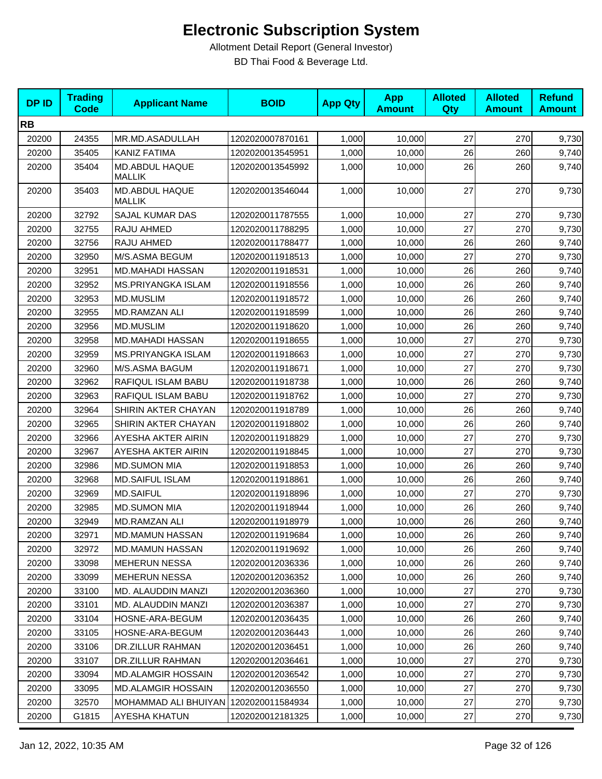| <b>DPID</b> | <b>Trading</b><br><b>Code</b> | <b>Applicant Name</b>                   | <b>BOID</b>      | <b>App Qty</b> | <b>App</b><br><b>Amount</b> | <b>Alloted</b><br>Qty | <b>Alloted</b><br><b>Amount</b> | <b>Refund</b><br><b>Amount</b> |
|-------------|-------------------------------|-----------------------------------------|------------------|----------------|-----------------------------|-----------------------|---------------------------------|--------------------------------|
| <b>RB</b>   |                               |                                         |                  |                |                             |                       |                                 |                                |
| 20200       | 24355                         | MR.MD.ASADULLAH                         | 1202020007870161 | 1,000          | 10,000                      | 27                    | 270                             | 9,730                          |
| 20200       | 35405                         | <b>KANIZ FATIMA</b>                     | 1202020013545951 | 1,000          | 10,000                      | 26                    | 260                             | 9,740                          |
| 20200       | 35404                         | MD.ABDUL HAQUE<br><b>MALLIK</b>         | 1202020013545992 | 1,000          | 10,000                      | 26                    | 260                             | 9,740                          |
| 20200       | 35403                         | MD.ABDUL HAQUE<br><b>MALLIK</b>         | 1202020013546044 | 1,000          | 10,000                      | 27                    | 270                             | 9,730                          |
| 20200       | 32792                         | SAJAL KUMAR DAS                         | 1202020011787555 | 1,000          | 10,000                      | 27                    | 270                             | 9,730                          |
| 20200       | 32755                         | RAJU AHMED                              | 1202020011788295 | 1,000          | 10,000                      | 27                    | 270                             | 9,730                          |
| 20200       | 32756                         | RAJU AHMED                              | 1202020011788477 | 1,000          | 10,000                      | 26                    | 260                             | 9,740                          |
| 20200       | 32950                         | M/S.ASMA BEGUM                          | 1202020011918513 | 1,000          | 10,000                      | 27                    | 270                             | 9,730                          |
| 20200       | 32951                         | MD.MAHADI HASSAN                        | 1202020011918531 | 1,000          | 10,000                      | 26                    | 260                             | 9,740                          |
| 20200       | 32952                         | <b>MS.PRIYANGKA ISLAM</b>               | 1202020011918556 | 1,000          | 10,000                      | 26                    | 260                             | 9,740                          |
| 20200       | 32953                         | <b>MD.MUSLIM</b>                        | 1202020011918572 | 1,000          | 10,000                      | 26                    | 260                             | 9,740                          |
| 20200       | 32955                         | MD.RAMZAN ALI                           | 1202020011918599 | 1,000          | 10,000                      | 26                    | 260                             | 9,740                          |
| 20200       | 32956                         | <b>MD.MUSLIM</b>                        | 1202020011918620 | 1,000          | 10,000                      | 26                    | 260                             | 9,740                          |
| 20200       | 32958                         | <b>MD.MAHADI HASSAN</b>                 | 1202020011918655 | 1,000          | 10,000                      | 27                    | 270                             | 9,730                          |
| 20200       | 32959                         | <b>MS.PRIYANGKA ISLAM</b>               | 1202020011918663 | 1,000          | 10,000                      | 27                    | 270                             | 9,730                          |
| 20200       | 32960                         | M/S.ASMA BAGUM                          | 1202020011918671 | 1,000          | 10,000                      | 27                    | 270                             | 9,730                          |
| 20200       | 32962                         | RAFIQUL ISLAM BABU                      | 1202020011918738 | 1,000          | 10,000                      | 26                    | 260                             | 9,740                          |
| 20200       | 32963                         | RAFIQUL ISLAM BABU                      | 1202020011918762 | 1,000          | 10,000                      | 27                    | 270                             | 9,730                          |
| 20200       | 32964                         | SHIRIN AKTER CHAYAN                     | 1202020011918789 | 1,000          | 10,000                      | 26                    | 260                             | 9,740                          |
| 20200       | 32965                         | SHIRIN AKTER CHAYAN                     | 1202020011918802 | 1,000          | 10,000                      | 26                    | 260                             | 9,740                          |
| 20200       | 32966                         | AYESHA AKTER AIRIN                      | 1202020011918829 | 1,000          | 10,000                      | 27                    | 270                             | 9,730                          |
| 20200       | 32967                         | AYESHA AKTER AIRIN                      | 1202020011918845 | 1,000          | 10,000                      | 27                    | 270                             | 9,730                          |
| 20200       | 32986                         | <b>MD.SUMON MIA</b>                     | 1202020011918853 | 1,000          | 10,000                      | 26                    | 260                             | 9,740                          |
| 20200       | 32968                         | <b>MD.SAIFUL ISLAM</b>                  | 1202020011918861 | 1,000          | 10,000                      | 26                    | 260                             | 9,740                          |
| 20200       | 32969                         | <b>MD.SAIFUL</b>                        | 1202020011918896 | 1,000          | 10,000                      | 27                    | 270                             | 9,730                          |
| 20200       | 32985                         | <b>MD.SUMON MIA</b>                     | 1202020011918944 | 1,000          | 10,000                      | 26                    | 260                             | 9,740                          |
| 20200       | 32949                         | <b>MD.RAMZAN ALI</b>                    | 1202020011918979 | 1,000          | 10,000                      | 26                    | 260                             | 9,740                          |
| 20200       | 32971                         | <b>MD.MAMUN HASSAN</b>                  | 1202020011919684 | 1,000          | 10,000                      | 26                    | 260                             | 9,740                          |
| 20200       | 32972                         | <b>MD.MAMUN HASSAN</b>                  | 1202020011919692 | 1,000          | 10,000                      | 26                    | 260                             | 9,740                          |
| 20200       | 33098                         | <b>MEHERUN NESSA</b>                    | 1202020012036336 | 1,000          | 10,000                      | 26                    | 260                             | 9,740                          |
| 20200       | 33099                         | <b>MEHERUN NESSA</b>                    | 1202020012036352 | 1,000          | 10,000                      | 26                    | 260                             | 9,740                          |
| 20200       | 33100                         | MD. ALAUDDIN MANZI                      | 1202020012036360 | 1,000          | 10,000                      | 27                    | 270                             | 9,730                          |
| 20200       | 33101                         | MD. ALAUDDIN MANZI                      | 1202020012036387 | 1,000          | 10,000                      | 27                    | 270                             | 9,730                          |
| 20200       | 33104                         | HOSNE-ARA-BEGUM                         | 1202020012036435 | 1,000          | 10,000                      | 26                    | 260                             | 9,740                          |
| 20200       | 33105                         | HOSNE-ARA-BEGUM                         | 1202020012036443 | 1,000          | 10,000                      | 26                    | 260                             | 9,740                          |
| 20200       | 33106                         | DR.ZILLUR RAHMAN                        | 1202020012036451 | 1,000          | 10,000                      | 26                    | 260                             | 9,740                          |
| 20200       | 33107                         | DR.ZILLUR RAHMAN                        | 1202020012036461 | 1,000          | 10,000                      | 27                    | 270                             | 9,730                          |
| 20200       | 33094                         | <b>MD.ALAMGIR HOSSAIN</b>               | 1202020012036542 | 1,000          | 10,000                      | 27                    | 270                             | 9,730                          |
| 20200       | 33095                         | <b>MD.ALAMGIR HOSSAIN</b>               | 1202020012036550 | 1,000          | 10,000                      | 27                    | 270                             | 9,730                          |
| 20200       | 32570                         | MOHAMMAD ALI BHUIYAN   1202020011584934 |                  | 1,000          | 10,000                      | 27                    | 270                             | 9,730                          |
| 20200       | G1815                         | AYESHA KHATUN                           | 1202020012181325 | 1,000          | 10,000                      | 27                    | 270                             | 9,730                          |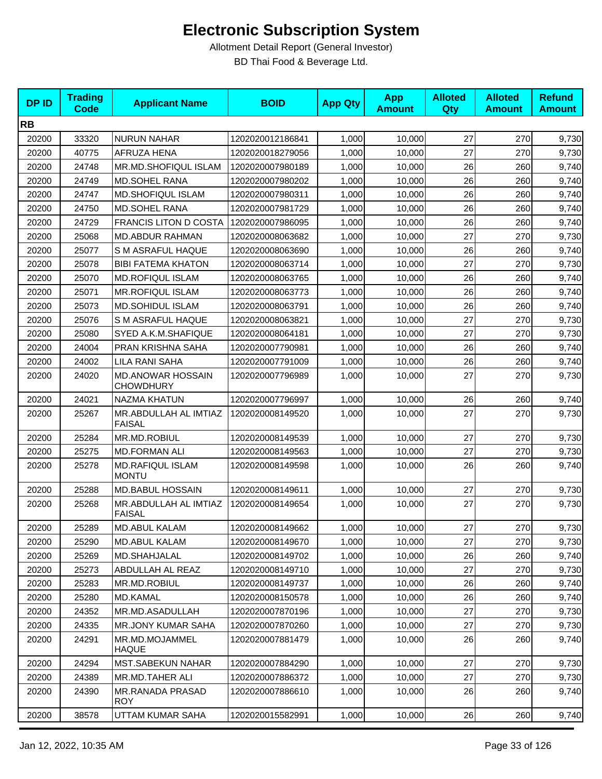| <b>DPID</b> | <b>Trading</b><br><b>Code</b> | <b>Applicant Name</b>                  | <b>BOID</b>      | <b>App Qty</b> | <b>App</b><br><b>Amount</b> | <b>Alloted</b><br><b>Qty</b> | <b>Alloted</b><br><b>Amount</b> | <b>Refund</b><br><b>Amount</b> |
|-------------|-------------------------------|----------------------------------------|------------------|----------------|-----------------------------|------------------------------|---------------------------------|--------------------------------|
| <b>RB</b>   |                               |                                        |                  |                |                             |                              |                                 |                                |
| 20200       | 33320                         | <b>NURUN NAHAR</b>                     | 1202020012186841 | 1,000          | 10,000                      | 27                           | 270                             | 9,730                          |
| 20200       | 40775                         | AFRUZA HENA                            | 1202020018279056 | 1,000          | 10,000                      | 27                           | 270                             | 9,730                          |
| 20200       | 24748                         | MR.MD.SHOFIQUL ISLAM                   | 1202020007980189 | 1,000          | 10,000                      | 26                           | 260                             | 9,740                          |
| 20200       | 24749                         | <b>MD.SOHEL RANA</b>                   | 1202020007980202 | 1,000          | 10,000                      | 26                           | 260                             | 9,740                          |
| 20200       | 24747                         | <b>MD.SHOFIQUL ISLAM</b>               | 1202020007980311 | 1,000          | 10,000                      | 26                           | 260                             | 9,740                          |
| 20200       | 24750                         | <b>MD.SOHEL RANA</b>                   | 1202020007981729 | 1,000          | 10,000                      | 26                           | 260                             | 9,740                          |
| 20200       | 24729                         | <b>FRANCIS LITON D COSTA</b>           | 1202020007986095 | 1,000          | 10,000                      | 26                           | 260                             | 9,740                          |
| 20200       | 25068                         | <b>MD.ABDUR RAHMAN</b>                 | 1202020008063682 | 1,000          | 10,000                      | 27                           | 270                             | 9,730                          |
| 20200       | 25077                         | S M ASRAFUL HAQUE                      | 1202020008063690 | 1,000          | 10,000                      | 26                           | 260                             | 9,740                          |
| 20200       | 25078                         | <b>BIBI FATEMA KHATON</b>              | 1202020008063714 | 1,000          | 10,000                      | 27                           | 270                             | 9,730                          |
| 20200       | 25070                         | <b>MD.ROFIQUL ISLAM</b>                | 1202020008063765 | 1,000          | 10,000                      | 26                           | 260                             | 9,740                          |
| 20200       | 25071                         | <b>MR.ROFIQUL ISLAM</b>                | 1202020008063773 | 1,000          | 10,000                      | 26                           | 260                             | 9,740                          |
| 20200       | 25073                         | MD.SOHIDUL ISLAM                       | 1202020008063791 | 1,000          | 10,000                      | 26                           | 260                             | 9,740                          |
| 20200       | 25076                         | S M ASRAFUL HAQUE                      | 1202020008063821 | 1,000          | 10,000                      | 27                           | 270                             | 9,730                          |
| 20200       | 25080                         | SYED A.K.M.SHAFIQUE                    | 1202020008064181 | 1,000          | 10,000                      | 27                           | 270                             | 9,730                          |
| 20200       | 24004                         | PRAN KRISHNA SAHA                      | 1202020007790981 | 1,000          | 10,000                      | 26                           | 260                             | 9,740                          |
| 20200       | 24002                         | LILA RANI SAHA                         | 1202020007791009 | 1,000          | 10,000                      | 26                           | 260                             | 9,740                          |
| 20200       | 24020                         | MD.ANOWAR HOSSAIN<br><b>CHOWDHURY</b>  | 1202020007796989 | 1,000          | 10,000                      | 27                           | 270                             | 9,730                          |
| 20200       | 24021                         | <b>NAZMA KHATUN</b>                    | 1202020007796997 | 1,000          | 10,000                      | 26                           | 260                             | 9,740                          |
| 20200       | 25267                         | MR.ABDULLAH AL IMTIAZ<br><b>FAISAL</b> | 1202020008149520 | 1,000          | 10,000                      | 27                           | 270                             | 9,730                          |
| 20200       | 25284                         | MR.MD.ROBIUL                           | 1202020008149539 | 1,000          | 10,000                      | 27                           | 270                             | 9,730                          |
| 20200       | 25275                         | <b>MD.FORMAN ALI</b>                   | 1202020008149563 | 1,000          | 10,000                      | 27                           | 270                             | 9,730                          |
| 20200       | 25278                         | MD.RAFIQUL ISLAM<br><b>MONTU</b>       | 1202020008149598 | 1,000          | 10,000                      | 26                           | 260                             | 9,740                          |
| 20200       | 25288                         | <b>MD.BABUL HOSSAIN</b>                | 1202020008149611 | 1,000          | 10,000                      | 27                           | 270                             | 9,730                          |
| 20200       | 25268                         | MR.ABDULLAH AL IMTIAZ<br><b>FAISAL</b> | 1202020008149654 | 1,000          | 10,000                      | 27                           | 270                             | 9,730                          |
| 20200       | 25289                         | MD.ABUL KALAM                          | 1202020008149662 | 1,000          | 10,000                      | 27                           | 270                             | 9,730                          |
| 20200       | 25290                         | MD.ABUL KALAM                          | 1202020008149670 | 1,000          | 10,000                      | 27                           | 270                             | 9,730                          |
| 20200       | 25269                         | MD.SHAHJALAL                           | 1202020008149702 | 1,000          | 10,000                      | 26                           | 260                             | 9,740                          |
| 20200       | 25273                         | ABDULLAH AL REAZ                       | 1202020008149710 | 1,000          | 10,000                      | 27                           | 270                             | 9,730                          |
| 20200       | 25283                         | MR.MD.ROBIUL                           | 1202020008149737 | 1,000          | 10,000                      | 26                           | 260                             | 9,740                          |
| 20200       | 25280                         | <b>MD.KAMAL</b>                        | 1202020008150578 | 1,000          | 10,000                      | 26                           | 260                             | 9,740                          |
| 20200       | 24352                         | MR.MD.ASADULLAH                        | 1202020007870196 | 1,000          | 10,000                      | 27                           | 270                             | 9,730                          |
| 20200       | 24335                         | MR.JONY KUMAR SAHA                     | 1202020007870260 | 1,000          | 10,000                      | 27                           | 270                             | 9,730                          |
| 20200       | 24291                         | MR.MD.MOJAMMEL<br><b>HAQUE</b>         | 1202020007881479 | 1,000          | 10,000                      | 26                           | 260                             | 9,740                          |
| 20200       | 24294                         | <b>MST.SABEKUN NAHAR</b>               | 1202020007884290 | 1,000          | 10,000                      | 27                           | 270                             | 9,730                          |
| 20200       | 24389                         | MR.MD.TAHER ALI                        | 1202020007886372 | 1,000          | 10,000                      | 27                           | 270                             | 9,730                          |
| 20200       | 24390                         | MR.RANADA PRASAD<br><b>ROY</b>         | 1202020007886610 | 1,000          | 10,000                      | 26                           | 260                             | 9,740                          |
| 20200       | 38578                         | UTTAM KUMAR SAHA                       | 1202020015582991 | 1,000          | 10,000                      | 26                           | 260                             | 9,740                          |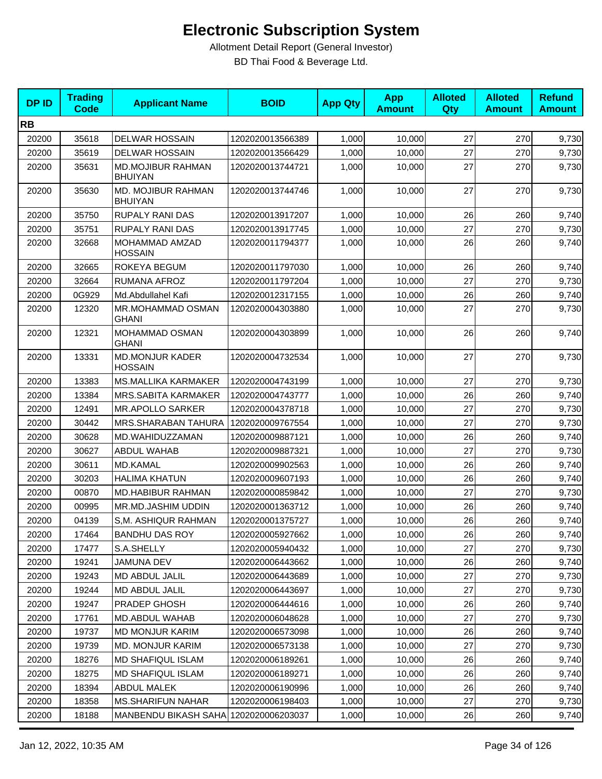| <b>DPID</b> | <b>Trading</b><br><b>Code</b> | <b>Applicant Name</b>                      | <b>BOID</b>      | <b>App Qty</b> | <b>App</b><br><b>Amount</b> | <b>Alloted</b><br>Qty | <b>Alloted</b><br><b>Amount</b> | <b>Refund</b><br><b>Amount</b> |
|-------------|-------------------------------|--------------------------------------------|------------------|----------------|-----------------------------|-----------------------|---------------------------------|--------------------------------|
| <b>RB</b>   |                               |                                            |                  |                |                             |                       |                                 |                                |
| 20200       | 35618                         | <b>DELWAR HOSSAIN</b>                      | 1202020013566389 | 1,000          | 10,000                      | 27                    | 270                             | 9,730                          |
| 20200       | 35619                         | <b>DELWAR HOSSAIN</b>                      | 1202020013566429 | 1,000          | 10,000                      | 27                    | 270                             | 9,730                          |
| 20200       | 35631                         | <b>MD.MOJIBUR RAHMAN</b><br><b>BHUIYAN</b> | 1202020013744721 | 1,000          | 10,000                      | 27                    | 270                             | 9,730                          |
| 20200       | 35630                         | MD. MOJIBUR RAHMAN<br><b>BHUIYAN</b>       | 1202020013744746 | 1,000          | 10,000                      | 27                    | 270                             | 9,730                          |
| 20200       | 35750                         | <b>RUPALY RANI DAS</b>                     | 1202020013917207 | 1,000          | 10.000                      | 26                    | 260                             | 9,740                          |
| 20200       | 35751                         | <b>RUPALY RANI DAS</b>                     | 1202020013917745 | 1,000          | 10,000                      | 27                    | 270                             | 9,730                          |
| 20200       | 32668                         | MOHAMMAD AMZAD<br><b>HOSSAIN</b>           | 1202020011794377 | 1,000          | 10,000                      | 26                    | 260                             | 9,740                          |
| 20200       | 32665                         | ROKEYA BEGUM                               | 1202020011797030 | 1,000          | 10,000                      | 26                    | 260                             | 9,740                          |
| 20200       | 32664                         | <b>RUMANA AFROZ</b>                        | 1202020011797204 | 1,000          | 10,000                      | 27                    | 270                             | 9,730                          |
| 20200       | 0G929                         | Md.Abdullahel Kafi                         | 1202020012317155 | 1,000          | 10,000                      | 26                    | 260                             | 9,740                          |
| 20200       | 12320                         | MR.MOHAMMAD OSMAN<br><b>GHANI</b>          | 1202020004303880 | 1,000          | 10,000                      | 27                    | 270                             | 9,730                          |
| 20200       | 12321                         | MOHAMMAD OSMAN<br><b>GHANI</b>             | 1202020004303899 | 1,000          | 10,000                      | 26                    | 260                             | 9,740                          |
| 20200       | 13331                         | <b>MD.MONJUR KADER</b><br><b>HOSSAIN</b>   | 1202020004732534 | 1,000          | 10,000                      | 27                    | 270                             | 9,730                          |
| 20200       | 13383                         | <b>MS.MALLIKA KARMAKER</b>                 | 1202020004743199 | 1,000          | 10,000                      | 27                    | 270                             | 9,730                          |
| 20200       | 13384                         | MRS.SABITA KARMAKER                        | 1202020004743777 | 1,000          | 10,000                      | 26                    | 260                             | 9,740                          |
| 20200       | 12491                         | <b>MR.APOLLO SARKER</b>                    | 1202020004378718 | 1,000          | 10,000                      | 27                    | 270                             | 9,730                          |
| 20200       | 30442                         | MRS.SHARABAN TAHURA                        | 1202020009767554 | 1,000          | 10,000                      | 27                    | 270                             | 9,730                          |
| 20200       | 30628                         | MD.WAHIDUZZAMAN                            | 1202020009887121 | 1,000          | 10,000                      | 26                    | 260                             | 9,740                          |
| 20200       | 30627                         | <b>ABDUL WAHAB</b>                         | 1202020009887321 | 1,000          | 10,000                      | 27                    | 270                             | 9,730                          |
| 20200       | 30611                         | <b>MD.KAMAL</b>                            | 1202020009902563 | 1,000          | 10,000                      | 26                    | 260                             | 9,740                          |
| 20200       | 30203                         | <b>HALIMA KHATUN</b>                       | 1202020009607193 | 1,000          | 10,000                      | 26                    | 260                             | 9,740                          |
| 20200       | 00870                         | <b>MD.HABIBUR RAHMAN</b>                   | 1202020000859842 | 1,000          | 10.000                      | 27                    | 270                             | 9,730                          |
| 20200       | 00995                         | MR.MD.JASHIM UDDIN                         | 1202020001363712 | 1,000          | 10,000                      | 26                    | 260                             | 9,740                          |
| 20200       | 04139                         | S,M. ASHIQUR RAHMAN                        | 1202020001375727 | 1,000          | 10,000                      | 26                    | 260                             | 9,740                          |
| 20200       | 17464                         | <b>BANDHU DAS ROY</b>                      | 1202020005927662 | 1,000          | 10,000                      | 26                    | 260                             | 9,740                          |
| 20200       | 17477                         | S.A.SHELLY                                 | 1202020005940432 | 1,000          | 10,000                      | 27                    | 270                             | 9,730                          |
| 20200       | 19241                         | <b>JAMUNA DEV</b>                          | 1202020006443662 | 1,000          | 10,000                      | 26                    | 260                             | 9,740                          |
| 20200       | 19243                         | MD ABDUL JALIL                             | 1202020006443689 | 1,000          | 10,000                      | 27                    | 270                             | 9,730                          |
| 20200       | 19244                         | MD ABDUL JALIL                             | 1202020006443697 | 1,000          | 10,000                      | 27                    | 270                             | 9,730                          |
| 20200       | 19247                         | PRADEP GHOSH                               | 1202020006444616 | 1,000          | 10,000                      | 26                    | 260                             | 9,740                          |
| 20200       | 17761                         | MD.ABDUL WAHAB                             | 1202020006048628 | 1,000          | 10,000                      | 27                    | 270                             | 9,730                          |
| 20200       | 19737                         | <b>MD MONJUR KARIM</b>                     | 1202020006573098 | 1,000          | 10,000                      | 26                    | 260                             | 9,740                          |
| 20200       | 19739                         | <b>MD. MONJUR KARIM</b>                    | 1202020006573138 | 1,000          | 10,000                      | 27                    | 270                             | 9,730                          |
| 20200       | 18276                         | MD SHAFIQUL ISLAM                          | 1202020006189261 | 1,000          | 10,000                      | 26                    | 260                             | 9,740                          |
| 20200       | 18275                         | <b>MD SHAFIQUL ISLAM</b>                   | 1202020006189271 | 1,000          | 10,000                      | 26                    | 260                             | 9,740                          |
| 20200       | 18394                         | ABDUL MALEK                                | 1202020006190996 | 1,000          | 10,000                      | 26                    | 260                             | 9,740                          |
| 20200       | 18358                         | <b>MS.SHARIFUN NAHAR</b>                   | 1202020006198403 | 1,000          | 10,000                      | 27                    | 270                             | 9,730                          |
| 20200       | 18188                         | MANBENDU BIKASH SAHA 1202020006203037      |                  | 1,000          | 10,000                      | 26                    | 260                             | 9,740                          |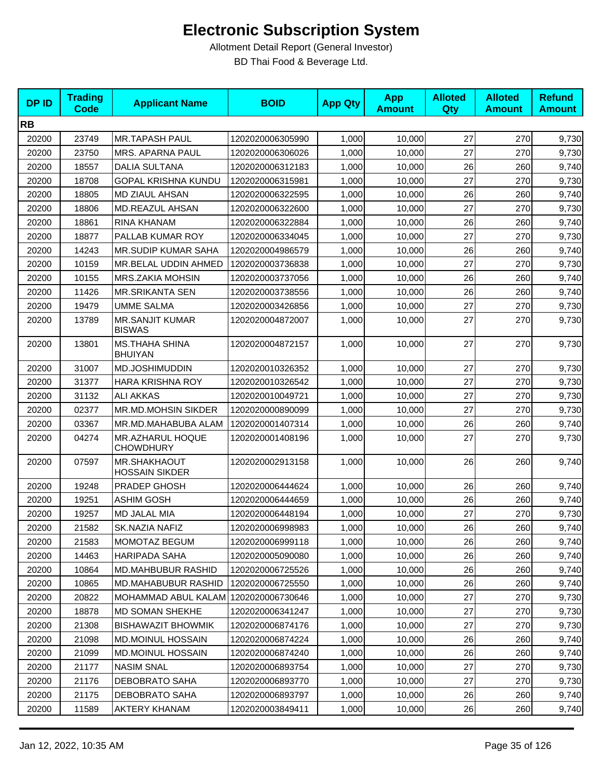| <b>DPID</b> | <b>Trading</b><br><b>Code</b> | <b>Applicant Name</b>                   | <b>BOID</b>      | <b>App Qty</b> | <b>App</b><br><b>Amount</b> | <b>Alloted</b><br>Qty | <b>Alloted</b><br><b>Amount</b> | <b>Refund</b><br><b>Amount</b> |
|-------------|-------------------------------|-----------------------------------------|------------------|----------------|-----------------------------|-----------------------|---------------------------------|--------------------------------|
| <b>RB</b>   |                               |                                         |                  |                |                             |                       |                                 |                                |
| 20200       | 23749                         | <b>MR.TAPASH PAUL</b>                   | 1202020006305990 | 1,000          | 10,000                      | 27                    | 270                             | 9,730                          |
| 20200       | 23750                         | MRS. APARNA PAUL                        | 1202020006306026 | 1,000          | 10,000                      | 27                    | 270                             | 9,730                          |
| 20200       | 18557                         | <b>DALIA SULTANA</b>                    | 1202020006312183 | 1,000          | 10,000                      | 26                    | 260                             | 9,740                          |
| 20200       | 18708                         | GOPAL KRISHNA KUNDU                     | 1202020006315981 | 1,000          | 10,000                      | 27                    | 270                             | 9,730                          |
| 20200       | 18805                         | MD ZIAUL AHSAN                          | 1202020006322595 | 1,000          | 10,000                      | 26                    | 260                             | 9,740                          |
| 20200       | 18806                         | <b>MD.REAZUL AHSAN</b>                  | 1202020006322600 | 1,000          | 10.000                      | 27                    | 270                             | 9,730                          |
| 20200       | 18861                         | RINA KHANAM                             | 1202020006322884 | 1,000          | 10,000                      | 26                    | 260                             | 9,740                          |
| 20200       | 18877                         | PALLAB KUMAR ROY                        | 1202020006334045 | 1,000          | 10,000                      | 27                    | 270                             | 9,730                          |
| 20200       | 14243                         | MR.SUDIP KUMAR SAHA                     | 1202020004986579 | 1,000          | 10,000                      | 26                    | 260                             | 9,740                          |
| 20200       | 10159                         | MR.BELAL UDDIN AHMED                    | 1202020003736838 | 1,000          | 10,000                      | 27                    | 270                             | 9,730                          |
| 20200       | 10155                         | <b>MRS.ZAKIA MOHSIN</b>                 | 1202020003737056 | 1,000          | 10,000                      | 26                    | 260                             | 9,740                          |
| 20200       | 11426                         | <b>MR.SRIKANTA SEN</b>                  | 1202020003738556 | 1,000          | 10,000                      | 26                    | 260                             | 9,740                          |
| 20200       | 19479                         | <b>UMME SALMA</b>                       | 1202020003426856 | 1,000          | 10,000                      | 27                    | 270                             | 9,730                          |
| 20200       | 13789                         | <b>MR.SANJIT KUMAR</b><br><b>BISWAS</b> | 1202020004872007 | 1,000          | 10,000                      | 27                    | 270                             | 9,730                          |
| 20200       | 13801                         | <b>MS.THAHA SHINA</b><br><b>BHUIYAN</b> | 1202020004872157 | 1,000          | 10,000                      | 27                    | 270                             | 9,730                          |
| 20200       | 31007                         | MD.JOSHIMUDDIN                          | 1202020010326352 | 1,000          | 10,000                      | 27                    | 270                             | 9,730                          |
| 20200       | 31377                         | <b>HARA KRISHNA ROY</b>                 | 1202020010326542 | 1,000          | 10,000                      | 27                    | 270                             | 9,730                          |
| 20200       | 31132                         | <b>ALI AKKAS</b>                        | 1202020010049721 | 1,000          | 10,000                      | 27                    | 270                             | 9,730                          |
| 20200       | 02377                         | MR.MD.MOHSIN SIKDER                     | 1202020000890099 | 1,000          | 10,000                      | 27                    | 270                             | 9,730                          |
| 20200       | 03367                         | MR.MD.MAHABUBA ALAM                     | 1202020001407314 | 1,000          | 10,000                      | 26                    | 260                             | 9,740                          |
| 20200       | 04274                         | MR.AZHARUL HOQUE<br><b>CHOWDHURY</b>    | 1202020001408196 | 1,000          | 10,000                      | 27                    | 270                             | 9,730                          |
| 20200       | 07597                         | MR.SHAKHAOUT<br><b>HOSSAIN SIKDER</b>   | 1202020002913158 | 1,000          | 10,000                      | 26                    | 260                             | 9,740                          |
| 20200       | 19248                         | PRADEP GHOSH                            | 1202020006444624 | 1,000          | 10,000                      | 26                    | 260                             | 9,740                          |
| 20200       | 19251                         | <b>ASHIM GOSH</b>                       | 1202020006444659 | 1,000          | 10,000                      | 26                    | 260                             | 9,740                          |
| 20200       | 19257                         | <b>MD JALAL MIA</b>                     | 1202020006448194 | 1,000          | 10,000                      | 27                    | 270                             | 9,730                          |
| 20200       | 21582                         | SK.NAZIA NAFIZ                          | 1202020006998983 | 1,000          | 10,000                      | 26                    | 260                             | 9,740                          |
| 20200       | 21583                         | MOMOTAZ BEGUM                           | 1202020006999118 | 1,000          | 10,000                      | 26                    | 260                             | 9,740                          |
| 20200       | 14463                         | HARIPADA SAHA                           | 1202020005090080 | 1,000          | 10,000                      | 26                    | 260                             | 9,740                          |
| 20200       | 10864                         | <b>MD.MAHBUBUR RASHID</b>               | 1202020006725526 | 1,000          | 10,000                      | 26                    | 260                             | 9,740                          |
| 20200       | 10865                         | <b>MD.MAHABUBUR RASHID</b>              | 1202020006725550 | 1,000          | 10,000                      | 26                    | 260                             | 9,740                          |
| 20200       | 20822                         | MOHAMMAD ABUL KALAM 1202020006730646    |                  | 1,000          | 10,000                      | 27                    | 270                             | 9,730                          |
| 20200       | 18878                         | MD SOMAN SHEKHE                         | 1202020006341247 | 1,000          | 10,000                      | 27                    | 270                             | 9,730                          |
| 20200       | 21308                         | <b>BISHAWAZIT BHOWMIK</b>               | 1202020006874176 | 1,000          | 10,000                      | 27                    | 270                             | 9,730                          |
| 20200       | 21098                         | <b>MD.MOINUL HOSSAIN</b>                | 1202020006874224 | 1,000          | 10,000                      | 26                    | 260                             | 9,740                          |
| 20200       | 21099                         | <b>MD.MOINUL HOSSAIN</b>                | 1202020006874240 | 1,000          | 10,000                      | 26                    | 260                             | 9,740                          |
| 20200       | 21177                         | <b>NASIM SNAL</b>                       | 1202020006893754 | 1,000          | 10,000                      | 27                    | 270                             | 9,730                          |
| 20200       | 21176                         | DEBOBRATO SAHA                          | 1202020006893770 | 1,000          | 10,000                      | 27                    | 270                             | 9,730                          |
| 20200       | 21175                         | <b>DEBOBRATO SAHA</b>                   | 1202020006893797 | 1,000          | 10,000                      | 26                    | 260                             | 9,740                          |
| 20200       | 11589                         | AKTERY KHANAM                           | 1202020003849411 | 1,000          | 10,000                      | 26                    | 260                             | 9,740                          |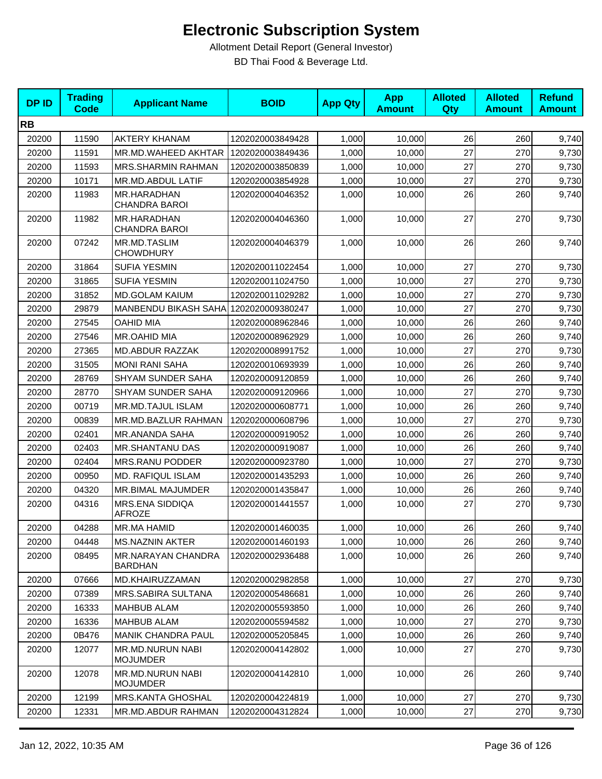| <b>DPID</b> | <b>Trading</b><br><b>Code</b> | <b>Applicant Name</b>                       | <b>BOID</b>      | <b>App Qty</b> | <b>App</b><br><b>Amount</b> | <b>Alloted</b><br>Qty | <b>Alloted</b><br><b>Amount</b> | <b>Refund</b><br><b>Amount</b> |
|-------------|-------------------------------|---------------------------------------------|------------------|----------------|-----------------------------|-----------------------|---------------------------------|--------------------------------|
| <b>RB</b>   |                               |                                             |                  |                |                             |                       |                                 |                                |
| 20200       | 11590                         | <b>AKTERY KHANAM</b>                        | 1202020003849428 | 1,000          | 10,000                      | 26                    | 260                             | 9,740                          |
| 20200       | 11591                         | MR.MD.WAHEED AKHTAR                         | 1202020003849436 | 1,000          | 10,000                      | 27                    | 270                             | 9,730                          |
| 20200       | 11593                         | <b>MRS.SHARMIN RAHMAN</b>                   | 1202020003850839 | 1,000          | 10,000                      | 27                    | 270                             | 9,730                          |
| 20200       | 10171                         | MR.MD.ABDUL LATIF                           | 1202020003854928 | 1,000          | 10,000                      | 27                    | 270                             | 9,730                          |
| 20200       | 11983                         | MR.HARADHAN<br><b>CHANDRA BAROI</b>         | 1202020004046352 | 1,000          | 10,000                      | 26                    | 260                             | 9,740                          |
| 20200       | 11982                         | MR.HARADHAN<br><b>CHANDRA BAROI</b>         | 1202020004046360 | 1,000          | 10,000                      | 27                    | 270                             | 9,730                          |
| 20200       | 07242                         | MR.MD.TASLIM<br><b>CHOWDHURY</b>            | 1202020004046379 | 1,000          | 10,000                      | 26                    | 260                             | 9,740                          |
| 20200       | 31864                         | <b>SUFIA YESMIN</b>                         | 1202020011022454 | 1,000          | 10,000                      | 27                    | 270                             | 9,730                          |
| 20200       | 31865                         | <b>SUFIA YESMIN</b>                         | 1202020011024750 | 1,000          | 10,000                      | 27                    | 270                             | 9,730                          |
| 20200       | 31852                         | <b>MD.GOLAM KAIUM</b>                       | 1202020011029282 | 1,000          | 10,000                      | 27                    | 270                             | 9,730                          |
| 20200       | 29879                         | MANBENDU BIKASH SAHA 1202020009380247       |                  | 1,000          | 10,000                      | 27                    | 270                             | 9,730                          |
| 20200       | 27545                         | <b>OAHID MIA</b>                            | 1202020008962846 | 1,000          | 10,000                      | 26                    | 260                             | 9,740                          |
| 20200       | 27546                         | MR.OAHID MIA                                | 1202020008962929 | 1,000          | 10,000                      | 26                    | 260                             | 9,740                          |
| 20200       | 27365                         | <b>MD.ABDUR RAZZAK</b>                      | 1202020008991752 | 1,000          | 10,000                      | 27                    | 270                             | 9,730                          |
| 20200       | 31505                         | <b>MONI RANI SAHA</b>                       | 1202020010693939 | 1,000          | 10,000                      | 26                    | 260                             | 9,740                          |
| 20200       | 28769                         | <b>SHYAM SUNDER SAHA</b>                    | 1202020009120859 | 1,000          | 10,000                      | 26                    | 260                             | 9,740                          |
| 20200       | 28770                         | <b>SHYAM SUNDER SAHA</b>                    | 1202020009120966 | 1,000          | 10,000                      | 27                    | 270                             | 9,730                          |
| 20200       | 00719                         | MR.MD.TAJUL ISLAM                           | 1202020000608771 | 1,000          | 10,000                      | 26                    | 260                             | 9,740                          |
| 20200       | 00839                         | <b>MR.MD.BAZLUR RAHMAN</b>                  | 1202020000608796 | 1,000          | 10,000                      | 27                    | 270                             | 9,730                          |
| 20200       | 02401                         | MR.ANANDA SAHA                              | 1202020000919052 | 1,000          | 10,000                      | 26                    | 260                             | 9,740                          |
| 20200       | 02403                         | <b>MR.SHANTANU DAS</b>                      | 1202020000919087 | 1,000          | 10,000                      | 26                    | 260                             | 9,740                          |
| 20200       | 02404                         | <b>MRS.RANU PODDER</b>                      | 1202020000923780 | 1,000          | 10,000                      | 27                    | 270                             | 9,730                          |
| 20200       | 00950                         | MD. RAFIQUL ISLAM                           | 1202020001435293 | 1,000          | 10,000                      | 26                    | 260                             | 9,740                          |
| 20200       | 04320                         | MR.BIMAL MAJUMDER                           | 1202020001435847 | 1,000          | 10,000                      | 26                    | 260                             | 9,740                          |
| 20200       | 04316                         | <b>MRS.ENA SIDDIQA</b><br><b>AFROZE</b>     | 1202020001441557 | 1,000          | 10,000                      | 27                    | 270                             | 9,730                          |
| 20200       | 04288                         | MR.MA HAMID                                 | 1202020001460035 | 1,000          | 10,000                      | 26                    | <b>260</b>                      | 9,740                          |
| 20200       | 04448                         | <b>MS.NAZNIN AKTER</b>                      | 1202020001460193 | 1,000          | 10,000                      | 26                    | 260                             | 9,740                          |
| 20200       | 08495                         | <b>MR.NARAYAN CHANDRA</b><br><b>BARDHAN</b> | 1202020002936488 | 1,000          | 10,000                      | 26                    | 260                             | 9,740                          |
| 20200       | 07666                         | MD.KHAIRUZZAMAN                             | 1202020002982858 | 1,000          | 10,000                      | 27                    | 270                             | 9,730                          |
| 20200       | 07389                         | <b>MRS.SABIRA SULTANA</b>                   | 1202020005486681 | 1,000          | 10,000                      | 26                    | 260                             | 9,740                          |
| 20200       | 16333                         | <b>MAHBUB ALAM</b>                          | 1202020005593850 | 1,000          | 10,000                      | 26                    | 260                             | 9,740                          |
| 20200       | 16336                         | <b>MAHBUB ALAM</b>                          | 1202020005594582 | 1,000          | 10,000                      | 27                    | 270                             | 9,730                          |
| 20200       | 0B476                         | <b>MANIK CHANDRA PAUL</b>                   | 1202020005205845 | 1,000          | 10,000                      | 26                    | 260                             | 9,740                          |
| 20200       | 12077                         | <b>MR.MD.NURUN NABI</b><br><b>MOJUMDER</b>  | 1202020004142802 | 1,000          | 10,000                      | 27                    | 270                             | 9,730                          |
| 20200       | 12078                         | <b>MR.MD.NURUN NABI</b><br><b>MOJUMDER</b>  | 1202020004142810 | 1,000          | 10,000                      | 26                    | 260                             | 9,740                          |
| 20200       | 12199                         | <b>MRS.KANTA GHOSHAL</b>                    | 1202020004224819 | 1,000          | 10,000                      | 27                    | 270                             | 9,730                          |
| 20200       | 12331                         | MR.MD.ABDUR RAHMAN                          | 1202020004312824 | 1,000          | 10,000                      | 27                    | 270                             | 9,730                          |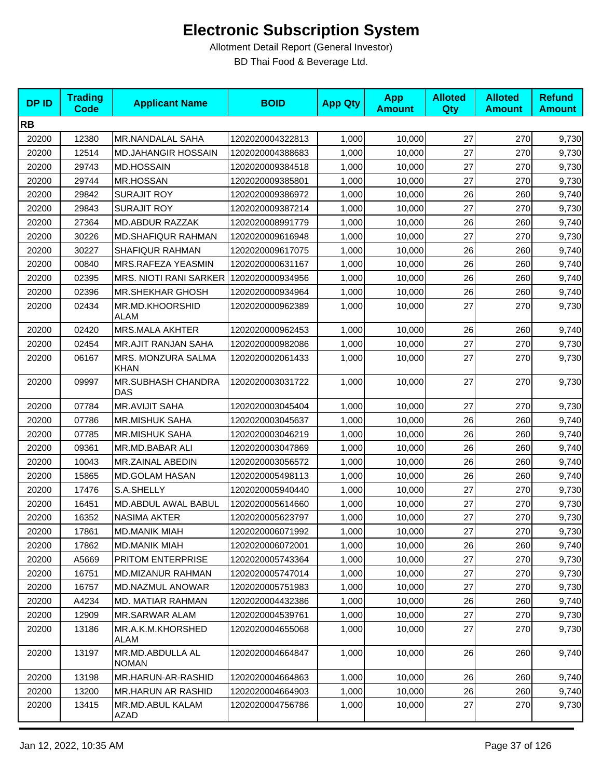| <b>DPID</b> | <b>Trading</b><br><b>Code</b> | <b>Applicant Name</b>            | <b>BOID</b>      | <b>App Qty</b> | <b>App</b><br><b>Amount</b> | <b>Alloted</b><br><b>Qty</b> | <b>Alloted</b><br><b>Amount</b> | <b>Refund</b><br><b>Amount</b> |
|-------------|-------------------------------|----------------------------------|------------------|----------------|-----------------------------|------------------------------|---------------------------------|--------------------------------|
| <b>RB</b>   |                               |                                  |                  |                |                             |                              |                                 |                                |
| 20200       | 12380                         | MR.NANDALAL SAHA                 | 1202020004322813 | 1,000          | 10,000                      | 27                           | 270                             | 9,730                          |
| 20200       | 12514                         | <b>MD.JAHANGIR HOSSAIN</b>       | 1202020004388683 | 1,000          | 10,000                      | 27                           | 270                             | 9,730                          |
| 20200       | 29743                         | <b>MD.HOSSAIN</b>                | 1202020009384518 | 1,000          | 10,000                      | 27                           | 270                             | 9,730                          |
| 20200       | 29744                         | <b>MR.HOSSAN</b>                 | 1202020009385801 | 1,000          | 10,000                      | 27                           | 270                             | 9,730                          |
| 20200       | 29842                         | <b>SURAJIT ROY</b>               | 1202020009386972 | 1,000          | 10,000                      | 26                           | 260                             | 9,740                          |
| 20200       | 29843                         | <b>SURAJIT ROY</b>               | 1202020009387214 | 1,000          | 10,000                      | 27                           | 270                             | 9,730                          |
| 20200       | 27364                         | MD.ABDUR RAZZAK                  | 1202020008991779 | 1,000          | 10,000                      | 26                           | 260                             | 9,740                          |
| 20200       | 30226                         | <b>MD.SHAFIQUR RAHMAN</b>        | 1202020009616948 | 1,000          | 10,000                      | 27                           | 270                             | 9,730                          |
| 20200       | 30227                         | <b>SHAFIQUR RAHMAN</b>           | 1202020009617075 | 1,000          | 10,000                      | 26                           | 260                             | 9,740                          |
| 20200       | 00840                         | MRS.RAFEZA YEASMIN               | 1202020000631167 | 1,000          | 10,000                      | 26                           | 260                             | 9,740                          |
| 20200       | 02395                         | MRS. NIOTI RANI SARKER           | 1202020000934956 | 1,000          | 10,000                      | 26                           | 260                             | 9,740                          |
| 20200       | 02396                         | <b>MR.SHEKHAR GHOSH</b>          | 1202020000934964 | 1,000          | 10,000                      | 26                           | 260                             | 9,740                          |
| 20200       | 02434                         | MR.MD.KHOORSHID<br><b>ALAM</b>   | 1202020000962389 | 1,000          | 10,000                      | 27                           | 270                             | 9,730                          |
| 20200       | 02420                         | <b>MRS.MALA AKHTER</b>           | 1202020000962453 | 1,000          | 10,000                      | 26                           | 260                             | 9,740                          |
| 20200       | 02454                         | <b>MR.AJIT RANJAN SAHA</b>       | 1202020000982086 | 1,000          | 10,000                      | 27                           | 270                             | 9,730                          |
| 20200       | 06167                         | MRS. MONZURA SALMA<br>KHAN       | 1202020002061433 | 1,000          | 10,000                      | 27                           | 270                             | 9,730                          |
| 20200       | 09997                         | MR.SUBHASH CHANDRA<br>DAS        | 1202020003031722 | 1,000          | 10,000                      | 27                           | 270                             | 9,730                          |
| 20200       | 07784                         | <b>MR.AVIJIT SAHA</b>            | 1202020003045404 | 1,000          | 10,000                      | 27                           | 270                             | 9,730                          |
| 20200       | 07786                         | <b>MR.MISHUK SAHA</b>            | 1202020003045637 | 1,000          | 10,000                      | 26                           | 260                             | 9,740                          |
| 20200       | 07785                         | <b>MR.MISHUK SAHA</b>            | 1202020003046219 | 1,000          | 10,000                      | 26                           | 260                             | 9,740                          |
| 20200       | 09361                         | MR.MD.BABAR ALI                  | 1202020003047869 | 1,000          | 10,000                      | 26                           | 260                             | 9,740                          |
| 20200       | 10043                         | MR.ZAINAL ABEDIN                 | 1202020003056572 | 1,000          | 10,000                      | 26                           | 260                             | 9,740                          |
| 20200       | 15865                         | <b>MD.GOLAM HASAN</b>            | 1202020005498113 | 1,000          | 10,000                      | 26                           | 260                             | 9,740                          |
| 20200       | 17476                         | S.A.SHELLY                       | 1202020005940440 | 1,000          | 10,000                      | 27                           | 270                             | 9,730                          |
| 20200       | 16451                         | MD.ABDUL AWAL BABUL              | 1202020005614660 | 1,000          | 10,000                      | 27                           | 270                             | 9,730                          |
| 20200       | 16352                         | NASIMA AKTER                     | 1202020005623797 | 1,000          | 10,000                      | 27                           | 270                             | 9,730                          |
| 20200       | 17861                         | MD.MANIK MIAH                    | 1202020006071992 | 1,000          | 10,000                      | 27                           | 270                             | 9,730                          |
| 20200       | 17862                         | <b>MD.MANIK MIAH</b>             | 1202020006072001 | 1,000          | 10,000                      | 26                           | 260                             | 9,740                          |
| 20200       | A5669                         | PRITOM ENTERPRISE                | 1202020005743364 | 1,000          | 10,000                      | 27                           | 270                             | 9,730                          |
| 20200       | 16751                         | <b>MD.MIZANUR RAHMAN</b>         | 1202020005747014 | 1,000          | 10,000                      | 27                           | 270                             | 9,730                          |
| 20200       | 16757                         | <b>MD.NAZMUL ANOWAR</b>          | 1202020005751983 | 1,000          | 10,000                      | 27                           | 270                             | 9,730                          |
| 20200       | A4234                         | MD. MATIAR RAHMAN                | 1202020004432386 | 1,000          | 10,000                      | 26                           | 260                             | 9,740                          |
| 20200       | 12909                         | MR.SARWAR ALAM                   | 1202020004539761 | 1,000          | 10,000                      | 27                           | 270                             | 9,730                          |
| 20200       | 13186                         | MR.A.K.M.KHORSHED<br>ALAM        | 1202020004655068 | 1,000          | 10,000                      | 27                           | 270                             | 9,730                          |
| 20200       | 13197                         | MR.MD.ABDULLA AL<br><b>NOMAN</b> | 1202020004664847 | 1,000          | 10,000                      | 26                           | 260                             | 9,740                          |
| 20200       | 13198                         | MR.HARUN-AR-RASHID               | 1202020004664863 | 1,000          | 10,000                      | 26                           | 260                             | 9,740                          |
| 20200       | 13200                         | <b>MR.HARUN AR RASHID</b>        | 1202020004664903 | 1,000          | 10,000                      | 26                           | 260                             | 9,740                          |
| 20200       | 13415                         | MR.MD.ABUL KALAM<br>AZAD         | 1202020004756786 | 1,000          | 10,000                      | 27                           | 270                             | 9,730                          |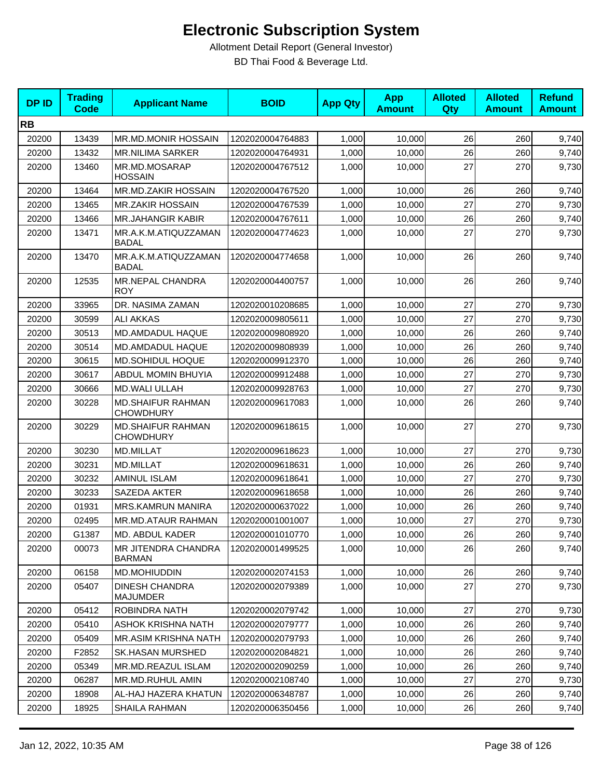| <b>DPID</b> | <b>Trading</b><br><b>Code</b> | <b>Applicant Name</b>                        | <b>BOID</b>      | <b>App Qty</b> | <b>App</b><br><b>Amount</b> | <b>Alloted</b><br>Qty | <b>Alloted</b><br><b>Amount</b> | <b>Refund</b><br><b>Amount</b> |
|-------------|-------------------------------|----------------------------------------------|------------------|----------------|-----------------------------|-----------------------|---------------------------------|--------------------------------|
| <b>RB</b>   |                               |                                              |                  |                |                             |                       |                                 |                                |
| 20200       | 13439                         | MR.MD.MONIR HOSSAIN                          | 1202020004764883 | 1,000          | 10,000                      | 26                    | 260                             | 9,740                          |
| 20200       | 13432                         | <b>MR.NILIMA SARKER</b>                      | 1202020004764931 | 1,000          | 10,000                      | 26                    | 260                             | 9,740                          |
| 20200       | 13460                         | MR.MD.MOSARAP<br><b>HOSSAIN</b>              | 1202020004767512 | 1,000          | 10,000                      | 27                    | 270                             | 9,730                          |
| 20200       | 13464                         | MR.MD.ZAKIR HOSSAIN                          | 1202020004767520 | 1,000          | 10,000                      | 26                    | 260                             | 9,740                          |
| 20200       | 13465                         | <b>MR.ZAKIR HOSSAIN</b>                      | 1202020004767539 | 1,000          | 10,000                      | 27                    | 270                             | 9,730                          |
| 20200       | 13466                         | <b>MR.JAHANGIR KABIR</b>                     | 1202020004767611 | 1,000          | 10,000                      | 26                    | 260                             | 9,740                          |
| 20200       | 13471                         | MR.A.K.M.ATIQUZZAMAN<br><b>BADAL</b>         | 1202020004774623 | 1,000          | 10,000                      | 27                    | 270                             | 9,730                          |
| 20200       | 13470                         | MR.A.K.M.ATIQUZZAMAN<br><b>BADAL</b>         | 1202020004774658 | 1,000          | 10,000                      | 26                    | 260                             | 9,740                          |
| 20200       | 12535                         | <b>MR.NEPAL CHANDRA</b><br>ROY               | 1202020004400757 | 1,000          | 10,000                      | 26                    | 260                             | 9,740                          |
| 20200       | 33965                         | DR. NASIMA ZAMAN                             | 1202020010208685 | 1,000          | 10,000                      | 27                    | 270                             | 9,730                          |
| 20200       | 30599                         | <b>ALI AKKAS</b>                             | 1202020009805611 | 1,000          | 10,000                      | 27                    | 270                             | 9,730                          |
| 20200       | 30513                         | MD.AMDADUL HAQUE                             | 1202020009808920 | 1,000          | 10,000                      | 26                    | 260                             | 9,740                          |
| 20200       | 30514                         | MD.AMDADUL HAQUE                             | 1202020009808939 | 1,000          | 10,000                      | 26                    | 260                             | 9,740                          |
| 20200       | 30615                         | MD.SOHIDUL HOQUE                             | 1202020009912370 | 1,000          | 10,000                      | 26                    | 260                             | 9,740                          |
| 20200       | 30617                         | ABDUL MOMIN BHUYIA                           | 1202020009912488 | 1,000          | 10,000                      | 27                    | 270                             | 9,730                          |
| 20200       | 30666                         | MD.WALI ULLAH                                | 1202020009928763 | 1,000          | 10,000                      | 27                    | 270                             | 9,730                          |
| 20200       | 30228                         | <b>MD.SHAIFUR RAHMAN</b><br><b>CHOWDHURY</b> | 1202020009617083 | 1,000          | 10,000                      | 26                    | 260                             | 9,740                          |
| 20200       | 30229                         | <b>MD.SHAIFUR RAHMAN</b><br><b>CHOWDHURY</b> | 1202020009618615 | 1,000          | 10,000                      | 27                    | 270                             | 9,730                          |
| 20200       | 30230                         | <b>MD.MILLAT</b>                             | 1202020009618623 | 1,000          | 10,000                      | 27                    | 270                             | 9,730                          |
| 20200       | 30231                         | MD.MILLAT                                    | 1202020009618631 | 1,000          | 10,000                      | 26                    | 260                             | 9,740                          |
| 20200       | 30232                         | <b>AMINUL ISLAM</b>                          | 1202020009618641 | 1,000          | 10,000                      | 27                    | 270                             | 9,730                          |
| 20200       | 30233                         | SAZEDA AKTER                                 | 1202020009618658 | 1,000          | 10,000                      | 26                    | 260                             | 9,740                          |
| 20200       | 01931                         | <b>MRS.KAMRUN MANIRA</b>                     | 1202020000637022 | 1,000          | 10,000                      | 26                    | 260                             | 9,740                          |
| 20200       | 02495                         | MR.MD.ATAUR RAHMAN                           | 1202020001001007 | 1,000          | 10,000                      | 27                    | 270                             | 9,730                          |
| 20200       | G1387                         | <b>MD. ABDUL KADER</b>                       | 1202020001010770 | 1,000          | 10,000                      | 26                    | 260                             | 9,740                          |
| 20200       | 00073                         | MR JITENDRA CHANDRA<br><b>BARMAN</b>         | 1202020001499525 | 1.000          | 10,000                      | 26                    | 260                             | 9,740                          |
| 20200       | 06158                         | MD.MOHIUDDIN                                 | 1202020002074153 | 1,000          | 10,000                      | 26                    | 260                             | 9,740                          |
| 20200       | 05407                         | <b>DINESH CHANDRA</b><br>MAJUMDER            | 1202020002079389 | 1,000          | 10,000                      | 27                    | 270                             | 9,730                          |
| 20200       | 05412                         | ROBINDRA NATH                                | 1202020002079742 | 1,000          | 10,000                      | 27                    | 270                             | 9,730                          |
| 20200       | 05410                         | <b>ASHOK KRISHNA NATH</b>                    | 1202020002079777 | 1,000          | 10,000                      | 26                    | 260                             | 9,740                          |
| 20200       | 05409                         | MR.ASIM KRISHNA NATH                         | 1202020002079793 | 1,000          | 10,000                      | 26                    | 260                             | 9,740                          |
| 20200       | F2852                         | <b>SK.HASAN MURSHED</b>                      | 1202020002084821 | 1,000          | 10.000                      | 26                    | 260                             | 9,740                          |
| 20200       | 05349                         | MR.MD.REAZUL ISLAM                           | 1202020002090259 | 1,000          | 10,000                      | 26                    | 260                             | 9,740                          |
| 20200       | 06287                         | MR.MD.RUHUL AMIN                             | 1202020002108740 | 1,000          | 10,000                      | 27                    | 270                             | 9,730                          |
| 20200       | 18908                         | AL-HAJ HAZERA KHATUN                         | 1202020006348787 | 1,000          | 10,000                      | 26                    | 260                             | 9,740                          |
| 20200       | 18925                         | SHAILA RAHMAN                                | 1202020006350456 | 1,000          | 10,000                      | 26                    | 260                             | 9,740                          |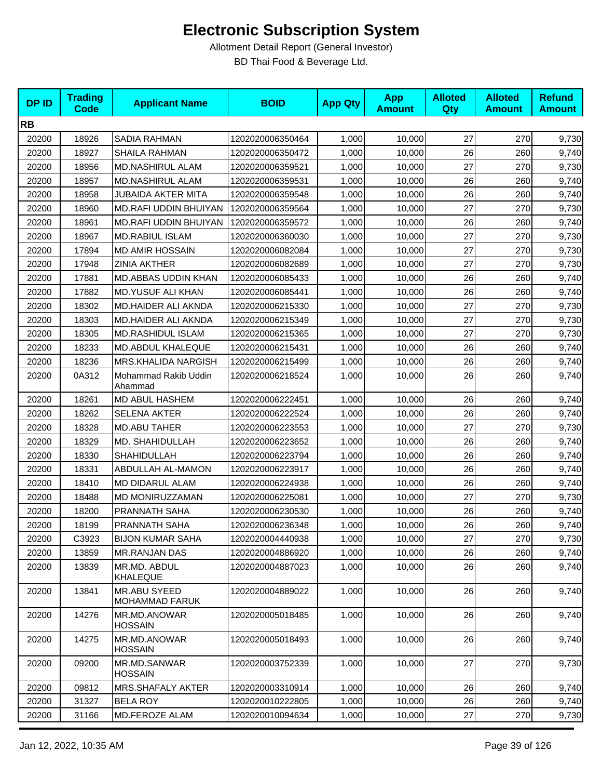| <b>DPID</b> | <b>Trading</b><br><b>Code</b> | <b>Applicant Name</b>                 | <b>BOID</b>      | <b>App Qty</b> | <b>App</b><br><b>Amount</b> | <b>Alloted</b><br>Qty | <b>Alloted</b><br><b>Amount</b> | <b>Refund</b><br><b>Amount</b> |
|-------------|-------------------------------|---------------------------------------|------------------|----------------|-----------------------------|-----------------------|---------------------------------|--------------------------------|
| <b>RB</b>   |                               |                                       |                  |                |                             |                       |                                 |                                |
| 20200       | 18926                         | SADIA RAHMAN                          | 1202020006350464 | 1,000          | 10,000                      | 27                    | 270                             | 9,730                          |
| 20200       | 18927                         | <b>SHAILA RAHMAN</b>                  | 1202020006350472 | 1,000          | 10,000                      | 26                    | 260                             | 9,740                          |
| 20200       | 18956                         | <b>MD.NASHIRUL ALAM</b>               | 1202020006359521 | 1,000          | 10,000                      | 27                    | 270                             | 9,730                          |
| 20200       | 18957                         | <b>MD.NASHIRUL ALAM</b>               | 1202020006359531 | 1,000          | 10,000                      | 26                    | 260                             | 9,740                          |
| 20200       | 18958                         | <b>JUBAIDA AKTER MITA</b>             | 1202020006359548 | 1,000          | 10,000                      | 26                    | 260                             | 9,740                          |
| 20200       | 18960                         | MD.RAFI UDDIN BHUIYAN                 | 1202020006359564 | 1,000          | 10,000                      | 27                    | 270                             | 9,730                          |
| 20200       | 18961                         | MD.RAFI UDDIN BHUIYAN                 | 1202020006359572 | 1,000          | 10,000                      | 26                    | 260                             | 9,740                          |
| 20200       | 18967                         | <b>MD.RABIUL ISLAM</b>                | 1202020006360030 | 1,000          | 10,000                      | 27                    | 270                             | 9,730                          |
| 20200       | 17894                         | <b>MD AMIR HOSSAIN</b>                | 1202020006082084 | 1,000          | 10,000                      | 27                    | 270                             | 9,730                          |
| 20200       | 17948                         | <b>ZINIA AKTHER</b>                   | 1202020006082689 | 1,000          | 10,000                      | 27                    | 270                             | 9,730                          |
| 20200       | 17881                         | MD.ABBAS UDDIN KHAN                   | 1202020006085433 | 1,000          | 10,000                      | 26                    | 260                             | 9,740                          |
| 20200       | 17882                         | <b>MD.YUSUF ALI KHAN</b>              | 1202020006085441 | 1,000          | 10,000                      | 26                    | 260                             | 9,740                          |
| 20200       | 18302                         | MD.HAIDER ALI AKNDA                   | 1202020006215330 | 1,000          | 10,000                      | 27                    | 270                             | 9,730                          |
| 20200       | 18303                         | MD.HAIDER ALI AKNDA                   | 1202020006215349 | 1,000          | 10,000                      | 27                    | 270                             | 9,730                          |
| 20200       | 18305                         | <b>MD.RASHIDUL ISLAM</b>              | 1202020006215365 | 1,000          | 10,000                      | 27                    | 270                             | 9,730                          |
| 20200       | 18233                         | MD.ABDUL KHALEQUE                     | 1202020006215431 | 1,000          | 10,000                      | 26                    | 260                             | 9,740                          |
| 20200       | 18236                         | MRS.KHALIDA NARGISH                   | 1202020006215499 | 1,000          | 10,000                      | 26                    | 260                             | 9,740                          |
| 20200       | 0A312                         | Mohammad Rakib Uddin<br>Ahammad       | 1202020006218524 | 1,000          | 10,000                      | 26                    | 260                             | 9,740                          |
| 20200       | 18261                         | MD ABUL HASHEM                        | 1202020006222451 | 1,000          | 10,000                      | 26                    | 260                             | 9,740                          |
| 20200       | 18262                         | <b>SELENA AKTER</b>                   | 1202020006222524 | 1,000          | 10,000                      | 26                    | 260                             | 9,740                          |
| 20200       | 18328                         | <b>MD.ABU TAHER</b>                   | 1202020006223553 | 1,000          | 10,000                      | 27                    | 270                             | 9,730                          |
| 20200       | 18329                         | MD. SHAHIDULLAH                       | 1202020006223652 | 1,000          | 10,000                      | 26                    | 260                             | 9,740                          |
| 20200       | 18330                         | SHAHIDULLAH                           | 1202020006223794 | 1,000          | 10,000                      | 26                    | 260                             | 9,740                          |
| 20200       | 18331                         | ABDULLAH AL-MAMON                     | 1202020006223917 | 1,000          | 10,000                      | 26                    | 260                             | 9,740                          |
| 20200       | 18410                         | MD DIDARUL ALAM                       | 1202020006224938 | 1,000          | 10,000                      | 26                    | 260                             | 9,740                          |
| 20200       | 18488                         | MD MONIRUZZAMAN                       | 1202020006225081 | 1,000          | 10,000                      | 27                    | 270                             | 9,730                          |
| 20200       | 18200                         | PRANNATH SAHA                         | 1202020006230530 | 1,000          | 10,000                      | 26                    | 260                             | 9,740                          |
| 20200       | 18199                         | PRANNATH SAHA                         | 1202020006236348 | 1,000          | 10,000                      | 26                    | 260                             | 9,740                          |
| 20200       | C3923                         | <b>BIJON KUMAR SAHA</b>               | 1202020004440938 | 1,000          | 10,000                      | 27                    | 270                             | 9,730                          |
| 20200       | 13859                         | <b>MR.RANJAN DAS</b>                  | 1202020004886920 | 1,000          | 10,000                      | 26                    | 260                             | 9,740                          |
| 20200       | 13839                         | MR.MD. ABDUL<br>KHALEQUE              | 1202020004887023 | 1,000          | 10,000                      | 26                    | 260                             | 9,740                          |
| 20200       | 13841                         | MR.ABU SYEED<br><b>MOHAMMAD FARUK</b> | 1202020004889022 | 1,000          | 10,000                      | 26                    | 260                             | 9,740                          |
| 20200       | 14276                         | MR.MD.ANOWAR<br><b>HOSSAIN</b>        | 1202020005018485 | 1,000          | 10,000                      | 26                    | 260                             | 9,740                          |
| 20200       | 14275                         | MR.MD.ANOWAR<br><b>HOSSAIN</b>        | 1202020005018493 | 1,000          | 10,000                      | 26                    | 260                             | 9,740                          |
| 20200       | 09200                         | MR.MD.SANWAR<br><b>HOSSAIN</b>        | 1202020003752339 | 1,000          | 10,000                      | 27                    | 270                             | 9,730                          |
| 20200       | 09812                         | <b>MRS.SHAFALY AKTER</b>              | 1202020003310914 | 1,000          | 10,000                      | 26                    | 260                             | 9,740                          |
| 20200       | 31327                         | <b>BELA ROY</b>                       | 1202020010222805 | 1,000          | 10,000                      | 26                    | 260                             | 9,740                          |
| 20200       | 31166                         | MD.FEROZE ALAM                        | 1202020010094634 | 1,000          | 10,000                      | 27                    | 270                             | 9,730                          |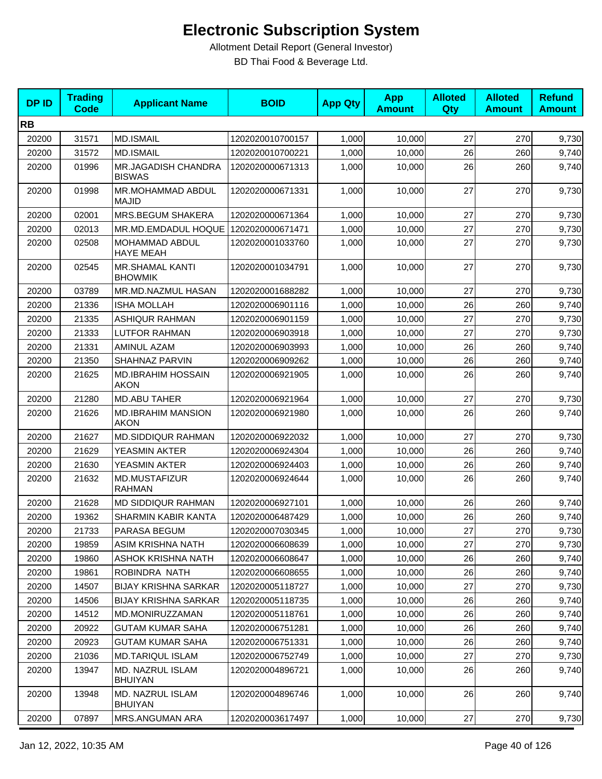| <b>DPID</b> | <b>Trading</b><br><b>Code</b> | <b>Applicant Name</b>                       | <b>BOID</b>      | <b>App Qty</b> | <b>App</b><br><b>Amount</b> | <b>Alloted</b><br>Qty | <b>Alloted</b><br><b>Amount</b> | <b>Refund</b><br><b>Amount</b> |
|-------------|-------------------------------|---------------------------------------------|------------------|----------------|-----------------------------|-----------------------|---------------------------------|--------------------------------|
| <b>RB</b>   |                               |                                             |                  |                |                             |                       |                                 |                                |
| 20200       | 31571                         | <b>MD.ISMAIL</b>                            | 1202020010700157 | 1,000          | 10,000                      | 27                    | 270                             | 9,730                          |
| 20200       | 31572                         | <b>MD.ISMAIL</b>                            | 1202020010700221 | 1,000          | 10,000                      | 26                    | 260                             | 9,740                          |
| 20200       | 01996                         | <b>MR.JAGADISH CHANDRA</b><br><b>BISWAS</b> | 1202020000671313 | 1,000          | 10,000                      | 26                    | 260                             | 9,740                          |
| 20200       | 01998                         | MR.MOHAMMAD ABDUL<br><b>MAJID</b>           | 1202020000671331 | 1,000          | 10,000                      | 27                    | 270                             | 9,730                          |
| 20200       | 02001                         | MRS.BEGUM SHAKERA                           | 1202020000671364 | 1,000          | 10,000                      | 27                    | 270                             | 9,730                          |
| 20200       | 02013                         | MR.MD.EMDADUL HOQUE                         | 1202020000671471 | 1,000          | 10,000                      | 27                    | 270                             | 9,730                          |
| 20200       | 02508                         | MOHAMMAD ABDUL<br><b>HAYE MEAH</b>          | 1202020001033760 | 1,000          | 10,000                      | 27                    | 270                             | 9,730                          |
| 20200       | 02545                         | <b>MR.SHAMAL KANTI</b><br><b>BHOWMIK</b>    | 1202020001034791 | 1,000          | 10,000                      | 27                    | 270                             | 9,730                          |
| 20200       | 03789                         | MR.MD.NAZMUL HASAN                          | 1202020001688282 | 1,000          | 10,000                      | 27                    | 270                             | 9,730                          |
| 20200       | 21336                         | <b>ISHA MOLLAH</b>                          | 1202020006901116 | 1,000          | 10,000                      | 26                    | 260                             | 9,740                          |
| 20200       | 21335                         | <b>ASHIQUR RAHMAN</b>                       | 1202020006901159 | 1,000          | 10,000                      | 27                    | 270                             | 9,730                          |
| 20200       | 21333                         | <b>LUTFOR RAHMAN</b>                        | 1202020006903918 | 1,000          | 10,000                      | 27                    | 270                             | 9,730                          |
| 20200       | 21331                         | <b>AMINUL AZAM</b>                          | 1202020006903993 | 1,000          | 10,000                      | 26                    | 260                             | 9,740                          |
| 20200       | 21350                         | SHAHNAZ PARVIN                              | 1202020006909262 | 1,000          | 10,000                      | 26                    | 260                             | 9,740                          |
| 20200       | 21625                         | <b>MD.IBRAHIM HOSSAIN</b><br><b>AKON</b>    | 1202020006921905 | 1,000          | 10,000                      | 26                    | 260                             | 9,740                          |
| 20200       | 21280                         | <b>MD.ABU TAHER</b>                         | 1202020006921964 | 1,000          | 10,000                      | 27                    | 270                             | 9,730                          |
| 20200       | 21626                         | <b>MD.IBRAHIM MANSION</b><br><b>AKON</b>    | 1202020006921980 | 1,000          | 10,000                      | 26                    | 260                             | 9,740                          |
| 20200       | 21627                         | <b>MD.SIDDIQUR RAHMAN</b>                   | 1202020006922032 | 1,000          | 10,000                      | 27                    | 270                             | 9,730                          |
| 20200       | 21629                         | YEASMIN AKTER                               | 1202020006924304 | 1,000          | 10,000                      | 26                    | 260                             | 9,740                          |
| 20200       | 21630                         | YEASMIN AKTER                               | 1202020006924403 | 1,000          | 10,000                      | 26                    | 260                             | 9,740                          |
| 20200       | 21632                         | MD.MUSTAFIZUR<br><b>RAHMAN</b>              | 1202020006924644 | 1,000          | 10,000                      | 26                    | 260                             | 9,740                          |
| 20200       | 21628                         | <b>MD SIDDIQUR RAHMAN</b>                   | 1202020006927101 | 1,000          | 10,000                      | 26                    | 260                             | 9,740                          |
| 20200       | 19362                         | SHARMIN KABIR KANTA                         | 1202020006487429 | 1,000          | 10,000                      | 26                    | 260                             | 9,740                          |
| 20200       | 21733                         | PARASA BEGUM                                | 1202020007030345 | 1,000          | 10,000                      | $27\,$                | 270                             | 9,730                          |
| 20200       | 19859                         | ASIM KRISHNA NATH                           | 1202020006608639 | 1,000          | 10,000                      | 27                    | 270                             | 9,730                          |
| 20200       | 19860                         | <b>ASHOK KRISHNA NATH</b>                   | 1202020006608647 | 1,000          | 10,000                      | 26                    | 260                             | 9,740                          |
| 20200       | 19861                         | ROBINDRA NATH                               | 1202020006608655 | 1,000          | 10,000                      | 26                    | 260                             | 9,740                          |
| 20200       | 14507                         | <b>BIJAY KRISHNA SARKAR</b>                 | 1202020005118727 | 1,000          | 10,000                      | 27                    | 270                             | 9,730                          |
| 20200       | 14506                         | <b>BIJAY KRISHNA SARKAR</b>                 | 1202020005118735 | 1,000          | 10,000                      | 26                    | 260                             | 9,740                          |
| 20200       | 14512                         | MD.MONIRUZZAMAN                             | 1202020005118761 | 1,000          | 10,000                      | 26                    | 260                             | 9,740                          |
| 20200       | 20922                         | <b>GUTAM KUMAR SAHA</b>                     | 1202020006751281 | 1,000          | 10,000                      | 26                    | 260                             | 9,740                          |
| 20200       | 20923                         | <b>GUTAM KUMAR SAHA</b>                     | 1202020006751331 | 1,000          | 10,000                      | 26                    | 260                             | 9,740                          |
| 20200       | 21036                         | <b>MD.TARIQUL ISLAM</b>                     | 1202020006752749 | 1,000          | 10,000                      | 27                    | 270                             | 9,730                          |
| 20200       | 13947                         | MD. NAZRUL ISLAM<br><b>BHUIYAN</b>          | 1202020004896721 | 1,000          | 10,000                      | 26                    | 260                             | 9,740                          |
| 20200       | 13948                         | MD. NAZRUL ISLAM<br><b>BHUIYAN</b>          | 1202020004896746 | 1,000          | 10,000                      | 26                    | 260                             | 9,740                          |
| 20200       | 07897                         | MRS.ANGUMAN ARA                             | 1202020003617497 | 1,000          | 10,000                      | 27                    | 270                             | 9,730                          |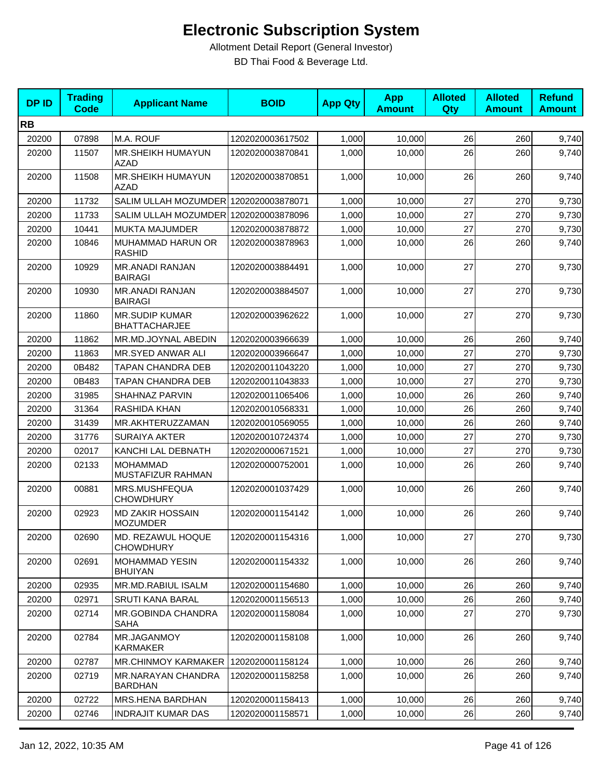| <b>DPID</b> | <b>Trading</b><br><b>Code</b> | <b>Applicant Name</b>                         | <b>BOID</b>      | <b>App Qty</b> | <b>App</b><br><b>Amount</b> | <b>Alloted</b><br>Qty | <b>Alloted</b><br><b>Amount</b> | <b>Refund</b><br><b>Amount</b> |
|-------------|-------------------------------|-----------------------------------------------|------------------|----------------|-----------------------------|-----------------------|---------------------------------|--------------------------------|
| <b>RB</b>   |                               |                                               |                  |                |                             |                       |                                 |                                |
| 20200       | 07898                         | M.A. ROUF                                     | 1202020003617502 | 1,000          | 10,000                      | 26                    | 260                             | 9,740                          |
| 20200       | 11507                         | MR.SHEIKH HUMAYUN<br><b>AZAD</b>              | 1202020003870841 | 1,000          | 10,000                      | 26                    | 260                             | 9,740                          |
| 20200       | 11508                         | MR.SHEIKH HUMAYUN<br><b>AZAD</b>              | 1202020003870851 | 1,000          | 10,000                      | 26                    | 260                             | 9,740                          |
| 20200       | 11732                         | SALIM ULLAH MOZUMDER 1202020003878071         |                  | 1,000          | 10,000                      | 27                    | 270                             | 9,730                          |
| 20200       | 11733                         | SALIM ULLAH MOZUMDER 1202020003878096         |                  | 1,000          | 10,000                      | 27                    | 270                             | 9,730                          |
| 20200       | 10441                         | <b>MUKTA MAJUMDER</b>                         | 1202020003878872 | 1,000          | 10,000                      | 27                    | 270                             | 9,730                          |
| 20200       | 10846                         | MUHAMMAD HARUN OR<br><b>RASHID</b>            | 1202020003878963 | 1,000          | 10,000                      | 26                    | 260                             | 9,740                          |
| 20200       | 10929                         | <b>MR.ANADI RANJAN</b><br><b>BAIRAGI</b>      | 1202020003884491 | 1,000          | 10,000                      | 27                    | 270                             | 9,730                          |
| 20200       | 10930                         | <b>MR.ANADI RANJAN</b><br><b>BAIRAGI</b>      | 1202020003884507 | 1,000          | 10,000                      | 27                    | 270                             | 9,730                          |
| 20200       | 11860                         | <b>MR.SUDIP KUMAR</b><br><b>BHATTACHARJEE</b> | 1202020003962622 | 1,000          | 10,000                      | 27                    | 270                             | 9,730                          |
| 20200       | 11862                         | MR.MD.JOYNAL ABEDIN                           | 1202020003966639 | 1,000          | 10,000                      | 26                    | 260                             | 9,740                          |
| 20200       | 11863                         | MR.SYED ANWAR ALI                             | 1202020003966647 | 1,000          | 10,000                      | 27                    | 270                             | 9,730                          |
| 20200       | 0B482                         | TAPAN CHANDRA DEB                             | 1202020011043220 | 1,000          | 10,000                      | 27                    | 270                             | 9,730                          |
| 20200       | 0B483                         | TAPAN CHANDRA DEB                             | 1202020011043833 | 1,000          | 10,000                      | 27                    | 270                             | 9,730                          |
| 20200       | 31985                         | SHAHNAZ PARVIN                                | 1202020011065406 | 1,000          | 10,000                      | 26                    | 260                             | 9,740                          |
| 20200       | 31364                         | RASHIDA KHAN                                  | 1202020010568331 | 1,000          | 10,000                      | 26                    | 260                             | 9,740                          |
| 20200       | 31439                         | MR.AKHTERUZZAMAN                              | 1202020010569055 | 1,000          | 10,000                      | 26                    | 260                             | 9,740                          |
| 20200       | 31776                         | <b>SURAIYA AKTER</b>                          | 1202020010724374 | 1,000          | 10,000                      | 27                    | 270                             | 9,730                          |
| 20200       | 02017                         | KANCHI LAL DEBNATH                            | 1202020000671521 | 1,000          | 10,000                      | 27                    | 270                             | 9,730                          |
| 20200       | 02133                         | <b>MOHAMMAD</b><br>MUSTAFIZUR RAHMAN          | 1202020000752001 | 1,000          | 10,000                      | 26                    | 260                             | 9,740                          |
| 20200       | 00881                         | MRS.MUSHFEQUA<br><b>CHOWDHURY</b>             | 1202020001037429 | 1,000          | 10,000                      | 26                    | 260                             | 9,740                          |
| 20200       | 02923                         | <b>MD ZAKIR HOSSAIN</b><br><b>MOZUMDER</b>    | 1202020001154142 | 1,000          | 10,000                      | 26                    | 260                             | 9,740                          |
| 20200       | 02690                         | MD. REZAWUL HOQUE<br><b>CHOWDHURY</b>         | 1202020001154316 | 1,000          | 10,000                      | 27                    | 270                             | 9,730                          |
| 20200       | 02691                         | <b>MOHAMMAD YESIN</b><br><b>BHUIYAN</b>       | 1202020001154332 | 1,000          | 10,000                      | 26                    | 260                             | 9,740                          |
| 20200       | 02935                         | MR.MD.RABIUL ISALM                            | 1202020001154680 | 1,000          | 10,000                      | 26                    | 260                             | 9,740                          |
| 20200       | 02971                         | SRUTI KANA BARAL                              | 1202020001156513 | 1,000          | 10,000                      | 26                    | 260                             | 9,740                          |
| 20200       | 02714                         | MR.GOBINDA CHANDRA<br>SAHA                    | 1202020001158084 | 1,000          | 10,000                      | 27                    | 270                             | 9,730                          |
| 20200       | 02784                         | MR.JAGANMOY<br>KARMAKER                       | 1202020001158108 | 1,000          | 10,000                      | 26                    | 260                             | 9,740                          |
| 20200       | 02787                         | <b>MR.CHINMOY KARMAKER</b>                    | 1202020001158124 | 1,000          | 10,000                      | 26                    | 260                             | 9,740                          |
| 20200       | 02719                         | <b>MR.NARAYAN CHANDRA</b><br><b>BARDHAN</b>   | 1202020001158258 | 1,000          | 10,000                      | 26                    | 260                             | 9,740                          |
| 20200       | 02722                         | MRS.HENA BARDHAN                              | 1202020001158413 | 1,000          | 10,000                      | 26                    | 260                             | 9,740                          |
| 20200       | 02746                         | <b>INDRAJIT KUMAR DAS</b>                     | 1202020001158571 | 1,000          | 10,000                      | 26                    | 260                             | 9,740                          |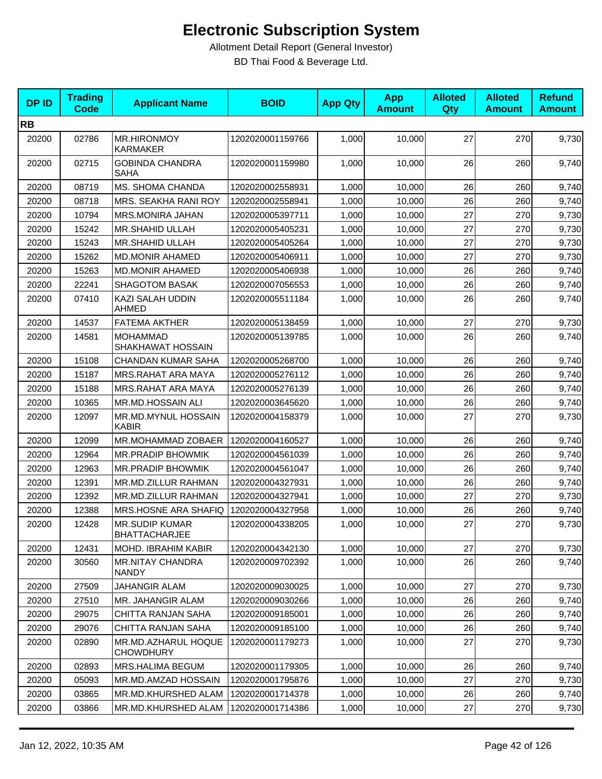| <b>DPID</b> | <b>Trading</b><br><b>Code</b> | <b>Applicant Name</b>                         | <b>BOID</b>      | <b>App Qty</b> | <b>App</b><br><b>Amount</b> | <b>Alloted</b><br><b>Qty</b> | <b>Alloted</b><br><b>Amount</b> | <b>Refund</b><br><b>Amount</b> |
|-------------|-------------------------------|-----------------------------------------------|------------------|----------------|-----------------------------|------------------------------|---------------------------------|--------------------------------|
| <b>RB</b>   |                               |                                               |                  |                |                             |                              |                                 |                                |
| 20200       | 02786                         | <b>MR.HIRONMOY</b><br><b>KARMAKER</b>         | 1202020001159766 | 1,000          | 10,000                      | 27                           | 270                             | 9,730                          |
| 20200       | 02715                         | <b>GOBINDA CHANDRA</b><br><b>SAHA</b>         | 1202020001159980 | 1,000          | 10,000                      | 26                           | 260                             | 9,740                          |
| 20200       | 08719                         | MS. SHOMA CHANDA                              | 1202020002558931 | 1,000          | 10,000                      | 26                           | 260                             | 9,740                          |
| 20200       | 08718                         | MRS. SEAKHA RANI ROY                          | 1202020002558941 | 1,000          | 10,000                      | 26                           | 260                             | 9,740                          |
| 20200       | 10794                         | MRS.MONIRA JAHAN                              | 1202020005397711 | 1,000          | 10,000                      | 27                           | 270                             | 9,730                          |
| 20200       | 15242                         | MR.SHAHID ULLAH                               | 1202020005405231 | 1,000          | 10,000                      | 27                           | 270                             | 9,730                          |
| 20200       | 15243                         | MR.SHAHID ULLAH                               | 1202020005405264 | 1,000          | 10,000                      | 27                           | 270                             | 9,730                          |
| 20200       | 15262                         | <b>MD.MONIR AHAMED</b>                        | 1202020005406911 | 1,000          | 10,000                      | 27                           | 270                             | 9,730                          |
| 20200       | 15263                         | <b>MD.MONIR AHAMED</b>                        | 1202020005406938 | 1,000          | 10,000                      | 26                           | 260                             | 9,740                          |
| 20200       | 22241                         | <b>SHAGOTOM BASAK</b>                         | 1202020007056553 | 1,000          | 10,000                      | 26                           | 260                             | 9,740                          |
| 20200       | 07410                         | KAZI SALAH UDDIN<br><b>AHMED</b>              | 1202020005511184 | 1,000          | 10,000                      | 26                           | 260                             | 9,740                          |
| 20200       | 14537                         | <b>FATEMA AKTHER</b>                          | 1202020005138459 | 1,000          | 10,000                      | 27                           | 270                             | 9,730                          |
| 20200       | 14581                         | <b>MOHAMMAD</b><br>SHAKHAWAT HOSSAIN          | 1202020005139785 | 1,000          | 10,000                      | 26                           | 260                             | 9,740                          |
| 20200       | 15108                         | <b>CHANDAN KUMAR SAHA</b>                     | 1202020005268700 | 1,000          | 10,000                      | 26                           | 260                             | 9,740                          |
| 20200       | 15187                         | MRS.RAHAT ARA MAYA                            | 1202020005276112 | 1,000          | 10,000                      | 26                           | 260                             | 9,740                          |
| 20200       | 15188                         | MRS.RAHAT ARA MAYA                            | 1202020005276139 | 1,000          | 10,000                      | 26                           | 260                             | 9,740                          |
| 20200       | 10365                         | MR.MD.HOSSAIN ALI                             | 1202020003645620 | 1,000          | 10,000                      | 26                           | 260                             | 9,740                          |
| 20200       | 12097                         | MR.MD.MYNUL HOSSAIN<br><b>KABIR</b>           | 1202020004158379 | 1,000          | 10,000                      | 27                           | 270                             | 9,730                          |
| 20200       | 12099                         | <b>MR.MOHAMMAD ZOBAER</b>                     | 1202020004160527 | 1,000          | 10,000                      | 26                           | 260                             | 9,740                          |
| 20200       | 12964                         | MR.PRADIP BHOWMIK                             | 1202020004561039 | 1,000          | 10,000                      | 26                           | 260                             | 9,740                          |
| 20200       | 12963                         | MR.PRADIP BHOWMIK                             | 1202020004561047 | 1,000          | 10,000                      | 26                           | 260                             | 9,740                          |
| 20200       | 12391                         | MR.MD.ZILLUR RAHMAN                           | 1202020004327931 | 1,000          | 10,000                      | 26                           | 260                             | 9,740                          |
| 20200       | 12392                         | MR.MD.ZILLUR RAHMAN                           | 1202020004327941 | 1,000          | 10,000                      | 27                           | 270                             | 9,730                          |
| 20200       | 12388                         | MRS.HOSNE ARA SHAFIQ                          | 1202020004327958 | 1,000          | 10,000                      | 26                           | 260                             | 9,740                          |
| 20200       | 12428                         | <b>MR.SUDIP KUMAR</b><br><b>BHATTACHARJEE</b> | 1202020004338205 | 1,000          | 10,000                      | 27                           | 270                             | 9,730                          |
| 20200       | 12431                         | MOHD. IBRAHIM KABIR                           | 1202020004342130 | 1,000          | 10,000                      | 27                           | 270                             | 9,730                          |
| 20200       | 30560                         | <b>MR.NITAY CHANDRA</b><br><b>NANDY</b>       | 1202020009702392 | 1,000          | 10,000                      | 26                           | 260                             | 9,740                          |
| 20200       | 27509                         | JAHANGIR ALAM                                 | 1202020009030025 | 1,000          | 10,000                      | 27                           | 270                             | 9,730                          |
| 20200       | 27510                         | MR. JAHANGIR ALAM                             | 1202020009030266 | 1,000          | 10,000                      | 26                           | 260                             | 9,740                          |
| 20200       | 29075                         | CHITTA RANJAN SAHA                            | 1202020009185001 | 1,000          | 10,000                      | 26                           | 260                             | 9,740                          |
| 20200       | 29076                         | CHITTA RANJAN SAHA                            | 1202020009185100 | 1,000          | 10,000                      | 26                           | 260                             | 9,740                          |
| 20200       | 02890                         | MR.MD.AZHARUL HOQUE<br><b>CHOWDHURY</b>       | 1202020001179273 | 1,000          | 10,000                      | 27                           | 270                             | 9,730                          |
| 20200       | 02893                         | MRS.HALIMA BEGUM                              | 1202020001179305 | 1,000          | 10,000                      | 26                           | 260                             | 9,740                          |
| 20200       | 05093                         | MR.MD.AMZAD HOSSAIN                           | 1202020001795876 | 1,000          | 10,000                      | 27                           | 270                             | 9,730                          |
| 20200       | 03865                         | MR.MD.KHURSHED ALAM                           | 1202020001714378 | 1,000          | 10,000                      | 26                           | 260                             | 9,740                          |
| 20200       | 03866                         | MR.MD.KHURSHED ALAM                           | 1202020001714386 | 1,000          | 10,000                      | 27                           | 270                             | 9,730                          |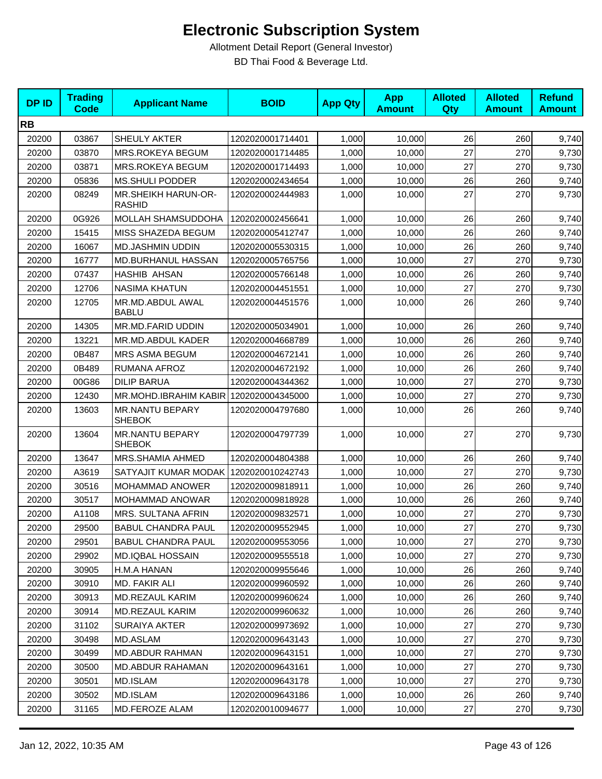| <b>DPID</b> | <b>Trading</b><br><b>Code</b> | <b>Applicant Name</b>                   | <b>BOID</b>      | <b>App Qty</b> | <b>App</b><br><b>Amount</b> | <b>Alloted</b><br><b>Qty</b> | <b>Alloted</b><br><b>Amount</b> | <b>Refund</b><br><b>Amount</b> |
|-------------|-------------------------------|-----------------------------------------|------------------|----------------|-----------------------------|------------------------------|---------------------------------|--------------------------------|
| <b>RB</b>   |                               |                                         |                  |                |                             |                              |                                 |                                |
| 20200       | 03867                         | SHEULY AKTER                            | 1202020001714401 | 1,000          | 10,000                      | 26                           | 260                             | 9,740                          |
| 20200       | 03870                         | MRS.ROKEYA BEGUM                        | 1202020001714485 | 1,000          | 10,000                      | 27                           | 270                             | 9,730                          |
| 20200       | 03871                         | MRS.ROKEYA BEGUM                        | 1202020001714493 | 1,000          | 10,000                      | 27                           | 270                             | 9,730                          |
| 20200       | 05836                         | <b>MS.SHULI PODDER</b>                  | 1202020002434654 | 1,000          | 10,000                      | 26                           | 260                             | 9,740                          |
| 20200       | 08249                         | MR.SHEIKH HARUN-OR-<br><b>RASHID</b>    | 1202020002444983 | 1,000          | 10,000                      | 27                           | 270                             | 9,730                          |
| 20200       | 0G926                         | MOLLAH SHAMSUDDOHA                      | 1202020002456641 | 1,000          | 10,000                      | 26                           | 260                             | 9,740                          |
| 20200       | 15415                         | MISS SHAZEDA BEGUM                      | 1202020005412747 | 1,000          | 10,000                      | 26                           | 260                             | 9,740                          |
| 20200       | 16067                         | <b>MD.JASHMIN UDDIN</b>                 | 1202020005530315 | 1,000          | 10,000                      | 26                           | 260                             | 9,740                          |
| 20200       | 16777                         | <b>MD.BURHANUL HASSAN</b>               | 1202020005765756 | 1,000          | 10,000                      | 27                           | 270                             | 9,730                          |
| 20200       | 07437                         | <b>HASHIB AHSAN</b>                     | 1202020005766148 | 1,000          | 10,000                      | 26                           | 260                             | 9,740                          |
| 20200       | 12706                         | <b>NASIMA KHATUN</b>                    | 1202020004451551 | 1,000          | 10,000                      | 27                           | 270                             | 9,730                          |
| 20200       | 12705                         | MR.MD.ABDUL AWAL<br><b>BABLU</b>        | 1202020004451576 | 1,000          | 10,000                      | 26                           | 260                             | 9,740                          |
| 20200       | 14305                         | MR.MD.FARID UDDIN                       | 1202020005034901 | 1,000          | 10,000                      | 26                           | 260                             | 9,740                          |
| 20200       | 13221                         | MR.MD.ABDUL KADER                       | 1202020004668789 | 1,000          | 10,000                      | 26                           | 260                             | 9,740                          |
| 20200       | 0B487                         | MRS ASMA BEGUM                          | 1202020004672141 | 1,000          | 10,000                      | 26                           | 260                             | 9,740                          |
| 20200       | 0B489                         | RUMANA AFROZ                            | 1202020004672192 | 1,000          | 10,000                      | 26                           | 260                             | 9,740                          |
| 20200       | 00G86                         | <b>DILIP BARUA</b>                      | 1202020004344362 | 1,000          | 10,000                      | 27                           | 270                             | 9,730                          |
| 20200       | 12430                         | MR.MOHD.IBRAHIM KABIR                   | 1202020004345000 | 1,000          | 10,000                      | 27                           | 270                             | 9,730                          |
| 20200       | 13603                         | <b>MR.NANTU BEPARY</b><br><b>SHEBOK</b> | 1202020004797680 | 1,000          | 10,000                      | 26                           | 260                             | 9,740                          |
| 20200       | 13604                         | <b>MR.NANTU BEPARY</b><br><b>SHEBOK</b> | 1202020004797739 | 1,000          | 10,000                      | 27                           | 270                             | 9,730                          |
| 20200       | 13647                         | MRS.SHAMIA AHMED                        | 1202020004804388 | 1,000          | 10,000                      | 26                           | 260                             | 9,740                          |
| 20200       | A3619                         | SATYAJIT KUMAR MODAK                    | 1202020010242743 | 1,000          | 10,000                      | 27                           | 270                             | 9,730                          |
| 20200       | 30516                         | MOHAMMAD ANOWER                         | 1202020009818911 | 1,000          | 10,000                      | 26                           | 260                             | 9,740                          |
| 20200       | 30517                         | MOHAMMAD ANOWAR                         | 1202020009818928 | 1,000          | 10,000                      | 26                           | 260                             | 9,740                          |
| 20200       | A1108                         | MRS. SULTANA AFRIN                      | 1202020009832571 | 1,000          | 10,000                      | 27                           | 270                             | 9,730                          |
| 20200       | 29500                         | <b>BABUL CHANDRA PAUL</b>               | 1202020009552945 | 1,000          | 10,000                      | 27                           | 270                             | 9,730                          |
| 20200       | 29501                         | <b>BABUL CHANDRA PAUL</b>               | 1202020009553056 | 1,000          | 10,000                      | 27                           | 270                             | 9,730                          |
| 20200       | 29902                         | MD.IQBAL HOSSAIN                        | 1202020009555518 | 1,000          | 10,000                      | 27                           | 270                             | 9,730                          |
| 20200       | 30905                         | H.M.A HANAN                             | 1202020009955646 | 1,000          | 10,000                      | 26                           | 260                             | 9,740                          |
| 20200       | 30910                         | MD. FAKIR ALI                           | 1202020009960592 | 1,000          | 10,000                      | 26                           | 260                             | 9,740                          |
| 20200       | 30913                         | MD.REZAUL KARIM                         | 1202020009960624 | 1,000          | 10,000                      | 26                           | 260                             | 9,740                          |
| 20200       | 30914                         | MD.REZAUL KARIM                         | 1202020009960632 | 1,000          | 10,000                      | 26                           | 260                             | 9,740                          |
| 20200       | 31102                         | SURAIYA AKTER                           | 1202020009973692 | 1,000          | 10,000                      | 27                           | 270                             | 9,730                          |
| 20200       | 30498                         | MD.ASLAM                                | 1202020009643143 | 1,000          | 10,000                      | 27                           | 270                             | 9,730                          |
| 20200       | 30499                         | <b>MD.ABDUR RAHMAN</b>                  | 1202020009643151 | 1,000          | 10,000                      | 27                           | 270                             | 9,730                          |
| 20200       | 30500                         | <b>MD.ABDUR RAHAMAN</b>                 | 1202020009643161 | 1,000          | 10,000                      | 27                           | 270                             | 9,730                          |
| 20200       | 30501                         | MD.ISLAM                                | 1202020009643178 | 1,000          | 10,000                      | 27                           | 270                             | 9,730                          |
| 20200       | 30502                         | MD.ISLAM                                | 1202020009643186 | 1,000          | 10,000                      | 26                           | 260                             | 9,740                          |
| 20200       | 31165                         | MD.FEROZE ALAM                          | 1202020010094677 | 1,000          | 10,000                      | $27\,$                       | 270                             | 9,730                          |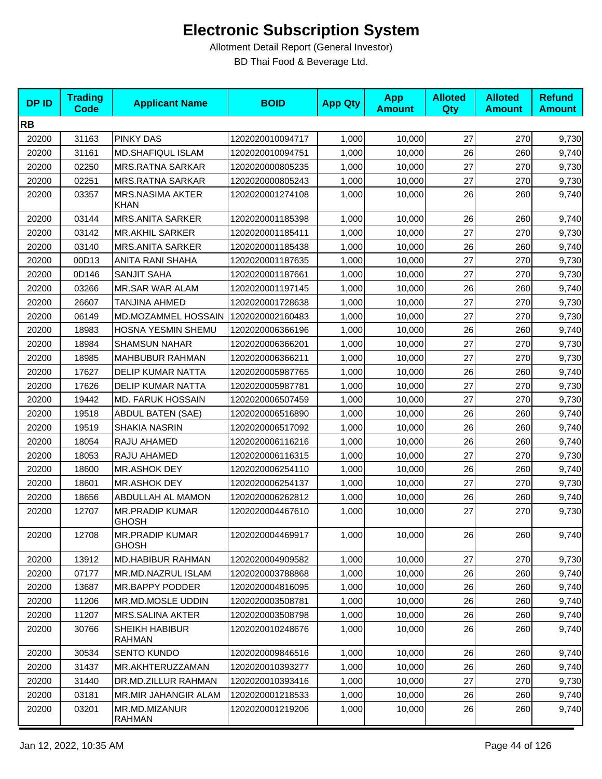| <b>DPID</b> | <b>Trading</b><br><b>Code</b> | <b>Applicant Name</b>                  | <b>BOID</b>      | <b>App Qty</b> | <b>App</b><br><b>Amount</b> | <b>Alloted</b><br>Qty | <b>Alloted</b><br><b>Amount</b> | <b>Refund</b><br><b>Amount</b> |
|-------------|-------------------------------|----------------------------------------|------------------|----------------|-----------------------------|-----------------------|---------------------------------|--------------------------------|
| <b>RB</b>   |                               |                                        |                  |                |                             |                       |                                 |                                |
| 20200       | 31163                         | <b>PINKY DAS</b>                       | 1202020010094717 | 1,000          | 10,000                      | 27                    | 270                             | 9,730                          |
| 20200       | 31161                         | MD.SHAFIQUL ISLAM                      | 1202020010094751 | 1,000          | 10,000                      | 26                    | 260                             | 9,740                          |
| 20200       | 02250                         | <b>MRS.RATNA SARKAR</b>                | 1202020000805235 | 1,000          | 10,000                      | 27                    | 270                             | 9,730                          |
| 20200       | 02251                         | <b>MRS.RATNA SARKAR</b>                | 1202020000805243 | 1,000          | 10,000                      | 27                    | 270                             | 9,730                          |
| 20200       | 03357                         | <b>MRS.NASIMA AKTER</b><br><b>KHAN</b> | 1202020001274108 | 1,000          | 10,000                      | 26                    | 260                             | 9,740                          |
| 20200       | 03144                         | <b>MRS.ANITA SARKER</b>                | 1202020001185398 | 1,000          | 10,000                      | 26                    | 260                             | 9,740                          |
| 20200       | 03142                         | <b>MR.AKHIL SARKER</b>                 | 1202020001185411 | 1,000          | 10,000                      | 27                    | 270                             | 9,730                          |
| 20200       | 03140                         | <b>MRS.ANITA SARKER</b>                | 1202020001185438 | 1,000          | 10,000                      | 26                    | 260                             | 9,740                          |
| 20200       | 00D13                         | ANITA RANI SHAHA                       | 1202020001187635 | 1,000          | 10,000                      | 27                    | 270                             | 9,730                          |
| 20200       | 0D146                         | <b>SANJIT SAHA</b>                     | 1202020001187661 | 1,000          | 10,000                      | 27                    | 270                             | 9,730                          |
| 20200       | 03266                         | <b>MR.SAR WAR ALAM</b>                 | 1202020001197145 | 1,000          | 10,000                      | 26                    | 260                             | 9,740                          |
| 20200       | 26607                         | TANJINA AHMED                          | 1202020001728638 | 1,000          | 10,000                      | 27                    | 270                             | 9,730                          |
| 20200       | 06149                         | MD.MOZAMMEL HOSSAIN                    | 1202020002160483 | 1,000          | 10,000                      | 27                    | 270                             | 9,730                          |
| 20200       | 18983                         | HOSNA YESMIN SHEMU                     | 1202020006366196 | 1,000          | 10,000                      | 26                    | 260                             | 9,740                          |
| 20200       | 18984                         | <b>SHAMSUN NAHAR</b>                   | 1202020006366201 | 1,000          | 10,000                      | 27                    | 270                             | 9,730                          |
| 20200       | 18985                         | <b>MAHBUBUR RAHMAN</b>                 | 1202020006366211 | 1,000          | 10,000                      | 27                    | 270                             | 9,730                          |
| 20200       | 17627                         | <b>DELIP KUMAR NATTA</b>               | 1202020005987765 | 1,000          | 10,000                      | 26                    | 260                             | 9,740                          |
| 20200       | 17626                         | <b>DELIP KUMAR NATTA</b>               | 1202020005987781 | 1,000          | 10,000                      | 27                    | 270                             | 9,730                          |
| 20200       | 19442                         | MD. FARUK HOSSAIN                      | 1202020006507459 | 1,000          | 10,000                      | 27                    | 270                             | 9,730                          |
| 20200       | 19518                         | <b>ABDUL BATEN (SAE)</b>               | 1202020006516890 | 1,000          | 10,000                      | 26                    | 260                             | 9,740                          |
| 20200       | 19519                         | <b>SHAKIA NASRIN</b>                   | 1202020006517092 | 1,000          | 10,000                      | 26                    | 260                             | 9,740                          |
| 20200       | 18054                         | RAJU AHAMED                            | 1202020006116216 | 1,000          | 10,000                      | 26                    | 260                             | 9,740                          |
| 20200       | 18053                         | RAJU AHAMED                            | 1202020006116315 | 1,000          | 10,000                      | 27                    | 270                             | 9,730                          |
| 20200       | 18600                         | MR.ASHOK DEY                           | 1202020006254110 | 1,000          | 10,000                      | 26                    | 260                             | 9,740                          |
| 20200       | 18601                         | MR.ASHOK DEY                           | 1202020006254137 | 1,000          | 10,000                      | 27                    | 270                             | 9,730                          |
| 20200       | 18656                         | ABDULLAH AL MAMON                      | 1202020006262812 | 1,000          | 10,000                      | 26                    | 260                             | 9,740                          |
| 20200       | 12707                         | <b>MR.PRADIP KUMAR</b><br><b>GHOSH</b> | 1202020004467610 | 1,000          | 10,000                      | 27                    | 270                             | 9,730                          |
| 20200       | 12708                         | <b>MR.PRADIP KUMAR</b><br><b>GHOSH</b> | 1202020004469917 | 1,000          | 10,000                      | 26                    | 260                             | 9,740                          |
| 20200       | 13912                         | <b>MD.HABIBUR RAHMAN</b>               | 1202020004909582 | 1,000          | 10,000                      | 27                    | 270                             | 9,730                          |
| 20200       | 07177                         | MR.MD.NAZRUL ISLAM                     | 1202020003788868 | 1,000          | 10,000                      | 26                    | 260                             | 9,740                          |
| 20200       | 13687                         | <b>MR.BAPPY PODDER</b>                 | 1202020004816095 | 1,000          | 10,000                      | 26                    | 260                             | 9,740                          |
| 20200       | 11206                         | MR.MD.MOSLE UDDIN                      | 1202020003508781 | 1,000          | 10,000                      | 26                    | 260                             | 9,740                          |
| 20200       | 11207                         | MRS.SALINA AKTER                       | 1202020003508798 | 1,000          | 10,000                      | 26                    | 260                             | 9,740                          |
| 20200       | 30766                         | <b>SHEIKH HABIBUR</b><br><b>RAHMAN</b> | 1202020010248676 | 1,000          | 10,000                      | 26                    | 260                             | 9,740                          |
| 20200       | 30534                         | <b>SENTO KUNDO</b>                     | 1202020009846516 | 1,000          | 10,000                      | 26                    | 260                             | 9,740                          |
| 20200       | 31437                         | MR.AKHTERUZZAMAN                       | 1202020010393277 | 1,000          | 10,000                      | 26                    | 260                             | 9,740                          |
| 20200       | 31440                         | DR.MD.ZILLUR RAHMAN                    | 1202020010393416 | 1,000          | 10,000                      | 27                    | 270                             | 9,730                          |
| 20200       | 03181                         | MR.MIR JAHANGIR ALAM                   | 1202020001218533 | 1,000          | 10,000                      | 26                    | 260                             | 9,740                          |
| 20200       | 03201                         | MR.MD.MIZANUR<br><b>RAHMAN</b>         | 1202020001219206 | 1,000          | 10,000                      | 26                    | 260                             | 9,740                          |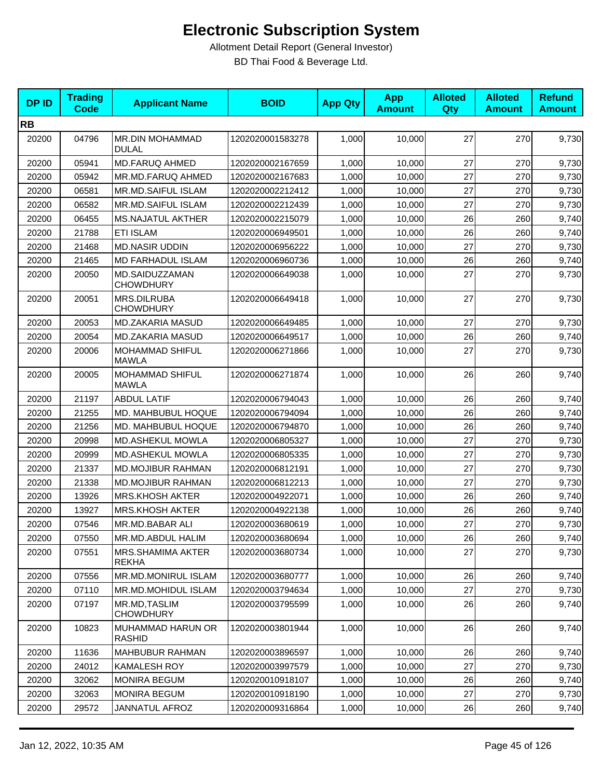| <b>DPID</b> | <b>Trading</b><br><b>Code</b> | <b>Applicant Name</b>                     | <b>BOID</b>      | <b>App Qty</b> | <b>App</b><br><b>Amount</b> | <b>Alloted</b><br>Qty | <b>Alloted</b><br><b>Amount</b> | <b>Refund</b><br><b>Amount</b> |
|-------------|-------------------------------|-------------------------------------------|------------------|----------------|-----------------------------|-----------------------|---------------------------------|--------------------------------|
| <b>RB</b>   |                               |                                           |                  |                |                             |                       |                                 |                                |
| 20200       | 04796                         | MR.DIN MOHAMMAD<br><b>DULAL</b>           | 1202020001583278 | 1,000          | 10,000                      | 27                    | 270                             | 9,730                          |
| 20200       | 05941                         | <b>MD.FARUQ AHMED</b>                     | 1202020002167659 | 1,000          | 10,000                      | 27                    | 270                             | 9,730                          |
| 20200       | 05942                         | MR.MD.FARUQ AHMED                         | 1202020002167683 | 1,000          | 10,000                      | 27                    | 270                             | 9,730                          |
| 20200       | 06581                         | MR.MD.SAIFUL ISLAM                        | 1202020002212412 | 1,000          | 10,000                      | 27                    | 270                             | 9,730                          |
| 20200       | 06582                         | MR.MD.SAIFUL ISLAM                        | 1202020002212439 | 1,000          | 10,000                      | 27                    | 270                             | 9,730                          |
| 20200       | 06455                         | <b>MS.NAJATUL AKTHER</b>                  | 1202020002215079 | 1,000          | 10,000                      | 26                    | 260                             | 9,740                          |
| 20200       | 21788                         | <b>ETI ISLAM</b>                          | 1202020006949501 | 1,000          | 10,000                      | 26                    | 260                             | 9,740                          |
| 20200       | 21468                         | <b>MD.NASIR UDDIN</b>                     | 1202020006956222 | 1,000          | 10,000                      | 27                    | 270                             | 9,730                          |
| 20200       | 21465                         | <b>MD FARHADUL ISLAM</b>                  | 1202020006960736 | 1,000          | 10,000                      | 26                    | 260                             | 9,740                          |
| 20200       | 20050                         | MD.SAIDUZZAMAN<br><b>CHOWDHURY</b>        | 1202020006649038 | 1,000          | 10,000                      | 27                    | 270                             | 9,730                          |
| 20200       | 20051                         | MRS.DILRUBA<br><b>CHOWDHURY</b>           | 1202020006649418 | 1,000          | 10,000                      | 27                    | 270                             | 9,730                          |
| 20200       | 20053                         | MD.ZAKARIA MASUD                          | 1202020006649485 | 1,000          | 10,000                      | 27                    | 270                             | 9,730                          |
| 20200       | 20054                         | MD.ZAKARIA MASUD                          | 1202020006649517 | 1,000          | 10,000                      | 26                    | 260                             | 9,740                          |
| 20200       | 20006                         | MOHAMMAD SHIFUL<br><b>MAWLA</b>           | 1202020006271866 | 1,000          | 10,000                      | 27                    | 270                             | 9,730                          |
| 20200       | 20005                         | MOHAMMAD SHIFUL<br><b>MAWLA</b>           | 1202020006271874 | 1,000          | 10,000                      | 26                    | 260                             | 9,740                          |
| 20200       | 21197                         | <b>ABDUL LATIF</b>                        | 1202020006794043 | 1,000          | 10,000                      | 26                    | 260                             | 9,740                          |
| 20200       | 21255                         | MD. MAHBUBUL HOQUE                        | 1202020006794094 | 1,000          | 10,000                      | 26                    | 260                             | 9,740                          |
| 20200       | 21256                         | MD. MAHBUBUL HOQUE                        | 1202020006794870 | 1,000          | 10,000                      | 26                    | 260                             | 9,740                          |
| 20200       | 20998                         | MD.ASHEKUL MOWLA                          | 1202020006805327 | 1,000          | 10,000                      | 27                    | 270                             | 9,730                          |
| 20200       | 20999                         | MD.ASHEKUL MOWLA                          | 1202020006805335 | 1,000          | 10,000                      | 27                    | 270                             | 9,730                          |
| 20200       | 21337                         | <b>MD.MOJIBUR RAHMAN</b>                  | 1202020006812191 | 1,000          | 10,000                      | 27                    | 270                             | 9,730                          |
| 20200       | 21338                         | <b>MD.MOJIBUR RAHMAN</b>                  | 1202020006812213 | 1,000          | 10,000                      | 27                    | 270                             | 9,730                          |
| 20200       | 13926                         | <b>MRS.KHOSH AKTER</b>                    | 1202020004922071 | 1,000          | 10,000                      | 26                    | 260                             | 9,740                          |
| 20200       | 13927                         | <b>MRS.KHOSH AKTER</b>                    | 1202020004922138 | 1,000          | 10,000                      | 26                    | 260                             | 9,740                          |
| 20200       | 07546                         | MR.MD.BABAR ALI                           | 1202020003680619 | 1,000          | 10,000                      | 27                    | 270                             | 9,730                          |
| 20200       | 07550                         | MR.MD.ABDUL HALIM                         | 1202020003680694 | 1,000          | 10,000                      | 26                    | 260                             | 9,740                          |
| 20200       | 07551                         | MRS.SHAMIMA AKTER<br><b>REKHA</b>         | 1202020003680734 | 1,000          | 10,000                      | 27                    | 270                             | 9,730                          |
| 20200       | 07556                         | MR.MD.MONIRUL ISLAM                       | 1202020003680777 | 1,000          | 10,000                      | 26                    | 260                             | 9,740                          |
| 20200       | 07110                         | MR.MD.MOHIDUL ISLAM                       | 1202020003794634 | 1,000          | 10,000                      | 27                    | 270                             | 9,730                          |
| 20200       | 07197                         | MR.MD, TASLIM<br><b>CHOWDHURY</b>         | 1202020003795599 | 1,000          | 10,000                      | 26                    | 260                             | 9,740                          |
| 20200       | 10823                         | <b>MUHAMMAD HARUN OR</b><br><b>RASHID</b> | 1202020003801944 | 1,000          | 10,000                      | 26                    | 260                             | 9,740                          |
| 20200       | 11636                         | <b>MAHBUBUR RAHMAN</b>                    | 1202020003896597 | 1,000          | 10,000                      | 26                    | 260                             | 9,740                          |
| 20200       | 24012                         | <b>KAMALESH ROY</b>                       | 1202020003997579 | 1,000          | 10,000                      | 27                    | 270                             | 9,730                          |
| 20200       | 32062                         | <b>MONIRA BEGUM</b>                       | 1202020010918107 | 1,000          | 10,000                      | 26                    | 260                             | 9,740                          |
| 20200       | 32063                         | <b>MONIRA BEGUM</b>                       | 1202020010918190 | 1,000          | 10,000                      | 27                    | 270                             | 9,730                          |
| 20200       | 29572                         | JANNATUL AFROZ                            | 1202020009316864 | 1,000          | 10,000                      | 26                    | 260                             | 9,740                          |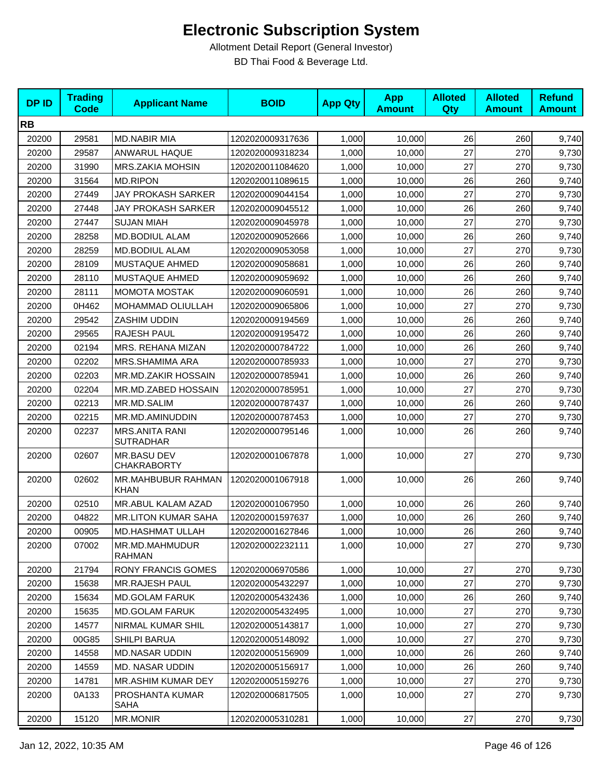| <b>DPID</b> | <b>Trading</b><br><b>Code</b> | <b>Applicant Name</b>                     | <b>BOID</b>      | <b>App Qty</b> | <b>App</b><br><b>Amount</b> | <b>Alloted</b><br>Qty | <b>Alloted</b><br><b>Amount</b> | <b>Refund</b><br><b>Amount</b> |
|-------------|-------------------------------|-------------------------------------------|------------------|----------------|-----------------------------|-----------------------|---------------------------------|--------------------------------|
| <b>RB</b>   |                               |                                           |                  |                |                             |                       |                                 |                                |
| 20200       | 29581                         | <b>MD.NABIR MIA</b>                       | 1202020009317636 | 1,000          | 10,000                      | 26                    | 260                             | 9,740                          |
| 20200       | 29587                         | ANWARUL HAQUE                             | 1202020009318234 | 1,000          | 10,000                      | 27                    | 270                             | 9,730                          |
| 20200       | 31990                         | <b>MRS.ZAKIA MOHSIN</b>                   | 1202020011084620 | 1,000          | 10,000                      | 27                    | 270                             | 9,730                          |
| 20200       | 31564                         | <b>MD.RIPON</b>                           | 1202020011089615 | 1,000          | 10,000                      | 26                    | 260                             | 9,740                          |
| 20200       | 27449                         | <b>JAY PROKASH SARKER</b>                 | 1202020009044154 | 1,000          | 10,000                      | 27                    | 270                             | 9,730                          |
| 20200       | 27448                         | JAY PROKASH SARKER                        | 1202020009045512 | 1,000          | 10,000                      | 26                    | 260                             | 9,740                          |
| 20200       | 27447                         | <b>SUJAN MIAH</b>                         | 1202020009045978 | 1,000          | 10,000                      | 27                    | 270                             | 9,730                          |
| 20200       | 28258                         | MD.BODIUL ALAM                            | 1202020009052666 | 1,000          | 10,000                      | 26                    | 260                             | 9,740                          |
| 20200       | 28259                         | MD.BODIUL ALAM                            | 1202020009053058 | 1,000          | 10,000                      | 27                    | 270                             | 9,730                          |
| 20200       | 28109                         | MUSTAQUE AHMED                            | 1202020009058681 | 1,000          | 10,000                      | 26                    | 260                             | 9,740                          |
| 20200       | 28110                         | MUSTAQUE AHMED                            | 1202020009059692 | 1,000          | 10,000                      | 26                    | 260                             | 9,740                          |
| 20200       | 28111                         | <b>MOMOTA MOSTAK</b>                      | 1202020009060591 | 1,000          | 10,000                      | 26                    | 260                             | 9,740                          |
| 20200       | 0H462                         | MOHAMMAD OLIULLAH                         | 1202020009065806 | 1,000          | 10,000                      | 27                    | 270                             | 9,730                          |
| 20200       | 29542                         | ZASHIM UDDIN                              | 1202020009194569 | 1,000          | 10,000                      | 26                    | 260                             | 9,740                          |
| 20200       | 29565                         | RAJESH PAUL                               | 1202020009195472 | 1,000          | 10,000                      | 26                    | 260                             | 9,740                          |
| 20200       | 02194                         | MRS. REHANA MIZAN                         | 1202020000784722 | 1,000          | 10,000                      | 26                    | 260                             | 9,740                          |
| 20200       | 02202                         | MRS.SHAMIMA ARA                           | 1202020000785933 | 1,000          | 10,000                      | 27                    | 270                             | 9,730                          |
| 20200       | 02203                         | MR.MD.ZAKIR HOSSAIN                       | 1202020000785941 | 1,000          | 10,000                      | 26                    | 260                             | 9,740                          |
| 20200       | 02204                         | MR.MD.ZABED HOSSAIN                       | 1202020000785951 | 1,000          | 10,000                      | 27                    | 270                             | 9,730                          |
| 20200       | 02213                         | MR.MD.SALIM                               | 1202020000787437 | 1,000          | 10,000                      | 26                    | 260                             | 9,740                          |
| 20200       | 02215                         | MR.MD.AMINUDDIN                           | 1202020000787453 | 1,000          | 10,000                      | 27                    | 270                             | 9,730                          |
| 20200       | 02237                         | <b>MRS.ANITA RANI</b><br><b>SUTRADHAR</b> | 1202020000795146 | 1,000          | 10,000                      | 26                    | 260                             | 9,740                          |
| 20200       | 02607                         | MR.BASU DEV<br><b>CHAKRABORTY</b>         | 1202020001067878 | 1,000          | 10,000                      | 27                    | 270                             | 9,730                          |
| 20200       | 02602                         | MR.MAHBUBUR RAHMAN<br><b>KHAN</b>         | 1202020001067918 | 1,000          | 10,000                      | 26                    | 260                             | 9,740                          |
| 20200       | 02510                         | MR.ABUL KALAM AZAD                        | 1202020001067950 | 1,000          | 10,000                      | 26                    | 260                             | 9,740                          |
| 20200       | 04822                         | <b>MR.LITON KUMAR SAHA</b>                | 1202020001597637 | 1,000          | 10,000                      | 26                    | 260                             | 9,740                          |
| 20200       | 00905                         | MD.HASHMAT ULLAH                          | 1202020001627846 | 1,000          | 10,000                      | 26                    | 260                             | 9,740                          |
| 20200       | 07002                         | MR.MD.MAHMUDUR<br>RAHMAN                  | 1202020002232111 | 1,000          | 10,000                      | 27                    | 270                             | 9,730                          |
| 20200       | 21794                         | <b>RONY FRANCIS GOMES</b>                 | 1202020006970586 | 1,000          | 10,000                      | 27                    | 270                             | 9,730                          |
| 20200       | 15638                         | <b>MR.RAJESH PAUL</b>                     | 1202020005432297 | 1,000          | 10,000                      | 27                    | 270                             | 9,730                          |
| 20200       | 15634                         | <b>MD.GOLAM FARUK</b>                     | 1202020005432436 | 1,000          | 10,000                      | 26                    | 260                             | 9,740                          |
| 20200       | 15635                         | <b>MD.GOLAM FARUK</b>                     | 1202020005432495 | 1,000          | 10,000                      | 27                    | 270                             | 9,730                          |
| 20200       | 14577                         | NIRMAL KUMAR SHIL                         | 1202020005143817 | 1,000          | 10,000                      | 27                    | 270                             | 9,730                          |
| 20200       | 00G85                         | SHILPI BARUA                              | 1202020005148092 | 1,000          | 10,000                      | 27                    | 270                             | 9,730                          |
| 20200       | 14558                         | <b>MD.NASAR UDDIN</b>                     | 1202020005156909 | 1,000          | 10,000                      | 26                    | 260                             | 9,740                          |
| 20200       | 14559                         | MD. NASAR UDDIN                           | 1202020005156917 | 1,000          | 10,000                      | 26                    | 260                             | 9,740                          |
| 20200       | 14781                         | MR.ASHIM KUMAR DEY                        | 1202020005159276 | 1,000          | 10,000                      | 27                    | 270                             | 9,730                          |
| 20200       | 0A133                         | PROSHANTA KUMAR<br>SAHA                   | 1202020006817505 | 1,000          | 10,000                      | 27                    | 270                             | 9,730                          |
| 20200       | 15120                         | <b>MR.MONIR</b>                           | 1202020005310281 | 1,000          | 10,000                      | 27                    | 270                             | 9,730                          |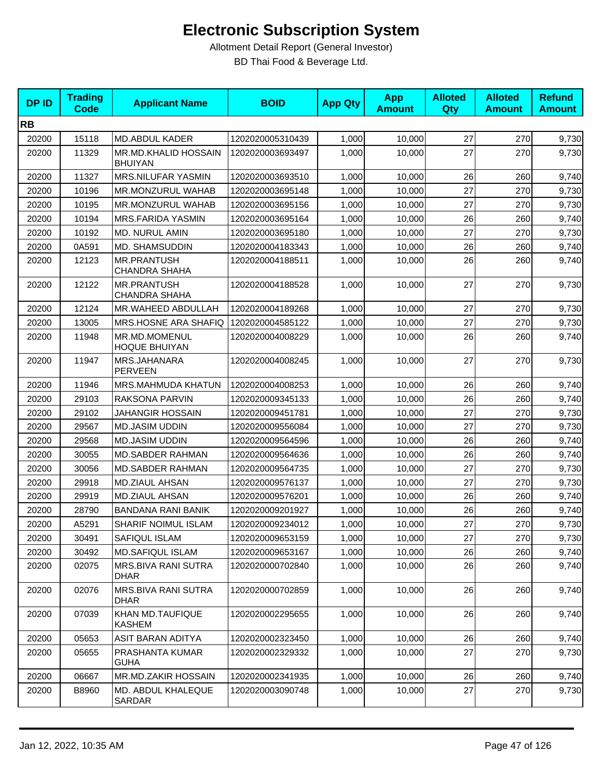| <b>DPID</b> | <b>Trading</b><br><b>Code</b> | <b>Applicant Name</b>                      | <b>BOID</b>      | <b>App Qty</b> | <b>App</b><br><b>Amount</b> | <b>Alloted</b><br><b>Qty</b> | <b>Alloted</b><br><b>Amount</b> | <b>Refund</b><br><b>Amount</b> |
|-------------|-------------------------------|--------------------------------------------|------------------|----------------|-----------------------------|------------------------------|---------------------------------|--------------------------------|
| <b>RB</b>   |                               |                                            |                  |                |                             |                              |                                 |                                |
| 20200       | 15118                         | MD.ABDUL KADER                             | 1202020005310439 | 1,000          | 10,000                      | 27                           | 270                             | 9,730                          |
| 20200       | 11329                         | MR.MD.KHALID HOSSAIN<br><b>BHUIYAN</b>     | 1202020003693497 | 1,000          | 10,000                      | 27                           | 270                             | 9,730                          |
| 20200       | 11327                         | MRS.NILUFAR YASMIN                         | 1202020003693510 | 1,000          | 10,000                      | 26                           | 260                             | 9,740                          |
| 20200       | 10196                         | MR.MONZURUL WAHAB                          | 1202020003695148 | 1,000          | 10,000                      | 27                           | 270                             | 9,730                          |
| 20200       | 10195                         | MR.MONZURUL WAHAB                          | 1202020003695156 | 1,000          | 10,000                      | 27                           | 270                             | 9,730                          |
| 20200       | 10194                         | <b>MRS.FARIDA YASMIN</b>                   | 1202020003695164 | 1,000          | 10,000                      | 26                           | 260                             | 9,740                          |
| 20200       | 10192                         | MD. NURUL AMIN                             | 1202020003695180 | 1,000          | 10,000                      | 27                           | 270                             | 9,730                          |
| 20200       | 0A591                         | MD. SHAMSUDDIN                             | 1202020004183343 | 1,000          | 10,000                      | 26                           | 260                             | 9,740                          |
| 20200       | 12123                         | <b>MR.PRANTUSH</b><br><b>CHANDRA SHAHA</b> | 1202020004188511 | 1,000          | 10,000                      | 26                           | 260                             | 9,740                          |
| 20200       | 12122                         | MR.PRANTUSH<br><b>CHANDRA SHAHA</b>        | 1202020004188528 | 1,000          | 10,000                      | 27                           | 270                             | 9,730                          |
| 20200       | 12124                         | MR.WAHEED ABDULLAH                         | 1202020004189268 | 1,000          | 10,000                      | 27                           | 270                             | 9,730                          |
| 20200       | 13005                         | MRS.HOSNE ARA SHAFIQ                       | 1202020004585122 | 1,000          | 10,000                      | 27                           | 270                             | 9,730                          |
| 20200       | 11948                         | MR.MD.MOMENUL<br><b>HOQUE BHUIYAN</b>      | 1202020004008229 | 1,000          | 10,000                      | 26                           | 260                             | 9,740                          |
| 20200       | 11947                         | MRS.JAHANARA<br><b>PERVEEN</b>             | 1202020004008245 | 1,000          | 10,000                      | 27                           | 270                             | 9,730                          |
| 20200       | 11946                         | MRS.MAHMUDA KHATUN                         | 1202020004008253 | 1,000          | 10,000                      | 26                           | 260                             | 9,740                          |
| 20200       | 29103                         | RAKSONA PARVIN                             | 1202020009345133 | 1,000          | 10,000                      | 26                           | 260                             | 9,740                          |
| 20200       | 29102                         | JAHANGIR HOSSAIN                           | 1202020009451781 | 1,000          | 10,000                      | 27                           | 270                             | 9,730                          |
| 20200       | 29567                         | <b>MD.JASIM UDDIN</b>                      | 1202020009556084 | 1,000          | 10,000                      | 27                           | 270                             | 9,730                          |
| 20200       | 29568                         | <b>MD.JASIM UDDIN</b>                      | 1202020009564596 | 1,000          | 10,000                      | 26                           | 260                             | 9,740                          |
| 20200       | 30055                         | <b>MD.SABDER RAHMAN</b>                    | 1202020009564636 | 1,000          | 10,000                      | 26                           | 260                             | 9,740                          |
| 20200       | 30056                         | <b>MD.SABDER RAHMAN</b>                    | 1202020009564735 | 1,000          | 10,000                      | 27                           | 270                             | 9,730                          |
| 20200       | 29918                         | MD.ZIAUL AHSAN                             | 1202020009576137 | 1,000          | 10,000                      | 27                           | 270                             | 9,730                          |
| 20200       | 29919                         | <b>MD.ZIAUL AHSAN</b>                      | 1202020009576201 | 1,000          | 10,000                      | 26                           | 260                             | 9,740                          |
| 20200       | 28790                         | <b>BANDANA RANI BANIK</b>                  | 1202020009201927 | 1,000          | 10,000                      | 26                           | 260                             | 9,740                          |
| 20200       | A5291                         | SHARIF NOIMUL ISLAM                        | 1202020009234012 | 1,000          | 10,000                      | 27                           | 270                             | 9,730                          |
| 20200       | 30491                         | SAFIQUL ISLAM                              | 1202020009653159 | 1,000          | 10,000                      | 27                           | 270                             | 9,730                          |
| 20200       | 30492                         | <b>MD.SAFIQUL ISLAM</b>                    | 1202020009653167 | 1,000          | 10,000                      | 26                           | 260                             | 9,740                          |
| 20200       | 02075                         | MRS.BIVA RANI SUTRA<br><b>DHAR</b>         | 1202020000702840 | 1,000          | 10,000                      | 26                           | 260                             | 9,740                          |
| 20200       | 02076                         | MRS.BIVA RANI SUTRA<br><b>DHAR</b>         | 1202020000702859 | 1,000          | 10,000                      | 26                           | 260                             | 9,740                          |
| 20200       | 07039                         | KHAN MD.TAUFIQUE<br>KASHEM                 | 1202020002295655 | 1,000          | 10,000                      | 26                           | 260                             | 9,740                          |
| 20200       | 05653                         | ASIT BARAN ADITYA                          | 1202020002323450 | 1,000          | 10,000                      | 26                           | 260                             | 9,740                          |
| 20200       | 05655                         | PRASHANTA KUMAR<br><b>GUHA</b>             | 1202020002329332 | 1,000          | 10,000                      | 27                           | 270                             | 9,730                          |
| 20200       | 06667                         | MR.MD.ZAKIR HOSSAIN                        | 1202020002341935 | 1,000          | 10,000                      | 26                           | 260                             | 9,740                          |
| 20200       | B8960                         | MD. ABDUL KHALEQUE<br>SARDAR               | 1202020003090748 | 1,000          | 10,000                      | 27                           | 270                             | 9,730                          |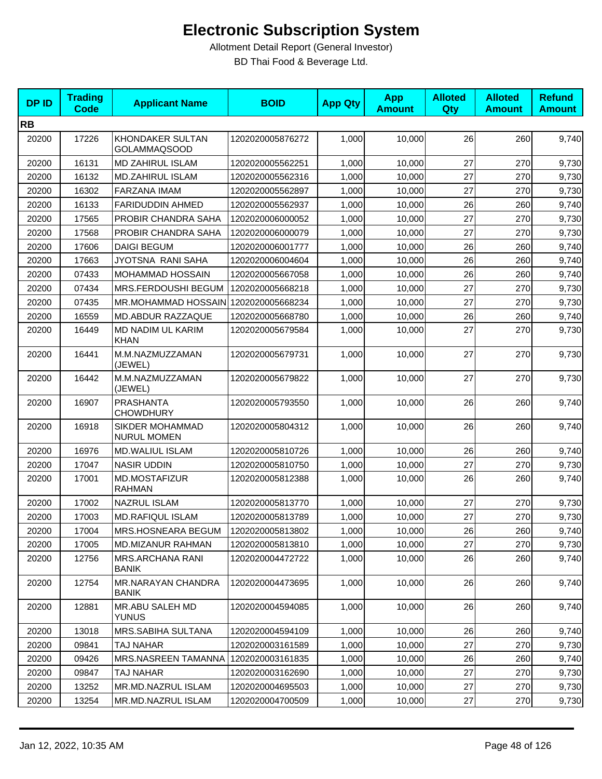| <b>DPID</b> | <b>Trading</b><br><b>Code</b> | <b>Applicant Name</b>                   | <b>BOID</b>      | <b>App Qty</b> | <b>App</b><br><b>Amount</b> | <b>Alloted</b><br>Qty | <b>Alloted</b><br><b>Amount</b> | <b>Refund</b><br><b>Amount</b> |
|-------------|-------------------------------|-----------------------------------------|------------------|----------------|-----------------------------|-----------------------|---------------------------------|--------------------------------|
| <b>RB</b>   |                               |                                         |                  |                |                             |                       |                                 |                                |
| 20200       | 17226                         | KHONDAKER SULTAN<br><b>GOLAMMAQSOOD</b> | 1202020005876272 | 1,000          | 10,000                      | 26                    | 260                             | 9,740                          |
| 20200       | 16131                         | MD ZAHIRUL ISLAM                        | 1202020005562251 | 1,000          | 10,000                      | 27                    | 270                             | 9,730                          |
| 20200       | 16132                         | <b>MD.ZAHIRUL ISLAM</b>                 | 1202020005562316 | 1,000          | 10,000                      | 27                    | 270                             | 9,730                          |
| 20200       | 16302                         | FARZANA IMAM                            | 1202020005562897 | 1,000          | 10,000                      | 27                    | 270                             | 9,730                          |
| 20200       | 16133                         | <b>FARIDUDDIN AHMED</b>                 | 1202020005562937 | 1,000          | 10,000                      | 26                    | 260                             | 9,740                          |
| 20200       | 17565                         | PROBIR CHANDRA SAHA                     | 1202020006000052 | 1,000          | 10,000                      | 27                    | 270                             | 9,730                          |
| 20200       | 17568                         | PROBIR CHANDRA SAHA                     | 1202020006000079 | 1,000          | 10,000                      | 27                    | 270                             | 9,730                          |
| 20200       | 17606                         | <b>DAIGI BEGUM</b>                      | 1202020006001777 | 1,000          | 10,000                      | 26                    | 260                             | 9,740                          |
| 20200       | 17663                         | <b>JYOTSNA RANI SAHA</b>                | 1202020006004604 | 1,000          | 10,000                      | 26                    | 260                             | 9,740                          |
| 20200       | 07433                         | MOHAMMAD HOSSAIN                        | 1202020005667058 | 1,000          | 10,000                      | 26                    | 260                             | 9,740                          |
| 20200       | 07434                         | MRS.FERDOUSHI BEGUM                     | 1202020005668218 | 1,000          | 10,000                      | 27                    | 270                             | 9,730                          |
| 20200       | 07435                         | MR.MOHAMMAD HOSSAIN 1202020005668234    |                  | 1,000          | 10,000                      | 27                    | 270                             | 9,730                          |
| 20200       | 16559                         | MD.ABDUR RAZZAQUE                       | 1202020005668780 | 1,000          | 10,000                      | 26                    | 260                             | 9,740                          |
| 20200       | 16449                         | MD NADIM UL KARIM<br><b>KHAN</b>        | 1202020005679584 | 1,000          | 10,000                      | 27                    | 270                             | 9,730                          |
| 20200       | 16441                         | M.M.NAZMUZZAMAN<br>(JEWEL)              | 1202020005679731 | 1,000          | 10,000                      | 27                    | 270                             | 9,730                          |
| 20200       | 16442                         | M.M.NAZMUZZAMAN<br>(JEWEL)              | 1202020005679822 | 1,000          | 10,000                      | 27                    | 270                             | 9,730                          |
| 20200       | 16907                         | PRASHANTA<br><b>CHOWDHURY</b>           | 1202020005793550 | 1,000          | 10,000                      | 26                    | 260                             | 9,740                          |
| 20200       | 16918                         | SIKDER MOHAMMAD<br><b>NURUL MOMEN</b>   | 1202020005804312 | 1,000          | 10,000                      | 26                    | 260                             | 9,740                          |
| 20200       | 16976                         | <b>MD.WALIUL ISLAM</b>                  | 1202020005810726 | 1,000          | 10,000                      | 26                    | 260                             | 9,740                          |
| 20200       | 17047                         | <b>NASIR UDDIN</b>                      | 1202020005810750 | 1,000          | 10,000                      | 27                    | 270                             | 9,730                          |
| 20200       | 17001                         | MD.MOSTAFIZUR<br><b>RAHMAN</b>          | 1202020005812388 | 1,000          | 10,000                      | 26                    | 260                             | 9,740                          |
| 20200       | 17002                         | <b>NAZRUL ISLAM</b>                     | 1202020005813770 | 1,000          | 10,000                      | 27                    | 270                             | 9,730                          |
| 20200       | 17003                         | <b>MD.RAFIQUL ISLAM</b>                 | 1202020005813789 | 1,000          | 10,000                      | 27                    | 270                             | 9,730                          |
| 20200       | 17004                         | MRS.HOSNEARA BEGUM                      | 1202020005813802 | 1,000          | 10,000                      | 26                    | 260                             | 9,740                          |
| 20200       | 17005                         | MD.MIZANUR RAHMAN                       | 1202020005813810 | 1,000          | 10,000                      | 27                    | 270                             | 9,730                          |
| 20200       | 12756                         | <b>MRS.ARCHANA RANI</b><br><b>BANIK</b> | 1202020004472722 | 1,000          | 10,000                      | 26                    | 260                             | 9,740                          |
| 20200       | 12754                         | MR.NARAYAN CHANDRA<br><b>BANIK</b>      | 1202020004473695 | 1,000          | 10,000                      | 26                    | 260                             | 9,740                          |
| 20200       | 12881                         | MR.ABU SALEH MD<br><b>YUNUS</b>         | 1202020004594085 | 1,000          | 10,000                      | 26                    | 260                             | 9,740                          |
| 20200       | 13018                         | MRS.SABIHA SULTANA                      | 1202020004594109 | 1,000          | 10,000                      | 26                    | 260                             | 9,740                          |
| 20200       | 09841                         | TAJ NAHAR                               | 1202020003161589 | 1,000          | 10,000                      | 27                    | 270                             | 9,730                          |
| 20200       | 09426                         | MRS.NASREEN TAMANNA                     | 1202020003161835 | 1,000          | 10,000                      | 26                    | 260                             | 9,740                          |
| 20200       | 09847                         | TAJ NAHAR                               | 1202020003162690 | 1,000          | 10,000                      | 27                    | 270                             | 9,730                          |
| 20200       | 13252                         | MR.MD.NAZRUL ISLAM                      | 1202020004695503 | 1,000          | 10,000                      | 27                    | 270                             | 9,730                          |
| 20200       | 13254                         | MR.MD.NAZRUL ISLAM                      | 1202020004700509 | 1,000          | 10,000                      | 27                    | 270                             | 9,730                          |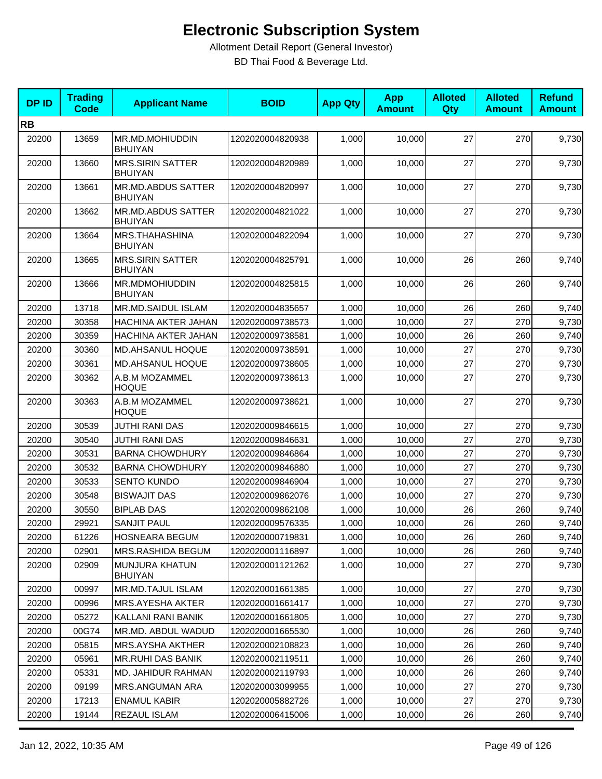| <b>DPID</b> | <b>Trading</b><br><b>Code</b> | <b>Applicant Name</b>                     | <b>BOID</b>      | <b>App Qty</b> | <b>App</b><br><b>Amount</b> | <b>Alloted</b><br>Qty | <b>Alloted</b><br><b>Amount</b> | <b>Refund</b><br><b>Amount</b> |
|-------------|-------------------------------|-------------------------------------------|------------------|----------------|-----------------------------|-----------------------|---------------------------------|--------------------------------|
| <b>RB</b>   |                               |                                           |                  |                |                             |                       |                                 |                                |
| 20200       | 13659                         | MR.MD.MOHIUDDIN<br><b>BHUIYAN</b>         | 1202020004820938 | 1,000          | 10,000                      | 27                    | 270                             | 9,730                          |
| 20200       | 13660                         | <b>MRS.SIRIN SATTER</b><br><b>BHUIYAN</b> | 1202020004820989 | 1,000          | 10,000                      | 27                    | 270                             | 9,730                          |
| 20200       | 13661                         | MR.MD.ABDUS SATTER<br><b>BHUIYAN</b>      | 1202020004820997 | 1,000          | 10,000                      | 27                    | 270                             | 9,730                          |
| 20200       | 13662                         | MR.MD.ABDUS SATTER<br><b>BHUIYAN</b>      | 1202020004821022 | 1,000          | 10,000                      | 27                    | 270                             | 9,730                          |
| 20200       | 13664                         | MRS.THAHASHINA<br><b>BHUIYAN</b>          | 1202020004822094 | 1,000          | 10,000                      | 27                    | 270                             | 9,730                          |
| 20200       | 13665                         | <b>MRS.SIRIN SATTER</b><br><b>BHUIYAN</b> | 1202020004825791 | 1,000          | 10,000                      | 26                    | 260                             | 9,740                          |
| 20200       | 13666                         | MR.MDMOHIUDDIN<br><b>BHUIYAN</b>          | 1202020004825815 | 1,000          | 10,000                      | 26                    | 260                             | 9,740                          |
| 20200       | 13718                         | MR.MD.SAIDUL ISLAM                        | 1202020004835657 | 1,000          | 10,000                      | 26                    | 260                             | 9,740                          |
| 20200       | 30358                         | HACHINA AKTER JAHAN                       | 1202020009738573 | 1,000          | 10,000                      | 27                    | 270                             | 9,730                          |
| 20200       | 30359                         | HACHINA AKTER JAHAN                       | 1202020009738581 | 1,000          | 10,000                      | 26                    | 260                             | 9,740                          |
| 20200       | 30360                         | <b>MD.AHSANUL HOQUE</b>                   | 1202020009738591 | 1,000          | 10,000                      | 27                    | 270                             | 9,730                          |
| 20200       | 30361                         | MD.AHSANUL HOQUE                          | 1202020009738605 | 1,000          | 10,000                      | 27                    | 270                             | 9,730                          |
| 20200       | 30362                         | A.B.M MOZAMMEL<br><b>HOQUE</b>            | 1202020009738613 | 1,000          | 10,000                      | 27                    | 270                             | 9,730                          |
| 20200       | 30363                         | A.B.M MOZAMMEL<br><b>HOQUE</b>            | 1202020009738621 | 1,000          | 10,000                      | 27                    | 270                             | 9,730                          |
| 20200       | 30539                         | <b>JUTHI RANI DAS</b>                     | 1202020009846615 | 1,000          | 10,000                      | 27                    | 270                             | 9,730                          |
| 20200       | 30540                         | <b>JUTHI RANI DAS</b>                     | 1202020009846631 | 1,000          | 10,000                      | 27                    | 270                             | 9,730                          |
| 20200       | 30531                         | <b>BARNA CHOWDHURY</b>                    | 1202020009846864 | 1,000          | 10,000                      | 27                    | 270                             | 9,730                          |
| 20200       | 30532                         | <b>BARNA CHOWDHURY</b>                    | 1202020009846880 | 1,000          | 10,000                      | 27                    | 270                             | 9,730                          |
| 20200       | 30533                         | <b>SENTO KUNDO</b>                        | 1202020009846904 | 1,000          | 10,000                      | 27                    | 270                             | 9,730                          |
| 20200       | 30548                         | <b>BISWAJIT DAS</b>                       | 1202020009862076 | 1,000          | 10,000                      | 27                    | 270                             | 9,730                          |
| 20200       | 30550                         | <b>BIPLAB DAS</b>                         | 1202020009862108 | 1,000          | 10.000                      | 26                    | 260                             | 9,740                          |
| 20200       | 29921                         | <b>SANJIT PAUL</b>                        | 1202020009576335 | 1,000          | 10,000                      | 26                    | 260                             | 9,740                          |
| 20200       | 61226                         | HOSNEARA BEGUM                            | 1202020000719831 | 1,000          | 10,000                      | 26                    | 260                             | 9,740                          |
| 20200       | 02901                         | MRS.RASHIDA BEGUM                         | 1202020001116897 | 1,000          | 10,000                      | 26                    | 260                             | 9,740                          |
| 20200       | 02909                         | MUNJURA KHATUN<br><b>BHUIYAN</b>          | 1202020001121262 | 1,000          | 10,000                      | 27                    | 270                             | 9,730                          |
| 20200       | 00997                         | MR.MD.TAJUL ISLAM                         | 1202020001661385 | 1,000          | 10,000                      | 27                    | 270                             | 9,730                          |
| 20200       | 00996                         | MRS.AYESHA AKTER                          | 1202020001661417 | 1,000          | 10,000                      | 27                    | 270                             | 9,730                          |
| 20200       | 05272                         | KALLANI RANI BANIK                        | 1202020001661805 | 1,000          | 10,000                      | 27                    | 270                             | 9,730                          |
| 20200       | 00G74                         | MR.MD. ABDUL WADUD                        | 1202020001665530 | 1,000          | 10,000                      | 26                    | 260                             | 9,740                          |
| 20200       | 05815                         | MRS.AYSHA AKTHER                          | 1202020002108823 | 1,000          | 10,000                      | 26                    | 260                             | 9,740                          |
| 20200       | 05961                         | <b>MR.RUHI DAS BANIK</b>                  | 1202020002119511 | 1,000          | 10,000                      | 26                    | 260                             | 9,740                          |
| 20200       | 05331                         | MD. JAHIDUR RAHMAN                        | 1202020002119793 | 1,000          | 10,000                      | 26                    | 260                             | 9,740                          |
| 20200       | 09199                         | MRS.ANGUMAN ARA                           | 1202020003099955 | 1,000          | 10,000                      | 27                    | 270                             | 9,730                          |
| 20200       | 17213                         | <b>ENAMUL KABIR</b>                       | 1202020005882726 | 1,000          | 10,000                      | 27                    | 270                             | 9,730                          |
| 20200       | 19144                         | REZAUL ISLAM                              | 1202020006415006 | 1,000          | 10,000                      | 26                    | 260                             | 9,740                          |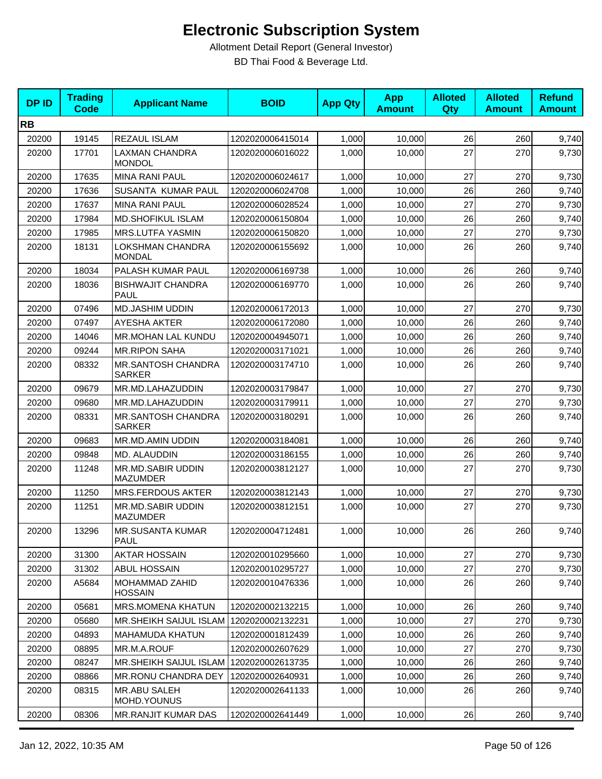| <b>DPID</b> | <b>Trading</b><br>Code | <b>Applicant Name</b>                   | <b>BOID</b>      | <b>App Qty</b> | <b>App</b><br><b>Amount</b> | <b>Alloted</b><br>Qty | <b>Alloted</b><br><b>Amount</b> | <b>Refund</b><br><b>Amount</b> |
|-------------|------------------------|-----------------------------------------|------------------|----------------|-----------------------------|-----------------------|---------------------------------|--------------------------------|
| <b>RB</b>   |                        |                                         |                  |                |                             |                       |                                 |                                |
| 20200       | 19145                  | <b>REZAUL ISLAM</b>                     | 1202020006415014 | 1,000          | 10,000                      | 26                    | 260                             | 9,740                          |
| 20200       | 17701                  | <b>LAXMAN CHANDRA</b><br><b>MONDOL</b>  | 1202020006016022 | 1,000          | 10,000                      | 27                    | 270                             | 9,730                          |
| 20200       | 17635                  | <b>MINA RANI PAUL</b>                   | 1202020006024617 | 1,000          | 10,000                      | 27                    | 270                             | 9,730                          |
| 20200       | 17636                  | SUSANTA KUMAR PAUL                      | 1202020006024708 | 1,000          | 10,000                      | 26                    | 260                             | 9,740                          |
| 20200       | 17637                  | <b>MINA RANI PAUL</b>                   | 1202020006028524 | 1,000          | 10,000                      | 27                    | 270                             | 9,730                          |
| 20200       | 17984                  | <b>MD.SHOFIKUL ISLAM</b>                | 1202020006150804 | 1,000          | 10,000                      | 26                    | 260                             | 9,740                          |
| 20200       | 17985                  | MRS.LUTFA YASMIN                        | 1202020006150820 | 1,000          | 10,000                      | 27                    | 270                             | 9,730                          |
| 20200       | 18131                  | LOKSHMAN CHANDRA<br><b>MONDAL</b>       | 1202020006155692 | 1,000          | 10,000                      | 26                    | 260                             | 9,740                          |
| 20200       | 18034                  | PALASH KUMAR PAUL                       | 1202020006169738 | 1,000          | 10,000                      | 26                    | 260                             | 9,740                          |
| 20200       | 18036                  | <b>BISHWAJIT CHANDRA</b><br><b>PAUL</b> | 1202020006169770 | 1,000          | 10,000                      | 26                    | 260                             | 9,740                          |
| 20200       | 07496                  | MD.JASHIM UDDIN                         | 1202020006172013 | 1,000          | 10,000                      | 27                    | 270                             | 9,730                          |
| 20200       | 07497                  | <b>AYESHA AKTER</b>                     | 1202020006172080 | 1,000          | 10,000                      | 26                    | 260                             | 9,740                          |
| 20200       | 14046                  | MR.MOHAN LAL KUNDU                      | 1202020004945071 | 1,000          | 10,000                      | 26                    | 260                             | 9,740                          |
| 20200       | 09244                  | <b>MR.RIPON SAHA</b>                    | 1202020003171021 | 1,000          | 10.000                      | 26                    | 260                             | 9,740                          |
| 20200       | 08332                  | MR.SANTOSH CHANDRA<br><b>SARKER</b>     | 1202020003174710 | 1,000          | 10,000                      | 26                    | 260                             | 9,740                          |
| 20200       | 09679                  | MR.MD.LAHAZUDDIN                        | 1202020003179847 | 1,000          | 10,000                      | 27                    | 270                             | 9,730                          |
| 20200       | 09680                  | MR.MD.LAHAZUDDIN                        | 1202020003179911 | 1,000          | 10,000                      | 27                    | 270                             | 9,730                          |
| 20200       | 08331                  | MR.SANTOSH CHANDRA<br><b>SARKER</b>     | 1202020003180291 | 1,000          | 10,000                      | 26                    | 260                             | 9,740                          |
| 20200       | 09683                  | MR.MD.AMIN UDDIN                        | 1202020003184081 | 1,000          | 10,000                      | 26                    | 260                             | 9,740                          |
| 20200       | 09848                  | MD. ALAUDDIN                            | 1202020003186155 | 1,000          | 10,000                      | 26                    | 260                             | 9,740                          |
| 20200       | 11248                  | MR.MD.SABIR UDDIN<br><b>MAZUMDER</b>    | 1202020003812127 | 1,000          | 10,000                      | 27                    | 270                             | 9,730                          |
| 20200       | 11250                  | <b>MRS.FERDOUS AKTER</b>                | 1202020003812143 | 1,000          | 10,000                      | 27                    | 270                             | 9,730                          |
| 20200       | 11251                  | MR.MD.SABIR UDDIN<br><b>MAZUMDER</b>    | 1202020003812151 | 1,000          | 10,000                      | 27                    | 270                             | 9,730                          |
| 20200       | 13296                  | MR.SUSANTA KUMAR<br>PAUL                | 1202020004712481 | 1,000          | 10,000                      | 26                    | 260                             | 9,740                          |
| 20200       | 31300                  | <b>AKTAR HOSSAIN</b>                    | 1202020010295660 | 1,000          | 10,000                      | 27                    | 270                             | 9,730                          |
| 20200       | 31302                  | <b>ABUL HOSSAIN</b>                     | 1202020010295727 | 1,000          | 10,000                      | 27                    | 270                             | 9,730                          |
| 20200       | A5684                  | MOHAMMAD ZAHID<br><b>HOSSAIN</b>        | 1202020010476336 | 1,000          | 10,000                      | 26                    | 260                             | 9,740                          |
| 20200       | 05681                  | <b>MRS.MOMENA KHATUN</b>                | 1202020002132215 | 1,000          | 10,000                      | 26                    | 260                             | 9,740                          |
| 20200       | 05680                  | <b>MR.SHEIKH SAIJUL ISLAM</b>           | 1202020002132231 | 1,000          | 10,000                      | 27                    | 270                             | 9,730                          |
| 20200       | 04893                  | <b>MAHAMUDA KHATUN</b>                  | 1202020001812439 | 1,000          | 10,000                      | 26                    | 260                             | 9,740                          |
| 20200       | 08895                  | MR.M.A.ROUF                             | 1202020002607629 | 1,000          | 10,000                      | 27                    | 270                             | 9,730                          |
| 20200       | 08247                  | MR.SHEIKH SAIJUL ISLAM                  | 1202020002613735 | 1,000          | 10,000                      | 26                    | 260                             | 9,740                          |
| 20200       | 08866                  | <b>MR.RONU CHANDRA DEY</b>              | 1202020002640931 | 1,000          | 10,000                      | 26                    | 260                             | 9,740                          |
| 20200       | 08315                  | MR.ABU SALEH<br>MOHD.YOUNUS             | 1202020002641133 | 1,000          | 10,000                      | 26                    | 260                             | 9,740                          |
| 20200       | 08306                  | MR.RANJIT KUMAR DAS                     | 1202020002641449 | 1,000          | 10,000                      | 26                    | 260                             | 9,740                          |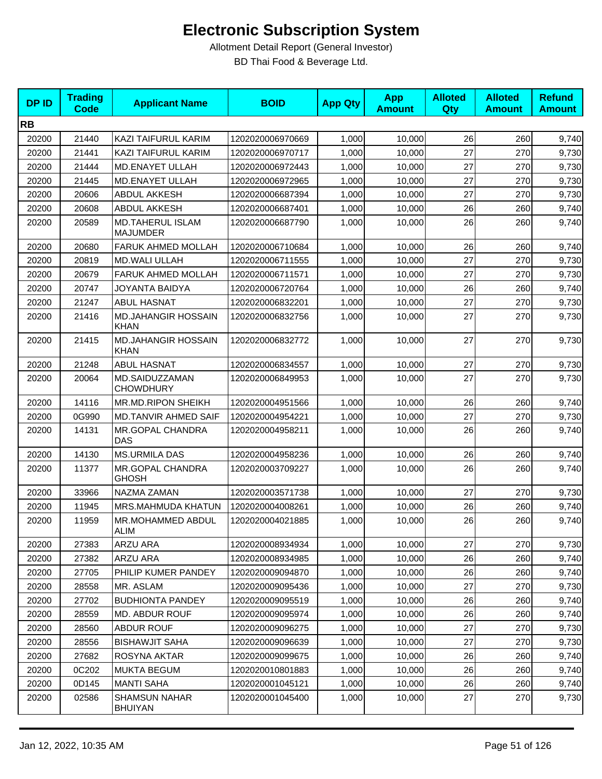| <b>DPID</b> | <b>Trading</b><br><b>Code</b> | <b>Applicant Name</b>                     | <b>BOID</b>      | <b>App Qty</b> | <b>App</b><br><b>Amount</b> | <b>Alloted</b><br><b>Qty</b> | <b>Alloted</b><br><b>Amount</b> | <b>Refund</b><br><b>Amount</b> |
|-------------|-------------------------------|-------------------------------------------|------------------|----------------|-----------------------------|------------------------------|---------------------------------|--------------------------------|
| <b>RB</b>   |                               |                                           |                  |                |                             |                              |                                 |                                |
| 20200       | 21440                         | KAZI TAIFURUL KARIM                       | 1202020006970669 | 1,000          | 10,000                      | 26                           | 260                             | 9,740                          |
| 20200       | 21441                         | KAZI TAIFURUL KARIM                       | 1202020006970717 | 1,000          | 10,000                      | 27                           | 270                             | 9,730                          |
| 20200       | 21444                         | MD.ENAYET ULLAH                           | 1202020006972443 | 1,000          | 10,000                      | 27                           | 270                             | 9,730                          |
| 20200       | 21445                         | MD.ENAYET ULLAH                           | 1202020006972965 | 1,000          | 10,000                      | 27                           | 270                             | 9,730                          |
| 20200       | 20606                         | <b>ABDUL AKKESH</b>                       | 1202020006687394 | 1,000          | 10,000                      | 27                           | 270                             | 9,730                          |
| 20200       | 20608                         | <b>ABDUL AKKESH</b>                       | 1202020006687401 | 1,000          | 10,000                      | 26                           | 260                             | 9,740                          |
| 20200       | 20589                         | MD.TAHERUL ISLAM<br><b>MAJUMDER</b>       | 1202020006687790 | 1,000          | 10,000                      | 26                           | 260                             | 9,740                          |
| 20200       | 20680                         | FARUK AHMED MOLLAH                        | 1202020006710684 | 1,000          | 10,000                      | 26                           | 260                             | 9,740                          |
| 20200       | 20819                         | <b>MD.WALI ULLAH</b>                      | 1202020006711555 | 1,000          | 10,000                      | 27                           | 270                             | 9,730                          |
| 20200       | 20679                         | FARUK AHMED MOLLAH                        | 1202020006711571 | 1,000          | 10,000                      | 27                           | 270                             | 9,730                          |
| 20200       | 20747                         | JOYANTA BAIDYA                            | 1202020006720764 | 1,000          | 10,000                      | 26                           | 260                             | 9,740                          |
| 20200       | 21247                         | <b>ABUL HASNAT</b>                        | 1202020006832201 | 1,000          | 10,000                      | 27                           | 270                             | 9,730                          |
| 20200       | 21416                         | <b>MD.JAHANGIR HOSSAIN</b><br><b>KHAN</b> | 1202020006832756 | 1,000          | 10,000                      | 27                           | 270                             | 9,730                          |
| 20200       | 21415                         | <b>MD.JAHANGIR HOSSAIN</b><br>KHAN        | 1202020006832772 | 1,000          | 10,000                      | 27                           | 270                             | 9,730                          |
| 20200       | 21248                         | <b>ABUL HASNAT</b>                        | 1202020006834557 | 1,000          | 10,000                      | 27                           | 270                             | 9,730                          |
| 20200       | 20064                         | MD.SAIDUZZAMAN<br><b>CHOWDHURY</b>        | 1202020006849953 | 1,000          | 10,000                      | 27                           | 270                             | 9,730                          |
| 20200       | 14116                         | MR.MD.RIPON SHEIKH                        | 1202020004951566 | 1,000          | 10,000                      | 26                           | 260                             | 9,740                          |
| 20200       | 0G990                         | <b>MD.TANVIR AHMED SAIF</b>               | 1202020004954221 | 1,000          | 10,000                      | 27                           | 270                             | 9,730                          |
| 20200       | 14131                         | MR.GOPAL CHANDRA<br><b>DAS</b>            | 1202020004958211 | 1,000          | 10,000                      | 26                           | 260                             | 9,740                          |
| 20200       | 14130                         | <b>MS.URMILA DAS</b>                      | 1202020004958236 | 1,000          | 10,000                      | 26                           | 260                             | 9,740                          |
| 20200       | 11377                         | MR.GOPAL CHANDRA<br><b>GHOSH</b>          | 1202020003709227 | 1,000          | 10,000                      | 26                           | 260                             | 9,740                          |
| 20200       | 33966                         | NAZMA ZAMAN                               | 1202020003571738 | 1,000          | 10,000                      | 27                           | 270                             | 9,730                          |
| 20200       | 11945                         | MRS.MAHMUDA KHATUN                        | 1202020004008261 | 1,000          | 10,000                      | 26                           | 260                             | 9,740                          |
| 20200       | 11959                         | MR.MOHAMMED ABDUL<br>ALIM                 | 1202020004021885 | 1,000          | 10,000                      | 26                           | 260                             | 9,740                          |
| 20200       | 27383                         | ARZU ARA                                  | 1202020008934934 | 1,000          | 10,000                      | 27                           | 270                             | 9,730                          |
| 20200       | 27382                         | ARZU ARA                                  | 1202020008934985 | 1,000          | 10,000                      | 26                           | 260                             | 9,740                          |
| 20200       | 27705                         | PHILIP KUMER PANDEY                       | 1202020009094870 | 1,000          | 10,000                      | 26                           | 260                             | 9,740                          |
| 20200       | 28558                         | MR. ASLAM                                 | 1202020009095436 | 1,000          | 10,000                      | 27                           | 270                             | 9,730                          |
| 20200       | 27702                         | <b>BUDHIONTA PANDEY</b>                   | 1202020009095519 | 1,000          | 10,000                      | 26                           | 260                             | 9,740                          |
| 20200       | 28559                         | <b>MD. ABDUR ROUF</b>                     | 1202020009095974 | 1,000          | 10,000                      | 26                           | 260                             | 9,740                          |
| 20200       | 28560                         | <b>ABDUR ROUF</b>                         | 1202020009096275 | 1,000          | 10,000                      | 27                           | 270                             | 9,730                          |
| 20200       | 28556                         | <b>BISHAWJIT SAHA</b>                     | 1202020009096639 | 1,000          | 10,000                      | 27                           | 270                             | 9,730                          |
| 20200       | 27682                         | ROSYNA AKTAR                              | 1202020009099675 | 1,000          | 10,000                      | 26                           | 260                             | 9,740                          |
| 20200       | 0C202                         | <b>MUKTA BEGUM</b>                        | 1202020010801883 | 1,000          | 10,000                      | 26                           | 260                             | 9,740                          |
| 20200       | 0D145                         | <b>MANTI SAHA</b>                         | 1202020001045121 | 1,000          | 10,000                      | 26                           | 260                             | 9,740                          |
| 20200       | 02586                         | <b>SHAMSUN NAHAR</b><br><b>BHUIYAN</b>    | 1202020001045400 | 1,000          | 10,000                      | 27                           | 270                             | 9,730                          |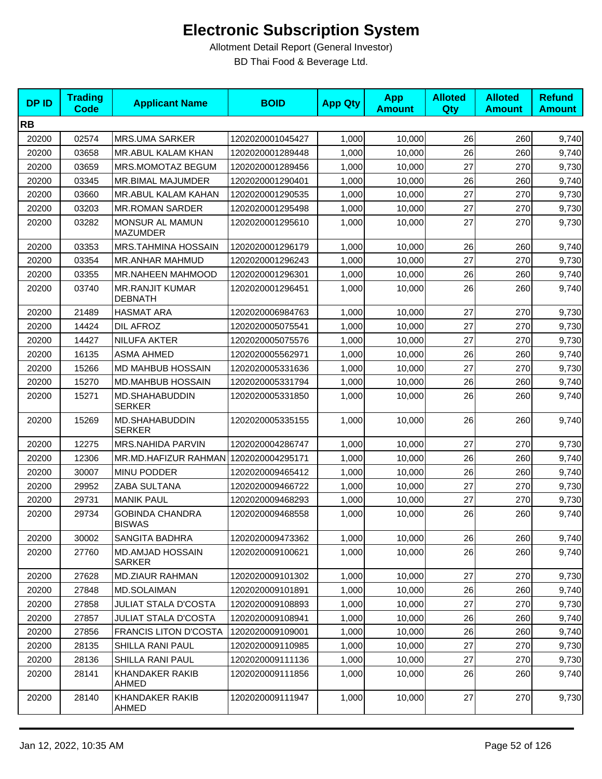| <b>DPID</b> | <b>Trading</b><br><b>Code</b> | <b>Applicant Name</b>                    | <b>BOID</b>      | <b>App Qty</b> | <b>App</b><br><b>Amount</b> | <b>Alloted</b><br>Qty | <b>Alloted</b><br><b>Amount</b> | <b>Refund</b><br><b>Amount</b> |
|-------------|-------------------------------|------------------------------------------|------------------|----------------|-----------------------------|-----------------------|---------------------------------|--------------------------------|
| <b>RB</b>   |                               |                                          |                  |                |                             |                       |                                 |                                |
| 20200       | 02574                         | <b>MRS.UMA SARKER</b>                    | 1202020001045427 | 1,000          | 10,000                      | 26                    | 260                             | 9,740                          |
| 20200       | 03658                         | MR.ABUL KALAM KHAN                       | 1202020001289448 | 1,000          | 10,000                      | 26                    | 260                             | 9,740                          |
| 20200       | 03659                         | MRS.MOMOTAZ BEGUM                        | 1202020001289456 | 1,000          | 10,000                      | 27                    | 270                             | 9,730                          |
| 20200       | 03345                         | <b>MR.BIMAL MAJUMDER</b>                 | 1202020001290401 | 1,000          | 10,000                      | 26                    | 260                             | 9,740                          |
| 20200       | 03660                         | MR.ABUL KALAM KAHAN                      | 1202020001290535 | 1,000          | 10,000                      | 27                    | 270                             | 9,730                          |
| 20200       | 03203                         | <b>MR.ROMAN SARDER</b>                   | 1202020001295498 | 1,000          | 10,000                      | 27                    | 270                             | 9,730                          |
| 20200       | 03282                         | MONSUR AL MAMUN<br><b>MAZUMDER</b>       | 1202020001295610 | 1,000          | 10,000                      | 27                    | 270                             | 9,730                          |
| 20200       | 03353                         | MRS.TAHMINA HOSSAIN                      | 1202020001296179 | 1,000          | 10,000                      | 26                    | 260                             | 9,740                          |
| 20200       | 03354                         | <b>MR.ANHAR MAHMUD</b>                   | 1202020001296243 | 1,000          | 10,000                      | 27                    | 270                             | 9,730                          |
| 20200       | 03355                         | <b>MR.NAHEEN MAHMOOD</b>                 | 1202020001296301 | 1,000          | 10,000                      | 26                    | 260                             | 9,740                          |
| 20200       | 03740                         | <b>MR.RANJIT KUMAR</b><br><b>DEBNATH</b> | 1202020001296451 | 1,000          | 10,000                      | 26                    | 260                             | 9,740                          |
| 20200       | 21489                         | <b>HASMAT ARA</b>                        | 1202020006984763 | 1,000          | 10,000                      | 27                    | 270                             | 9,730                          |
| 20200       | 14424                         | <b>DIL AFROZ</b>                         | 1202020005075541 | 1,000          | 10,000                      | 27                    | 270                             | 9,730                          |
| 20200       | 14427                         | <b>NILUFA AKTER</b>                      | 1202020005075576 | 1,000          | 10,000                      | 27                    | 270                             | 9,730                          |
| 20200       | 16135                         | <b>ASMA AHMED</b>                        | 1202020005562971 | 1,000          | 10,000                      | 26                    | 260                             | 9,740                          |
| 20200       | 15266                         | <b>MD MAHBUB HOSSAIN</b>                 | 1202020005331636 | 1,000          | 10,000                      | 27                    | 270                             | 9,730                          |
| 20200       | 15270                         | MD.MAHBUB HOSSAIN                        | 1202020005331794 | 1,000          | 10,000                      | 26                    | 260                             | 9,740                          |
| 20200       | 15271                         | MD.SHAHABUDDIN<br><b>SERKER</b>          | 1202020005331850 | 1,000          | 10,000                      | 26                    | 260                             | 9,740                          |
| 20200       | 15269                         | MD.SHAHABUDDIN<br><b>SERKER</b>          | 1202020005335155 | 1,000          | 10,000                      | 26                    | 260                             | 9,740                          |
| 20200       | 12275                         | <b>MRS.NAHIDA PARVIN</b>                 | 1202020004286747 | 1,000          | 10,000                      | 27                    | 270                             | 9,730                          |
| 20200       | 12306                         | MR.MD.HAFIZUR RAHMAN 1202020004295171    |                  | 1,000          | 10,000                      | 26                    | 260                             | 9,740                          |
| 20200       | 30007                         | <b>MINU PODDER</b>                       | 1202020009465412 | 1,000          | 10,000                      | 26                    | 260                             | 9,740                          |
| 20200       | 29952                         | ZABA SULTANA                             | 1202020009466722 | 1,000          | 10,000                      | 27                    | 270                             | 9,730                          |
| 20200       | 29731                         | <b>MANIK PAUL</b>                        | 1202020009468293 | 1,000          | 10,000                      | 27                    | 270                             | 9,730                          |
| 20200       | 29734                         | <b>GOBINDA CHANDRA</b><br><b>BISWAS</b>  | 1202020009468558 | 1,000          | 10,000                      | 26                    | 260                             | 9,740                          |
| 20200       | 30002                         | <b>SANGITA BADHRA</b>                    | 1202020009473362 | 1,000          | 10,000                      | 26                    | 260                             | 9,740                          |
| 20200       | 27760                         | <b>MD.AMJAD HOSSAIN</b><br><b>SARKER</b> | 1202020009100621 | 1,000          | 10,000                      | 26                    | 260                             | 9,740                          |
| 20200       | 27628                         | MD.ZIAUR RAHMAN                          | 1202020009101302 | 1,000          | 10,000                      | 27                    | 270                             | 9,730                          |
| 20200       | 27848                         | MD.SOLAIMAN                              | 1202020009101891 | 1,000          | 10,000                      | 26                    | 260                             | 9,740                          |
| 20200       | 27858                         | <b>JULIAT STALA D'COSTA</b>              | 1202020009108893 | 1,000          | 10,000                      | 27                    | 270                             | 9,730                          |
| 20200       | 27857                         | <b>JULIAT STALA D'COSTA</b>              | 1202020009108941 | 1,000          | 10,000                      | 26                    | 260                             | 9,740                          |
| 20200       | 27856                         | <b>FRANCIS LITON D'COSTA</b>             | 1202020009109001 | 1,000          | 10,000                      | 26                    | 260                             | 9,740                          |
| 20200       | 28135                         | <b>SHILLA RANI PAUL</b>                  | 1202020009110985 | 1,000          | 10,000                      | 27                    | 270                             | 9,730                          |
| 20200       | 28136                         | SHILLA RANI PAUL                         | 1202020009111136 | 1,000          | 10,000                      | 27                    | 270                             | 9,730                          |
| 20200       | 28141                         | KHANDAKER RAKIB<br>AHMED                 | 1202020009111856 | 1,000          | 10,000                      | 26                    | 260                             | 9,740                          |
| 20200       | 28140                         | KHANDAKER RAKIB<br>AHMED                 | 1202020009111947 | 1,000          | 10,000                      | 27                    | 270                             | 9,730                          |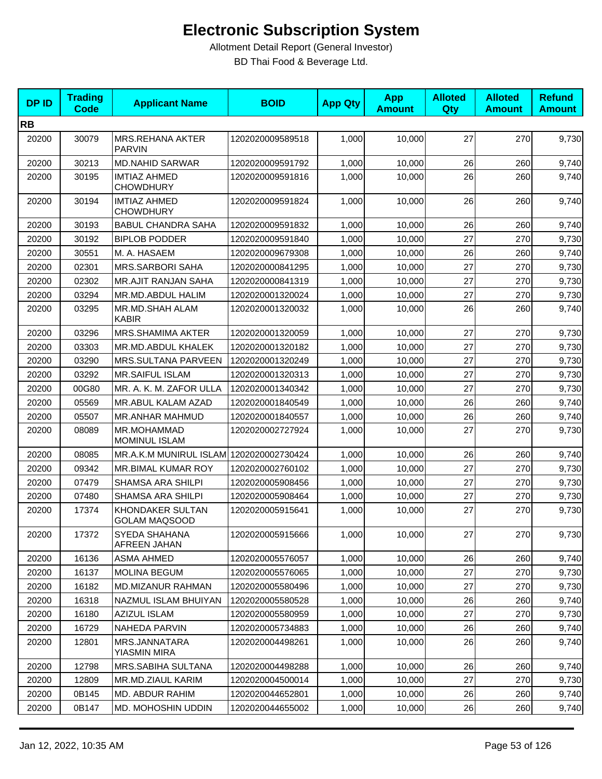| <b>DPID</b> | <b>Trading</b><br><b>Code</b> | <b>Applicant Name</b>                           | <b>BOID</b>      | <b>App Qty</b> | <b>App</b><br><b>Amount</b> | <b>Alloted</b><br>Qty | <b>Alloted</b><br><b>Amount</b> | <b>Refund</b><br><b>Amount</b> |
|-------------|-------------------------------|-------------------------------------------------|------------------|----------------|-----------------------------|-----------------------|---------------------------------|--------------------------------|
| <b>RB</b>   |                               |                                                 |                  |                |                             |                       |                                 |                                |
| 20200       | 30079                         | <b>MRS.REHANA AKTER</b><br><b>PARVIN</b>        | 1202020009589518 | 1,000          | 10,000                      | 27                    | 270                             | 9,730                          |
| 20200       | 30213                         | <b>MD.NAHID SARWAR</b>                          | 1202020009591792 | 1,000          | 10,000                      | 26                    | 260                             | 9,740                          |
| 20200       | 30195                         | <b>IMTIAZ AHMED</b><br><b>CHOWDHURY</b>         | 1202020009591816 | 1,000          | 10,000                      | 26                    | 260                             | 9,740                          |
| 20200       | 30194                         | <b>IMTIAZ AHMED</b><br><b>CHOWDHURY</b>         | 1202020009591824 | 1,000          | 10,000                      | 26                    | 260                             | 9,740                          |
| 20200       | 30193                         | <b>BABUL CHANDRA SAHA</b>                       | 1202020009591832 | 1,000          | 10,000                      | 26                    | 260                             | 9,740                          |
| 20200       | 30192                         | <b>BIPLOB PODDER</b>                            | 1202020009591840 | 1,000          | 10,000                      | 27                    | 270                             | 9,730                          |
| 20200       | 30551                         | M. A. HASAEM                                    | 1202020009679308 | 1,000          | 10,000                      | 26                    | 260                             | 9,740                          |
| 20200       | 02301                         | <b>MRS.SARBORI SAHA</b>                         | 1202020000841295 | 1,000          | 10,000                      | 27                    | 270                             | 9,730                          |
| 20200       | 02302                         | <b>MR.AJIT RANJAN SAHA</b>                      | 1202020000841319 | 1,000          | 10,000                      | 27                    | 270                             | 9,730                          |
| 20200       | 03294                         | MR.MD.ABDUL HALIM                               | 1202020001320024 | 1,000          | 10,000                      | 27                    | 270                             | 9,730                          |
| 20200       | 03295                         | MR.MD.SHAH ALAM<br><b>KABIR</b>                 | 1202020001320032 | 1,000          | 10,000                      | 26                    | 260                             | 9,740                          |
| 20200       | 03296                         | <b>MRS.SHAMIMA AKTER</b>                        | 1202020001320059 | 1,000          | 10,000                      | 27                    | 270                             | 9,730                          |
| 20200       | 03303                         | MR.MD.ABDUL KHALEK                              | 1202020001320182 | 1,000          | 10,000                      | 27                    | 270                             | 9,730                          |
| 20200       | 03290                         | MRS.SULTANA PARVEEN                             | 1202020001320249 | 1,000          | 10,000                      | 27                    | 270                             | 9,730                          |
| 20200       | 03292                         | <b>MR.SAIFUL ISLAM</b>                          | 1202020001320313 | 1,000          | 10,000                      | 27                    | 270                             | 9,730                          |
| 20200       | 00G80                         | MR. A. K. M. ZAFOR ULLA                         | 1202020001340342 | 1,000          | 10,000                      | 27                    | 270                             | 9,730                          |
| 20200       | 05569                         | MR.ABUL KALAM AZAD                              | 1202020001840549 | 1,000          | 10,000                      | 26                    | 260                             | 9,740                          |
| 20200       | 05507                         | MR.ANHAR MAHMUD                                 | 1202020001840557 | 1,000          | 10,000                      | 26                    | 260                             | 9,740                          |
| 20200       | 08089                         | MR.MOHAMMAD<br><b>MOMINUL ISLAM</b>             | 1202020002727924 | 1,000          | 10,000                      | 27                    | 270                             | 9,730                          |
| 20200       | 08085                         | MR.A.K.M MUNIRUL ISLAM 1202020002730424         |                  | 1,000          | 10,000                      | 26                    | 260                             | 9,740                          |
| 20200       | 09342                         | <b>MR.BIMAL KUMAR ROY</b>                       | 1202020002760102 | 1,000          | 10,000                      | 27                    | 270                             | 9,730                          |
| 20200       | 07479                         | <b>SHAMSA ARA SHILPI</b>                        | 1202020005908456 | 1,000          | 10,000                      | 27                    | 270                             | 9,730                          |
| 20200       | 07480                         | <b>SHAMSA ARA SHILPI</b>                        | 1202020005908464 | 1,000          | 10,000                      | 27                    | 270                             | 9,730                          |
| 20200       | 17374                         | <b>KHONDAKER SULTAN</b><br><b>GOLAM MAQSOOD</b> | 1202020005915641 | 1,000          | 10,000                      | 27                    | 270                             | 9,730                          |
| 20200       | 17372                         | SYEDA SHAHANA<br>AFREEN JAHAN                   | 1202020005915666 | 1,000          | 10,000                      | 27                    | 270                             | 9,730                          |
| 20200       | 16136                         | <b>ASMA AHMED</b>                               | 1202020005576057 | 1,000          | 10,000                      | 26                    | 260                             | 9,740                          |
| 20200       | 16137                         | <b>MOLINA BEGUM</b>                             | 1202020005576065 | 1,000          | 10,000                      | 27                    | 270                             | 9,730                          |
| 20200       | 16182                         | MD.MIZANUR RAHMAN                               | 1202020005580496 | 1,000          | 10,000                      | 27                    | 270                             | 9,730                          |
| 20200       | 16318                         | NAZMUL ISLAM BHUIYAN                            | 1202020005580528 | 1,000          | 10,000                      | 26                    | 260                             | 9,740                          |
| 20200       | 16180                         | AZIZUL ISLAM                                    | 1202020005580959 | 1,000          | 10,000                      | 27                    | 270                             | 9,730                          |
| 20200       | 16729                         | <b>NAHEDA PARVIN</b>                            | 1202020005734883 | 1,000          | 10,000                      | 26                    | 260                             | 9,740                          |
| 20200       | 12801                         | MRS.JANNATARA<br><b>YIASMIN MIRA</b>            | 1202020004498261 | 1,000          | 10,000                      | 26                    | 260                             | 9,740                          |
| 20200       | 12798                         | MRS.SABIHA SULTANA                              | 1202020004498288 | 1,000          | 10,000                      | 26                    | 260                             | 9,740                          |
| 20200       | 12809                         | MR.MD.ZIAUL KARIM                               | 1202020004500014 | 1,000          | 10,000                      | 27                    | 270                             | 9,730                          |
| 20200       | 0B145                         | MD. ABDUR RAHIM                                 | 1202020044652801 | 1,000          | 10,000                      | 26                    | 260                             | 9,740                          |
| 20200       | 0B147                         | MD. MOHOSHIN UDDIN                              | 1202020044655002 | 1,000          | 10,000                      | 26                    | 260                             | 9,740                          |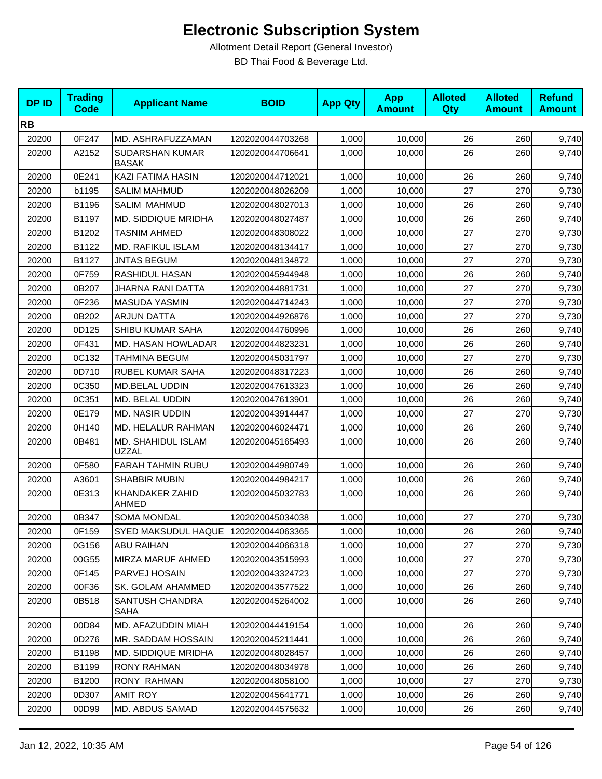| <b>DPID</b> | <b>Trading</b><br><b>Code</b> | <b>Applicant Name</b>                  | <b>BOID</b>      | <b>App Qty</b> | <b>App</b><br><b>Amount</b> | <b>Alloted</b><br>Qty | <b>Alloted</b><br><b>Amount</b> | <b>Refund</b><br><b>Amount</b> |
|-------------|-------------------------------|----------------------------------------|------------------|----------------|-----------------------------|-----------------------|---------------------------------|--------------------------------|
| <b>RB</b>   |                               |                                        |                  |                |                             |                       |                                 |                                |
| 20200       | 0F247                         | MD. ASHRAFUZZAMAN                      | 1202020044703268 | 1,000          | 10,000                      | 26                    | 260                             | 9,740                          |
| 20200       | A2152                         | <b>SUDARSHAN KUMAR</b><br><b>BASAK</b> | 1202020044706641 | 1.000          | 10,000                      | 26                    | 260                             | 9,740                          |
| 20200       | 0E241                         | KAZI FATIMA HASIN                      | 1202020044712021 | 1,000          | 10,000                      | 26                    | 260                             | 9,740                          |
| 20200       | b1195                         | <b>SALIM MAHMUD</b>                    | 1202020048026209 | 1,000          | 10,000                      | 27                    | 270                             | 9,730                          |
| 20200       | B1196                         | <b>SALIM MAHMUD</b>                    | 1202020048027013 | 1,000          | 10,000                      | 26                    | 260                             | 9,740                          |
| 20200       | B1197                         | MD. SIDDIQUE MRIDHA                    | 1202020048027487 | 1,000          | 10,000                      | 26                    | 260                             | 9,740                          |
| 20200       | B1202                         | <b>TASNIM AHMED</b>                    | 1202020048308022 | 1,000          | 10,000                      | 27                    | 270                             | 9,730                          |
| 20200       | B1122                         | MD. RAFIKUL ISLAM                      | 1202020048134417 | 1,000          | 10,000                      | 27                    | 270                             | 9,730                          |
| 20200       | B1127                         | <b>JNTAS BEGUM</b>                     | 1202020048134872 | 1,000          | 10,000                      | 27                    | 270                             | 9,730                          |
| 20200       | 0F759                         | RASHIDUL HASAN                         | 1202020045944948 | 1,000          | 10,000                      | 26                    | 260                             | 9,740                          |
| 20200       | 0B207                         | JHARNA RANI DATTA                      | 1202020044881731 | 1,000          | 10,000                      | 27                    | 270                             | 9,730                          |
| 20200       | 0F236                         | <b>MASUDA YASMIN</b>                   | 1202020044714243 | 1,000          | 10,000                      | 27                    | 270                             | 9,730                          |
| 20200       | 0B202                         | <b>ARJUN DATTA</b>                     | 1202020044926876 | 1,000          | 10,000                      | 27                    | 270                             | 9,730                          |
| 20200       | 0D125                         | SHIBU KUMAR SAHA                       | 1202020044760996 | 1,000          | 10,000                      | 26                    | 260                             | 9,740                          |
| 20200       | 0F431                         | MD. HASAN HOWLADAR                     | 1202020044823231 | 1,000          | 10,000                      | 26                    | 260                             | 9,740                          |
| 20200       | 0C132                         | TAHMINA BEGUM                          | 1202020045031797 | 1,000          | 10,000                      | 27                    | 270                             | 9,730                          |
| 20200       | 0D710                         | RUBEL KUMAR SAHA                       | 1202020048317223 | 1,000          | 10,000                      | 26                    | 260                             | 9,740                          |
| 20200       | 0C350                         | MD.BELAL UDDIN                         | 1202020047613323 | 1,000          | 10,000                      | 26                    | 260                             | 9,740                          |
| 20200       | 0C351                         | MD. BELAL UDDIN                        | 1202020047613901 | 1,000          | 10,000                      | 26                    | 260                             | 9,740                          |
| 20200       | 0E179                         | <b>MD. NASIR UDDIN</b>                 | 1202020043914447 | 1,000          | 10,000                      | 27                    | 270                             | 9,730                          |
| 20200       | 0H140                         | MD. HELALUR RAHMAN                     | 1202020046024471 | 1,000          | 10,000                      | 26                    | 260                             | 9,740                          |
| 20200       | 0B481                         | MD. SHAHIDUL ISLAM<br><b>UZZAL</b>     | 1202020045165493 | 1,000          | 10,000                      | 26                    | 260                             | 9,740                          |
| 20200       | 0F580                         | <b>FARAH TAHMIN RUBU</b>               | 1202020044980749 | 1,000          | 10,000                      | 26                    | 260                             | 9,740                          |
| 20200       | A3601                         | SHABBIR MUBIN                          | 1202020044984217 | 1,000          | 10,000                      | 26                    | 260                             | 9,740                          |
| 20200       | 0E313                         | KHANDAKER ZAHID<br><b>AHMED</b>        | 1202020045032783 | 1,000          | 10,000                      | 26                    | 260                             | 9,740                          |
| 20200       | 0B347                         | <b>SOMA MONDAL</b>                     | 1202020045034038 | 1,000          | 10,000                      | 27                    | 270                             | 9,730                          |
| 20200       | 0F159                         | SYED MAKSUDUL HAQUE 1202020044063365   |                  | 1,000          | 10,000                      | 26                    | 260                             | 9,740                          |
| 20200       | 0G156                         | <b>ABU RAIHAN</b>                      | 1202020044066318 | 1,000          | 10,000                      | 27                    | 270                             | 9,730                          |
| 20200       | 00G55                         | MIRZA MARUF AHMED                      | 1202020043515993 | 1,000          | 10,000                      | 27                    | 270                             | 9,730                          |
| 20200       | 0F145                         | PARVEJ HOSAIN                          | 1202020043324723 | 1,000          | 10,000                      | 27                    | 270                             | 9,730                          |
| 20200       | 00F36                         | SK. GOLAM AHAMMED                      | 1202020043577522 | 1,000          | 10,000                      | 26                    | 260                             | 9,740                          |
| 20200       | 0B518                         | SANTUSH CHANDRA<br>SAHA                | 1202020045264002 | 1,000          | 10.000                      | 26                    | 260                             | 9,740                          |
| 20200       | 00D84                         | MD. AFAZUDDIN MIAH                     | 1202020044419154 | 1,000          | 10,000                      | 26                    | 260                             | 9,740                          |
| 20200       | 0D276                         | MR. SADDAM HOSSAIN                     | 1202020045211441 | 1,000          | 10,000                      | 26                    | 260                             | 9,740                          |
| 20200       | B1198                         | <b>MD. SIDDIQUE MRIDHA</b>             | 1202020048028457 | 1,000          | 10,000                      | 26                    | 260                             | 9,740                          |
| 20200       | B1199                         | <b>RONY RAHMAN</b>                     | 1202020048034978 | 1,000          | 10,000                      | 26                    | 260                             | 9,740                          |
| 20200       | B1200                         | <b>RONY RAHMAN</b>                     | 1202020048058100 | 1,000          | 10,000                      | 27                    | 270                             | 9,730                          |
| 20200       | 0D307                         | <b>AMIT ROY</b>                        | 1202020045641771 | 1,000          | 10,000                      | 26                    | 260                             | 9,740                          |
| 20200       | 00D99                         | MD. ABDUS SAMAD                        | 1202020044575632 | 1,000          | 10,000                      | 26                    | 260                             | 9,740                          |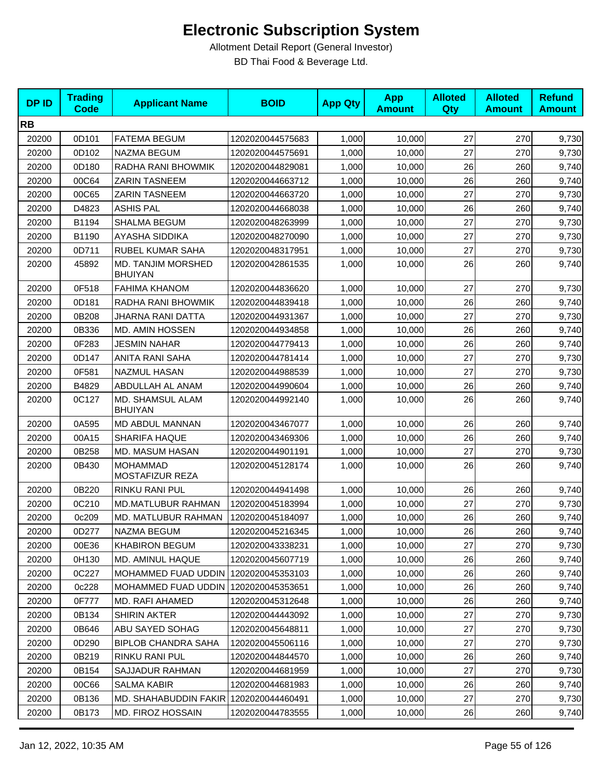| <b>DPID</b> | <b>Trading</b><br><b>Code</b> | <b>Applicant Name</b>                       | <b>BOID</b>      | <b>App Qty</b> | <b>App</b><br><b>Amount</b> | <b>Alloted</b><br><b>Qty</b> | <b>Alloted</b><br><b>Amount</b> | <b>Refund</b><br><b>Amount</b> |
|-------------|-------------------------------|---------------------------------------------|------------------|----------------|-----------------------------|------------------------------|---------------------------------|--------------------------------|
| <b>RB</b>   |                               |                                             |                  |                |                             |                              |                                 |                                |
| 20200       | 0D101                         | <b>FATEMA BEGUM</b>                         | 1202020044575683 | 1,000          | 10,000                      | 27                           | 270                             | 9,730                          |
| 20200       | 0D102                         | NAZMA BEGUM                                 | 1202020044575691 | 1,000          | 10,000                      | 27                           | 270                             | 9,730                          |
| 20200       | 0D180                         | RADHA RANI BHOWMIK                          | 1202020044829081 | 1,000          | 10,000                      | 26                           | 260                             | 9,740                          |
| 20200       | 00C64                         | <b>ZARIN TASNEEM</b>                        | 1202020044663712 | 1,000          | 10,000                      | 26                           | 260                             | 9,740                          |
| 20200       | 00C65                         | ZARIN TASNEEM                               | 1202020044663720 | 1,000          | 10,000                      | 27                           | 270                             | 9,730                          |
| 20200       | D4823                         | <b>ASHIS PAL</b>                            | 1202020044668038 | 1,000          | 10,000                      | 26                           | 260                             | 9,740                          |
| 20200       | B1194                         | SHALMA BEGUM                                | 1202020048263999 | 1,000          | 10,000                      | 27                           | 270                             | 9,730                          |
| 20200       | B1190                         | AYASHA SIDDIKA                              | 1202020048270090 | 1,000          | 10,000                      | 27                           | 270                             | 9,730                          |
| 20200       | 0D711                         | RUBEL KUMAR SAHA                            | 1202020048317951 | 1,000          | 10,000                      | 27                           | 270                             | 9,730                          |
| 20200       | 45892                         | <b>MD. TANJIM MORSHED</b><br><b>BHUIYAN</b> | 1202020042861535 | 1,000          | 10,000                      | 26                           | 260                             | 9,740                          |
| 20200       | 0F518                         | <b>FAHIMA KHANOM</b>                        | 1202020044836620 | 1,000          | 10,000                      | 27                           | 270                             | 9,730                          |
| 20200       | 0D181                         | RADHA RANI BHOWMIK                          | 1202020044839418 | 1,000          | 10,000                      | 26                           | 260                             | 9,740                          |
| 20200       | 0B208                         | <b>JHARNA RANI DATTA</b>                    | 1202020044931367 | 1,000          | 10,000                      | 27                           | 270                             | 9,730                          |
| 20200       | 0B336                         | <b>MD. AMIN HOSSEN</b>                      | 1202020044934858 | 1,000          | 10,000                      | 26                           | 260                             | 9,740                          |
| 20200       | 0F283                         | <b>JESMIN NAHAR</b>                         | 1202020044779413 | 1,000          | 10,000                      | 26                           | 260                             | 9,740                          |
| 20200       | 0D147                         | <b>ANITA RANI SAHA</b>                      | 1202020044781414 | 1,000          | 10,000                      | 27                           | 270                             | 9,730                          |
| 20200       | 0F581                         | <b>NAZMUL HASAN</b>                         | 1202020044988539 | 1,000          | 10,000                      | 27                           | 270                             | 9,730                          |
| 20200       | B4829                         | ABDULLAH AL ANAM                            | 1202020044990604 | 1,000          | 10,000                      | 26                           | 260                             | 9,740                          |
| 20200       | 0C127                         | MD. SHAMSUL ALAM<br><b>BHUIYAN</b>          | 1202020044992140 | 1,000          | 10,000                      | 26                           | 260                             | 9,740                          |
| 20200       | 0A595                         | MD ABDUL MANNAN                             | 1202020043467077 | 1,000          | 10,000                      | 26                           | 260                             | 9,740                          |
| 20200       | 00A15                         | <b>SHARIFA HAQUE</b>                        | 1202020043469306 | 1,000          | 10,000                      | 26                           | 260                             | 9,740                          |
| 20200       | 0B258                         | MD. MASUM HASAN                             | 1202020044901191 | 1,000          | 10,000                      | 27                           | 270                             | 9,730                          |
| 20200       | 0B430                         | <b>MOHAMMAD</b><br>MOSTAFIZUR REZA          | 1202020045128174 | 1,000          | 10,000                      | 26                           | 260                             | 9,740                          |
| 20200       | 0B220                         | <b>RINKU RANI PUL</b>                       | 1202020044941498 | 1,000          | 10,000                      | 26                           | 260                             | 9,740                          |
| 20200       | 0C210                         | <b>MD.MATLUBUR RAHMAN</b>                   | 1202020045183994 | 1,000          | 10.000                      | 27                           | 270                             | 9,730                          |
| 20200       | 0c209                         | MD. MATLUBUR RAHMAN                         | 1202020045184097 | 1,000          | 10,000                      | 26                           | 260                             | 9,740                          |
| 20200       | 0D277                         | NAZMA BEGUM                                 | 1202020045216345 | 1,000          | 10,000                      | 26                           | 260                             | 9,740                          |
| 20200       | 00E36                         | <b>KHABIRON BEGUM</b>                       | 1202020043338231 | 1,000          | 10.000                      | 27                           | 270                             | 9,730                          |
| 20200       | 0H130                         | MD. AMINUL HAQUE                            | 1202020045607719 | 1,000          | 10,000                      | 26                           | 260                             | 9,740                          |
| 20200       | 0C227                         | MOHAMMED FUAD UDDIN 1202020045353103        |                  | 1,000          | 10,000                      | 26                           | 260                             | 9,740                          |
| 20200       | 0c228                         | MOHAMMED FUAD UDDIN                         | 1202020045353651 | 1,000          | 10,000                      | 26                           | 260                             | 9,740                          |
| 20200       | 0F777                         | MD. RAFI AHAMED                             | 1202020045312648 | 1,000          | 10,000                      | 26                           | 260                             | 9,740                          |
| 20200       | 0B134                         | SHIRIN AKTER                                | 1202020044443092 | 1,000          | 10,000                      | 27                           | 270                             | 9,730                          |
| 20200       | 0B646                         | ABU SAYED SOHAG                             | 1202020045648811 | 1,000          | 10,000                      | 27                           | 270                             | 9,730                          |
| 20200       | 0D290                         | <b>BIPLOB CHANDRA SAHA</b>                  | 1202020045506116 | 1,000          | 10,000                      | 27                           | 270                             | 9,730                          |
| 20200       | 0B219                         | RINKU RANI PUL                              | 1202020044844570 | 1,000          | 10,000                      | 26                           | 260                             | 9,740                          |
| 20200       | 0B154                         | SAJJADUR RAHMAN                             | 1202020044681959 | 1,000          | 10,000                      | 27                           | 270                             | 9,730                          |
| 20200       | 00C66                         | SALMA KABIR                                 | 1202020044681983 | 1,000          | 10,000                      | 26                           | 260                             | 9,740                          |
| 20200       | 0B136                         | MD. SHAHABUDDIN FAKIR 1202020044460491      |                  | 1,000          | 10,000                      | 27                           | 270                             | 9,730                          |
| 20200       | 0B173                         | MD. FIROZ HOSSAIN                           | 1202020044783555 | 1,000          | 10,000                      | 26                           | 260                             | 9,740                          |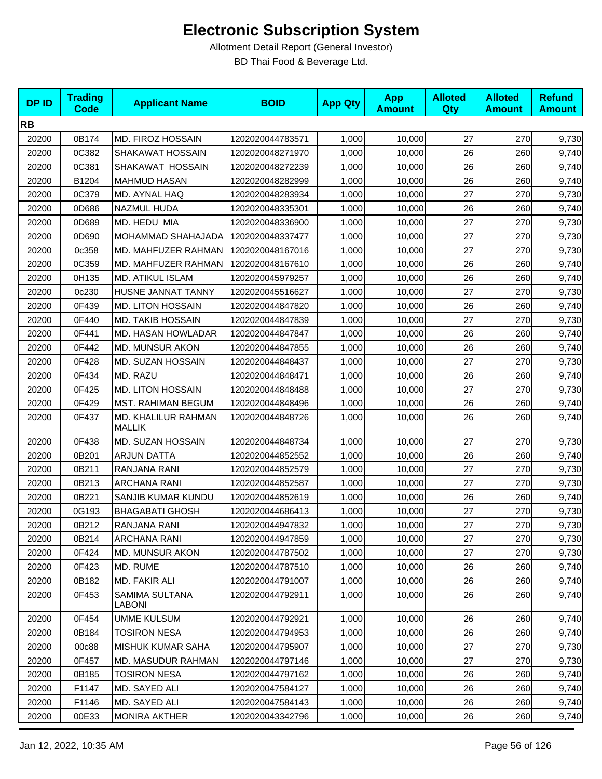| <b>DPID</b> | <b>Trading</b><br><b>Code</b> | <b>Applicant Name</b>                | <b>BOID</b>      | <b>App Qty</b> | <b>App</b><br><b>Amount</b> | <b>Alloted</b><br><b>Qty</b> | <b>Alloted</b><br><b>Amount</b> | <b>Refund</b><br><b>Amount</b> |
|-------------|-------------------------------|--------------------------------------|------------------|----------------|-----------------------------|------------------------------|---------------------------------|--------------------------------|
| <b>RB</b>   |                               |                                      |                  |                |                             |                              |                                 |                                |
| 20200       | 0B174                         | MD. FIROZ HOSSAIN                    | 1202020044783571 | 1,000          | 10,000                      | 27                           | 270                             | 9,730                          |
| 20200       | 0C382                         | SHAKAWAT HOSSAIN                     | 1202020048271970 | 1,000          | 10,000                      | 26                           | 260                             | 9,740                          |
| 20200       | 0C381                         | SHAKAWAT HOSSAIN                     | 1202020048272239 | 1,000          | 10,000                      | 26                           | 260                             | 9,740                          |
| 20200       | B1204                         | <b>MAHMUD HASAN</b>                  | 1202020048282999 | 1,000          | 10,000                      | 26                           | 260                             | 9,740                          |
| 20200       | 0C379                         | MD. AYNAL HAQ                        | 1202020048283934 | 1,000          | 10,000                      | 27                           | 270                             | 9,730                          |
| 20200       | 0D686                         | NAZMUL HUDA                          | 1202020048335301 | 1,000          | 10,000                      | 26                           | 260                             | 9,740                          |
| 20200       | 0D689                         | MD. HEDU MIA                         | 1202020048336900 | 1,000          | 10,000                      | 27                           | 270                             | 9,730                          |
| 20200       | 0D690                         | MOHAMMAD SHAHAJADA                   | 1202020048337477 | 1,000          | 10,000                      | 27                           | 270                             | 9,730                          |
| 20200       | 0c358                         | MD. MAHFUZER RAHMAN                  | 1202020048167016 | 1,000          | 10,000                      | 27                           | 270                             | 9,730                          |
| 20200       | 0C359                         | MD. MAHFUZER RAHMAN                  | 1202020048167610 | 1,000          | 10,000                      | 26                           | 260                             | 9,740                          |
| 20200       | 0H135                         | MD. ATIKUL ISLAM                     | 1202020045979257 | 1,000          | 10,000                      | 26                           | 260                             | 9,740                          |
| 20200       | 0c230                         | HUSNE JANNAT TANNY                   | 1202020045516627 | 1,000          | 10,000                      | 27                           | 270                             | 9,730                          |
| 20200       | 0F439                         | <b>MD. LITON HOSSAIN</b>             | 1202020044847820 | 1,000          | 10,000                      | 26                           | 260                             | 9,740                          |
| 20200       | 0F440                         | <b>MD. TAKIB HOSSAIN</b>             | 1202020044847839 | 1,000          | 10,000                      | 27                           | 270                             | 9,730                          |
| 20200       | 0F441                         | MD. HASAN HOWLADAR                   | 1202020044847847 | 1,000          | 10,000                      | 26                           | 260                             | 9,740                          |
| 20200       | 0F442                         | MD. MUNSUR AKON                      | 1202020044847855 | 1,000          | 10,000                      | 26                           | 260                             | 9,740                          |
| 20200       | 0F428                         | MD. SUZAN HOSSAIN                    | 1202020044848437 | 1,000          | 10,000                      | 27                           | 270                             | 9,730                          |
| 20200       | 0F434                         | MD. RAZU                             | 1202020044848471 | 1,000          | 10,000                      | 26                           | 260                             | 9,740                          |
| 20200       | 0F425                         | <b>MD. LITON HOSSAIN</b>             | 1202020044848488 | 1,000          | 10,000                      | 27                           | 270                             | 9,730                          |
| 20200       | 0F429                         | <b>MST. RAHIMAN BEGUM</b>            | 1202020044848496 | 1,000          | 10,000                      | 26                           | 260                             | 9,740                          |
| 20200       | 0F437                         | MD. KHALILUR RAHMAN<br><b>MALLIK</b> | 1202020044848726 | 1,000          | 10,000                      | 26                           | 260                             | 9,740                          |
| 20200       | 0F438                         | MD. SUZAN HOSSAIN                    | 1202020044848734 | 1,000          | 10,000                      | 27                           | 270                             | 9,730                          |
| 20200       | 0B201                         | <b>ARJUN DATTA</b>                   | 1202020044852552 | 1,000          | 10,000                      | 26                           | 260                             | 9,740                          |
| 20200       | 0B211                         | RANJANA RANI                         | 1202020044852579 | 1,000          | 10,000                      | 27                           | 270                             | 9,730                          |
| 20200       | 0B213                         | <b>ARCHANA RANI</b>                  | 1202020044852587 | 1,000          | 10,000                      | 27                           | 270                             | 9,730                          |
| 20200       | 0B221                         | SANJIB KUMAR KUNDU                   | 1202020044852619 | 1,000          | 10,000                      | 26                           | 260                             | 9,740                          |
| 20200       | 0G193                         | <b>BHAGABATI GHOSH</b>               | 1202020044686413 | 1,000          | 10,000                      | 27                           | 270                             | 9,730                          |
| 20200       | 0B212                         | RANJANA RANI                         | 1202020044947832 | 1,000          | 10,000                      | 27                           | 270                             | 9,730                          |
| 20200       | 0B214                         | <b>ARCHANA RANI</b>                  | 1202020044947859 | 1,000          | 10,000                      | 27                           | 270                             | 9,730                          |
| 20200       | 0F424                         | <b>MD. MUNSUR AKON</b>               | 1202020044787502 | 1,000          | 10,000                      | 27                           | 270                             | 9,730                          |
| 20200       | 0F423                         | MD. RUME                             | 1202020044787510 | 1,000          | 10,000                      | 26                           | 260                             | 9,740                          |
| 20200       | 0B182                         | MD. FAKIR ALI                        | 1202020044791007 | 1,000          | 10,000                      | 26                           | 260                             | 9,740                          |
| 20200       | 0F453                         | SAMIMA SULTANA<br>LABONI             | 1202020044792911 | 1,000          | 10,000                      | 26                           | 260                             | 9,740                          |
| 20200       | 0F454                         | <b>UMME KULSUM</b>                   | 1202020044792921 | 1,000          | 10,000                      | 26                           | 260                             | 9,740                          |
| 20200       | 0B184                         | <b>TOSIRON NESA</b>                  | 1202020044794953 | 1,000          | 10,000                      | 26                           | 260                             | 9,740                          |
| 20200       | 00c88                         | MISHUK KUMAR SAHA                    | 1202020044795907 | 1,000          | 10,000                      | 27                           | 270                             | 9,730                          |
| 20200       | 0F457                         | MD. MASUDUR RAHMAN                   | 1202020044797146 | 1,000          | 10,000                      | 27                           | 270                             | 9,730                          |
| 20200       | 0B185                         | <b>TOSIRON NESA</b>                  | 1202020044797162 | 1,000          | 10,000                      | 26                           | 260                             | 9,740                          |
| 20200       | F1147                         | MD. SAYED ALI                        | 1202020047584127 | 1,000          | 10,000                      | 26                           | 260                             | 9,740                          |
| 20200       | F1146                         | MD. SAYED ALI                        | 1202020047584143 | 1,000          | 10,000                      | 26                           | 260                             | 9,740                          |
| 20200       | 00E33                         | <b>MONIRA AKTHER</b>                 | 1202020043342796 | 1,000          | 10,000                      | 26                           | 260                             | 9,740                          |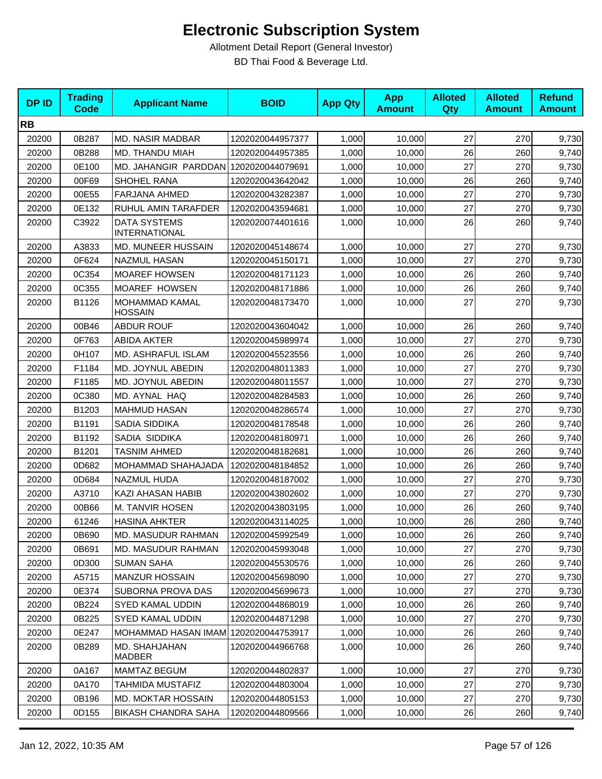| <b>DPID</b> | <b>Trading</b><br><b>Code</b> | <b>Applicant Name</b>                       | <b>BOID</b>      | <b>App Qty</b> | <b>App</b><br><b>Amount</b> | <b>Alloted</b><br><b>Qty</b> | <b>Alloted</b><br><b>Amount</b> | <b>Refund</b><br><b>Amount</b> |
|-------------|-------------------------------|---------------------------------------------|------------------|----------------|-----------------------------|------------------------------|---------------------------------|--------------------------------|
| <b>RB</b>   |                               |                                             |                  |                |                             |                              |                                 |                                |
| 20200       | 0B287                         | <b>MD. NASIR MADBAR</b>                     | 1202020044957377 | 1,000          | 10,000                      | 27                           | 270                             | 9,730                          |
| 20200       | 0B288                         | MD. THANDU MIAH                             | 1202020044957385 | 1,000          | 10,000                      | 26                           | 260                             | 9,740                          |
| 20200       | 0E100                         | MD. JAHANGIR PARDDAN 1202020044079691       |                  | 1,000          | 10,000                      | 27                           | 270                             | 9,730                          |
| 20200       | 00F69                         | SHOHEL RANA                                 | 1202020043642042 | 1,000          | 10,000                      | 26                           | 260                             | 9,740                          |
| 20200       | 00E55                         | FARJANA AHMED                               | 1202020043282387 | 1,000          | 10,000                      | 27                           | 270                             | 9,730                          |
| 20200       | 0E132                         | RUHUL AMIN TARAFDER                         | 1202020043594681 | 1,000          | 10,000                      | 27                           | 270                             | 9,730                          |
| 20200       | C3922                         | <b>DATA SYSTEMS</b><br><b>INTERNATIONAL</b> | 1202020074401616 | 1,000          | 10,000                      | 26                           | 260                             | 9,740                          |
| 20200       | A3833                         | MD. MUNEER HUSSAIN                          | 1202020045148674 | 1,000          | 10,000                      | 27                           | 270                             | 9,730                          |
| 20200       | 0F624                         | <b>NAZMUL HASAN</b>                         | 1202020045150171 | 1,000          | 10,000                      | 27                           | 270                             | 9,730                          |
| 20200       | 0C354                         | <b>MOAREF HOWSEN</b>                        | 1202020048171123 | 1,000          | 10,000                      | 26                           | 260                             | 9,740                          |
| 20200       | 0C355                         | MOAREF HOWSEN                               | 1202020048171886 | 1,000          | 10,000                      | 26                           | 260                             | 9,740                          |
| 20200       | B1126                         | MOHAMMAD KAMAL<br><b>HOSSAIN</b>            | 1202020048173470 | 1,000          | 10,000                      | 27                           | 270                             | 9,730                          |
| 20200       | 00B46                         | <b>ABDUR ROUF</b>                           | 1202020043604042 | 1,000          | 10,000                      | 26                           | 260                             | 9,740                          |
| 20200       | 0F763                         | <b>ABIDA AKTER</b>                          | 1202020045989974 | 1,000          | 10,000                      | 27                           | 270                             | 9,730                          |
| 20200       | 0H107                         | MD. ASHRAFUL ISLAM                          | 1202020045523556 | 1,000          | 10,000                      | 26                           | 260                             | 9,740                          |
| 20200       | F1184                         | MD. JOYNUL ABEDIN                           | 1202020048011383 | 1,000          | 10,000                      | 27                           | 270                             | 9,730                          |
| 20200       | F1185                         | MD. JOYNUL ABEDIN                           | 1202020048011557 | 1,000          | 10,000                      | 27                           | 270                             | 9,730                          |
| 20200       | 0C380                         | MD. AYNAL HAQ                               | 1202020048284583 | 1,000          | 10,000                      | 26                           | 260                             | 9,740                          |
| 20200       | B1203                         | <b>MAHMUD HASAN</b>                         | 1202020048286574 | 1,000          | 10,000                      | 27                           | 270                             | 9,730                          |
| 20200       | B1191                         | SADIA SIDDIKA                               | 1202020048178548 | 1,000          | 10,000                      | 26                           | 260                             | 9,740                          |
| 20200       | B1192                         | SADIA SIDDIKA                               | 1202020048180971 | 1,000          | 10,000                      | 26                           | 260                             | 9,740                          |
| 20200       | B1201                         | <b>TASNIM AHMED</b>                         | 1202020048182681 | 1,000          | 10,000                      | 26                           | 260                             | 9,740                          |
| 20200       | 0D682                         | MOHAMMAD SHAHAJADA                          | 1202020048184852 | 1,000          | 10,000                      | 26                           | 260                             | 9,740                          |
| 20200       | 0D684                         | <b>NAZMUL HUDA</b>                          | 1202020048187002 | 1,000          | 10,000                      | 27                           | 270                             | 9,730                          |
| 20200       | A3710                         | KAZI AHASAN HABIB                           | 1202020043802602 | 1,000          | 10,000                      | 27                           | 270                             | 9,730                          |
| 20200       | 00B66                         | M. TANVIR HOSEN                             | 1202020043803195 | 1,000          | 10,000                      | 26                           | 260                             | 9,740                          |
| 20200       | 61246                         | <b>HASINA AHKTER</b>                        | 1202020043114025 | 1,000          | 10,000                      | 26                           | 260                             | 9,740                          |
| 20200       | 0B690                         | MD. MASUDUR RAHMAN                          | 1202020045992549 | 1,000          | 10,000                      | 26                           | 260                             | 9,740                          |
| 20200       | 0B691                         | <b>MD. MASUDUR RAHMAN</b>                   | 1202020045993048 | 1,000          | 10,000                      | 27                           | 270                             | 9,730                          |
| 20200       | 0D300                         | <b>SUMAN SAHA</b>                           | 1202020045530576 | 1,000          | 10,000                      | 26                           | 260                             | 9,740                          |
| 20200       | A5715                         | <b>MANZUR HOSSAIN</b>                       | 1202020045698090 | 1,000          | 10,000                      | 27                           | 270                             | 9,730                          |
| 20200       | 0E374                         | SUBORNA PROVA DAS                           | 1202020045699673 | 1,000          | 10,000                      | 27                           | 270                             | 9,730                          |
| 20200       | 0B224                         | <b>SYED KAMAL UDDIN</b>                     | 1202020044868019 | 1,000          | 10,000                      | 26                           | 260                             | 9,740                          |
| 20200       | 0B225                         | SYED KAMAL UDDIN                            | 1202020044871298 | 1,000          | 10,000                      | 27                           | 270                             | 9,730                          |
| 20200       | 0E247                         | MOHAMMAD HASAN IMAM 1202020044753917        |                  | 1,000          | 10,000                      | 26                           | 260                             | 9,740                          |
| 20200       | 0B289                         | MD. SHAHJAHAN<br>MADBER                     | 1202020044966768 | 1,000          | 10,000                      | 26                           | 260                             | 9,740                          |
| 20200       | 0A167                         | <b>MAMTAZ BEGUM</b>                         | 1202020044802837 | 1,000          | 10,000                      | 27                           | 270                             | 9,730                          |
| 20200       | 0A170                         | TAHMIDA MUSTAFIZ                            | 1202020044803004 | 1,000          | 10,000                      | 27                           | 270                             | 9,730                          |
| 20200       | 0B196                         | MD. MOKTAR HOSSAIN                          | 1202020044805153 | 1,000          | 10,000                      | 27                           | 270                             | 9,730                          |
| 20200       | 0D155                         | <b>BIKASH CHANDRA SAHA</b>                  | 1202020044809566 | 1,000          | 10,000                      | 26                           | 260                             | 9,740                          |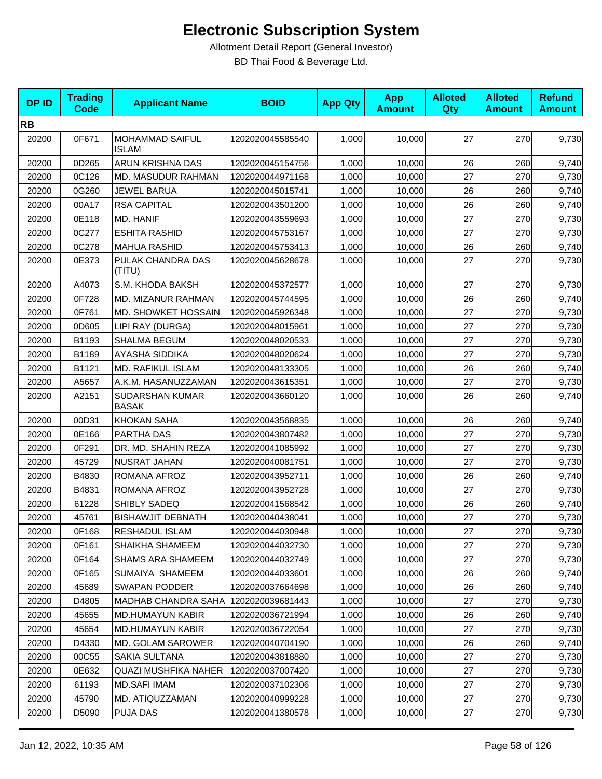| <b>DPID</b> | <b>Trading</b><br><b>Code</b> | <b>Applicant Name</b>                  | <b>BOID</b>      | <b>App Qty</b> | <b>App</b><br><b>Amount</b> | <b>Alloted</b><br>Qty | <b>Alloted</b><br><b>Amount</b> | <b>Refund</b><br><b>Amount</b> |
|-------------|-------------------------------|----------------------------------------|------------------|----------------|-----------------------------|-----------------------|---------------------------------|--------------------------------|
| <b>RB</b>   |                               |                                        |                  |                |                             |                       |                                 |                                |
| 20200       | 0F671                         | <b>MOHAMMAD SAIFUL</b><br><b>ISLAM</b> | 1202020045585540 | 1,000          | 10,000                      | 27                    | 270                             | 9,730                          |
| 20200       | 0D265                         | ARUN KRISHNA DAS                       | 1202020045154756 | 1,000          | 10,000                      | 26                    | 260                             | 9,740                          |
| 20200       | 0C126                         | MD. MASUDUR RAHMAN                     | 1202020044971168 | 1,000          | 10,000                      | 27                    | 270                             | 9,730                          |
| 20200       | 0G260                         | JEWEL BARUA                            | 1202020045015741 | 1,000          | 10,000                      | 26                    | 260                             | 9,740                          |
| 20200       | 00A17                         | <b>RSA CAPITAL</b>                     | 1202020043501200 | 1,000          | 10,000                      | 26                    | 260                             | 9,740                          |
| 20200       | 0E118                         | MD. HANIF                              | 1202020043559693 | 1,000          | 10,000                      | 27                    | 270                             | 9,730                          |
| 20200       | 0C277                         | <b>ESHITA RASHID</b>                   | 1202020045753167 | 1,000          | 10,000                      | 27                    | 270                             | 9,730                          |
| 20200       | 0C278                         | <b>MAHUA RASHID</b>                    | 1202020045753413 | 1,000          | 10,000                      | 26                    | 260                             | 9,740                          |
| 20200       | 0E373                         | PULAK CHANDRA DAS<br>(TITU)            | 1202020045628678 | 1,000          | 10,000                      | 27                    | 270                             | 9,730                          |
| 20200       | A4073                         | S.M. KHODA BAKSH                       | 1202020045372577 | 1,000          | 10,000                      | 27                    | 270                             | 9,730                          |
| 20200       | 0F728                         | MD. MIZANUR RAHMAN                     | 1202020045744595 | 1,000          | 10,000                      | 26                    | 260                             | 9,740                          |
| 20200       | 0F761                         | MD. SHOWKET HOSSAIN                    | 1202020045926348 | 1,000          | 10,000                      | 27                    | 270                             | 9,730                          |
| 20200       | 0D605                         | LIPI RAY (DURGA)                       | 1202020048015961 | 1,000          | 10,000                      | 27                    | 270                             | 9,730                          |
| 20200       | B1193                         | <b>SHALMA BEGUM</b>                    | 1202020048020533 | 1,000          | 10,000                      | 27                    | 270                             | 9,730                          |
| 20200       | B1189                         | <b>AYASHA SIDDIKA</b>                  | 1202020048020624 | 1,000          | 10,000                      | 27                    | 270                             | 9,730                          |
| 20200       | B1121                         | MD. RAFIKUL ISLAM                      | 1202020048133305 | 1,000          | 10,000                      | 26                    | 260                             | 9,740                          |
| 20200       | A5657                         | A.K.M. HASANUZZAMAN                    | 1202020043615351 | 1,000          | 10,000                      | 27                    | 270                             | 9,730                          |
| 20200       | A2151                         | SUDARSHAN KUMAR<br><b>BASAK</b>        | 1202020043660120 | 1,000          | 10,000                      | 26                    | 260                             | 9,740                          |
| 20200       | 00D31                         | <b>KHOKAN SAHA</b>                     | 1202020043568835 | 1,000          | 10,000                      | 26                    | 260                             | 9,740                          |
| 20200       | 0E166                         | PARTHA DAS                             | 1202020043807482 | 1,000          | 10,000                      | 27                    | 270                             | 9,730                          |
| 20200       | 0F291                         | DR. MD. SHAHIN REZA                    | 1202020041085992 | 1,000          | 10,000                      | 27                    | 270                             | 9,730                          |
| 20200       | 45729                         | NUSRAT JAHAN                           | 1202020040081751 | 1,000          | 10,000                      | 27                    | 270                             | 9,730                          |
| 20200       | B4830                         | ROMANA AFROZ                           | 1202020043952711 | 1,000          | 10,000                      | 26                    | 260                             | 9,740                          |
| 20200       | B4831                         | ROMANA AFROZ                           | 1202020043952728 | 1,000          | 10,000                      | 27                    | 270                             | 9,730                          |
| 20200       | 61228                         | SHIBLY SADEQ                           | 1202020041568542 | 1,000          | 10,000                      | 26                    | 260                             | 9,740                          |
| 20200       | 45761                         | <b>BISHAWJIT DEBNATH</b>               | 1202020040438041 | 1,000          | 10,000                      | 27                    | 270                             | 9,730                          |
| 20200       | 0F168                         | RESHADUL ISLAM                         | 1202020044030948 | 1,000          | 10,000                      | 27                    | 270                             | 9,730                          |
| 20200       | 0F161                         | SHAIKHA SHAMEEM                        | 1202020044032730 | 1,000          | 10,000                      | 27                    | 270                             | 9,730                          |
| 20200       | 0F164                         | <b>SHAMS ARA SHAMEEM</b>               | 1202020044032749 | 1,000          | 10,000                      | 27                    | 270                             | 9,730                          |
| 20200       | 0F165                         | SUMAIYA SHAMEEM                        | 1202020044033601 | 1,000          | 10,000                      | 26                    | 260                             | 9,740                          |
| 20200       | 45689                         | SWAPAN PODDER                          | 1202020037664698 | 1,000          | 10,000                      | 26                    | 260                             | 9,740                          |
| 20200       | D4805                         | <b>MADHAB CHANDRA SAHA</b>             | 1202020039681443 | 1,000          | 10,000                      | 27                    | 270                             | 9,730                          |
| 20200       | 45655                         | <b>MD.HUMAYUN KABIR</b>                | 1202020036721994 | 1,000          | 10,000                      | 26                    | 260                             | 9,740                          |
| 20200       | 45654                         | <b>MD.HUMAYUN KABIR</b>                | 1202020036722054 | 1,000          | 10,000                      | 27                    | 270                             | 9,730                          |
| 20200       | D4330                         | MD. GOLAM SAROWER                      | 1202020040704190 | 1,000          | 10,000                      | 26                    | 260                             | 9,740                          |
| 20200       | 00C55                         | SAKIA SULTANA                          | 1202020043818880 | 1,000          | 10,000                      | 27                    | 270                             | 9,730                          |
| 20200       | 0E632                         | QUAZI MUSHFIKA NAHER                   | 1202020037007420 | 1,000          | 10,000                      | 27                    | 270                             | 9,730                          |
| 20200       | 61193                         | <b>MD.SAFI IMAM</b>                    | 1202020037102306 | 1,000          | 10,000                      | 27                    | 270                             | 9,730                          |
| 20200       | 45790                         | MD. ATIQUZZAMAN                        | 1202020040999228 | 1,000          | 10,000                      | 27                    | 270                             | 9,730                          |
| 20200       | D5090                         | PUJA DAS                               | 1202020041380578 | 1,000          | 10,000                      | 27                    | 270                             | 9,730                          |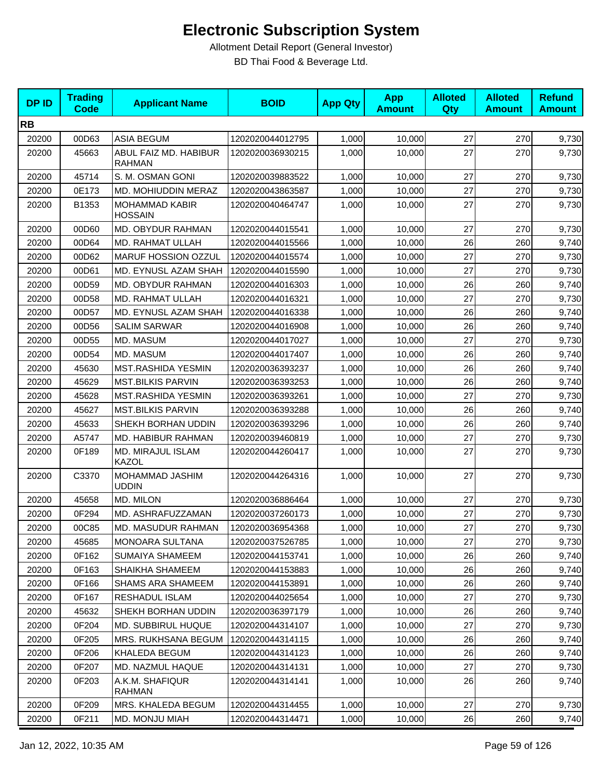| <b>DPID</b> | <b>Trading</b><br><b>Code</b> | <b>Applicant Name</b>                   | <b>BOID</b>      | <b>App Qty</b> | <b>App</b><br><b>Amount</b> | <b>Alloted</b><br>Qty | <b>Alloted</b><br><b>Amount</b> | <b>Refund</b><br><b>Amount</b> |
|-------------|-------------------------------|-----------------------------------------|------------------|----------------|-----------------------------|-----------------------|---------------------------------|--------------------------------|
| <b>RB</b>   |                               |                                         |                  |                |                             |                       |                                 |                                |
| 20200       | 00D63                         | <b>ASIA BEGUM</b>                       | 1202020044012795 | 1,000          | 10,000                      | 27                    | 270                             | 9,730                          |
| 20200       | 45663                         | ABUL FAIZ MD. HABIBUR<br><b>RAHMAN</b>  | 1202020036930215 | 1,000          | 10,000                      | 27                    | 270                             | 9,730                          |
| 20200       | 45714                         | S. M. OSMAN GONI                        | 1202020039883522 | 1,000          | 10,000                      | 27                    | 270                             | 9,730                          |
| 20200       | 0E173                         | MD. MOHIUDDIN MERAZ                     | 1202020043863587 | 1,000          | 10,000                      | 27                    | 270                             | 9,730                          |
| 20200       | B1353                         | <b>MOHAMMAD KABIR</b><br><b>HOSSAIN</b> | 1202020040464747 | 1,000          | 10,000                      | 27                    | 270                             | 9,730                          |
| 20200       | 00D60                         | MD. OBYDUR RAHMAN                       | 1202020044015541 | 1,000          | 10,000                      | 27                    | 270                             | 9,730                          |
| 20200       | 00D64                         | MD. RAHMAT ULLAH                        | 1202020044015566 | 1,000          | 10,000                      | 26                    | 260                             | 9,740                          |
| 20200       | 00D62                         | MARUF HOSSION OZZUL                     | 1202020044015574 | 1,000          | 10,000                      | 27                    | 270                             | 9,730                          |
| 20200       | 00D61                         | MD. EYNUSL AZAM SHAH                    | 1202020044015590 | 1,000          | 10,000                      | 27                    | 270                             | 9,730                          |
| 20200       | 00D59                         | MD. OBYDUR RAHMAN                       | 1202020044016303 | 1,000          | 10,000                      | 26                    | 260                             | 9,740                          |
| 20200       | 00D58                         | MD. RAHMAT ULLAH                        | 1202020044016321 | 1,000          | 10,000                      | 27                    | 270                             | 9,730                          |
| 20200       | 00D57                         | MD. EYNUSL AZAM SHAH                    | 1202020044016338 | 1,000          | 10,000                      | 26                    | 260                             | 9,740                          |
| 20200       | 00D56                         | <b>SALIM SARWAR</b>                     | 1202020044016908 | 1,000          | 10,000                      | 26                    | 260                             | 9,740                          |
| 20200       | 00D55                         | MD. MASUM                               | 1202020044017027 | 1,000          | 10,000                      | 27                    | 270                             | 9,730                          |
| 20200       | 00D54                         | MD. MASUM                               | 1202020044017407 | 1,000          | 10,000                      | 26                    | 260                             | 9,740                          |
| 20200       | 45630                         | MST.RASHIDA YESMIN                      | 1202020036393237 | 1,000          | 10,000                      | 26                    | 260                             | 9,740                          |
| 20200       | 45629                         | <b>MST.BILKIS PARVIN</b>                | 1202020036393253 | 1,000          | 10,000                      | 26                    | 260                             | 9,740                          |
| 20200       | 45628                         | MST.RASHIDA YESMIN                      | 1202020036393261 | 1,000          | 10,000                      | 27                    | 270                             | 9,730                          |
| 20200       | 45627                         | <b>MST.BILKIS PARVIN</b>                | 1202020036393288 | 1,000          | 10,000                      | 26                    | 260                             | 9,740                          |
| 20200       | 45633                         | SHEKH BORHAN UDDIN                      | 1202020036393296 | 1,000          | 10,000                      | 26                    | 260                             | 9,740                          |
| 20200       | A5747                         | MD. HABIBUR RAHMAN                      | 1202020039460819 | 1,000          | 10,000                      | 27                    | 270                             | 9,730                          |
| 20200       | 0F189                         | MD. MIRAJUL ISLAM<br><b>KAZOL</b>       | 1202020044260417 | 1,000          | 10,000                      | 27                    | 270                             | 9,730                          |
| 20200       | C3370                         | MOHAMMAD JASHIM<br><b>UDDIN</b>         | 1202020044264316 | 1,000          | 10,000                      | 27                    | 270                             | 9,730                          |
| 20200       | 45658                         | MD. MILON                               | 1202020036886464 | 1,000          | 10,000                      | 27                    | 270                             | 9,730                          |
| 20200       | 0F294                         | MD. ASHRAFUZZAMAN                       | 1202020037260173 | 1,000          | 10,000                      | 27                    | 270                             | 9,730                          |
| 20200       | 00C85                         | MD. MASUDUR RAHMAN                      | 1202020036954368 | 1,000          | 10,000                      | 27                    | 270                             | 9,730                          |
| 20200       | 45685                         | MONOARA SULTANA                         | 1202020037526785 | 1,000          | 10,000                      | 27                    | 270                             | 9,730                          |
| 20200       | 0F162                         | SUMAIYA SHAMEEM                         | 1202020044153741 | 1,000          | 10,000                      | 26                    | 260                             | 9,740                          |
| 20200       | 0F163                         | SHAIKHA SHAMEEM                         | 1202020044153883 | 1,000          | 10,000                      | 26                    | 260                             | 9,740                          |
| 20200       | 0F166                         | <b>SHAMS ARA SHAMEEM</b>                | 1202020044153891 | 1,000          | 10,000                      | 26                    | 260                             | 9,740                          |
| 20200       | 0F167                         | RESHADUL ISLAM                          | 1202020044025654 | 1,000          | 10,000                      | 27                    | 270                             | 9,730                          |
| 20200       | 45632                         | SHEKH BORHAN UDDIN                      | 1202020036397179 | 1,000          | 10,000                      | 26                    | 260                             | 9,740                          |
| 20200       | 0F204                         | MD. SUBBIRUL HUQUE                      | 1202020044314107 | 1,000          | 10,000                      | 27                    | 270                             | 9,730                          |
| 20200       | 0F205                         | <b>MRS. RUKHSANA BEGUM</b>              | 1202020044314115 | 1,000          | 10,000                      | 26                    | 260                             | 9,740                          |
| 20200       | 0F206                         | KHALEDA BEGUM                           | 1202020044314123 | 1,000          | 10,000                      | 26                    | 260                             | 9,740                          |
| 20200       | 0F207                         | MD. NAZMUL HAQUE                        | 1202020044314131 | 1,000          | 10,000                      | 27                    | 270                             | 9,730                          |
| 20200       | 0F203                         | A.K.M. SHAFIQUR<br>RAHMAN               | 1202020044314141 | 1,000          | 10,000                      | 26                    | 260                             | 9,740                          |
| 20200       | 0F209                         | MRS. KHALEDA BEGUM                      | 1202020044314455 | 1,000          | 10,000                      | 27                    | 270                             | 9,730                          |
| 20200       | 0F211                         | MD. MONJU MIAH                          | 1202020044314471 | 1,000          | 10,000                      | 26                    | 260                             | 9,740                          |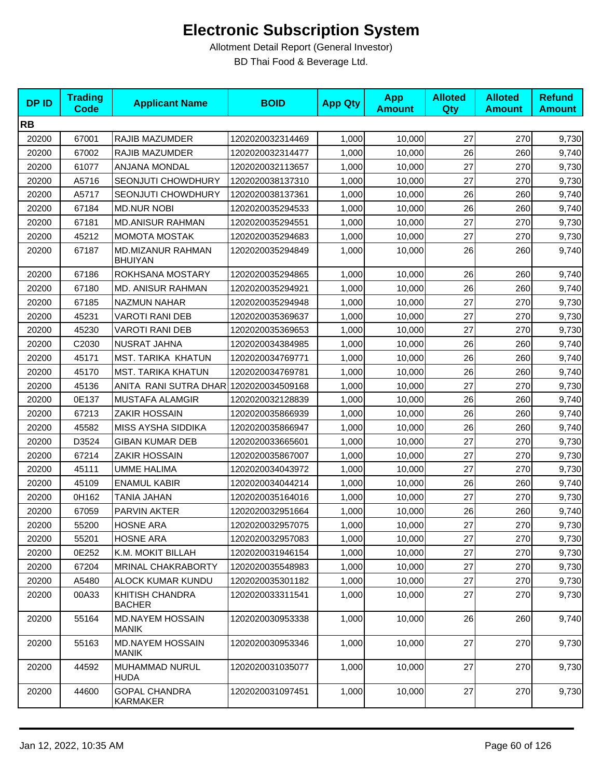| <b>DPID</b> | <b>Trading</b><br><b>Code</b> | <b>Applicant Name</b>                   | <b>BOID</b>      | <b>App Qty</b> | <b>App</b><br><b>Amount</b> | <b>Alloted</b><br>Qty | <b>Alloted</b><br><b>Amount</b> | <b>Refund</b><br><b>Amount</b> |
|-------------|-------------------------------|-----------------------------------------|------------------|----------------|-----------------------------|-----------------------|---------------------------------|--------------------------------|
| <b>RB</b>   |                               |                                         |                  |                |                             |                       |                                 |                                |
| 20200       | 67001                         | RAJIB MAZUMDER                          | 1202020032314469 | 1,000          | 10,000                      | 27                    | 270                             | 9,730                          |
| 20200       | 67002                         | RAJIB MAZUMDER                          | 1202020032314477 | 1,000          | 10,000                      | 26                    | 260                             | 9,740                          |
| 20200       | 61077                         | ANJANA MONDAL                           | 1202020032113657 | 1,000          | 10,000                      | 27                    | 270                             | 9,730                          |
| 20200       | A5716                         | SEONJUTI CHOWDHURY                      | 1202020038137310 | 1,000          | 10,000                      | 27                    | 270                             | 9,730                          |
| 20200       | A5717                         | <b>SEONJUTI CHOWDHURY</b>               | 1202020038137361 | 1,000          | 10,000                      | 26                    | 260                             | 9,740                          |
| 20200       | 67184                         | <b>MD.NUR NOBI</b>                      | 1202020035294533 | 1,000          | 10,000                      | 26                    | 260                             | 9,740                          |
| 20200       | 67181                         | <b>MD.ANISUR RAHMAN</b>                 | 1202020035294551 | 1,000          | 10,000                      | 27                    | 270                             | 9,730                          |
| 20200       | 45212                         | <b>MOMOTA MOSTAK</b>                    | 1202020035294683 | 1,000          | 10,000                      | 27                    | 270                             | 9,730                          |
| 20200       | 67187                         | MD.MIZANUR RAHMAN<br><b>BHUIYAN</b>     | 1202020035294849 | 1,000          | 10,000                      | 26                    | 260                             | 9,740                          |
| 20200       | 67186                         | ROKHSANA MOSTARY                        | 1202020035294865 | 1,000          | 10,000                      | 26                    | 260                             | 9,740                          |
| 20200       | 67180                         | <b>MD. ANISUR RAHMAN</b>                | 1202020035294921 | 1,000          | 10,000                      | 26                    | 260                             | 9,740                          |
| 20200       | 67185                         | <b>NAZMUN NAHAR</b>                     | 1202020035294948 | 1,000          | 10,000                      | 27                    | 270                             | 9,730                          |
| 20200       | 45231                         | <b>VAROTI RANI DEB</b>                  | 1202020035369637 | 1,000          | 10,000                      | 27                    | 270                             | 9,730                          |
| 20200       | 45230                         | <b>VAROTI RANI DEB</b>                  | 1202020035369653 | 1,000          | 10,000                      | 27                    | 270                             | 9,730                          |
| 20200       | C2030                         | NUSRAT JAHNA                            | 1202020034384985 | 1,000          | 10,000                      | 26                    | 260                             | 9,740                          |
| 20200       | 45171                         | MST. TARIKA KHATUN                      | 1202020034769771 | 1,000          | 10,000                      | 26                    | 260                             | 9,740                          |
| 20200       | 45170                         | <b>MST. TARIKA KHATUN</b>               | 1202020034769781 | 1,000          | 10,000                      | 26                    | 260                             | 9,740                          |
| 20200       | 45136                         | ANITA RANI SUTRA DHAR                   | 1202020034509168 | 1,000          | 10,000                      | 27                    | 270                             | 9,730                          |
| 20200       | 0E137                         | MUSTAFA ALAMGIR                         | 1202020032128839 | 1,000          | 10,000                      | 26                    | 260                             | 9,740                          |
| 20200       | 67213                         | <b>ZAKIR HOSSAIN</b>                    | 1202020035866939 | 1,000          | 10,000                      | 26                    | 260                             | 9,740                          |
| 20200       | 45582                         | MISS AYSHA SIDDIKA                      | 1202020035866947 | 1,000          | 10,000                      | 26                    | 260                             | 9,740                          |
| 20200       | D3524                         | <b>GIBAN KUMAR DEB</b>                  | 1202020033665601 | 1,000          | 10,000                      | 27                    | 270                             | 9,730                          |
| 20200       | 67214                         | ZAKIR HOSSAIN                           | 1202020035867007 | 1,000          | 10,000                      | 27                    | 270                             | 9,730                          |
| 20200       | 45111                         | <b>UMME HALIMA</b>                      | 1202020034043972 | 1,000          | 10,000                      | 27                    | 270                             | 9,730                          |
| 20200       | 45109                         | <b>ENAMUL KABIR</b>                     | 1202020034044214 | 1,000          | 10,000                      | 26                    | 260                             | 9,740                          |
| 20200       | 0H162                         | TANIA JAHAN                             | 1202020035164016 | 1,000          | 10,000                      | 27                    | 270                             | 9,730                          |
| 20200       | 67059                         | PARVIN AKTER                            | 1202020032951664 | 1,000          | 10,000                      | 26                    | 260                             | 9,740                          |
| 20200       | 55200                         | <b>HOSNE ARA</b>                        | 1202020032957075 | 1,000          | 10,000                      | 27                    | 270                             | 9,730                          |
| 20200       | 55201                         | <b>HOSNE ARA</b>                        | 1202020032957083 | 1,000          | 10,000                      | 27                    | 270                             | 9,730                          |
| 20200       | 0E252                         | K.M. MOKIT BILLAH                       | 1202020031946154 | 1,000          | 10,000                      | 27                    | 270                             | 9,730                          |
| 20200       | 67204                         | <b>MRINAL CHAKRABORTY</b>               | 1202020035548983 | 1,000          | 10,000                      | 27                    | 270                             | 9,730                          |
| 20200       | A5480                         | ALOCK KUMAR KUNDU                       | 1202020035301182 | 1,000          | 10,000                      | 27                    | 270                             | 9,730                          |
| 20200       | 00A33                         | KHITISH CHANDRA<br><b>BACHER</b>        | 1202020033311541 | 1,000          | 10,000                      | 27                    | 270                             | 9,730                          |
| 20200       | 55164                         | <b>MD.NAYEM HOSSAIN</b><br><b>MANIK</b> | 1202020030953338 | 1,000          | 10,000                      | 26                    | 260                             | 9,740                          |
| 20200       | 55163                         | MD.NAYEM HOSSAIN<br><b>MANIK</b>        | 1202020030953346 | 1,000          | 10,000                      | 27                    | 270                             | 9,730                          |
| 20200       | 44592                         | MUHAMMAD NURUL<br><b>HUDA</b>           | 1202020031035077 | 1,000          | 10,000                      | 27                    | 270                             | 9,730                          |
| 20200       | 44600                         | <b>GOPAL CHANDRA</b><br>KARMAKER        | 1202020031097451 | 1,000          | 10,000                      | 27                    | 270                             | 9,730                          |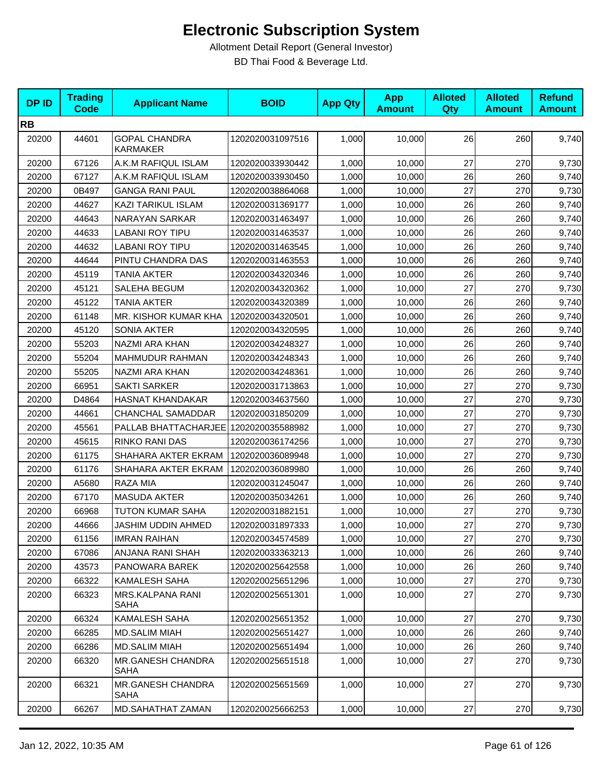| <b>DPID</b> | <b>Trading</b><br><b>Code</b> | <b>Applicant Name</b>                   | <b>BOID</b>      | <b>App Qty</b> | <b>App</b><br><b>Amount</b> | <b>Alloted</b><br>Qty | <b>Alloted</b><br><b>Amount</b> | <b>Refund</b><br><b>Amount</b> |
|-------------|-------------------------------|-----------------------------------------|------------------|----------------|-----------------------------|-----------------------|---------------------------------|--------------------------------|
| <b>RB</b>   |                               |                                         |                  |                |                             |                       |                                 |                                |
| 20200       | 44601                         | <b>GOPAL CHANDRA</b><br><b>KARMAKER</b> | 1202020031097516 | 1,000          | 10,000                      | 26                    | 260                             | 9,740                          |
| 20200       | 67126                         | A.K.M RAFIQUL ISLAM                     | 1202020033930442 | 1,000          | 10,000                      | 27                    | 270                             | 9,730                          |
| 20200       | 67127                         | A.K.M RAFIQUL ISLAM                     | 1202020033930450 | 1,000          | 10,000                      | 26                    | 260                             | 9,740                          |
| 20200       | 0B497                         | <b>GANGA RANI PAUL</b>                  | 1202020038864068 | 1,000          | 10,000                      | 27                    | 270                             | 9,730                          |
| 20200       | 44627                         | KAZI TARIKUL ISLAM                      | 1202020031369177 | 1,000          | 10,000                      | 26                    | 260                             | 9,740                          |
| 20200       | 44643                         | NARAYAN SARKAR                          | 1202020031463497 | 1,000          | 10,000                      | 26                    | 260                             | 9,740                          |
| 20200       | 44633                         | LABANI ROY TIPU                         | 1202020031463537 | 1,000          | 10,000                      | 26                    | 260                             | 9,740                          |
| 20200       | 44632                         | <b>LABANI ROY TIPU</b>                  | 1202020031463545 | 1,000          | 10,000                      | 26                    | 260                             | 9,740                          |
| 20200       | 44644                         | PINTU CHANDRA DAS                       | 1202020031463553 | 1,000          | 10,000                      | 26                    | 260                             | 9,740                          |
| 20200       | 45119                         | <b>TANIA AKTER</b>                      | 1202020034320346 | 1,000          | 10,000                      | 26                    | 260                             | 9,740                          |
| 20200       | 45121                         | SALEHA BEGUM                            | 1202020034320362 | 1,000          | 10,000                      | 27                    | 270                             | 9,730                          |
| 20200       | 45122                         | <b>TANIA AKTER</b>                      | 1202020034320389 | 1,000          | 10,000                      | 26                    | 260                             | 9,740                          |
| 20200       | 61148                         | MR. KISHOR KUMAR KHA                    | 1202020034320501 | 1,000          | 10,000                      | 26                    | 260                             | 9,740                          |
| 20200       | 45120                         | <b>SONIA AKTER</b>                      | 1202020034320595 | 1,000          | 10,000                      | 26                    | 260                             | 9,740                          |
| 20200       | 55203                         | NAZMI ARA KHAN                          | 1202020034248327 | 1,000          | 10,000                      | 26                    | 260                             | 9,740                          |
| 20200       | 55204                         | MAHMUDUR RAHMAN                         | 1202020034248343 | 1,000          | 10,000                      | 26                    | 260                             | 9,740                          |
| 20200       | 55205                         | NAZMI ARA KHAN                          | 1202020034248361 | 1,000          | 10,000                      | 26                    | 260                             | 9,740                          |
| 20200       | 66951                         | <b>SAKTI SARKER</b>                     | 1202020031713863 | 1,000          | 10,000                      | 27                    | 270                             | 9,730                          |
| 20200       | D4864                         | <b>HASNAT KHANDAKAR</b>                 | 1202020034637560 | 1,000          | 10,000                      | 27                    | 270                             | 9,730                          |
| 20200       | 44661                         | <b>CHANCHAL SAMADDAR</b>                | 1202020031850209 | 1,000          | 10,000                      | 27                    | 270                             | 9,730                          |
| 20200       | 45561                         | PALLAB BHATTACHARJEE 1202020035588982   |                  | 1,000          | 10,000                      | 27                    | 270                             | 9,730                          |
| 20200       | 45615                         | RINKO RANI DAS                          | 1202020036174256 | 1,000          | 10,000                      | 27                    | 270                             | 9,730                          |
| 20200       | 61175                         | SHAHARA AKTER EKRAM                     | 1202020036089948 | 1,000          | 10,000                      | 27                    | 270                             | 9,730                          |
| 20200       | 61176                         | SHAHARA AKTER EKRAM                     | 1202020036089980 | 1,000          | 10,000                      | 26                    | 260                             | 9,740                          |
| 20200       | A5680                         | <b>RAZA MIA</b>                         | 1202020031245047 | 1,000          | 10,000                      | 26                    | 260                             | 9,740                          |
| 20200       | 67170                         | MASUDA AKTER                            | 1202020035034261 | 1,000          | 10,000                      | 26                    | 260                             | 9,740                          |
| 20200       | 66968                         | TUTON KUMAR SAHA                        | 1202020031882151 | 1,000          | 10,000                      | 27                    | 270                             | 9,730                          |
| 20200       | 44666                         | JASHIM UDDIN AHMED                      | 1202020031897333 | 1,000          | 10,000                      | 27                    | 270                             | 9,730                          |
| 20200       | 61156                         | <b>IMRAN RAIHAN</b>                     | 1202020034574589 | 1,000          | 10,000                      | 27                    | 270                             | 9,730                          |
| 20200       | 67086                         | ANJANA RANI SHAH                        | 1202020033363213 | 1,000          | 10,000                      | 26                    | 260                             | 9,740                          |
| 20200       | 43573                         | PANOWARA BAREK                          | 1202020025642558 | 1,000          | 10,000                      | 26                    | 260                             | 9,740                          |
| 20200       | 66322                         | KAMALESH SAHA                           | 1202020025651296 | 1,000          | 10,000                      | 27                    | 270                             | 9,730                          |
| 20200       | 66323                         | MRS.KALPANA RANI<br>SAHA                | 1202020025651301 | 1,000          | 10,000                      | 27                    | 270                             | 9,730                          |
| 20200       | 66324                         | <b>KAMALESH SAHA</b>                    | 1202020025651352 | 1,000          | 10,000                      | 27                    | 270                             | 9,730                          |
| 20200       | 66285                         | <b>MD.SALIM MIAH</b>                    | 1202020025651427 | 1,000          | 10,000                      | 26                    | 260                             | 9,740                          |
| 20200       | 66286                         | <b>MD.SALIM MIAH</b>                    | 1202020025651494 | 1,000          | 10,000                      | 26                    | 260                             | 9,740                          |
| 20200       | 66320                         | MR.GANESH CHANDRA<br><b>SAHA</b>        | 1202020025651518 | 1,000          | 10,000                      | 27                    | 270                             | 9,730                          |
| 20200       | 66321                         | MR.GANESH CHANDRA<br><b>SAHA</b>        | 1202020025651569 | 1,000          | 10,000                      | 27                    | 270                             | 9,730                          |
| 20200       | 66267                         | MD.SAHATHAT ZAMAN                       | 1202020025666253 | 1,000          | 10,000                      | 27                    | 270                             | 9,730                          |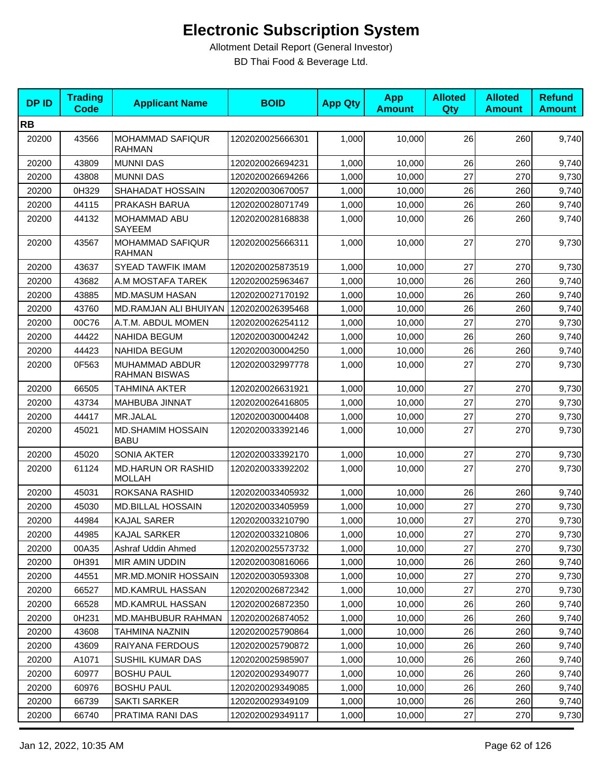| <b>DPID</b> | <b>Trading</b><br><b>Code</b> | <b>Applicant Name</b>                      | <b>BOID</b>      | <b>App Qty</b> | <b>App</b><br><b>Amount</b> | <b>Alloted</b><br>Qty | <b>Alloted</b><br><b>Amount</b> | <b>Refund</b><br><b>Amount</b> |
|-------------|-------------------------------|--------------------------------------------|------------------|----------------|-----------------------------|-----------------------|---------------------------------|--------------------------------|
| <b>RB</b>   |                               |                                            |                  |                |                             |                       |                                 |                                |
| 20200       | 43566                         | <b>MOHAMMAD SAFIQUR</b><br><b>RAHMAN</b>   | 1202020025666301 | 1,000          | 10,000                      | 26                    | 260                             | 9,740                          |
| 20200       | 43809                         | <b>MUNNI DAS</b>                           | 1202020026694231 | 1,000          | 10,000                      | 26                    | 260                             | 9,740                          |
| 20200       | 43808                         | <b>MUNNI DAS</b>                           | 1202020026694266 | 1,000          | 10,000                      | 27                    | 270                             | 9,730                          |
| 20200       | 0H329                         | SHAHADAT HOSSAIN                           | 1202020030670057 | 1,000          | 10,000                      | 26                    | 260                             | 9,740                          |
| 20200       | 44115                         | PRAKASH BARUA                              | 1202020028071749 | 1,000          | 10,000                      | 26                    | 260                             | 9,740                          |
| 20200       | 44132                         | MOHAMMAD ABU<br><b>SAYEEM</b>              | 1202020028168838 | 1,000          | 10,000                      | 26                    | 260                             | 9,740                          |
| 20200       | 43567                         | <b>MOHAMMAD SAFIQUR</b><br><b>RAHMAN</b>   | 1202020025666311 | 1,000          | 10,000                      | 27                    | 270                             | 9,730                          |
| 20200       | 43637                         | <b>SYEAD TAWFIK IMAM</b>                   | 1202020025873519 | 1,000          | 10,000                      | 27                    | 270                             | 9,730                          |
| 20200       | 43682                         | A.M MOSTAFA TAREK                          | 1202020025963467 | 1,000          | 10,000                      | 26                    | 260                             | 9,740                          |
| 20200       | 43885                         | MD.MASUM HASAN                             | 1202020027170192 | 1,000          | 10,000                      | 26                    | 260                             | 9,740                          |
| 20200       | 43760                         | MD.RAMJAN ALI BHUIYAN                      | 1202020026395468 | 1,000          | 10,000                      | 26                    | 260                             | 9,740                          |
| 20200       | 00C76                         | A.T.M. ABDUL MOMEN                         | 1202020026254112 | 1,000          | 10,000                      | 27                    | 270                             | 9,730                          |
| 20200       | 44422                         | NAHIDA BEGUM                               | 1202020030004242 | 1,000          | 10,000                      | 26                    | 260                             | 9,740                          |
| 20200       | 44423                         | <b>NAHIDA BEGUM</b>                        | 1202020030004250 | 1,000          | 10,000                      | 26                    | 260                             | 9,740                          |
| 20200       | 0F563                         | MUHAMMAD ABDUR<br><b>RAHMAN BISWAS</b>     | 1202020032997778 | 1,000          | 10,000                      | 27                    | 270                             | 9,730                          |
| 20200       | 66505                         | <b>TAHMINA AKTER</b>                       | 1202020026631921 | 1,000          | 10,000                      | 27                    | 270                             | 9,730                          |
| 20200       | 43734                         | MAHBUBA JINNAT                             | 1202020026416805 | 1,000          | 10,000                      | 27                    | 270                             | 9,730                          |
| 20200       | 44417                         | MR.JALAL                                   | 1202020030004408 | 1,000          | 10,000                      | 27                    | 270                             | 9,730                          |
| 20200       | 45021                         | <b>MD.SHAMIM HOSSAIN</b><br><b>BABU</b>    | 1202020033392146 | 1,000          | 10,000                      | 27                    | 270                             | 9,730                          |
| 20200       | 45020                         | SONIA AKTER                                | 1202020033392170 | 1,000          | 10,000                      | 27                    | 270                             | 9,730                          |
| 20200       | 61124                         | <b>MD.HARUN OR RASHID</b><br><b>MOLLAH</b> | 1202020033392202 | 1,000          | 10,000                      | 27                    | 270                             | 9,730                          |
| 20200       | 45031                         | ROKSANA RASHID                             | 1202020033405932 | 1,000          | 10,000                      | 26                    | 260                             | 9,740                          |
| 20200       | 45030                         | <b>MD.BILLAL HOSSAIN</b>                   | 1202020033405959 | 1,000          | 10,000                      | 27                    | 270                             | 9,730                          |
| 20200       | 44984                         | <b>KAJAL SARER</b>                         | 1202020033210790 | 1,000          | 10,000                      | 27                    | 270                             | 9,730                          |
| 20200       | 44985                         | KAJAL SARKER                               | 1202020033210806 | 1,000          | 10,000                      | 27                    | 270                             | 9,730                          |
| 20200       | 00A35                         | Ashraf Uddin Ahmed                         | 1202020025573732 | 1,000          | 10,000                      | 27                    | 270                             | 9,730                          |
| 20200       | 0H391                         | MIR AMIN UDDIN                             | 1202020030816066 | 1,000          | 10,000                      | 26                    | 260                             | 9,740                          |
| 20200       | 44551                         | MR.MD.MONIR HOSSAIN                        | 1202020030593308 | 1,000          | 10,000                      | 27                    | 270                             | 9,730                          |
| 20200       | 66527                         | MD.KAMRUL HASSAN                           | 1202020026872342 | 1,000          | 10,000                      | 27                    | 270                             | 9,730                          |
| 20200       | 66528                         | MD.KAMRUL HASSAN                           | 1202020026872350 | 1,000          | 10,000                      | 26                    | 260                             | 9,740                          |
| 20200       | 0H231                         | <b>MD.MAHBUBUR RAHMAN</b>                  | 1202020026874052 | 1,000          | 10,000                      | 26                    | 260                             | 9,740                          |
| 20200       | 43608                         | TAHMINA NAZNIN                             | 1202020025790864 | 1,000          | 10,000                      | 26                    | 260                             | 9,740                          |
| 20200       | 43609                         | RAIYANA FERDOUS                            | 1202020025790872 | 1,000          | 10,000                      | 26                    | 260                             | 9,740                          |
| 20200       | A1071                         | SUSHIL KUMAR DAS                           | 1202020025985907 | 1,000          | 10,000                      | 26                    | 260                             | 9,740                          |
| 20200       | 60977                         | <b>BOSHU PAUL</b>                          | 1202020029349077 | 1,000          | 10,000                      | 26                    | 260                             | 9,740                          |
| 20200       | 60976                         | <b>BOSHU PAUL</b>                          | 1202020029349085 | 1,000          | 10,000                      | 26                    | 260                             | 9,740                          |
| 20200       | 66739                         | <b>SAKTI SARKER</b>                        | 1202020029349109 | 1,000          | 10,000                      | 26                    | 260                             | 9,740                          |
| 20200       | 66740                         | PRATIMA RANI DAS                           | 1202020029349117 | 1,000          | 10,000                      | 27                    | 270                             | 9,730                          |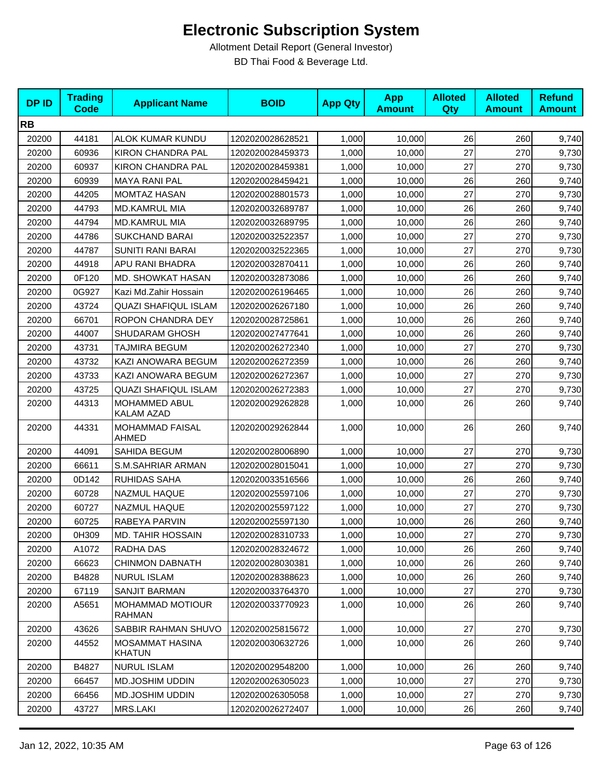| <b>DPID</b> | <b>Trading</b><br><b>Code</b> | <b>Applicant Name</b>              | <b>BOID</b>      | <b>App Qty</b> | <b>App</b><br><b>Amount</b> | <b>Alloted</b><br>Qty | <b>Alloted</b><br><b>Amount</b> | <b>Refund</b><br><b>Amount</b> |
|-------------|-------------------------------|------------------------------------|------------------|----------------|-----------------------------|-----------------------|---------------------------------|--------------------------------|
| <b>RB</b>   |                               |                                    |                  |                |                             |                       |                                 |                                |
| 20200       | 44181                         | ALOK KUMAR KUNDU                   | 1202020028628521 | 1,000          | 10,000                      | 26                    | 260                             | 9,740                          |
| 20200       | 60936                         | <b>KIRON CHANDRA PAL</b>           | 1202020028459373 | 1,000          | 10,000                      | 27                    | 270                             | 9,730                          |
| 20200       | 60937                         | <b>KIRON CHANDRA PAL</b>           | 1202020028459381 | 1,000          | 10,000                      | 27                    | 270                             | 9,730                          |
| 20200       | 60939                         | <b>MAYA RANI PAL</b>               | 1202020028459421 | 1,000          | 10,000                      | 26                    | 260                             | 9,740                          |
| 20200       | 44205                         | <b>MOMTAZ HASAN</b>                | 1202020028801573 | 1,000          | 10,000                      | 27                    | 270                             | 9,730                          |
| 20200       | 44793                         | <b>MD.KAMRUL MIA</b>               | 1202020032689787 | 1,000          | 10,000                      | 26                    | 260                             | 9,740                          |
| 20200       | 44794                         | <b>MD.KAMRUL MIA</b>               | 1202020032689795 | 1,000          | 10,000                      | 26                    | 260                             | 9,740                          |
| 20200       | 44786                         | <b>SUKCHAND BARAI</b>              | 1202020032522357 | 1,000          | 10,000                      | 27                    | 270                             | 9,730                          |
| 20200       | 44787                         | <b>SUNITI RANI BARAI</b>           | 1202020032522365 | 1,000          | 10,000                      | 27                    | 270                             | 9,730                          |
| 20200       | 44918                         | APU RANI BHADRA                    | 1202020032870411 | 1,000          | 10,000                      | 26                    | 260                             | 9,740                          |
| 20200       | 0F120                         | MD. SHOWKAT HASAN                  | 1202020032873086 | 1,000          | 10,000                      | 26                    | 260                             | 9,740                          |
| 20200       | 0G927                         | Kazi Md.Zahir Hossain              | 1202020026196465 | 1,000          | 10,000                      | 26                    | 260                             | 9,740                          |
| 20200       | 43724                         | <b>QUAZI SHAFIQUL ISLAM</b>        | 1202020026267180 | 1,000          | 10,000                      | 26                    | 260                             | 9,740                          |
| 20200       | 66701                         | ROPON CHANDRA DEY                  | 1202020028725861 | 1,000          | 10,000                      | 26                    | 260                             | 9,740                          |
| 20200       | 44007                         | SHUDARAM GHOSH                     | 1202020027477641 | 1,000          | 10,000                      | 26                    | 260                             | 9,740                          |
| 20200       | 43731                         | <b>TAJMIRA BEGUM</b>               | 1202020026272340 | 1,000          | 10,000                      | 27                    | 270                             | 9,730                          |
| 20200       | 43732                         | KAZI ANOWARA BEGUM                 | 1202020026272359 | 1,000          | 10,000                      | 26                    | 260                             | 9,740                          |
| 20200       | 43733                         | KAZI ANOWARA BEGUM                 | 1202020026272367 | 1,000          | 10,000                      | 27                    | 270                             | 9,730                          |
| 20200       | 43725                         | <b>QUAZI SHAFIQUL ISLAM</b>        | 1202020026272383 | 1,000          | 10,000                      | 27                    | 270                             | 9,730                          |
| 20200       | 44313                         | MOHAMMED ABUL<br><b>KALAM AZAD</b> | 1202020029262828 | 1,000          | 10,000                      | 26                    | 260                             | 9,740                          |
| 20200       | 44331                         | <b>MOHAMMAD FAISAL</b><br>AHMED    | 1202020029262844 | 1,000          | 10,000                      | 26                    | 260                             | 9,740                          |
| 20200       | 44091                         | SAHIDA BEGUM                       | 1202020028006890 | 1,000          | 10,000                      | 27                    | 270                             | 9,730                          |
| 20200       | 66611                         | S.M.SAHRIAR ARMAN                  | 1202020028015041 | 1,000          | 10,000                      | 27                    | 270                             | 9,730                          |
| 20200       | 0D142                         | RUHIDAS SAHA                       | 1202020033516566 | 1,000          | 10,000                      | 26                    | 260                             | 9,740                          |
| 20200       | 60728                         | NAZMUL HAQUE                       | 1202020025597106 | 1,000          | 10,000                      | 27                    | 270                             | 9,730                          |
| 20200       | 60727                         | NAZMUL HAQUE                       | 1202020025597122 | 1,000          | 10,000                      | 27                    | 270                             | 9,730                          |
| 20200       | 60725                         | RABEYA PARVIN                      | 1202020025597130 | 1,000          | 10,000                      | 26                    | 260                             | 9,740                          |
| 20200       | 0H309                         | <b>MD. TAHIR HOSSAIN</b>           | 1202020028310733 | 1,000          | 10,000                      | 27                    | 270                             | 9,730                          |
| 20200       | A1072                         | RADHA DAS                          | 1202020028324672 | 1,000          | 10,000                      | 26                    | 260                             | 9,740                          |
| 20200       | 66623                         | <b>CHINMON DABNATH</b>             | 1202020028030381 | 1,000          | 10,000                      | 26                    | 260                             | 9,740                          |
| 20200       | B4828                         | <b>NURUL ISLAM</b>                 | 1202020028388623 | 1,000          | 10,000                      | 26                    | 260                             | 9,740                          |
| 20200       | 67119                         | <b>SANJIT BARMAN</b>               | 1202020033764370 | 1,000          | 10,000                      | 27                    | 270                             | 9,730                          |
| 20200       | A5651                         | <b>MOHAMMAD MOTIOUR</b><br>RAHMAN  | 1202020033770923 | 1,000          | 10,000                      | 26                    | 260                             | 9,740                          |
| 20200       | 43626                         | SABBIR RAHMAN SHUVO                | 1202020025815672 | 1,000          | 10,000                      | 27                    | 270                             | 9,730                          |
| 20200       | 44552                         | <b>MOSAMMAT HASINA</b><br>KHATUN   | 1202020030632726 | 1,000          | 10,000                      | 26                    | 260                             | 9,740                          |
| 20200       | B4827                         | <b>NURUL ISLAM</b>                 | 1202020029548200 | 1,000          | 10,000                      | 26                    | 260                             | 9,740                          |
| 20200       | 66457                         | <b>MD.JOSHIM UDDIN</b>             | 1202020026305023 | 1,000          | 10,000                      | 27                    | 270                             | 9,730                          |
| 20200       | 66456                         | MD.JOSHIM UDDIN                    | 1202020026305058 | 1,000          | 10,000                      | 27                    | 270                             | 9,730                          |
| 20200       | 43727                         | MRS.LAKI                           | 1202020026272407 | 1,000          | 10,000                      | 26                    | 260                             | 9,740                          |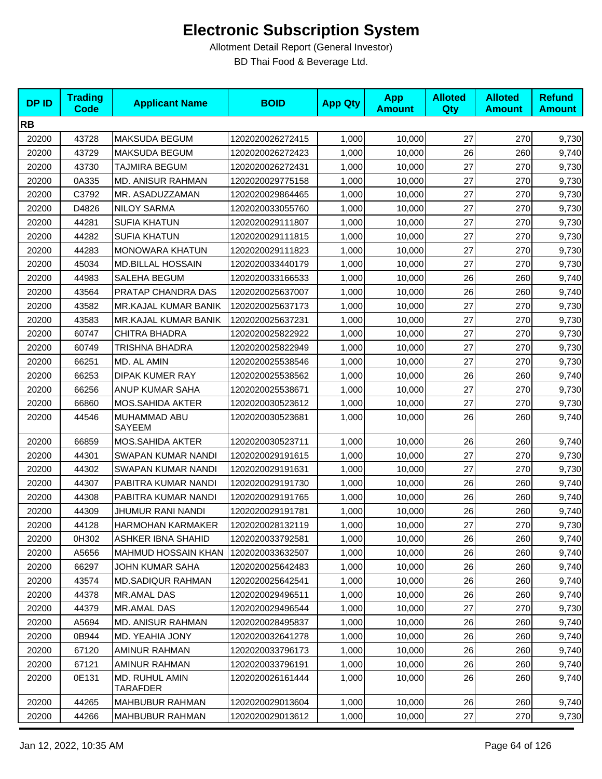| <b>DPID</b> | <b>Trading</b><br><b>Code</b> | <b>Applicant Name</b>             | <b>BOID</b>      | <b>App Qty</b> | <b>App</b><br><b>Amount</b> | <b>Alloted</b><br><b>Qty</b> | <b>Alloted</b><br><b>Amount</b> | <b>Refund</b><br><b>Amount</b> |
|-------------|-------------------------------|-----------------------------------|------------------|----------------|-----------------------------|------------------------------|---------------------------------|--------------------------------|
| <b>RB</b>   |                               |                                   |                  |                |                             |                              |                                 |                                |
| 20200       | 43728                         | <b>MAKSUDA BEGUM</b>              | 1202020026272415 | 1,000          | 10,000                      | 27                           | 270                             | 9,730                          |
| 20200       | 43729                         | <b>MAKSUDA BEGUM</b>              | 1202020026272423 | 1,000          | 10,000                      | 26                           | 260                             | 9,740                          |
| 20200       | 43730                         | TAJMIRA BEGUM                     | 1202020026272431 | 1,000          | 10,000                      | 27                           | 270                             | 9,730                          |
| 20200       | 0A335                         | MD. ANISUR RAHMAN                 | 1202020029775158 | 1,000          | 10,000                      | 27                           | 270                             | 9,730                          |
| 20200       | C3792                         | MR. ASADUZZAMAN                   | 1202020029864465 | 1,000          | 10,000                      | 27                           | 270                             | 9,730                          |
| 20200       | D4826                         | NILOY SARMA                       | 1202020033055760 | 1,000          | 10,000                      | 27                           | 270                             | 9,730                          |
| 20200       | 44281                         | <b>SUFIA KHATUN</b>               | 1202020029111807 | 1,000          | 10,000                      | 27                           | 270                             | 9,730                          |
| 20200       | 44282                         | <b>SUFIA KHATUN</b>               | 1202020029111815 | 1,000          | 10,000                      | 27                           | 270                             | 9,730                          |
| 20200       | 44283                         | MONOWARA KHATUN                   | 1202020029111823 | 1,000          | 10,000                      | 27                           | 270                             | 9,730                          |
| 20200       | 45034                         | <b>MD.BILLAL HOSSAIN</b>          | 1202020033440179 | 1,000          | 10,000                      | 27                           | 270                             | 9,730                          |
| 20200       | 44983                         | SALEHA BEGUM                      | 1202020033166533 | 1,000          | 10,000                      | 26                           | 260                             | 9,740                          |
| 20200       | 43564                         | PRATAP CHANDRA DAS                | 1202020025637007 | 1,000          | 10,000                      | 26                           | 260                             | 9,740                          |
| 20200       | 43582                         | MR.KAJAL KUMAR BANIK              | 1202020025637173 | 1,000          | 10,000                      | 27                           | 270                             | 9,730                          |
| 20200       | 43583                         | MR.KAJAL KUMAR BANIK              | 1202020025637231 | 1,000          | 10,000                      | 27                           | 270                             | 9,730                          |
| 20200       | 60747                         | <b>CHITRA BHADRA</b>              | 1202020025822922 | 1,000          | 10,000                      | 27                           | 270                             | 9,730                          |
| 20200       | 60749                         | TRISHNA BHADRA                    | 1202020025822949 | 1,000          | 10,000                      | 27                           | 270                             | 9,730                          |
| 20200       | 66251                         | MD. AL AMIN                       | 1202020025538546 | 1,000          | 10,000                      | 27                           | 270                             | 9,730                          |
| 20200       | 66253                         | <b>DIPAK KUMER RAY</b>            | 1202020025538562 | 1,000          | 10,000                      | 26                           | 260                             | 9,740                          |
| 20200       | 66256                         | ANUP KUMAR SAHA                   | 1202020025538671 | 1,000          | 10,000                      | 27                           | 270                             | 9,730                          |
| 20200       | 66860                         | MOS.SAHIDA AKTER                  | 1202020030523612 | 1,000          | 10,000                      | 27                           | 270                             | 9,730                          |
| 20200       | 44546                         | MUHAMMAD ABU<br>SAYEEM            | 1202020030523681 | 1,000          | 10,000                      | 26                           | 260                             | 9,740                          |
| 20200       | 66859                         | MOS.SAHIDA AKTER                  | 1202020030523711 | 1,000          | 10,000                      | 26                           | 260                             | 9,740                          |
| 20200       | 44301                         | SWAPAN KUMAR NANDI                | 1202020029191615 | 1,000          | 10,000                      | 27                           | 270                             | 9,730                          |
| 20200       | 44302                         | SWAPAN KUMAR NANDI                | 1202020029191631 | 1,000          | 10,000                      | 27                           | 270                             | 9,730                          |
| 20200       | 44307                         | PABITRA KUMAR NANDI               | 1202020029191730 | 1,000          | 10,000                      | 26                           | 260                             | 9,740                          |
| 20200       | 44308                         | PABITRA KUMAR NANDI               | 1202020029191765 | 1,000          | 10,000                      | 26                           | 260                             | 9,740                          |
| 20200       | 44309                         | JHUMUR RANI NANDI                 | 1202020029191781 | 1,000          | 10,000                      | 26                           | 260                             | 9,740                          |
| 20200       | 44128                         | <b>HARMOHAN KARMAKER</b>          | 1202020028132119 | 1,000          | 10,000                      | 27                           | 270                             | 9,730                          |
| 20200       | 0H302                         | ASHKER IBNA SHAHID                | 1202020033792581 | 1,000          | 10,000                      | 26                           | 260                             | 9,740                          |
| 20200       | A5656                         | <b>MAHMUD HOSSAIN KHAN</b>        | 1202020033632507 | 1,000          | 10,000                      | 26                           | 260                             | 9,740                          |
| 20200       | 66297                         | JOHN KUMAR SAHA                   | 1202020025642483 | 1,000          | 10,000                      | 26                           | 260                             | 9,740                          |
| 20200       | 43574                         | <b>MD.SADIQUR RAHMAN</b>          | 1202020025642541 | 1,000          | 10,000                      | 26                           | 260                             | 9,740                          |
| 20200       | 44378                         | MR.AMAL DAS                       | 1202020029496511 | 1,000          | 10,000                      | 26                           | 260                             | 9,740                          |
| 20200       | 44379                         | <b>MR.AMAL DAS</b>                | 1202020029496544 | 1,000          | 10,000                      | 27                           | 270                             | 9,730                          |
| 20200       | A5694                         | MD. ANISUR RAHMAN                 | 1202020028495837 | 1,000          | 10,000                      | 26                           | 260                             | 9,740                          |
| 20200       | 0B944                         | MD. YEAHIA JONY                   | 1202020032641278 | 1,000          | 10,000                      | 26                           | 260                             | 9,740                          |
| 20200       | 67120                         | AMINUR RAHMAN                     | 1202020033796173 | 1,000          | 10,000                      | 26                           | 260                             | 9,740                          |
| 20200       | 67121                         | <b>AMINUR RAHMAN</b>              | 1202020033796191 | 1,000          | 10,000                      | 26                           | 260                             | 9,740                          |
| 20200       | 0E131                         | MD. RUHUL AMIN<br><b>TARAFDER</b> | 1202020026161444 | 1,000          | 10,000                      | 26                           | 260                             | 9,740                          |
| 20200       | 44265                         | <b>MAHBUBUR RAHMAN</b>            | 1202020029013604 | 1,000          | 10,000                      | 26                           | 260                             | 9,740                          |
| 20200       | 44266                         | <b>MAHBUBUR RAHMAN</b>            | 1202020029013612 | 1,000          | 10,000                      | 27                           | 270                             | 9,730                          |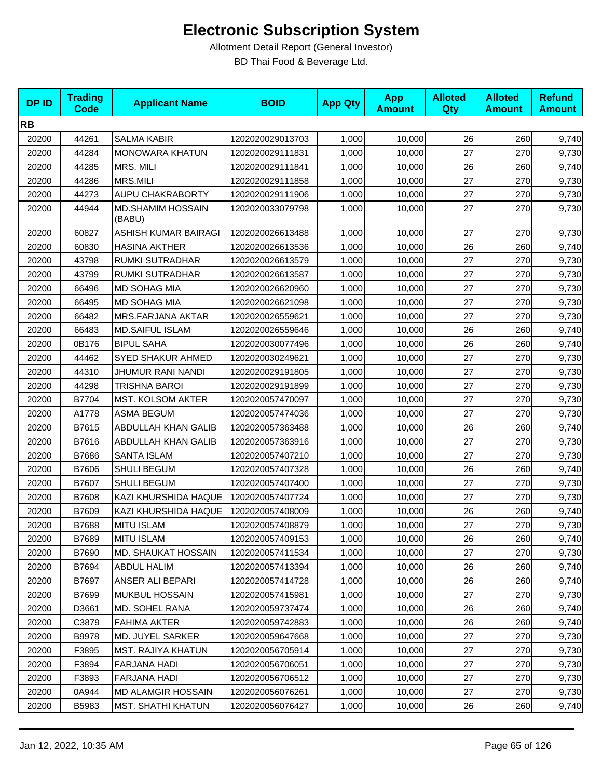| <b>DPID</b> | <b>Trading</b><br><b>Code</b> | <b>Applicant Name</b>              | <b>BOID</b>      | <b>App Qty</b> | <b>App</b><br><b>Amount</b> | <b>Alloted</b><br>Qty | <b>Alloted</b><br><b>Amount</b> | <b>Refund</b><br><b>Amount</b> |
|-------------|-------------------------------|------------------------------------|------------------|----------------|-----------------------------|-----------------------|---------------------------------|--------------------------------|
| <b>RB</b>   |                               |                                    |                  |                |                             |                       |                                 |                                |
| 20200       | 44261                         | <b>SALMA KABIR</b>                 | 1202020029013703 | 1,000          | 10,000                      | 26                    | 260                             | 9,740                          |
| 20200       | 44284                         | <b>MONOWARA KHATUN</b>             | 1202020029111831 | 1,000          | 10,000                      | 27                    | 270                             | 9,730                          |
| 20200       | 44285                         | MRS. MILI                          | 1202020029111841 | 1,000          | 10,000                      | 26                    | 260                             | 9,740                          |
| 20200       | 44286                         | <b>MRS.MILI</b>                    | 1202020029111858 | 1,000          | 10,000                      | 27                    | 270                             | 9,730                          |
| 20200       | 44273                         | AUPU CHAKRABORTY                   | 1202020029111906 | 1,000          | 10,000                      | 27                    | 270                             | 9,730                          |
| 20200       | 44944                         | <b>MD.SHAMIM HOSSAIN</b><br>(BABU) | 1202020033079798 | 1,000          | 10,000                      | 27                    | 270                             | 9,730                          |
| 20200       | 60827                         | ASHISH KUMAR BAIRAGI               | 1202020026613488 | 1,000          | 10,000                      | 27                    | 270                             | 9,730                          |
| 20200       | 60830                         | <b>HASINA AKTHER</b>               | 1202020026613536 | 1,000          | 10,000                      | 26                    | 260                             | 9,740                          |
| 20200       | 43798                         | RUMKI SUTRADHAR                    | 1202020026613579 | 1,000          | 10,000                      | 27                    | 270                             | 9,730                          |
| 20200       | 43799                         | RUMKI SUTRADHAR                    | 1202020026613587 | 1,000          | 10,000                      | 27                    | 270                             | 9,730                          |
| 20200       | 66496                         | <b>MD SOHAG MIA</b>                | 1202020026620960 | 1,000          | 10,000                      | 27                    | 270                             | 9,730                          |
| 20200       | 66495                         | MD SOHAG MIA                       | 1202020026621098 | 1,000          | 10,000                      | 27                    | 270                             | 9,730                          |
| 20200       | 66482                         | <b>MRS.FARJANA AKTAR</b>           | 1202020026559621 | 1,000          | 10,000                      | 27                    | 270                             | 9,730                          |
| 20200       | 66483                         | <b>MD.SAIFUL ISLAM</b>             | 1202020026559646 | 1,000          | 10,000                      | 26                    | 260                             | 9,740                          |
| 20200       | 0B176                         | <b>BIPUL SAHA</b>                  | 1202020030077496 | 1,000          | 10,000                      | 26                    | 260                             | 9,740                          |
| 20200       | 44462                         | SYED SHAKUR AHMED                  | 1202020030249621 | 1,000          | 10,000                      | 27                    | 270                             | 9,730                          |
| 20200       | 44310                         | <b>JHUMUR RANI NANDI</b>           | 1202020029191805 | 1,000          | 10,000                      | 27                    | 270                             | 9,730                          |
| 20200       | 44298                         | TRISHNA BAROI                      | 1202020029191899 | 1,000          | 10,000                      | 27                    | 270                             | 9,730                          |
| 20200       | B7704                         | MST. KOLSOM AKTER                  | 1202020057470097 | 1,000          | 10,000                      | 27                    | 270                             | 9,730                          |
| 20200       | A1778                         | <b>ASMA BEGUM</b>                  | 1202020057474036 | 1,000          | 10,000                      | 27                    | 270                             | 9,730                          |
| 20200       | B7615                         | ABDULLAH KHAN GALIB                | 1202020057363488 | 1,000          | 10,000                      | 26                    | 260                             | 9,740                          |
| 20200       | B7616                         | ABDULLAH KHAN GALIB                | 1202020057363916 | 1,000          | 10,000                      | 27                    | 270                             | 9,730                          |
| 20200       | B7686                         | SANTA ISLAM                        | 1202020057407210 | 1,000          | 10,000                      | 27                    | 270                             | 9,730                          |
| 20200       | B7606                         | SHULI BEGUM                        | 1202020057407328 | 1,000          | 10,000                      | 26                    | 260                             | 9,740                          |
| 20200       | B7607                         | <b>SHULI BEGUM</b>                 | 1202020057407400 | 1,000          | 10,000                      | 27                    | 270                             | 9,730                          |
| 20200       | B7608                         | KAZI KHURSHIDA HAQUE               | 1202020057407724 | 1,000          | 10,000                      | 27                    | 270                             | 9,730                          |
| 20200       | B7609                         | KAZI KHURSHIDA HAQUE               | 1202020057408009 | 1,000          | 10,000                      | 26                    | 260                             | 9,740                          |
| 20200       | B7688                         | <b>MITU ISLAM</b>                  | 1202020057408879 | 1,000          | 10,000                      | 27                    | 270                             | 9,730                          |
| 20200       | B7689                         | <b>MITU ISLAM</b>                  | 1202020057409153 | 1,000          | 10,000                      | 26                    | 260                             | 9,740                          |
| 20200       | B7690                         | MD. SHAUKAT HOSSAIN                | 1202020057411534 | 1,000          | 10,000                      | 27                    | 270                             | 9,730                          |
| 20200       | B7694                         | ABDUL HALIM                        | 1202020057413394 | 1,000          | 10,000                      | 26                    | 260                             | 9,740                          |
| 20200       | B7697                         | ANSER ALI BEPARI                   | 1202020057414728 | 1,000          | 10,000                      | 26                    | 260                             | 9,740                          |
| 20200       | B7699                         | <b>MUKBUL HOSSAIN</b>              | 1202020057415981 | 1,000          | 10,000                      | 27                    | 270                             | 9,730                          |
| 20200       | D3661                         | MD. SOHEL RANA                     | 1202020059737474 | 1,000          | 10,000                      | 26                    | 260                             | 9,740                          |
| 20200       | C3879                         | FAHIMA AKTER                       | 1202020059742883 | 1,000          | 10,000                      | 26                    | 260                             | 9,740                          |
| 20200       | B9978                         | MD. JUYEL SARKER                   | 1202020059647668 | 1,000          | 10,000                      | 27                    | 270                             | 9,730                          |
| 20200       | F3895                         | <b>MST. RAJIYA KHATUN</b>          | 1202020056705914 | 1,000          | 10,000                      | 27                    | 270                             | 9,730                          |
| 20200       | F3894                         | FARJANA HADI                       | 1202020056706051 | 1,000          | 10,000                      | 27                    | 270                             | 9,730                          |
| 20200       | F3893                         | <b>FARJANA HADI</b>                | 1202020056706512 | 1,000          | 10,000                      | 27                    | 270                             | 9,730                          |
| 20200       | 0A944                         | MD ALAMGIR HOSSAIN                 | 1202020056076261 | 1,000          | 10,000                      | 27                    | 270                             | 9,730                          |
| 20200       | B5983                         | MST. SHATHI KHATUN                 | 1202020056076427 | 1,000          | 10,000                      | 26                    | 260                             | 9,740                          |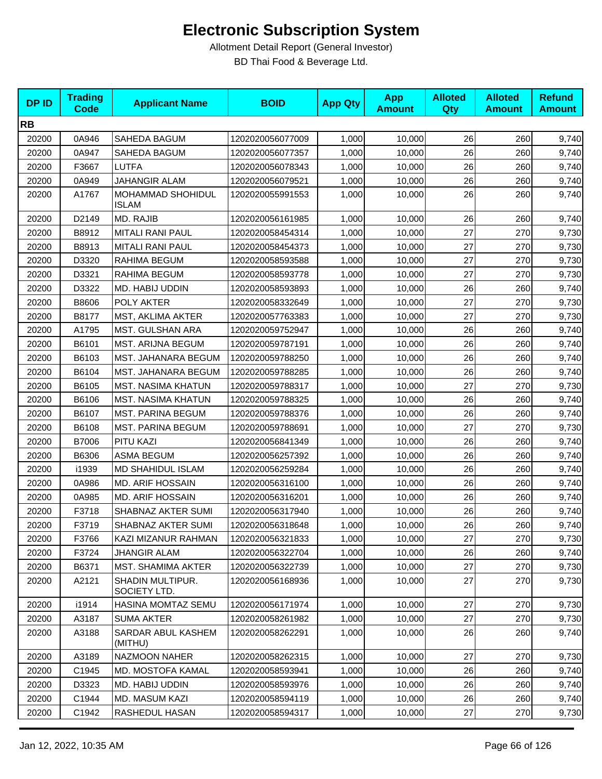| <b>DPID</b> | <b>Trading</b><br><b>Code</b> | <b>Applicant Name</b>             | <b>BOID</b>      | <b>App Qty</b> | <b>App</b><br><b>Amount</b> | <b>Alloted</b><br>Qty | <b>Alloted</b><br><b>Amount</b> | <b>Refund</b><br><b>Amount</b> |
|-------------|-------------------------------|-----------------------------------|------------------|----------------|-----------------------------|-----------------------|---------------------------------|--------------------------------|
| <b>RB</b>   |                               |                                   |                  |                |                             |                       |                                 |                                |
| 20200       | 0A946                         | SAHEDA BAGUM                      | 1202020056077009 | 1,000          | 10,000                      | 26                    | 260                             | 9,740                          |
| 20200       | 0A947                         | SAHEDA BAGUM                      | 1202020056077357 | 1,000          | 10,000                      | 26                    | 260                             | 9,740                          |
| 20200       | F3667                         | LUTFA                             | 1202020056078343 | 1,000          | 10,000                      | 26                    | 260                             | 9,740                          |
| 20200       | 0A949                         | <b>JAHANGIR ALAM</b>              | 1202020056079521 | 1,000          | 10,000                      | 26                    | 260                             | 9,740                          |
| 20200       | A1767                         | MOHAMMAD SHOHIDUL<br><b>ISLAM</b> | 1202020055991553 | 1,000          | 10,000                      | 26                    | 260                             | 9,740                          |
| 20200       | D2149                         | MD. RAJIB                         | 1202020056161985 | 1,000          | 10,000                      | 26                    | 260                             | 9,740                          |
| 20200       | B8912                         | MITALI RANI PAUL                  | 1202020058454314 | 1,000          | 10,000                      | 27                    | 270                             | 9,730                          |
| 20200       | B8913                         | <b>MITALI RANI PAUL</b>           | 1202020058454373 | 1,000          | 10,000                      | 27                    | 270                             | 9,730                          |
| 20200       | D3320                         | RAHIMA BEGUM                      | 1202020058593588 | 1,000          | 10,000                      | 27                    | 270                             | 9,730                          |
| 20200       | D3321                         | RAHIMA BEGUM                      | 1202020058593778 | 1,000          | 10,000                      | 27                    | 270                             | 9,730                          |
| 20200       | D3322                         | MD. HABIJ UDDIN                   | 1202020058593893 | 1,000          | 10,000                      | 26                    | 260                             | 9,740                          |
| 20200       | B8606                         | POLY AKTER                        | 1202020058332649 | 1,000          | 10,000                      | 27                    | 270                             | 9,730                          |
| 20200       | B8177                         | MST, AKLIMA AKTER                 | 1202020057763383 | 1,000          | 10,000                      | 27                    | 270                             | 9,730                          |
| 20200       | A1795                         | MST. GULSHAN ARA                  | 1202020059752947 | 1,000          | 10,000                      | 26                    | 260                             | 9,740                          |
| 20200       | B6101                         | <b>MST. ARIJNA BEGUM</b>          | 1202020059787191 | 1,000          | 10,000                      | 26                    | 260                             | 9,740                          |
| 20200       | B6103                         | MST. JAHANARA BEGUM               | 1202020059788250 | 1,000          | 10,000                      | 26                    | 260                             | 9,740                          |
| 20200       | B6104                         | MST. JAHANARA BEGUM               | 1202020059788285 | 1,000          | 10,000                      | 26                    | 260                             | 9,740                          |
| 20200       | B6105                         | <b>MST. NASIMA KHATUN</b>         | 1202020059788317 | 1,000          | 10,000                      | 27                    | 270                             | 9,730                          |
| 20200       | B6106                         | <b>MST. NASIMA KHATUN</b>         | 1202020059788325 | 1,000          | 10,000                      | 26                    | 260                             | 9,740                          |
| 20200       | B6107                         | <b>MST. PARINA BEGUM</b>          | 1202020059788376 | 1,000          | 10,000                      | 26                    | 260                             | 9,740                          |
| 20200       | B6108                         | <b>MST. PARINA BEGUM</b>          | 1202020059788691 | 1,000          | 10,000                      | 27                    | 270                             | 9,730                          |
| 20200       | B7006                         | PITU KAZI                         | 1202020056841349 | 1,000          | 10,000                      | 26                    | 260                             | 9,740                          |
| 20200       | B6306                         | <b>ASMA BEGUM</b>                 | 1202020056257392 | 1,000          | 10,000                      | 26                    | 260                             | 9,740                          |
| 20200       | i1939                         | <b>MD SHAHIDUL ISLAM</b>          | 1202020056259284 | 1,000          | 10,000                      | 26                    | 260                             | 9,740                          |
| 20200       | 0A986                         | <b>MD. ARIF HOSSAIN</b>           | 1202020056316100 | 1,000          | 10,000                      | 26                    | 260                             | 9,740                          |
| 20200       | 0A985                         | <b>MD. ARIF HOSSAIN</b>           | 1202020056316201 | 1,000          | 10,000                      | 26                    | 260                             | 9,740                          |
| 20200       | F3718                         | SHABNAZ AKTER SUMI                | 1202020056317940 | 1,000          | 10,000                      | 26                    | 260                             | 9,740                          |
| 20200       | F3719                         | SHABNAZ AKTER SUMI                | 1202020056318648 | 1,000          | 10,000                      | 26                    | 260                             | 9,740                          |
| 20200       | F3766                         | KAZI MIZANUR RAHMAN               | 1202020056321833 | 1,000          | 10,000                      | 27                    | 270                             | 9,730                          |
| 20200       | F3724                         | <b>JHANGIR ALAM</b>               | 1202020056322704 | 1,000          | 10,000                      | 26                    | 260                             | 9,740                          |
| 20200       | B6371                         | MST. SHAMIMA AKTER                | 1202020056322739 | 1,000          | 10,000                      | 27                    | 270                             | 9,730                          |
| 20200       | A2121                         | SHADIN MULTIPUR.<br>SOCIETY LTD.  | 1202020056168936 | 1,000          | 10.000                      | 27                    | 270                             | 9,730                          |
| 20200       | i1914                         | HASINA MOMTAZ SEMU                | 1202020056171974 | 1,000          | 10,000                      | 27                    | 270                             | 9,730                          |
| 20200       | A3187                         | <b>SUMA AKTER</b>                 | 1202020058261982 | 1,000          | 10,000                      | 27                    | 270                             | 9,730                          |
| 20200       | A3188                         | SARDAR ABUL KASHEM<br>(MITHU)     | 1202020058262291 | 1,000          | 10,000                      | 26                    | 260                             | 9,740                          |
| 20200       | A3189                         | NAZMOON NAHER                     | 1202020058262315 | 1,000          | 10,000                      | 27                    | 270                             | 9,730                          |
| 20200       | C1945                         | MD. MOSTOFA KAMAL                 | 1202020058593941 | 1,000          | 10,000                      | 26                    | 260                             | 9,740                          |
| 20200       | D3323                         | MD. HABIJ UDDIN                   | 1202020058593976 | 1,000          | 10,000                      | 26                    | 260                             | 9,740                          |
| 20200       | C1944                         | MD. MASUM KAZI                    | 1202020058594119 | 1,000          | 10,000                      | 26                    | 260                             | 9,740                          |
| 20200       | C1942                         | RASHEDUL HASAN                    | 1202020058594317 | 1,000          | 10,000                      | 27                    | 270                             | 9,730                          |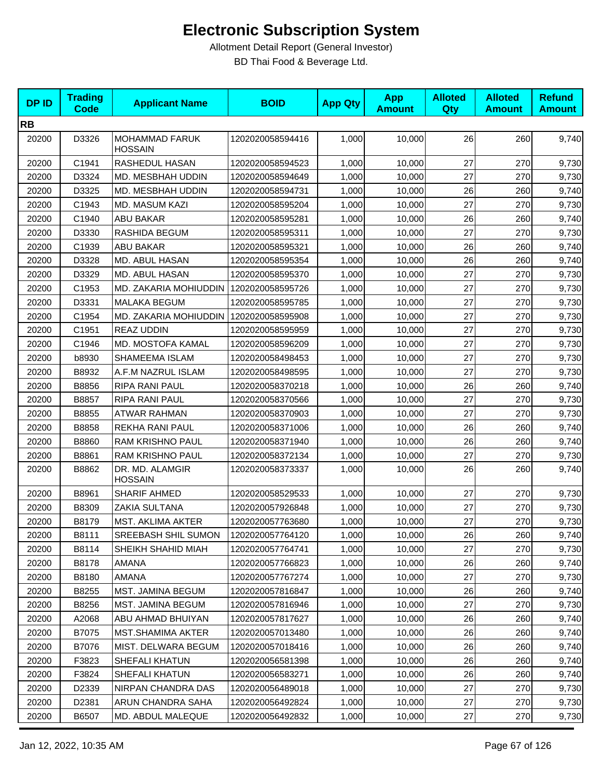| <b>DPID</b> | <b>Trading</b><br><b>Code</b> | <b>Applicant Name</b>                   | <b>BOID</b>      | <b>App Qty</b> | <b>App</b><br><b>Amount</b> | <b>Alloted</b><br>Qty | <b>Alloted</b><br><b>Amount</b> | <b>Refund</b><br><b>Amount</b> |
|-------------|-------------------------------|-----------------------------------------|------------------|----------------|-----------------------------|-----------------------|---------------------------------|--------------------------------|
| <b>RB</b>   |                               |                                         |                  |                |                             |                       |                                 |                                |
| 20200       | D3326                         | <b>MOHAMMAD FARUK</b><br><b>HOSSAIN</b> | 1202020058594416 | 1,000          | 10,000                      | 26                    | 260                             | 9,740                          |
| 20200       | C1941                         | RASHEDUL HASAN                          | 1202020058594523 | 1,000          | 10,000                      | 27                    | 270                             | 9,730                          |
| 20200       | D3324                         | MD. MESBHAH UDDIN                       | 1202020058594649 | 1,000          | 10,000                      | 27                    | 270                             | 9,730                          |
| 20200       | D3325                         | MD. MESBHAH UDDIN                       | 1202020058594731 | 1,000          | 10,000                      | 26                    | 260                             | 9,740                          |
| 20200       | C1943                         | MD. MASUM KAZI                          | 1202020058595204 | 1,000          | 10,000                      | 27                    | 270                             | 9,730                          |
| 20200       | C1940                         | <b>ABU BAKAR</b>                        | 1202020058595281 | 1,000          | 10,000                      | 26                    | 260                             | 9,740                          |
| 20200       | D3330                         | RASHIDA BEGUM                           | 1202020058595311 | 1,000          | 10,000                      | 27                    | 270                             | 9,730                          |
| 20200       | C1939                         | <b>ABU BAKAR</b>                        | 1202020058595321 | 1,000          | 10,000                      | 26                    | 260                             | 9,740                          |
| 20200       | D3328                         | MD. ABUL HASAN                          | 1202020058595354 | 1,000          | 10,000                      | 26                    | 260                             | 9,740                          |
| 20200       | D3329                         | MD. ABUL HASAN                          | 1202020058595370 | 1,000          | 10,000                      | 27                    | 270                             | 9,730                          |
| 20200       | C1953                         | MD. ZAKARIA MOHIUDDIN                   | 1202020058595726 | 1,000          | 10,000                      | 27                    | 270                             | 9,730                          |
| 20200       | D3331                         | MALAKA BEGUM                            | 1202020058595785 | 1,000          | 10,000                      | 27                    | 270                             | 9,730                          |
| 20200       | C1954                         | MD. ZAKARIA MOHIUDDIN                   | 1202020058595908 | 1,000          | 10,000                      | 27                    | 270                             | 9,730                          |
| 20200       | C1951                         | <b>REAZ UDDIN</b>                       | 1202020058595959 | 1,000          | 10,000                      | 27                    | 270                             | 9,730                          |
| 20200       | C1946                         | MD. MOSTOFA KAMAL                       | 1202020058596209 | 1,000          | 10,000                      | 27                    | 270                             | 9,730                          |
| 20200       | b8930                         | SHAMEEMA ISLAM                          | 1202020058498453 | 1,000          | 10,000                      | 27                    | 270                             | 9,730                          |
| 20200       | B8932                         | A.F.M NAZRUL ISLAM                      | 1202020058498595 | 1,000          | 10,000                      | 27                    | 270                             | 9,730                          |
| 20200       | B8856                         | RIPA RANI PAUL                          | 1202020058370218 | 1,000          | 10,000                      | 26                    | 260                             | 9,740                          |
| 20200       | B8857                         | RIPA RANI PAUL                          | 1202020058370566 | 1,000          | 10,000                      | 27                    | 270                             | 9,730                          |
| 20200       | B8855                         | ATWAR RAHMAN                            | 1202020058370903 | 1,000          | 10,000                      | 27                    | 270                             | 9,730                          |
| 20200       | B8858                         | REKHA RANI PAUL                         | 1202020058371006 | 1,000          | 10,000                      | 26                    | 260                             | 9,740                          |
| 20200       | B8860                         | RAM KRISHNO PAUL                        | 1202020058371940 | 1,000          | 10,000                      | 26                    | 260                             | 9,740                          |
| 20200       | B8861                         | RAM KRISHNO PAUL                        | 1202020058372134 | 1,000          | 10,000                      | 27                    | 270                             | 9,730                          |
| 20200       | B8862                         | DR. MD. ALAMGIR<br><b>HOSSAIN</b>       | 1202020058373337 | 1,000          | 10,000                      | 26                    | 260                             | 9,740                          |
| 20200       | B8961                         | SHARIF AHMED                            | 1202020058529533 | 1,000          | 10,000                      | 27                    | 270                             | 9,730                          |
| 20200       | B8309                         | ZAKIA SULTANA                           | 1202020057926848 | 1,000          | 10,000                      | 27                    | 270                             | 9,730                          |
| 20200       | B8179                         | MST. AKLIMA AKTER                       | 1202020057763680 | 1,000          | 10,000                      | 27                    | 270                             | 9,730                          |
| 20200       | B8111                         | SREEBASH SHIL SUMON                     | 1202020057764120 | 1,000          | 10,000                      | 26                    | 260                             | 9,740                          |
| 20200       | B8114                         | SHEIKH SHAHID MIAH                      | 1202020057764741 | 1,000          | 10,000                      | 27                    | 270                             | 9,730                          |
| 20200       | B8178                         | AMANA                                   | 1202020057766823 | 1,000          | 10,000                      | 26                    | 260                             | 9,740                          |
| 20200       | B8180                         | AMANA                                   | 1202020057767274 | 1,000          | 10,000                      | 27                    | 270                             | 9,730                          |
| 20200       | B8255                         | MST. JAMINA BEGUM                       | 1202020057816847 | 1,000          | 10,000                      | 26                    | 260                             | 9,740                          |
| 20200       | B8256                         | MST. JAMINA BEGUM                       | 1202020057816946 | 1,000          | 10,000                      | 27                    | 270                             | 9,730                          |
| 20200       | A2068                         | ABU AHMAD BHUIYAN                       | 1202020057817627 | 1,000          | 10,000                      | 26                    | 260                             | 9,740                          |
| 20200       | B7075                         | <b>MST.SHAMIMA AKTER</b>                | 1202020057013480 | 1,000          | 10,000                      | 26                    | 260                             | 9,740                          |
| 20200       | B7076                         | MIST. DELWARA BEGUM                     | 1202020057018416 | 1,000          | 10,000                      | 26                    | 260                             | 9,740                          |
| 20200       | F3823                         | SHEFALI KHATUN                          | 1202020056581398 | 1,000          | 10,000                      | 26                    | 260                             | 9,740                          |
| 20200       | F3824                         | SHEFALI KHATUN                          | 1202020056583271 | 1,000          | 10,000                      | 26                    | 260                             | 9,740                          |
| 20200       | D2339                         | NIRPAN CHANDRA DAS                      | 1202020056489018 | 1,000          | 10,000                      | 27                    | 270                             | 9,730                          |
| 20200       | D2381                         | ARUN CHANDRA SAHA                       | 1202020056492824 | 1,000          | 10,000                      | 27                    | 270                             | 9,730                          |
| 20200       | B6507                         | MD. ABDUL MALEQUE                       | 1202020056492832 | 1,000          | 10,000                      | 27                    | 270                             | 9,730                          |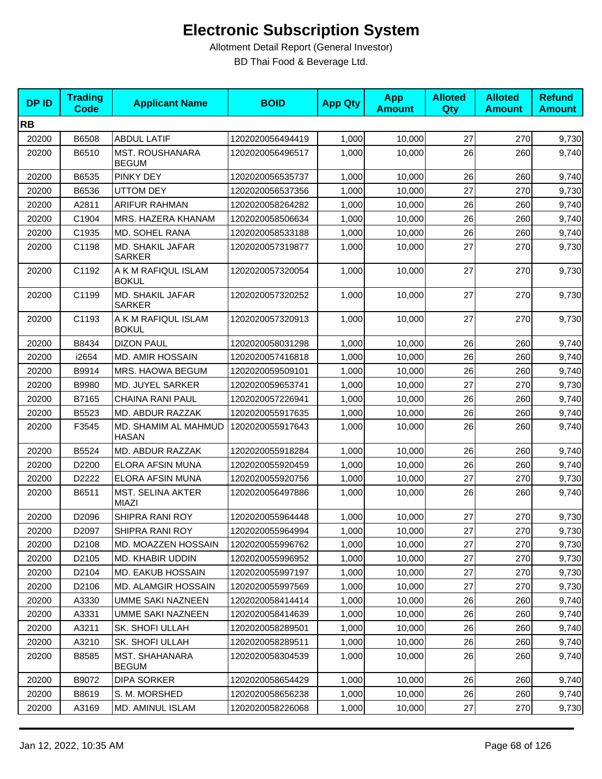| <b>DPID</b> | <b>Trading</b><br><b>Code</b> | <b>Applicant Name</b>                    | <b>BOID</b>      | <b>App Qty</b> | <b>App</b><br><b>Amount</b> | <b>Alloted</b><br>Qty | <b>Alloted</b><br><b>Amount</b> | <b>Refund</b><br><b>Amount</b> |
|-------------|-------------------------------|------------------------------------------|------------------|----------------|-----------------------------|-----------------------|---------------------------------|--------------------------------|
| <b>RB</b>   |                               |                                          |                  |                |                             |                       |                                 |                                |
| 20200       | B6508                         | <b>ABDUL LATIF</b>                       | 1202020056494419 | 1,000          | 10,000                      | 27                    | 270                             | 9,730                          |
| 20200       | B6510                         | <b>MST. ROUSHANARA</b><br><b>BEGUM</b>   | 1202020056496517 | 1,000          | 10,000                      | 26                    | 260                             | 9,740                          |
| 20200       | B6535                         | PINKY DEY                                | 1202020056535737 | 1,000          | 10,000                      | 26                    | 260                             | 9,740                          |
| 20200       | B6536                         | <b>UTTOM DEY</b>                         | 1202020056537356 | 1,000          | 10,000                      | 27                    | 270                             | 9,730                          |
| 20200       | A2811                         | <b>ARIFUR RAHMAN</b>                     | 1202020058264282 | 1,000          | 10,000                      | 26                    | 260                             | 9,740                          |
| 20200       | C1904                         | MRS. HAZERA KHANAM                       | 1202020058506634 | 1,000          | 10,000                      | 26                    | 260                             | 9,740                          |
| 20200       | C1935                         | MD. SOHEL RANA                           | 1202020058533188 | 1,000          | 10,000                      | 26                    | 260                             | 9,740                          |
| 20200       | C1198                         | MD. SHAKIL JAFAR<br><b>SARKER</b>        | 1202020057319877 | 1,000          | 10,000                      | 27                    | 270                             | 9,730                          |
| 20200       | C1192                         | A K M RAFIQUL ISLAM<br><b>BOKUL</b>      | 1202020057320054 | 1,000          | 10,000                      | 27                    | 270                             | 9,730                          |
| 20200       | C1199                         | MD. SHAKIL JAFAR<br><b>SARKER</b>        | 1202020057320252 | 1,000          | 10,000                      | 27                    | 270                             | 9,730                          |
| 20200       | C1193                         | A K M RAFIQUL ISLAM<br><b>BOKUL</b>      | 1202020057320913 | 1,000          | 10,000                      | 27                    | 270                             | 9,730                          |
| 20200       | B8434                         | <b>DIZON PAUL</b>                        | 1202020058031298 | 1,000          | 10.000                      | 26                    | 260                             | 9,740                          |
| 20200       | i2654                         | <b>MD. AMIR HOSSAIN</b>                  | 1202020057416818 | 1,000          | 10,000                      | 26                    | 260                             | 9,740                          |
| 20200       | B9914                         | MRS. HAOWA BEGUM                         | 1202020059509101 | 1,000          | 10,000                      | 26                    | 260                             | 9,740                          |
| 20200       | B9980                         | MD. JUYEL SARKER                         | 1202020059653741 | 1,000          | 10,000                      | 27                    | 270                             | 9,730                          |
| 20200       | B7165                         | <b>CHAINA RANI PAUL</b>                  | 1202020057226941 | 1,000          | 10,000                      | 26                    | 260                             | 9,740                          |
| 20200       | B5523                         | MD. ABDUR RAZZAK                         | 1202020055917635 | 1,000          | 10,000                      | 26                    | 260                             | 9,740                          |
| 20200       | F3545                         | MD. SHAMIM AL MAHMUD<br><b>HASAN</b>     | 1202020055917643 | 1,000          | 10,000                      | 26                    | 260                             | 9,740                          |
| 20200       | B5524                         | <b>MD. ABDUR RAZZAK</b>                  | 1202020055918284 | 1,000          | 10,000                      | 26                    | 260                             | 9,740                          |
| 20200       | D2200                         | ELORA AFSIN MUNA                         | 1202020055920459 | 1,000          | 10,000                      | 26                    | 260                             | 9,740                          |
| 20200       | D2222                         | ELORA AFSIN MUNA                         | 1202020055920756 | 1,000          | 10,000                      | 27                    | 270                             | 9,730                          |
| 20200       | B6511                         | <b>MST. SELINA AKTER</b><br><b>MIAZI</b> | 1202020056497886 | 1,000          | 10,000                      | 26                    | 260                             | 9,740                          |
| 20200       | D2096                         | SHIPRA RANI ROY                          | 1202020055964448 | 1,000          | 10,000                      | 27                    | 270                             | 9,730                          |
| 20200       | D2097                         | SHIPRA RANI ROY                          | 1202020055964994 | 1,000          | 10,000                      | 27                    | 270                             | 9,730                          |
| 20200       | D2108                         | MD. MOAZZEN HOSSAIN                      | 1202020055996762 | 1,000          | 10,000                      | 27                    | 270                             | 9,730                          |
| 20200       | D2105                         | MD. KHABIR UDDIN                         | 1202020055996952 | 1,000          | 10,000                      | 27                    | 270                             | 9,730                          |
| 20200       | D2104                         | MD. EAKUB HOSSAIN                        | 1202020055997197 | 1,000          | 10,000                      | 27                    | 270                             | 9,730                          |
| 20200       | D2106                         | <b>MD. ALAMGIR HOSSAIN</b>               | 1202020055997569 | 1.000          | 10,000                      | 27                    | 270                             | 9,730                          |
| 20200       | A3330                         | <b>UMME SAKI NAZNEEN</b>                 | 1202020058414414 | 1,000          | 10,000                      | 26                    | 260                             | 9,740                          |
| 20200       | A3331                         | UMME SAKI NAZNEEN                        | 1202020058414639 | 1,000          | 10,000                      | 26                    | 260                             | 9,740                          |
| 20200       | A3211                         | SK. SHOFI ULLAH                          | 1202020058289501 | 1,000          | 10,000                      | 26                    | 260                             | 9,740                          |
| 20200       | A3210                         | SK. SHOFI ULLAH                          | 1202020058289511 | 1,000          | 10,000                      | 26                    | 260                             | 9,740                          |
| 20200       | B8585                         | <b>MST. SHAHANARA</b><br><b>BEGUM</b>    | 1202020058304539 | 1,000          | 10,000                      | 26                    | 260                             | 9,740                          |
| 20200       | B9072                         | <b>DIPA SORKER</b>                       | 1202020058654429 | 1,000          | 10,000                      | 26                    | 260                             | 9,740                          |
| 20200       | B8619                         | S. M. MORSHED                            | 1202020058656238 | 1,000          | 10,000                      | 26                    | 260                             | 9,740                          |
| 20200       | A3169                         | MD. AMINUL ISLAM                         | 1202020058226068 | 1,000          | 10,000                      | 27                    | 270                             | 9,730                          |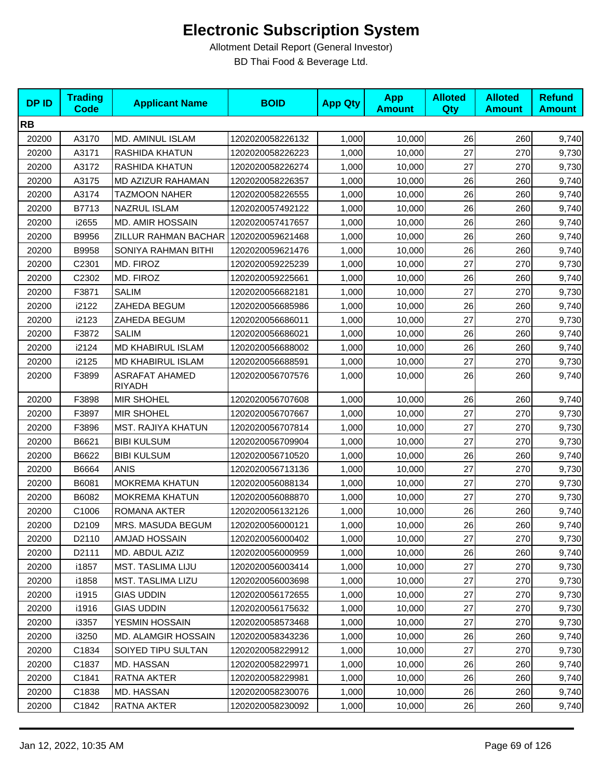| <b>DPID</b> | <b>Trading</b><br><b>Code</b> | <b>Applicant Name</b>                  | <b>BOID</b>      | <b>App Qty</b> | <b>App</b><br><b>Amount</b> | <b>Alloted</b><br>Qty | <b>Alloted</b><br><b>Amount</b> | <b>Refund</b><br><b>Amount</b> |
|-------------|-------------------------------|----------------------------------------|------------------|----------------|-----------------------------|-----------------------|---------------------------------|--------------------------------|
| <b>RB</b>   |                               |                                        |                  |                |                             |                       |                                 |                                |
| 20200       | A3170                         | MD. AMINUL ISLAM                       | 1202020058226132 | 1,000          | 10,000                      | 26                    | 260                             | 9,740                          |
| 20200       | A3171                         | <b>RASHIDA KHATUN</b>                  | 1202020058226223 | 1,000          | 10,000                      | 27                    | 270                             | 9,730                          |
| 20200       | A3172                         | RASHIDA KHATUN                         | 1202020058226274 | 1,000          | 10,000                      | 27                    | 270                             | 9,730                          |
| 20200       | A3175                         | MD AZIZUR RAHAMAN                      | 1202020058226357 | 1,000          | 10,000                      | 26                    | 260                             | 9,740                          |
| 20200       | A3174                         | TAZMOON NAHER                          | 1202020058226555 | 1,000          | 10,000                      | 26                    | 260                             | 9,740                          |
| 20200       | B7713                         | <b>NAZRUL ISLAM</b>                    | 1202020057492122 | 1,000          | 10,000                      | 26                    | 260                             | 9,740                          |
| 20200       | i2655                         | <b>MD. AMIR HOSSAIN</b>                | 1202020057417657 | 1,000          | 10,000                      | 26                    | 260                             | 9,740                          |
| 20200       | B9956                         | ZILLUR RAHMAN BACHAR                   | 1202020059621468 | 1,000          | 10,000                      | 26                    | 260                             | 9,740                          |
| 20200       | B9958                         | SONIYA RAHMAN BITHI                    | 1202020059621476 | 1,000          | 10,000                      | 26                    | 260                             | 9,740                          |
| 20200       | C2301                         | MD. FIROZ                              | 1202020059225239 | 1,000          | 10,000                      | 27                    | 270                             | 9,730                          |
| 20200       | C2302                         | MD. FIROZ                              | 1202020059225661 | 1,000          | 10,000                      | 26                    | 260                             | 9,740                          |
| 20200       | F3871                         | <b>SALIM</b>                           | 1202020056682181 | 1,000          | 10,000                      | 27                    | 270                             | 9,730                          |
| 20200       | i2122                         | ZAHEDA BEGUM                           | 1202020056685986 | 1,000          | 10,000                      | 26                    | 260                             | 9,740                          |
| 20200       | i2123                         | ZAHEDA BEGUM                           | 1202020056686011 | 1,000          | 10,000                      | 27                    | 270                             | 9,730                          |
| 20200       | F3872                         | <b>SALIM</b>                           | 1202020056686021 | 1,000          | 10,000                      | 26                    | 260                             | 9,740                          |
| 20200       | i2124                         | MD KHABIRUL ISLAM                      | 1202020056688002 | 1,000          | 10,000                      | 26                    | 260                             | 9,740                          |
| 20200       | i2125                         | MD KHABIRUL ISLAM                      | 1202020056688591 | 1,000          | 10,000                      | 27                    | 270                             | 9,730                          |
| 20200       | F3899                         | <b>ASRAFAT AHAMED</b><br><b>RIYADH</b> | 1202020056707576 | 1,000          | 10,000                      | 26                    | 260                             | 9,740                          |
| 20200       | F3898                         | <b>MIR SHOHEL</b>                      | 1202020056707608 | 1,000          | 10,000                      | 26                    | 260                             | 9,740                          |
| 20200       | F3897                         | <b>MIR SHOHEL</b>                      | 1202020056707667 | 1,000          | 10,000                      | 27                    | 270                             | 9,730                          |
| 20200       | F3896                         | MST. RAJIYA KHATUN                     | 1202020056707814 | 1,000          | 10,000                      | 27                    | 270                             | 9,730                          |
| 20200       | B6621                         | <b>BIBI KULSUM</b>                     | 1202020056709904 | 1,000          | 10,000                      | 27                    | 270                             | 9,730                          |
| 20200       | B6622                         | <b>BIBI KULSUM</b>                     | 1202020056710520 | 1,000          | 10,000                      | 26                    | 260                             | 9,740                          |
| 20200       | B6664                         | <b>ANIS</b>                            | 1202020056713136 | 1,000          | 10,000                      | 27                    | 270                             | 9,730                          |
| 20200       | B6081                         | MOKREMA KHATUN                         | 1202020056088134 | 1,000          | 10,000                      | 27                    | 270                             | 9,730                          |
| 20200       | B6082                         | <b>MOKREMA KHATUN</b>                  | 1202020056088870 | 1,000          | 10,000                      | 27                    | 270                             | 9,730                          |
| 20200       | C1006                         | ROMANA AKTER                           | 1202020056132126 | 1,000          | 10,000                      | 26                    | 260                             | 9,740                          |
| 20200       | D2109                         | MRS. MASUDA BEGUM                      | 1202020056000121 | 1,000          | 10,000                      | 26                    | 260                             | 9,740                          |
| 20200       | D2110                         | AMJAD HOSSAIN                          | 1202020056000402 | 1,000          | 10,000                      | 27                    | 270                             | 9,730                          |
| 20200       | D2111                         | MD. ABDUL AZIZ                         | 1202020056000959 | 1,000          | 10,000                      | 26                    | 260                             | 9,740                          |
| 20200       | i1857                         | MST. TASLIMA LIJU                      | 1202020056003414 | 1,000          | 10,000                      | 27                    | 270                             | 9,730                          |
| 20200       | i1858                         | <b>MST. TASLIMA LIZU</b>               | 1202020056003698 | 1,000          | 10,000                      | 27                    | 270                             | 9,730                          |
| 20200       | i1915                         | <b>GIAS UDDIN</b>                      | 1202020056172655 | 1,000          | 10,000                      | 27                    | 270                             | 9,730                          |
| 20200       | i1916                         | <b>GIAS UDDIN</b>                      | 1202020056175632 | 1,000          | 10,000                      | 27                    | 270                             | 9,730                          |
| 20200       | i3357                         | YESMIN HOSSAIN                         | 1202020058573468 | 1,000          | 10,000                      | 27                    | 270                             | 9,730                          |
| 20200       | i3250                         | MD. ALAMGIR HOSSAIN                    | 1202020058343236 | 1,000          | 10,000                      | 26                    | 260                             | 9,740                          |
| 20200       | C1834                         | SOIYED TIPU SULTAN                     | 1202020058229912 | 1,000          | 10,000                      | 27                    | 270                             | 9,730                          |
| 20200       | C1837                         | MD. HASSAN                             | 1202020058229971 | 1,000          | 10,000                      | 26                    | 260                             | 9,740                          |
| 20200       | C1841                         | RATNA AKTER                            | 1202020058229981 | 1,000          | 10,000                      | 26                    | 260                             | 9,740                          |
| 20200       | C1838                         | MD. HASSAN                             | 1202020058230076 | 1,000          | 10,000                      | 26                    | 260                             | 9,740                          |
| 20200       | C1842                         | RATNA AKTER                            | 1202020058230092 | 1,000          | 10,000                      | 26                    | 260                             | 9,740                          |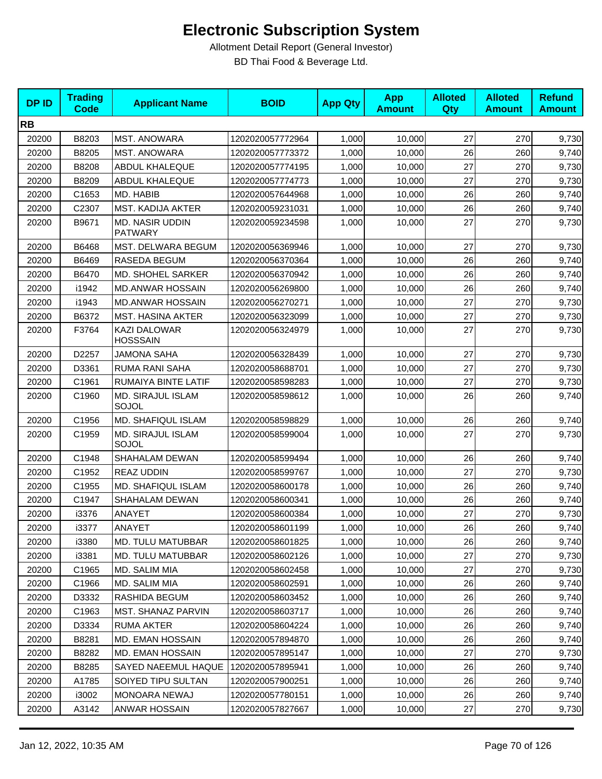| <b>DPID</b> | <b>Trading</b><br><b>Code</b> | <b>Applicant Name</b>                    | <b>BOID</b>      | <b>App Qty</b> | <b>App</b><br><b>Amount</b> | <b>Alloted</b><br><b>Qty</b> | <b>Alloted</b><br><b>Amount</b> | <b>Refund</b><br><b>Amount</b> |
|-------------|-------------------------------|------------------------------------------|------------------|----------------|-----------------------------|------------------------------|---------------------------------|--------------------------------|
| <b>RB</b>   |                               |                                          |                  |                |                             |                              |                                 |                                |
| 20200       | B8203                         | <b>MST. ANOWARA</b>                      | 1202020057772964 | 1,000          | 10,000                      | 27                           | 270                             | 9,730                          |
| 20200       | B8205                         | <b>MST. ANOWARA</b>                      | 1202020057773372 | 1,000          | 10,000                      | 26                           | 260                             | 9,740                          |
| 20200       | B8208                         | <b>ABDUL KHALEQUE</b>                    | 1202020057774195 | 1,000          | 10,000                      | 27                           | 270                             | 9,730                          |
| 20200       | B8209                         | <b>ABDUL KHALEQUE</b>                    | 1202020057774773 | 1,000          | 10,000                      | 27                           | 270                             | 9,730                          |
| 20200       | C1653                         | MD. HABIB                                | 1202020057644968 | 1,000          | 10,000                      | 26                           | 260                             | 9,740                          |
| 20200       | C2307                         | <b>MST. KADIJA AKTER</b>                 | 1202020059231031 | 1,000          | 10,000                      | 26                           | 260                             | 9,740                          |
| 20200       | B9671                         | <b>MD. NASIR UDDIN</b><br><b>PATWARY</b> | 1202020059234598 | 1,000          | 10,000                      | 27                           | 270                             | 9,730                          |
| 20200       | B6468                         | MST. DELWARA BEGUM                       | 1202020056369946 | 1,000          | 10,000                      | 27                           | 270                             | 9,730                          |
| 20200       | B6469                         | RASEDA BEGUM                             | 1202020056370364 | 1,000          | 10,000                      | 26                           | 260                             | 9,740                          |
| 20200       | B6470                         | MD. SHOHEL SARKER                        | 1202020056370942 | 1,000          | 10,000                      | 26                           | 260                             | 9,740                          |
| 20200       | i1942                         | <b>MD.ANWAR HOSSAIN</b>                  | 1202020056269800 | 1,000          | 10,000                      | 26                           | 260                             | 9,740                          |
| 20200       | i1943                         | <b>MD.ANWAR HOSSAIN</b>                  | 1202020056270271 | 1,000          | 10,000                      | 27                           | 270                             | 9,730                          |
| 20200       | B6372                         | <b>MST. HASINA AKTER</b>                 | 1202020056323099 | 1,000          | 10,000                      | 27                           | 270                             | 9,730                          |
| 20200       | F3764                         | <b>KAZI DALOWAR</b><br><b>HOSSSAIN</b>   | 1202020056324979 | 1,000          | 10,000                      | 27                           | 270                             | 9,730                          |
| 20200       | D2257                         | <b>JAMONA SAHA</b>                       | 1202020056328439 | 1,000          | 10,000                      | 27                           | 270                             | 9,730                          |
| 20200       | D3361                         | RUMA RANI SAHA                           | 1202020058688701 | 1,000          | 10,000                      | 27                           | 270                             | 9,730                          |
| 20200       | C1961                         | RUMAIYA BINTE LATIF                      | 1202020058598283 | 1,000          | 10,000                      | 27                           | 270                             | 9,730                          |
| 20200       | C1960                         | <b>MD. SIRAJUL ISLAM</b><br>SOJOL        | 1202020058598612 | 1,000          | 10,000                      | 26                           | 260                             | 9,740                          |
| 20200       | C1956                         | MD. SHAFIQUL ISLAM                       | 1202020058598829 | 1,000          | 10,000                      | 26                           | 260                             | 9,740                          |
| 20200       | C1959                         | <b>MD. SIRAJUL ISLAM</b><br>SOJOL        | 1202020058599004 | 1,000          | 10,000                      | 27                           | 270                             | 9,730                          |
| 20200       | C1948                         | SHAHALAM DEWAN                           | 1202020058599494 | 1,000          | 10,000                      | 26                           | 260                             | 9,740                          |
| 20200       | C1952                         | <b>REAZ UDDIN</b>                        | 1202020058599767 | 1,000          | 10,000                      | 27                           | 270                             | 9,730                          |
| 20200       | C1955                         | MD. SHAFIQUL ISLAM                       | 1202020058600178 | 1,000          | 10,000                      | 26                           | 260                             | 9,740                          |
| 20200       | C1947                         | SHAHALAM DEWAN                           | 1202020058600341 | 1,000          | 10,000                      | 26                           | 260                             | 9,740                          |
| 20200       | i3376                         | ANAYET                                   | 1202020058600384 | 1,000          | 10,000                      | 27                           | 270                             | 9,730                          |
| 20200       | i3377                         | ANAYET                                   | 1202020058601199 | 1,000          | 10,000                      | 26                           | 260                             | 9,740                          |
| 20200       | i3380                         | MD. TULU MATUBBAR                        | 1202020058601825 | 1,000          | 10,000                      | 26                           | 260                             | 9,740                          |
| 20200       | i3381                         | MD. TULU MATUBBAR                        | 1202020058602126 | 1,000          | 10,000                      | 27                           | 270                             | 9,730                          |
| 20200       | C1965                         | MD. SALIM MIA                            | 1202020058602458 | 1,000          | 10,000                      | 27                           | 270                             | 9,730                          |
| 20200       | C1966                         | MD. SALIM MIA                            | 1202020058602591 | 1,000          | 10,000                      | 26                           | 260                             | 9,740                          |
| 20200       | D3332                         | RASHIDA BEGUM                            | 1202020058603452 | 1,000          | 10,000                      | 26                           | 260                             | 9,740                          |
| 20200       | C1963                         | MST. SHANAZ PARVIN                       | 1202020058603717 | 1,000          | 10,000                      | 26                           | 260                             | 9,740                          |
| 20200       | D3334                         | RUMA AKTER                               | 1202020058604224 | 1,000          | 10,000                      | 26                           | 260                             | 9,740                          |
| 20200       | B8281                         | MD. EMAN HOSSAIN                         | 1202020057894870 | 1,000          | 10,000                      | 26                           | 260                             | 9,740                          |
| 20200       | B8282                         | MD. EMAN HOSSAIN                         | 1202020057895147 | 1,000          | 10,000                      | 27                           | 270                             | 9,730                          |
| 20200       | B8285                         | SAYED NAEEMUL HAQUE                      | 1202020057895941 | 1,000          | 10,000                      | 26                           | 260                             | 9,740                          |
| 20200       | A1785                         | SOIYED TIPU SULTAN                       | 1202020057900251 | 1,000          | 10,000                      | 26                           | 260                             | 9,740                          |
| 20200       | i3002                         | MONOARA NEWAJ                            | 1202020057780151 | 1,000          | 10,000                      | 26                           | 260                             | 9,740                          |
| 20200       | A3142                         | ANWAR HOSSAIN                            | 1202020057827667 | 1,000          | 10,000                      | $27\,$                       | 270                             | 9,730                          |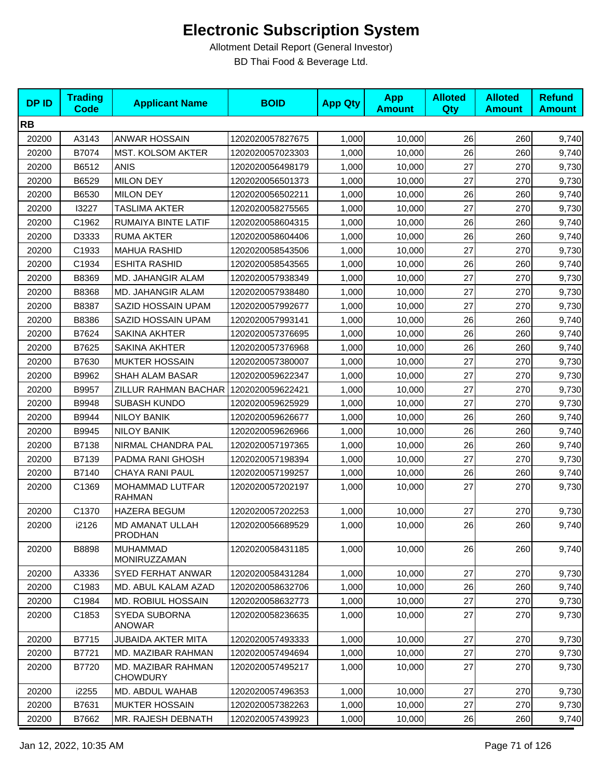| <b>DPID</b> | <b>Trading</b><br><b>Code</b> | <b>Applicant Name</b>                    | <b>BOID</b>      | <b>App Qty</b> | <b>App</b><br><b>Amount</b> | <b>Alloted</b><br><b>Qty</b> | <b>Alloted</b><br><b>Amount</b> | <b>Refund</b><br><b>Amount</b> |
|-------------|-------------------------------|------------------------------------------|------------------|----------------|-----------------------------|------------------------------|---------------------------------|--------------------------------|
| <b>RB</b>   |                               |                                          |                  |                |                             |                              |                                 |                                |
| 20200       | A3143                         | <b>ANWAR HOSSAIN</b>                     | 1202020057827675 | 1,000          | 10,000                      | 26                           | 260                             | 9,740                          |
| 20200       | B7074                         | MST. KOLSOM AKTER                        | 1202020057023303 | 1,000          | 10,000                      | 26                           | 260                             | 9,740                          |
| 20200       | B6512                         | <b>ANIS</b>                              | 1202020056498179 | 1,000          | 10,000                      | 27                           | 270                             | 9,730                          |
| 20200       | B6529                         | <b>MILON DEY</b>                         | 1202020056501373 | 1,000          | 10,000                      | 27                           | 270                             | 9,730                          |
| 20200       | B6530                         | <b>MILON DEY</b>                         | 1202020056502211 | 1,000          | 10,000                      | 26                           | 260                             | 9,740                          |
| 20200       | 13227                         | <b>TASLIMA AKTER</b>                     | 1202020058275565 | 1,000          | 10,000                      | 27                           | 270                             | 9,730                          |
| 20200       | C1962                         | RUMAIYA BINTE LATIF                      | 1202020058604315 | 1,000          | 10,000                      | 26                           | 260                             | 9,740                          |
| 20200       | D3333                         | <b>RUMA AKTER</b>                        | 1202020058604406 | 1,000          | 10,000                      | 26                           | 260                             | 9,740                          |
| 20200       | C1933                         | <b>MAHUA RASHID</b>                      | 1202020058543506 | 1,000          | 10,000                      | 27                           | 270                             | 9,730                          |
| 20200       | C1934                         | <b>ESHITA RASHID</b>                     | 1202020058543565 | 1,000          | 10,000                      | 26                           | 260                             | 9,740                          |
| 20200       | B8369                         | MD. JAHANGIR ALAM                        | 1202020057938349 | 1,000          | 10,000                      | 27                           | 270                             | 9,730                          |
| 20200       | B8368                         | MD. JAHANGIR ALAM                        | 1202020057938480 | 1,000          | 10,000                      | 27                           | 270                             | 9,730                          |
| 20200       | B8387                         | SAZID HOSSAIN UPAM                       | 1202020057992677 | 1,000          | 10,000                      | 27                           | 270                             | 9,730                          |
| 20200       | B8386                         | SAZID HOSSAIN UPAM                       | 1202020057993141 | 1,000          | 10,000                      | 26                           | 260                             | 9,740                          |
| 20200       | B7624                         | <b>SAKINA AKHTER</b>                     | 1202020057376695 | 1,000          | 10,000                      | 26                           | 260                             | 9,740                          |
| 20200       | B7625                         | SAKINA AKHTER                            | 1202020057376968 | 1,000          | 10,000                      | 26                           | 260                             | 9,740                          |
| 20200       | B7630                         | <b>MUKTER HOSSAIN</b>                    | 1202020057380007 | 1,000          | 10,000                      | 27                           | 270                             | 9,730                          |
| 20200       | B9962                         | SHAH ALAM BASAR                          | 1202020059622347 | 1,000          | 10,000                      | 27                           | 270                             | 9,730                          |
| 20200       | B9957                         | ZILLUR RAHMAN BACHAR                     | 1202020059622421 | 1,000          | 10,000                      | 27                           | 270                             | 9,730                          |
| 20200       | B9948                         | <b>SUBASH KUNDO</b>                      | 1202020059625929 | 1,000          | 10,000                      | 27                           | 270                             | 9,730                          |
| 20200       | B9944                         | <b>NILOY BANIK</b>                       | 1202020059626677 | 1,000          | 10,000                      | 26                           | 260                             | 9,740                          |
| 20200       | B9945                         | <b>NILOY BANIK</b>                       | 1202020059626966 | 1,000          | 10,000                      | 26                           | 260                             | 9,740                          |
| 20200       | B7138                         | NIRMAL CHANDRA PAL                       | 1202020057197365 | 1,000          | 10,000                      | 26                           | 260                             | 9,740                          |
| 20200       | B7139                         | PADMA RANI GHOSH                         | 1202020057198394 | 1,000          | 10,000                      | 27                           | 270                             | 9,730                          |
| 20200       | B7140                         | <b>CHAYA RANI PAUL</b>                   | 1202020057199257 | 1,000          | 10,000                      | 26                           | 260                             | 9,740                          |
| 20200       | C1369                         | MOHAMMAD LUTFAR<br><b>RAHMAN</b>         | 1202020057202197 | 1,000          | 10,000                      | 27                           | 270                             | 9,730                          |
| 20200       | C1370                         | <b>HAZERA BEGUM</b>                      | 1202020057202253 | 1,000          | 10,000                      | 27                           | 270                             | 9,730                          |
| 20200       | i2126                         | <b>MD AMANAT ULLAH</b><br><b>PRODHAN</b> | 1202020056689529 | 1,000          | 10,000                      | 26                           | 260                             | 9,740                          |
| 20200       | B8898                         | <b>MUHAMMAD</b><br>MONIRUZZAMAN          | 1202020058431185 | 1,000          | 10,000                      | 26                           | 260                             | 9,740                          |
| 20200       | A3336                         | SYED FERHAT ANWAR                        | 1202020058431284 | 1,000          | 10,000                      | 27                           | 270                             | 9,730                          |
| 20200       | C1983                         | MD. ABUL KALAM AZAD                      | 1202020058632706 | 1,000          | 10,000                      | 26                           | 260                             | 9,740                          |
| 20200       | C1984                         | MD. ROBIUL HOSSAIN                       | 1202020058632773 | 1,000          | 10,000                      | 27                           | 270                             | 9,730                          |
| 20200       | C <sub>1853</sub>             | SYEDA SUBORNA<br><b>ANOWAR</b>           | 1202020058236635 | 1,000          | 10,000                      | 27                           | 270                             | 9,730                          |
| 20200       | B7715                         | <b>JUBAIDA AKTER MITA</b>                | 1202020057493333 | 1,000          | 10,000                      | 27                           | 270                             | 9,730                          |
| 20200       | B7721                         | MD. MAZIBAR RAHMAN                       | 1202020057494694 | 1,000          | 10,000                      | 27                           | 270                             | 9,730                          |
| 20200       | B7720                         | MD. MAZIBAR RAHMAN<br><b>CHOWDURY</b>    | 1202020057495217 | 1,000          | 10,000                      | 27                           | 270                             | 9,730                          |
| 20200       | i2255                         | MD. ABDUL WAHAB                          | 1202020057496353 | 1,000          | 10,000                      | 27                           | 270                             | 9,730                          |
| 20200       | B7631                         | <b>MUKTER HOSSAIN</b>                    | 1202020057382263 | 1,000          | 10,000                      | 27                           | 270                             | 9,730                          |
| 20200       | B7662                         | MR. RAJESH DEBNATH                       | 1202020057439923 | 1,000          | 10,000                      | 26                           | 260                             | 9,740                          |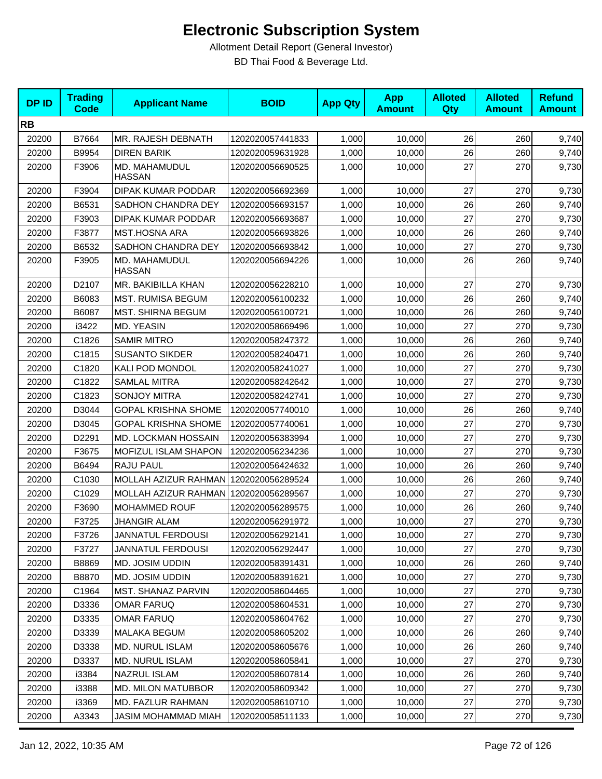| <b>DPID</b> | <b>Trading</b><br><b>Code</b> | <b>Applicant Name</b>          | <b>BOID</b>      | <b>App Qty</b> | <b>App</b><br><b>Amount</b> | <b>Alloted</b><br>Qty | <b>Alloted</b><br><b>Amount</b> | <b>Refund</b><br><b>Amount</b> |
|-------------|-------------------------------|--------------------------------|------------------|----------------|-----------------------------|-----------------------|---------------------------------|--------------------------------|
| <b>RB</b>   |                               |                                |                  |                |                             |                       |                                 |                                |
| 20200       | B7664                         | MR. RAJESH DEBNATH             | 1202020057441833 | 1,000          | 10,000                      | 26                    | 260                             | 9,740                          |
| 20200       | B9954                         | <b>DIREN BARIK</b>             | 1202020059631928 | 1,000          | 10,000                      | 26                    | 260                             | 9,740                          |
| 20200       | F3906                         | MD. MAHAMUDUL<br><b>HASSAN</b> | 1202020056690525 | 1,000          | 10,000                      | 27                    | 270                             | 9,730                          |
| 20200       | F3904                         | DIPAK KUMAR PODDAR             | 1202020056692369 | 1,000          | 10,000                      | 27                    | 270                             | 9,730                          |
| 20200       | B6531                         | SADHON CHANDRA DEY             | 1202020056693157 | 1,000          | 10,000                      | 26                    | 260                             | 9,740                          |
| 20200       | F3903                         | DIPAK KUMAR PODDAR             | 1202020056693687 | 1,000          | 10,000                      | 27                    | 270                             | 9,730                          |
| 20200       | F3877                         | <b>MST.HOSNA ARA</b>           | 1202020056693826 | 1,000          | 10,000                      | 26                    | 260                             | 9,740                          |
| 20200       | B6532                         | SADHON CHANDRA DEY             | 1202020056693842 | 1,000          | 10,000                      | 27                    | 270                             | 9,730                          |
| 20200       | F3905                         | MD. MAHAMUDUL<br><b>HASSAN</b> | 1202020056694226 | 1,000          | 10,000                      | 26                    | 260                             | 9,740                          |
| 20200       | D2107                         | MR. BAKIBILLA KHAN             | 1202020056228210 | 1,000          | 10,000                      | 27                    | 270                             | 9,730                          |
| 20200       | B6083                         | MST. RUMISA BEGUM              | 1202020056100232 | 1,000          | 10,000                      | 26                    | 260                             | 9,740                          |
| 20200       | B6087                         | <b>MST. SHIRNA BEGUM</b>       | 1202020056100721 | 1,000          | 10,000                      | 26                    | 260                             | 9,740                          |
| 20200       | i3422                         | MD. YEASIN                     | 1202020058669496 | 1,000          | 10,000                      | 27                    | 270                             | 9,730                          |
| 20200       | C1826                         | <b>SAMIR MITRO</b>             | 1202020058247372 | 1,000          | 10,000                      | 26                    | 260                             | 9,740                          |
| 20200       | C1815                         | <b>SUSANTO SIKDER</b>          | 1202020058240471 | 1,000          | 10,000                      | 26                    | 260                             | 9,740                          |
| 20200       | C1820                         | KALI POD MONDOL                | 1202020058241027 | 1,000          | 10,000                      | 27                    | 270                             | 9,730                          |
| 20200       | C1822                         | <b>SAMLAL MITRA</b>            | 1202020058242642 | 1,000          | 10,000                      | 27                    | 270                             | 9,730                          |
| 20200       | C1823                         | <b>SONJOY MITRA</b>            | 1202020058242741 | 1,000          | 10,000                      | 27                    | 270                             | 9,730                          |
| 20200       | D3044                         | <b>GOPAL KRISHNA SHOME</b>     | 1202020057740010 | 1,000          | 10,000                      | 26                    | 260                             | 9,740                          |
| 20200       | D3045                         | <b>GOPAL KRISHNA SHOME</b>     | 1202020057740061 | 1,000          | 10,000                      | 27                    | 270                             | 9,730                          |
| 20200       | D2291                         | MD. LOCKMAN HOSSAIN            | 1202020056383994 | 1,000          | 10,000                      | 27                    | 270                             | 9,730                          |
| 20200       | F3675                         | MOFIZUL ISLAM SHAPON           | 1202020056234236 | 1,000          | 10,000                      | 27                    | 270                             | 9,730                          |
| 20200       | B6494                         | RAJU PAUL                      | 1202020056424632 | 1,000          | 10,000                      | 26                    | 260                             | 9,740                          |
| 20200       | C1030                         | MOLLAH AZIZUR RAHMAN           | 1202020056289524 | 1,000          | 10,000                      | 26                    | 260                             | 9,740                          |
| 20200       | C1029                         | MOLLAH AZIZUR RAHMAN           | 1202020056289567 | 1,000          | 10,000                      | 27                    | 270                             | 9,730                          |
| 20200       | F3690                         | MOHAMMED ROUF                  | 1202020056289575 | 1,000          | 10,000                      | 26                    | 260                             | 9,740                          |
| 20200       | F3725                         | JHANGIR ALAM                   | 1202020056291972 | 1,000          | 10,000                      | 27                    | 270                             | 9,730                          |
| 20200       | F3726                         | JANNATUL FERDOUSI              | 1202020056292141 | 1,000          | 10,000                      | 27                    | 270                             | 9,730                          |
| 20200       | F3727                         | <b>JANNATUL FERDOUSI</b>       | 1202020056292447 | 1,000          | 10,000                      | 27                    | 270                             | 9,730                          |
| 20200       | B8869                         | <b>MD. JOSIM UDDIN</b>         | 1202020058391431 | 1,000          | 10,000                      | 26                    | 260                             | 9,740                          |
| 20200       | B8870                         | MD. JOSIM UDDIN                | 1202020058391621 | 1,000          | 10,000                      | 27                    | 270                             | 9,730                          |
| 20200       | C1964                         | MST. SHANAZ PARVIN             | 1202020058604465 | 1,000          | 10,000                      | 27                    | 270                             | 9,730                          |
| 20200       | D3336                         | <b>OMAR FARUQ</b>              | 1202020058604531 | 1,000          | 10,000                      | 27                    | 270                             | 9,730                          |
| 20200       | D3335                         | <b>OMAR FARUQ</b>              | 1202020058604762 | 1,000          | 10,000                      | 27                    | 270                             | 9,730                          |
| 20200       | D3339                         | MALAKA BEGUM                   | 1202020058605202 | 1,000          | 10,000                      | 26                    | 260                             | 9,740                          |
| 20200       | D3338                         | MD. NURUL ISLAM                | 1202020058605676 | 1,000          | 10,000                      | 26                    | 260                             | 9,740                          |
| 20200       | D3337                         | MD. NURUL ISLAM                | 1202020058605841 | 1,000          | 10,000                      | 27                    | 270                             | 9,730                          |
| 20200       | i3384                         | NAZRUL ISLAM                   | 1202020058607814 | 1,000          | 10,000                      | 26                    | 260                             | 9,740                          |
| 20200       | i3388                         | MD. MILON MATUBBOR             | 1202020058609342 | 1,000          | 10,000                      | 27                    | 270                             | 9,730                          |
| 20200       | i3369                         | MD. FAZLUR RAHMAN              | 1202020058610710 | 1,000          | 10,000                      | 27                    | 270                             | 9,730                          |
| 20200       | A3343                         | JASIM MOHAMMAD MIAH            | 1202020058511133 | 1,000          | 10,000                      | 27                    | 270                             | 9,730                          |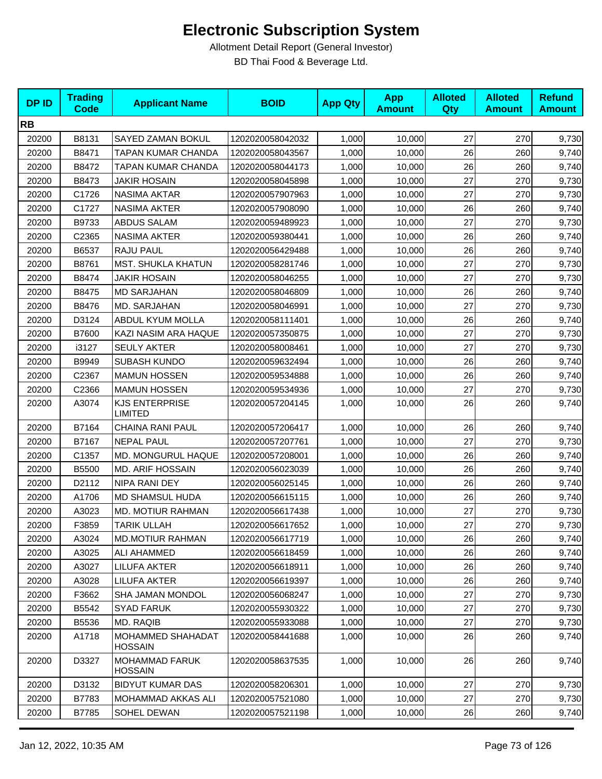| <b>DPID</b> | <b>Trading</b><br><b>Code</b> | <b>Applicant Name</b>                   | <b>BOID</b>      | <b>App Qty</b> | <b>App</b><br><b>Amount</b> | <b>Alloted</b><br><b>Qty</b> | <b>Alloted</b><br><b>Amount</b> | <b>Refund</b><br><b>Amount</b> |
|-------------|-------------------------------|-----------------------------------------|------------------|----------------|-----------------------------|------------------------------|---------------------------------|--------------------------------|
| <b>RB</b>   |                               |                                         |                  |                |                             |                              |                                 |                                |
| 20200       | B8131                         | SAYED ZAMAN BOKUL                       | 1202020058042032 | 1,000          | 10,000                      | 27                           | 270                             | 9,730                          |
| 20200       | B8471                         | TAPAN KUMAR CHANDA                      | 1202020058043567 | 1,000          | 10,000                      | 26                           | 260                             | 9,740                          |
| 20200       | B8472                         | TAPAN KUMAR CHANDA                      | 1202020058044173 | 1,000          | 10,000                      | 26                           | 260                             | 9,740                          |
| 20200       | B8473                         | <b>JAKIR HOSAIN</b>                     | 1202020058045898 | 1,000          | 10,000                      | 27                           | 270                             | 9,730                          |
| 20200       | C1726                         | NASIMA AKTAR                            | 1202020057907963 | 1,000          | 10,000                      | 27                           | 270                             | 9,730                          |
| 20200       | C1727                         | <b>NASIMA AKTER</b>                     | 1202020057908090 | 1,000          | 10,000                      | 26                           | 260                             | 9,740                          |
| 20200       | B9733                         | ABDUS SALAM                             | 1202020059489923 | 1,000          | 10,000                      | 27                           | 270                             | 9,730                          |
| 20200       | C2365                         | NASIMA AKTER                            | 1202020059380441 | 1,000          | 10,000                      | 26                           | 260                             | 9,740                          |
| 20200       | B6537                         | RAJU PAUL                               | 1202020056429488 | 1,000          | 10,000                      | 26                           | 260                             | 9,740                          |
| 20200       | B8761                         | MST. SHUKLA KHATUN                      | 1202020058281746 | 1,000          | 10,000                      | 27                           | 270                             | 9,730                          |
| 20200       | B8474                         | <b>JAKIR HOSAIN</b>                     | 1202020058046255 | 1,000          | 10,000                      | 27                           | 270                             | 9,730                          |
| 20200       | B8475                         | <b>MD SARJAHAN</b>                      | 1202020058046809 | 1,000          | 10,000                      | 26                           | 260                             | 9,740                          |
| 20200       | B8476                         | MD. SARJAHAN                            | 1202020058046991 | 1,000          | 10,000                      | 27                           | 270                             | 9,730                          |
| 20200       | D3124                         | <b>ABDUL KYUM MOLLA</b>                 | 1202020058111401 | 1,000          | 10,000                      | 26                           | 260                             | 9,740                          |
| 20200       | B7600                         | KAZI NASIM ARA HAQUE                    | 1202020057350875 | 1,000          | 10,000                      | 27                           | 270                             | 9,730                          |
| 20200       | i3127                         | <b>SEULY AKTER</b>                      | 1202020058008461 | 1,000          | 10,000                      | 27                           | 270                             | 9,730                          |
| 20200       | B9949                         | <b>SUBASH KUNDO</b>                     | 1202020059632494 | 1,000          | 10,000                      | 26                           | 260                             | 9,740                          |
| 20200       | C2367                         | <b>MAMUN HOSSEN</b>                     | 1202020059534888 | 1,000          | 10,000                      | 26                           | 260                             | 9,740                          |
| 20200       | C2366                         | <b>MAMUN HOSSEN</b>                     | 1202020059534936 | 1,000          | 10,000                      | 27                           | 270                             | 9,730                          |
| 20200       | A3074                         | <b>KJS ENTERPRISE</b><br><b>LIMITED</b> | 1202020057204145 | 1,000          | 10,000                      | 26                           | 260                             | 9,740                          |
| 20200       | B7164                         | CHAINA RANI PAUL                        | 1202020057206417 | 1,000          | 10,000                      | 26                           | 260                             | 9,740                          |
| 20200       | B7167                         | <b>NEPAL PAUL</b>                       | 1202020057207761 | 1,000          | 10,000                      | 27                           | 270                             | 9,730                          |
| 20200       | C1357                         | MD. MONGURUL HAQUE                      | 1202020057208001 | 1,000          | 10,000                      | 26                           | 260                             | 9,740                          |
| 20200       | B5500                         | <b>MD. ARIF HOSSAIN</b>                 | 1202020056023039 | 1,000          | 10,000                      | 26                           | 260                             | 9,740                          |
| 20200       | D2112                         | NIPA RANI DEY                           | 1202020056025145 | 1,000          | 10,000                      | 26                           | 260                             | 9,740                          |
| 20200       | A1706                         | MD SHAMSUL HUDA                         | 1202020056615115 | 1,000          | 10,000                      | 26                           | 260                             | 9,740                          |
| 20200       | A3023                         | MD. MOTIUR RAHMAN                       | 1202020056617438 | 1,000          | 10,000                      | 27                           | 270                             | 9,730                          |
| 20200       | F3859                         | <b>TARIK ULLAH</b>                      | 1202020056617652 | 1,000          | 10,000                      | 27                           | 270                             | 9,730                          |
| 20200       | A3024                         | <b>MD.MOTIUR RAHMAN</b>                 | 1202020056617719 | 1,000          | 10,000                      | 26                           | 260                             | 9,740                          |
| 20200       | A3025                         | <b>ALI AHAMMED</b>                      | 1202020056618459 | 1,000          | 10,000                      | 26                           | 260                             | 9,740                          |
| 20200       | A3027                         | LILUFA AKTER                            | 1202020056618911 | 1,000          | 10,000                      | 26                           | 260                             | 9,740                          |
| 20200       | A3028                         | <b>LILUFA AKTER</b>                     | 1202020056619397 | 1,000          | 10,000                      | 26                           | 260                             | 9,740                          |
| 20200       | F3662                         | SHA JAMAN MONDOL                        | 1202020056068247 | 1,000          | 10,000                      | 27                           | 270                             | 9,730                          |
| 20200       | B5542                         | <b>SYAD FARUK</b>                       | 1202020055930322 | 1,000          | 10,000                      | 27                           | 270                             | 9,730                          |
| 20200       | B5536                         | MD. RAQIB                               | 1202020055933088 | 1,000          | 10,000                      | 27                           | 270                             | 9,730                          |
| 20200       | A1718                         | MOHAMMED SHAHADAT<br><b>HOSSAIN</b>     | 1202020058441688 | 1,000          | 10,000                      | 26                           | 260                             | 9,740                          |
| 20200       | D3327                         | <b>MOHAMMAD FARUK</b><br><b>HOSSAIN</b> | 1202020058637535 | 1,000          | 10,000                      | 26                           | 260                             | 9,740                          |
| 20200       | D3132                         | <b>BIDYUT KUMAR DAS</b>                 | 1202020058206301 | 1,000          | 10,000                      | 27                           | 270                             | 9,730                          |
| 20200       | B7783                         | MOHAMMAD AKKAS ALI                      | 1202020057521080 | 1,000          | 10,000                      | 27                           | 270                             | 9,730                          |
| 20200       | B7785                         | SOHEL DEWAN                             | 1202020057521198 | 1,000          | 10,000                      | 26                           | 260                             | 9,740                          |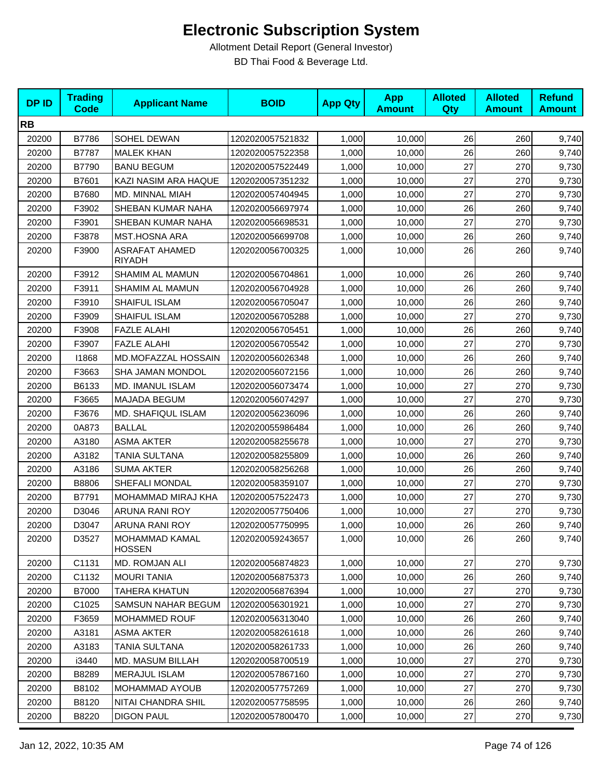| <b>DPID</b> | <b>Trading</b><br><b>Code</b> | <b>Applicant Name</b>                  | <b>BOID</b>      | <b>App Qty</b> | <b>App</b><br><b>Amount</b> | <b>Alloted</b><br>Qty | <b>Alloted</b><br><b>Amount</b> | <b>Refund</b><br><b>Amount</b> |
|-------------|-------------------------------|----------------------------------------|------------------|----------------|-----------------------------|-----------------------|---------------------------------|--------------------------------|
| <b>RB</b>   |                               |                                        |                  |                |                             |                       |                                 |                                |
| 20200       | B7786                         | SOHEL DEWAN                            | 1202020057521832 | 1,000          | 10,000                      | 26                    | 260                             | 9,740                          |
| 20200       | B7787                         | <b>MALEK KHAN</b>                      | 1202020057522358 | 1,000          | 10,000                      | 26                    | 260                             | 9,740                          |
| 20200       | B7790                         | <b>BANU BEGUM</b>                      | 1202020057522449 | 1,000          | 10,000                      | 27                    | 270                             | 9,730                          |
| 20200       | B7601                         | KAZI NASIM ARA HAQUE                   | 1202020057351232 | 1,000          | 10,000                      | 27                    | 270                             | 9,730                          |
| 20200       | B7680                         | MD. MINNAL MIAH                        | 1202020057404945 | 1,000          | 10,000                      | 27                    | 270                             | 9,730                          |
| 20200       | F3902                         | SHEBAN KUMAR NAHA                      | 1202020056697974 | 1,000          | 10,000                      | 26                    | 260                             | 9,740                          |
| 20200       | F3901                         | SHEBAN KUMAR NAHA                      | 1202020056698531 | 1,000          | 10,000                      | 27                    | 270                             | 9,730                          |
| 20200       | F3878                         | <b>MST.HOSNA ARA</b>                   | 1202020056699708 | 1,000          | 10,000                      | 26                    | 260                             | 9,740                          |
| 20200       | F3900                         | <b>ASRAFAT AHAMED</b><br><b>RIYADH</b> | 1202020056700325 | 1,000          | 10,000                      | 26                    | 260                             | 9,740                          |
| 20200       | F3912                         | SHAMIM AL MAMUN                        | 1202020056704861 | 1,000          | 10,000                      | 26                    | 260                             | 9,740                          |
| 20200       | F3911                         | SHAMIM AL MAMUN                        | 1202020056704928 | 1,000          | 10,000                      | 26                    | 260                             | 9,740                          |
| 20200       | F3910                         | SHAIFUL ISLAM                          | 1202020056705047 | 1,000          | 10,000                      | 26                    | 260                             | 9,740                          |
| 20200       | F3909                         | SHAIFUL ISLAM                          | 1202020056705288 | 1,000          | 10,000                      | 27                    | 270                             | 9,730                          |
| 20200       | F3908                         | <b>FAZLE ALAHI</b>                     | 1202020056705451 | 1,000          | 10,000                      | 26                    | 260                             | 9,740                          |
| 20200       | F3907                         | <b>FAZLE ALAHI</b>                     | 1202020056705542 | 1,000          | 10,000                      | 27                    | 270                             | 9,730                          |
| 20200       | 11868                         | MD.MOFAZZAL HOSSAIN                    | 1202020056026348 | 1,000          | 10,000                      | 26                    | 260                             | 9,740                          |
| 20200       | F3663                         | SHA JAMAN MONDOL                       | 1202020056072156 | 1,000          | 10,000                      | 26                    | 260                             | 9,740                          |
| 20200       | B6133                         | MD. IMANUL ISLAM                       | 1202020056073474 | 1,000          | 10,000                      | 27                    | 270                             | 9,730                          |
| 20200       | F3665                         | MAJADA BEGUM                           | 1202020056074297 | 1,000          | 10,000                      | 27                    | 270                             | 9,730                          |
| 20200       | F3676                         | <b>MD. SHAFIQUL ISLAM</b>              | 1202020056236096 | 1,000          | 10,000                      | 26                    | 260                             | 9,740                          |
| 20200       | 0A873                         | <b>BALLAL</b>                          | 1202020055986484 | 1,000          | 10,000                      | 26                    | 260                             | 9,740                          |
| 20200       | A3180                         | <b>ASMA AKTER</b>                      | 1202020058255678 | 1,000          | 10,000                      | 27                    | 270                             | 9,730                          |
| 20200       | A3182                         | TANIA SULTANA                          | 1202020058255809 | 1,000          | 10,000                      | 26                    | 260                             | 9,740                          |
| 20200       | A3186                         | <b>SUMA AKTER</b>                      | 1202020058256268 | 1,000          | 10,000                      | 26                    | 260                             | 9,740                          |
| 20200       | B8806                         | SHEFALI MONDAL                         | 1202020058359107 | 1,000          | 10,000                      | 27                    | 270                             | 9,730                          |
| 20200       | B7791                         | MOHAMMAD MIRAJ KHA                     | 1202020057522473 | 1,000          | 10,000                      | 27                    | 270                             | 9,730                          |
| 20200       | D3046                         | ARUNA RANI ROY                         | 1202020057750406 | 1,000          | 10,000                      | 27                    | 270                             | 9,730                          |
| 20200       | D3047                         | ARUNA RANI ROY                         | 1202020057750995 | 1,000          | 10,000                      | 26                    | 260                             | 9,740                          |
| 20200       | D3527                         | MOHAMMAD KAMAL<br><b>HOSSEN</b>        | 1202020059243657 | 1,000          | 10,000                      | 26                    | 260                             | 9,740                          |
| 20200       | C1131                         | MD. ROMJAN ALI                         | 1202020056874823 | 1,000          | 10,000                      | 27                    | 270                             | 9,730                          |
| 20200       | C1132                         | <b>MOURI TANIA</b>                     | 1202020056875373 | 1,000          | 10,000                      | 26                    | 260                             | 9,740                          |
| 20200       | B7000                         | <b>TAHERA KHATUN</b>                   | 1202020056876394 | 1,000          | 10,000                      | 27                    | 270                             | 9,730                          |
| 20200       | C1025                         | <b>SAMSUN NAHAR BEGUM</b>              | 1202020056301921 | 1,000          | 10,000                      | 27                    | 270                             | 9,730                          |
| 20200       | F3659                         | MOHAMMED ROUF                          | 1202020056313040 | 1,000          | 10,000                      | 26                    | 260                             | 9,740                          |
| 20200       | A3181                         | <b>ASMA AKTER</b>                      | 1202020058261618 | 1,000          | 10,000                      | 26                    | 260                             | 9,740                          |
| 20200       | A3183                         | TANIA SULTANA                          | 1202020058261733 | 1,000          | 10,000                      | 26                    | 260                             | 9,740                          |
| 20200       | i3440                         | MD. MASUM BILLAH                       | 1202020058700519 | 1,000          | 10,000                      | 27                    | 270                             | 9,730                          |
| 20200       | B8289                         | <b>MERAJUL ISLAM</b>                   | 1202020057867160 | 1,000          | 10,000                      | 27                    | 270                             | 9,730                          |
| 20200       | B8102                         | MOHAMMAD AYOUB                         | 1202020057757269 | 1,000          | 10,000                      | 27                    | 270                             | 9,730                          |
| 20200       | B8120                         | NITAI CHANDRA SHIL                     | 1202020057758595 | 1,000          | 10,000                      | 26                    | 260                             | 9,740                          |
| 20200       | B8220                         | <b>DIGON PAUL</b>                      | 1202020057800470 | 1,000          | 10,000                      | 27                    | 270                             | 9,730                          |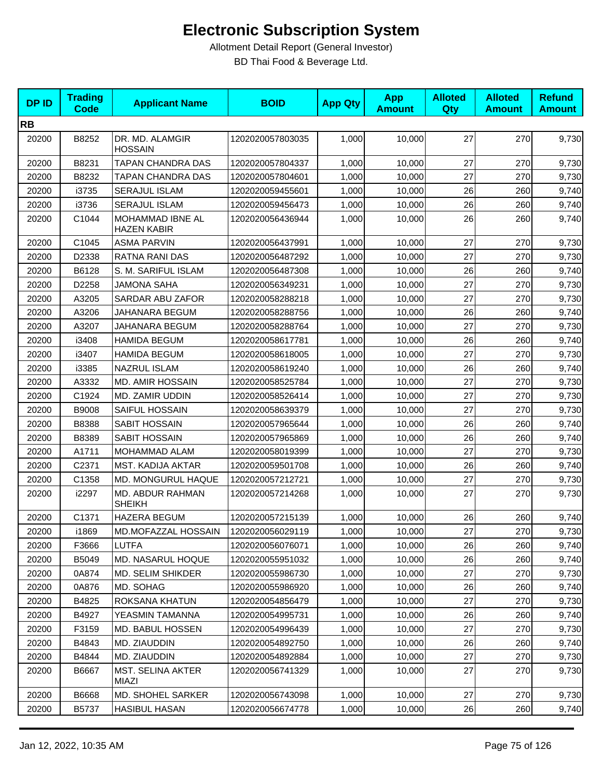| <b>DPID</b> | <b>Trading</b><br><b>Code</b> | <b>Applicant Name</b>                  | <b>BOID</b>      | <b>App Qty</b> | <b>App</b><br><b>Amount</b> | <b>Alloted</b><br>Qty | <b>Alloted</b><br><b>Amount</b> | <b>Refund</b><br><b>Amount</b> |
|-------------|-------------------------------|----------------------------------------|------------------|----------------|-----------------------------|-----------------------|---------------------------------|--------------------------------|
| <b>RB</b>   |                               |                                        |                  |                |                             |                       |                                 |                                |
| 20200       | B8252                         | DR. MD. ALAMGIR<br><b>HOSSAIN</b>      | 1202020057803035 | 1,000          | 10,000                      | 27                    | 270                             | 9,730                          |
| 20200       | B8231                         | TAPAN CHANDRA DAS                      | 1202020057804337 | 1,000          | 10.000                      | 27                    | 270                             | 9,730                          |
| 20200       | B8232                         | TAPAN CHANDRA DAS                      | 1202020057804601 | 1,000          | 10,000                      | 27                    | 270                             | 9,730                          |
| 20200       | i3735                         | <b>SERAJUL ISLAM</b>                   | 1202020059455601 | 1,000          | 10,000                      | 26                    | 260                             | 9,740                          |
| 20200       | i3736                         | <b>SERAJUL ISLAM</b>                   | 1202020059456473 | 1,000          | 10,000                      | 26                    | 260                             | 9,740                          |
| 20200       | C1044                         | MOHAMMAD IBNE AL<br><b>HAZEN KABIR</b> | 1202020056436944 | 1,000          | 10,000                      | 26                    | 260                             | 9,740                          |
| 20200       | C1045                         | <b>ASMA PARVIN</b>                     | 1202020056437991 | 1,000          | 10,000                      | 27                    | 270                             | 9,730                          |
| 20200       | D2338                         | RATNA RANI DAS                         | 1202020056487292 | 1,000          | 10,000                      | 27                    | 270                             | 9,730                          |
| 20200       | B6128                         | S. M. SARIFUL ISLAM                    | 1202020056487308 | 1,000          | 10,000                      | 26                    | 260                             | 9,740                          |
| 20200       | D2258                         | <b>JAMONA SAHA</b>                     | 1202020056349231 | 1,000          | 10,000                      | 27                    | 270                             | 9,730                          |
| 20200       | A3205                         | SARDAR ABU ZAFOR                       | 1202020058288218 | 1,000          | 10,000                      | 27                    | 270                             | 9,730                          |
| 20200       | A3206                         | JAHANARA BEGUM                         | 1202020058288756 | 1,000          | 10,000                      | 26                    | 260                             | 9,740                          |
| 20200       | A3207                         | JAHANARA BEGUM                         | 1202020058288764 | 1,000          | 10,000                      | 27                    | 270                             | 9,730                          |
| 20200       | i3408                         | <b>HAMIDA BEGUM</b>                    | 1202020058617781 | 1,000          | 10,000                      | 26                    | 260                             | 9,740                          |
| 20200       | i3407                         | <b>HAMIDA BEGUM</b>                    | 1202020058618005 | 1,000          | 10,000                      | 27                    | 270                             | 9,730                          |
| 20200       | i3385                         | <b>NAZRUL ISLAM</b>                    | 1202020058619240 | 1,000          | 10.000                      | 26                    | 260                             | 9,740                          |
| 20200       | A3332                         | <b>MD. AMIR HOSSAIN</b>                | 1202020058525784 | 1,000          | 10,000                      | 27                    | 270                             | 9,730                          |
| 20200       | C1924                         | MD. ZAMIR UDDIN                        | 1202020058526414 | 1,000          | 10,000                      | 27                    | 270                             | 9,730                          |
| 20200       | <b>B9008</b>                  | SAIFUL HOSSAIN                         | 1202020058639379 | 1,000          | 10,000                      | 27                    | 270                             | 9,730                          |
| 20200       | B8388                         | SABIT HOSSAIN                          | 1202020057965644 | 1,000          | 10,000                      | 26                    | 260                             | 9,740                          |
| 20200       | B8389                         | SABIT HOSSAIN                          | 1202020057965869 | 1,000          | 10,000                      | 26                    | 260                             | 9,740                          |
| 20200       | A1711                         | MOHAMMAD ALAM                          | 1202020058019399 | 1,000          | 10,000                      | 27                    | 270                             | 9,730                          |
| 20200       | C2371                         | MST. KADIJA AKTAR                      | 1202020059501708 | 1,000          | 10,000                      | 26                    | 260                             | 9,740                          |
| 20200       | C1358                         | MD. MONGURUL HAQUE                     | 1202020057212721 | 1,000          | 10,000                      | 27                    | 270                             | 9,730                          |
| 20200       | i2297                         | MD. ABDUR RAHMAN<br><b>SHEIKH</b>      | 1202020057214268 | 1,000          | 10,000                      | 27                    | 270                             | 9,730                          |
| 20200       | C1371                         | <b>HAZERA BEGUM</b>                    | 1202020057215139 | 1,000          | 10,000                      | 26                    | 260                             | 9,740                          |
| 20200       | i1869                         | MD.MOFAZZAL HOSSAIN                    | 1202020056029119 | 1,000          | 10,000                      | $27\,$                | 270                             | 9,730                          |
| 20200       | F3666                         | <b>LUTFA</b>                           | 1202020056076071 | 1,000          | 10,000                      | 26                    | 260                             | 9,740                          |
| 20200       | B5049                         | MD. NASARUL HOQUE                      | 1202020055951032 | 1,000          | 10,000                      | 26                    | 260                             | 9,740                          |
| 20200       | 0A874                         | <b>MD. SELIM SHIKDER</b>               | 1202020055986730 | 1,000          | 10,000                      | 27                    | 270                             | 9,730                          |
| 20200       | 0A876                         | MD. SOHAG                              | 1202020055986920 | 1,000          | 10,000                      | 26                    | 260                             | 9,740                          |
| 20200       | B4825                         | ROKSANA KHATUN                         | 1202020054856479 | 1,000          | 10,000                      | 27                    | 270                             | 9,730                          |
| 20200       | B4927                         | YEASMIN TAMANNA                        | 1202020054995731 | 1,000          | 10,000                      | 26                    | 260                             | 9,740                          |
| 20200       | F3159                         | MD. BABUL HOSSEN                       | 1202020054996439 | 1,000          | 10,000                      | 27                    | 270                             | 9,730                          |
| 20200       | B4843                         | MD. ZIAUDDIN                           | 1202020054892750 | 1,000          | 10,000                      | 26                    | 260                             | 9,740                          |
| 20200       | B4844                         | MD. ZIAUDDIN                           | 1202020054892884 | 1,000          | 10,000                      | 27                    | 270                             | 9,730                          |
| 20200       | B6667                         | MST. SELINA AKTER<br>MIAZI             | 1202020056741329 | 1,000          | 10,000                      | 27                    | 270                             | 9,730                          |
| 20200       | B6668                         | MD. SHOHEL SARKER                      | 1202020056743098 | 1,000          | 10,000                      | 27                    | 270                             | 9,730                          |
| 20200       | B5737                         | <b>HASIBUL HASAN</b>                   | 1202020056674778 | 1,000          | 10,000                      | 26                    | 260                             | 9,740                          |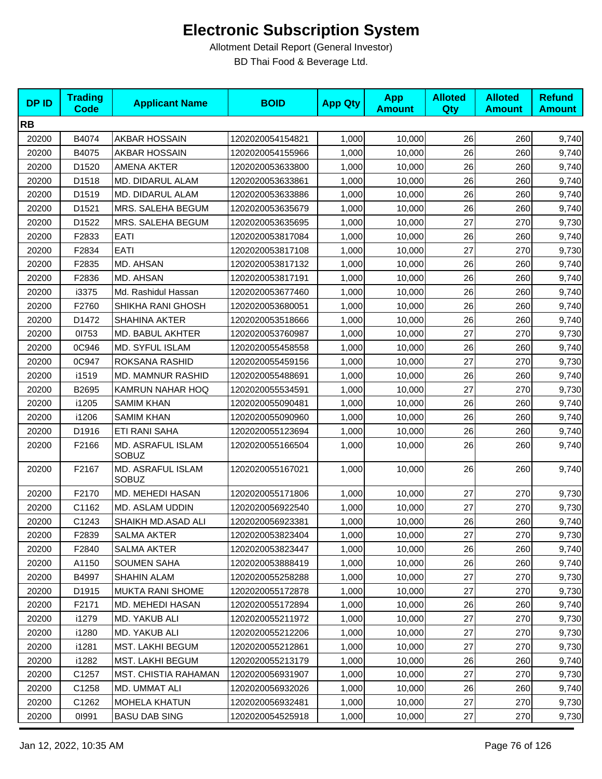| <b>DPID</b> | <b>Trading</b><br><b>Code</b> | <b>Applicant Name</b>             | <b>BOID</b>      | <b>App Qty</b> | <b>App</b><br><b>Amount</b> | <b>Alloted</b><br><b>Qty</b> | <b>Alloted</b><br><b>Amount</b> | <b>Refund</b><br><b>Amount</b> |
|-------------|-------------------------------|-----------------------------------|------------------|----------------|-----------------------------|------------------------------|---------------------------------|--------------------------------|
| <b>RB</b>   |                               |                                   |                  |                |                             |                              |                                 |                                |
| 20200       | B4074                         | AKBAR HOSSAIN                     | 1202020054154821 | 1,000          | 10,000                      | 26                           | 260                             | 9,740                          |
| 20200       | B4075                         | AKBAR HOSSAIN                     | 1202020054155966 | 1,000          | 10,000                      | 26                           | 260                             | 9,740                          |
| 20200       | D1520                         | <b>AMENA AKTER</b>                | 1202020053633800 | 1,000          | 10,000                      | 26                           | 260                             | 9,740                          |
| 20200       | D1518                         | MD. DIDARUL ALAM                  | 1202020053633861 | 1,000          | 10,000                      | 26                           | 260                             | 9,740                          |
| 20200       | D1519                         | MD. DIDARUL ALAM                  | 1202020053633886 | 1,000          | 10,000                      | 26                           | 260                             | 9,740                          |
| 20200       | D1521                         | MRS. SALEHA BEGUM                 | 1202020053635679 | 1,000          | 10,000                      | 26                           | 260                             | 9,740                          |
| 20200       | D1522                         | MRS. SALEHA BEGUM                 | 1202020053635695 | 1,000          | 10,000                      | 27                           | 270                             | 9,730                          |
| 20200       | F2833                         | EATI                              | 1202020053817084 | 1,000          | 10,000                      | 26                           | 260                             | 9,740                          |
| 20200       | F2834                         | EATI                              | 1202020053817108 | 1,000          | 10,000                      | 27                           | 270                             | 9,730                          |
| 20200       | F2835                         | MD. AHSAN                         | 1202020053817132 | 1,000          | 10,000                      | 26                           | 260                             | 9,740                          |
| 20200       | F2836                         | MD. AHSAN                         | 1202020053817191 | 1,000          | 10,000                      | 26                           | 260                             | 9,740                          |
| 20200       | i3375                         | Md. Rashidul Hassan               | 1202020053677460 | 1,000          | 10,000                      | 26                           | 260                             | 9,740                          |
| 20200       | F2760                         | SHIKHA RANI GHOSH                 | 1202020053680051 | 1,000          | 10,000                      | 26                           | 260                             | 9,740                          |
| 20200       | D1472                         | SHAHINA AKTER                     | 1202020053518666 | 1,000          | 10,000                      | 26                           | 260                             | 9,740                          |
| 20200       | 01753                         | MD. BABUL AKHTER                  | 1202020053760987 | 1,000          | 10,000                      | 27                           | 270                             | 9,730                          |
| 20200       | 0C946                         | MD. SYFUL ISLAM                   | 1202020055458558 | 1,000          | 10,000                      | 26                           | 260                             | 9,740                          |
| 20200       | 0C947                         | ROKSANA RASHID                    | 1202020055459156 | 1,000          | 10,000                      | 27                           | 270                             | 9,730                          |
| 20200       | i1519                         | MD. MAMNUR RASHID                 | 1202020055488691 | 1,000          | 10,000                      | 26                           | 260                             | 9,740                          |
| 20200       | B2695                         | KAMRUN NAHAR HOQ                  | 1202020055534591 | 1,000          | 10,000                      | 27                           | 270                             | 9,730                          |
| 20200       | i1205                         | <b>SAMIM KHAN</b>                 | 1202020055090481 | 1,000          | 10,000                      | 26                           | 260                             | 9,740                          |
| 20200       | i1206                         | <b>SAMIM KHAN</b>                 | 1202020055090960 | 1,000          | 10,000                      | 26                           | 260                             | 9,740                          |
| 20200       | D1916                         | ETI RANI SAHA                     | 1202020055123694 | 1,000          | 10,000                      | 26                           | 260                             | 9,740                          |
| 20200       | F2166                         | MD. ASRAFUL ISLAM<br><b>SOBUZ</b> | 1202020055166504 | 1,000          | 10,000                      | 26                           | 260                             | 9,740                          |
| 20200       | F2167                         | MD. ASRAFUL ISLAM<br><b>SOBUZ</b> | 1202020055167021 | 1,000          | 10,000                      | 26                           | 260                             | 9,740                          |
| 20200       | F2170                         | MD. MEHEDI HASAN                  | 1202020055171806 | 1,000          | 10,000                      | 27                           | 270                             | 9,730                          |
| 20200       | C1162                         | <b>MD. ASLAM UDDIN</b>            | 1202020056922540 | 1,000          | 10,000                      | 27                           | 270                             | 9,730                          |
| 20200       | C1243                         | SHAIKH MD.ASAD ALI                | 1202020056923381 | 1,000          | 10,000                      | 26                           | 260                             | 9,740                          |
| 20200       | F2839                         | SALMA AKTER                       | 1202020053823404 | 1,000          | 10,000                      | 27                           | 270                             | 9,730                          |
| 20200       | F2840                         | <b>SALMA AKTER</b>                | 1202020053823447 | 1,000          | 10,000                      | 26                           | 260                             | 9,740                          |
| 20200       | A1150                         | <b>SOUMEN SAHA</b>                | 1202020053888419 | 1,000          | 10,000                      | 26                           | 260                             | 9,740                          |
| 20200       | B4997                         | SHAHIN ALAM                       | 1202020055258288 | 1,000          | 10,000                      | 27                           | 270                             | 9,730                          |
| 20200       | D1915                         | <b>MUKTA RANI SHOME</b>           | 1202020055172878 | 1,000          | 10,000                      | 27                           | 270                             | 9,730                          |
| 20200       | F2171                         | MD. MEHEDI HASAN                  | 1202020055172894 | 1,000          | 10,000                      | 26                           | 260                             | 9,740                          |
| 20200       | i1279                         | MD. YAKUB ALI                     | 1202020055211972 | 1,000          | 10,000                      | 27                           | 270                             | 9,730                          |
| 20200       | i1280                         | MD. YAKUB ALI                     | 1202020055212206 | 1,000          | 10,000                      | 27                           | 270                             | 9,730                          |
| 20200       | i1281                         | <b>MST. LAKHI BEGUM</b>           | 1202020055212861 | 1,000          | 10,000                      | 27                           | 270                             | 9,730                          |
| 20200       | i1282                         | MST. LAKHI BEGUM                  | 1202020055213179 | 1,000          | 10,000                      | 26                           | 260                             | 9,740                          |
| 20200       | C1257                         | <b>MST. CHISTIA RAHAMAN</b>       | 1202020056931907 | 1,000          | 10,000                      | 27                           | 270                             | 9,730                          |
| 20200       | C1258                         | MD. UMMAT ALI                     | 1202020056932026 | 1,000          | 10,000                      | 26                           | 260                             | 9,740                          |
| 20200       | C1262                         | <b>MOHELA KHATUN</b>              | 1202020056932481 | 1,000          | 10,000                      | 27                           | 270                             | 9,730                          |
| 20200       | 01991                         | <b>BASU DAB SING</b>              | 1202020054525918 | 1,000          | 10,000                      | $27\,$                       | 270                             | 9,730                          |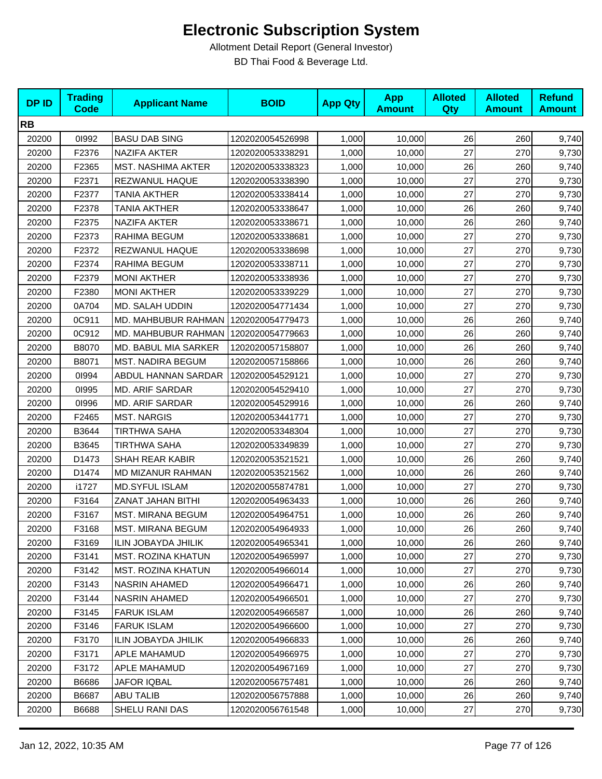| <b>DPID</b> | <b>Trading</b><br><b>Code</b> | <b>Applicant Name</b>      | <b>BOID</b>      | <b>App Qty</b> | <b>App</b><br><b>Amount</b> | <b>Alloted</b><br><b>Qty</b> | <b>Alloted</b><br><b>Amount</b> | <b>Refund</b><br><b>Amount</b> |
|-------------|-------------------------------|----------------------------|------------------|----------------|-----------------------------|------------------------------|---------------------------------|--------------------------------|
| <b>RB</b>   |                               |                            |                  |                |                             |                              |                                 |                                |
| 20200       | 01992                         | <b>BASU DAB SING</b>       | 1202020054526998 | 1,000          | 10,000                      | 26                           | 260                             | 9,740                          |
| 20200       | F2376                         | <b>NAZIFA AKTER</b>        | 1202020053338291 | 1,000          | 10,000                      | 27                           | 270                             | 9,730                          |
| 20200       | F2365                         | MST. NASHIMA AKTER         | 1202020053338323 | 1,000          | 10,000                      | 26                           | 260                             | 9,740                          |
| 20200       | F2371                         | REZWANUL HAQUE             | 1202020053338390 | 1,000          | 10,000                      | 27                           | 270                             | 9,730                          |
| 20200       | F2377                         | <b>TANIA AKTHER</b>        | 1202020053338414 | 1,000          | 10,000                      | 27                           | 270                             | 9,730                          |
| 20200       | F2378                         | <b>TANIA AKTHER</b>        | 1202020053338647 | 1,000          | 10,000                      | 26                           | 260                             | 9,740                          |
| 20200       | F2375                         | <b>NAZIFA AKTER</b>        | 1202020053338671 | 1,000          | 10,000                      | 26                           | 260                             | 9,740                          |
| 20200       | F2373                         | RAHIMA BEGUM               | 1202020053338681 | 1,000          | 10,000                      | 27                           | 270                             | 9,730                          |
| 20200       | F2372                         | REZWANUL HAQUE             | 1202020053338698 | 1,000          | 10,000                      | 27                           | 270                             | 9,730                          |
| 20200       | F2374                         | RAHIMA BEGUM               | 1202020053338711 | 1,000          | 10,000                      | 27                           | 270                             | 9,730                          |
| 20200       | F2379                         | <b>MONI AKTHER</b>         | 1202020053338936 | 1,000          | 10,000                      | 27                           | 270                             | 9,730                          |
| 20200       | F2380                         | <b>MONI AKTHER</b>         | 1202020053339229 | 1,000          | 10,000                      | 27                           | 270                             | 9,730                          |
| 20200       | 0A704                         | MD. SALAH UDDIN            | 1202020054771434 | 1,000          | 10,000                      | 27                           | 270                             | 9,730                          |
| 20200       | 0C911                         | MD. MAHBUBUR RAHMAN        | 1202020054779473 | 1,000          | 10,000                      | 26                           | 260                             | 9,740                          |
| 20200       | 0C912                         | MD. MAHBUBUR RAHMAN        | 1202020054779663 | 1,000          | 10,000                      | 26                           | 260                             | 9,740                          |
| 20200       | B8070                         | MD. BABUL MIA SARKER       | 1202020057158807 | 1,000          | 10,000                      | 26                           | 260                             | 9,740                          |
| 20200       | B8071                         | <b>MST. NADIRA BEGUM</b>   | 1202020057158866 | 1,000          | 10,000                      | 26                           | 260                             | 9,740                          |
| 20200       | 01994                         | ABDUL HANNAN SARDAR        | 1202020054529121 | 1,000          | 10,000                      | 27                           | 270                             | 9,730                          |
| 20200       | 01995                         | <b>MD. ARIF SARDAR</b>     | 1202020054529410 | 1,000          | 10,000                      | 27                           | 270                             | 9,730                          |
| 20200       | 01996                         | <b>MD. ARIF SARDAR</b>     | 1202020054529916 | 1,000          | 10,000                      | 26                           | 260                             | 9,740                          |
| 20200       | F2465                         | <b>MST. NARGIS</b>         | 1202020053441771 | 1,000          | 10,000                      | 27                           | 270                             | 9,730                          |
| 20200       | B3644                         | <b>TIRTHWA SAHA</b>        | 1202020053348304 | 1,000          | 10,000                      | 27                           | 270                             | 9,730                          |
| 20200       | B3645                         | <b>TIRTHWA SAHA</b>        | 1202020053349839 | 1,000          | 10,000                      | 27                           | 270                             | 9,730                          |
| 20200       | D1473                         | SHAH REAR KABIR            | 1202020053521521 | 1,000          | 10,000                      | 26                           | 260                             | 9,740                          |
| 20200       | D1474                         | <b>MD MIZANUR RAHMAN</b>   | 1202020053521562 | 1,000          | 10,000                      | 26                           | 260                             | 9,740                          |
| 20200       | i1727                         | <b>MD.SYFUL ISLAM</b>      | 1202020055874781 | 1,000          | 10,000                      | 27                           | 270                             | 9,730                          |
| 20200       | F3164                         | ZANAT JAHAN BITHI          | 1202020054963433 | 1,000          | 10,000                      | 26                           | 260                             | 9,740                          |
| 20200       | F3167                         | MST. MIRANA BEGUM          | 1202020054964751 | 1,000          | 10,000                      | 26                           | 260                             | 9,740                          |
| 20200       | F3168                         | MST. MIRANA BEGUM          | 1202020054964933 | 1,000          | 10,000                      | 26                           | 260                             | 9,740                          |
| 20200       | F3169                         | ILIN JOBAYDA JHILIK        | 1202020054965341 | 1,000          | 10,000                      | 26                           | 260                             | 9,740                          |
| 20200       | F3141                         | <b>MST. ROZINA KHATUN</b>  | 1202020054965997 | 1,000          | 10,000                      | 27                           | 270                             | 9,730                          |
| 20200       | F3142                         | <b>MST. ROZINA KHATUN</b>  | 1202020054966014 | 1,000          | 10,000                      | 27                           | 270                             | 9,730                          |
| 20200       | F3143                         | <b>NASRIN AHAMED</b>       | 1202020054966471 | 1,000          | 10,000                      | 26                           | 260                             | 9,740                          |
| 20200       | F3144                         | <b>NASRIN AHAMED</b>       | 1202020054966501 | 1,000          | 10,000                      | 27                           | 270                             | 9,730                          |
| 20200       | F3145                         | <b>FARUK ISLAM</b>         | 1202020054966587 | 1,000          | 10,000                      | 26                           | 260                             | 9,740                          |
| 20200       | F3146                         | <b>FARUK ISLAM</b>         | 1202020054966600 | 1,000          | 10,000                      | 27                           | 270                             | 9,730                          |
| 20200       | F3170                         | <b>ILIN JOBAYDA JHILIK</b> | 1202020054966833 | 1,000          | 10,000                      | 26                           | 260                             | 9,740                          |
| 20200       | F3171                         | APLE MAHAMUD               | 1202020054966975 | 1,000          | 10,000                      | 27                           | 270                             | 9,730                          |
| 20200       | F3172                         | APLE MAHAMUD               | 1202020054967169 | 1,000          | 10,000                      | 27                           | 270                             | 9,730                          |
| 20200       | B6686                         | JAFOR IQBAL                | 1202020056757481 | 1,000          | 10,000                      | 26                           | 260                             | 9,740                          |
| 20200       | B6687                         | <b>ABU TALIB</b>           | 1202020056757888 | 1,000          | 10,000                      | 26                           | 260                             | 9,740                          |
| 20200       | B6688                         | SHELU RANI DAS             | 1202020056761548 | 1,000          | 10,000                      | 27                           | 270                             | 9,730                          |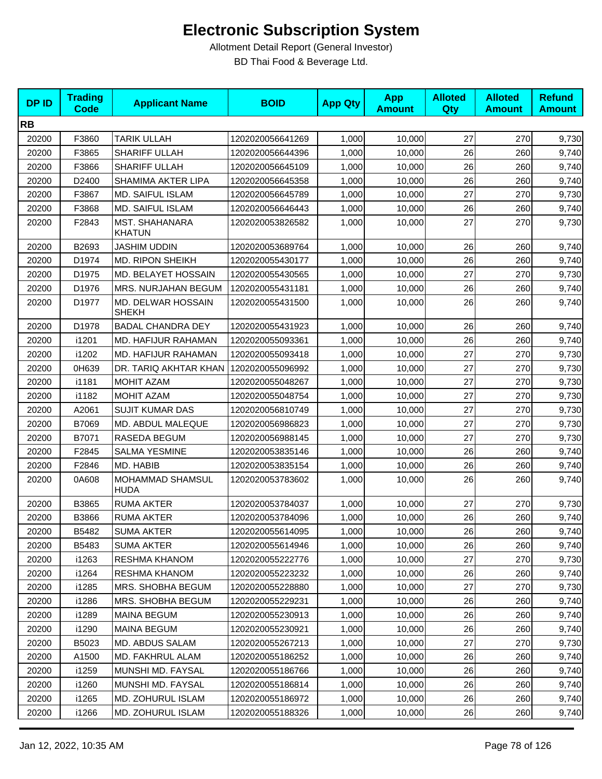| <b>DPID</b> | <b>Trading</b><br><b>Code</b> | <b>Applicant Name</b>              | <b>BOID</b>      | <b>App Qty</b> | <b>App</b><br><b>Amount</b> | <b>Alloted</b><br><b>Qty</b> | <b>Alloted</b><br><b>Amount</b> | <b>Refund</b><br><b>Amount</b> |
|-------------|-------------------------------|------------------------------------|------------------|----------------|-----------------------------|------------------------------|---------------------------------|--------------------------------|
| <b>RB</b>   |                               |                                    |                  |                |                             |                              |                                 |                                |
| 20200       | F3860                         | <b>TARIK ULLAH</b>                 | 1202020056641269 | 1,000          | 10,000                      | 27                           | 270                             | 9,730                          |
| 20200       | F3865                         | SHARIFF ULLAH                      | 1202020056644396 | 1,000          | 10,000                      | 26                           | 260                             | 9,740                          |
| 20200       | F3866                         | <b>SHARIFF ULLAH</b>               | 1202020056645109 | 1,000          | 10,000                      | 26                           | 260                             | 9,740                          |
| 20200       | D2400                         | SHAMIMA AKTER LIPA                 | 1202020056645358 | 1,000          | 10,000                      | 26                           | 260                             | 9,740                          |
| 20200       | F3867                         | MD. SAIFUL ISLAM                   | 1202020056645789 | 1,000          | 10,000                      | 27                           | 270                             | 9,730                          |
| 20200       | F3868                         | <b>MD. SAIFUL ISLAM</b>            | 1202020056646443 | 1,000          | 10,000                      | 26                           | 260                             | 9,740                          |
| 20200       | F2843                         | MST. SHAHANARA<br><b>KHATUN</b>    | 1202020053826582 | 1,000          | 10,000                      | 27                           | 270                             | 9,730                          |
| 20200       | B2693                         | <b>JASHIM UDDIN</b>                | 1202020053689764 | 1,000          | 10,000                      | 26                           | 260                             | 9,740                          |
| 20200       | D1974                         | MD. RIPON SHEIKH                   | 1202020055430177 | 1,000          | 10,000                      | 26                           | 260                             | 9,740                          |
| 20200       | D1975                         | MD. BELAYET HOSSAIN                | 1202020055430565 | 1,000          | 10,000                      | 27                           | 270                             | 9,730                          |
| 20200       | D1976                         | MRS. NURJAHAN BEGUM                | 1202020055431181 | 1,000          | 10,000                      | 26                           | 260                             | 9,740                          |
| 20200       | D1977                         | MD. DELWAR HOSSAIN<br><b>SHEKH</b> | 1202020055431500 | 1,000          | 10,000                      | 26                           | 260                             | 9,740                          |
| 20200       | D1978                         | <b>BADAL CHANDRA DEY</b>           | 1202020055431923 | 1,000          | 10,000                      | 26                           | 260                             | 9,740                          |
| 20200       | i1201                         | MD. HAFIJUR RAHAMAN                | 1202020055093361 | 1,000          | 10,000                      | 26                           | 260                             | 9,740                          |
| 20200       | i1202                         | MD. HAFIJUR RAHAMAN                | 1202020055093418 | 1,000          | 10,000                      | 27                           | 270                             | 9,730                          |
| 20200       | 0H639                         | DR. TARIQ AKHTAR KHAN              | 1202020055096992 | 1,000          | 10,000                      | 27                           | 270                             | 9,730                          |
| 20200       | i1181                         | <b>MOHIT AZAM</b>                  | 1202020055048267 | 1,000          | 10,000                      | 27                           | 270                             | 9,730                          |
| 20200       | i1182                         | MOHIT AZAM                         | 1202020055048754 | 1,000          | 10,000                      | 27                           | 270                             | 9,730                          |
| 20200       | A2061                         | <b>SUJIT KUMAR DAS</b>             | 1202020056810749 | 1,000          | 10,000                      | 27                           | 270                             | 9,730                          |
| 20200       | B7069                         | MD. ABDUL MALEQUE                  | 1202020056986823 | 1,000          | 10,000                      | 27                           | 270                             | 9,730                          |
| 20200       | B7071                         | RASEDA BEGUM                       | 1202020056988145 | 1,000          | 10,000                      | 27                           | 270                             | 9,730                          |
| 20200       | F2845                         | <b>SALMA YESMINE</b>               | 1202020053835146 | 1,000          | 10,000                      | 26                           | 260                             | 9,740                          |
| 20200       | F2846                         | MD. HABIB                          | 1202020053835154 | 1,000          | 10,000                      | 26                           | 260                             | 9,740                          |
| 20200       | 0A608                         | MOHAMMAD SHAMSUL<br><b>HUDA</b>    | 1202020053783602 | 1,000          | 10,000                      | 26                           | 260                             | 9,740                          |
| 20200       | B3865                         | <b>RUMA AKTER</b>                  | 1202020053784037 | 1,000          | 10,000                      | 27                           | 270                             | 9,730                          |
| 20200       | B3866                         | <b>RUMA AKTER</b>                  | 1202020053784096 | 1,000          | 10,000                      | 26                           | 260                             | 9,740                          |
| 20200       | B5482                         | <b>SUMA AKTER</b>                  | 1202020055614095 | 1,000          | 10,000                      | 26                           | 260                             | 9,740                          |
| 20200       | B5483                         | <b>SUMA AKTER</b>                  | 1202020055614946 | 1,000          | 10,000                      | 26                           | 260                             | 9,740                          |
| 20200       | i1263                         | RESHMA KHANOM                      | 1202020055222776 | 1,000          | 10,000                      | 27                           | 270                             | 9,730                          |
| 20200       | i1264                         | <b>RESHMA KHANOM</b>               | 1202020055223232 | 1,000          | 10,000                      | 26                           | 260                             | 9,740                          |
| 20200       | i1285                         | MRS. SHOBHA BEGUM                  | 1202020055228880 | 1,000          | 10,000                      | 27                           | 270                             | 9,730                          |
| 20200       | i1286                         | MRS. SHOBHA BEGUM                  | 1202020055229231 | 1,000          | 10,000                      | 26                           | 260                             | 9,740                          |
| 20200       | i1289                         | <b>MAINA BEGUM</b>                 | 1202020055230913 | 1,000          | 10,000                      | 26                           | 260                             | 9,740                          |
| 20200       | i1290                         | <b>MAINA BEGUM</b>                 | 1202020055230921 | 1,000          | 10,000                      | 26                           | 260                             | 9,740                          |
| 20200       | B5023                         | MD. ABDUS SALAM                    | 1202020055267213 | 1,000          | 10,000                      | 27                           | 270                             | 9,730                          |
| 20200       | A1500                         | MD. FAKHRUL ALAM                   | 1202020055186252 | 1,000          | 10,000                      | 26                           | 260                             | 9,740                          |
| 20200       | i1259                         | MUNSHI MD. FAYSAL                  | 1202020055186766 | 1,000          | 10,000                      | 26                           | 260                             | 9,740                          |
| 20200       | i1260                         | MUNSHI MD. FAYSAL                  | 1202020055186814 | 1,000          | 10,000                      | 26                           | 260                             | 9,740                          |
| 20200       | i1265                         | MD. ZOHURUL ISLAM                  | 1202020055186972 | 1,000          | 10,000                      | 26                           | 260                             | 9,740                          |
| 20200       | i1266                         | MD. ZOHURUL ISLAM                  | 1202020055188326 | 1,000          | 10,000                      | $26\,$                       | 260                             | 9,740                          |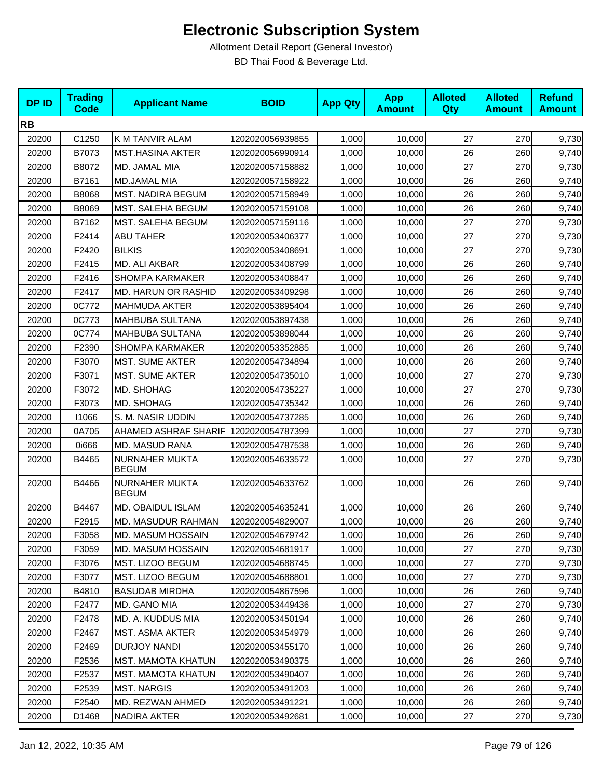| <b>DPID</b> | <b>Trading</b><br><b>Code</b> | <b>Applicant Name</b>          | <b>BOID</b>      | <b>App Qty</b> | <b>App</b><br><b>Amount</b> | <b>Alloted</b><br>Qty | <b>Alloted</b><br><b>Amount</b> | <b>Refund</b><br><b>Amount</b> |
|-------------|-------------------------------|--------------------------------|------------------|----------------|-----------------------------|-----------------------|---------------------------------|--------------------------------|
| <b>RB</b>   |                               |                                |                  |                |                             |                       |                                 |                                |
| 20200       | C1250                         | K M TANVIR ALAM                | 1202020056939855 | 1,000          | 10,000                      | 27                    | 270                             | 9,730                          |
| 20200       | B7073                         | <b>MST.HASINA AKTER</b>        | 1202020056990914 | 1,000          | 10,000                      | 26                    | 260                             | 9,740                          |
| 20200       | B8072                         | MD. JAMAL MIA                  | 1202020057158882 | 1,000          | 10,000                      | 27                    | 270                             | 9,730                          |
| 20200       | B7161                         | MD.JAMAL MIA                   | 1202020057158922 | 1,000          | 10,000                      | 26                    | 260                             | 9,740                          |
| 20200       | B8068                         | MST. NADIRA BEGUM              | 1202020057158949 | 1,000          | 10,000                      | 26                    | 260                             | 9,740                          |
| 20200       | B8069                         | MST. SALEHA BEGUM              | 1202020057159108 | 1,000          | 10,000                      | 26                    | 260                             | 9,740                          |
| 20200       | B7162                         | MST. SALEHA BEGUM              | 1202020057159116 | 1,000          | 10,000                      | 27                    | 270                             | 9,730                          |
| 20200       | F2414                         | <b>ABU TAHER</b>               | 1202020053406377 | 1,000          | 10,000                      | 27                    | 270                             | 9,730                          |
| 20200       | F2420                         | <b>BILKIS</b>                  | 1202020053408691 | 1,000          | 10,000                      | 27                    | 270                             | 9,730                          |
| 20200       | F2415                         | MD. ALI AKBAR                  | 1202020053408799 | 1,000          | 10,000                      | 26                    | 260                             | 9,740                          |
| 20200       | F2416                         | SHOMPA KARMAKER                | 1202020053408847 | 1,000          | 10,000                      | 26                    | 260                             | 9,740                          |
| 20200       | F2417                         | MD. HARUN OR RASHID            | 1202020053409298 | 1,000          | 10,000                      | 26                    | 260                             | 9,740                          |
| 20200       | 0C772                         | <b>MAHMUDA AKTER</b>           | 1202020053895404 | 1,000          | 10,000                      | 26                    | 260                             | 9,740                          |
| 20200       | 0C773                         | MAHBUBA SULTANA                | 1202020053897438 | 1,000          | 10,000                      | 26                    | 260                             | 9,740                          |
| 20200       | 0C774                         | MAHBUBA SULTANA                | 1202020053898044 | 1,000          | 10,000                      | 26                    | 260                             | 9,740                          |
| 20200       | F2390                         | SHOMPA KARMAKER                | 1202020053352885 | 1,000          | 10,000                      | 26                    | 260                             | 9,740                          |
| 20200       | F3070                         | <b>MST. SUME AKTER</b>         | 1202020054734894 | 1,000          | 10,000                      | 26                    | 260                             | 9,740                          |
| 20200       | F3071                         | <b>MST. SUME AKTER</b>         | 1202020054735010 | 1,000          | 10,000                      | 27                    | 270                             | 9,730                          |
| 20200       | F3072                         | MD. SHOHAG                     | 1202020054735227 | 1,000          | 10,000                      | 27                    | 270                             | 9,730                          |
| 20200       | F3073                         | MD. SHOHAG                     | 1202020054735342 | 1,000          | 10,000                      | 26                    | 260                             | 9,740                          |
| 20200       | 11066                         | S. M. NASIR UDDIN              | 1202020054737285 | 1,000          | 10,000                      | 26                    | 260                             | 9,740                          |
| 20200       | 0A705                         | AHAMED ASHRAF SHARIF           | 1202020054787399 | 1,000          | 10,000                      | 27                    | 270                             | 9,730                          |
| 20200       | 0i666                         | MD. MASUD RANA                 | 1202020054787538 | 1,000          | 10,000                      | 26                    | 260                             | 9,740                          |
| 20200       | B4465                         | NURNAHER MUKTA<br><b>BEGUM</b> | 1202020054633572 | 1,000          | 10,000                      | 27                    | 270                             | 9,730                          |
| 20200       | B4466                         | NURNAHER MUKTA<br><b>BEGUM</b> | 1202020054633762 | 1,000          | 10,000                      | 26                    | 260                             | 9,740                          |
| 20200       | B4467                         | MD. OBAIDUL ISLAM              | 1202020054635241 | 1,000          | 10,000                      | 26                    | 260                             | 9,740                          |
| 20200       | F2915                         | MD. MASUDUR RAHMAN             | 1202020054829007 | 1,000          | 10,000                      | 26                    | 260                             | 9,740                          |
| 20200       | F3058                         | MD. MASUM HOSSAIN              | 1202020054679742 | 1,000          | 10,000                      | 26                    | 260                             | 9,740                          |
| 20200       | F3059                         | MD. MASUM HOSSAIN              | 1202020054681917 | 1,000          | 10,000                      | 27                    | 270                             | 9,730                          |
| 20200       | F3076                         | <b>MST. LIZOO BEGUM</b>        | 1202020054688745 | 1,000          | 10,000                      | 27                    | 270                             | 9,730                          |
| 20200       | F3077                         | MST. LIZOO BEGUM               | 1202020054688801 | 1,000          | 10,000                      | 27                    | 270                             | 9,730                          |
| 20200       | B4810                         | <b>BASUDAB MIRDHA</b>          | 1202020054867596 | 1,000          | 10,000                      | 26                    | 260                             | 9,740                          |
| 20200       | F2477                         | MD. GANO MIA                   | 1202020053449436 | 1,000          | 10.000                      | 27                    | 270                             | 9,730                          |
| 20200       | F <sub>2478</sub>             | MD. A. KUDDUS MIA              | 1202020053450194 | 1,000          | 10,000                      | 26                    | 260                             | 9,740                          |
| 20200       | F2467                         | <b>MST. ASMA AKTER</b>         | 1202020053454979 | 1,000          | 10,000                      | 26                    | 260                             | 9,740                          |
| 20200       | F2469                         | <b>DURJOY NANDI</b>            | 1202020053455170 | 1,000          | 10,000                      | 26                    | 260                             | 9,740                          |
| 20200       | F2536                         | MST. MAMOTA KHATUN             | 1202020053490375 | 1,000          | 10,000                      | 26                    | 260                             | 9,740                          |
| 20200       | F2537                         | MST. MAMOTA KHATUN             | 1202020053490407 | 1,000          | 10,000                      | 26                    | 260                             | 9,740                          |
| 20200       | F2539                         | <b>MST. NARGIS</b>             | 1202020053491203 | 1,000          | 10,000                      | 26                    | 260                             | 9,740                          |
| 20200       | F2540                         | MD. REZWAN AHMED               | 1202020053491221 | 1,000          | 10,000                      | 26                    | 260                             | 9,740                          |
| 20200       | D1468                         | NADIRA AKTER                   | 1202020053492681 | 1,000          | 10,000                      | 27                    | 270                             | 9,730                          |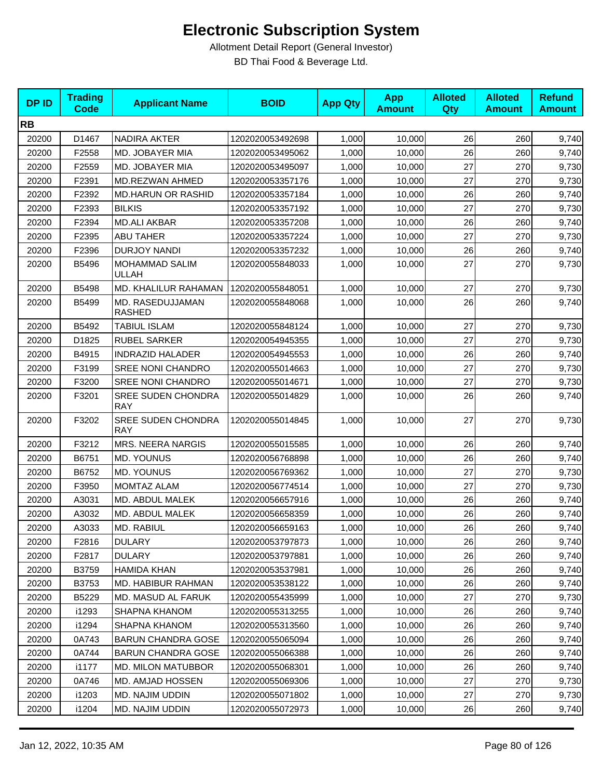| <b>DPID</b> | <b>Trading</b><br><b>Code</b> | <b>Applicant Name</b>                   | <b>BOID</b>      | <b>App Qty</b> | <b>App</b><br><b>Amount</b> | <b>Alloted</b><br><b>Qty</b> | <b>Alloted</b><br><b>Amount</b> | <b>Refund</b><br><b>Amount</b> |
|-------------|-------------------------------|-----------------------------------------|------------------|----------------|-----------------------------|------------------------------|---------------------------------|--------------------------------|
| <b>RB</b>   |                               |                                         |                  |                |                             |                              |                                 |                                |
| 20200       | D1467                         | <b>NADIRA AKTER</b>                     | 1202020053492698 | 1,000          | 10,000                      | 26                           | 260                             | 9,740                          |
| 20200       | F2558                         | MD. JOBAYER MIA                         | 1202020053495062 | 1,000          | 10,000                      | 26                           | 260                             | 9,740                          |
| 20200       | F2559                         | MD. JOBAYER MIA                         | 1202020053495097 | 1,000          | 10,000                      | 27                           | 270                             | 9,730                          |
| 20200       | F2391                         | MD.REZWAN AHMED                         | 1202020053357176 | 1,000          | 10,000                      | 27                           | 270                             | 9,730                          |
| 20200       | F2392                         | <b>MD.HARUN OR RASHID</b>               | 1202020053357184 | 1,000          | 10,000                      | 26                           | 260                             | 9,740                          |
| 20200       | F2393                         | <b>BILKIS</b>                           | 1202020053357192 | 1,000          | 10,000                      | 27                           | 270                             | 9,730                          |
| 20200       | F2394                         | <b>MD.ALI AKBAR</b>                     | 1202020053357208 | 1,000          | 10,000                      | 26                           | 260                             | 9,740                          |
| 20200       | F2395                         | <b>ABU TAHER</b>                        | 1202020053357224 | 1,000          | 10,000                      | 27                           | 270                             | 9,730                          |
| 20200       | F2396                         | DURJOY NANDI                            | 1202020053357232 | 1,000          | 10,000                      | 26                           | 260                             | 9,740                          |
| 20200       | B5496                         | MOHAMMAD SALIM<br>ULLAH                 | 1202020055848033 | 1,000          | 10,000                      | 27                           | 270                             | 9,730                          |
| 20200       | B5498                         | MD. KHALILUR RAHAMAN                    | 1202020055848051 | 1,000          | 10,000                      | 27                           | 270                             | 9,730                          |
| 20200       | B5499                         | MD. RASEDUJJAMAN<br><b>RASHED</b>       | 1202020055848068 | 1,000          | 10,000                      | 26                           | 260                             | 9,740                          |
| 20200       | B5492                         | <b>TABIUL ISLAM</b>                     | 1202020055848124 | 1,000          | 10,000                      | 27                           | 270                             | 9,730                          |
| 20200       | D1825                         | <b>RUBEL SARKER</b>                     | 1202020054945355 | 1,000          | 10,000                      | 27                           | 270                             | 9,730                          |
| 20200       | B4915                         | <b>INDRAZID HALADER</b>                 | 1202020054945553 | 1,000          | 10,000                      | 26                           | 260                             | 9,740                          |
| 20200       | F3199                         | <b>SREE NONI CHANDRO</b>                | 1202020055014663 | 1,000          | 10,000                      | 27                           | 270                             | 9,730                          |
| 20200       | F3200                         | SREE NONI CHANDRO                       | 1202020055014671 | 1,000          | 10,000                      | 27                           | 270                             | 9,730                          |
| 20200       | F3201                         | <b>SREE SUDEN CHONDRA</b><br><b>RAY</b> | 1202020055014829 | 1,000          | 10,000                      | 26                           | 260                             | 9,740                          |
| 20200       | F3202                         | <b>SREE SUDEN CHONDRA</b><br><b>RAY</b> | 1202020055014845 | 1,000          | 10,000                      | 27                           | 270                             | 9,730                          |
| 20200       | F3212                         | <b>MRS. NEERA NARGIS</b>                | 1202020055015585 | 1,000          | 10,000                      | 26                           | 260                             | 9,740                          |
| 20200       | B6751                         | <b>MD. YOUNUS</b>                       | 1202020056768898 | 1,000          | 10,000                      | 26                           | 260                             | 9,740                          |
| 20200       | B6752                         | <b>MD. YOUNUS</b>                       | 1202020056769362 | 1,000          | 10,000                      | 27                           | 270                             | 9,730                          |
| 20200       | F3950                         | MOMTAZ ALAM                             | 1202020056774514 | 1,000          | 10,000                      | 27                           | 270                             | 9,730                          |
| 20200       | A3031                         | MD. ABDUL MALEK                         | 1202020056657916 | 1,000          | 10,000                      | 26                           | 260                             | 9,740                          |
| 20200       | A3032                         | MD. ABDUL MALEK                         | 1202020056658359 | 1,000          | 10,000                      | 26                           | 260                             | 9,740                          |
| 20200       | A3033                         | MD. RABIUL                              | 1202020056659163 | 1,000          | 10,000                      | 26                           | 260                             | 9,740                          |
| 20200       | F2816                         | <b>DULARY</b>                           | 1202020053797873 | 1,000          | 10,000                      | 26                           | 260                             | 9,740                          |
| 20200       | F2817                         | <b>DULARY</b>                           | 1202020053797881 | 1,000          | 10,000                      | 26                           | 260                             | 9,740                          |
| 20200       | B3759                         | HAMIDA KHAN                             | 1202020053537981 | 1,000          | 10,000                      | 26                           | 260                             | 9,740                          |
| 20200       | B3753                         | MD. HABIBUR RAHMAN                      | 1202020053538122 | 1,000          | 10,000                      | 26                           | 260                             | 9,740                          |
| 20200       | B5229                         | MD. MASUD AL FARUK                      | 1202020055435999 | 1,000          | 10,000                      | 27                           | 270                             | 9,730                          |
| 20200       | i1293                         | SHAPNA KHANOM                           | 1202020055313255 | 1,000          | 10,000                      | 26                           | 260                             | 9,740                          |
| 20200       | i1294                         | SHAPNA KHANOM                           | 1202020055313560 | 1,000          | 10,000                      | 26                           | 260                             | 9,740                          |
| 20200       | 0A743                         | <b>BARUN CHANDRA GOSE</b>               | 1202020055065094 | 1,000          | 10,000                      | 26                           | 260                             | 9,740                          |
| 20200       | 0A744                         | <b>BARUN CHANDRA GOSE</b>               | 1202020055066388 | 1,000          | 10,000                      | 26                           | 260                             | 9,740                          |
| 20200       | i1177                         | <b>MD. MILON MATUBBOR</b>               | 1202020055068301 | 1,000          | 10,000                      | 26                           | 260                             | 9,740                          |
| 20200       | 0A746                         | MD. AMJAD HOSSEN                        | 1202020055069306 | 1,000          | 10,000                      | 27                           | 270                             | 9,730                          |
| 20200       | i1203                         | MD. NAJIM UDDIN                         | 1202020055071802 | 1,000          | 10,000                      | 27                           | 270                             | 9,730                          |
| 20200       | i1204                         | MD. NAJIM UDDIN                         | 1202020055072973 | 1,000          | 10,000                      | 26                           | 260                             | 9,740                          |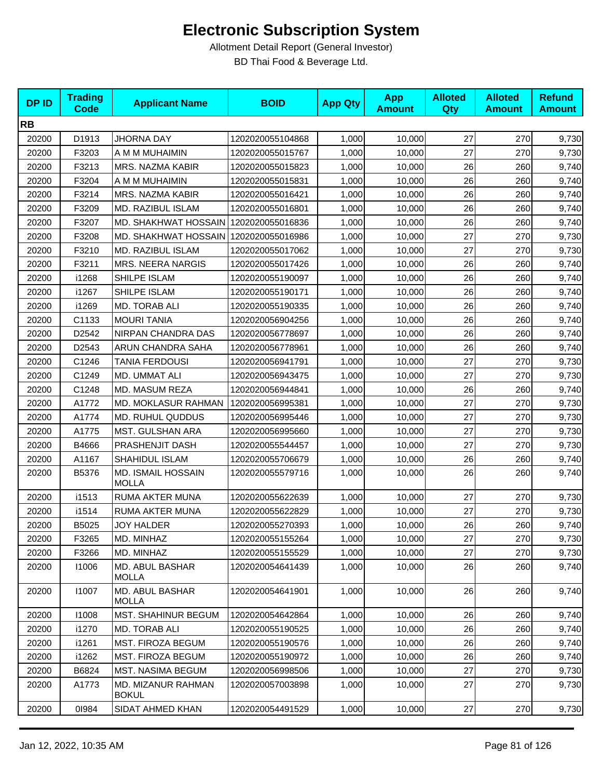| <b>DPID</b> | <b>Trading</b><br><b>Code</b> | <b>Applicant Name</b>                     | <b>BOID</b>      | <b>App Qty</b> | <b>App</b><br><b>Amount</b> | <b>Alloted</b><br><b>Qty</b> | <b>Alloted</b><br><b>Amount</b> | <b>Refund</b><br><b>Amount</b> |
|-------------|-------------------------------|-------------------------------------------|------------------|----------------|-----------------------------|------------------------------|---------------------------------|--------------------------------|
| <b>RB</b>   |                               |                                           |                  |                |                             |                              |                                 |                                |
| 20200       | D1913                         | <b>JHORNA DAY</b>                         | 1202020055104868 | 1,000          | 10,000                      | 27                           | 270                             | 9,730                          |
| 20200       | F3203                         | A M M MUHAIMIN                            | 1202020055015767 | 1,000          | 10,000                      | 27                           | 270                             | 9,730                          |
| 20200       | F3213                         | MRS. NAZMA KABIR                          | 1202020055015823 | 1,000          | 10,000                      | 26                           | 260                             | 9,740                          |
| 20200       | F3204                         | A M M MUHAIMIN                            | 1202020055015831 | 1,000          | 10,000                      | 26                           | 260                             | 9,740                          |
| 20200       | F3214                         | MRS. NAZMA KABIR                          | 1202020055016421 | 1,000          | 10,000                      | 26                           | 260                             | 9,740                          |
| 20200       | F3209                         | MD. RAZIBUL ISLAM                         | 1202020055016801 | 1,000          | 10,000                      | 26                           | 260                             | 9,740                          |
| 20200       | F3207                         | MD. SHAKHWAT HOSSAIN                      | 1202020055016836 | 1,000          | 10,000                      | 26                           | 260                             | 9,740                          |
| 20200       | F3208                         | <b>MD. SHAKHWAT HOSSAIN</b>               | 1202020055016986 | 1,000          | 10,000                      | 27                           | 270                             | 9,730                          |
| 20200       | F3210                         | MD. RAZIBUL ISLAM                         | 1202020055017062 | 1,000          | 10,000                      | 27                           | 270                             | 9,730                          |
| 20200       | F3211                         | MRS. NEERA NARGIS                         | 1202020055017426 | 1,000          | 10,000                      | 26                           | 260                             | 9,740                          |
| 20200       | i1268                         | SHILPE ISLAM                              | 1202020055190097 | 1,000          | 10,000                      | 26                           | 260                             | 9,740                          |
| 20200       | i1267                         | SHILPE ISLAM                              | 1202020055190171 | 1,000          | 10,000                      | 26                           | 260                             | 9,740                          |
| 20200       | i1269                         | MD. TORAB ALI                             | 1202020055190335 | 1,000          | 10,000                      | 26                           | 260                             | 9,740                          |
| 20200       | C1133                         | <b>MOURI TANIA</b>                        | 1202020056904256 | 1,000          | 10,000                      | 26                           | 260                             | 9,740                          |
| 20200       | D2542                         | NIRPAN CHANDRA DAS                        | 1202020056778697 | 1,000          | 10,000                      | 26                           | 260                             | 9,740                          |
| 20200       | D2543                         | ARUN CHANDRA SAHA                         | 1202020056778961 | 1,000          | 10,000                      | 26                           | 260                             | 9,740                          |
| 20200       | C1246                         | TANIA FERDOUSI                            | 1202020056941791 | 1,000          | 10,000                      | 27                           | 270                             | 9,730                          |
| 20200       | C1249                         | MD. UMMAT ALI                             | 1202020056943475 | 1,000          | 10,000                      | 27                           | 270                             | 9,730                          |
| 20200       | C1248                         | MD. MASUM REZA                            | 1202020056944841 | 1,000          | 10,000                      | 26                           | 260                             | 9,740                          |
| 20200       | A1772                         | <b>MD. MOKLASUR RAHMAN</b>                | 1202020056995381 | 1,000          | 10,000                      | 27                           | 270                             | 9,730                          |
| 20200       | A1774                         | MD. RUHUL QUDDUS                          | 1202020056995446 | 1,000          | 10,000                      | 27                           | 270                             | 9,730                          |
| 20200       | A1775                         | MST. GULSHAN ARA                          | 1202020056995660 | 1,000          | 10,000                      | 27                           | 270                             | 9,730                          |
| 20200       | B4666                         | PRASHENJIT DASH                           | 1202020055544457 | 1,000          | 10,000                      | 27                           | 270                             | 9,730                          |
| 20200       | A1167                         | SHAHIDUL ISLAM                            | 1202020055706679 | 1,000          | 10,000                      | 26                           | 260                             | 9,740                          |
| 20200       | B5376                         | MD. ISMAIL HOSSAIN<br><b>MOLLA</b>        | 1202020055579716 | 1,000          | 10,000                      | 26                           | 260                             | 9,740                          |
| 20200       | i1513                         | RUMA AKTER MUNA                           | 1202020055622639 | 1,000          | 10,000                      | 27                           | 270                             | 9,730                          |
| 20200       | i1514                         | RUMA AKTER MUNA                           | 1202020055622829 | 1,000          | 10,000                      | 27                           | 270                             | 9,730                          |
| 20200       | B5025                         | <b>JOY HALDER</b>                         | 1202020055270393 | 1,000          | 10,000                      | 26                           | 260                             | 9,740                          |
| 20200       | F3265                         | MD. MINHAZ                                | 1202020055155264 | 1,000          | 10,000                      | 27                           | 270                             | 9,730                          |
| 20200       | F3266                         | MD. MINHAZ                                | 1202020055155529 | 1,000          | 10,000                      | 27                           | 270                             | 9,730                          |
| 20200       | 11006                         | <b>MD. ABUL BASHAR</b><br><b>MOLLA</b>    | 1202020054641439 | 1,000          | 10,000                      | 26                           | 260                             | 9,740                          |
| 20200       | 11007                         | <b>MD. ABUL BASHAR</b><br>MOLLA           | 1202020054641901 | 1,000          | 10,000                      | 26                           | 260                             | 9,740                          |
| 20200       | 11008                         | MST. SHAHINUR BEGUM                       | 1202020054642864 | 1,000          | 10,000                      | 26                           | 260                             | 9,740                          |
| 20200       | i1270                         | MD. TORAB ALI                             | 1202020055190525 | 1,000          | 10,000                      | 26                           | 260                             | 9,740                          |
| 20200       | i1261                         | MST. FIROZA BEGUM                         | 1202020055190576 | 1,000          | 10,000                      | 26                           | 260                             | 9,740                          |
| 20200       | i1262                         | MST. FIROZA BEGUM                         | 1202020055190972 | 1,000          | 10,000                      | 26                           | 260                             | 9,740                          |
| 20200       | B6824                         | MST. NASIMA BEGUM                         | 1202020056998506 | 1,000          | 10,000                      | 27                           | 270                             | 9,730                          |
| 20200       | A1773                         | <b>MD. MIZANUR RAHMAN</b><br><b>BOKUL</b> | 1202020057003898 | 1,000          | 10,000                      | 27                           | 270                             | 9,730                          |
| 20200       | 01984                         | SIDAT AHMED KHAN                          | 1202020054491529 | 1,000          | 10,000                      | 27                           | 270                             | 9,730                          |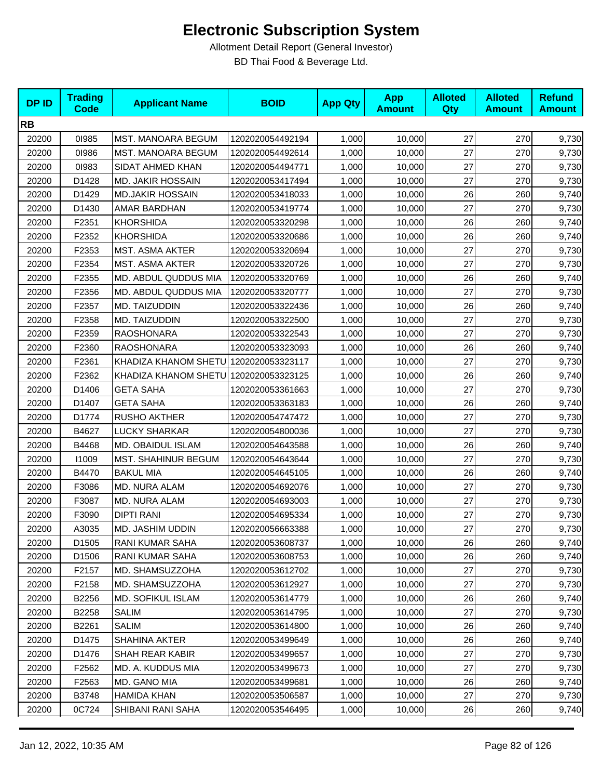| <b>DPID</b> | <b>Trading</b><br><b>Code</b> | <b>Applicant Name</b>                 | <b>BOID</b>      | <b>App Qty</b> | <b>App</b><br><b>Amount</b> | <b>Alloted</b><br>Qty | <b>Alloted</b><br><b>Amount</b> | <b>Refund</b><br><b>Amount</b> |
|-------------|-------------------------------|---------------------------------------|------------------|----------------|-----------------------------|-----------------------|---------------------------------|--------------------------------|
| <b>RB</b>   |                               |                                       |                  |                |                             |                       |                                 |                                |
| 20200       | 01985                         | MST. MANOARA BEGUM                    | 1202020054492194 | 1,000          | 10,000                      | 27                    | 270                             | 9,730                          |
| 20200       | 01986                         | MST. MANOARA BEGUM                    | 1202020054492614 | 1,000          | 10.000                      | 27                    | 270                             | 9,730                          |
| 20200       | 01983                         | SIDAT AHMED KHAN                      | 1202020054494771 | 1,000          | 10,000                      | 27                    | 270                             | 9,730                          |
| 20200       | D1428                         | <b>MD. JAKIR HOSSAIN</b>              | 1202020053417494 | 1,000          | 10,000                      | 27                    | 270                             | 9,730                          |
| 20200       | D1429                         | <b>MD.JAKIR HOSSAIN</b>               | 1202020053418033 | 1,000          | 10,000                      | 26                    | 260                             | 9,740                          |
| 20200       | D1430                         | AMAR BARDHAN                          | 1202020053419774 | 1,000          | 10,000                      | 27                    | 270                             | 9,730                          |
| 20200       | F2351                         | <b>KHORSHIDA</b>                      | 1202020053320298 | 1,000          | 10,000                      | 26                    | 260                             | 9,740                          |
| 20200       | F2352                         | KHORSHIDA                             | 1202020053320686 | 1,000          | 10,000                      | 26                    | 260                             | 9,740                          |
| 20200       | F2353                         | <b>MST. ASMA AKTER</b>                | 1202020053320694 | 1,000          | 10,000                      | 27                    | 270                             | 9,730                          |
| 20200       | F2354                         | MST. ASMA AKTER                       | 1202020053320726 | 1,000          | 10,000                      | 27                    | 270                             | 9,730                          |
| 20200       | F2355                         | MD. ABDUL QUDDUS MIA                  | 1202020053320769 | 1,000          | 10,000                      | 26                    | 260                             | 9,740                          |
| 20200       | F2356                         | MD. ABDUL QUDDUS MIA                  | 1202020053320777 | 1,000          | 10,000                      | 27                    | 270                             | 9,730                          |
| 20200       | F2357                         | MD. TAIZUDDIN                         | 1202020053322436 | 1,000          | 10,000                      | 26                    | 260                             | 9,740                          |
| 20200       | F2358                         | MD. TAIZUDDIN                         | 1202020053322500 | 1,000          | 10,000                      | 27                    | 270                             | 9,730                          |
| 20200       | F2359                         | <b>RAOSHONARA</b>                     | 1202020053322543 | 1,000          | 10,000                      | 27                    | 270                             | 9,730                          |
| 20200       | F2360                         | <b>RAOSHONARA</b>                     | 1202020053323093 | 1,000          | 10,000                      | 26                    | 260                             | 9,740                          |
| 20200       | F2361                         | KHADIZA KHANOM SHETU 1202020053323117 |                  | 1,000          | 10,000                      | 27                    | 270                             | 9,730                          |
| 20200       | F2362                         | KHADIZA KHANOM SHETU 1202020053323125 |                  | 1,000          | 10,000                      | 26                    | 260                             | 9,740                          |
| 20200       | D1406                         | <b>GETA SAHA</b>                      | 1202020053361663 | 1,000          | 10,000                      | 27                    | 270                             | 9,730                          |
| 20200       | D1407                         | <b>GETA SAHA</b>                      | 1202020053363183 | 1,000          | 10,000                      | 26                    | 260                             | 9,740                          |
| 20200       | D1774                         | <b>RUSHO AKTHER</b>                   | 1202020054747472 | 1,000          | 10,000                      | 27                    | 270                             | 9,730                          |
| 20200       | B4627                         | LUCKY SHARKAR                         | 1202020054800036 | 1,000          | 10,000                      | 27                    | 270                             | 9,730                          |
| 20200       | B4468                         | MD. OBAIDUL ISLAM                     | 1202020054643588 | 1,000          | 10,000                      | 26                    | 260                             | 9,740                          |
| 20200       | 11009                         | <b>MST. SHAHINUR BEGUM</b>            | 1202020054643644 | 1,000          | 10,000                      | 27                    | 270                             | 9,730                          |
| 20200       | B4470                         | <b>BAKUL MIA</b>                      | 1202020054645105 | 1,000          | 10,000                      | 26                    | 260                             | 9,740                          |
| 20200       | F3086                         | MD. NURA ALAM                         | 1202020054692076 | 1,000          | 10,000                      | 27                    | 270                             | 9,730                          |
| 20200       | F3087                         | MD. NURA ALAM                         | 1202020054693003 | 1,000          | 10,000                      | 27                    | 270                             | 9,730                          |
| 20200       | F3090                         | <b>DIPTI RANI</b>                     | 1202020054695334 | 1,000          | 10,000                      | 27                    | 270                             | 9,730                          |
| 20200       | A3035                         | MD. JASHIM UDDIN                      | 1202020056663388 | 1,000          | 10,000                      | 27                    | 270                             | 9,730                          |
| 20200       | D <sub>1505</sub>             | RANI KUMAR SAHA                       | 1202020053608737 | 1,000          | 10,000                      | 26                    | 260                             | 9,740                          |
| 20200       | D <sub>1506</sub>             | RANI KUMAR SAHA                       | 1202020053608753 | 1,000          | 10,000                      | 26                    | 260                             | 9,740                          |
| 20200       | F2157                         | MD. SHAMSUZZOHA                       | 1202020053612702 | 1,000          | 10,000                      | 27                    | 270                             | 9,730                          |
| 20200       | F2158                         | MD. SHAMSUZZOHA                       | 1202020053612927 | 1,000          | 10,000                      | 27                    | 270                             | 9,730                          |
| 20200       | B2256                         | <b>MD. SOFIKUL ISLAM</b>              | 1202020053614779 | 1,000          | 10,000                      | 26                    | 260                             | 9,740                          |
| 20200       | B2258                         | SALIM                                 | 1202020053614795 | 1,000          | 10,000                      | 27                    | 270                             | 9,730                          |
| 20200       | B2261                         | SALIM                                 | 1202020053614800 | 1,000          | 10,000                      | 26                    | 260                             | 9,740                          |
| 20200       | D1475                         | <b>SHAHINA AKTER</b>                  | 1202020053499649 | 1,000          | 10.000                      | 26                    | 260                             | 9,740                          |
| 20200       | D1476                         | <b>SHAH REAR KABIR</b>                | 1202020053499657 | 1,000          | 10,000                      | 27                    | 270                             | 9,730                          |
| 20200       | F2562                         | MD. A. KUDDUS MIA                     | 1202020053499673 | 1,000          | 10,000                      | 27                    | 270                             | 9,730                          |
| 20200       | F2563                         | MD. GANO MIA                          | 1202020053499681 | 1,000          | 10,000                      | 26                    | 260                             | 9,740                          |
| 20200       | B3748                         | HAMIDA KHAN                           | 1202020053506587 | 1,000          | 10,000                      | 27                    | 270                             | 9,730                          |
| 20200       | 0C724                         | SHIBANI RANI SAHA                     | 1202020053546495 | 1,000          | 10,000                      | 26                    | 260                             | 9,740                          |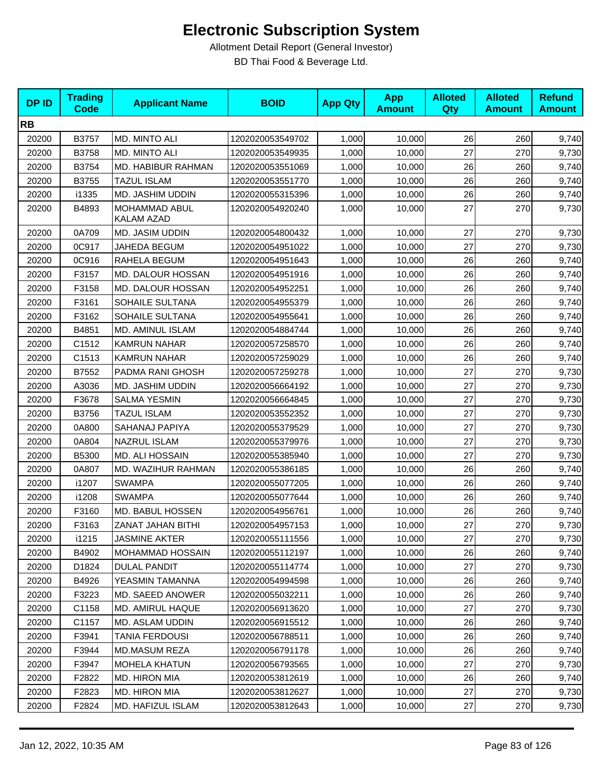| <b>DPID</b> | <b>Trading</b><br><b>Code</b> | <b>Applicant Name</b>              | <b>BOID</b>      | <b>App Qty</b> | <b>App</b><br><b>Amount</b> | <b>Alloted</b><br>Qty | <b>Alloted</b><br><b>Amount</b> | <b>Refund</b><br><b>Amount</b> |
|-------------|-------------------------------|------------------------------------|------------------|----------------|-----------------------------|-----------------------|---------------------------------|--------------------------------|
| <b>RB</b>   |                               |                                    |                  |                |                             |                       |                                 |                                |
| 20200       | B3757                         | MD. MINTO ALI                      | 1202020053549702 | 1,000          | 10,000                      | 26                    | 260                             | 9,740                          |
| 20200       | B3758                         | MD. MINTO ALI                      | 1202020053549935 | 1,000          | 10,000                      | 27                    | 270                             | 9,730                          |
| 20200       | B3754                         | MD. HABIBUR RAHMAN                 | 1202020053551069 | 1,000          | 10,000                      | 26                    | 260                             | 9,740                          |
| 20200       | B3755                         | <b>TAZUL ISLAM</b>                 | 1202020053551770 | 1,000          | 10,000                      | 26                    | 260                             | 9,740                          |
| 20200       | i1335                         | MD. JASHIM UDDIN                   | 1202020055315396 | 1,000          | 10,000                      | 26                    | 260                             | 9,740                          |
| 20200       | B4893                         | MOHAMMAD ABUL<br><b>KALAM AZAD</b> | 1202020054920240 | 1,000          | 10,000                      | 27                    | 270                             | 9,730                          |
| 20200       | 0A709                         | MD. JASIM UDDIN                    | 1202020054800432 | 1,000          | 10,000                      | 27                    | 270                             | 9,730                          |
| 20200       | 0C917                         | JAHEDA BEGUM                       | 1202020054951022 | 1,000          | 10,000                      | 27                    | 270                             | 9,730                          |
| 20200       | 0C916                         | RAHELA BEGUM                       | 1202020054951643 | 1,000          | 10,000                      | 26                    | 260                             | 9,740                          |
| 20200       | F3157                         | MD. DALOUR HOSSAN                  | 1202020054951916 | 1,000          | 10,000                      | 26                    | 260                             | 9,740                          |
| 20200       | F3158                         | MD. DALOUR HOSSAN                  | 1202020054952251 | 1,000          | 10,000                      | 26                    | 260                             | 9,740                          |
| 20200       | F3161                         | SOHAILE SULTANA                    | 1202020054955379 | 1,000          | 10,000                      | 26                    | 260                             | 9,740                          |
| 20200       | F3162                         | SOHAILE SULTANA                    | 1202020054955641 | 1,000          | 10,000                      | 26                    | 260                             | 9,740                          |
| 20200       | B4851                         | MD. AMINUL ISLAM                   | 1202020054884744 | 1,000          | 10,000                      | 26                    | 260                             | 9,740                          |
| 20200       | C1512                         | <b>KAMRUN NAHAR</b>                | 1202020057258570 | 1,000          | 10,000                      | 26                    | 260                             | 9,740                          |
| 20200       | C1513                         | <b>KAMRUN NAHAR</b>                | 1202020057259029 | 1,000          | 10,000                      | 26                    | 260                             | 9,740                          |
| 20200       | B7552                         | PADMA RANI GHOSH                   | 1202020057259278 | 1,000          | 10,000                      | 27                    | 270                             | 9,730                          |
| 20200       | A3036                         | MD. JASHIM UDDIN                   | 1202020056664192 | 1,000          | 10,000                      | 27                    | 270                             | 9,730                          |
| 20200       | F3678                         | <b>SALMA YESMIN</b>                | 1202020056664845 | 1,000          | 10,000                      | 27                    | 270                             | 9,730                          |
| 20200       | B3756                         | <b>TAZUL ISLAM</b>                 | 1202020053552352 | 1,000          | 10,000                      | 27                    | 270                             | 9,730                          |
| 20200       | 0A800                         | SAHANAJ PAPIYA                     | 1202020055379529 | 1,000          | 10,000                      | 27                    | 270                             | 9,730                          |
| 20200       | 0A804                         | NAZRUL ISLAM                       | 1202020055379976 | 1,000          | 10,000                      | 27                    | 270                             | 9,730                          |
| 20200       | B5300                         | MD. ALI HOSSAIN                    | 1202020055385940 | 1,000          | 10,000                      | 27                    | 270                             | 9,730                          |
| 20200       | 0A807                         | MD. WAZIHUR RAHMAN                 | 1202020055386185 | 1,000          | 10,000                      | 26                    | 260                             | 9,740                          |
| 20200       | i1207                         | <b>SWAMPA</b>                      | 1202020055077205 | 1,000          | 10,000                      | 26                    | 260                             | 9,740                          |
| 20200       | i1208                         | <b>SWAMPA</b>                      | 1202020055077644 | 1,000          | 10,000                      | 26                    | 260                             | 9,740                          |
| 20200       | F3160                         | MD. BABUL HOSSEN                   | 1202020054956761 | 1,000          | 10,000                      | 26                    | 260                             | 9,740                          |
| 20200       | F3163                         | ZANAT JAHAN BITHI                  | 1202020054957153 | 1,000          | 10,000                      | 27                    | 270                             | 9,730                          |
| 20200       | i1215                         | <b>JASMINE AKTER</b>               | 1202020055111556 | 1,000          | 10,000                      | 27                    | 270                             | 9,730                          |
| 20200       | B4902                         | MOHAMMAD HOSSAIN                   | 1202020055112197 | 1,000          | 10,000                      | 26                    | 260                             | 9,740                          |
| 20200       | D1824                         | <b>DULAL PANDIT</b>                | 1202020055114774 | 1,000          | 10,000                      | 27                    | 270                             | 9,730                          |
| 20200       | B4926                         | YEASMIN TAMANNA                    | 1202020054994598 | 1,000          | 10,000                      | 26                    | 260                             | 9,740                          |
| 20200       | F3223                         | MD. SAEED ANOWER                   | 1202020055032211 | 1,000          | 10,000                      | 26                    | 260                             | 9,740                          |
| 20200       | C1158                         | <b>MD. AMIRUL HAQUE</b>            | 1202020056913620 | 1,000          | 10,000                      | 27                    | 270                             | 9,730                          |
| 20200       | C1157                         | MD. ASLAM UDDIN                    | 1202020056915512 | 1,000          | 10,000                      | 26                    | 260                             | 9,740                          |
| 20200       | F3941                         | TANIA FERDOUSI                     | 1202020056788511 | 1,000          | 10,000                      | 26                    | 260                             | 9,740                          |
| 20200       | F3944                         | MD.MASUM REZA                      | 1202020056791178 | 1,000          | 10,000                      | 26                    | 260                             | 9,740                          |
| 20200       | F3947                         | <b>MOHELA KHATUN</b>               | 1202020056793565 | 1,000          | 10,000                      | 27                    | 270                             | 9,730                          |
| 20200       | F2822                         | <b>MD. HIRON MIA</b>               | 1202020053812619 | 1,000          | 10,000                      | 26                    | 260                             | 9,740                          |
| 20200       | F2823                         | MD. HIRON MIA                      | 1202020053812627 | 1,000          | 10,000                      | 27                    | 270                             | 9,730                          |
| 20200       | F2824                         | MD. HAFIZUL ISLAM                  | 1202020053812643 | 1,000          | 10,000                      | $27\,$                | 270                             | 9,730                          |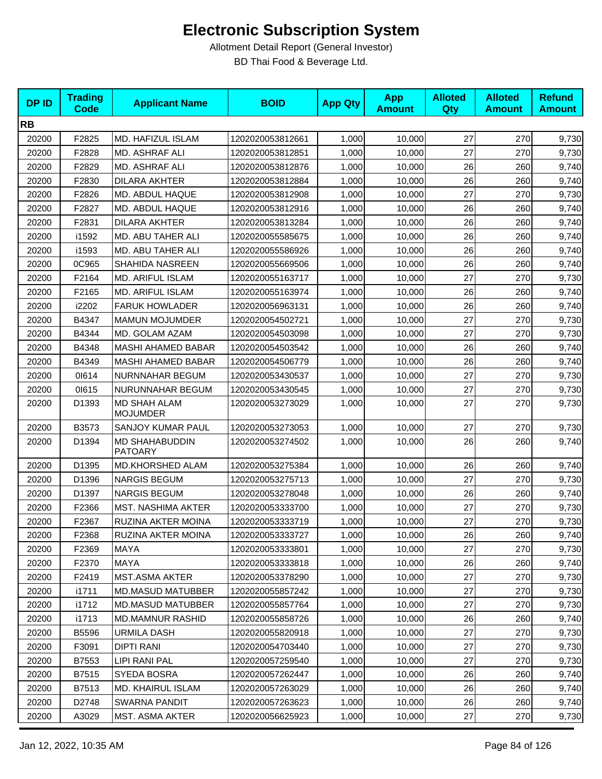| <b>DPID</b> | <b>Trading</b><br><b>Code</b> | <b>Applicant Name</b>                   | <b>BOID</b>      | <b>App Qty</b> | <b>App</b><br><b>Amount</b> | <b>Alloted</b><br><b>Qty</b> | <b>Alloted</b><br><b>Amount</b> | <b>Refund</b><br><b>Amount</b> |
|-------------|-------------------------------|-----------------------------------------|------------------|----------------|-----------------------------|------------------------------|---------------------------------|--------------------------------|
| <b>RB</b>   |                               |                                         |                  |                |                             |                              |                                 |                                |
| 20200       | F2825                         | MD. HAFIZUL ISLAM                       | 1202020053812661 | 1,000          | 10,000                      | 27                           | 270                             | 9,730                          |
| 20200       | F2828                         | MD. ASHRAF ALI                          | 1202020053812851 | 1,000          | 10,000                      | 27                           | 270                             | 9,730                          |
| 20200       | F2829                         | MD. ASHRAF ALI                          | 1202020053812876 | 1,000          | 10,000                      | 26                           | 260                             | 9,740                          |
| 20200       | F2830                         | <b>DILARA AKHTER</b>                    | 1202020053812884 | 1,000          | 10,000                      | 26                           | 260                             | 9,740                          |
| 20200       | F2826                         | MD. ABDUL HAQUE                         | 1202020053812908 | 1,000          | 10,000                      | 27                           | 270                             | 9,730                          |
| 20200       | F2827                         | MD. ABDUL HAQUE                         | 1202020053812916 | 1,000          | 10,000                      | 26                           | 260                             | 9,740                          |
| 20200       | F2831                         | <b>DILARA AKHTER</b>                    | 1202020053813284 | 1,000          | 10,000                      | 26                           | 260                             | 9,740                          |
| 20200       | i1592                         | MD. ABU TAHER ALI                       | 1202020055585675 | 1,000          | 10,000                      | 26                           | 260                             | 9,740                          |
| 20200       | i1593                         | MD. ABU TAHER ALI                       | 1202020055586926 | 1,000          | 10,000                      | 26                           | 260                             | 9,740                          |
| 20200       | 0C965                         | SHAHIDA NASREEN                         | 1202020055669506 | 1,000          | 10,000                      | 26                           | 260                             | 9,740                          |
| 20200       | F2164                         | MD. ARIFUL ISLAM                        | 1202020055163717 | 1,000          | 10,000                      | 27                           | 270                             | 9,730                          |
| 20200       | F2165                         | MD. ARIFUL ISLAM                        | 1202020055163974 | 1,000          | 10.000                      | 26                           | 260                             | 9,740                          |
| 20200       | i2202                         | <b>FARUK HOWLADER</b>                   | 1202020056963131 | 1,000          | 10,000                      | 26                           | 260                             | 9,740                          |
| 20200       | B4347                         | <b>MAMUN MOJUMDER</b>                   | 1202020054502721 | 1,000          | 10,000                      | 27                           | 270                             | 9,730                          |
| 20200       | B4344                         | MD. GOLAM AZAM                          | 1202020054503098 | 1,000          | 10,000                      | 27                           | 270                             | 9,730                          |
| 20200       | B4348                         | <b>MASHI AHAMED BABAR</b>               | 1202020054503542 | 1,000          | 10,000                      | 26                           | 260                             | 9,740                          |
| 20200       | B4349                         | <b>MASHI AHAMED BABAR</b>               | 1202020054506779 | 1,000          | 10,000                      | 26                           | 260                             | 9,740                          |
| 20200       | 01614                         | NURNNAHAR BEGUM                         | 1202020053430537 | 1,000          | 10,000                      | 27                           | 270                             | 9,730                          |
| 20200       | 01615                         | NURUNNAHAR BEGUM                        | 1202020053430545 | 1,000          | 10,000                      | 27                           | 270                             | 9,730                          |
| 20200       | D1393                         | <b>MD SHAH ALAM</b><br><b>MOJUMDER</b>  | 1202020053273029 | 1,000          | 10,000                      | 27                           | 270                             | 9,730                          |
| 20200       | B3573                         | SANJOY KUMAR PAUL                       | 1202020053273053 | 1,000          | 10,000                      | 27                           | 270                             | 9,730                          |
| 20200       | D1394                         | <b>MD SHAHABUDDIN</b><br><b>PATOARY</b> | 1202020053274502 | 1,000          | 10,000                      | 26                           | 260                             | 9,740                          |
| 20200       | D1395                         | MD.KHORSHED ALAM                        | 1202020053275384 | 1,000          | 10,000                      | 26                           | 260                             | 9,740                          |
| 20200       | D1396                         | <b>NARGIS BEGUM</b>                     | 1202020053275713 | 1,000          | 10,000                      | 27                           | 270                             | 9,730                          |
| 20200       | D1397                         | <b>NARGIS BEGUM</b>                     | 1202020053278048 | 1,000          | 10,000                      | 26                           | 260                             | 9,740                          |
| 20200       | F2366                         | <b>MST. NASHIMA AKTER</b>               | 1202020053333700 | 1,000          | 10,000                      | 27                           | 270                             | 9,730                          |
| 20200       | F2367                         | RUZINA AKTER MOINA                      | 1202020053333719 | 1,000          | 10,000                      | 27                           | 270                             | 9,730                          |
| 20200       | F2368                         | RUZINA AKTER MOINA                      | 1202020053333727 | 1,000          | 10,000                      | 26                           | 260                             | 9,740                          |
| 20200       | F2369                         | MAYA                                    | 1202020053333801 | 1,000          | 10,000                      | 27                           | 270                             | 9,730                          |
| 20200       | F2370                         | MAYA                                    | 1202020053333818 | 1,000          | 10,000                      | 26                           | 260                             | 9,740                          |
| 20200       | F2419                         | <b>MST.ASMA AKTER</b>                   | 1202020053378290 | 1,000          | 10,000                      | 27                           | 270                             | 9,730                          |
| 20200       | i1711                         | <b>MD.MASUD MATUBBER</b>                | 1202020055857242 | 1,000          | 10,000                      | 27                           | 270                             | 9,730                          |
| 20200       | i1712                         | <b>MD.MASUD MATUBBER</b>                | 1202020055857764 | 1,000          | 10,000                      | 27                           | 270                             | 9,730                          |
| 20200       | i1713                         | <b>MD.MAMNUR RASHID</b>                 | 1202020055858726 | 1,000          | 10,000                      | 26                           | 260                             | 9,740                          |
| 20200       | <b>B5596</b>                  | <b>URMILA DASH</b>                      | 1202020055820918 | 1,000          | 10,000                      | 27                           | 270                             | 9,730                          |
| 20200       | F3091                         | <b>DIPTI RANI</b>                       | 1202020054703440 | 1,000          | 10,000                      | 27                           | 270                             | 9,730                          |
| 20200       | B7553                         | LIPI RANI PAL                           | 1202020057259540 | 1,000          | 10,000                      | 27                           | 270                             | 9,730                          |
| 20200       | B7515                         | SYEDA BOSRA                             | 1202020057262447 | 1,000          | 10,000                      | 26                           | 260                             | 9,740                          |
| 20200       | B7513                         | MD. KHAIRUL ISLAM                       | 1202020057263029 | 1,000          | 10,000                      | 26                           | 260                             | 9,740                          |
| 20200       | D2748                         | <b>SWARNA PANDIT</b>                    | 1202020057263623 | 1,000          | 10,000                      | 26                           | 260                             | 9,740                          |
| 20200       | A3029                         | MST. ASMA AKTER                         | 1202020056625923 | 1,000          | 10,000                      | $27\,$                       | 270                             | 9,730                          |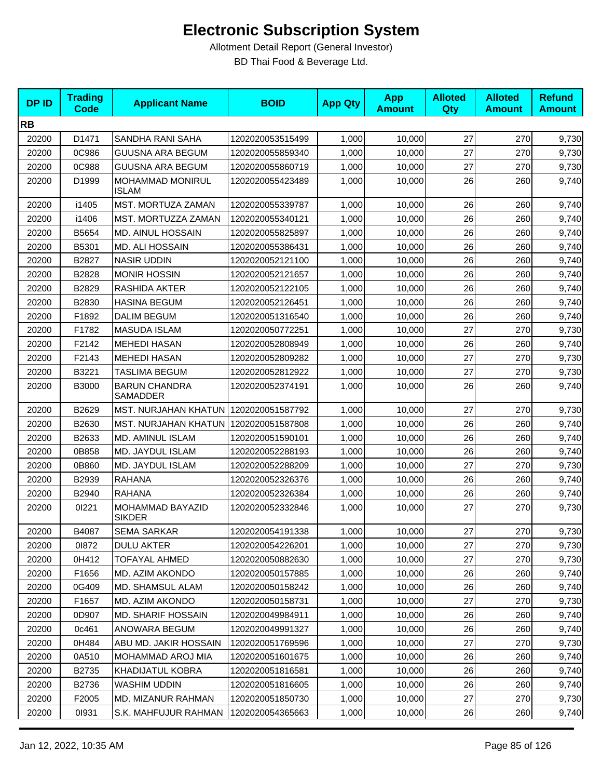| <b>DPID</b> | <b>Trading</b><br><b>Code</b> | <b>Applicant Name</b>                   | <b>BOID</b>      | <b>App Qty</b> | <b>App</b><br><b>Amount</b> | <b>Alloted</b><br><b>Qty</b> | <b>Alloted</b><br><b>Amount</b> | <b>Refund</b><br><b>Amount</b> |
|-------------|-------------------------------|-----------------------------------------|------------------|----------------|-----------------------------|------------------------------|---------------------------------|--------------------------------|
| <b>RB</b>   |                               |                                         |                  |                |                             |                              |                                 |                                |
| 20200       | D1471                         | SANDHA RANI SAHA                        | 1202020053515499 | 1,000          | 10,000                      | 27                           | 270                             | 9,730                          |
| 20200       | 0C986                         | <b>GUUSNA ARA BEGUM</b>                 | 1202020055859340 | 1,000          | 10,000                      | 27                           | 270                             | 9,730                          |
| 20200       | 0C988                         | <b>GUUSNA ARA BEGUM</b>                 | 1202020055860719 | 1,000          | 10,000                      | 27                           | 270                             | 9,730                          |
| 20200       | D1999                         | MOHAMMAD MONIRUL<br><b>ISLAM</b>        | 1202020055423489 | 1,000          | 10,000                      | 26                           | 260                             | 9,740                          |
| 20200       | i1405                         | MST. MORTUZA ZAMAN                      | 1202020055339787 | 1,000          | 10,000                      | 26                           | 260                             | 9,740                          |
| 20200       | i1406                         | MST. MORTUZZA ZAMAN                     | 1202020055340121 | 1,000          | 10,000                      | 26                           | 260                             | 9,740                          |
| 20200       | B5654                         | <b>MD. AINUL HOSSAIN</b>                | 1202020055825897 | 1,000          | 10,000                      | 26                           | 260                             | 9,740                          |
| 20200       | B5301                         | <b>MD. ALI HOSSAIN</b>                  | 1202020055386431 | 1,000          | 10,000                      | 26                           | 260                             | 9,740                          |
| 20200       | B2827                         | <b>NASIR UDDIN</b>                      | 1202020052121100 | 1,000          | 10,000                      | 26                           | 260                             | 9,740                          |
| 20200       | B2828                         | <b>MONIR HOSSIN</b>                     | 1202020052121657 | 1,000          | 10,000                      | 26                           | 260                             | 9,740                          |
| 20200       | B2829                         | RASHIDA AKTER                           | 1202020052122105 | 1,000          | 10,000                      | 26                           | 260                             | 9,740                          |
| 20200       | B2830                         | <b>HASINA BEGUM</b>                     | 1202020052126451 | 1,000          | 10,000                      | 26                           | 260                             | 9,740                          |
| 20200       | F1892                         | <b>DALIM BEGUM</b>                      | 1202020051316540 | 1,000          | 10,000                      | 26                           | 260                             | 9,740                          |
| 20200       | F1782                         | <b>MASUDA ISLAM</b>                     | 1202020050772251 | 1,000          | 10,000                      | 27                           | 270                             | 9,730                          |
| 20200       | F2142                         | <b>MEHEDI HASAN</b>                     | 1202020052808949 | 1,000          | 10,000                      | 26                           | 260                             | 9,740                          |
| 20200       | F2143                         | <b>MEHEDI HASAN</b>                     | 1202020052809282 | 1,000          | 10,000                      | 27                           | 270                             | 9,730                          |
| 20200       | B3221                         | TASLIMA BEGUM                           | 1202020052812922 | 1,000          | 10,000                      | 27                           | 270                             | 9,730                          |
| 20200       | <b>B3000</b>                  | <b>BARUN CHANDRA</b><br>SAMADDER        | 1202020052374191 | 1,000          | 10,000                      | 26                           | 260                             | 9,740                          |
| 20200       | B2629                         | MST. NURJAHAN KHATUN   1202020051587792 |                  | 1,000          | 10,000                      | 27                           | 270                             | 9,730                          |
| 20200       | B2630                         | MST. NURJAHAN KHATUN   1202020051587808 |                  | 1,000          | 10,000                      | 26                           | 260                             | 9,740                          |
| 20200       | B2633                         | MD. AMINUL ISLAM                        | 1202020051590101 | 1,000          | 10,000                      | 26                           | 260                             | 9,740                          |
| 20200       | 0B858                         | MD. JAYDUL ISLAM                        | 1202020052288193 | 1,000          | 10,000                      | 26                           | 260                             | 9,740                          |
| 20200       | 0B860                         | MD. JAYDUL ISLAM                        | 1202020052288209 | 1,000          | 10,000                      | 27                           | 270                             | 9,730                          |
| 20200       | B2939                         | <b>RAHANA</b>                           | 1202020052326376 | 1,000          | 10,000                      | 26                           | 260                             | 9,740                          |
| 20200       | B2940                         | <b>RAHANA</b>                           | 1202020052326384 | 1,000          | 10,000                      | 26                           | 260                             | 9,740                          |
| 20200       | 01221                         | MOHAMMAD BAYAZID<br><b>SIKDER</b>       | 1202020052332846 | 1,000          | 10,000                      | 27                           | 270                             | 9,730                          |
| 20200       | B4087                         | <b>SEMA SARKAR</b>                      | 1202020054191338 | 1,000          | 10,000                      | $27\,$                       | 270                             | 9,730                          |
| 20200       | 01872                         | <b>DULU AKTER</b>                       | 1202020054226201 | 1,000          | 10,000                      | 27                           | 270                             | 9,730                          |
| 20200       | 0H412                         | <b>TOFAYAL AHMED</b>                    | 1202020050882630 | 1,000          | 10,000                      | 27                           | 270                             | 9,730                          |
| 20200       | F1656                         | MD. AZIM AKONDO                         | 1202020050157885 | 1,000          | 10,000                      | 26                           | 260                             | 9,740                          |
| 20200       | 0G409                         | MD. SHAMSUL ALAM                        | 1202020050158242 | 1,000          | 10,000                      | 26                           | 260                             | 9,740                          |
| 20200       | F1657                         | MD. AZIM AKONDO                         | 1202020050158731 | 1,000          | 10,000                      | 27                           | 270                             | 9,730                          |
| 20200       | 0D907                         | <b>MD. SHARIF HOSSAIN</b>               | 1202020049984911 | 1,000          | 10,000                      | 26                           | 260                             | 9,740                          |
| 20200       | 0c461                         | ANOWARA BEGUM                           | 1202020049991327 | 1,000          | 10,000                      | 26                           | 260                             | 9,740                          |
| 20200       | 0H484                         | ABU MD. JAKIR HOSSAIN                   | 1202020051769596 | 1,000          | 10,000                      | 27                           | 270                             | 9,730                          |
| 20200       | 0A510                         | MOHAMMAD AROJ MIA                       | 1202020051601675 | 1,000          | 10,000                      | 26                           | 260                             | 9,740                          |
| 20200       | B2735                         | KHADIJATUL KOBRA                        | 1202020051816581 | 1,000          | 10,000                      | 26                           | 260                             | 9,740                          |
| 20200       | B2736                         | WASHIM UDDIN                            | 1202020051816605 | 1,000          | 10,000                      | 26                           | 260                             | 9,740                          |
| 20200       | F2005                         | <b>MD. MIZANUR RAHMAN</b>               | 1202020051850730 | 1,000          | 10,000                      | 27                           | 270                             | 9,730                          |
| 20200       | 01931                         | S.K. MAHFUJUR RAHMAN                    | 1202020054365663 | 1,000          | 10,000                      | 26                           | 260                             | 9,740                          |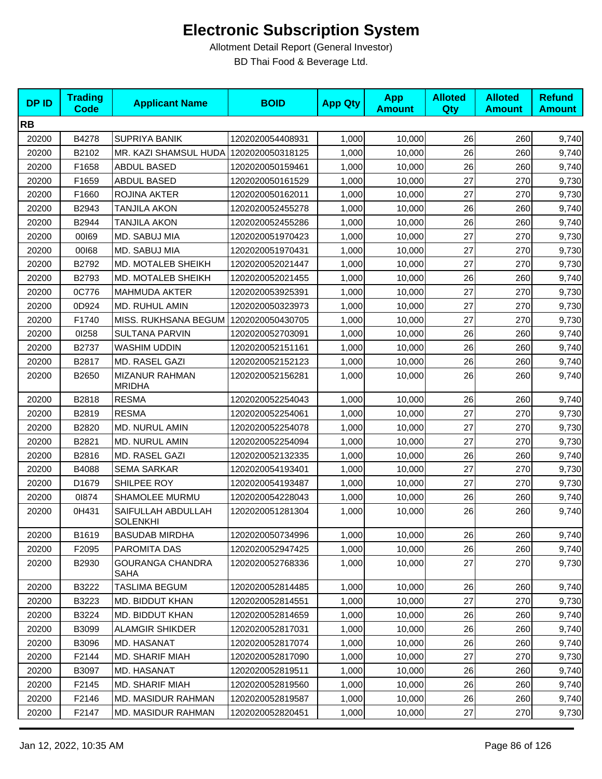| <b>DPID</b> | <b>Trading</b><br><b>Code</b> | <b>Applicant Name</b>                  | <b>BOID</b>      | <b>App Qty</b> | <b>App</b><br><b>Amount</b> | <b>Alloted</b><br>Qty | <b>Alloted</b><br><b>Amount</b> | <b>Refund</b><br><b>Amount</b> |
|-------------|-------------------------------|----------------------------------------|------------------|----------------|-----------------------------|-----------------------|---------------------------------|--------------------------------|
| <b>RB</b>   |                               |                                        |                  |                |                             |                       |                                 |                                |
| 20200       | B4278                         | <b>SUPRIYA BANIK</b>                   | 1202020054408931 | 1,000          | 10,000                      | 26                    | 260                             | 9,740                          |
| 20200       | B2102                         | MR. KAZI SHAMSUL HUDA                  | 1202020050318125 | 1,000          | 10,000                      | 26                    | 260                             | 9,740                          |
| 20200       | F1658                         | <b>ABDUL BASED</b>                     | 1202020050159461 | 1,000          | 10,000                      | 26                    | 260                             | 9,740                          |
| 20200       | F1659                         | ABDUL BASED                            | 1202020050161529 | 1,000          | 10,000                      | 27                    | 270                             | 9,730                          |
| 20200       | F1660                         | ROJINA AKTER                           | 1202020050162011 | 1,000          | 10,000                      | 27                    | 270                             | 9,730                          |
| 20200       | B2943                         | <b>TANJILA AKON</b>                    | 1202020052455278 | 1,000          | 10,000                      | 26                    | 260                             | 9,740                          |
| 20200       | B2944                         | TANJILA AKON                           | 1202020052455286 | 1,000          | 10,000                      | 26                    | 260                             | 9,740                          |
| 20200       | 00169                         | MD. SABUJ MIA                          | 1202020051970423 | 1,000          | 10,000                      | 27                    | 270                             | 9,730                          |
| 20200       | 00168                         | MD. SABUJ MIA                          | 1202020051970431 | 1,000          | 10,000                      | 27                    | 270                             | 9,730                          |
| 20200       | B2792                         | MD. MOTALEB SHEIKH                     | 1202020052021447 | 1,000          | 10,000                      | 27                    | 270                             | 9,730                          |
| 20200       | B2793                         | MD. MOTALEB SHEIKH                     | 1202020052021455 | 1,000          | 10,000                      | 26                    | 260                             | 9,740                          |
| 20200       | 0C776                         | <b>MAHMUDA AKTER</b>                   | 1202020053925391 | 1,000          | 10,000                      | 27                    | 270                             | 9,730                          |
| 20200       | 0D924                         | MD. RUHUL AMIN                         | 1202020050323973 | 1,000          | 10,000                      | 27                    | 270                             | 9,730                          |
| 20200       | F1740                         | MISS. RUKHSANA BEGUM                   | 1202020050430705 | 1,000          | 10,000                      | 27                    | 270                             | 9,730                          |
| 20200       | 01258                         | <b>SULTANA PARVIN</b>                  | 1202020052703091 | 1,000          | 10,000                      | 26                    | 260                             | 9,740                          |
| 20200       | B2737                         | WASHIM UDDIN                           | 1202020052151161 | 1,000          | 10,000                      | 26                    | 260                             | 9,740                          |
| 20200       | B2817                         | MD. RASEL GAZI                         | 1202020052152123 | 1,000          | 10,000                      | 26                    | 260                             | 9,740                          |
| 20200       | B2650                         | <b>MIZANUR RAHMAN</b><br><b>MRIDHA</b> | 1202020052156281 | 1,000          | 10,000                      | 26                    | 260                             | 9,740                          |
| 20200       | B2818                         | <b>RESMA</b>                           | 1202020052254043 | 1,000          | 10,000                      | 26                    | 260                             | 9,740                          |
| 20200       | B2819                         | <b>RESMA</b>                           | 1202020052254061 | 1,000          | 10,000                      | 27                    | 270                             | 9,730                          |
| 20200       | B2820                         | MD. NURUL AMIN                         | 1202020052254078 | 1,000          | 10,000                      | 27                    | 270                             | 9,730                          |
| 20200       | B2821                         | MD. NURUL AMIN                         | 1202020052254094 | 1,000          | 10,000                      | 27                    | 270                             | 9,730                          |
| 20200       | B2816                         | MD. RASEL GAZI                         | 1202020052132335 | 1,000          | 10,000                      | 26                    | 260                             | 9,740                          |
| 20200       | B4088                         | <b>SEMA SARKAR</b>                     | 1202020054193401 | 1,000          | 10,000                      | 27                    | 270                             | 9,730                          |
| 20200       | D1679                         | SHILPEE ROY                            | 1202020054193487 | 1,000          | 10,000                      | 27                    | 270                             | 9,730                          |
| 20200       | 01874                         | SHAMOLEE MURMU                         | 1202020054228043 | 1,000          | 10,000                      | 26                    | 260                             | 9,740                          |
| 20200       | 0H431                         | SAIFULLAH ABDULLAH<br>SOLENKHI         | 1202020051281304 | 1,000          | 10,000                      | 26                    | 260                             | 9,740                          |
| 20200       | B1619                         | <b>BASUDAB MIRDHA</b>                  | 1202020050734996 | 1,000          | 10,000                      | 26                    | 260                             | 9,740                          |
| 20200       | F2095                         | PAROMITA DAS                           | 1202020052947425 | 1,000          | 10,000                      | 26                    | 260                             | 9,740                          |
| 20200       | B2930                         | <b>GOURANGA CHANDRA</b><br>SAHA        | 1202020052768336 | 1,000          | 10,000                      | 27                    | 270                             | 9,730                          |
| 20200       | B3222                         | <b>TASLIMA BEGUM</b>                   | 1202020052814485 | 1,000          | 10,000                      | 26                    | 260                             | 9,740                          |
| 20200       | B3223                         | MD. BIDDUT KHAN                        | 1202020052814551 | 1,000          | 10,000                      | 27                    | 270                             | 9,730                          |
| 20200       | B3224                         | MD. BIDDUT KHAN                        | 1202020052814659 | 1,000          | 10,000                      | 26                    | 260                             | 9,740                          |
| 20200       | B3099                         | <b>ALAMGIR SHIKDER</b>                 | 1202020052817031 | 1,000          | 10,000                      | 26                    | 260                             | 9,740                          |
| 20200       | B3096                         | MD. HASANAT                            | 1202020052817074 | 1,000          | 10,000                      | 26                    | 260                             | 9,740                          |
| 20200       | F2144                         | MD. SHARIF MIAH                        | 1202020052817090 | 1,000          | 10,000                      | 27                    | 270                             | 9,730                          |
| 20200       | B3097                         | MD. HASANAT                            | 1202020052819511 | 1,000          | 10,000                      | 26                    | 260                             | 9,740                          |
| 20200       | F2145                         | MD. SHARIF MIAH                        | 1202020052819560 | 1,000          | 10,000                      | 26                    | 260                             | 9,740                          |
| 20200       | F2146                         | <b>MD. MASIDUR RAHMAN</b>              | 1202020052819587 | 1,000          | 10,000                      | 26                    | 260                             | 9,740                          |
| 20200       | F2147                         | <b>MD. MASIDUR RAHMAN</b>              | 1202020052820451 | 1,000          | 10,000                      | 27                    | 270                             | 9,730                          |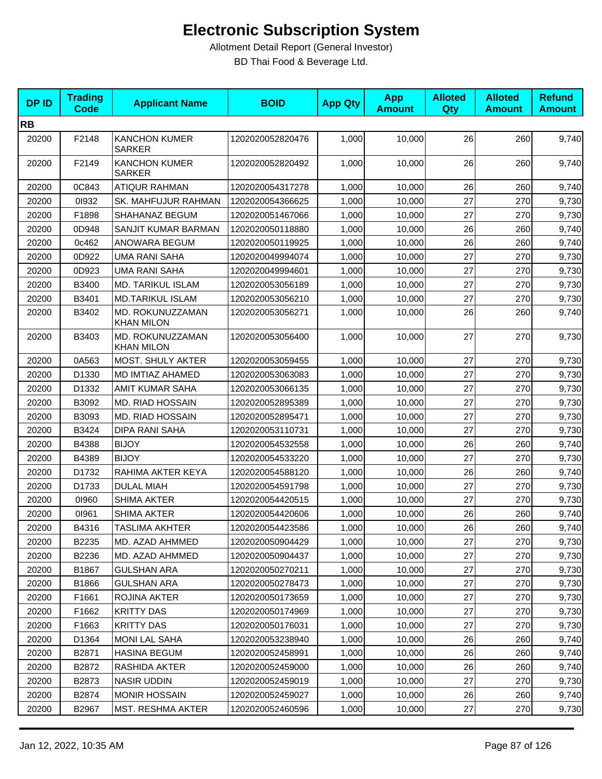| <b>DPID</b> | <b>Trading</b><br><b>Code</b> | <b>Applicant Name</b>                 | <b>BOID</b>      | <b>App Qty</b> | <b>App</b><br><b>Amount</b> | <b>Alloted</b><br>Qty | <b>Alloted</b><br><b>Amount</b> | <b>Refund</b><br><b>Amount</b> |
|-------------|-------------------------------|---------------------------------------|------------------|----------------|-----------------------------|-----------------------|---------------------------------|--------------------------------|
| <b>RB</b>   |                               |                                       |                  |                |                             |                       |                                 |                                |
| 20200       | F2148                         | <b>KANCHON KUMER</b><br><b>SARKER</b> | 1202020052820476 | 1,000          | 10,000                      | 26                    | 260                             | 9,740                          |
| 20200       | F2149                         | <b>KANCHON KUMER</b><br><b>SARKER</b> | 1202020052820492 | 1,000          | 10,000                      | 26                    | 260                             | 9,740                          |
| 20200       | 0C843                         | <b>ATIQUR RAHMAN</b>                  | 1202020054317278 | 1,000          | 10,000                      | 26                    | 260                             | 9,740                          |
| 20200       | 01932                         | <b>SK. MAHFUJUR RAHMAN</b>            | 1202020054366625 | 1,000          | 10.000                      | 27                    | 270                             | 9,730                          |
| 20200       | F1898                         | SHAHANAZ BEGUM                        | 1202020051467066 | 1,000          | 10,000                      | 27                    | 270                             | 9,730                          |
| 20200       | 0D948                         | SANJIT KUMAR BARMAN                   | 1202020050118880 | 1,000          | 10,000                      | 26                    | 260                             | 9,740                          |
| 20200       | 0c462                         | ANOWARA BEGUM                         | 1202020050119925 | 1,000          | 10,000                      | 26                    | 260                             | 9,740                          |
| 20200       | 0D922                         | <b>UMA RANI SAHA</b>                  | 1202020049994074 | 1,000          | 10,000                      | 27                    | 270                             | 9,730                          |
| 20200       | 0D923                         | <b>UMA RANI SAHA</b>                  | 1202020049994601 | 1,000          | 10,000                      | 27                    | 270                             | 9,730                          |
| 20200       | B3400                         | <b>MD. TARIKUL ISLAM</b>              | 1202020053056189 | 1,000          | 10,000                      | 27                    | 270                             | 9,730                          |
| 20200       | B3401                         | <b>MD.TARIKUL ISLAM</b>               | 1202020053056210 | 1,000          | 10,000                      | 27                    | 270                             | 9,730                          |
| 20200       | B3402                         | MD. ROKUNUZZAMAN<br><b>KHAN MILON</b> | 1202020053056271 | 1,000          | 10,000                      | 26                    | 260                             | 9,740                          |
| 20200       | B3403                         | MD. ROKUNUZZAMAN<br><b>KHAN MILON</b> | 1202020053056400 | 1,000          | 10,000                      | 27                    | 270                             | 9,730                          |
| 20200       | 0A563                         | MOST. SHULY AKTER                     | 1202020053059455 | 1,000          | 10,000                      | 27                    | 270                             | 9,730                          |
| 20200       | D1330                         | MD IMTIAZ AHAMED                      | 1202020053063083 | 1,000          | 10,000                      | 27                    | 270                             | 9,730                          |
| 20200       | D1332                         | <b>AMIT KUMAR SAHA</b>                | 1202020053066135 | 1,000          | 10,000                      | 27                    | 270                             | 9,730                          |
| 20200       | B3092                         | <b>MD. RIAD HOSSAIN</b>               | 1202020052895389 | 1,000          | 10,000                      | 27                    | 270                             | 9,730                          |
| 20200       | B3093                         | <b>MD. RIAD HOSSAIN</b>               | 1202020052895471 | 1,000          | 10,000                      | 27                    | 270                             | 9,730                          |
| 20200       | B3424                         | DIPA RANI SAHA                        | 1202020053110731 | 1,000          | 10,000                      | 27                    | 270                             | 9,730                          |
| 20200       | B4388                         | <b>BIJOY</b>                          | 1202020054532558 | 1,000          | 10,000                      | 26                    | 260                             | 9,740                          |
| 20200       | B4389                         | <b>BIJOY</b>                          | 1202020054533220 | 1,000          | 10,000                      | 27                    | 270                             | 9,730                          |
| 20200       | D1732                         | RAHIMA AKTER KEYA                     | 1202020054588120 | 1,000          | 10,000                      | 26                    | 260                             | 9,740                          |
| 20200       | D1733                         | <b>DULAL MIAH</b>                     | 1202020054591798 | 1,000          | 10,000                      | 27                    | 270                             | 9,730                          |
| 20200       | 01960                         | SHIMA AKTER                           | 1202020054420515 | 1,000          | 10,000                      | 27                    | 270                             | 9,730                          |
| 20200       | 01961                         | <b>SHIMA AKTER</b>                    | 1202020054420606 | 1,000          | 10,000                      | 26                    | 260                             | 9,740                          |
| 20200       | B4316                         | TASLIMA AKHTER                        | 1202020054423586 | 1,000          | 10,000                      | 26                    | 260                             | 9,740                          |
| 20200       | B2235                         | MD. AZAD AHMMED                       | 1202020050904429 | 1,000          | 10,000                      | 27                    | 270                             | 9,730                          |
| 20200       | B2236                         | MD. AZAD AHMMED                       | 1202020050904437 | 1,000          | 10,000                      | 27                    | 270                             | 9,730                          |
| 20200       | B1867                         | <b>GULSHAN ARA</b>                    | 1202020050270211 | 1,000          | 10,000                      | 27                    | 270                             | 9,730                          |
| 20200       | B1866                         | <b>GULSHAN ARA</b>                    | 1202020050278473 | 1,000          | 10,000                      | 27                    | 270                             | 9,730                          |
| 20200       | F1661                         | ROJINA AKTER                          | 1202020050173659 | 1,000          | 10,000                      | 27                    | 270                             | 9,730                          |
| 20200       | F1662                         | <b>KRITTY DAS</b>                     | 1202020050174969 | 1,000          | 10,000                      | 27                    | 270                             | 9,730                          |
| 20200       | F1663                         | <b>KRITTY DAS</b>                     | 1202020050176031 | 1,000          | 10,000                      | 27                    | 270                             | 9,730                          |
| 20200       | D1364                         | <b>MONI LAL SAHA</b>                  | 1202020053238940 | 1,000          | 10,000                      | 26                    | 260                             | 9,740                          |
| 20200       | B2871                         | <b>HASINA BEGUM</b>                   | 1202020052458991 | 1,000          | 10,000                      | 26                    | 260                             | 9,740                          |
| 20200       | B2872                         | RASHIDA AKTER                         | 1202020052459000 | 1,000          | 10,000                      | 26                    | 260                             | 9,740                          |
| 20200       | B2873                         | NASIR UDDIN                           | 1202020052459019 | 1,000          | 10,000                      | 27                    | 270                             | 9,730                          |
| 20200       | B2874                         | <b>MONIR HOSSAIN</b>                  | 1202020052459027 | 1,000          | 10,000                      | 26                    | 260                             | 9,740                          |
| 20200       | B2967                         | <b>MST. RESHMA AKTER</b>              | 1202020052460596 | 1,000          | 10,000                      | 27                    | 270                             | 9,730                          |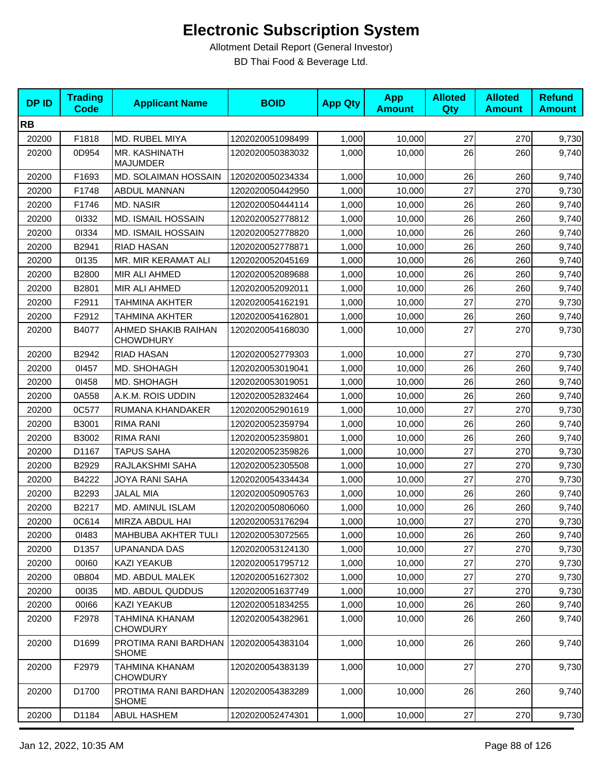| <b>DPID</b> | <b>Trading</b><br><b>Code</b> | <b>Applicant Name</b>                   | <b>BOID</b>      | <b>App Qty</b> | <b>App</b><br><b>Amount</b> | <b>Alloted</b><br>Qty | <b>Alloted</b><br><b>Amount</b> | <b>Refund</b><br><b>Amount</b> |
|-------------|-------------------------------|-----------------------------------------|------------------|----------------|-----------------------------|-----------------------|---------------------------------|--------------------------------|
| <b>RB</b>   |                               |                                         |                  |                |                             |                       |                                 |                                |
| 20200       | F1818                         | MD. RUBEL MIYA                          | 1202020051098499 | 1,000          | 10,000                      | 27                    | 270                             | 9,730                          |
| 20200       | 0D954                         | MR. KASHINATH<br><b>MAJUMDER</b>        | 1202020050383032 | 1,000          | 10,000                      | 26                    | 260                             | 9,740                          |
| 20200       | F1693                         | MD. SOLAIMAN HOSSAIN                    | 1202020050234334 | 1,000          | 10,000                      | 26                    | 260                             | 9,740                          |
| 20200       | F1748                         | ABDUL MANNAN                            | 1202020050442950 | 1,000          | 10,000                      | 27                    | 270                             | 9,730                          |
| 20200       | F1746                         | MD. NASIR                               | 1202020050444114 | 1,000          | 10,000                      | 26                    | 260                             | 9,740                          |
| 20200       | 01332                         | <b>MD. ISMAIL HOSSAIN</b>               | 1202020052778812 | 1,000          | 10,000                      | 26                    | 260                             | 9,740                          |
| 20200       | 01334                         | <b>MD. ISMAIL HOSSAIN</b>               | 1202020052778820 | 1,000          | 10,000                      | 26                    | 260                             | 9,740                          |
| 20200       | B2941                         | <b>RIAD HASAN</b>                       | 1202020052778871 | 1,000          | 10,000                      | 26                    | 260                             | 9,740                          |
| 20200       | 01135                         | MR. MIR KERAMAT ALI                     | 1202020052045169 | 1,000          | 10,000                      | 26                    | 260                             | 9,740                          |
| 20200       | B2800                         | MIR ALI AHMED                           | 1202020052089688 | 1,000          | 10,000                      | 26                    | 260                             | 9,740                          |
| 20200       | B2801                         | MIR ALI AHMED                           | 1202020052092011 | 1,000          | 10,000                      | 26                    | 260                             | 9,740                          |
| 20200       | F2911                         | TAHMINA AKHTER                          | 1202020054162191 | 1,000          | 10,000                      | 27                    | 270                             | 9,730                          |
| 20200       | F2912                         | TAHMINA AKHTER                          | 1202020054162801 | 1,000          | 10,000                      | 26                    | 260                             | 9,740                          |
| 20200       | B4077                         | AHMED SHAKIB RAIHAN<br><b>CHOWDHURY</b> | 1202020054168030 | 1,000          | 10,000                      | 27                    | 270                             | 9,730                          |
| 20200       | B2942                         | <b>RIAD HASAN</b>                       | 1202020052779303 | 1,000          | 10,000                      | 27                    | 270                             | 9,730                          |
| 20200       | 01457                         | MD. SHOHAGH                             | 1202020053019041 | 1,000          | 10,000                      | 26                    | 260                             | 9,740                          |
| 20200       | 01458                         | MD. SHOHAGH                             | 1202020053019051 | 1,000          | 10,000                      | 26                    | 260                             | 9,740                          |
| 20200       | 0A558                         | A.K.M. ROIS UDDIN                       | 1202020052832464 | 1,000          | 10,000                      | 26                    | 260                             | 9,740                          |
| 20200       | 0C577                         | RUMANA KHANDAKER                        | 1202020052901619 | 1,000          | 10,000                      | 27                    | 270                             | 9,730                          |
| 20200       | B3001                         | <b>RIMA RANI</b>                        | 1202020052359794 | 1,000          | 10,000                      | 26                    | 260                             | 9,740                          |
| 20200       | B3002                         | <b>RIMA RANI</b>                        | 1202020052359801 | 1,000          | 10,000                      | 26                    | 260                             | 9,740                          |
| 20200       | D1167                         | <b>TAPUS SAHA</b>                       | 1202020052359826 | 1,000          | 10,000                      | 27                    | 270                             | 9,730                          |
| 20200       | B2929                         | RAJLAKSHMI SAHA                         | 1202020052305508 | 1,000          | 10,000                      | 27                    | 270                             | 9,730                          |
| 20200       | B4222                         | JOYA RANI SAHA                          | 1202020054334434 | 1,000          | 10,000                      | 27                    | 270                             | 9,730                          |
| 20200       | B2293                         | <b>JALAL MIA</b>                        | 1202020050905763 | 1,000          | 10,000                      | 26                    | 260                             | 9,740                          |
| 20200       | B2217                         | <b>MD. AMINUL ISLAM</b>                 | 1202020050806060 | 1,000          | 10,000                      | 26                    | 260                             | 9,740                          |
| 20200       | 0C614                         | MIRZA ABDUL HAI                         | 1202020053176294 | 1,000          | 10,000                      | 27                    | 270                             | 9,730                          |
| 20200       | 01483                         | <b>MAHBUBA AKHTER TULI</b>              | 1202020053072565 | 1,000          | 10,000                      | 26                    | 260                             | 9,740                          |
| 20200       | D1357                         | UPANANDA DAS                            | 1202020053124130 | 1,000          | 10,000                      | 27                    | 270                             | 9,730                          |
| 20200       | 00160                         | <b>KAZI YEAKUB</b>                      | 1202020051795712 | 1,000          | 10,000                      | 27                    | 270                             | 9,730                          |
| 20200       | 0B804                         | MD. ABDUL MALEK                         | 1202020051627302 | 1,000          | 10,000                      | 27                    | 270                             | 9,730                          |
| 20200       | 00135                         | MD. ABDUL QUDDUS                        | 1202020051637749 | 1,000          | 10,000                      | 27                    | 270                             | 9,730                          |
| 20200       | 00166                         | <b>KAZI YEAKUB</b>                      | 1202020051834255 | 1,000          | 10,000                      | 26                    | 260                             | 9,740                          |
| 20200       | F2978                         | TAHMINA KHANAM<br><b>CHOWDURY</b>       | 1202020054382961 | 1,000          | 10,000                      | 26                    | 260                             | 9,740                          |
| 20200       | D1699                         | PROTIMA RANI BARDHAN<br><b>SHOME</b>    | 1202020054383104 | 1,000          | 10,000                      | 26                    | 260                             | 9,740                          |
| 20200       | F2979                         | TAHMINA KHANAM<br><b>CHOWDURY</b>       | 1202020054383139 | 1,000          | 10,000                      | 27                    | 270                             | 9,730                          |
| 20200       | D1700                         | PROTIMA RANI BARDHAN<br><b>SHOME</b>    | 1202020054383289 | 1,000          | 10,000                      | 26                    | 260                             | 9,740                          |
| 20200       | D1184                         | ABUL HASHEM                             | 1202020052474301 | 1,000          | 10,000                      | 27                    | 270                             | 9,730                          |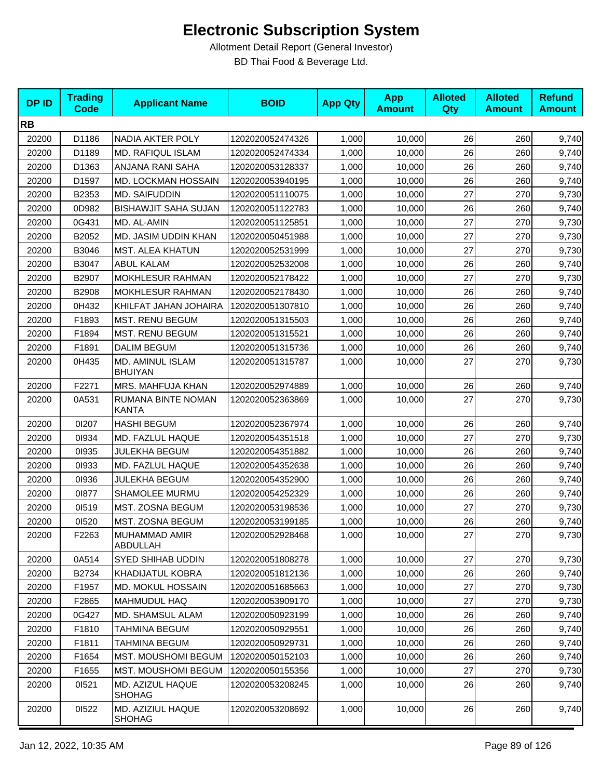| <b>DPID</b> | <b>Trading</b><br><b>Code</b> | <b>Applicant Name</b>              | <b>BOID</b>      | <b>App Qty</b> | <b>App</b><br><b>Amount</b> | <b>Alloted</b><br>Qty | <b>Alloted</b><br><b>Amount</b> | <b>Refund</b><br><b>Amount</b> |
|-------------|-------------------------------|------------------------------------|------------------|----------------|-----------------------------|-----------------------|---------------------------------|--------------------------------|
| <b>RB</b>   |                               |                                    |                  |                |                             |                       |                                 |                                |
| 20200       | D1186                         | NADIA AKTER POLY                   | 1202020052474326 | 1,000          | 10,000                      | 26                    | 260                             | 9,740                          |
| 20200       | D1189                         | MD. RAFIQUL ISLAM                  | 1202020052474334 | 1,000          | 10,000                      | 26                    | 260                             | 9,740                          |
| 20200       | D1363                         | ANJANA RANI SAHA                   | 1202020053128337 | 1,000          | 10,000                      | 26                    | 260                             | 9,740                          |
| 20200       | D1597                         | MD. LOCKMAN HOSSAIN                | 1202020053940195 | 1,000          | 10,000                      | 26                    | 260                             | 9,740                          |
| 20200       | B2353                         | MD. SAIFUDDIN                      | 1202020051110075 | 1,000          | 10,000                      | 27                    | 270                             | 9,730                          |
| 20200       | 0D982                         | <b>BISHAWJIT SAHA SUJAN</b>        | 1202020051122783 | 1,000          | 10,000                      | 26                    | 260                             | 9,740                          |
| 20200       | 0G431                         | MD. AL-AMIN                        | 1202020051125851 | 1,000          | 10,000                      | 27                    | 270                             | 9,730                          |
| 20200       | B2052                         | MD. JASIM UDDIN KHAN               | 1202020050451988 | 1,000          | 10,000                      | 27                    | 270                             | 9,730                          |
| 20200       | B3046                         | <b>MST. ALEA KHATUN</b>            | 1202020052531999 | 1,000          | 10,000                      | 27                    | 270                             | 9,730                          |
| 20200       | B3047                         | <b>ABUL KALAM</b>                  | 1202020052532008 | 1,000          | 10,000                      | 26                    | 260                             | 9,740                          |
| 20200       | B2907                         | MOKHLESUR RAHMAN                   | 1202020052178422 | 1,000          | 10,000                      | 27                    | 270                             | 9,730                          |
| 20200       | B2908                         | MOKHLESUR RAHMAN                   | 1202020052178430 | 1,000          | 10,000                      | 26                    | 260                             | 9,740                          |
| 20200       | 0H432                         | KHILFAT JAHAN JOHAIRA              | 1202020051307810 | 1,000          | 10,000                      | 26                    | 260                             | 9,740                          |
| 20200       | F1893                         | <b>MST. RENU BEGUM</b>             | 1202020051315503 | 1,000          | 10,000                      | 26                    | 260                             | 9,740                          |
| 20200       | F1894                         | <b>MST. RENU BEGUM</b>             | 1202020051315521 | 1,000          | 10,000                      | 26                    | 260                             | 9,740                          |
| 20200       | F1891                         | <b>DALIM BEGUM</b>                 | 1202020051315736 | 1,000          | 10,000                      | 26                    | 260                             | 9,740                          |
| 20200       | 0H435                         | MD. AMINUL ISLAM<br><b>BHUIYAN</b> | 1202020051315787 | 1,000          | 10,000                      | 27                    | 270                             | 9,730                          |
| 20200       | F2271                         | MRS. MAHFUJA KHAN                  | 1202020052974889 | 1,000          | 10,000                      | 26                    | 260                             | 9,740                          |
| 20200       | 0A531                         | RUMANA BINTE NOMAN<br><b>KANTA</b> | 1202020052363869 | 1,000          | 10,000                      | 27                    | 270                             | 9,730                          |
| 20200       | 01207                         | <b>HASHI BEGUM</b>                 | 1202020052367974 | 1,000          | 10,000                      | 26                    | 260                             | 9,740                          |
| 20200       | 01934                         | MD. FAZLUL HAQUE                   | 1202020054351518 | 1,000          | 10,000                      | 27                    | 270                             | 9,730                          |
| 20200       | 01935                         | <b>JULEKHA BEGUM</b>               | 1202020054351882 | 1,000          | 10,000                      | 26                    | 260                             | 9,740                          |
| 20200       | 01933                         | MD. FAZLUL HAQUE                   | 1202020054352638 | 1,000          | 10,000                      | 26                    | 260                             | 9,740                          |
| 20200       | 01936                         | <b>JULEKHA BEGUM</b>               | 1202020054352900 | 1,000          | 10,000                      | 26                    | 260                             | 9,740                          |
| 20200       | 01877                         | SHAMOLEE MURMU                     | 1202020054252329 | 1,000          | 10,000                      | 26                    | 260                             | 9,740                          |
| 20200       | 01519                         | MST. ZOSNA BEGUM                   | 1202020053198536 | 1,000          | 10,000                      | 27                    | 270                             | 9,730                          |
| 20200       | 01520                         | MST. ZOSNA BEGUM                   | 1202020053199185 | 1,000          | 10,000                      | 26                    | 260                             | 9,740                          |
| 20200       | F2263                         | MUHAMMAD AMIR<br>ABDULLAH          | 1202020052928468 | 1,000          | 10,000                      | 27                    | 270                             | 9,730                          |
| 20200       | 0A514                         | <b>SYED SHIHAB UDDIN</b>           | 1202020051808278 | 1,000          | 10,000                      | 27                    | 270                             | 9,730                          |
| 20200       | B2734                         | KHADIJATUL KOBRA                   | 1202020051812136 | 1,000          | 10,000                      | 26                    | 260                             | 9,740                          |
| 20200       | F1957                         | MD. MOKUL HOSSAIN                  | 1202020051685663 | 1,000          | 10,000                      | 27                    | 270                             | 9,730                          |
| 20200       | F2865                         | MAHMUDUL HAQ                       | 1202020053909170 | 1,000          | 10,000                      | 27                    | 270                             | 9,730                          |
| 20200       | 0G427                         | MD. SHAMSUL ALAM                   | 1202020050923199 | 1,000          | 10,000                      | 26                    | 260                             | 9,740                          |
| 20200       | F1810                         | <b>TAHMINA BEGUM</b>               | 1202020050929551 | 1,000          | 10,000                      | 26                    | 260                             | 9,740                          |
| 20200       | F1811                         | <b>TAHMINA BEGUM</b>               | 1202020050929731 | 1,000          | 10,000                      | 26                    | 260                             | 9,740                          |
| 20200       | F1654                         | MST. MOUSHOMI BEGUM                | 1202020050152103 | 1,000          | 10,000                      | 26                    | 260                             | 9,740                          |
| 20200       | F1655                         | <b>MST. MOUSHOMI BEGUM</b>         | 1202020050155356 | 1,000          | 10,000                      | 27                    | 270                             | 9,730                          |
| 20200       | 01521                         | MD. AZIZUL HAQUE<br><b>SHOHAG</b>  | 1202020053208245 | 1,000          | 10,000                      | 26                    | 260                             | 9,740                          |
| 20200       | 01522                         | MD. AZIZIUL HAQUE<br><b>SHOHAG</b> | 1202020053208692 | 1,000          | 10,000                      | 26                    | 260                             | 9,740                          |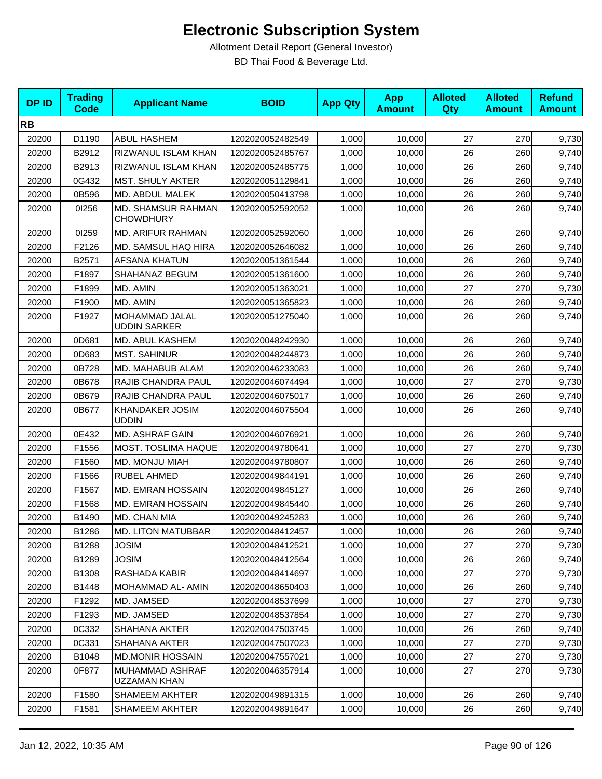| <b>DPID</b> | <b>Trading</b><br><b>Code</b> | <b>Applicant Name</b>                         | <b>BOID</b>      | <b>App Qty</b> | <b>App</b><br><b>Amount</b> | <b>Alloted</b><br><b>Qty</b> | <b>Alloted</b><br><b>Amount</b> | <b>Refund</b><br><b>Amount</b> |
|-------------|-------------------------------|-----------------------------------------------|------------------|----------------|-----------------------------|------------------------------|---------------------------------|--------------------------------|
| <b>RB</b>   |                               |                                               |                  |                |                             |                              |                                 |                                |
| 20200       | D1190                         | <b>ABUL HASHEM</b>                            | 1202020052482549 | 1,000          | 10,000                      | 27                           | 270                             | 9,730                          |
| 20200       | B2912                         | RIZWANUL ISLAM KHAN                           | 1202020052485767 | 1,000          | 10,000                      | 26                           | 260                             | 9,740                          |
| 20200       | B2913                         | RIZWANUL ISLAM KHAN                           | 1202020052485775 | 1,000          | 10,000                      | 26                           | 260                             | 9,740                          |
| 20200       | 0G432                         | <b>MST. SHULY AKTER</b>                       | 1202020051129841 | 1,000          | 10,000                      | 26                           | 260                             | 9,740                          |
| 20200       | 0B596                         | MD. ABDUL MALEK                               | 1202020050413798 | 1,000          | 10,000                      | 26                           | 260                             | 9,740                          |
| 20200       | 01256                         | <b>MD. SHAMSUR RAHMAN</b><br><b>CHOWDHURY</b> | 1202020052592052 | 1,000          | 10,000                      | 26                           | 260                             | 9,740                          |
| 20200       | 01259                         | MD. ARIFUR RAHMAN                             | 1202020052592060 | 1,000          | 10,000                      | 26                           | 260                             | 9,740                          |
| 20200       | F2126                         | MD. SAMSUL HAQ HIRA                           | 1202020052646082 | 1,000          | 10,000                      | 26                           | 260                             | 9,740                          |
| 20200       | B2571                         | <b>AFSANA KHATUN</b>                          | 1202020051361544 | 1,000          | 10,000                      | 26                           | 260                             | 9,740                          |
| 20200       | F1897                         | SHAHANAZ BEGUM                                | 1202020051361600 | 1,000          | 10,000                      | 26                           | 260                             | 9,740                          |
| 20200       | F1899                         | MD. AMIN                                      | 1202020051363021 | 1,000          | 10,000                      | 27                           | 270                             | 9,730                          |
| 20200       | F1900                         | MD. AMIN                                      | 1202020051365823 | 1,000          | 10,000                      | 26                           | 260                             | 9,740                          |
| 20200       | F1927                         | MOHAMMAD JALAL<br><b>UDDIN SARKER</b>         | 1202020051275040 | 1,000          | 10,000                      | 26                           | 260                             | 9,740                          |
| 20200       | 0D681                         | MD. ABUL KASHEM                               | 1202020048242930 | 1,000          | 10,000                      | 26                           | 260                             | 9,740                          |
| 20200       | 0D683                         | <b>MST. SAHINUR</b>                           | 1202020048244873 | 1,000          | 10,000                      | 26                           | 260                             | 9,740                          |
| 20200       | 0B728                         | MD. MAHABUB ALAM                              | 1202020046233083 | 1,000          | 10,000                      | 26                           | 260                             | 9,740                          |
| 20200       | 0B678                         | RAJIB CHANDRA PAUL                            | 1202020046074494 | 1,000          | 10,000                      | 27                           | 270                             | 9,730                          |
| 20200       | 0B679                         | RAJIB CHANDRA PAUL                            | 1202020046075017 | 1,000          | 10,000                      | 26                           | 260                             | 9,740                          |
| 20200       | 0B677                         | <b>KHANDAKER JOSIM</b><br><b>UDDIN</b>        | 1202020046075504 | 1,000          | 10,000                      | 26                           | 260                             | 9,740                          |
| 20200       | 0E432                         | MD. ASHRAF GAIN                               | 1202020046076921 | 1,000          | 10,000                      | 26                           | 260                             | 9,740                          |
| 20200       | F1556                         | MOST. TOSLIMA HAQUE                           | 1202020049780641 | 1,000          | 10,000                      | 27                           | 270                             | 9,730                          |
| 20200       | F1560                         | MD. MONJU MIAH                                | 1202020049780807 | 1,000          | 10,000                      | 26                           | 260                             | 9,740                          |
| 20200       | F1566                         | <b>RUBEL AHMED</b>                            | 1202020049844191 | 1,000          | 10,000                      | 26                           | 260                             | 9,740                          |
| 20200       | F1567                         | MD. EMRAN HOSSAIN                             | 1202020049845127 | 1,000          | 10,000                      | 26                           | 260                             | 9,740                          |
| 20200       | F1568                         | MD. EMRAN HOSSAIN                             | 1202020049845440 | 1,000          | 10,000                      | 26                           | 260                             | 9,740                          |
| 20200       | B1490                         | MD. CHAN MIA                                  | 1202020049245283 | 1,000          | 10,000                      | 26                           | 260                             | 9,740                          |
| 20200       | B1286                         | MD. LITON MATUBBAR                            | 1202020048412457 | 1,000          | 10,000                      | 26                           | 260                             | 9,740                          |
| 20200       | B1288                         | JOSIM                                         | 1202020048412521 | 1,000          | 10,000                      | 27                           | 270                             | 9,730                          |
| 20200       | B1289                         | <b>JOSIM</b>                                  | 1202020048412564 | 1,000          | 10,000                      | 26                           | 260                             | 9,740                          |
| 20200       | B1308                         | RASHADA KABIR                                 | 1202020048414697 | 1,000          | 10,000                      | 27                           | 270                             | 9,730                          |
| 20200       | B1448                         | MOHAMMAD AL- AMIN                             | 1202020048650403 | 1,000          | 10,000                      | 26                           | 260                             | 9,740                          |
| 20200       | F1292                         | MD. JAMSED                                    | 1202020048537699 | 1,000          | 10,000                      | 27                           | 270                             | 9,730                          |
| 20200       | F1293                         | MD. JAMSED                                    | 1202020048537854 | 1,000          | 10,000                      | 27                           | 270                             | 9,730                          |
| 20200       | 0C332                         | SHAHANA AKTER                                 | 1202020047503745 | 1,000          | 10,000                      | 26                           | 260                             | 9,740                          |
| 20200       | 0C331                         | SHAHANA AKTER                                 | 1202020047507023 | 1,000          | 10,000                      | 27                           | 270                             | 9,730                          |
| 20200       | B1048                         | <b>MD.MONIR HOSSAIN</b>                       | 1202020047557021 | 1,000          | 10,000                      | 27                           | 270                             | 9,730                          |
| 20200       | 0F877                         | MUHAMMAD ASHRAF<br>UZZAMAN KHAN               | 1202020046357914 | 1,000          | 10,000                      | 27                           | 270                             | 9,730                          |
| 20200       | F1580                         | SHAMEEM AKHTER                                | 1202020049891315 | 1,000          | 10,000                      | 26                           | 260                             | 9,740                          |
| 20200       | F1581                         | <b>SHAMEEM AKHTER</b>                         | 1202020049891647 | 1,000          | 10,000                      | 26                           | 260                             | 9,740                          |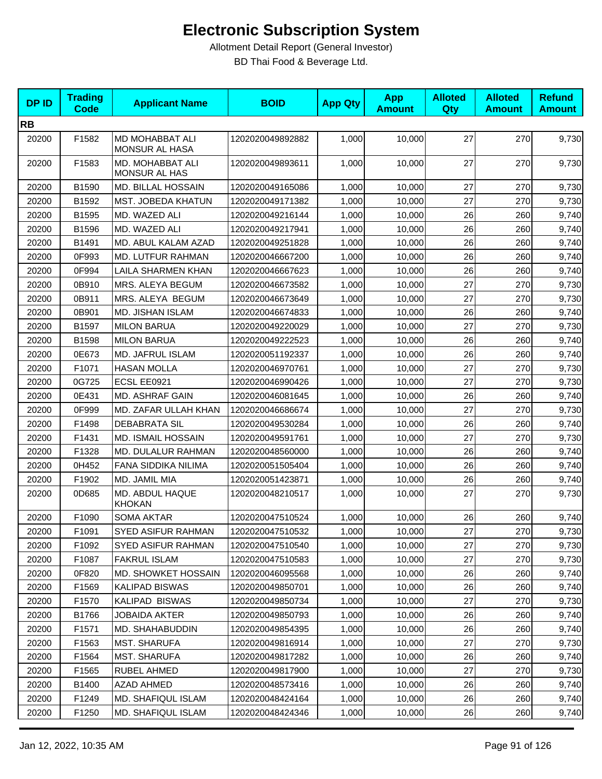| <b>DPID</b> | <b>Trading</b><br><b>Code</b> | <b>Applicant Name</b>                    | <b>BOID</b>      | <b>App Qty</b> | <b>App</b><br><b>Amount</b> | <b>Alloted</b><br>Qty | <b>Alloted</b><br><b>Amount</b> | <b>Refund</b><br><b>Amount</b> |
|-------------|-------------------------------|------------------------------------------|------------------|----------------|-----------------------------|-----------------------|---------------------------------|--------------------------------|
| <b>RB</b>   |                               |                                          |                  |                |                             |                       |                                 |                                |
| 20200       | F1582                         | MD MOHABBAT ALI<br>MONSUR AL HASA        | 1202020049892882 | 1,000          | 10,000                      | 27                    | 270                             | 9,730                          |
| 20200       | F1583                         | MD. MOHABBAT ALI<br><b>MONSUR AL HAS</b> | 1202020049893611 | 1,000          | 10,000                      | 27                    | 270                             | 9,730                          |
| 20200       | B1590                         | MD. BILLAL HOSSAIN                       | 1202020049165086 | 1,000          | 10,000                      | 27                    | 270                             | 9,730                          |
| 20200       | B1592                         | <b>MST. JOBEDA KHATUN</b>                | 1202020049171382 | 1,000          | 10,000                      | 27                    | 270                             | 9,730                          |
| 20200       | B1595                         | MD. WAZED ALI                            | 1202020049216144 | 1,000          | 10.000                      | 26                    | 260                             | 9,740                          |
| 20200       | B1596                         | MD. WAZED ALI                            | 1202020049217941 | 1,000          | 10,000                      | 26                    | 260                             | 9,740                          |
| 20200       | B1491                         | MD. ABUL KALAM AZAD                      | 1202020049251828 | 1,000          | 10,000                      | 26                    | 260                             | 9,740                          |
| 20200       | 0F993                         | MD. LUTFUR RAHMAN                        | 1202020046667200 | 1,000          | 10,000                      | 26                    | 260                             | 9,740                          |
| 20200       | 0F994                         | <b>LAILA SHARMEN KHAN</b>                | 1202020046667623 | 1,000          | 10,000                      | 26                    | 260                             | 9,740                          |
| 20200       | 0B910                         | MRS. ALEYA BEGUM                         | 1202020046673582 | 1,000          | 10,000                      | 27                    | 270                             | 9,730                          |
| 20200       | 0B911                         | MRS. ALEYA BEGUM                         | 1202020046673649 | 1,000          | 10,000                      | 27                    | 270                             | 9,730                          |
| 20200       | 0B901                         | MD. JISHAN ISLAM                         | 1202020046674833 | 1,000          | 10,000                      | 26                    | 260                             | 9,740                          |
| 20200       | B1597                         | <b>MILON BARUA</b>                       | 1202020049220029 | 1.000          | 10,000                      | 27                    | 270                             | 9,730                          |
| 20200       | B1598                         | <b>MILON BARUA</b>                       | 1202020049222523 | 1,000          | 10,000                      | 26                    | 260                             | 9,740                          |
| 20200       | 0E673                         | <b>MD. JAFRUL ISLAM</b>                  | 1202020051192337 | 1,000          | 10,000                      | 26                    | 260                             | 9,740                          |
| 20200       | F1071                         | <b>HASAN MOLLA</b>                       | 1202020046970761 | 1,000          | 10,000                      | 27                    | 270                             | 9,730                          |
| 20200       | 0G725                         | ECSL EE0921                              | 1202020046990426 | 1,000          | 10,000                      | 27                    | 270                             | 9,730                          |
| 20200       | 0E431                         | MD. ASHRAF GAIN                          | 1202020046081645 | 1,000          | 10,000                      | 26                    | 260                             | 9,740                          |
| 20200       | 0F999                         | MD. ZAFAR ULLAH KHAN                     | 1202020046686674 | 1,000          | 10,000                      | 27                    | 270                             | 9,730                          |
| 20200       | F1498                         | <b>DEBABRATA SIL</b>                     | 1202020049530284 | 1,000          | 10,000                      | 26                    | 260                             | 9,740                          |
| 20200       | F1431                         | <b>MD. ISMAIL HOSSAIN</b>                | 1202020049591761 | 1,000          | 10,000                      | 27                    | 270                             | 9,730                          |
| 20200       | F1328                         | MD. DULALUR RAHMAN                       | 1202020048560000 | 1,000          | 10,000                      | 26                    | 260                             | 9,740                          |
| 20200       | 0H452                         | <b>FANA SIDDIKA NILIMA</b>               | 1202020051505404 | 1,000          | 10,000                      | 26                    | 260                             | 9,740                          |
| 20200       | F1902                         | MD. JAMIL MIA                            | 1202020051423871 | 1,000          | 10,000                      | 26                    | 260                             | 9,740                          |
| 20200       | 0D685                         | MD. ABDUL HAQUE<br><b>KHOKAN</b>         | 1202020048210517 | 1,000          | 10,000                      | 27                    | 270                             | 9,730                          |
| 20200       | F1090                         | <b>SOMA AKTAR</b>                        | 1202020047510524 | 1,000          | 10,000                      | 26                    | 260                             | 9,740                          |
| 20200       | F1091                         | SYED ASIFUR RAHMAN                       | 1202020047510532 | 1,000          | 10,000                      | 27                    | 270                             | 9,730                          |
| 20200       | F1092                         | <b>SYED ASIFUR RAHMAN</b>                | 1202020047510540 | 1,000          | 10,000                      | 27                    | 270                             | 9,730                          |
| 20200       | F1087                         | <b>FAKRUL ISLAM</b>                      | 1202020047510583 | 1,000          | 10,000                      | 27                    | 270                             | 9,730                          |
| 20200       | 0F820                         | <b>MD. SHOWKET HOSSAIN</b>               | 1202020046095568 | 1,000          | 10,000                      | 26                    | 260                             | 9,740                          |
| 20200       | F1569                         | <b>KALIPAD BISWAS</b>                    | 1202020049850701 | 1,000          | 10,000                      | 26                    | 260                             | 9,740                          |
| 20200       | F1570                         | <b>KALIPAD BISWAS</b>                    | 1202020049850734 | 1,000          | 10,000                      | 27                    | 270                             | 9,730                          |
| 20200       | B1766                         | <b>JOBAIDA AKTER</b>                     | 1202020049850793 | 1,000          | 10,000                      | 26                    | 260                             | 9,740                          |
| 20200       | F1571                         | MD. SHAHABUDDIN                          | 1202020049854395 | 1,000          | 10,000                      | 26                    | 260                             | 9,740                          |
| 20200       | F1563                         | <b>MST. SHARUFA</b>                      | 1202020049816914 | 1,000          | 10,000                      | 27                    | 270                             | 9,730                          |
| 20200       | F1564                         | <b>MST. SHARUFA</b>                      | 1202020049817282 | 1,000          | 10,000                      | 26                    | 260                             | 9,740                          |
| 20200       | F1565                         | RUBEL AHMED                              | 1202020049817900 | 1,000          | 10,000                      | 27                    | 270                             | 9,730                          |
| 20200       | B1400                         | <b>AZAD AHMED</b>                        | 1202020048573416 | 1,000          | 10,000                      | 26                    | 260                             | 9,740                          |
| 20200       | F1249                         | <b>MD. SHAFIQUL ISLAM</b>                | 1202020048424164 | 1,000          | 10,000                      | 26                    | 260                             | 9,740                          |
| 20200       | F1250                         | MD. SHAFIQUL ISLAM                       | 1202020048424346 | 1,000          | 10,000                      | $26\,$                | 260                             | 9,740                          |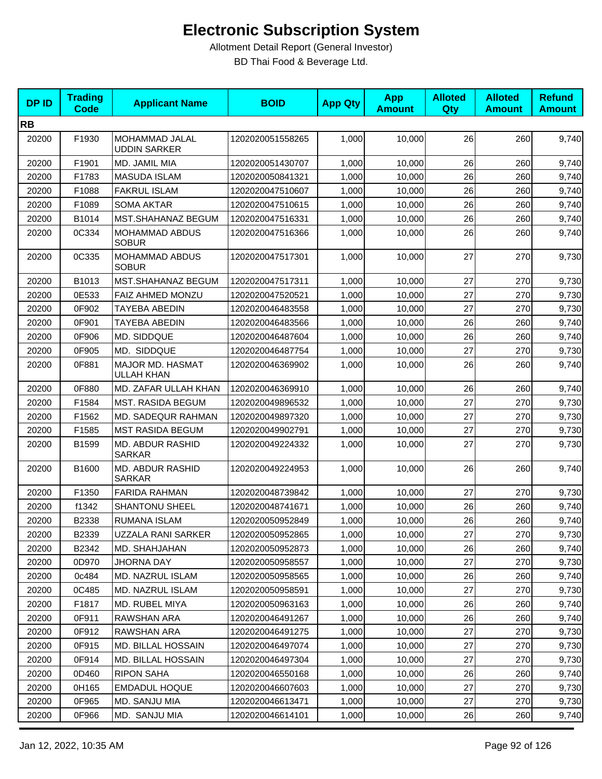| <b>DPID</b> | <b>Trading</b><br><b>Code</b> | <b>Applicant Name</b>                 | <b>BOID</b>      | <b>App Qty</b> | <b>App</b><br><b>Amount</b> | <b>Alloted</b><br>Qty | <b>Alloted</b><br><b>Amount</b> | <b>Refund</b><br><b>Amount</b> |
|-------------|-------------------------------|---------------------------------------|------------------|----------------|-----------------------------|-----------------------|---------------------------------|--------------------------------|
| <b>RB</b>   |                               |                                       |                  |                |                             |                       |                                 |                                |
| 20200       | F1930                         | MOHAMMAD JALAL<br><b>UDDIN SARKER</b> | 1202020051558265 | 1,000          | 10,000                      | 26                    | 260                             | 9,740                          |
| 20200       | F1901                         | MD. JAMIL MIA                         | 1202020051430707 | 1,000          | 10,000                      | 26                    | 260                             | 9,740                          |
| 20200       | F1783                         | <b>MASUDA ISLAM</b>                   | 1202020050841321 | 1,000          | 10,000                      | 26                    | 260                             | 9,740                          |
| 20200       | F1088                         | <b>FAKRUL ISLAM</b>                   | 1202020047510607 | 1,000          | 10,000                      | 26                    | 260                             | 9,740                          |
| 20200       | F1089                         | <b>SOMA AKTAR</b>                     | 1202020047510615 | 1,000          | 10,000                      | 26                    | 260                             | 9,740                          |
| 20200       | B1014                         | MST.SHAHANAZ BEGUM                    | 1202020047516331 | 1,000          | 10,000                      | 26                    | 260                             | 9,740                          |
| 20200       | 0C334                         | <b>MOHAMMAD ABDUS</b><br><b>SOBUR</b> | 1202020047516366 | 1,000          | 10,000                      | 26                    | 260                             | 9,740                          |
| 20200       | 0C335                         | MOHAMMAD ABDUS<br><b>SOBUR</b>        | 1202020047517301 | 1,000          | 10,000                      | 27                    | 270                             | 9,730                          |
| 20200       | B1013                         | MST.SHAHANAZ BEGUM                    | 1202020047517311 | 1,000          | 10,000                      | 27                    | 270                             | 9,730                          |
| 20200       | 0E533                         | FAIZ AHMED MONZU                      | 1202020047520521 | 1,000          | 10,000                      | 27                    | 270                             | 9,730                          |
| 20200       | 0F902                         | TAYEBA ABEDIN                         | 1202020046483558 | 1,000          | 10,000                      | 27                    | 270                             | 9,730                          |
| 20200       | 0F901                         | <b>TAYEBA ABEDIN</b>                  | 1202020046483566 | 1,000          | 10,000                      | 26                    | 260                             | 9,740                          |
| 20200       | 0F906                         | MD. SIDDQUE                           | 1202020046487604 | 1,000          | 10,000                      | 26                    | 260                             | 9,740                          |
| 20200       | 0F905                         | MD. SIDDQUE                           | 1202020046487754 | 1,000          | 10,000                      | 27                    | 270                             | 9,730                          |
| 20200       | 0F881                         | MAJOR MD. HASMAT<br><b>ULLAH KHAN</b> | 1202020046369902 | 1,000          | 10,000                      | 26                    | 260                             | 9,740                          |
| 20200       | 0F880                         | MD. ZAFAR ULLAH KHAN                  | 1202020046369910 | 1,000          | 10,000                      | 26                    | 260                             | 9,740                          |
| 20200       | F1584                         | <b>MST. RASIDA BEGUM</b>              | 1202020049896532 | 1,000          | 10,000                      | 27                    | 270                             | 9,730                          |
| 20200       | F1562                         | MD. SADEQUR RAHMAN                    | 1202020049897320 | 1,000          | 10,000                      | 27                    | 270                             | 9,730                          |
| 20200       | F1585                         | <b>MST RASIDA BEGUM</b>               | 1202020049902791 | 1,000          | 10,000                      | 27                    | 270                             | 9,730                          |
| 20200       | B1599                         | MD. ABDUR RASHID<br><b>SARKAR</b>     | 1202020049224332 | 1,000          | 10,000                      | 27                    | 270                             | 9,730                          |
| 20200       | B1600                         | MD. ABDUR RASHID<br><b>SARKAR</b>     | 1202020049224953 | 1,000          | 10,000                      | 26                    | 260                             | 9,740                          |
| 20200       | F1350                         | <b>FARIDA RAHMAN</b>                  | 1202020048739842 | 1,000          | 10,000                      | 27                    | 270                             | 9,730                          |
| 20200       | f1342                         | <b>SHANTONU SHEEL</b>                 | 1202020048741671 | 1,000          | 10,000                      | 26                    | 260                             | 9,740                          |
| 20200       | B2338                         | <b>RUMANA ISLAM</b>                   | 1202020050952849 | 1,000          | 10,000                      | 26                    | 260                             | 9,740                          |
| 20200       | B2339                         | UZZALA RANI SARKER                    | 1202020050952865 | 1,000          | 10,000                      | 27                    | 270l                            | 9,730                          |
| 20200       | B2342                         | MD. SHAHJAHAN                         | 1202020050952873 | 1,000          | 10,000                      | 26                    | 260                             | 9,740                          |
| 20200       | 0D970                         | JHORNA DAY                            | 1202020050958557 | 1,000          | 10,000                      | 27                    | 270                             | 9,730                          |
| 20200       | 0c484                         | MD. NAZRUL ISLAM                      | 1202020050958565 | 1,000          | 10,000                      | 26                    | 260                             | 9,740                          |
| 20200       | 0C485                         | MD. NAZRUL ISLAM                      | 1202020050958591 | 1,000          | 10,000                      | 27                    | 270                             | 9,730                          |
| 20200       | F1817                         | MD. RUBEL MIYA                        | 1202020050963163 | 1,000          | 10,000                      | 26                    | 260                             | 9,740                          |
| 20200       | 0F911                         | RAWSHAN ARA                           | 1202020046491267 | 1,000          | 10,000                      | 26                    | 260                             | 9,740                          |
| 20200       | 0F912                         | RAWSHAN ARA                           | 1202020046491275 | 1,000          | 10,000                      | 27                    | 270                             | 9,730                          |
| 20200       | 0F915                         | MD. BILLAL HOSSAIN                    | 1202020046497074 | 1,000          | 10,000                      | 27                    | 270                             | 9,730                          |
| 20200       | 0F914                         | MD. BILLAL HOSSAIN                    | 1202020046497304 | 1,000          | 10,000                      | 27                    | 270                             | 9,730                          |
| 20200       | 0D460                         | <b>RIPON SAHA</b>                     | 1202020046550168 | 1,000          | 10,000                      | 26                    | 260                             | 9,740                          |
| 20200       | 0H165                         | <b>EMDADUL HOQUE</b>                  | 1202020046607603 | 1,000          | 10,000                      | 27                    | 270                             | 9,730                          |
| 20200       | 0F965                         | MD. SANJU MIA                         | 1202020046613471 | 1,000          | 10,000                      | 27                    | 270                             | 9,730                          |
| 20200       | 0F966                         | MD. SANJU MIA                         | 1202020046614101 | 1,000          | 10,000                      | 26                    | 260                             | 9,740                          |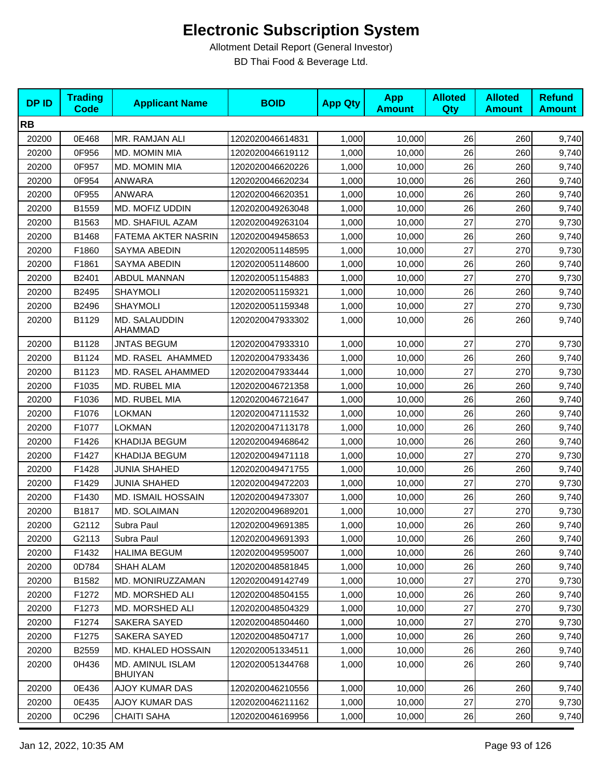| <b>DPID</b> | <b>Trading</b><br><b>Code</b> | <b>Applicant Name</b>              | <b>BOID</b>      | <b>App Qty</b> | <b>App</b><br><b>Amount</b> | <b>Alloted</b><br>Qty | <b>Alloted</b><br><b>Amount</b> | <b>Refund</b><br><b>Amount</b> |
|-------------|-------------------------------|------------------------------------|------------------|----------------|-----------------------------|-----------------------|---------------------------------|--------------------------------|
| <b>RB</b>   |                               |                                    |                  |                |                             |                       |                                 |                                |
| 20200       | 0E468                         | MR. RAMJAN ALI                     | 1202020046614831 | 1,000          | 10,000                      | 26                    | 260                             | 9,740                          |
| 20200       | 0F956                         | MD. MOMIN MIA                      | 1202020046619112 | 1,000          | 10,000                      | 26                    | 260                             | 9,740                          |
| 20200       | 0F957                         | MD. MOMIN MIA                      | 1202020046620226 | 1,000          | 10,000                      | 26                    | 260                             | 9,740                          |
| 20200       | 0F954                         | ANWARA                             | 1202020046620234 | 1,000          | 10,000                      | 26                    | 260                             | 9,740                          |
| 20200       | 0F955                         | <b>ANWARA</b>                      | 1202020046620351 | 1,000          | 10,000                      | 26                    | 260                             | 9,740                          |
| 20200       | B1559                         | MD. MOFIZ UDDIN                    | 1202020049263048 | 1,000          | 10,000                      | 26                    | 260                             | 9,740                          |
| 20200       | B1563                         | MD. SHAFIUL AZAM                   | 1202020049263104 | 1,000          | 10,000                      | 27                    | 270                             | 9,730                          |
| 20200       | B1468                         | FATEMA AKTER NASRIN                | 1202020049458653 | 1,000          | 10,000                      | 26                    | 260                             | 9,740                          |
| 20200       | F1860                         | SAYMA ABEDIN                       | 1202020051148595 | 1,000          | 10,000                      | 27                    | 270                             | 9,730                          |
| 20200       | F1861                         | <b>SAYMA ABEDIN</b>                | 1202020051148600 | 1,000          | 10,000                      | 26                    | 260                             | 9,740                          |
| 20200       | B2401                         | ABDUL MANNAN                       | 1202020051154883 | 1,000          | 10,000                      | 27                    | 270                             | 9,730                          |
| 20200       | B2495                         | <b>SHAYMOLI</b>                    | 1202020051159321 | 1,000          | 10,000                      | 26                    | 260                             | 9,740                          |
| 20200       | B2496                         | <b>SHAYMOLI</b>                    | 1202020051159348 | 1,000          | 10,000                      | 27                    | 270                             | 9,730                          |
| 20200       | B1129                         | MD. SALAUDDIN<br>AHAMMAD           | 1202020047933302 | 1,000          | 10,000                      | 26                    | 260                             | 9,740                          |
| 20200       | B1128                         | <b>JNTAS BEGUM</b>                 | 1202020047933310 | 1,000          | 10,000                      | 27                    | 270                             | 9,730                          |
| 20200       | B1124                         | MD. RASEL AHAMMED                  | 1202020047933436 | 1,000          | 10,000                      | 26                    | 260                             | 9,740                          |
| 20200       | B1123                         | MD. RASEL AHAMMED                  | 1202020047933444 | 1,000          | 10,000                      | 27                    | 270                             | 9,730                          |
| 20200       | F1035                         | MD. RUBEL MIA                      | 1202020046721358 | 1,000          | 10,000                      | 26                    | 260                             | 9,740                          |
| 20200       | F1036                         | MD. RUBEL MIA                      | 1202020046721647 | 1,000          | 10,000                      | 26                    | 260                             | 9,740                          |
| 20200       | F1076                         | <b>LOKMAN</b>                      | 1202020047111532 | 1,000          | 10,000                      | 26                    | 260                             | 9,740                          |
| 20200       | F1077                         | <b>LOKMAN</b>                      | 1202020047113178 | 1,000          | 10,000                      | 26                    | 260                             | 9,740                          |
| 20200       | F1426                         | KHADIJA BEGUM                      | 1202020049468642 | 1,000          | 10,000                      | 26                    | 260                             | 9,740                          |
| 20200       | F1427                         | KHADIJA BEGUM                      | 1202020049471118 | 1,000          | 10,000                      | 27                    | 270                             | 9,730                          |
| 20200       | F1428                         | <b>JUNIA SHAHED</b>                | 1202020049471755 | 1,000          | 10,000                      | 26                    | 260                             | 9,740                          |
| 20200       | F1429                         | <b>JUNIA SHAHED</b>                | 1202020049472203 | 1,000          | 10,000                      | 27                    | 270                             | 9,730                          |
| 20200       | F1430                         | <b>MD. ISMAIL HOSSAIN</b>          | 1202020049473307 | 1,000          | 10,000                      | 26                    | 260                             | 9,740                          |
| 20200       | B1817                         | MD. SOLAIMAN                       | 1202020049689201 | 1,000          | 10,000                      | 27                    | 270                             | 9,730                          |
| 20200       | G2112                         | Subra Paul                         | 1202020049691385 | 1,000          | 10,000                      | 26                    | 260                             | 9,740                          |
| 20200       | G2113                         | Subra Paul                         | 1202020049691393 | 1,000          | 10,000                      | 26                    | 260                             | 9,740                          |
| 20200       | F1432                         | <b>HALIMA BEGUM</b>                | 1202020049595007 | 1,000          | 10,000                      | 26                    | 260                             | 9,740                          |
| 20200       | 0D784                         | SHAH ALAM                          | 1202020048581845 | 1,000          | 10,000                      | 26                    | 260                             | 9,740                          |
| 20200       | B1582                         | MD. MONIRUZZAMAN                   | 1202020049142749 | 1,000          | 10,000                      | 27                    | 270                             | 9,730                          |
| 20200       | F1272                         | MD. MORSHED ALI                    | 1202020048504155 | 1,000          | 10,000                      | 26                    | 260                             | 9,740                          |
| 20200       | F1273                         | <b>MD. MORSHED ALI</b>             | 1202020048504329 | 1,000          | 10,000                      | 27                    | 270                             | 9,730                          |
| 20200       | F1274                         | SAKERA SAYED                       | 1202020048504460 | 1,000          | 10,000                      | 27                    | 270                             | 9,730                          |
| 20200       | F1275                         | SAKERA SAYED                       | 1202020048504717 | 1,000          | 10,000                      | 26                    | 260                             | 9,740                          |
| 20200       | B2559                         | MD. KHALED HOSSAIN                 | 1202020051334511 | 1,000          | 10,000                      | 26                    | 260                             | 9,740                          |
| 20200       | 0H436                         | MD. AMINUL ISLAM<br><b>BHUIYAN</b> | 1202020051344768 | 1,000          | 10,000                      | 26                    | 260                             | 9,740                          |
| 20200       | 0E436                         | <b>AJOY KUMAR DAS</b>              | 1202020046210556 | 1,000          | 10,000                      | 26                    | 260                             | 9,740                          |
| 20200       | 0E435                         | AJOY KUMAR DAS                     | 1202020046211162 | 1,000          | 10,000                      | 27                    | 270                             | 9,730                          |
| 20200       | 0C296                         | <b>CHAITI SAHA</b>                 | 1202020046169956 | 1,000          | 10,000                      | 26                    | 260                             | 9,740                          |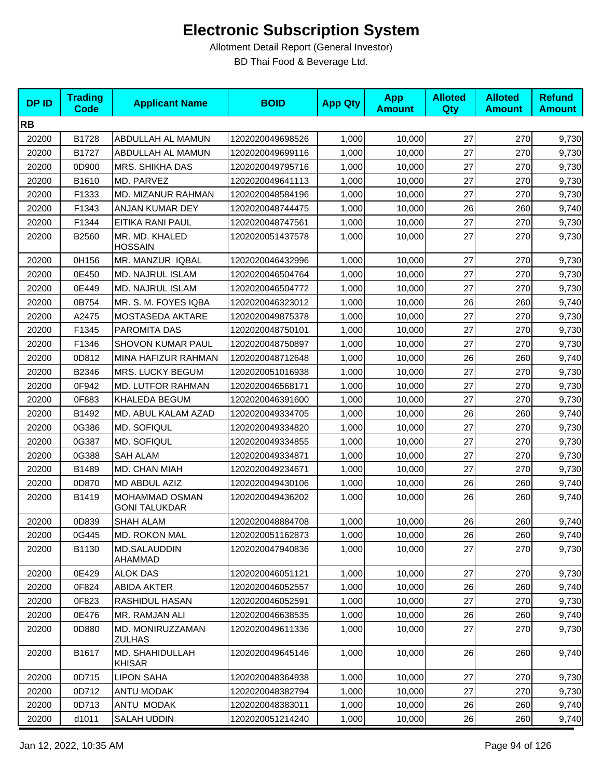| <b>DPID</b> | <b>Trading</b><br><b>Code</b> | <b>Applicant Name</b>                  | <b>BOID</b>      | <b>App Qty</b> | <b>App</b><br><b>Amount</b> | <b>Alloted</b><br><b>Qty</b> | <b>Alloted</b><br><b>Amount</b> | <b>Refund</b><br><b>Amount</b> |
|-------------|-------------------------------|----------------------------------------|------------------|----------------|-----------------------------|------------------------------|---------------------------------|--------------------------------|
| <b>RB</b>   |                               |                                        |                  |                |                             |                              |                                 |                                |
| 20200       | B1728                         | ABDULLAH AL MAMUN                      | 1202020049698526 | 1,000          | 10,000                      | 27                           | 270                             | 9,730                          |
| 20200       | B1727                         | ABDULLAH AL MAMUN                      | 1202020049699116 | 1,000          | 10,000                      | 27                           | 270                             | 9,730                          |
| 20200       | 0D900                         | <b>MRS. SHIKHA DAS</b>                 | 1202020049795716 | 1,000          | 10,000                      | 27                           | 270                             | 9,730                          |
| 20200       | B1610                         | MD. PARVEZ                             | 1202020049641113 | 1,000          | 10,000                      | 27                           | 270                             | 9,730                          |
| 20200       | F1333                         | MD. MIZANUR RAHMAN                     | 1202020048584196 | 1,000          | 10,000                      | 27                           | 270                             | 9,730                          |
| 20200       | F1343                         | ANJAN KUMAR DEY                        | 1202020048744475 | 1,000          | 10,000                      | 26                           | 260                             | 9,740                          |
| 20200       | F1344                         | EITIKA RANI PAUL                       | 1202020048747561 | 1,000          | 10,000                      | 27                           | 270                             | 9,730                          |
| 20200       | B2560                         | MR. MD. KHALED<br><b>HOSSAIN</b>       | 1202020051437578 | 1,000          | 10,000                      | 27                           | 270                             | 9,730                          |
| 20200       | 0H156                         | MR. MANZUR IQBAL                       | 1202020046432996 | 1,000          | 10,000                      | 27                           | 270                             | 9,730                          |
| 20200       | 0E450                         | MD. NAJRUL ISLAM                       | 1202020046504764 | 1,000          | 10,000                      | 27                           | 270                             | 9,730                          |
| 20200       | 0E449                         | MD. NAJRUL ISLAM                       | 1202020046504772 | 1,000          | 10,000                      | 27                           | 270                             | 9,730                          |
| 20200       | 0B754                         | MR. S. M. FOYES IQBA                   | 1202020046323012 | 1,000          | 10,000                      | 26                           | 260                             | 9,740                          |
| 20200       | A2475                         | MOSTASEDA AKTARE                       | 1202020049875378 | 1,000          | 10,000                      | 27                           | 270                             | 9,730                          |
| 20200       | F1345                         | PAROMITA DAS                           | 1202020048750101 | 1,000          | 10,000                      | 27                           | 270                             | 9,730                          |
| 20200       | F1346                         | SHOVON KUMAR PAUL                      | 1202020048750897 | 1,000          | 10,000                      | 27                           | 270                             | 9,730                          |
| 20200       | 0D812                         | MINA HAFIZUR RAHMAN                    | 1202020048712648 | 1,000          | 10,000                      | 26                           | 260                             | 9,740                          |
| 20200       | B2346                         | MRS. LUCKY BEGUM                       | 1202020051016938 | 1,000          | 10,000                      | 27                           | 270                             | 9,730                          |
| 20200       | 0F942                         | MD. LUTFOR RAHMAN                      | 1202020046568171 | 1,000          | 10,000                      | 27                           | 270                             | 9,730                          |
| 20200       | 0F883                         | KHALEDA BEGUM                          | 1202020046391600 | 1,000          | 10,000                      | 27                           | 270                             | 9,730                          |
| 20200       | B1492                         | MD. ABUL KALAM AZAD                    | 1202020049334705 | 1,000          | 10,000                      | 26                           | 260                             | 9,740                          |
| 20200       | 0G386                         | <b>MD. SOFIQUL</b>                     | 1202020049334820 | 1,000          | 10,000                      | 27                           | 270                             | 9,730                          |
| 20200       | 0G387                         | MD. SOFIQUL                            | 1202020049334855 | 1,000          | 10,000                      | 27                           | 270                             | 9,730                          |
| 20200       | 0G388                         | <b>SAH ALAM</b>                        | 1202020049334871 | 1,000          | 10,000                      | 27                           | 270                             | 9,730                          |
| 20200       | B1489                         | MD. CHAN MIAH                          | 1202020049234671 | 1,000          | 10,000                      | 27                           | 270                             | 9,730                          |
| 20200       | 0D870                         | MD ABDUL AZIZ                          | 1202020049430106 | 1,000          | 10,000                      | 26                           | 260                             | 9,740                          |
| 20200       | B1419                         | MOHAMMAD OSMAN<br><b>GONI TALUKDAR</b> | 1202020049436202 | 1,000          | 10,000                      | 26                           | 260                             | 9,740                          |
| 20200       | 0D839                         | SHAH ALAM                              | 1202020048884708 | 1,000          | 10,000                      | 26                           | 260                             | 9,740                          |
| 20200       | 0G445                         | MD. ROKON MAL                          | 1202020051162873 | 1,000          | 10,000                      | 26                           | 260                             | 9,740                          |
| 20200       | B1130                         | MD.SALAUDDIN<br>AHAMMAD                | 1202020047940836 | 1,000          | 10,000                      | 27                           | 270                             | 9,730                          |
| 20200       | 0E429                         | <b>ALOK DAS</b>                        | 1202020046051121 | 1,000          | 10,000                      | 27                           | 270                             | 9,730                          |
| 20200       | 0F824                         | <b>ABIDA AKTER</b>                     | 1202020046052557 | 1,000          | 10,000                      | 26                           | 260                             | 9,740                          |
| 20200       | 0F823                         | RASHIDUL HASAN                         | 1202020046052591 | 1,000          | 10,000                      | 27                           | 270                             | 9,730                          |
| 20200       | 0E476                         | MR. RAMJAN ALI                         | 1202020046638535 | 1,000          | 10,000                      | 26                           | 260                             | 9,740                          |
| 20200       | 0D880                         | MD. MONIRUZZAMAN<br>ZULHAS             | 1202020049611336 | 1,000          | 10,000                      | 27                           | 270                             | 9,730                          |
| 20200       | B1617                         | MD. SHAHIDULLAH<br><b>KHISAR</b>       | 1202020049645146 | 1,000          | 10,000                      | 26                           | 260                             | 9,740                          |
| 20200       | 0D715                         | <b>LIPON SAHA</b>                      | 1202020048364938 | 1,000          | 10,000                      | 27                           | 270                             | 9,730                          |
| 20200       | 0D712                         | ANTU MODAK                             | 1202020048382794 | 1,000          | 10,000                      | 27                           | 270                             | 9,730                          |
| 20200       | 0D713                         | ANTU MODAK                             | 1202020048383011 | 1,000          | 10,000                      | 26                           | 260                             | 9,740                          |
| 20200       | d1011                         | SALAH UDDIN                            | 1202020051214240 | 1,000          | 10,000                      | 26                           | 260                             | 9,740                          |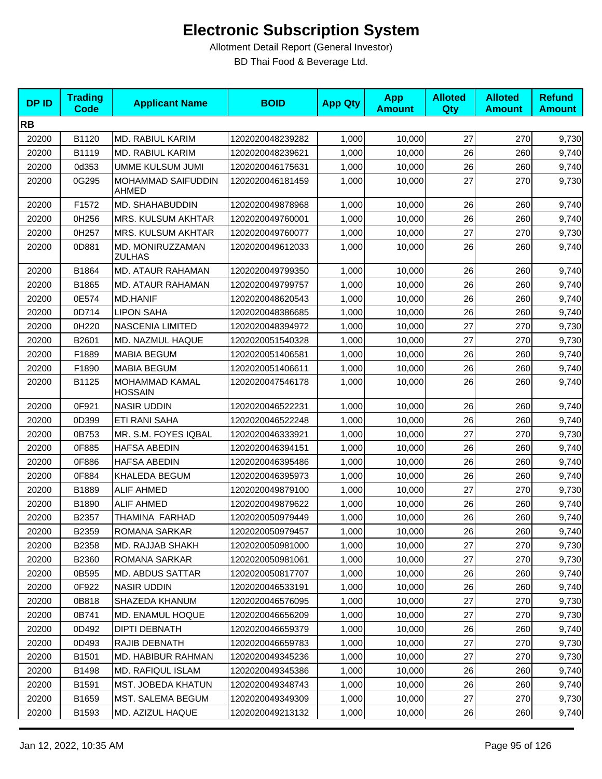| <b>DPID</b> | <b>Trading</b><br><b>Code</b> | <b>Applicant Name</b>              | <b>BOID</b>      | <b>App Qty</b> | <b>App</b><br><b>Amount</b> | <b>Alloted</b><br>Qty | <b>Alloted</b><br><b>Amount</b> | <b>Refund</b><br><b>Amount</b> |
|-------------|-------------------------------|------------------------------------|------------------|----------------|-----------------------------|-----------------------|---------------------------------|--------------------------------|
| <b>RB</b>   |                               |                                    |                  |                |                             |                       |                                 |                                |
| 20200       | B1120                         | MD. RABIUL KARIM                   | 1202020048239282 | 1,000          | 10,000                      | 27                    | 270                             | 9,730                          |
| 20200       | B1119                         | MD. RABIUL KARIM                   | 1202020048239621 | 1,000          | 10,000                      | 26                    | 260                             | 9,740                          |
| 20200       | 0d353                         | UMME KULSUM JUMI                   | 1202020046175631 | 1,000          | 10,000                      | 26                    | 260                             | 9,740                          |
| 20200       | 0G295                         | MOHAMMAD SAIFUDDIN<br><b>AHMED</b> | 1202020046181459 | 1,000          | 10,000                      | 27                    | 270                             | 9,730                          |
| 20200       | F1572                         | MD. SHAHABUDDIN                    | 1202020049878968 | 1,000          | 10,000                      | 26                    | 260                             | 9,740                          |
| 20200       | 0H256                         | MRS. KULSUM AKHTAR                 | 1202020049760001 | 1,000          | 10,000                      | 26                    | 260                             | 9,740                          |
| 20200       | 0H257                         | MRS. KULSUM AKHTAR                 | 1202020049760077 | 1,000          | 10,000                      | 27                    | 270                             | 9,730                          |
| 20200       | 0D881                         | MD. MONIRUZZAMAN<br><b>ZULHAS</b>  | 1202020049612033 | 1,000          | 10,000                      | 26                    | 260                             | 9,740                          |
| 20200       | B1864                         | MD. ATAUR RAHAMAN                  | 1202020049799350 | 1,000          | 10,000                      | 26                    | 260                             | 9,740                          |
| 20200       | B1865                         | MD. ATAUR RAHAMAN                  | 1202020049799757 | 1,000          | 10,000                      | 26                    | 260                             | 9,740                          |
| 20200       | 0E574                         | <b>MD.HANIF</b>                    | 1202020048620543 | 1,000          | 10,000                      | 26                    | 260                             | 9,740                          |
| 20200       | 0D714                         | <b>LIPON SAHA</b>                  | 1202020048386685 | 1,000          | 10,000                      | 26                    | 260                             | 9,740                          |
| 20200       | 0H220                         | <b>NASCENIA LIMITED</b>            | 1202020048394972 | 1,000          | 10,000                      | 27                    | 270                             | 9,730                          |
| 20200       | B2601                         | MD. NAZMUL HAQUE                   | 1202020051540328 | 1,000          | 10,000                      | 27                    | 270                             | 9,730                          |
| 20200       | F1889                         | <b>MABIA BEGUM</b>                 | 1202020051406581 | 1,000          | 10,000                      | 26                    | 260                             | 9,740                          |
| 20200       | F1890                         | <b>MABIA BEGUM</b>                 | 1202020051406611 | 1,000          | 10,000                      | 26                    | 260                             | 9,740                          |
| 20200       | B1125                         | MOHAMMAD KAMAL<br><b>HOSSAIN</b>   | 1202020047546178 | 1,000          | 10,000                      | 26                    | 260                             | 9,740                          |
| 20200       | 0F921                         | <b>NASIR UDDIN</b>                 | 1202020046522231 | 1,000          | 10,000                      | 26                    | 260                             | 9,740                          |
| 20200       | 0D399                         | ETI RANI SAHA                      | 1202020046522248 | 1,000          | 10,000                      | 26                    | 260                             | 9,740                          |
| 20200       | 0B753                         | MR. S.M. FOYES IQBAL               | 1202020046333921 | 1,000          | 10,000                      | 27                    | 270                             | 9,730                          |
| 20200       | 0F885                         | <b>HAFSA ABEDIN</b>                | 1202020046394151 | 1,000          | 10,000                      | 26                    | 260                             | 9,740                          |
| 20200       | 0F886                         | <b>HAFSA ABEDIN</b>                | 1202020046395486 | 1,000          | 10,000                      | 26                    | 260                             | 9,740                          |
| 20200       | 0F884                         | KHALEDA BEGUM                      | 1202020046395973 | 1,000          | 10,000                      | 26                    | 260                             | 9,740                          |
| 20200       | B1889                         | <b>ALIF AHMED</b>                  | 1202020049879100 | 1,000          | 10,000                      | 27                    | 270                             | 9,730                          |
| 20200       | B1890                         | <b>ALIF AHMED</b>                  | 1202020049879622 | 1,000          | 10,000                      | 26                    | 260                             | 9,740                          |
| 20200       | B2357                         | THAMINA FARHAD                     | 1202020050979449 | 1,000          | 10,000                      | 26                    | 260                             | 9,740                          |
| 20200       | B2359                         | ROMANA SARKAR                      | 1202020050979457 | 1,000          | 10,000                      | 26                    | 260                             | 9,740                          |
| 20200       | B2358                         | MD. RAJJAB SHAKH                   | 1202020050981000 | 1,000          | 10,000                      | 27                    | 270                             | 9,730                          |
| 20200       | B2360                         | ROMANA SARKAR                      | 1202020050981061 | 1,000          | 10,000                      | 27                    | 270                             | 9,730                          |
| 20200       | 0B595                         | <b>MD. ABDUS SATTAR</b>            | 1202020050817707 | 1,000          | 10,000                      | 26                    | 260                             | 9,740                          |
| 20200       | 0F922                         | <b>NASIR UDDIN</b>                 | 1202020046533191 | 1,000          | 10,000                      | 26                    | 260                             | 9,740                          |
| 20200       | 0B818                         | SHAZEDA KHANUM                     | 1202020046576095 | 1,000          | 10,000                      | 27                    | 270                             | 9,730                          |
| 20200       | 0B741                         | MD. ENAMUL HOQUE                   | 1202020046656209 | 1,000          | 10,000                      | 27                    | 270                             | 9,730                          |
| 20200       | 0D492                         | <b>DIPTI DEBNATH</b>               | 1202020046659379 | 1,000          | 10.000                      | 26                    | 260                             | 9,740                          |
| 20200       | 0D493                         | RAJIB DEBNATH                      | 1202020046659783 | 1,000          | 10,000                      | 27                    | 270                             | 9,730                          |
| 20200       | B1501                         | MD. HABIBUR RAHMAN                 | 1202020049345236 | 1,000          | 10,000                      | 27                    | 270                             | 9,730                          |
| 20200       | B1498                         | <b>MD. RAFIQUL ISLAM</b>           | 1202020049345386 | 1,000          | 10,000                      | 26                    | 260                             | 9,740                          |
| 20200       | B1591                         | MST. JOBEDA KHATUN                 | 1202020049348743 | 1,000          | 10,000                      | 26                    | 260                             | 9,740                          |
| 20200       | B1659                         | <b>MST. SALEMA BEGUM</b>           | 1202020049349309 | 1,000          | 10,000                      | 27                    | 270                             | 9,730                          |
| 20200       | B1593                         | MD. AZIZUL HAQUE                   | 1202020049213132 | 1,000          | 10,000                      | 26                    | 260                             | 9,740                          |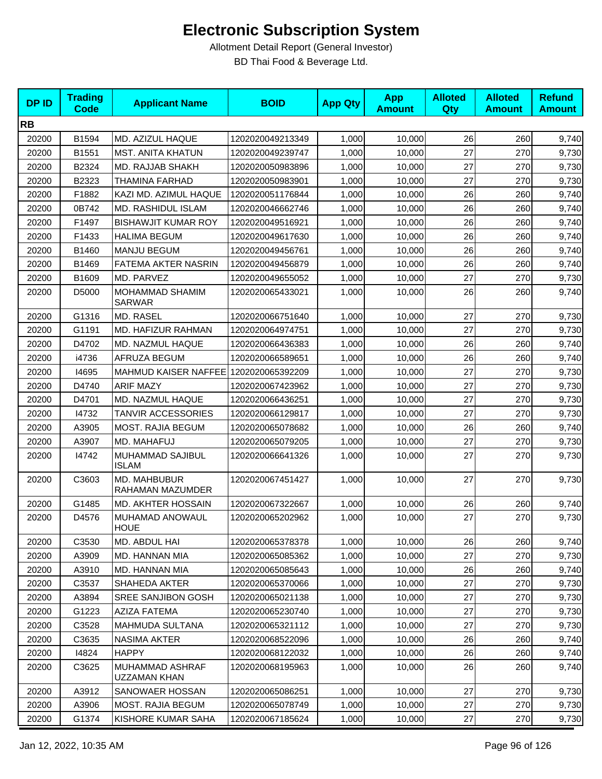| <b>DPID</b> | <b>Trading</b><br><b>Code</b> | <b>Applicant Name</b>                 | <b>BOID</b>      | <b>App Qty</b> | <b>App</b><br><b>Amount</b> | <b>Alloted</b><br><b>Qty</b> | <b>Alloted</b><br><b>Amount</b> | <b>Refund</b><br><b>Amount</b> |
|-------------|-------------------------------|---------------------------------------|------------------|----------------|-----------------------------|------------------------------|---------------------------------|--------------------------------|
| <b>RB</b>   |                               |                                       |                  |                |                             |                              |                                 |                                |
| 20200       | B1594                         | MD. AZIZUL HAQUE                      | 1202020049213349 | 1,000          | 10,000                      | 26                           | 260                             | 9,740                          |
| 20200       | B1551                         | <b>MST. ANITA KHATUN</b>              | 1202020049239747 | 1,000          | 10,000                      | 27                           | 270                             | 9,730                          |
| 20200       | B2324                         | MD. RAJJAB SHAKH                      | 1202020050983896 | 1,000          | 10,000                      | 27                           | 270                             | 9,730                          |
| 20200       | B2323                         | <b>THAMINA FARHAD</b>                 | 1202020050983901 | 1,000          | 10,000                      | 27                           | 270                             | 9,730                          |
| 20200       | F1882                         | KAZI MD. AZIMUL HAQUE                 | 1202020051176844 | 1,000          | 10,000                      | 26                           | 260                             | 9,740                          |
| 20200       | 0B742                         | MD. RASHIDUL ISLAM                    | 1202020046662746 | 1,000          | 10,000                      | 26                           | 260                             | 9,740                          |
| 20200       | F1497                         | <b>BISHAWJIT KUMAR ROY</b>            | 1202020049516921 | 1,000          | 10,000                      | 26                           | 260                             | 9,740                          |
| 20200       | F1433                         | <b>HALIMA BEGUM</b>                   | 1202020049617630 | 1,000          | 10,000                      | 26                           | 260                             | 9,740                          |
| 20200       | B1460                         | <b>MANJU BEGUM</b>                    | 1202020049456761 | 1,000          | 10,000                      | 26                           | 260                             | 9,740                          |
| 20200       | B1469                         | FATEMA AKTER NASRIN                   | 1202020049456879 | 1,000          | 10,000                      | 26                           | 260                             | 9,740                          |
| 20200       | B1609                         | MD. PARVEZ                            | 1202020049655052 | 1,000          | 10,000                      | 27                           | 270                             | 9,730                          |
| 20200       | D5000                         | MOHAMMAD SHAMIM<br><b>SARWAR</b>      | 1202020065433021 | 1,000          | 10,000                      | 26                           | 260                             | 9,740                          |
| 20200       | G1316                         | MD. RASEL                             | 1202020066751640 | 1,000          | 10,000                      | 27                           | 270                             | 9,730                          |
| 20200       | G1191                         | MD. HAFIZUR RAHMAN                    | 1202020064974751 | 1,000          | 10,000                      | 27                           | 270                             | 9,730                          |
| 20200       | D4702                         | MD. NAZMUL HAQUE                      | 1202020066436383 | 1,000          | 10,000                      | 26                           | 260                             | 9,740                          |
| 20200       | i4736                         | AFRUZA BEGUM                          | 1202020066589651 | 1,000          | 10,000                      | 26                           | 260                             | 9,740                          |
| 20200       | 14695                         | MAHMUD KAISER NAFFEE 1202020065392209 |                  | 1,000          | 10,000                      | 27                           | 270                             | 9,730                          |
| 20200       | D4740                         | <b>ARIF MAZY</b>                      | 1202020067423962 | 1,000          | 10,000                      | 27                           | 270                             | 9,730                          |
| 20200       | D4701                         | MD. NAZMUL HAQUE                      | 1202020066436251 | 1,000          | 10,000                      | 27                           | 270                             | 9,730                          |
| 20200       | 14732                         | <b>TANVIR ACCESSORIES</b>             | 1202020066129817 | 1,000          | 10,000                      | 27                           | 270                             | 9,730                          |
| 20200       | A3905                         | <b>MOST. RAJIA BEGUM</b>              | 1202020065078682 | 1,000          | 10,000                      | 26                           | 260                             | 9,740                          |
| 20200       | A3907                         | MD. MAHAFUJ                           | 1202020065079205 | 1,000          | 10,000                      | 27                           | 270                             | 9,730                          |
| 20200       | 14742                         | MUHAMMAD SAJIBUL<br><b>ISLAM</b>      | 1202020066641326 | 1,000          | 10,000                      | 27                           | 270                             | 9,730                          |
| 20200       | C3603                         | MD. MAHBUBUR<br>RAHAMAN MAZUMDER      | 1202020067451427 | 1,000          | 10,000                      | 27                           | 270                             | 9,730                          |
| 20200       | G1485                         | MD. AKHTER HOSSAIN                    | 1202020067322667 | 1,000          | 10,000                      | 26                           | 260                             | 9,740                          |
| 20200       | D4576                         | MUHAMAD ANOWAUL<br><b>HOUE</b>        | 1202020065202962 | 1,000          | 10,000                      | 27                           | 270                             | 9,730                          |
| 20200       | C3530                         | MD. ABDUL HAI                         | 1202020065378378 | 1,000          | 10,000                      | 26                           | 260                             | 9,740                          |
| 20200       | A3909                         | MD. HANNAN MIA                        | 1202020065085362 | 1,000          | 10,000                      | 27                           | 270                             | 9,730                          |
| 20200       | A3910                         | MD. HANNAN MIA                        | 1202020065085643 | 1,000          | 10,000                      | 26                           | 260                             | 9,740                          |
| 20200       | C3537                         | SHAHEDA AKTER                         | 1202020065370066 | 1,000          | 10,000                      | 27                           | 270                             | 9,730                          |
| 20200       | A3894                         | SREE SANJIBON GOSH                    | 1202020065021138 | 1,000          | 10,000                      | 27                           | 270                             | 9,730                          |
| 20200       | G1223                         | <b>AZIZA FATEMA</b>                   | 1202020065230740 | 1,000          | 10,000                      | 27                           | 270                             | 9,730                          |
| 20200       | C3528                         | MAHMUDA SULTANA                       | 1202020065321112 | 1,000          | 10,000                      | 27                           | 270                             | 9,730                          |
| 20200       | C3635                         | <b>NASIMA AKTER</b>                   | 1202020068522096 | 1,000          | 10.000                      | 26                           | 260                             | 9,740                          |
| 20200       | 14824                         | <b>HAPPY</b>                          | 1202020068122032 | 1,000          | 10,000                      | 26                           | 260                             | 9,740                          |
| 20200       | C3625                         | MUHAMMAD ASHRAF<br>UZZAMAN KHAN       | 1202020068195963 | 1,000          | 10,000                      | 26                           | 260                             | 9,740                          |
| 20200       | A3912                         | SANOWAER HOSSAN                       | 1202020065086251 | 1,000          | 10,000                      | 27                           | 270                             | 9,730                          |
| 20200       | A3906                         | <b>MOST. RAJIA BEGUM</b>              | 1202020065078749 | 1,000          | 10,000                      | 27                           | 270                             | 9,730                          |
| 20200       | G1374                         | KISHORE KUMAR SAHA                    | 1202020067185624 | 1,000          | 10,000                      | 27                           | 270                             | 9,730                          |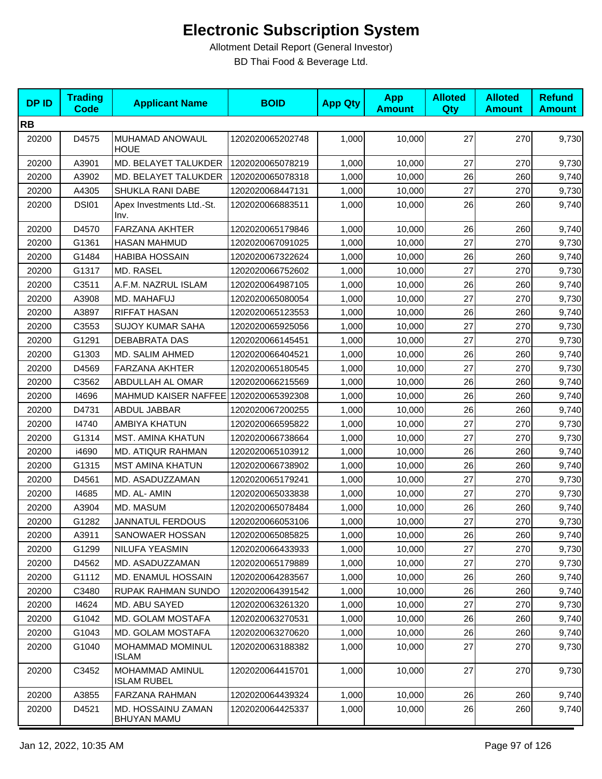| <b>DPID</b> | <b>Trading</b><br><b>Code</b> | <b>Applicant Name</b>                    | <b>BOID</b>      | <b>App Qty</b> | <b>App</b><br><b>Amount</b> | <b>Alloted</b><br>Qty | <b>Alloted</b><br><b>Amount</b> | <b>Refund</b><br><b>Amount</b> |
|-------------|-------------------------------|------------------------------------------|------------------|----------------|-----------------------------|-----------------------|---------------------------------|--------------------------------|
| <b>RB</b>   |                               |                                          |                  |                |                             |                       |                                 |                                |
| 20200       | D4575                         | MUHAMAD ANOWAUL<br><b>HOUE</b>           | 1202020065202748 | 1,000          | 10,000                      | 27                    | 270                             | 9,730                          |
| 20200       | A3901                         | MD. BELAYET TALUKDER                     | 1202020065078219 | 1,000          | 10,000                      | 27                    | 270                             | 9,730                          |
| 20200       | A3902                         | MD. BELAYET TALUKDER                     | 1202020065078318 | 1,000          | 10,000                      | 26                    | 260                             | 9,740                          |
| 20200       | A4305                         | SHUKLA RANI DABE                         | 1202020068447131 | 1,000          | 10,000                      | 27                    | 270                             | 9,730                          |
| 20200       | <b>DSI01</b>                  | Apex Investments Ltd.-St.<br>Inv.        | 1202020066883511 | 1,000          | 10,000                      | 26                    | 260                             | 9,740                          |
| 20200       | D4570                         | <b>FARZANA AKHTER</b>                    | 1202020065179846 | 1,000          | 10,000                      | 26                    | 260                             | 9,740                          |
| 20200       | G1361                         | <b>HASAN MAHMUD</b>                      | 1202020067091025 | 1,000          | 10,000                      | 27                    | 270                             | 9,730                          |
| 20200       | G1484                         | <b>HABIBA HOSSAIN</b>                    | 1202020067322624 | 1,000          | 10,000                      | 26                    | 260                             | 9,740                          |
| 20200       | G1317                         | MD. RASEL                                | 1202020066752602 | 1,000          | 10,000                      | 27                    | 270                             | 9,730                          |
| 20200       | C3511                         | A.F.M. NAZRUL ISLAM                      | 1202020064987105 | 1,000          | 10,000                      | 26                    | 260                             | 9,740                          |
| 20200       | A3908                         | MD. MAHAFUJ                              | 1202020065080054 | 1,000          | 10,000                      | 27                    | 270                             | 9,730                          |
| 20200       | A3897                         | <b>RIFFAT HASAN</b>                      | 1202020065123553 | 1,000          | 10,000                      | 26                    | 260                             | 9,740                          |
| 20200       | C3553                         | <b>SUJOY KUMAR SAHA</b>                  | 1202020065925056 | 1,000          | 10,000                      | 27                    | 270                             | 9,730                          |
| 20200       | G1291                         | <b>DEBABRATA DAS</b>                     | 1202020066145451 | 1,000          | 10,000                      | 27                    | 270                             | 9,730                          |
| 20200       | G1303                         | <b>MD. SALIM AHMED</b>                   | 1202020066404521 | 1,000          | 10,000                      | 26                    | 260                             | 9,740                          |
| 20200       | D4569                         | <b>FARZANA AKHTER</b>                    | 1202020065180545 | 1,000          | 10,000                      | 27                    | 270                             | 9,730                          |
| 20200       | C3562                         | ABDULLAH AL OMAR                         | 1202020066215569 | 1,000          | 10,000                      | 26                    | 260                             | 9,740                          |
| 20200       | 14696                         | MAHMUD KAISER NAFFEE                     | 1202020065392308 | 1,000          | 10,000                      | 26                    | 260                             | 9,740                          |
| 20200       | D4731                         | ABDUL JABBAR                             | 1202020067200255 | 1,000          | 10,000                      | 26                    | 260                             | 9,740                          |
| 20200       | 14740                         | AMBIYA KHATUN                            | 1202020066595822 | 1,000          | 10,000                      | 27                    | 270                             | 9,730                          |
| 20200       | G1314                         | <b>MST. AMINA KHATUN</b>                 | 1202020066738664 | 1,000          | 10,000                      | 27                    | 270                             | 9,730                          |
| 20200       | i4690                         | MD. ATIQUR RAHMAN                        | 1202020065103912 | 1,000          | 10,000                      | 26                    | 260                             | 9,740                          |
| 20200       | G1315                         | <b>MST AMINA KHATUN</b>                  | 1202020066738902 | 1,000          | 10,000                      | 26                    | 260                             | 9,740                          |
| 20200       | D4561                         | MD. ASADUZZAMAN                          | 1202020065179241 | 1,000          | 10,000                      | 27                    | 270                             | 9,730                          |
| 20200       | 14685                         | MD. AL-AMIN                              | 1202020065033838 | 1,000          | 10,000                      | 27                    | 270                             | 9,730                          |
| 20200       | A3904                         | MD. MASUM                                | 1202020065078484 | 1,000          | 10,000                      | 26                    | 260                             | 9,740                          |
| 20200       | G1282                         | <b>JANNATUL FERDOUS</b>                  | 1202020066053106 | 1,000          | 10,000                      | 27                    | 270                             | 9,730                          |
| 20200       | A3911                         | SANOWAER HOSSAN                          | 1202020065085825 | 1,000          | 10,000                      | 26                    | 260                             | 9,740                          |
| 20200       | G1299                         | NILUFA YEASMIN                           | 1202020066433933 | 1,000          | 10,000                      | 27                    | 270                             | 9,730                          |
| 20200       | D4562                         | MD. ASADUZZAMAN                          | 1202020065179889 | 1,000          | 10,000                      | 27                    | 270                             | 9,730                          |
| 20200       | G1112                         | MD. ENAMUL HOSSAIN                       | 1202020064283567 | 1,000          | 10,000                      | 26                    | 260                             | 9,740                          |
| 20200       | C3480                         | <b>RUPAK RAHMAN SUNDO</b>                | 1202020064391542 | 1,000          | 10,000                      | 26                    | 260                             | 9,740                          |
| 20200       | 14624                         | MD. ABU SAYED                            | 1202020063261320 | 1,000          | 10,000                      | 27                    | 270                             | 9,730                          |
| 20200       | G1042                         | MD. GOLAM MOSTAFA                        | 1202020063270531 | 1,000          | 10,000                      | 26                    | 260                             | 9,740                          |
| 20200       | G1043                         | MD. GOLAM MOSTAFA                        | 1202020063270620 | 1,000          | 10,000                      | 26                    | 260                             | 9,740                          |
| 20200       | G1040                         | <b>MOHAMMAD MOMINUL</b><br><b>ISLAM</b>  | 1202020063188382 | 1,000          | 10,000                      | 27                    | 270                             | 9,730                          |
| 20200       | C3452                         | MOHAMMAD AMINUL<br><b>ISLAM RUBEL</b>    | 1202020064415701 | 1,000          | 10,000                      | 27                    | 270                             | 9,730                          |
| 20200       | A3855                         | FARZANA RAHMAN                           | 1202020064439324 | 1,000          | 10,000                      | 26                    | 260                             | 9,740                          |
| 20200       | D4521                         | MD. HOSSAINU ZAMAN<br><b>BHUYAN MAMU</b> | 1202020064425337 | 1,000          | 10,000                      | 26                    | 260                             | 9,740                          |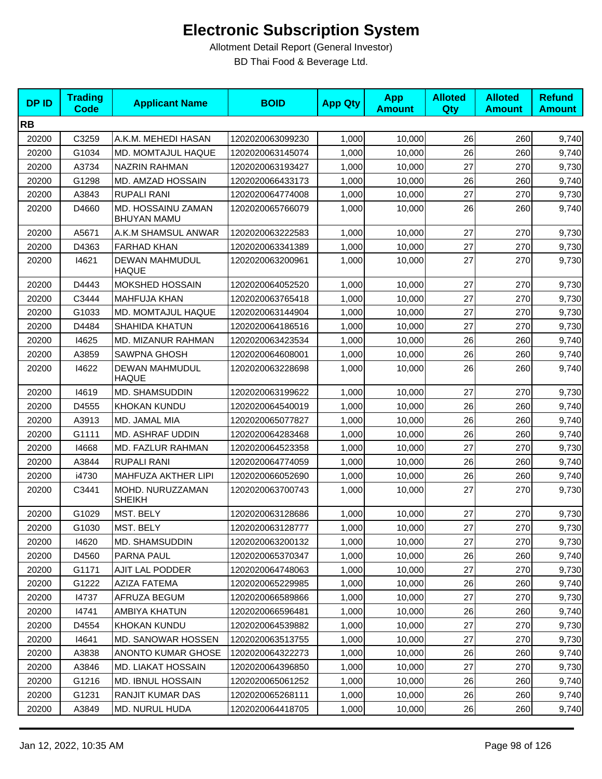| <b>DPID</b> | <b>Trading</b><br><b>Code</b> | <b>Applicant Name</b>                    | <b>BOID</b>      | <b>App Qty</b> | <b>App</b><br><b>Amount</b> | <b>Alloted</b><br><b>Qty</b> | <b>Alloted</b><br><b>Amount</b> | <b>Refund</b><br><b>Amount</b> |
|-------------|-------------------------------|------------------------------------------|------------------|----------------|-----------------------------|------------------------------|---------------------------------|--------------------------------|
| <b>RB</b>   |                               |                                          |                  |                |                             |                              |                                 |                                |
| 20200       | C3259                         | A.K.M. MEHEDI HASAN                      | 1202020063099230 | 1,000          | 10,000                      | 26                           | 260                             | 9,740                          |
| 20200       | G1034                         | MD. MOMTAJUL HAQUE                       | 1202020063145074 | 1,000          | 10,000                      | 26                           | 260                             | 9,740                          |
| 20200       | A3734                         | <b>NAZRIN RAHMAN</b>                     | 1202020063193427 | 1,000          | 10,000                      | 27                           | 270                             | 9,730                          |
| 20200       | G1298                         | MD. AMZAD HOSSAIN                        | 1202020066433173 | 1,000          | 10,000                      | 26                           | 260                             | 9,740                          |
| 20200       | A3843                         | <b>RUPALI RANI</b>                       | 1202020064774008 | 1,000          | 10,000                      | 27                           | 270                             | 9,730                          |
| 20200       | D4660                         | MD. HOSSAINU ZAMAN<br><b>BHUYAN MAMU</b> | 1202020065766079 | 1.000          | 10.000                      | 26                           | 260                             | 9,740                          |
| 20200       | A5671                         | A.K.M SHAMSUL ANWAR                      | 1202020063222583 | 1,000          | 10,000                      | 27                           | 270                             | 9,730                          |
| 20200       | D4363                         | <b>FARHAD KHAN</b>                       | 1202020063341389 | 1,000          | 10,000                      | 27                           | 270                             | 9,730                          |
| 20200       | 14621                         | <b>DEWAN MAHMUDUL</b><br><b>HAQUE</b>    | 1202020063200961 | 1,000          | 10,000                      | 27                           | 270                             | 9,730                          |
| 20200       | D4443                         | <b>MOKSHED HOSSAIN</b>                   | 1202020064052520 | 1,000          | 10,000                      | 27                           | 270                             | 9,730                          |
| 20200       | C3444                         | <b>MAHFUJA KHAN</b>                      | 1202020063765418 | 1,000          | 10,000                      | 27                           | 270                             | 9,730                          |
| 20200       | G1033                         | MD. MOMTAJUL HAQUE                       | 1202020063144904 | 1,000          | 10,000                      | 27                           | 270                             | 9,730                          |
| 20200       | D4484                         | <b>SHAHIDA KHATUN</b>                    | 1202020064186516 | 1,000          | 10,000                      | 27                           | 270                             | 9,730                          |
| 20200       | 14625                         | MD. MIZANUR RAHMAN                       | 1202020063423534 | 1,000          | 10,000                      | 26                           | 260                             | 9,740                          |
| 20200       | A3859                         | <b>SAWPNA GHOSH</b>                      | 1202020064608001 | 1,000          | 10,000                      | 26                           | 260                             | 9,740                          |
| 20200       | 14622                         | <b>DEWAN MAHMUDUL</b><br><b>HAQUE</b>    | 1202020063228698 | 1,000          | 10,000                      | 26                           | 260                             | 9,740                          |
| 20200       | 14619                         | MD. SHAMSUDDIN                           | 1202020063199622 | 1,000          | 10,000                      | 27                           | 270                             | 9,730                          |
| 20200       | D4555                         | KHOKAN KUNDU                             | 1202020064540019 | 1,000          | 10,000                      | 26                           | 260                             | 9,740                          |
| 20200       | A3913                         | MD. JAMAL MIA                            | 1202020065077827 | 1,000          | 10,000                      | 26                           | 260                             | 9,740                          |
| 20200       | G1111                         | <b>MD. ASHRAF UDDIN</b>                  | 1202020064283468 | 1,000          | 10,000                      | 26                           | 260                             | 9,740                          |
| 20200       | 14668                         | MD. FAZLUR RAHMAN                        | 1202020064523358 | 1,000          | 10,000                      | 27                           | 270                             | 9,730                          |
| 20200       | A3844                         | <b>RUPALI RANI</b>                       | 1202020064774059 | 1,000          | 10,000                      | 26                           | 260                             | 9,740                          |
| 20200       | i4730                         | MAHFUZA AKTHER LIPI                      | 1202020066052690 | 1,000          | 10,000                      | 26                           | 260                             | 9,740                          |
| 20200       | C3441                         | MOHD. NURUZZAMAN<br><b>SHEIKH</b>        | 1202020063700743 | 1,000          | 10,000                      | 27                           | 270                             | 9,730                          |
| 20200       | G1029                         | MST. BELY                                | 1202020063128686 | 1,000          | 10,000                      | 27                           | 270                             | 9,730                          |
| 20200       | G1030                         | MST. BELY                                | 1202020063128777 | 1,000          | 10,000                      | 27                           | 270                             | 9,730                          |
| 20200       | 14620                         | MD. SHAMSUDDIN                           | 1202020063200132 | 1,000          | 10,000                      | 27                           | 270                             | 9,730                          |
| 20200       | D4560                         | PARNA PAUL                               | 1202020065370347 | 1,000          | 10,000                      | 26                           | 260                             | 9,740                          |
| 20200       | G1171                         | AJIT LAL PODDER                          | 1202020064748063 | 1,000          | 10,000                      | 27                           | 270                             | 9,730                          |
| 20200       | G1222                         | <b>AZIZA FATEMA</b>                      | 1202020065229985 | 1,000          | 10,000                      | 26                           | 260                             | 9,740                          |
| 20200       | 14737                         | AFRUZA BEGUM                             | 1202020066589866 | 1,000          | 10,000                      | 27                           | 270                             | 9,730                          |
| 20200       | 14741                         | AMBIYA KHATUN                            | 1202020066596481 | 1,000          | 10,000                      | 26                           | 260                             | 9,740                          |
| 20200       | D4554                         | KHOKAN KUNDU                             | 1202020064539882 | 1,000          | 10,000                      | 27                           | 270                             | 9,730                          |
| 20200       | 14641                         | MD. SANOWAR HOSSEN                       | 1202020063513755 | 1,000          | 10,000                      | 27                           | 270                             | 9,730                          |
| 20200       | A3838                         | ANONTO KUMAR GHOSE                       | 1202020064322273 | 1,000          | 10,000                      | 26                           | 260                             | 9,740                          |
| 20200       | A3846                         | <b>MD. LIAKAT HOSSAIN</b>                | 1202020064396850 | 1,000          | 10,000                      | 27                           | 270                             | 9,730                          |
| 20200       | G1216                         | <b>MD. IBNUL HOSSAIN</b>                 | 1202020065061252 | 1,000          | 10,000                      | 26                           | 260                             | 9,740                          |
| 20200       | G1231                         | RANJIT KUMAR DAS                         | 1202020065268111 | 1,000          | 10,000                      | 26                           | 260                             | 9,740                          |
| 20200       | A3849                         | MD. NURUL HUDA                           | 1202020064418705 | 1,000          | 10,000                      | 26                           | 260                             | 9,740                          |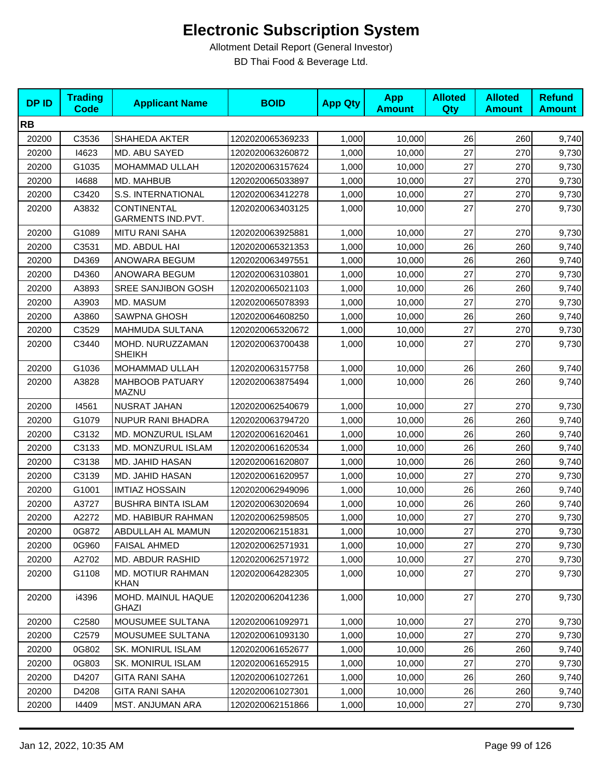| <b>DPID</b> | <b>Trading</b><br><b>Code</b> | <b>Applicant Name</b>                   | <b>BOID</b>      | <b>App Qty</b> | <b>App</b><br><b>Amount</b> | <b>Alloted</b><br>Qty | <b>Alloted</b><br><b>Amount</b> | <b>Refund</b><br><b>Amount</b> |
|-------------|-------------------------------|-----------------------------------------|------------------|----------------|-----------------------------|-----------------------|---------------------------------|--------------------------------|
| <b>RB</b>   |                               |                                         |                  |                |                             |                       |                                 |                                |
| 20200       | C3536                         | SHAHEDA AKTER                           | 1202020065369233 | 1,000          | 10,000                      | 26                    | 260                             | 9,740                          |
| 20200       | 14623                         | MD. ABU SAYED                           | 1202020063260872 | 1,000          | 10,000                      | 27                    | 270                             | 9,730                          |
| 20200       | G1035                         | MOHAMMAD ULLAH                          | 1202020063157624 | 1,000          | 10,000                      | 27                    | 270                             | 9,730                          |
| 20200       | 14688                         | MD. MAHBUB                              | 1202020065033897 | 1,000          | 10,000                      | 27                    | 270                             | 9,730                          |
| 20200       | C3420                         | S.S. INTERNATIONAL                      | 1202020063412278 | 1,000          | 10,000                      | 27                    | 270                             | 9,730                          |
| 20200       | A3832                         | <b>CONTINENTAL</b><br>GARMENTS IND.PVT. | 1202020063403125 | 1,000          | 10.000                      | 27                    | 270                             | 9,730                          |
| 20200       | G1089                         | <b>MITU RANI SAHA</b>                   | 1202020063925881 | 1,000          | 10,000                      | 27                    | 270                             | 9,730                          |
| 20200       | C3531                         | MD. ABDUL HAI                           | 1202020065321353 | 1,000          | 10,000                      | 26                    | 260                             | 9,740                          |
| 20200       | D4369                         | ANOWARA BEGUM                           | 1202020063497551 | 1,000          | 10,000                      | 26                    | 260                             | 9,740                          |
| 20200       | D4360                         | ANOWARA BEGUM                           | 1202020063103801 | 1,000          | 10,000                      | 27                    | 270                             | 9,730                          |
| 20200       | A3893                         | <b>SREE SANJIBON GOSH</b>               | 1202020065021103 | 1,000          | 10,000                      | 26                    | 260                             | 9,740                          |
| 20200       | A3903                         | MD. MASUM                               | 1202020065078393 | 1,000          | 10,000                      | 27                    | 270                             | 9,730                          |
| 20200       | A3860                         | <b>SAWPNA GHOSH</b>                     | 1202020064608250 | 1,000          | 10,000                      | 26                    | 260                             | 9,740                          |
| 20200       | C3529                         | <b>MAHMUDA SULTANA</b>                  | 1202020065320672 | 1,000          | 10,000                      | 27                    | 270                             | 9,730                          |
| 20200       | C3440                         | MOHD. NURUZZAMAN<br><b>SHEIKH</b>       | 1202020063700438 | 1,000          | 10,000                      | 27                    | 270                             | 9,730                          |
| 20200       | G1036                         | MOHAMMAD ULLAH                          | 1202020063157758 | 1,000          | 10,000                      | 26                    | 260                             | 9,740                          |
| 20200       | A3828                         | <b>MAHBOOB PATUARY</b><br><b>MAZNU</b>  | 1202020063875494 | 1,000          | 10,000                      | 26                    | 260                             | 9,740                          |
| 20200       | 14561                         | NUSRAT JAHAN                            | 1202020062540679 | 1,000          | 10,000                      | 27                    | 270                             | 9,730                          |
| 20200       | G1079                         | NUPUR RANI BHADRA                       | 1202020063794720 | 1,000          | 10,000                      | 26                    | 260                             | 9,740                          |
| 20200       | C3132                         | MD. MONZURUL ISLAM                      | 1202020061620461 | 1,000          | 10,000                      | 26                    | 260                             | 9,740                          |
| 20200       | C3133                         | MD. MONZURUL ISLAM                      | 1202020061620534 | 1,000          | 10,000                      | 26                    | 260                             | 9,740                          |
| 20200       | C3138                         | MD. JAHID HASAN                         | 1202020061620807 | 1,000          | 10,000                      | 26                    | 260                             | 9,740                          |
| 20200       | C3139                         | MD. JAHID HASAN                         | 1202020061620957 | 1,000          | 10,000                      | 27                    | 270                             | 9,730                          |
| 20200       | G1001                         | <b>IMTIAZ HOSSAIN</b>                   | 1202020062949096 | 1,000          | 10,000                      | 26                    | 260                             | 9,740                          |
| 20200       | A3727                         | <b>BUSHRA BINTA ISLAM</b>               | 1202020063020694 | 1,000          | 10,000                      | 26                    | 260                             | 9,740                          |
| 20200       | A2272                         | MD. HABIBUR RAHMAN                      | 1202020062598505 | 1,000          | 10,000                      | 27                    | 270                             | 9,730                          |
| 20200       | 0G872                         | ABDULLAH AL MAMUN                       | 1202020062151831 | 1,000          | 10,000                      | 27                    | 270                             | 9,730                          |
| 20200       | 0G960                         | <b>FAISAL AHMED</b>                     | 1202020062571931 | 1,000          | 10,000                      | 27                    | 270                             | 9,730                          |
| 20200       | A2702                         | <b>MD. ABDUR RASHID</b>                 | 1202020062571972 | 1,000          | 10,000                      | 27                    | 270                             | 9,730                          |
| 20200       | G1108                         | <b>MD. MOTIUR RAHMAN</b><br><b>KHAN</b> | 1202020064282305 | 1,000          | 10,000                      | 27                    | 270                             | 9,730                          |
| 20200       | i4396                         | MOHD. MAINUL HAQUE<br>GHAZI             | 1202020062041236 | 1,000          | 10,000                      | 27                    | 270                             | 9,730                          |
| 20200       | C2580                         | MOUSUMEE SULTANA                        | 1202020061092971 | 1,000          | 10,000                      | 27                    | 270                             | 9,730                          |
| 20200       | C2579                         | MOUSUMEE SULTANA                        | 1202020061093130 | 1,000          | 10,000                      | 27                    | 270                             | 9,730                          |
| 20200       | 0G802                         | <b>SK. MONIRUL ISLAM</b>                | 1202020061652677 | 1,000          | 10,000                      | 26                    | 260                             | 9,740                          |
| 20200       | 0G803                         | SK. MONIRUL ISLAM                       | 1202020061652915 | 1,000          | 10,000                      | 27                    | 270                             | 9,730                          |
| 20200       | D4207                         | <b>GITA RANI SAHA</b>                   | 1202020061027261 | 1,000          | 10,000                      | 26                    | 260                             | 9,740                          |
| 20200       | D4208                         | <b>GITA RANI SAHA</b>                   | 1202020061027301 | 1,000          | 10,000                      | 26                    | 260                             | 9,740                          |
| 20200       | 14409                         | MST. ANJUMAN ARA                        | 1202020062151866 | 1,000          | 10,000                      | 27                    | 270                             | 9,730                          |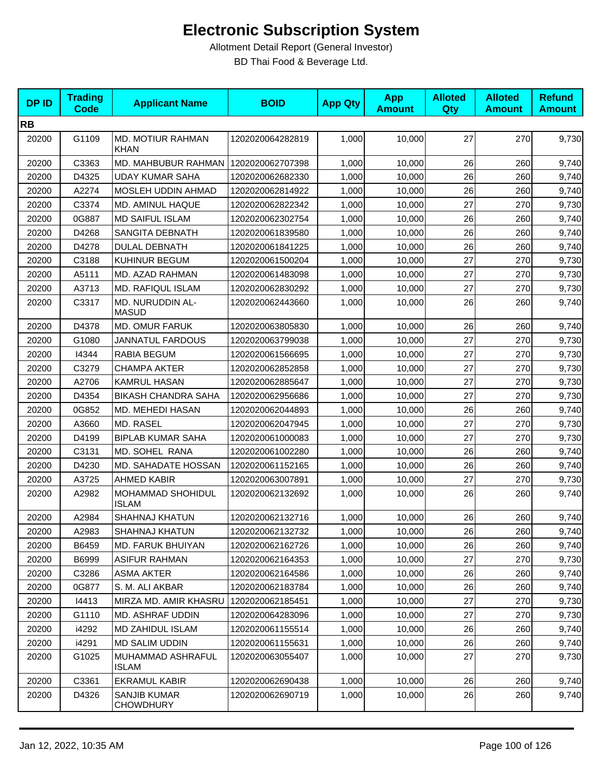| <b>DPID</b> | <b>Trading</b><br><b>Code</b> | <b>Applicant Name</b>                   | <b>BOID</b>      | <b>App Qty</b> | <b>App</b><br><b>Amount</b> | <b>Alloted</b><br><b>Qty</b> | <b>Alloted</b><br><b>Amount</b> | <b>Refund</b><br><b>Amount</b> |
|-------------|-------------------------------|-----------------------------------------|------------------|----------------|-----------------------------|------------------------------|---------------------------------|--------------------------------|
| <b>RB</b>   |                               |                                         |                  |                |                             |                              |                                 |                                |
| 20200       | G1109                         | MD. MOTIUR RAHMAN<br><b>KHAN</b>        | 1202020064282819 | 1,000          | 10,000                      | 27                           | 270                             | 9,730                          |
| 20200       | C3363                         | MD. MAHBUBUR RAHMAN                     | 1202020062707398 | 1,000          | 10,000                      | 26                           | 260                             | 9,740                          |
| 20200       | D4325                         | UDAY KUMAR SAHA                         | 1202020062682330 | 1,000          | 10,000                      | 26                           | 260                             | 9,740                          |
| 20200       | A2274                         | MOSLEH UDDIN AHMAD                      | 1202020062814922 | 1,000          | 10,000                      | 26                           | 260                             | 9,740                          |
| 20200       | C3374                         | MD. AMINUL HAQUE                        | 1202020062822342 | 1,000          | 10,000                      | 27                           | 270                             | 9,730                          |
| 20200       | 0G887                         | <b>MD SAIFUL ISLAM</b>                  | 1202020062302754 | 1,000          | 10,000                      | 26                           | 260                             | 9,740                          |
| 20200       | D4268                         | SANGITA DEBNATH                         | 1202020061839580 | 1,000          | 10,000                      | 26                           | 260                             | 9,740                          |
| 20200       | D4278                         | <b>DULAL DEBNATH</b>                    | 1202020061841225 | 1,000          | 10,000                      | 26                           | 260                             | 9,740                          |
| 20200       | C3188                         | KUHINUR BEGUM                           | 1202020061500204 | 1,000          | 10,000                      | 27                           | 270                             | 9,730                          |
| 20200       | A5111                         | MD. AZAD RAHMAN                         | 1202020061483098 | 1,000          | 10,000                      | 27                           | 270                             | 9,730                          |
| 20200       | A3713                         | <b>MD. RAFIQUL ISLAM</b>                | 1202020062830292 | 1,000          | 10,000                      | 27                           | 270                             | 9,730                          |
| 20200       | C3317                         | MD. NURUDDIN AL-<br><b>MASUD</b>        | 1202020062443660 | 1,000          | 10,000                      | 26                           | 260                             | 9,740                          |
| 20200       | D4378                         | <b>MD. OMUR FARUK</b>                   | 1202020063805830 | 1,000          | 10,000                      | 26                           | 260                             | 9,740                          |
| 20200       | G1080                         | <b>JANNATUL FARDOUS</b>                 | 1202020063799038 | 1,000          | 10,000                      | 27                           | 270                             | 9,730                          |
| 20200       | 14344                         | RABIA BEGUM                             | 1202020061566695 | 1,000          | 10,000                      | 27                           | 270                             | 9,730                          |
| 20200       | C3279                         | <b>CHAMPA AKTER</b>                     | 1202020062852858 | 1,000          | 10,000                      | 27                           | 270                             | 9,730                          |
| 20200       | A2706                         | <b>KAMRUL HASAN</b>                     | 1202020062885647 | 1,000          | 10,000                      | 27                           | 270                             | 9,730                          |
| 20200       | D4354                         | <b>BIKASH CHANDRA SAHA</b>              | 1202020062956686 | 1,000          | 10,000                      | 27                           | 270                             | 9,730                          |
| 20200       | 0G852                         | MD. MEHEDI HASAN                        | 1202020062044893 | 1,000          | 10,000                      | 26                           | 260                             | 9,740                          |
| 20200       | A3660                         | MD. RASEL                               | 1202020062047945 | 1,000          | 10,000                      | 27                           | 270                             | 9,730                          |
| 20200       | D4199                         | <b>BIPLAB KUMAR SAHA</b>                | 1202020061000083 | 1,000          | 10,000                      | 27                           | 270                             | 9,730                          |
| 20200       | C3131                         | MD. SOHEL RANA                          | 1202020061002280 | 1,000          | 10,000                      | 26                           | 260                             | 9,740                          |
| 20200       | D4230                         | MD. SAHADATE HOSSAN                     | 1202020061152165 | 1,000          | 10,000                      | 26                           | 260                             | 9,740                          |
| 20200       | A3725                         | <b>AHMED KABIR</b>                      | 1202020063007891 | 1,000          | 10,000                      | 27                           | 270                             | 9,730                          |
| 20200       | A2982                         | MOHAMMAD SHOHIDUL<br><b>ISLAM</b>       | 1202020062132692 | 1,000          | 10,000                      | 26                           | 260                             | 9,740                          |
| 20200       | A2984                         | SHAHNAJ KHATUN                          | 1202020062132716 | 1,000          | 10,000                      | 26                           | 260                             | 9,740                          |
| 20200       | A2983                         | SHAHNAJ KHATUN                          | 1202020062132732 | 1,000          | 10,000                      | 26                           | 260                             | 9,740                          |
| 20200       | B6459                         | <b>MD. FARUK BHUIYAN</b>                | 1202020062162726 | 1,000          | 10.000                      | 26                           | 260                             | 9,740                          |
| 20200       | B6999                         | <b>ASIFUR RAHMAN</b>                    | 1202020062164353 | 1,000          | 10,000                      | 27                           | 270                             | 9,730                          |
| 20200       | C3286                         | <b>ASMA AKTER</b>                       | 1202020062164586 | 1,000          | 10,000                      | 26                           | 260                             | 9,740                          |
| 20200       | 0G877                         | S. M. ALI AKBAR                         | 1202020062183784 | 1,000          | 10,000                      | 26                           | 260                             | 9,740                          |
| 20200       | 14413                         | MIRZA MD. AMIR KHASRU                   | 1202020062185451 | 1,000          | 10,000                      | 27                           | 270                             | 9,730                          |
| 20200       | G1110                         | MD. ASHRAF UDDIN                        | 1202020064283096 | 1,000          | 10,000                      | 27                           | 270                             | 9,730                          |
| 20200       | i4292                         | MD ZAHIDUL ISLAM                        | 1202020061155514 | 1,000          | 10,000                      | 26                           | 260                             | 9,740                          |
| 20200       | i4291                         | <b>MD SALIM UDDIN</b>                   | 1202020061155631 | 1,000          | 10,000                      | 26                           | 260                             | 9,740                          |
| 20200       | G1025                         | MUHAMMAD ASHRAFUL<br><b>ISLAM</b>       | 1202020063055407 | 1,000          | 10,000                      | 27                           | 270                             | 9,730                          |
| 20200       | C3361                         | EKRAMUL KABIR                           | 1202020062690438 | 1,000          | 10,000                      | 26                           | 260                             | 9,740                          |
| 20200       | D4326                         | <b>SANJIB KUMAR</b><br><b>CHOWDHURY</b> | 1202020062690719 | 1,000          | 10,000                      | 26                           | 260                             | 9,740                          |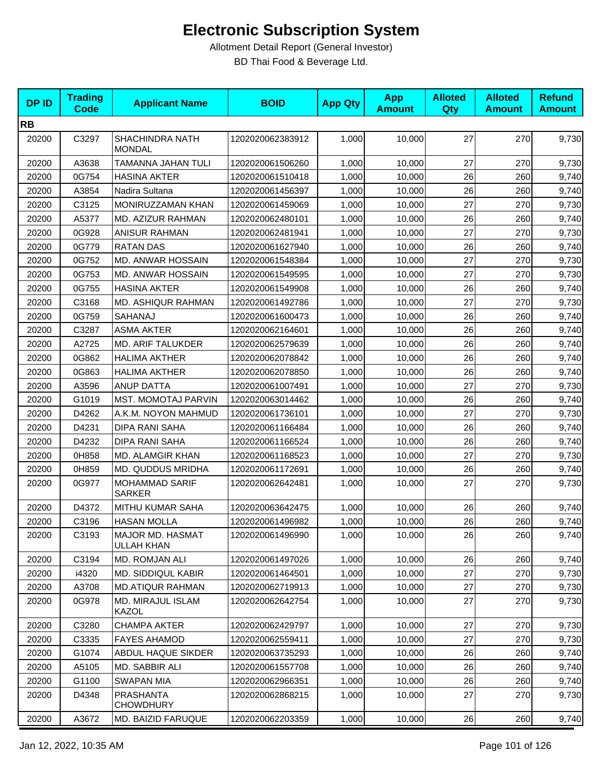| <b>DPID</b> | <b>Trading</b><br><b>Code</b> | <b>Applicant Name</b>                   | <b>BOID</b>      | <b>App Qty</b> | <b>App</b><br><b>Amount</b> | <b>Alloted</b><br><b>Qty</b> | <b>Alloted</b><br><b>Amount</b> | <b>Refund</b><br><b>Amount</b> |
|-------------|-------------------------------|-----------------------------------------|------------------|----------------|-----------------------------|------------------------------|---------------------------------|--------------------------------|
| <b>RB</b>   |                               |                                         |                  |                |                             |                              |                                 |                                |
| 20200       | C3297                         | <b>SHACHINDRA NATH</b><br><b>MONDAL</b> | 1202020062383912 | 1,000          | 10,000                      | 27                           | 270                             | 9,730                          |
| 20200       | A3638                         | TAMANNA JAHAN TULI                      | 1202020061506260 | 1,000          | 10,000                      | 27                           | 270                             | 9,730                          |
| 20200       | 0G754                         | <b>HASINA AKTER</b>                     | 1202020061510418 | 1,000          | 10,000                      | 26                           | 260                             | 9,740                          |
| 20200       | A3854                         | Nadira Sultana                          | 1202020061456397 | 1,000          | 10.000                      | 26                           | 260                             | 9,740                          |
| 20200       | C3125                         | MONIRUZZAMAN KHAN                       | 1202020061459069 | 1,000          | 10,000                      | 27                           | 270                             | 9,730                          |
| 20200       | A5377                         | MD. AZIZUR RAHMAN                       | 1202020062480101 | 1,000          | 10,000                      | 26                           | 260                             | 9,740                          |
| 20200       | 0G928                         | <b>ANISUR RAHMAN</b>                    | 1202020062481941 | 1,000          | 10,000                      | 27                           | 270                             | 9,730                          |
| 20200       | 0G779                         | <b>RATAN DAS</b>                        | 1202020061627940 | 1,000          | 10,000                      | 26                           | 260                             | 9,740                          |
| 20200       | 0G752                         | MD. ANWAR HOSSAIN                       | 1202020061548384 | 1,000          | 10,000                      | 27                           | 270                             | 9,730                          |
| 20200       | 0G753                         | MD. ANWAR HOSSAIN                       | 1202020061549595 | 1,000          | 10,000                      | 27                           | 270                             | 9,730                          |
| 20200       | 0G755                         | <b>HASINA AKTER</b>                     | 1202020061549908 | 1,000          | 10,000                      | 26                           | 260                             | 9,740                          |
| 20200       | C3168                         | MD. ASHIQUR RAHMAN                      | 1202020061492786 | 1,000          | 10,000                      | 27                           | 270                             | 9,730                          |
| 20200       | 0G759                         | SAHANAJ                                 | 1202020061600473 | 1,000          | 10.000                      | 26                           | 260                             | 9,740                          |
| 20200       | C3287                         | <b>ASMA AKTER</b>                       | 1202020062164601 | 1,000          | 10.000                      | 26                           | 260                             | 9,740                          |
| 20200       | A2725                         | MD. ARIF TALUKDER                       | 1202020062579639 | 1,000          | 10,000                      | 26                           | 260                             | 9,740                          |
| 20200       | 0G862                         | <b>HALIMA AKTHER</b>                    | 1202020062078842 | 1,000          | 10,000                      | 26                           | 260                             | 9,740                          |
| 20200       | 0G863                         | <b>HALIMA AKTHER</b>                    | 1202020062078850 | 1,000          | 10,000                      | 26                           | 260                             | 9,740                          |
| 20200       | A3596                         | <b>ANUP DATTA</b>                       | 1202020061007491 | 1,000          | 10,000                      | 27                           | 270                             | 9,730                          |
| 20200       | G1019                         | <b>MST. MOMOTAJ PARVIN</b>              | 1202020063014462 | 1,000          | 10,000                      | 26                           | 260                             | 9,740                          |
| 20200       | D4262                         | A.K.M. NOYON MAHMUD                     | 1202020061736101 | 1,000          | 10,000                      | 27                           | 270                             | 9,730                          |
| 20200       | D4231                         | DIPA RANI SAHA                          | 1202020061166484 | 1,000          | 10,000                      | 26                           | 260                             | 9,740                          |
| 20200       | D4232                         | <b>DIPA RANI SAHA</b>                   | 1202020061166524 | 1,000          | 10,000                      | 26                           | 260                             | 9,740                          |
| 20200       | 0H858                         | MD. ALAMGIR KHAN                        | 1202020061168523 | 1,000          | 10,000                      | 27                           | 270                             | 9,730                          |
| 20200       | 0H859                         | MD. QUDDUS MRIDHA                       | 1202020061172691 | 1,000          | 10,000                      | 26                           | 260                             | 9,740                          |
| 20200       | 0G977                         | <b>MOHAMMAD SARIF</b><br><b>SARKER</b>  | 1202020062642481 | 1,000          | 10,000                      | 27                           | 270                             | 9,730                          |
| 20200       | D4372                         | MITHU KUMAR SAHA                        | 1202020063642475 | 1,000          | 10,000                      | 26                           | 260                             | 9,740                          |
| 20200       | C3196                         | <b>HASAN MOLLA</b>                      | 1202020061496982 | 1,000          | 10,000                      | 26                           | 260                             | 9,740                          |
| 20200       | C3193                         | MAJOR MD. HASMAT<br><b>ULLAH KHAN</b>   | 1202020061496990 | 1,000          | 10,000                      | 26                           | 260                             | 9,740                          |
| 20200       | C3194                         | MD. ROMJAN ALI                          | 1202020061497026 | 1,000          | 10,000                      | 26                           | 260                             | 9,740                          |
| 20200       | i4320                         | MD. SIDDIQUL KABIR                      | 1202020061464501 | 1,000          | 10,000                      | 27                           | 270                             | 9,730                          |
| 20200       | A3708                         | <b>MD.ATIQUR RAHMAN</b>                 | 1202020062719913 | 1,000          | 10,000                      | 27                           | 270                             | 9,730                          |
| 20200       | 0G978                         | MD. MIRAJUL ISLAM<br>KAZOL              | 1202020062642754 | 1,000          | 10,000                      | 27                           | 270                             | 9,730                          |
| 20200       | C3280                         | <b>CHAMPA AKTER</b>                     | 1202020062429797 | 1,000          | 10,000                      | 27                           | 270                             | 9,730                          |
| 20200       | C3335                         | <b>FAYES AHAMOD</b>                     | 1202020062559411 | 1,000          | 10,000                      | 27                           | 270                             | 9,730                          |
| 20200       | G1074                         | ABDUL HAQUE SIKDER                      | 1202020063735293 | 1,000          | 10,000                      | 26                           | 260                             | 9,740                          |
| 20200       | A5105                         | MD. SABBIR ALI                          | 1202020061557708 | 1,000          | 10,000                      | 26                           | 260                             | 9,740                          |
| 20200       | G1100                         | <b>SWAPAN MIA</b>                       | 1202020062966351 | 1,000          | 10,000                      | 26                           | 260                             | 9,740                          |
| 20200       | D4348                         | <b>PRASHANTA</b><br><b>CHOWDHURY</b>    | 1202020062868215 | 1,000          | 10,000                      | 27                           | 270                             | 9,730                          |
| 20200       | A3672                         | MD. BAIZID FARUQUE                      | 1202020062203359 | 1,000          | 10,000                      | 26                           | 260                             | 9,740                          |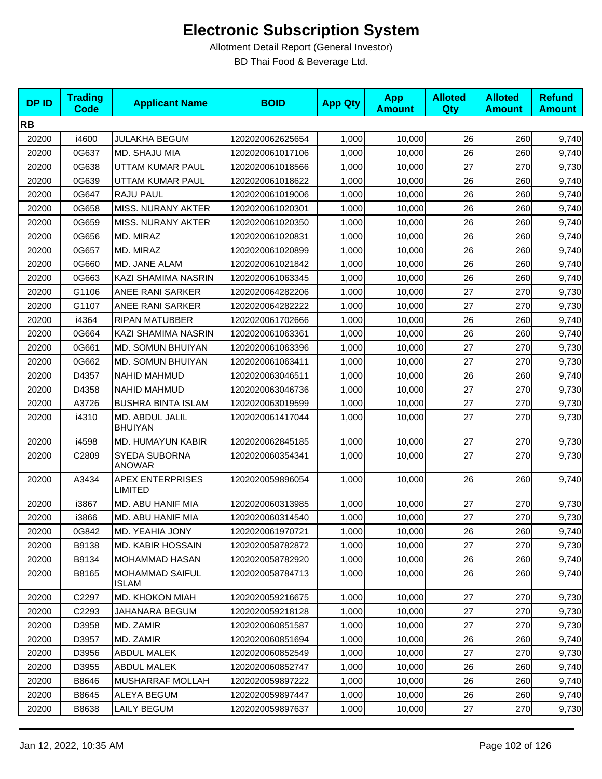| <b>DPID</b> | <b>Trading</b><br><b>Code</b> | <b>Applicant Name</b>                     | <b>BOID</b>      | <b>App Qty</b> | <b>App</b><br><b>Amount</b> | <b>Alloted</b><br><b>Qty</b> | <b>Alloted</b><br><b>Amount</b> | <b>Refund</b><br><b>Amount</b> |
|-------------|-------------------------------|-------------------------------------------|------------------|----------------|-----------------------------|------------------------------|---------------------------------|--------------------------------|
| <b>RB</b>   |                               |                                           |                  |                |                             |                              |                                 |                                |
| 20200       | i4600                         | <b>JULAKHA BEGUM</b>                      | 1202020062625654 | 1,000          | 10,000                      | 26                           | 260                             | 9,740                          |
| 20200       | 0G637                         | MD. SHAJU MIA                             | 1202020061017106 | 1,000          | 10,000                      | 26                           | 260                             | 9,740                          |
| 20200       | 0G638                         | UTTAM KUMAR PAUL                          | 1202020061018566 | 1,000          | 10,000                      | 27                           | 270                             | 9,730                          |
| 20200       | 0G639                         | UTTAM KUMAR PAUL                          | 1202020061018622 | 1,000          | 10,000                      | 26                           | 260                             | 9,740                          |
| 20200       | 0G647                         | RAJU PAUL                                 | 1202020061019006 | 1,000          | 10,000                      | 26                           | 260                             | 9,740                          |
| 20200       | 0G658                         | MISS. NURANY AKTER                        | 1202020061020301 | 1,000          | 10.000                      | 26                           | 260                             | 9,740                          |
| 20200       | 0G659                         | MISS. NURANY AKTER                        | 1202020061020350 | 1,000          | 10,000                      | 26                           | 260                             | 9,740                          |
| 20200       | 0G656                         | MD. MIRAZ                                 | 1202020061020831 | 1,000          | 10,000                      | 26                           | 260                             | 9,740                          |
| 20200       | 0G657                         | MD. MIRAZ                                 | 1202020061020899 | 1,000          | 10,000                      | 26                           | 260                             | 9,740                          |
| 20200       | 0G660                         | MD. JANE ALAM                             | 1202020061021842 | 1,000          | 10,000                      | 26                           | 260                             | 9,740                          |
| 20200       | 0G663                         | KAZI SHAMIMA NASRIN                       | 1202020061063345 | 1,000          | 10,000                      | 26                           | 260                             | 9,740                          |
| 20200       | G1106                         | ANEE RANI SARKER                          | 1202020064282206 | 1,000          | 10,000                      | 27                           | 270                             | 9,730                          |
| 20200       | G1107                         | ANEE RANI SARKER                          | 1202020064282222 | 1,000          | 10,000                      | 27                           | 270                             | 9,730                          |
| 20200       | i4364                         | <b>RIPAN MATUBBER</b>                     | 1202020061702666 | 1,000          | 10,000                      | 26                           | 260                             | 9,740                          |
| 20200       | 0G664                         | KAZI SHAMIMA NASRIN                       | 1202020061063361 | 1,000          | 10,000                      | 26                           | 260                             | 9,740                          |
| 20200       | 0G661                         | MD. SOMUN BHUIYAN                         | 1202020061063396 | 1,000          | 10,000                      | 27                           | 270                             | 9,730                          |
| 20200       | 0G662                         | MD. SOMUN BHUIYAN                         | 1202020061063411 | 1,000          | 10.000                      | 27                           | 270                             | 9,730                          |
| 20200       | D4357                         | <b>NAHID MAHMUD</b>                       | 1202020063046511 | 1,000          | 10,000                      | 26                           | 260                             | 9,740                          |
| 20200       | D4358                         | <b>NAHID MAHMUD</b>                       | 1202020063046736 | 1,000          | 10,000                      | 27                           | 270                             | 9,730                          |
| 20200       | A3726                         | <b>BUSHRA BINTA ISLAM</b>                 | 1202020063019599 | 1,000          | 10,000                      | 27                           | 270                             | 9,730                          |
| 20200       | i4310                         | MD. ABDUL JALIL<br><b>BHUIYAN</b>         | 1202020061417044 | 1,000          | 10,000                      | 27                           | 270                             | 9,730                          |
| 20200       | i4598                         | MD. HUMAYUN KABIR                         | 1202020062845185 | 1,000          | 10,000                      | 27                           | 270                             | 9,730                          |
| 20200       | C2809                         | SYEDA SUBORNA<br><b>ANOWAR</b>            | 1202020060354341 | 1,000          | 10,000                      | 27                           | 270                             | 9,730                          |
| 20200       | A3434                         | <b>APEX ENTERPRISES</b><br><b>LIMITED</b> | 1202020059896054 | 1,000          | 10,000                      | 26                           | 260                             | 9,740                          |
| 20200       | i3867                         | MD. ABU HANIF MIA                         | 1202020060313985 | 1,000          | 10,000                      | 27                           | 270                             | 9,730                          |
| 20200       | i3866                         | MD. ABU HANIF MIA                         | 1202020060314540 | 1,000          | 10,000                      | 27                           | 270                             | 9,730                          |
| 20200       | 0G842                         | MD. YEAHIA JONY                           | 1202020061970721 | 1,000          | 10,000                      | 26                           | 260                             | 9,740                          |
| 20200       | B9138                         | <b>MD. KABIR HOSSAIN</b>                  | 1202020058782872 | 1,000          | 10.000                      | 27                           | 270                             | 9,730                          |
| 20200       | B9134                         | MOHAMMAD HASAN                            | 1202020058782920 | 1,000          | 10,000                      | 26                           | 260                             | 9,740                          |
| 20200       | B8165                         | <b>MOHAMMAD SAIFUL</b><br>ISLAM           | 1202020058784713 | 1,000          | 10,000                      | 26                           | 260                             | 9,740                          |
| 20200       | C2297                         | MD. KHOKON MIAH                           | 1202020059216675 | 1,000          | 10,000                      | 27                           | 270                             | 9,730                          |
| 20200       | C2293                         | JAHANARA BEGUM                            | 1202020059218128 | 1,000          | 10,000                      | 27                           | 270                             | 9,730                          |
| 20200       | D3958                         | MD. ZAMIR                                 | 1202020060851587 | 1,000          | 10,000                      | 27                           | 270                             | 9,730                          |
| 20200       | D3957                         | MD. ZAMIR                                 | 1202020060851694 | 1,000          | 10,000                      | 26                           | 260                             | 9,740                          |
| 20200       | D3956                         | ABDUL MALEK                               | 1202020060852549 | 1,000          | 10,000                      | 27                           | 270                             | 9,730                          |
| 20200       | D3955                         | <b>ABDUL MALEK</b>                        | 1202020060852747 | 1,000          | 10,000                      | 26                           | 260                             | 9,740                          |
| 20200       | B8646                         | MUSHARRAF MOLLAH                          | 1202020059897222 | 1,000          | 10,000                      | 26                           | 260                             | 9,740                          |
| 20200       | B8645                         | ALEYA BEGUM                               | 1202020059897447 | 1,000          | 10,000                      | 26                           | 260                             | 9,740                          |
| 20200       | B8638                         | <b>LAILY BEGUM</b>                        | 1202020059897637 | 1,000          | 10,000                      | 27                           | 270                             | 9,730                          |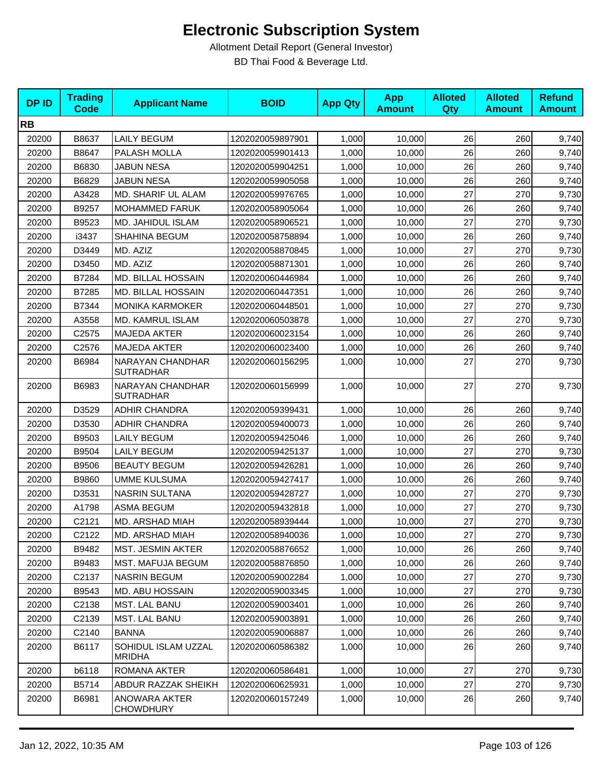| <b>DPID</b> | <b>Trading</b><br><b>Code</b> | <b>Applicant Name</b>                | <b>BOID</b>      | <b>App Qty</b> | <b>App</b><br><b>Amount</b> | <b>Alloted</b><br>Qty | <b>Alloted</b><br><b>Amount</b> | <b>Refund</b><br><b>Amount</b> |
|-------------|-------------------------------|--------------------------------------|------------------|----------------|-----------------------------|-----------------------|---------------------------------|--------------------------------|
| <b>RB</b>   |                               |                                      |                  |                |                             |                       |                                 |                                |
| 20200       | B8637                         | <b>LAILY BEGUM</b>                   | 1202020059897901 | 1,000          | 10,000                      | 26                    | 260                             | 9,740                          |
| 20200       | B8647                         | PALASH MOLLA                         | 1202020059901413 | 1,000          | 10.000                      | 26                    | 260                             | 9,740                          |
| 20200       | B6830                         | <b>JABUN NESA</b>                    | 1202020059904251 | 1,000          | 10,000                      | 26                    | 260                             | 9,740                          |
| 20200       | B6829                         | <b>JABUN NESA</b>                    | 1202020059905058 | 1,000          | 10,000                      | 26                    | 260                             | 9,740                          |
| 20200       | A3428                         | MD. SHARIF UL ALAM                   | 1202020059976765 | 1,000          | 10,000                      | 27                    | 270                             | 9,730                          |
| 20200       | B9257                         | <b>MOHAMMED FARUK</b>                | 1202020058905064 | 1,000          | 10,000                      | 26                    | 260                             | 9,740                          |
| 20200       | B9523                         | MD. JAHIDUL ISLAM                    | 1202020058906521 | 1,000          | 10,000                      | 27                    | 270                             | 9,730                          |
| 20200       | i3437                         | <b>SHAHINA BEGUM</b>                 | 1202020058758894 | 1,000          | 10,000                      | 26                    | 260                             | 9,740                          |
| 20200       | D3449                         | MD. AZIZ                             | 1202020058870845 | 1,000          | 10,000                      | 27                    | 270                             | 9,730                          |
| 20200       | D3450                         | MD. AZIZ                             | 1202020058871301 | 1,000          | 10,000                      | 26                    | 260                             | 9,740                          |
| 20200       | B7284                         | MD. BILLAL HOSSAIN                   | 1202020060446984 | 1,000          | 10,000                      | 26                    | 260                             | 9,740                          |
| 20200       | B7285                         | MD. BILLAL HOSSAIN                   | 1202020060447351 | 1,000          | 10,000                      | 26                    | 260                             | 9,740                          |
| 20200       | B7344                         | <b>MONIKA KARMOKER</b>               | 1202020060448501 | 1,000          | 10,000                      | 27                    | 270                             | 9,730                          |
| 20200       | A3558                         | MD. KAMRUL ISLAM                     | 1202020060503878 | 1,000          | 10,000                      | 27                    | 270                             | 9,730                          |
| 20200       | C2575                         | <b>MAJEDA AKTER</b>                  | 1202020060023154 | 1,000          | 10,000                      | 26                    | 260                             | 9,740                          |
| 20200       | C2576                         | MAJEDA AKTER                         | 1202020060023400 | 1,000          | 10,000                      | 26                    | 260                             | 9,740                          |
| 20200       | B6984                         | NARAYAN CHANDHAR<br><b>SUTRADHAR</b> | 1202020060156295 | 1,000          | 10,000                      | 27                    | 270                             | 9,730                          |
| 20200       | B6983                         | NARAYAN CHANDHAR<br><b>SUTRADHAR</b> | 1202020060156999 | 1,000          | 10,000                      | 27                    | 270                             | 9,730                          |
| 20200       | D3529                         | ADHIR CHANDRA                        | 1202020059399431 | 1,000          | 10,000                      | 26                    | 260                             | 9,740                          |
| 20200       | D3530                         | <b>ADHIR CHANDRA</b>                 | 1202020059400073 | 1,000          | 10,000                      | 26                    | 260                             | 9,740                          |
| 20200       | B9503                         | LAILY BEGUM                          | 1202020059425046 | 1,000          | 10,000                      | 26                    | 260                             | 9,740                          |
| 20200       | B9504                         | <b>LAILY BEGUM</b>                   | 1202020059425137 | 1,000          | 10,000                      | 27                    | 270                             | 9,730                          |
| 20200       | B9506                         | <b>BEAUTY BEGUM</b>                  | 1202020059426281 | 1,000          | 10,000                      | 26                    | 260                             | 9,740                          |
| 20200       | B9860                         | <b>UMME KULSUMA</b>                  | 1202020059427417 | 1,000          | 10,000                      | 26                    | 260                             | 9,740                          |
| 20200       | D3531                         | NASRIN SULTANA                       | 1202020059428727 | 1,000          | 10,000                      | 27                    | 270                             | 9,730                          |
| 20200       | A1798                         | <b>ASMA BEGUM</b>                    | 1202020059432818 | 1,000          | 10,000                      | 27                    | 270                             | 9,730                          |
| 20200       | C2121                         | MD. ARSHAD MIAH                      | 1202020058939444 | 1,000          | 10,000                      | 27                    | 270                             | 9,730                          |
| 20200       | C <sub>2122</sub>             | MD. ARSHAD MIAH                      | 1202020058940036 | 1,000          | 10,000                      | 27                    | 270                             | 9,730                          |
| 20200       | B9482                         | <b>MST. JESMIN AKTER</b>             | 1202020058876652 | 1,000          | 10,000                      | 26                    | 260                             | 9,740                          |
| 20200       | B9483                         | MST. MAFUJA BEGUM                    | 1202020058876850 | 1,000          | 10,000                      | 26                    | 260                             | 9,740                          |
| 20200       | C2137                         | <b>NASRIN BEGUM</b>                  | 1202020059002284 | 1,000          | 10,000                      | 27                    | 270                             | 9,730                          |
| 20200       | B9543                         | MD. ABU HOSSAIN                      | 1202020059003345 | 1,000          | 10,000                      | 27                    | 270                             | 9,730                          |
| 20200       | C2138                         | <b>MST. LAL BANU</b>                 | 1202020059003401 | 1,000          | 10,000                      | 26                    | 260                             | 9,740                          |
| 20200       | C2139                         | <b>MST. LAL BANU</b>                 | 1202020059003891 | 1,000          | 10,000                      | 26                    | 260                             | 9,740                          |
| 20200       | C2140                         | <b>BANNA</b>                         | 1202020059006887 | 1,000          | 10,000                      | 26                    | 260                             | 9,740                          |
| 20200       | B6117                         | SOHIDUL ISLAM UZZAL<br><b>MRIDHA</b> | 1202020060586382 | 1,000          | 10,000                      | 26                    | 260                             | 9,740                          |
| 20200       | b6118                         | ROMANA AKTER                         | 1202020060586481 | 1,000          | 10,000                      | 27                    | 270                             | 9,730                          |
| 20200       | B5714                         | ABDUR RAZZAK SHEIKH                  | 1202020060625931 | 1,000          | 10,000                      | 27                    | 270                             | 9,730                          |
| 20200       | B6981                         | ANOWARA AKTER<br><b>CHOWDHURY</b>    | 1202020060157249 | 1,000          | 10,000                      | 26                    | 260                             | 9,740                          |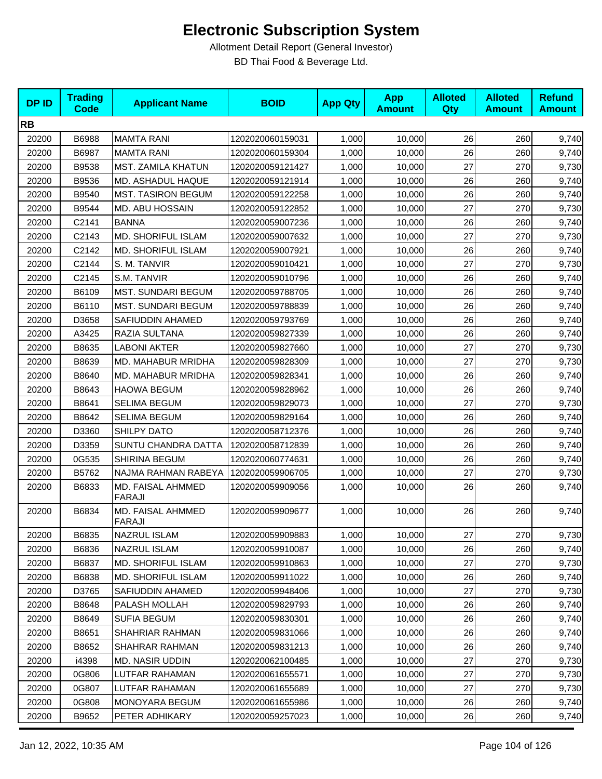| <b>DPID</b> | <b>Trading</b><br><b>Code</b> | <b>Applicant Name</b>       | <b>BOID</b>      | <b>App Qty</b> | <b>App</b><br><b>Amount</b> | <b>Alloted</b><br>Qty | <b>Alloted</b><br><b>Amount</b> | <b>Refund</b><br><b>Amount</b> |
|-------------|-------------------------------|-----------------------------|------------------|----------------|-----------------------------|-----------------------|---------------------------------|--------------------------------|
| <b>RB</b>   |                               |                             |                  |                |                             |                       |                                 |                                |
| 20200       | B6988                         | <b>MAMTA RANI</b>           | 1202020060159031 | 1,000          | 10,000                      | 26                    | 260                             | 9,740                          |
| 20200       | B6987                         | <b>MAMTA RANI</b>           | 1202020060159304 | 1,000          | 10,000                      | 26                    | 260                             | 9,740                          |
| 20200       | B9538                         | MST. ZAMILA KHATUN          | 1202020059121427 | 1,000          | 10,000                      | 27                    | 270                             | 9,730                          |
| 20200       | B9536                         | MD. ASHADUL HAQUE           | 1202020059121914 | 1,000          | 10,000                      | 26                    | 260                             | 9,740                          |
| 20200       | B9540                         | <b>MST. TASIRON BEGUM</b>   | 1202020059122258 | 1,000          | 10,000                      | 26                    | 260                             | 9,740                          |
| 20200       | B9544                         | MD. ABU HOSSAIN             | 1202020059122852 | 1,000          | 10,000                      | 27                    | 270                             | 9,730                          |
| 20200       | C2141                         | <b>BANNA</b>                | 1202020059007236 | 1,000          | 10,000                      | 26                    | 260                             | 9,740                          |
| 20200       | C2143                         | <b>MD. SHORIFUL ISLAM</b>   | 1202020059007632 | 1,000          | 10,000                      | 27                    | 270                             | 9,730                          |
| 20200       | C2142                         | <b>MD. SHORIFUL ISLAM</b>   | 1202020059007921 | 1,000          | 10,000                      | 26                    | 260                             | 9,740                          |
| 20200       | C2144                         | S. M. TANVIR                | 1202020059010421 | 1,000          | 10,000                      | 27                    | 270                             | 9,730                          |
| 20200       | C2145                         | S.M. TANVIR                 | 1202020059010796 | 1,000          | 10,000                      | 26                    | 260                             | 9,740                          |
| 20200       | B6109                         | <b>MST. SUNDARI BEGUM</b>   | 1202020059788705 | 1,000          | 10,000                      | 26                    | 260                             | 9,740                          |
| 20200       | B6110                         | MST. SUNDARI BEGUM          | 1202020059788839 | 1,000          | 10,000                      | 26                    | 260                             | 9,740                          |
| 20200       | D3658                         | SAFIUDDIN AHAMED            | 1202020059793769 | 1,000          | 10,000                      | 26                    | 260                             | 9,740                          |
| 20200       | A3425                         | RAZIA SULTANA               | 1202020059827339 | 1,000          | 10,000                      | 26                    | 260                             | 9,740                          |
| 20200       | B8635                         | <b>LABONI AKTER</b>         | 1202020059827660 | 1,000          | 10,000                      | 27                    | 270                             | 9,730                          |
| 20200       | B8639                         | MD. MAHABUR MRIDHA          | 1202020059828309 | 1,000          | 10,000                      | 27                    | 270                             | 9,730                          |
| 20200       | B8640                         | MD. MAHABUR MRIDHA          | 1202020059828341 | 1,000          | 10,000                      | 26                    | 260                             | 9,740                          |
| 20200       | B8643                         | <b>HAOWA BEGUM</b>          | 1202020059828962 | 1,000          | 10,000                      | 26                    | 260                             | 9,740                          |
| 20200       | B8641                         | SELIMA BEGUM                | 1202020059829073 | 1,000          | 10,000                      | 27                    | 270                             | 9,730                          |
| 20200       | B8642                         | SELIMA BEGUM                | 1202020059829164 | 1,000          | 10,000                      | 26                    | 260                             | 9,740                          |
| 20200       | D3360                         | <b>SHILPY DATO</b>          | 1202020058712376 | 1,000          | 10,000                      | 26                    | 260                             | 9,740                          |
| 20200       | D3359                         | <b>SUNTU CHANDRA DATTA</b>  | 1202020058712839 | 1,000          | 10,000                      | 26                    | 260                             | 9,740                          |
| 20200       | 0G535                         | SHIRINA BEGUM               | 1202020060774631 | 1,000          | 10,000                      | 26                    | 260                             | 9,740                          |
| 20200       | B5762                         | NAJMA RAHMAN RABEYA         | 1202020059906705 | 1,000          | 10,000                      | 27                    | 270                             | 9,730                          |
| 20200       | B6833                         | MD. FAISAL AHMMED<br>FARAJI | 1202020059909056 | 1,000          | 10,000                      | 26                    | 260                             | 9,740                          |
| 20200       | B6834                         | MD. FAISAL AHMMED<br>FARAJI | 1202020059909677 | 1,000          | 10,000                      | 26                    | 260                             | 9,740                          |
| 20200       | B6835                         | NAZRUL ISLAM                | 1202020059909883 | 1,000          | 10,000                      | 27                    | 270                             | 9,730                          |
| 20200       | B6836                         | <b>NAZRUL ISLAM</b>         | 1202020059910087 | 1,000          | 10,000                      | 26                    | 260                             | 9,740                          |
| 20200       | B6837                         | MD. SHORIFUL ISLAM          | 1202020059910863 | 1,000          | 10,000                      | 27                    | 270                             | 9,730                          |
| 20200       | B6838                         | <b>MD. SHORIFUL ISLAM</b>   | 1202020059911022 | 1,000          | 10,000                      | 26                    | 260                             | 9,740                          |
| 20200       | D3765                         | SAFIUDDIN AHAMED            | 1202020059948406 | 1,000          | 10,000                      | 27                    | 270                             | 9,730                          |
| 20200       | B8648                         | PALASH MOLLAH               | 1202020059829793 | 1,000          | 10,000                      | 26                    | 260                             | 9,740                          |
| 20200       | B8649                         | <b>SUFIA BEGUM</b>          | 1202020059830301 | 1,000          | 10,000                      | 26                    | 260                             | 9,740                          |
| 20200       | B8651                         | SHAHRIAR RAHMAN             | 1202020059831066 | 1,000          | 10,000                      | 26                    | 260                             | 9,740                          |
| 20200       | B8652                         | SHAHRAR RAHMAN              | 1202020059831213 | 1,000          | 10,000                      | 26                    | 260                             | 9,740                          |
| 20200       | i4398                         | MD. NASIR UDDIN             | 1202020062100485 | 1,000          | 10,000                      | 27                    | 270                             | 9,730                          |
| 20200       | 0G806                         | LUTFAR RAHAMAN              | 1202020061655571 | 1,000          | 10,000                      | 27                    | 270                             | 9,730                          |
| 20200       | 0G807                         | LUTFAR RAHAMAN              | 1202020061655689 | 1,000          | 10,000                      | 27                    | 270                             | 9,730                          |
| 20200       | 0G808                         | MONOYARA BEGUM              | 1202020061655986 | 1,000          | 10,000                      | 26                    | 260                             | 9,740                          |
| 20200       | B9652                         | PETER ADHIKARY              | 1202020059257023 | 1,000          | 10,000                      | 26                    | 260                             | 9,740                          |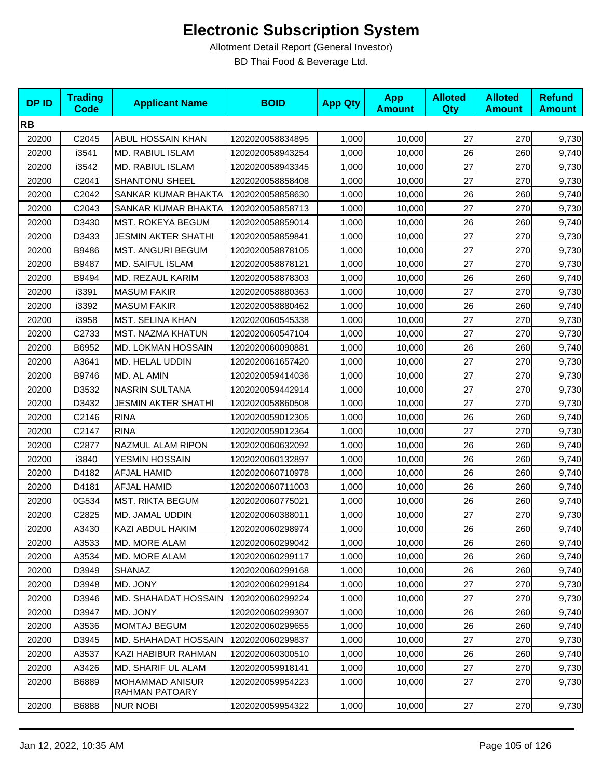| <b>DPID</b> | <b>Trading</b><br><b>Code</b> | <b>Applicant Name</b>                    | <b>BOID</b>      | <b>App Qty</b> | <b>App</b><br><b>Amount</b> | <b>Alloted</b><br><b>Qty</b> | <b>Alloted</b><br><b>Amount</b> | <b>Refund</b><br><b>Amount</b> |
|-------------|-------------------------------|------------------------------------------|------------------|----------------|-----------------------------|------------------------------|---------------------------------|--------------------------------|
| <b>RB</b>   |                               |                                          |                  |                |                             |                              |                                 |                                |
| 20200       | C2045                         | ABUL HOSSAIN KHAN                        | 1202020058834895 | 1,000          | 10,000                      | 27                           | 270                             | 9,730                          |
| 20200       | i3541                         | MD. RABIUL ISLAM                         | 1202020058943254 | 1,000          | 10,000                      | 26                           | 260                             | 9,740                          |
| 20200       | i3542                         | MD. RABIUL ISLAM                         | 1202020058943345 | 1,000          | 10,000                      | 27                           | 270                             | 9,730                          |
| 20200       | C2041                         | <b>SHANTONU SHEEL</b>                    | 1202020058858408 | 1,000          | 10,000                      | 27                           | 270                             | 9,730                          |
| 20200       | C2042                         | SANKAR KUMAR BHAKTA                      | 1202020058858630 | 1,000          | 10,000                      | 26                           | 260                             | 9,740                          |
| 20200       | C2043                         | SANKAR KUMAR BHAKTA                      | 1202020058858713 | 1,000          | 10,000                      | 27                           | 270                             | 9,730                          |
| 20200       | D3430                         | <b>MST. ROKEYA BEGUM</b>                 | 1202020058859014 | 1,000          | 10,000                      | 26                           | 260                             | 9,740                          |
| 20200       | D3433                         | JESMIN AKTER SHATHI                      | 1202020058859841 | 1,000          | 10,000                      | 27                           | 270                             | 9,730                          |
| 20200       | B9486                         | <b>MST. ANGURI BEGUM</b>                 | 1202020058878105 | 1,000          | 10,000                      | 27                           | 270                             | 9,730                          |
| 20200       | B9487                         | MD. SAIFUL ISLAM                         | 1202020058878121 | 1,000          | 10,000                      | 27                           | 270                             | 9,730                          |
| 20200       | B9494                         | MD. REZAUL KARIM                         | 1202020058878303 | 1,000          | 10,000                      | 26                           | 260                             | 9,740                          |
| 20200       | i3391                         | <b>MASUM FAKIR</b>                       | 1202020058880363 | 1,000          | 10,000                      | 27                           | 270                             | 9,730                          |
| 20200       | i3392                         | <b>MASUM FAKIR</b>                       | 1202020058880462 | 1,000          | 10,000                      | 26                           | 260                             | 9,740                          |
| 20200       | i3958                         | MST. SELINA KHAN                         | 1202020060545338 | 1,000          | 10,000                      | 27                           | 270                             | 9,730                          |
| 20200       | C2733                         | MST. NAZMA KHATUN                        | 1202020060547104 | 1,000          | 10,000                      | 27                           | 270                             | 9,730                          |
| 20200       | B6952                         | MD. LOKMAN HOSSAIN                       | 1202020060090881 | 1,000          | 10,000                      | 26                           | 260                             | 9,740                          |
| 20200       | A3641                         | MD. HELAL UDDIN                          | 1202020061657420 | 1,000          | 10,000                      | 27                           | 270                             | 9,730                          |
| 20200       | B9746                         | MD. AL AMIN                              | 1202020059414036 | 1,000          | 10,000                      | 27                           | 270                             | 9,730                          |
| 20200       | D3532                         | NASRIN SULTANA                           | 1202020059442914 | 1,000          | 10,000                      | 27                           | 270                             | 9,730                          |
| 20200       | D3432                         | <b>JESMIN AKTER SHATHI</b>               | 1202020058860508 | 1,000          | 10,000                      | 27                           | 270                             | 9,730                          |
| 20200       | C2146                         | <b>RINA</b>                              | 1202020059012305 | 1,000          | 10,000                      | 26                           | 260                             | 9,740                          |
| 20200       | C2147                         | <b>RINA</b>                              | 1202020059012364 | 1,000          | 10,000                      | 27                           | 270                             | 9,730                          |
| 20200       | C2877                         | NAZMUL ALAM RIPON                        | 1202020060632092 | 1,000          | 10,000                      | 26                           | 260                             | 9,740                          |
| 20200       | i3840                         | YESMIN HOSSAIN                           | 1202020060132897 | 1,000          | 10,000                      | 26                           | 260                             | 9,740                          |
| 20200       | D4182                         | <b>AFJAL HAMID</b>                       | 1202020060710978 | 1,000          | 10,000                      | 26                           | 260                             | 9,740                          |
| 20200       | D4181                         | AFJAL HAMID                              | 1202020060711003 | 1,000          | 10,000                      | 26                           | 260                             | 9,740                          |
| 20200       | 0G534                         | <b>MST. RIKTA BEGUM</b>                  | 1202020060775021 | 1,000          | 10,000                      | 26                           | 260                             | 9,740                          |
| 20200       | C2825                         | MD. JAMAL UDDIN                          | 1202020060388011 | 1,000          | 10,000                      | 27                           | 270                             | 9,730                          |
| 20200       | A3430                         | KAZI ABDUL HAKIM                         | 1202020060298974 | 1,000          | 10,000                      | 26                           | 260                             | 9,740                          |
| 20200       | A3533                         | MD. MORE ALAM                            | 1202020060299042 | 1,000          | 10,000                      | 26                           | 260                             | 9,740                          |
| 20200       | A3534                         | MD. MORE ALAM                            | 1202020060299117 | 1,000          | 10,000                      | 26                           | 260                             | 9,740                          |
| 20200       | D3949                         | <b>SHANAZ</b>                            | 1202020060299168 | 1,000          | 10,000                      | 26                           | 260                             | 9,740                          |
| 20200       | D3948                         | MD. JONY                                 | 1202020060299184 | 1,000          | 10,000                      | 27                           | 270                             | 9,730                          |
| 20200       | D3946                         | MD. SHAHADAT HOSSAIN                     | 1202020060299224 | 1,000          | 10,000                      | 27                           | 270                             | 9,730                          |
| 20200       | D3947                         | MD. JONY                                 | 1202020060299307 | 1,000          | 10,000                      | 26                           | 260                             | 9,740                          |
| 20200       | A3536                         | MOMTAJ BEGUM                             | 1202020060299655 | 1,000          | 10,000                      | 26                           | 260                             | 9,740                          |
| 20200       | D3945                         | <b>MD. SHAHADAT HOSSAIN</b>              | 1202020060299837 | 1,000          | 10.000                      | 27                           | 270                             | 9,730                          |
| 20200       | A3537                         | KAZI HABIBUR RAHMAN                      | 1202020060300510 | 1,000          | 10,000                      | 26                           | 260                             | 9,740                          |
| 20200       | A3426                         | MD. SHARIF UL ALAM                       | 1202020059918141 | 1,000          | 10,000                      | 27                           | 270                             | 9,730                          |
| 20200       | B6889                         | <b>MOHAMMAD ANISUR</b><br>RAHMAN PATOARY | 1202020059954223 | 1,000          | 10,000                      | 27                           | 270                             | 9,730                          |
| 20200       | B6888                         | <b>NUR NOBI</b>                          | 1202020059954322 | 1,000          | 10,000                      | 27                           | 270                             | 9,730                          |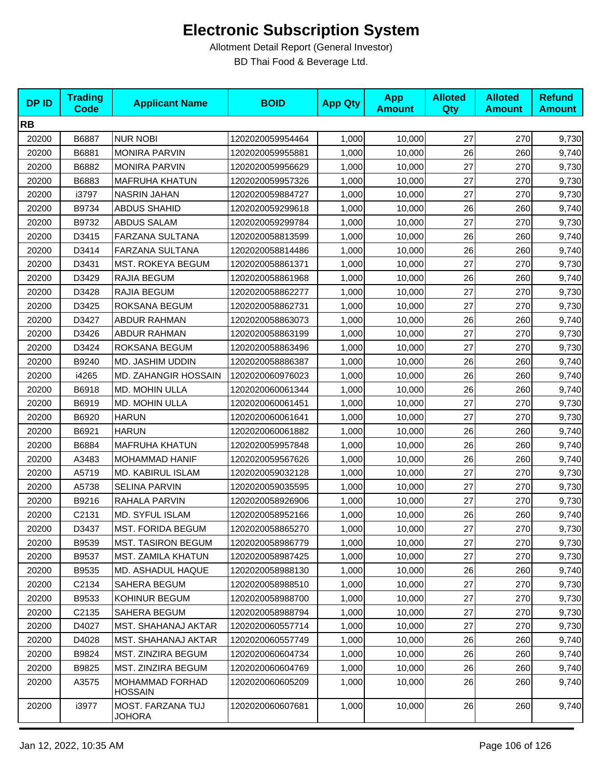| <b>DPID</b> | <b>Trading</b><br><b>Code</b> | <b>Applicant Name</b>              | <b>BOID</b>      | <b>App Qty</b> | <b>App</b><br><b>Amount</b> | <b>Alloted</b><br>Qty | <b>Alloted</b><br><b>Amount</b> | <b>Refund</b><br><b>Amount</b> |
|-------------|-------------------------------|------------------------------------|------------------|----------------|-----------------------------|-----------------------|---------------------------------|--------------------------------|
| <b>RB</b>   |                               |                                    |                  |                |                             |                       |                                 |                                |
| 20200       | B6887                         | <b>NUR NOBI</b>                    | 1202020059954464 | 1,000          | 10,000                      | 27                    | 270                             | 9,730                          |
| 20200       | B6881                         | <b>MONIRA PARVIN</b>               | 1202020059955881 | 1,000          | 10,000                      | 26                    | 260                             | 9,740                          |
| 20200       | B6882                         | <b>MONIRA PARVIN</b>               | 1202020059956629 | 1,000          | 10,000                      | 27                    | 270                             | 9,730                          |
| 20200       | B6883                         | <b>MAFRUHA KHATUN</b>              | 1202020059957326 | 1,000          | 10,000                      | 27                    | 270                             | 9,730                          |
| 20200       | i3797                         | <b>NASRIN JAHAN</b>                | 1202020059884727 | 1,000          | 10,000                      | 27                    | 270                             | 9,730                          |
| 20200       | B9734                         | <b>ABDUS SHAHID</b>                | 1202020059299618 | 1,000          | 10,000                      | 26                    | 260                             | 9,740                          |
| 20200       | B9732                         | ABDUS SALAM                        | 1202020059299784 | 1,000          | 10,000                      | 27                    | 270                             | 9,730                          |
| 20200       | D3415                         | FARZANA SULTANA                    | 1202020058813599 | 1,000          | 10,000                      | 26                    | 260                             | 9,740                          |
| 20200       | D3414                         | FARZANA SULTANA                    | 1202020058814486 | 1,000          | 10,000                      | 26                    | 260                             | 9,740                          |
| 20200       | D3431                         | MST. ROKEYA BEGUM                  | 1202020058861371 | 1,000          | 10,000                      | 27                    | 270                             | 9,730                          |
| 20200       | D3429                         | RAJIA BEGUM                        | 1202020058861968 | 1,000          | 10,000                      | 26                    | 260                             | 9,740                          |
| 20200       | D3428                         | RAJIA BEGUM                        | 1202020058862277 | 1,000          | 10,000                      | 27                    | 270                             | 9,730                          |
| 20200       | D3425                         | ROKSANA BEGUM                      | 1202020058862731 | 1,000          | 10,000                      | 27                    | 270                             | 9,730                          |
| 20200       | D3427                         | <b>ABDUR RAHMAN</b>                | 1202020058863073 | 1,000          | 10,000                      | 26                    | 260                             | 9,740                          |
| 20200       | D3426                         | <b>ABDUR RAHMAN</b>                | 1202020058863199 | 1,000          | 10,000                      | 27                    | 270                             | 9,730                          |
| 20200       | D3424                         | ROKSANA BEGUM                      | 1202020058863496 | 1,000          | 10,000                      | 27                    | 270                             | 9,730                          |
| 20200       | B9240                         | MD. JASHIM UDDIN                   | 1202020058886387 | 1,000          | 10,000                      | 26                    | 260                             | 9,740                          |
| 20200       | i4265                         | MD. ZAHANGIR HOSSAIN               | 1202020060976023 | 1,000          | 10,000                      | 26                    | 260                             | 9,740                          |
| 20200       | B6918                         | MD. MOHIN ULLA                     | 1202020060061344 | 1,000          | 10,000                      | 26                    | 260                             | 9,740                          |
| 20200       | B6919                         | MD. MOHIN ULLA                     | 1202020060061451 | 1,000          | 10,000                      | 27                    | 270                             | 9,730                          |
| 20200       | B6920                         | <b>HARUN</b>                       | 1202020060061641 | 1,000          | 10,000                      | 27                    | 270                             | 9,730                          |
| 20200       | B6921                         | <b>HARUN</b>                       | 1202020060061882 | 1,000          | 10,000                      | 26                    | 260                             | 9,740                          |
| 20200       | B6884                         | <b>MAFRUHA KHATUN</b>              | 1202020059957848 | 1,000          | 10,000                      | 26                    | 260                             | 9,740                          |
| 20200       | A3483                         | MOHAMMAD HANIF                     | 1202020059567626 | 1,000          | 10,000                      | 26                    | 260                             | 9,740                          |
| 20200       | A5719                         | <b>MD. KABIRUL ISLAM</b>           | 1202020059032128 | 1,000          | 10,000                      | 27                    | 270                             | 9,730                          |
| 20200       | A5738                         | SELINA PARVIN                      | 1202020059035595 | 1,000          | 10,000                      | 27                    | 270                             | 9,730                          |
| 20200       | B9216                         | RAHALA PARVIN                      | 1202020058926906 | 1,000          | 10,000                      | 27                    | 270                             | 9,730                          |
| 20200       | C2131                         | MD. SYFUL ISLAM                    | 1202020058952166 | 1,000          | 10,000                      | 26                    | 260                             | 9,740                          |
| 20200       | D3437                         | <b>MST. FORIDA BEGUM</b>           | 1202020058865270 | 1,000          | 10,000                      | 27                    | 270                             | 9,730                          |
| 20200       | B9539                         | <b>MST. TASIRON BEGUM</b>          | 1202020058986779 | 1,000          | 10,000                      | 27                    | 270                             | 9,730                          |
| 20200       | B9537                         | MST. ZAMILA KHATUN                 | 1202020058987425 | 1,000          | 10,000                      | 27                    | 270                             | 9,730                          |
| 20200       | B9535                         | MD. ASHADUL HAQUE                  | 1202020058988130 | 1,000          | 10,000                      | 26                    | 260                             | 9,740                          |
| 20200       | C2134                         | SAHERA BEGUM                       | 1202020058988510 | 1,000          | 10,000                      | 27                    | 270                             | 9,730                          |
| 20200       | B9533                         | KOHINUR BEGUM                      | 1202020058988700 | 1,000          | 10,000                      | 27                    | 270                             | 9,730                          |
| 20200       | C2135                         | <b>SAHERA BEGUM</b>                | 1202020058988794 | 1,000          | 10,000                      | 27                    | 270                             | 9,730                          |
| 20200       | D4027                         | MST. SHAHANAJ AKTAR                | 1202020060557714 | 1,000          | 10,000                      | 27                    | 270                             | 9,730                          |
| 20200       | D4028                         | MST. SHAHANAJ AKTAR                | 1202020060557749 | 1,000          | 10,000                      | 26                    | 260                             | 9,740                          |
| 20200       | B9824                         | MST. ZINZIRA BEGUM                 | 1202020060604734 | 1,000          | 10,000                      | 26                    | 260                             | 9,740                          |
| 20200       | B9825                         | <b>MST. ZINZIRA BEGUM</b>          | 1202020060604769 | 1,000          | 10,000                      | 26                    | 260                             | 9,740                          |
| 20200       | A3575                         | MOHAMMAD FORHAD<br>HOSSAIN         | 1202020060605209 | 1,000          | 10,000                      | 26                    | 260                             | 9,740                          |
| 20200       | i3977                         | MOST. FARZANA TUJ<br><b>JOHORA</b> | 1202020060607681 | 1,000          | 10,000                      | 26                    | 260                             | 9,740                          |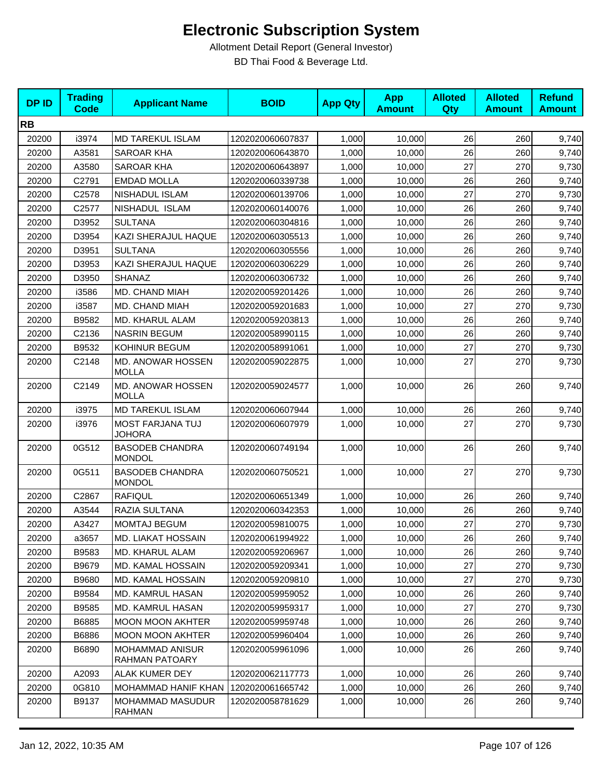| <b>DPID</b> | <b>Trading</b><br><b>Code</b> | <b>Applicant Name</b>                    | <b>BOID</b>      | <b>App Qty</b> | <b>App</b><br><b>Amount</b> | <b>Alloted</b><br>Qty | <b>Alloted</b><br><b>Amount</b> | <b>Refund</b><br><b>Amount</b> |
|-------------|-------------------------------|------------------------------------------|------------------|----------------|-----------------------------|-----------------------|---------------------------------|--------------------------------|
| <b>RB</b>   |                               |                                          |                  |                |                             |                       |                                 |                                |
| 20200       | i3974                         | MD TAREKUL ISLAM                         | 1202020060607837 | 1,000          | 10,000                      | 26                    | 260                             | 9,740                          |
| 20200       | A3581                         | <b>SAROAR KHA</b>                        | 1202020060643870 | 1,000          | 10,000                      | 26                    | 260                             | 9,740                          |
| 20200       | A3580                         | SAROAR KHA                               | 1202020060643897 | 1,000          | 10,000                      | 27                    | 270                             | 9,730                          |
| 20200       | C2791                         | <b>EMDAD MOLLA</b>                       | 1202020060339738 | 1,000          | 10,000                      | 26                    | 260                             | 9,740                          |
| 20200       | C2578                         | NISHADUL ISLAM                           | 1202020060139706 | 1,000          | 10,000                      | 27                    | 270                             | 9,730                          |
| 20200       | C2577                         | NISHADUL ISLAM                           | 1202020060140076 | 1,000          | 10,000                      | 26                    | 260                             | 9,740                          |
| 20200       | D3952                         | <b>SULTANA</b>                           | 1202020060304816 | 1,000          | 10,000                      | 26                    | 260                             | 9,740                          |
| 20200       | D3954                         | KAZI SHERAJUL HAQUE                      | 1202020060305513 | 1,000          | 10,000                      | 26                    | 260                             | 9,740                          |
| 20200       | D3951                         | <b>SULTANA</b>                           | 1202020060305556 | 1,000          | 10,000                      | 26                    | 260                             | 9,740                          |
| 20200       | D3953                         | KAZI SHERAJUL HAQUE                      | 1202020060306229 | 1,000          | 10,000                      | 26                    | 260                             | 9,740                          |
| 20200       | D3950                         | <b>SHANAZ</b>                            | 1202020060306732 | 1,000          | 10,000                      | 26                    | 260                             | 9,740                          |
| 20200       | i3586                         | MD. CHAND MIAH                           | 1202020059201426 | 1,000          | 10,000                      | 26                    | 260                             | 9,740                          |
| 20200       | i3587                         | MD. CHAND MIAH                           | 1202020059201683 | 1,000          | 10,000                      | 27                    | 270                             | 9,730                          |
| 20200       | B9582                         | MD. KHARUL ALAM                          | 1202020059203813 | 1,000          | 10,000                      | 26                    | 260                             | 9,740                          |
| 20200       | C2136                         | <b>NASRIN BEGUM</b>                      | 1202020058990115 | 1,000          | 10,000                      | 26                    | 260                             | 9,740                          |
| 20200       | B9532                         | KOHINUR BEGUM                            | 1202020058991061 | 1,000          | 10,000                      | 27                    | 270                             | 9,730                          |
| 20200       | C2148                         | MD. ANOWAR HOSSEN<br><b>MOLLA</b>        | 1202020059022875 | 1,000          | 10,000                      | 27                    | 270                             | 9,730                          |
| 20200       | C2149                         | <b>MD. ANOWAR HOSSEN</b><br><b>MOLLA</b> | 1202020059024577 | 1,000          | 10,000                      | 26                    | 260                             | 9,740                          |
| 20200       | i3975                         | <b>MD TAREKUL ISLAM</b>                  | 1202020060607944 | 1,000          | 10,000                      | 26                    | 260                             | 9,740                          |
| 20200       | i3976                         | MOST FARJANA TUJ<br><b>JOHORA</b>        | 1202020060607979 | 1,000          | 10,000                      | 27                    | 270                             | 9,730                          |
| 20200       | 0G512                         | <b>BASODEB CHANDRA</b><br><b>MONDOL</b>  | 1202020060749194 | 1,000          | 10,000                      | 26                    | 260                             | 9,740                          |
| 20200       | 0G511                         | <b>BASODEB CHANDRA</b><br><b>MONDOL</b>  | 1202020060750521 | 1,000          | 10,000                      | 27                    | 270                             | 9,730                          |
| 20200       | C2867                         | <b>RAFIQUL</b>                           | 1202020060651349 | 1,000          | 10,000                      | 26                    | 260                             | 9,740                          |
| 20200       | A3544                         | RAZIA SULTANA                            | 1202020060342353 | 1,000          | 10,000                      | 26                    | 260                             | 9,740                          |
| 20200       | A3427                         | <b>MOMTAJ BEGUM</b>                      | 1202020059810075 | 1,000          | 10,000                      | 27                    | 270                             | 9,730                          |
| 20200       | a3657                         | MD. LIAKAT HOSSAIN                       | 1202020061994922 | 1,000          | 10,000                      | 26                    | 260                             | 9,740                          |
| 20200       | B9583                         | MD. KHARUL ALAM                          | 1202020059206967 | 1,000          | 10,000                      | 26                    | 260                             | 9,740                          |
| 20200       | B9679                         | MD. KAMAL HOSSAIN                        | 1202020059209341 | 1,000          | 10,000                      | 27                    | 270                             | 9,730                          |
| 20200       | B9680                         | MD. KAMAL HOSSAIN                        | 1202020059209810 | 1,000          | 10,000                      | 27                    | 270                             | 9,730                          |
| 20200       | B9584                         | MD. KAMRUL HASAN                         | 1202020059959052 | 1,000          | 10,000                      | 26                    | 260                             | 9,740                          |
| 20200       | B9585                         | <b>MD. KAMRUL HASAN</b>                  | 1202020059959317 | 1,000          | 10,000                      | 27                    | 270                             | 9,730                          |
| 20200       | B6885                         | <b>MOON MOON AKHTER</b>                  | 1202020059959748 | 1,000          | 10.000                      | 26                    | 260                             | 9,740                          |
| 20200       | B6886                         | <b>MOON MOON AKHTER</b>                  | 1202020059960404 | 1,000          | 10,000                      | 26                    | 260                             | 9,740                          |
| 20200       | B6890                         | <b>MOHAMMAD ANISUR</b><br>RAHMAN PATOARY | 1202020059961096 | 1,000          | 10,000                      | 26                    | 260                             | 9,740                          |
| 20200       | A2093                         | ALAK KUMER DEY                           | 1202020062117773 | 1,000          | 10,000                      | 26                    | 260                             | 9,740                          |
| 20200       | 0G810                         | <b>MOHAMMAD HANIF KHAN</b>               | 1202020061665742 | 1,000          | 10,000                      | 26                    | 260                             | 9,740                          |
| 20200       | B9137                         | MOHAMMAD MASUDUR<br><b>RAHMAN</b>        | 1202020058781629 | 1,000          | 10,000                      | 26                    | 260                             | 9,740                          |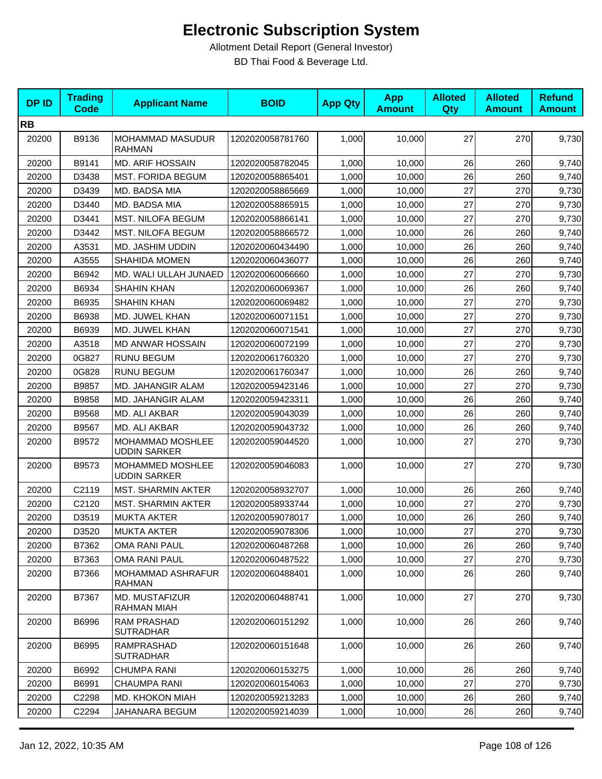| <b>DPID</b> | <b>Trading</b><br><b>Code</b> | <b>Applicant Name</b>                    | <b>BOID</b>      | <b>App Qty</b> | <b>App</b><br><b>Amount</b> | <b>Alloted</b><br><b>Qty</b> | <b>Alloted</b><br><b>Amount</b> | <b>Refund</b><br><b>Amount</b> |
|-------------|-------------------------------|------------------------------------------|------------------|----------------|-----------------------------|------------------------------|---------------------------------|--------------------------------|
| <b>RB</b>   |                               |                                          |                  |                |                             |                              |                                 |                                |
| 20200       | B9136                         | <b>MOHAMMAD MASUDUR</b><br><b>RAHMAN</b> | 1202020058781760 | 1,000          | 10,000                      | 27                           | 270                             | 9,730                          |
| 20200       | B9141                         | <b>MD. ARIF HOSSAIN</b>                  | 1202020058782045 | 1,000          | 10,000                      | 26                           | 260                             | 9,740                          |
| 20200       | D3438                         | <b>MST. FORIDA BEGUM</b>                 | 1202020058865401 | 1,000          | 10,000                      | 26                           | 260                             | 9,740                          |
| 20200       | D3439                         | MD. BADSA MIA                            | 1202020058865669 | 1,000          | 10,000                      | 27                           | 270                             | 9,730                          |
| 20200       | D3440                         | MD. BADSA MIA                            | 1202020058865915 | 1,000          | 10,000                      | 27                           | 270                             | 9,730                          |
| 20200       | D3441                         | <b>MST. NILOFA BEGUM</b>                 | 1202020058866141 | 1,000          | 10,000                      | 27                           | 270                             | 9,730                          |
| 20200       | D3442                         | <b>MST. NILOFA BEGUM</b>                 | 1202020058866572 | 1,000          | 10,000                      | 26                           | 260                             | 9,740                          |
| 20200       | A3531                         | MD. JASHIM UDDIN                         | 1202020060434490 | 1,000          | 10,000                      | 26                           | 260                             | 9,740                          |
| 20200       | A3555                         | <b>SHAHIDA MOMEN</b>                     | 1202020060436077 | 1,000          | 10,000                      | 26                           | 260                             | 9,740                          |
| 20200       | B6942                         | MD. WALI ULLAH JUNAED                    | 1202020060066660 | 1,000          | 10,000                      | 27                           | 270                             | 9,730                          |
| 20200       | B6934                         | SHAHIN KHAN                              | 1202020060069367 | 1,000          | 10,000                      | 26                           | 260                             | 9,740                          |
| 20200       | B6935                         | <b>SHAHIN KHAN</b>                       | 1202020060069482 | 1,000          | 10,000                      | 27                           | 270                             | 9,730                          |
| 20200       | B6938                         | MD. JUWEL KHAN                           | 1202020060071151 | 1,000          | 10.000                      | 27                           | 270                             | 9,730                          |
| 20200       | B6939                         | MD. JUWEL KHAN                           | 1202020060071541 | 1,000          | 10,000                      | 27                           | 270                             | 9,730                          |
| 20200       | A3518                         | <b>MD ANWAR HOSSAIN</b>                  | 1202020060072199 | 1,000          | 10,000                      | 27                           | 270                             | 9,730                          |
| 20200       | 0G827                         | <b>RUNU BEGUM</b>                        | 1202020061760320 | 1,000          | 10,000                      | 27                           | 270                             | 9,730                          |
| 20200       | 0G828                         | <b>RUNU BEGUM</b>                        | 1202020061760347 | 1,000          | 10,000                      | 26                           | 260                             | 9,740                          |
| 20200       | B9857                         | MD. JAHANGIR ALAM                        | 1202020059423146 | 1,000          | 10,000                      | 27                           | 270                             | 9,730                          |
| 20200       | B9858                         | MD. JAHANGIR ALAM                        | 1202020059423311 | 1,000          | 10,000                      | 26                           | 260                             | 9,740                          |
| 20200       | B9568                         | MD. ALI AKBAR                            | 1202020059043039 | 1,000          | 10,000                      | 26                           | 260                             | 9,740                          |
| 20200       | B9567                         | MD. ALI AKBAR                            | 1202020059043732 | 1,000          | 10,000                      | 26                           | 260                             | 9,740                          |
| 20200       | B9572                         | MOHAMMAD MOSHLEE<br><b>UDDIN SARKER</b>  | 1202020059044520 | 1,000          | 10,000                      | 27                           | 270                             | 9,730                          |
| 20200       | B9573                         | MOHAMMED MOSHLEE<br><b>UDDIN SARKER</b>  | 1202020059046083 | 1,000          | 10,000                      | 27                           | 270                             | 9,730                          |
| 20200       | C2119                         | <b>MST. SHARMIN AKTER</b>                | 1202020058932707 | 1,000          | 10,000                      | 26                           | 260                             | 9,740                          |
| 20200       | C2120                         | <b>MST. SHARMIN AKTER</b>                | 1202020058933744 | 1,000          | 10.000                      | 27                           | 270                             | 9,730                          |
| 20200       | D3519                         | <b>MUKTA AKTER</b>                       | 1202020059078017 | 1,000          | 10,000                      | 26                           | 260                             | 9,740                          |
| 20200       | D3520                         | <b>MUKTA AKTER</b>                       | 1202020059078306 | 1,000          | 10,000                      | 27                           | 270                             | 9,730                          |
| 20200       | B7362                         | <b>OMA RANI PAUL</b>                     | 1202020060487268 | 1,000          | 10,000                      | 26                           | 260                             | 9,740                          |
| 20200       | B7363                         | OMA RANI PAUL                            | 1202020060487522 | 1,000          | 10,000                      | 27                           | 270                             | 9,730                          |
| 20200       | B7366                         | MOHAMMAD ASHRAFUR<br><b>RAHMAN</b>       | 1202020060488401 | 1,000          | 10,000                      | 26                           | 260                             | 9,740                          |
| 20200       | B7367                         | MD. MUSTAFIZUR<br>RAHMAN MIAH            | 1202020060488741 | 1,000          | 10,000                      | 27                           | 270                             | 9,730                          |
| 20200       | B6996                         | RAM PRASHAD<br><b>SUTRADHAR</b>          | 1202020060151292 | 1,000          | 10,000                      | 26                           | 260                             | 9,740                          |
| 20200       | B6995                         | RAMPRASHAD<br><b>SUTRADHAR</b>           | 1202020060151648 | 1,000          | 10,000                      | 26                           | 260                             | 9,740                          |
| 20200       | B6992                         | <b>CHUMPA RANI</b>                       | 1202020060153275 | 1,000          | 10,000                      | 26                           | 260                             | 9,740                          |
| 20200       | B6991                         | <b>CHAUMPA RANI</b>                      | 1202020060154063 | 1,000          | 10,000                      | 27                           | 270                             | 9,730                          |
| 20200       | C2298                         | MD. KHOKON MIAH                          | 1202020059213283 | 1,000          | 10,000                      | 26                           | 260                             | 9,740                          |
| 20200       | C2294                         | JAHANARA BEGUM                           | 1202020059214039 | 1,000          | 10,000                      | 26                           | 260                             | 9,740                          |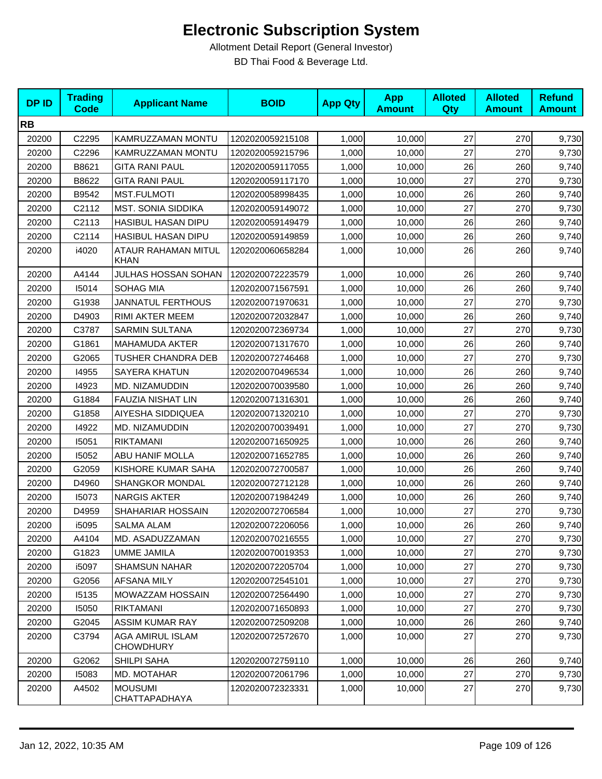| <b>DPID</b> | <b>Trading</b><br><b>Code</b> | <b>Applicant Name</b>                | <b>BOID</b>      | <b>App Qty</b> | <b>App</b><br><b>Amount</b> | <b>Alloted</b><br>Qty | <b>Alloted</b><br><b>Amount</b> | <b>Refund</b><br><b>Amount</b> |
|-------------|-------------------------------|--------------------------------------|------------------|----------------|-----------------------------|-----------------------|---------------------------------|--------------------------------|
| <b>RB</b>   |                               |                                      |                  |                |                             |                       |                                 |                                |
| 20200       | C2295                         | KAMRUZZAMAN MONTU                    | 1202020059215108 | 1,000          | 10,000                      | 27                    | 270                             | 9,730                          |
| 20200       | C2296                         | KAMRUZZAMAN MONTU                    | 1202020059215796 | 1,000          | 10,000                      | 27                    | 270                             | 9,730                          |
| 20200       | B8621                         | <b>GITA RANI PAUL</b>                | 1202020059117055 | 1,000          | 10,000                      | 26                    | 260                             | 9,740                          |
| 20200       | B8622                         | <b>GITA RANI PAUL</b>                | 1202020059117170 | 1,000          | 10,000                      | 27                    | 270                             | 9,730                          |
| 20200       | B9542                         | <b>MST.FULMOTI</b>                   | 1202020058998435 | 1,000          | 10,000                      | 26                    | 260                             | 9,740                          |
| 20200       | C2112                         | <b>MST. SONIA SIDDIKA</b>            | 1202020059149072 | 1,000          | 10,000                      | 27                    | 270                             | 9,730                          |
| 20200       | C2113                         | <b>HASIBUL HASAN DIPU</b>            | 1202020059149479 | 1,000          | 10,000                      | 26                    | 260                             | 9,740                          |
| 20200       | C2114                         | <b>HASIBUL HASAN DIPU</b>            | 1202020059149859 | 1,000          | 10,000                      | 26                    | 260                             | 9,740                          |
| 20200       | i4020                         | ATAUR RAHAMAN MITUL<br>KHAN          | 1202020060658284 | 1,000          | 10,000                      | 26                    | 260                             | 9,740                          |
| 20200       | A4144                         | JULHAS HOSSAN SOHAN                  | 1202020072223579 | 1,000          | 10,000                      | 26                    | 260                             | 9,740                          |
| 20200       | 15014                         | SOHAG MIA                            | 1202020071567591 | 1,000          | 10,000                      | 26                    | 260                             | 9,740                          |
| 20200       | G1938                         | <b>JANNATUL FERTHOUS</b>             | 1202020071970631 | 1,000          | 10,000                      | 27                    | 270                             | 9,730                          |
| 20200       | D4903                         | RIMI AKTER MEEM                      | 1202020072032847 | 1,000          | 10,000                      | 26                    | 260                             | 9,740                          |
| 20200       | C3787                         | <b>SARMIN SULTANA</b>                | 1202020072369734 | 1,000          | 10,000                      | 27                    | 270                             | 9,730                          |
| 20200       | G1861                         | <b>MAHAMUDA AKTER</b>                | 1202020071317670 | 1,000          | 10,000                      | 26                    | 260                             | 9,740                          |
| 20200       | G2065                         | TUSHER CHANDRA DEB                   | 1202020072746468 | 1,000          | 10,000                      | 27                    | 270                             | 9,730                          |
| 20200       | 14955                         | SAYERA KHATUN                        | 1202020070496534 | 1,000          | 10,000                      | 26                    | 260                             | 9,740                          |
| 20200       | 14923                         | MD. NIZAMUDDIN                       | 1202020070039580 | 1,000          | 10,000                      | 26                    | 260                             | 9,740                          |
| 20200       | G1884                         | FAUZIA NISHAT LIN                    | 1202020071316301 | 1,000          | 10,000                      | 26                    | 260                             | 9,740                          |
| 20200       | G1858                         | AIYESHA SIDDIQUEA                    | 1202020071320210 | 1,000          | 10,000                      | 27                    | 270                             | 9,730                          |
| 20200       | 14922                         | MD. NIZAMUDDIN                       | 1202020070039491 | 1,000          | 10,000                      | 27                    | 270                             | 9,730                          |
| 20200       | 15051                         | <b>RIKTAMANI</b>                     | 1202020071650925 | 1,000          | 10,000                      | 26                    | 260                             | 9,740                          |
| 20200       | 15052                         | ABU HANIF MOLLA                      | 1202020071652785 | 1,000          | 10,000                      | 26                    | 260                             | 9,740                          |
| 20200       | G2059                         | KISHORE KUMAR SAHA                   | 1202020072700587 | 1,000          | 10,000                      | 26                    | 260                             | 9,740                          |
| 20200       | D4960                         | <b>SHANGKOR MONDAL</b>               | 1202020072712128 | 1,000          | 10,000                      | 26                    | 260                             | 9,740                          |
| 20200       | 15073                         | <b>NARGIS AKTER</b>                  | 1202020071984249 | 1,000          | 10,000                      | 26                    | 260                             | 9,740                          |
| 20200       | D4959                         | SHAHARIAR HOSSAIN                    | 1202020072706584 | 1,000          | 10,000                      | 27                    | 270                             | 9,730                          |
| 20200       | i5095                         | <b>SALMA ALAM</b>                    | 1202020072206056 | 1,000          | 10,000                      | 26                    | 260                             | 9,740                          |
| 20200       | A4104                         | MD. ASADUZZAMAN                      | 1202020070216555 | 1,000          | 10,000                      | 27                    | 270                             | 9,730                          |
| 20200       | G1823                         | <b>UMME JAMILA</b>                   | 1202020070019353 | 1,000          | 10,000                      | 27                    | 270                             | 9,730                          |
| 20200       | i5097                         | <b>SHAMSUN NAHAR</b>                 | 1202020072205704 | 1,000          | 10,000                      | 27                    | 270                             | 9,730                          |
| 20200       | G2056                         | AFSANA MILY                          | 1202020072545101 | 1,000          | 10.000                      | 27                    | 270                             | 9,730                          |
| 20200       | 15135                         | MOWAZZAM HOSSAIN                     | 1202020072564490 | 1,000          | 10,000                      | 27                    | 270                             | 9,730                          |
| 20200       | 15050                         | <b>RIKTAMANI</b>                     | 1202020071650893 | 1,000          | 10,000                      | 27                    | 270                             | 9,730                          |
| 20200       | G2045                         | <b>ASSIM KUMAR RAY</b>               | 1202020072509208 | 1,000          | 10,000                      | 26                    | 260                             | 9,740                          |
| 20200       | C3794                         | AGA AMIRUL ISLAM<br><b>CHOWDHURY</b> | 1202020072572670 | 1,000          | 10,000                      | 27                    | 270                             | 9,730                          |
| 20200       | G2062                         | SHILPI SAHA                          | 1202020072759110 | 1,000          | 10,000                      | 26                    | 260                             | 9,740                          |
| 20200       | 15083                         | MD. MOTAHAR                          | 1202020072061796 | 1,000          | 10,000                      | 27                    | 270                             | 9,730                          |
| 20200       | A4502                         | <b>MOUSUMI</b><br>CHATTAPADHAYA      | 1202020072323331 | 1,000          | 10,000                      | 27                    | 270                             | 9,730                          |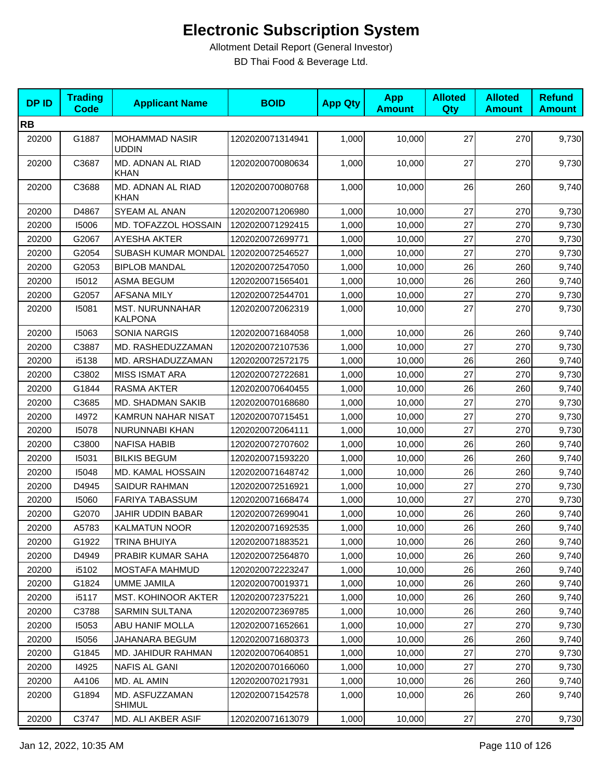| <b>DPID</b> | <b>Trading</b><br><b>Code</b> | <b>Applicant Name</b>                    | <b>BOID</b>      | <b>App Qty</b> | <b>App</b><br><b>Amount</b> | <b>Alloted</b><br>Qty | <b>Alloted</b><br><b>Amount</b> | <b>Refund</b><br><b>Amount</b> |
|-------------|-------------------------------|------------------------------------------|------------------|----------------|-----------------------------|-----------------------|---------------------------------|--------------------------------|
| <b>RB</b>   |                               |                                          |                  |                |                             |                       |                                 |                                |
| 20200       | G1887                         | <b>MOHAMMAD NASIR</b><br><b>UDDIN</b>    | 1202020071314941 | 1,000          | 10,000                      | 27                    | 270                             | 9,730                          |
| 20200       | C3687                         | MD. ADNAN AL RIAD<br><b>KHAN</b>         | 1202020070080634 | 1,000          | 10,000                      | 27                    | 270                             | 9,730                          |
| 20200       | C3688                         | MD. ADNAN AL RIAD<br><b>KHAN</b>         | 1202020070080768 | 1,000          | 10,000                      | 26                    | 260                             | 9,740                          |
| 20200       | D4867                         | SYEAM AL ANAN                            | 1202020071206980 | 1,000          | 10,000                      | 27                    | 270                             | 9,730                          |
| 20200       | 15006                         | MD. TOFAZZOL HOSSAIN                     | 1202020071292415 | 1,000          | 10,000                      | 27                    | 270                             | 9,730                          |
| 20200       | G2067                         | <b>AYESHA AKTER</b>                      | 1202020072699771 | 1,000          | 10,000                      | 27                    | 270                             | 9,730                          |
| 20200       | G2054                         | SUBASH KUMAR MONDAL                      | 1202020072546527 | 1,000          | 10,000                      | 27                    | 270                             | 9,730                          |
| 20200       | G2053                         | <b>BIPLOB MANDAL</b>                     | 1202020072547050 | 1,000          | 10,000                      | 26                    | 260                             | 9,740                          |
| 20200       | 15012                         | <b>ASMA BEGUM</b>                        | 1202020071565401 | 1,000          | 10,000                      | 26                    | 260                             | 9,740                          |
| 20200       | G2057                         | <b>AFSANA MILY</b>                       | 1202020072544701 | 1,000          | 10,000                      | 27                    | 270                             | 9,730                          |
| 20200       | 15081                         | <b>MST. NURUNNAHAR</b><br><b>KALPONA</b> | 1202020072062319 | 1,000          | 10,000                      | 27                    | 270                             | 9,730                          |
| 20200       | 15063                         | <b>SONIA NARGIS</b>                      | 1202020071684058 | 1,000          | 10,000                      | 26                    | 260                             | 9,740                          |
| 20200       | C3887                         | MD. RASHEDUZZAMAN                        | 1202020072107536 | 1,000          | 10,000                      | 27                    | 270                             | 9,730                          |
| 20200       | i5138                         | MD. ARSHADUZZAMAN                        | 1202020072572175 | 1,000          | 10,000                      | 26                    | 260                             | 9,740                          |
| 20200       | C3802                         | <b>MISS ISMAT ARA</b>                    | 1202020072722681 | 1,000          | 10,000                      | 27                    | 270                             | 9,730                          |
| 20200       | G1844                         | <b>RASMA AKTER</b>                       | 1202020070640455 | 1,000          | 10,000                      | 26                    | 260                             | 9,740                          |
| 20200       | C3685                         | MD. SHADMAN SAKIB                        | 1202020070168680 | 1,000          | 10,000                      | 27                    | 270                             | 9,730                          |
| 20200       | 14972                         | <b>KAMRUN NAHAR NISAT</b>                | 1202020070715451 | 1,000          | 10,000                      | 27                    | 270                             | 9,730                          |
| 20200       | 15078                         | NURUNNABI KHAN                           | 1202020072064111 | 1,000          | 10,000                      | 27                    | 270                             | 9,730                          |
| 20200       | C3800                         | <b>NAFISA HABIB</b>                      | 1202020072707602 | 1,000          | 10,000                      | 26                    | 260                             | 9,740                          |
| 20200       | 15031                         | <b>BILKIS BEGUM</b>                      | 1202020071593220 | 1,000          | 10,000                      | 26                    | 260                             | 9,740                          |
| 20200       | 15048                         | MD. KAMAL HOSSAIN                        | 1202020071648742 | 1,000          | 10,000                      | 26                    | 260                             | 9,740                          |
| 20200       | D4945                         | <b>SAIDUR RAHMAN</b>                     | 1202020072516921 | 1,000          | 10,000                      | 27                    | 270                             | 9,730                          |
| 20200       | 15060                         | <b>FARIYA TABASSUM</b>                   | 1202020071668474 | 1,000          | 10,000                      | 27                    | 270                             | 9,730                          |
| 20200       | G2070                         | JAHIR UDDIN BABAR                        | 1202020072699041 | 1,000          | 10,000                      | 26                    | 260                             | 9,740                          |
| 20200       | A5783                         | <b>KALMATUN NOOR</b>                     | 1202020071692535 | 1,000          | 10,000                      | 26                    | 260                             | 9,740                          |
| 20200       | G1922                         | <b>TRINA BHUIYA</b>                      | 1202020071883521 | 1,000          | 10,000                      | 26                    | 260                             | 9,740                          |
| 20200       | D4949                         | PRABIR KUMAR SAHA                        | 1202020072564870 | 1,000          | 10,000                      | 26                    | 260                             | 9,740                          |
| 20200       | i5102                         | <b>MOSTAFA MAHMUD</b>                    | 1202020072223247 | 1,000          | 10.000                      | 26                    | 260                             | 9,740                          |
| 20200       | G1824                         | <b>UMME JAMILA</b>                       | 1202020070019371 | 1,000          | 10,000                      | 26                    | 260                             | 9,740                          |
| 20200       | i5117                         | <b>MST. KOHINOOR AKTER</b>               | 1202020072375221 | 1,000          | 10,000                      | 26                    | 260                             | 9,740                          |
| 20200       | C3788                         | <b>SARMIN SULTANA</b>                    | 1202020072369785 | 1,000          | 10,000                      | 26                    | 260                             | 9,740                          |
| 20200       | 15053                         | ABU HANIF MOLLA                          | 1202020071652661 | 1,000          | 10,000                      | 27                    | 270                             | 9,730                          |
| 20200       | 15056                         | JAHANARA BEGUM                           | 1202020071680373 | 1,000          | 10,000                      | 26                    | 260                             | 9,740                          |
| 20200       | G1845                         | MD. JAHIDUR RAHMAN                       | 1202020070640851 | 1,000          | 10,000                      | 27                    | 270                             | 9,730                          |
| 20200       | 14925                         | NAFIS AL GANI                            | 1202020070166060 | 1,000          | 10,000                      | 27                    | 270                             | 9,730                          |
| 20200       | A4106                         | MD. AL AMIN                              | 1202020070217931 | 1,000          | 10,000                      | 26                    | 260                             | 9,740                          |
| 20200       | G1894                         | MD. ASFUZZAMAN<br><b>SHIMUL</b>          | 1202020071542578 | 1,000          | 10,000                      | 26                    | 260                             | 9,740                          |
| 20200       | C3747                         | MD. ALI AKBER ASIF                       | 1202020071613079 | 1,000          | 10,000                      | 27                    | 270                             | 9,730                          |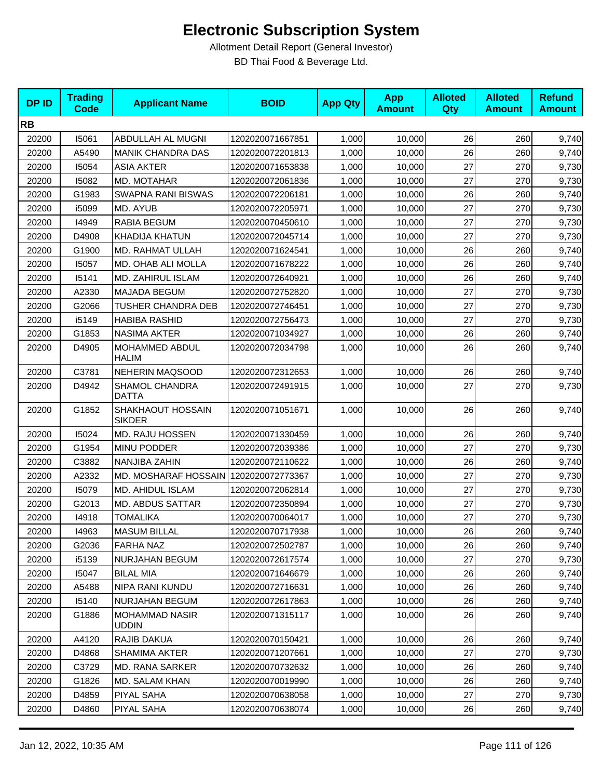| <b>DPID</b> | <b>Trading</b><br>Code | <b>Applicant Name</b>                 | <b>BOID</b>      | <b>App Qty</b> | <b>App</b><br><b>Amount</b> | <b>Alloted</b><br><b>Qty</b> | <b>Alloted</b><br><b>Amount</b> | <b>Refund</b><br><b>Amount</b> |
|-------------|------------------------|---------------------------------------|------------------|----------------|-----------------------------|------------------------------|---------------------------------|--------------------------------|
| <b>RB</b>   |                        |                                       |                  |                |                             |                              |                                 |                                |
| 20200       | 15061                  | ABDULLAH AL MUGNI                     | 1202020071667851 | 1,000          | 10,000                      | 26                           | 260                             | 9,740                          |
| 20200       | A5490                  | <b>MANIK CHANDRA DAS</b>              | 1202020072201813 | 1,000          | 10,000                      | 26                           | 260                             | 9,740                          |
| 20200       | 15054                  | <b>ASIA AKTER</b>                     | 1202020071653838 | 1,000          | 10,000                      | 27                           | 270                             | 9,730                          |
| 20200       | 15082                  | MD. MOTAHAR                           | 1202020072061836 | 1,000          | 10,000                      | 27                           | 270                             | 9,730                          |
| 20200       | G1983                  | SWAPNA RANI BISWAS                    | 1202020072206181 | 1,000          | 10,000                      | 26                           | 260                             | 9,740                          |
| 20200       | i5099                  | MD. AYUB                              | 1202020072205971 | 1,000          | 10.000                      | 27                           | 270                             | 9,730                          |
| 20200       | 14949                  | <b>RABIA BEGUM</b>                    | 1202020070450610 | 1,000          | 10,000                      | 27                           | 270                             | 9,730                          |
| 20200       | D4908                  | <b>KHADIJA KHATUN</b>                 | 1202020072045714 | 1,000          | 10,000                      | 27                           | 270                             | 9,730                          |
| 20200       | G1900                  | MD. RAHMAT ULLAH                      | 1202020071624541 | 1,000          | 10,000                      | 26                           | 260                             | 9,740                          |
| 20200       | 15057                  | MD. OHAB ALI MOLLA                    | 1202020071678222 | 1,000          | 10,000                      | 26                           | 260                             | 9,740                          |
| 20200       | 15141                  | MD. ZAHIRUL ISLAM                     | 1202020072640921 | 1,000          | 10,000                      | 26                           | 260                             | 9,740                          |
| 20200       | A2330                  | <b>MAJADA BEGUM</b>                   | 1202020072752820 | 1,000          | 10,000                      | 27                           | 270                             | 9,730                          |
| 20200       | G2066                  | TUSHER CHANDRA DEB                    | 1202020072746451 | 1,000          | 10,000                      | 27                           | 270                             | 9,730                          |
| 20200       | i5149                  | <b>HABIBA RASHID</b>                  | 1202020072756473 | 1,000          | 10,000                      | 27                           | 270                             | 9,730                          |
| 20200       | G1853                  | <b>NASIMA AKTER</b>                   | 1202020071034927 | 1,000          | 10,000                      | 26                           | 260                             | 9,740                          |
| 20200       | D4905                  | MOHAMMED ABDUL<br><b>HALIM</b>        | 1202020072034798 | 1,000          | 10,000                      | 26                           | 260                             | 9,740                          |
| 20200       | C3781                  | <b>NEHERIN MAQSOOD</b>                | 1202020072312653 | 1,000          | 10,000                      | 26                           | 260                             | 9,740                          |
| 20200       | D4942                  | SHAMOL CHANDRA<br><b>DATTA</b>        | 1202020072491915 | 1,000          | 10,000                      | 27                           | 270                             | 9,730                          |
| 20200       | G1852                  | SHAKHAOUT HOSSAIN<br><b>SIKDER</b>    | 1202020071051671 | 1,000          | 10,000                      | 26                           | 260                             | 9,740                          |
| 20200       | 15024                  | MD. RAJU HOSSEN                       | 1202020071330459 | 1,000          | 10,000                      | 26                           | 260                             | 9,740                          |
| 20200       | G1954                  | MINU PODDER                           | 1202020072039386 | 1,000          | 10,000                      | 27                           | 270                             | 9,730                          |
| 20200       | C3882                  | NANJIBA ZAHIN                         | 1202020072110622 | 1,000          | 10,000                      | 26                           | 260                             | 9,740                          |
| 20200       | A2332                  | MD. MOSHARAF HOSSAIN                  | 1202020072773367 | 1,000          | 10,000                      | 27                           | 270                             | 9,730                          |
| 20200       | 15079                  | MD. AHIDUL ISLAM                      | 1202020072062814 | 1,000          | 10,000                      | 27                           | 270                             | 9,730                          |
| 20200       | G2013                  | <b>MD. ABDUS SATTAR</b>               | 1202020072350894 | 1,000          | 10,000                      | 27                           | 270                             | 9,730                          |
| 20200       | 14918                  | <b>TOMALIKA</b>                       | 1202020070064017 | 1,000          | 10,000                      | 27                           | 270                             | 9,730                          |
| 20200       | 14963                  | <b>MASUM BILLAL</b>                   | 1202020070717938 | 1,000          | 10,000                      | 26                           | 260                             | 9,740                          |
| 20200       | G2036                  | <b>FARHA NAZ</b>                      | 1202020072502787 | 1,000          | 10,000                      | 26                           | 260                             | 9,740                          |
| 20200       | i5139                  | NURJAHAN BEGUM                        | 1202020072617574 | 1,000          | 10,000                      | 27                           | 270                             | 9,730                          |
| 20200       | 15047                  | <b>BILAL MIA</b>                      | 1202020071646679 | 1,000          | 10,000                      | 26                           | 260                             | 9,740                          |
| 20200       | A5488                  | NIPA RANI KUNDU                       | 1202020072716631 | 1,000          | 10,000                      | 26                           | 260                             | 9,740                          |
| 20200       | 15140                  | <b>NURJAHAN BEGUM</b>                 | 1202020072617863 | 1,000          | 10,000                      | 26                           | 260                             | 9,740                          |
| 20200       | G1886                  | <b>MOHAMMAD NASIR</b><br><b>UDDIN</b> | 1202020071315117 | 1,000          | 10,000                      | 26                           | 260                             | 9,740                          |
| 20200       | A4120                  | RAJIB DAKUA                           | 1202020070150421 | 1,000          | 10,000                      | 26                           | 260                             | 9,740                          |
| 20200       | D4868                  | <b>SHAMIMA AKTER</b>                  | 1202020071207661 | 1,000          | 10,000                      | 27                           | 270                             | 9,730                          |
| 20200       | C3729                  | MD. RANA SARKER                       | 1202020070732632 | 1,000          | 10,000                      | 26                           | 260                             | 9,740                          |
| 20200       | G1826                  | MD. SALAM KHAN                        | 1202020070019990 | 1,000          | 10,000                      | 26                           | 260                             | 9,740                          |
| 20200       | D4859                  | PIYAL SAHA                            | 1202020070638058 | 1,000          | 10,000                      | 27                           | 270                             | 9,730                          |
| 20200       | D4860                  | PIYAL SAHA                            | 1202020070638074 | 1,000          | 10,000                      | 26                           | 260                             | 9,740                          |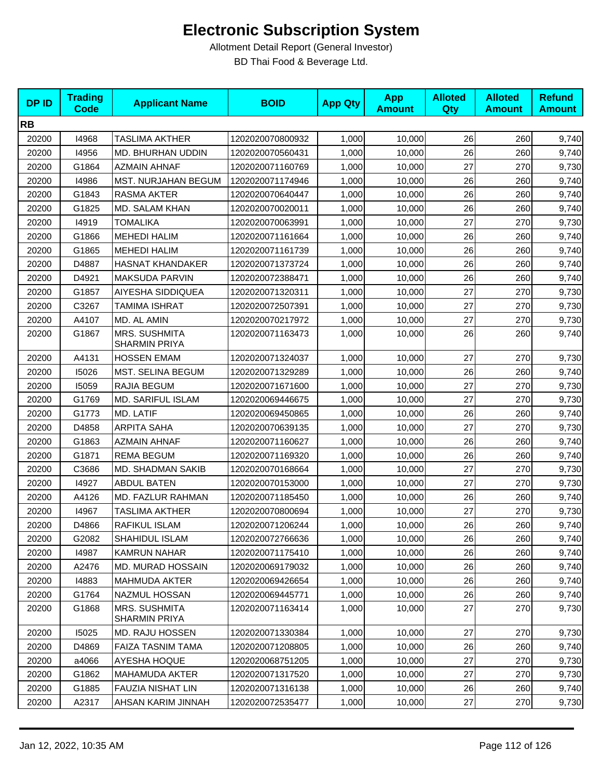| <b>DPID</b> | <b>Trading</b><br><b>Code</b> | <b>Applicant Name</b>                 | <b>BOID</b>      | <b>App Qty</b> | <b>App</b><br><b>Amount</b> | <b>Alloted</b><br><b>Qty</b> | <b>Alloted</b><br><b>Amount</b> | <b>Refund</b><br><b>Amount</b> |
|-------------|-------------------------------|---------------------------------------|------------------|----------------|-----------------------------|------------------------------|---------------------------------|--------------------------------|
| <b>RB</b>   |                               |                                       |                  |                |                             |                              |                                 |                                |
| 20200       | 14968                         | TASLIMA AKTHER                        | 1202020070800932 | 1,000          | 10,000                      | 26                           | 260                             | 9,740                          |
| 20200       | 14956                         | MD. BHURHAN UDDIN                     | 1202020070560431 | 1,000          | 10,000                      | 26                           | 260                             | 9,740                          |
| 20200       | G1864                         | <b>AZMAIN AHNAF</b>                   | 1202020071160769 | 1,000          | 10,000                      | 27                           | 270                             | 9,730                          |
| 20200       | 14986                         | MST. NURJAHAN BEGUM                   | 1202020071174946 | 1,000          | 10,000                      | 26                           | 260                             | 9,740                          |
| 20200       | G1843                         | RASMA AKTER                           | 1202020070640447 | 1,000          | 10,000                      | 26                           | 260                             | 9,740                          |
| 20200       | G1825                         | MD. SALAM KHAN                        | 1202020070020011 | 1,000          | 10,000                      | 26                           | 260                             | 9,740                          |
| 20200       | 14919                         | <b>TOMALIKA</b>                       | 1202020070063991 | 1,000          | 10,000                      | 27                           | 270                             | 9,730                          |
| 20200       | G1866                         | <b>MEHEDI HALIM</b>                   | 1202020071161664 | 1,000          | 10,000                      | 26                           | 260                             | 9,740                          |
| 20200       | G1865                         | <b>MEHEDI HALIM</b>                   | 1202020071161739 | 1,000          | 10,000                      | 26                           | 260                             | 9,740                          |
| 20200       | D4887                         | <b>HASNAT KHANDAKER</b>               | 1202020071373724 | 1,000          | 10,000                      | 26                           | 260                             | 9,740                          |
| 20200       | D4921                         | MAKSUDA PARVIN                        | 1202020072388471 | 1,000          | 10,000                      | 26                           | 260                             | 9,740                          |
| 20200       | G1857                         | AIYESHA SIDDIQUEA                     | 1202020071320311 | 1,000          | 10,000                      | 27                           | 270                             | 9,730                          |
| 20200       | C3267                         | <b>TAMIMA ISHRAT</b>                  | 1202020072507391 | 1,000          | 10,000                      | 27                           | 270                             | 9,730                          |
| 20200       | A4107                         | MD. AL AMIN                           | 1202020070217972 | 1,000          | 10,000                      | 27                           | 270                             | 9,730                          |
| 20200       | G1867                         | <b>MRS. SUSHMITA</b><br>SHARMIN PRIYA | 1202020071163473 | 1,000          | 10,000                      | 26                           | 260                             | 9,740                          |
| 20200       | A4131                         | <b>HOSSEN EMAM</b>                    | 1202020071324037 | 1,000          | 10.000                      | 27                           | 270                             | 9,730                          |
| 20200       | 15026                         | MST. SELINA BEGUM                     | 1202020071329289 | 1,000          | 10,000                      | 26                           | 260                             | 9,740                          |
| 20200       | 15059                         | RAJIA BEGUM                           | 1202020071671600 | 1,000          | 10,000                      | 27                           | 270                             | 9,730                          |
| 20200       | G1769                         | <b>MD. SARIFUL ISLAM</b>              | 1202020069446675 | 1,000          | 10,000                      | 27                           | 270                             | 9,730                          |
| 20200       | G1773                         | MD. LATIF                             | 1202020069450865 | 1,000          | 10,000                      | 26                           | 260                             | 9,740                          |
| 20200       | D4858                         | <b>ARPITA SAHA</b>                    | 1202020070639135 | 1,000          | 10,000                      | 27                           | 270                             | 9,730                          |
| 20200       | G1863                         | <b>AZMAIN AHNAF</b>                   | 1202020071160627 | 1,000          | 10,000                      | 26                           | 260                             | 9,740                          |
| 20200       | G1871                         | <b>REMA BEGUM</b>                     | 1202020071169320 | 1,000          | 10,000                      | 26                           | 260                             | 9,740                          |
| 20200       | C3686                         | <b>MD. SHADMAN SAKIB</b>              | 1202020070168664 | 1,000          | 10,000                      | 27                           | 270                             | 9,730                          |
| 20200       | 14927                         | <b>ABDUL BATEN</b>                    | 1202020070153000 | 1,000          | 10,000                      | 27                           | 270                             | 9,730                          |
| 20200       | A4126                         | MD. FAZLUR RAHMAN                     | 1202020071185450 | 1,000          | 10,000                      | 26                           | 260                             | 9,740                          |
| 20200       | 14967                         | <b>TASLIMA AKTHER</b>                 | 1202020070800694 | 1,000          | 10,000                      | 27                           | 270                             | 9,730                          |
| 20200       | D4866                         | RAFIKUL ISLAM                         | 1202020071206244 | 1,000          | 10,000                      | 26                           | 260                             | 9,740                          |
| 20200       | G2082                         | SHAHIDUL ISLAM                        | 1202020072766636 | 1,000          | 10,000                      | 26                           | 260                             | 9,740                          |
| 20200       | 14987                         | <b>KAMRUN NAHAR</b>                   | 1202020071175410 | 1,000          | 10,000                      | 26                           | 260                             | 9,740                          |
| 20200       | A2476                         | MD. MURAD HOSSAIN                     | 1202020069179032 | 1,000          | 10,000                      | 26                           | 260                             | 9,740                          |
| 20200       | 14883                         | <b>MAHMUDA AKTER</b>                  | 1202020069426654 | 1,000          | 10,000                      | 26                           | 260                             | 9,740                          |
| 20200       | G1764                         | NAZMUL HOSSAN                         | 1202020069445771 | 1,000          | 10,000                      | 26                           | 260                             | 9,740                          |
| 20200       | G1868                         | MRS. SUSHMITA<br><b>SHARMIN PRIYA</b> | 1202020071163414 | 1,000          | 10,000                      | 27                           | 270                             | 9,730                          |
| 20200       | 15025                         | <b>MD. RAJU HOSSEN</b>                | 1202020071330384 | 1,000          | 10,000                      | 27                           | 270                             | 9,730                          |
| 20200       | D4869                         | FAIZA TASNIM TAMA                     | 1202020071208805 | 1,000          | 10,000                      | 26                           | 260                             | 9,740                          |
| 20200       | a4066                         | AYESHA HOQUE                          | 1202020068751205 | 1,000          | 10,000                      | 27                           | 270                             | 9,730                          |
| 20200       | G1862                         | MAHAMUDA AKTER                        | 1202020071317520 | 1,000          | 10,000                      | 27                           | 270                             | 9,730                          |
| 20200       | G1885                         | FAUZIA NISHAT LIN                     | 1202020071316138 | 1,000          | 10,000                      | 26                           | 260                             | 9,740                          |
| 20200       | A2317                         | AHSAN KARIM JINNAH                    | 1202020072535477 | 1,000          | 10,000                      | 27                           | 270                             | 9,730                          |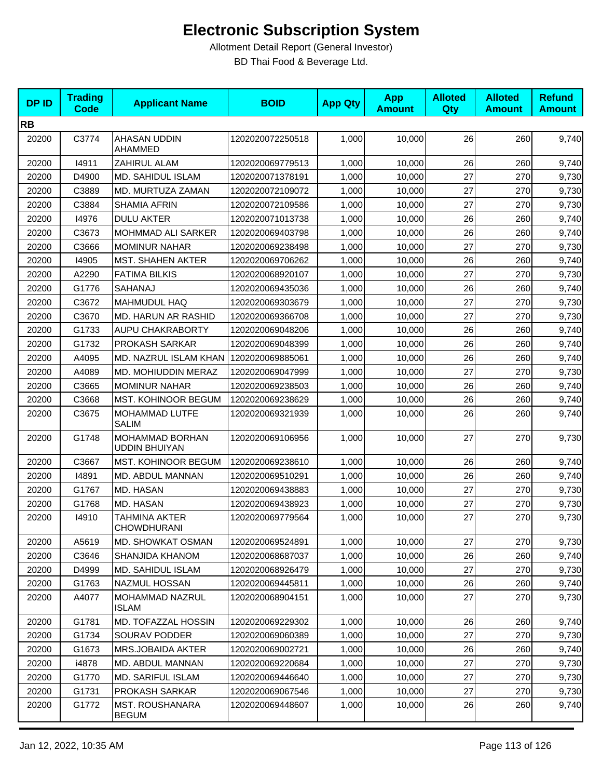| <b>DPID</b> | <b>Trading</b><br>Code | <b>Applicant Name</b>                   | <b>BOID</b>      | <b>App Qty</b> | <b>App</b><br><b>Amount</b> | <b>Alloted</b><br>Qty | <b>Alloted</b><br><b>Amount</b> | <b>Refund</b><br><b>Amount</b> |
|-------------|------------------------|-----------------------------------------|------------------|----------------|-----------------------------|-----------------------|---------------------------------|--------------------------------|
| <b>RB</b>   |                        |                                         |                  |                |                             |                       |                                 |                                |
| 20200       | C3774                  | AHASAN UDDIN<br>AHAMMED                 | 1202020072250518 | 1,000          | 10,000                      | 26                    | 260                             | 9,740                          |
| 20200       | 14911                  | ZAHIRUL ALAM                            | 1202020069779513 | 1,000          | 10,000                      | 26                    | 260                             | 9,740                          |
| 20200       | D4900                  | MD. SAHIDUL ISLAM                       | 1202020071378191 | 1,000          | 10,000                      | 27                    | 270                             | 9,730                          |
| 20200       | C3889                  | MD. MURTUZA ZAMAN                       | 1202020072109072 | 1,000          | 10,000                      | 27                    | 270                             | 9,730                          |
| 20200       | C3884                  | <b>SHAMIA AFRIN</b>                     | 1202020072109586 | 1,000          | 10,000                      | 27                    | 270                             | 9,730                          |
| 20200       | 14976                  | <b>DULU AKTER</b>                       | 1202020071013738 | 1,000          | 10,000                      | 26                    | 260                             | 9,740                          |
| 20200       | C3673                  | MOHMMAD ALI SARKER                      | 1202020069403798 | 1,000          | 10.000                      | 26                    | 260                             | 9,740                          |
| 20200       | C3666                  | <b>MOMINUR NAHAR</b>                    | 1202020069238498 | 1,000          | 10,000                      | 27                    | 270                             | 9,730                          |
| 20200       | 14905                  | <b>MST. SHAHEN AKTER</b>                | 1202020069706262 | 1,000          | 10,000                      | 26                    | 260                             | 9,740                          |
| 20200       | A2290                  | <b>FATIMA BILKIS</b>                    | 1202020068920107 | 1,000          | 10,000                      | 27                    | 270                             | 9,730                          |
| 20200       | G1776                  | SAHANAJ                                 | 1202020069435036 | 1,000          | 10,000                      | 26                    | 260                             | 9,740                          |
| 20200       | C3672                  | <b>MAHMUDUL HAQ</b>                     | 1202020069303679 | 1,000          | 10,000                      | 27                    | 270                             | 9,730                          |
| 20200       | C3670                  | MD. HARUN AR RASHID                     | 1202020069366708 | 1,000          | 10,000                      | 27                    | 270                             | 9,730                          |
| 20200       | G1733                  | AUPU CHAKRABORTY                        | 1202020069048206 | 1,000          | 10,000                      | 26                    | 260                             | 9,740                          |
| 20200       | G1732                  | PROKASH SARKAR                          | 1202020069048399 | 1,000          | 10,000                      | 26                    | 260                             | 9,740                          |
| 20200       | A4095                  | MD. NAZRUL ISLAM KHAN                   | 1202020069885061 | 1,000          | 10,000                      | 26                    | 260                             | 9,740                          |
| 20200       | A4089                  | MD. MOHIUDDIN MERAZ                     | 1202020069047999 | 1,000          | 10,000                      | 27                    | 270                             | 9,730                          |
| 20200       | C3665                  | <b>MOMINUR NAHAR</b>                    | 1202020069238503 | 1,000          | 10,000                      | 26                    | 260                             | 9,740                          |
| 20200       | C3668                  | MST. KOHINOOR BEGUM                     | 1202020069238629 | 1,000          | 10,000                      | 26                    | 260                             | 9,740                          |
| 20200       | C3675                  | MOHAMMAD LUTFE<br><b>SALIM</b>          | 1202020069321939 | 1,000          | 10,000                      | 26                    | 260                             | 9,740                          |
| 20200       | G1748                  | MOHAMMAD BORHAN<br><b>UDDIN BHUIYAN</b> | 1202020069106956 | 1,000          | 10,000                      | 27                    | 270                             | 9,730                          |
| 20200       | C3667                  | MST. KOHINOOR BEGUM                     | 1202020069238610 | 1,000          | 10,000                      | 26                    | 260                             | 9,740                          |
| 20200       | 14891                  | MD. ABDUL MANNAN                        | 1202020069510291 | 1,000          | 10,000                      | 26                    | 260                             | 9,740                          |
| 20200       | G1767                  | MD. HASAN                               | 1202020069438883 | 1,000          | 10,000                      | 27                    | 270                             | 9,730                          |
| 20200       | G1768                  | MD. HASAN                               | 1202020069438923 | 1,000          | 10,000                      | 27                    | 270                             | 9,730                          |
| 20200       | 14910                  | <b>TAHMINA AKTER</b><br>CHOWDHURANI     | 1202020069779564 | 1,000          | 10,000                      | 27                    | 270                             | 9,730                          |
| 20200       | A5619                  | MD. SHOWKAT OSMAN                       | 1202020069524891 | 1,000          | 10,000                      | 27                    | 270                             | 9,730                          |
| 20200       | C3646                  | SHANJIDA KHANOM                         | 1202020068687037 | 1,000          | 10,000                      | 26                    | 260                             | 9,740                          |
| 20200       | D4999                  | MD. SAHIDUL ISLAM                       | 1202020068926479 | 1,000          | 10,000                      | 27                    | 270                             | 9,730                          |
| 20200       | G1763                  | NAZMUL HOSSAN                           | 1202020069445811 | 1,000          | 10,000                      | 26                    | 260                             | 9,740                          |
| 20200       | A4077                  | MOHAMMAD NAZRUL<br><b>ISLAM</b>         | 1202020068904151 | 1,000          | 10,000                      | 27                    | 270                             | 9,730                          |
| 20200       | G1781                  | MD. TOFAZZAL HOSSIN                     | 1202020069229302 | 1,000          | 10,000                      | 26                    | 260                             | 9,740                          |
| 20200       | G1734                  | <b>SOURAV PODDER</b>                    | 1202020069060389 | 1,000          | 10,000                      | 27                    | 270                             | 9,730                          |
| 20200       | G1673                  | MRS.JOBAIDA AKTER                       | 1202020069002721 | 1,000          | 10,000                      | 26                    | 260                             | 9,740                          |
| 20200       | i4878                  | MD. ABDUL MANNAN                        | 1202020069220684 | 1,000          | 10,000                      | 27                    | 270                             | 9,730                          |
| 20200       | G1770                  | MD. SARIFUL ISLAM                       | 1202020069446640 | 1,000          | 10,000                      | 27                    | 270                             | 9,730                          |
| 20200       | G1731                  | PROKASH SARKAR                          | 1202020069067546 | 1,000          | 10,000                      | 27                    | 270                             | 9,730                          |
| 20200       | G1772                  | <b>MST. ROUSHANARA</b><br><b>BEGUM</b>  | 1202020069448607 | 1,000          | 10,000                      | 26                    | 260                             | 9,740                          |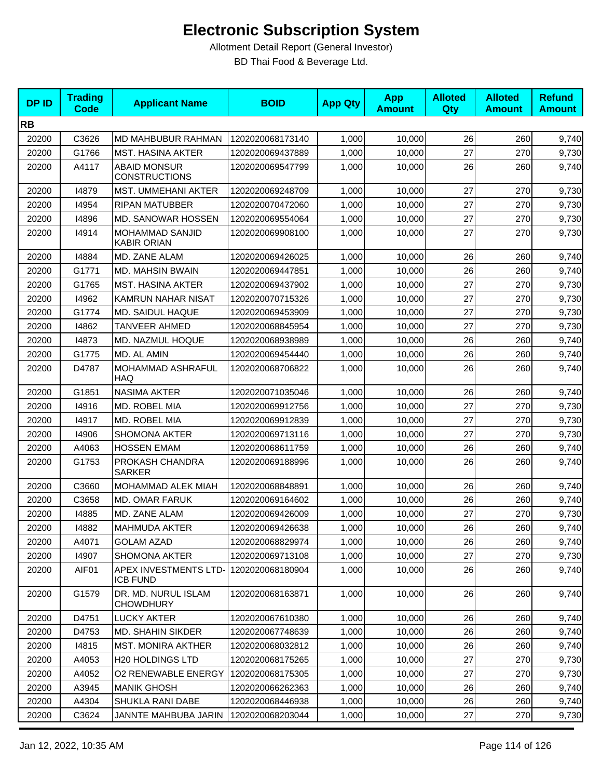| <b>DPID</b> | <b>Trading</b><br><b>Code</b> | <b>Applicant Name</b>                        | <b>BOID</b>      | <b>App Qty</b> | <b>App</b><br><b>Amount</b> | <b>Alloted</b><br>Qty | <b>Alloted</b><br><b>Amount</b> | <b>Refund</b><br><b>Amount</b> |
|-------------|-------------------------------|----------------------------------------------|------------------|----------------|-----------------------------|-----------------------|---------------------------------|--------------------------------|
| <b>RB</b>   |                               |                                              |                  |                |                             |                       |                                 |                                |
| 20200       | C3626                         | MD MAHBUBUR RAHMAN                           | 1202020068173140 | 1,000          | 10,000                      | 26                    | 260                             | 9,740                          |
| 20200       | G1766                         | <b>MST. HASINA AKTER</b>                     | 1202020069437889 | 1,000          | 10,000                      | 27                    | 270                             | 9,730                          |
| 20200       | A4117                         | <b>ABAID MONSUR</b><br><b>CONSTRUCTIONS</b>  | 1202020069547799 | 1,000          | 10,000                      | 26                    | 260                             | 9,740                          |
| 20200       | 14879                         | MST. UMMEHANI AKTER                          | 1202020069248709 | 1,000          | 10,000                      | 27                    | 270                             | 9,730                          |
| 20200       | 14954                         | <b>RIPAN MATUBBER</b>                        | 1202020070472060 | 1,000          | 10,000                      | 27                    | 270                             | 9,730                          |
| 20200       | 14896                         | MD. SANOWAR HOSSEN                           | 1202020069554064 | 1,000          | 10,000                      | 27                    | 270                             | 9,730                          |
| 20200       | 14914                         | <b>MOHAMMAD SANJID</b><br><b>KABIR ORIAN</b> | 1202020069908100 | 1,000          | 10,000                      | 27                    | 270                             | 9,730                          |
| 20200       | 14884                         | MD. ZANE ALAM                                | 1202020069426025 | 1,000          | 10,000                      | 26                    | 260                             | 9,740                          |
| 20200       | G1771                         | <b>MD. MAHSIN BWAIN</b>                      | 1202020069447851 | 1,000          | 10,000                      | 26                    | 260                             | 9,740                          |
| 20200       | G1765                         | <b>MST. HASINA AKTER</b>                     | 1202020069437902 | 1,000          | 10,000                      | 27                    | 270                             | 9,730                          |
| 20200       | 14962                         | KAMRUN NAHAR NISAT                           | 1202020070715326 | 1,000          | 10,000                      | 27                    | 270                             | 9,730                          |
| 20200       | G1774                         | MD. SAIDUL HAQUE                             | 1202020069453909 | 1,000          | 10,000                      | 27                    | 270                             | 9,730                          |
| 20200       | 14862                         | TANVEER AHMED                                | 1202020068845954 | 1,000          | 10.000                      | 27                    | 270                             | 9,730                          |
| 20200       | 14873                         | MD. NAZMUL HOQUE                             | 1202020068938989 | 1,000          | 10,000                      | 26                    | 260                             | 9,740                          |
| 20200       | G1775                         | MD. AL AMIN                                  | 1202020069454440 | 1,000          | 10,000                      | 26                    | 260                             | 9,740                          |
| 20200       | D4787                         | MOHAMMAD ASHRAFUL<br>HAQ                     | 1202020068706822 | 1,000          | 10,000                      | 26                    | 260                             | 9,740                          |
| 20200       | G1851                         | <b>NASIMA AKTER</b>                          | 1202020071035046 | 1,000          | 10,000                      | 26                    | 260                             | 9,740                          |
| 20200       | 14916                         | MD. ROBEL MIA                                | 1202020069912756 | 1,000          | 10,000                      | 27                    | 270                             | 9,730                          |
| 20200       | 14917                         | MD. ROBEL MIA                                | 1202020069912839 | 1,000          | 10,000                      | 27                    | 270                             | 9,730                          |
| 20200       | 14906                         | <b>SHOMONA AKTER</b>                         | 1202020069713116 | 1,000          | 10,000                      | 27                    | 270                             | 9,730                          |
| 20200       | A4063                         | <b>HOSSEN EMAM</b>                           | 1202020068611759 | 1,000          | 10,000                      | 26                    | 260                             | 9,740                          |
| 20200       | G1753                         | PROKASH CHANDRA<br><b>SARKER</b>             | 1202020069188996 | 1,000          | 10,000                      | 26                    | 260                             | 9,740                          |
| 20200       | C3660                         | MOHAMMAD ALEK MIAH                           | 1202020068848891 | 1,000          | 10,000                      | 26                    | 260                             | 9,740                          |
| 20200       | C3658                         | MD. OMAR FARUK                               | 1202020069164602 | 1,000          | 10,000                      | 26                    | 260                             | 9,740                          |
| 20200       | 14885                         | MD. ZANE ALAM                                | 1202020069426009 | 1,000          | 10,000                      | 27                    | 270                             | 9,730                          |
| 20200       | 14882                         | MAHMUDA AKTER                                | 1202020069426638 | 1,000          | 10,000                      | 26                    | 260                             | 9,740                          |
| 20200       | A4071                         | GOLAM AZAD                                   | 1202020068829974 | 1,000          | 10,000                      | 26                    | 260                             | 9,740                          |
| 20200       | 14907                         | SHOMONA AKTER                                | 1202020069713108 | 1,000          | 10,000                      | 27                    | 270                             | 9,730                          |
| 20200       | AIF01                         | APEX INVESTMENTS LTD-<br><b>ICB FUND</b>     | 1202020068180904 | 1,000          | 10,000                      | 26                    | 260                             | 9,740                          |
| 20200       | G1579                         | DR. MD. NURUL ISLAM<br><b>CHOWDHURY</b>      | 1202020068163871 | 1,000          | 10,000                      | 26                    | 260                             | 9,740                          |
| 20200       | D4751                         | <b>LUCKY AKTER</b>                           | 1202020067610380 | 1,000          | 10,000                      | 26                    | 260                             | 9,740                          |
| 20200       | D4753                         | MD. SHAHIN SIKDER                            | 1202020067748639 | 1,000          | 10,000                      | 26                    | 260                             | 9,740                          |
| 20200       | 14815                         | MST. MONIRA AKTHER                           | 1202020068032812 | 1,000          | 10,000                      | 26                    | 260                             | 9,740                          |
| 20200       | A4053                         | <b>H20 HOLDINGS LTD</b>                      | 1202020068175265 | 1,000          | 10,000                      | 27                    | 270                             | 9,730                          |
| 20200       | A4052                         | <b>O2 RENEWABLE ENERGY</b>                   | 1202020068175305 | 1,000          | 10,000                      | 27                    | 270                             | 9,730                          |
| 20200       | A3945                         | <b>MANIK GHOSH</b>                           | 1202020066262363 | 1,000          | 10,000                      | 26                    | 260                             | 9,740                          |
| 20200       | A4304                         | SHUKLA RANI DABE                             | 1202020068446938 | 1,000          | 10,000                      | 26                    | 260                             | 9,740                          |
| 20200       | C3624                         | JANNTE MAHBUBA JARIN                         | 1202020068203044 | 1,000          | 10,000                      | 27                    | 270                             | 9,730                          |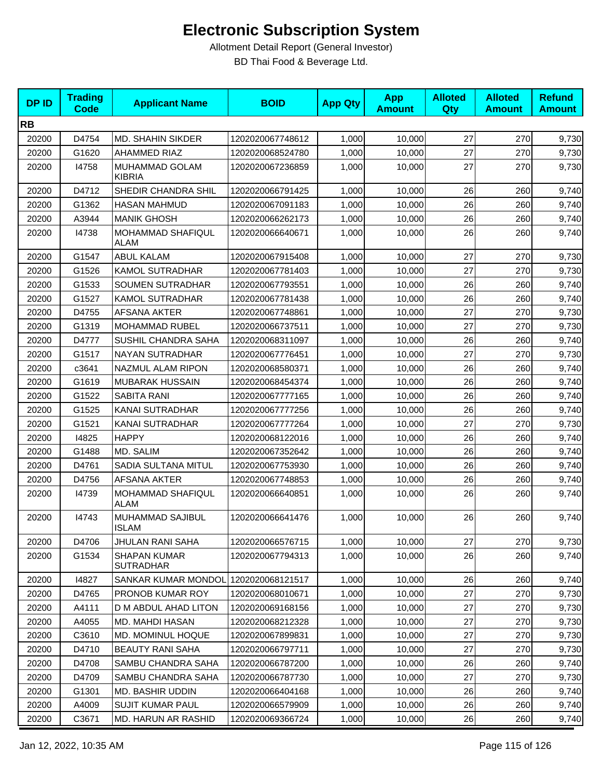| <b>DPID</b> | <b>Trading</b><br><b>Code</b> | <b>Applicant Name</b>                   | <b>BOID</b>      | <b>App Qty</b> | <b>App</b><br><b>Amount</b> | <b>Alloted</b><br>Qty | <b>Alloted</b><br><b>Amount</b> | <b>Refund</b><br><b>Amount</b> |
|-------------|-------------------------------|-----------------------------------------|------------------|----------------|-----------------------------|-----------------------|---------------------------------|--------------------------------|
| <b>RB</b>   |                               |                                         |                  |                |                             |                       |                                 |                                |
| 20200       | D4754                         | MD. SHAHIN SIKDER                       | 1202020067748612 | 1,000          | 10,000                      | 27                    | 270                             | 9,730                          |
| 20200       | G1620                         | AHAMMED RIAZ                            | 1202020068524780 | 1,000          | 10,000                      | 27                    | 270                             | 9,730                          |
| 20200       | 14758                         | MUHAMMAD GOLAM<br><b>KIBRIA</b>         | 1202020067236859 | 1,000          | 10,000                      | 27                    | 270                             | 9,730                          |
| 20200       | D4712                         | SHEDIR CHANDRA SHIL                     | 1202020066791425 | 1,000          | 10,000                      | 26                    | 260                             | 9,740                          |
| 20200       | G1362                         | <b>HASAN MAHMUD</b>                     | 1202020067091183 | 1,000          | 10.000                      | 26                    | 260                             | 9,740                          |
| 20200       | A3944                         | <b>MANIK GHOSH</b>                      | 1202020066262173 | 1,000          | 10,000                      | 26                    | 260                             | 9,740                          |
| 20200       | 14738                         | MOHAMMAD SHAFIQUL<br>ALAM               | 1202020066640671 | 1,000          | 10,000                      | 26                    | 260                             | 9,740                          |
| 20200       | G1547                         | <b>ABUL KALAM</b>                       | 1202020067915408 | 1,000          | 10,000                      | 27                    | 270                             | 9,730                          |
| 20200       | G1526                         | <b>KAMOL SUTRADHAR</b>                  | 1202020067781403 | 1,000          | 10,000                      | 27                    | 270                             | 9,730                          |
| 20200       | G1533                         | <b>SOUMEN SUTRADHAR</b>                 | 1202020067793551 | 1,000          | 10,000                      | 26                    | 260                             | 9,740                          |
| 20200       | G1527                         | <b>KAMOL SUTRADHAR</b>                  | 1202020067781438 | 1,000          | 10,000                      | 26                    | 260                             | 9,740                          |
| 20200       | D4755                         | <b>AFSANA AKTER</b>                     | 1202020067748861 | 1,000          | 10,000                      | 27                    | 270                             | 9,730                          |
| 20200       | G1319                         | MOHAMMAD RUBEL                          | 1202020066737511 | 1,000          | 10,000                      | 27                    | 270                             | 9,730                          |
| 20200       | D4777                         | SUSHIL CHANDRA SAHA                     | 1202020068311097 | 1,000          | 10,000                      | 26                    | 260                             | 9,740                          |
| 20200       | G1517                         | NAYAN SUTRADHAR                         | 1202020067776451 | 1,000          | 10,000                      | 27                    | 270                             | 9,730                          |
| 20200       | c3641                         | NAZMUL ALAM RIPON                       | 1202020068580371 | 1,000          | 10,000                      | 26                    | 260                             | 9,740                          |
| 20200       | G1619                         | <b>MUBARAK HUSSAIN</b>                  | 1202020068454374 | 1,000          | 10,000                      | 26                    | 260                             | 9,740                          |
| 20200       | G1522                         | SABITA RANI                             | 1202020067777165 | 1,000          | 10,000                      | 26                    | 260                             | 9,740                          |
| 20200       | G1525                         | KANAI SUTRADHAR                         | 1202020067777256 | 1,000          | 10,000                      | 26                    | 260                             | 9,740                          |
| 20200       | G1521                         | KANAI SUTRADHAR                         | 1202020067777264 | 1,000          | 10,000                      | 27                    | 270                             | 9,730                          |
| 20200       | 14825                         | <b>HAPPY</b>                            | 1202020068122016 | 1,000          | 10,000                      | 26                    | 260                             | 9,740                          |
| 20200       | G1488                         | MD. SALIM                               | 1202020067352642 | 1,000          | 10,000                      | 26                    | 260                             | 9,740                          |
| 20200       | D4761                         | SADIA SULTANA MITUL                     | 1202020067753930 | 1,000          | 10,000                      | 26                    | 260                             | 9,740                          |
| 20200       | D4756                         | AFSANA AKTER                            | 1202020067748853 | 1,000          | 10,000                      | 26                    | 260                             | 9,740                          |
| 20200       | 14739                         | MOHAMMAD SHAFIQUL<br><b>ALAM</b>        | 1202020066640851 | 1,000          | 10,000                      | 26                    | 260                             | 9,740                          |
| 20200       | 14743                         | MUHAMMAD SAJIBUL<br><b>ISLAM</b>        | 1202020066641476 | 1,000          | 10,000                      | 26                    | 260                             | 9,740                          |
| 20200       | D4706                         | JHULAN RANI SAHA                        | 1202020066576715 | 1,000          | 10,000                      | 27                    | 270                             | 9,730                          |
| 20200       | G1534                         | <b>SHAPAN KUMAR</b><br><b>SUTRADHAR</b> | 1202020067794313 | 1,000          | 10,000                      | 26                    | 260                             | 9,740                          |
| 20200       | 14827                         | SANKAR KUMAR MONDOL                     | 1202020068121517 | 1,000          | 10,000                      | 26                    | 260                             | 9,740                          |
| 20200       | D4765                         | PRONOB KUMAR ROY                        | 1202020068010671 | 1,000          | 10.000                      | 27                    | 270                             | 9,730                          |
| 20200       | A4111                         | D M ABDUL AHAD LITON                    | 1202020069168156 | 1,000          | 10,000                      | 27                    | 270                             | 9,730                          |
| 20200       | A4055                         | MD. MAHDI HASAN                         | 1202020068212328 | 1,000          | 10,000                      | 27                    | 270                             | 9,730                          |
| 20200       | C3610                         | MD. MOMINUL HOQUE                       | 1202020067899831 | 1,000          | 10,000                      | 27                    | 270                             | 9,730                          |
| 20200       | D4710                         | <b>BEAUTY RANI SAHA</b>                 | 1202020066797711 | 1,000          | 10,000                      | 27                    | 270                             | 9,730                          |
| 20200       | D4708                         | SAMBU CHANDRA SAHA                      | 1202020066787200 | 1,000          | 10,000                      | 26                    | 260                             | 9,740                          |
| 20200       | D4709                         | SAMBU CHANDRA SAHA                      | 1202020066787730 | 1,000          | 10,000                      | 27                    | 270                             | 9,730                          |
| 20200       | G1301                         | MD. BASHIR UDDIN                        | 1202020066404168 | 1,000          | 10,000                      | 26                    | 260                             | 9,740                          |
| 20200       | A4009                         | <b>SUJIT KUMAR PAUL</b>                 | 1202020066579909 | 1,000          | 10,000                      | 26                    | 260                             | 9,740                          |
| 20200       | C3671                         | MD. HARUN AR RASHID                     | 1202020069366724 | 1,000          | 10,000                      | 26                    | 260                             | 9,740                          |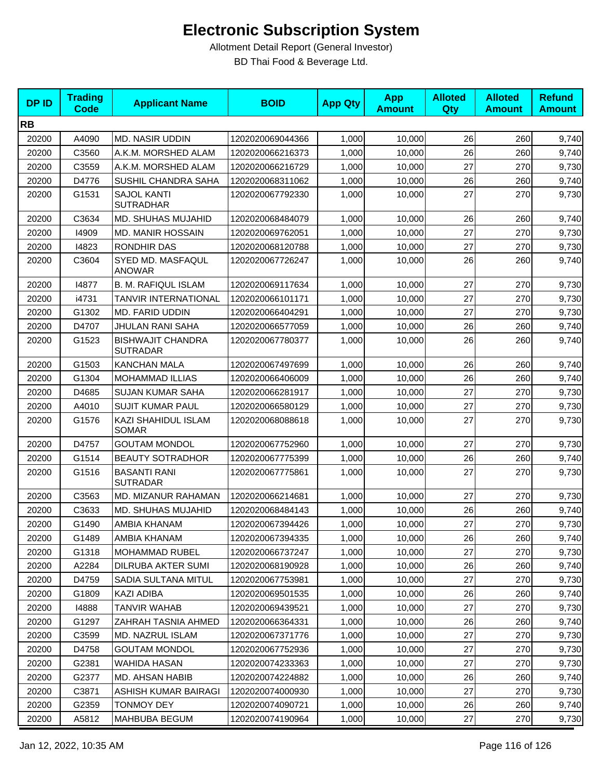| <b>DPID</b> | <b>Trading</b><br><b>Code</b> | <b>Applicant Name</b>                       | <b>BOID</b>      | <b>App Qty</b> | <b>App</b><br><b>Amount</b> | <b>Alloted</b><br>Qty | <b>Alloted</b><br><b>Amount</b> | <b>Refund</b><br><b>Amount</b> |
|-------------|-------------------------------|---------------------------------------------|------------------|----------------|-----------------------------|-----------------------|---------------------------------|--------------------------------|
| <b>RB</b>   |                               |                                             |                  |                |                             |                       |                                 |                                |
| 20200       | A4090                         | <b>MD. NASIR UDDIN</b>                      | 1202020069044366 | 1,000          | 10,000                      | 26                    | 260                             | 9,740                          |
| 20200       | C3560                         | A.K.M. MORSHED ALAM                         | 1202020066216373 | 1,000          | 10,000                      | 26                    | 260                             | 9,740                          |
| 20200       | C3559                         | A.K.M. MORSHED ALAM                         | 1202020066216729 | 1,000          | 10,000                      | 27                    | 270                             | 9,730                          |
| 20200       | D4776                         | SUSHIL CHANDRA SAHA                         | 1202020068311062 | 1,000          | 10,000                      | 26                    | 260                             | 9,740                          |
| 20200       | G1531                         | <b>SAJOL KANTI</b><br><b>SUTRADHAR</b>      | 1202020067792330 | 1,000          | 10,000                      | 27                    | 270                             | 9,730                          |
| 20200       | C3634                         | MD. SHUHAS MUJAHID                          | 1202020068484079 | 1,000          | 10,000                      | 26                    | 260                             | 9,740                          |
| 20200       | 14909                         | <b>MD. MANIR HOSSAIN</b>                    | 1202020069762051 | 1,000          | 10,000                      | 27                    | 270                             | 9,730                          |
| 20200       | 14823                         | RONDHIR DAS                                 | 1202020068120788 | 1,000          | 10,000                      | 27                    | 270                             | 9,730                          |
| 20200       | C3604                         | SYED MD. MASFAQUL<br><b>ANOWAR</b>          | 1202020067726247 | 1,000          | 10,000                      | 26                    | 260                             | 9,740                          |
| 20200       | 14877                         | <b>B. M. RAFIQUL ISLAM</b>                  | 1202020069117634 | 1,000          | 10,000                      | 27                    | 270                             | 9,730                          |
| 20200       | i4731                         | TANVIR INTERNATIONAL                        | 1202020066101171 | 1,000          | 10,000                      | 27                    | 270                             | 9,730                          |
| 20200       | G1302                         | MD. FARID UDDIN                             | 1202020066404291 | 1,000          | 10,000                      | 27                    | 270                             | 9,730                          |
| 20200       | D4707                         | JHULAN RANI SAHA                            | 1202020066577059 | 1,000          | 10,000                      | 26                    | 260                             | 9,740                          |
| 20200       | G1523                         | <b>BISHWAJIT CHANDRA</b><br><b>SUTRADAR</b> | 1202020067780377 | 1,000          | 10,000                      | 26                    | 260                             | 9,740                          |
| 20200       | G1503                         | <b>KANCHAN MALA</b>                         | 1202020067497699 | 1,000          | 10,000                      | 26                    | 260                             | 9,740                          |
| 20200       | G1304                         | <b>MOHAMMAD ILLIAS</b>                      | 1202020066406009 | 1,000          | 10,000                      | 26                    | 260                             | 9,740                          |
| 20200       | D4685                         | <b>SUJAN KUMAR SAHA</b>                     | 1202020066281917 | 1,000          | 10,000                      | 27                    | 270                             | 9,730                          |
| 20200       | A4010                         | <b>SUJIT KUMAR PAUL</b>                     | 1202020066580129 | 1,000          | 10,000                      | 27                    | 270                             | 9,730                          |
| 20200       | G1576                         | KAZI SHAHIDUL ISLAM<br><b>SOMAR</b>         | 1202020068088618 | 1,000          | 10,000                      | 27                    | 270                             | 9,730                          |
| 20200       | D4757                         | <b>GOUTAM MONDOL</b>                        | 1202020067752960 | 1,000          | 10,000                      | 27                    | 270                             | 9,730                          |
| 20200       | G1514                         | <b>BEAUTY SOTRADHOR</b>                     | 1202020067775399 | 1,000          | 10,000                      | 26                    | 260                             | 9,740                          |
| 20200       | G1516                         | <b>BASANTI RANI</b><br><b>SUTRADAR</b>      | 1202020067775861 | 1,000          | 10,000                      | 27                    | 270                             | 9,730                          |
| 20200       | C3563                         | MD. MIZANUR RAHAMAN                         | 1202020066214681 | 1,000          | 10,000                      | 27                    | 270                             | 9,730                          |
| 20200       | C3633                         | <b>MD. SHUHAS MUJAHID</b>                   | 1202020068484143 | 1,000          | 10,000                      | 26                    | 260                             | 9,740                          |
| 20200       | G1490                         | AMBIA KHANAM                                | 1202020067394426 | 1,000          | 10,000                      | 27                    | 270                             | 9,730                          |
| 20200       | G1489                         | AMBIA KHANAM                                | 1202020067394335 | 1,000          | 10,000                      | 26                    | 260                             | 9,740                          |
| 20200       | G1318                         | MOHAMMAD RUBEL                              | 1202020066737247 | 1,000          | 10,000                      | 27                    | 270                             | 9,730                          |
| 20200       | A2284                         | DILRUBA AKTER SUMI                          | 1202020068190928 | 1,000          | 10,000                      | 26                    | 260                             | 9,740                          |
| 20200       | D4759                         | SADIA SULTANA MITUL                         | 1202020067753981 | 1,000          | 10,000                      | 27                    | 270                             | 9,730                          |
| 20200       | G1809                         | KAZI ADIBA                                  | 1202020069501535 | 1,000          | 10,000                      | 26                    | 260                             | 9,740                          |
| 20200       | 14888                         | <b>TANVIR WAHAB</b>                         | 1202020069439521 | 1,000          | 10,000                      | 27                    | 270                             | 9,730                          |
| 20200       | G1297                         | ZAHRAH TASNIA AHMED                         | 1202020066364331 | 1,000          | 10,000                      | 26                    | 260                             | 9,740                          |
| 20200       | C3599                         | MD. NAZRUL ISLAM                            | 1202020067371776 | 1,000          | 10,000                      | 27                    | 270                             | 9,730                          |
| 20200       | D4758                         | <b>GOUTAM MONDOL</b>                        | 1202020067752936 | 1,000          | 10,000                      | 27                    | 270                             | 9,730                          |
| 20200       | G2381                         | WAHIDA HASAN                                | 1202020074233363 | 1,000          | 10,000                      | 27                    | 270                             | 9,730                          |
| 20200       | G2377                         | MD. AHSAN HABIB                             | 1202020074224882 | 1,000          | 10,000                      | 26                    | 260                             | 9,740                          |
| 20200       | C3871                         | ASHISH KUMAR BAIRAGI                        | 1202020074000930 | 1,000          | 10,000                      | 27                    | 270                             | 9,730                          |
| 20200       | G2359                         | <b>TONMOY DEY</b>                           | 1202020074090721 | 1,000          | 10,000                      | 26                    | 260                             | 9,740                          |
| 20200       | A5812                         | MAHBUBA BEGUM                               | 1202020074190964 | 1,000          | 10,000                      | 27                    | 270                             | 9,730                          |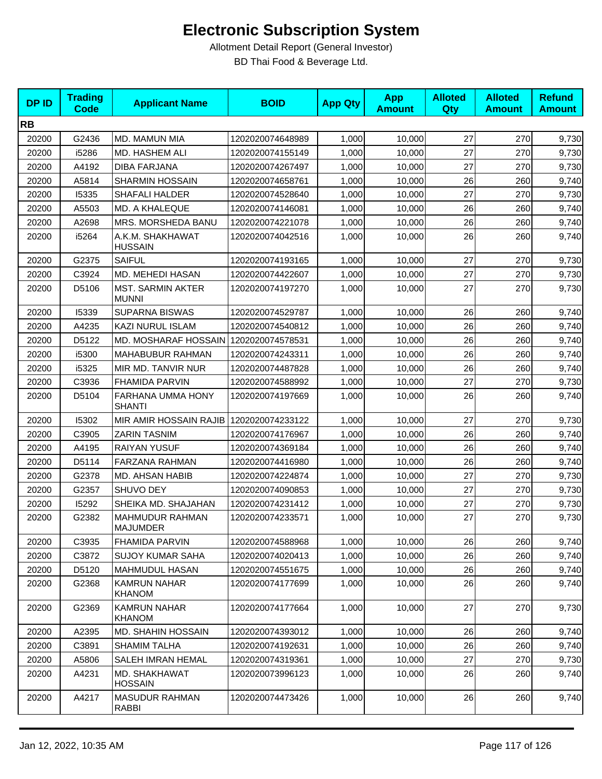| <b>DPID</b> | <b>Trading</b><br>Code | <b>Applicant Name</b>                    | <b>BOID</b>      | <b>App Qty</b> | <b>App</b><br><b>Amount</b> | <b>Alloted</b><br>Qty | <b>Alloted</b><br><b>Amount</b> | <b>Refund</b><br><b>Amount</b> |
|-------------|------------------------|------------------------------------------|------------------|----------------|-----------------------------|-----------------------|---------------------------------|--------------------------------|
| <b>RB</b>   |                        |                                          |                  |                |                             |                       |                                 |                                |
| 20200       | G2436                  | MD. MAMUN MIA                            | 1202020074648989 | 1,000          | 10,000                      | 27                    | 270                             | 9,730                          |
| 20200       | i5286                  | MD. HASHEM ALI                           | 1202020074155149 | 1,000          | 10,000                      | 27                    | 270                             | 9,730                          |
| 20200       | A4192                  | <b>DIBA FARJANA</b>                      | 1202020074267497 | 1,000          | 10,000                      | 27                    | 270                             | 9,730                          |
| 20200       | A5814                  | <b>SHARMIN HOSSAIN</b>                   | 1202020074658761 | 1,000          | 10,000                      | 26                    | 260                             | 9,740                          |
| 20200       | 15335                  | <b>SHAFALI HALDER</b>                    | 1202020074528640 | 1,000          | 10,000                      | 27                    | 270                             | 9,730                          |
| 20200       | A5503                  | MD. A KHALEQUE                           | 1202020074146081 | 1,000          | 10,000                      | 26                    | 260                             | 9,740                          |
| 20200       | A2698                  | MRS. MORSHEDA BANU                       | 1202020074221078 | 1,000          | 10,000                      | 26                    | 260                             | 9,740                          |
| 20200       | i5264                  | A.K.M. SHAKHAWAT<br><b>HUSSAIN</b>       | 1202020074042516 | 1,000          | 10,000                      | 26                    | 260                             | 9,740                          |
| 20200       | G2375                  | <b>SAIFUL</b>                            | 1202020074193165 | 1,000          | 10,000                      | 27                    | 270                             | 9,730                          |
| 20200       | C3924                  | MD. MEHEDI HASAN                         | 1202020074422607 | 1,000          | 10,000                      | 27                    | 270                             | 9,730                          |
| 20200       | D5106                  | <b>MST. SARMIN AKTER</b><br><b>MUNNI</b> | 1202020074197270 | 1,000          | 10,000                      | 27                    | 270                             | 9,730                          |
| 20200       | 15339                  | <b>SUPARNA BISWAS</b>                    | 1202020074529787 | 1,000          | 10,000                      | 26                    | 260                             | 9,740                          |
| 20200       | A4235                  | KAZI NURUL ISLAM                         | 1202020074540812 | 1,000          | 10,000                      | 26                    | 260                             | 9,740                          |
| 20200       | D5122                  | MD. MOSHARAF HOSSAIN                     | 1202020074578531 | 1,000          | 10,000                      | 26                    | 260                             | 9,740                          |
| 20200       | i5300                  | MAHABUBUR RAHMAN                         | 1202020074243311 | 1,000          | 10.000                      | 26                    | 260                             | 9,740                          |
| 20200       | i5325                  | MIR MD. TANVIR NUR                       | 1202020074487828 | 1,000          | 10,000                      | 26                    | 260                             | 9,740                          |
| 20200       | C3936                  | FHAMIDA PARVIN                           | 1202020074588992 | 1,000          | 10,000                      | 27                    | 270                             | 9,730                          |
| 20200       | D5104                  | FARHANA UMMA HONY<br><b>SHANTI</b>       | 1202020074197669 | 1,000          | 10,000                      | 26                    | 260                             | 9,740                          |
| 20200       | 15302                  | MIR AMIR HOSSAIN RAJIB 1202020074233122  |                  | 1,000          | 10,000                      | 27                    | 270                             | 9,730                          |
| 20200       | C3905                  | <b>ZARIN TASNIM</b>                      | 1202020074176967 | 1,000          | 10,000                      | 26                    | 260                             | 9,740                          |
| 20200       | A4195                  | <b>RAIYAN YUSUF</b>                      | 1202020074369184 | 1,000          | 10,000                      | 26                    | 260                             | 9,740                          |
| 20200       | D5114                  | <b>FARZANA RAHMAN</b>                    | 1202020074416980 | 1,000          | 10,000                      | 26                    | 260                             | 9,740                          |
| 20200       | G2378                  | MD. AHSAN HABIB                          | 1202020074224874 | 1,000          | 10,000                      | 27                    | 270                             | 9,730                          |
| 20200       | G2357                  | SHUVO DEY                                | 1202020074090853 | 1,000          | 10,000                      | 27                    | 270                             | 9,730                          |
| 20200       | 15292                  | SHEIKA MD. SHAJAHAN                      | 1202020074231412 | 1,000          | 10,000                      | 27                    | 270                             | 9,730                          |
| 20200       | G2382                  | MAHMUDUR RAHMAN<br>MAJUMDER              | 1202020074233571 | 1,000          | 10,000                      | 27                    | 270                             | 9,730                          |
| 20200       | C3935                  | FHAMIDA PARVIN                           | 1202020074588968 | 1,000          | 10,000                      | 26                    | 260                             | 9,740                          |
| 20200       | C3872                  | <b>SUJOY KUMAR SAHA</b>                  | 1202020074020413 | 1,000          | 10,000                      | 26                    | 260                             | 9,740                          |
| 20200       | D5120                  | <b>MAHMUDUL HASAN</b>                    | 1202020074551675 | 1,000          | 10,000                      | 26                    | 260                             | 9,740                          |
| 20200       | G2368                  | <b>KAMRUN NAHAR</b><br><b>KHANOM</b>     | 1202020074177699 | 1,000          | 10,000                      | 26                    | 260                             | 9,740                          |
| 20200       | G2369                  | <b>KAMRUN NAHAR</b><br><b>KHANOM</b>     | 1202020074177664 | 1,000          | 10,000                      | 27                    | 270                             | 9,730                          |
| 20200       | A2395                  | <b>MD. SHAHIN HOSSAIN</b>                | 1202020074393012 | 1,000          | 10,000                      | 26                    | 260                             | 9,740                          |
| 20200       | C3891                  | <b>SHAMIM TALHA</b>                      | 1202020074192631 | 1,000          | 10,000                      | 26                    | 260                             | 9,740                          |
| 20200       | A5806                  | SALEH IMRAN HEMAL                        | 1202020074319361 | 1,000          | 10,000                      | 27                    | 270                             | 9,730                          |
| 20200       | A4231                  | MD. SHAKHAWAT<br><b>HOSSAIN</b>          | 1202020073996123 | 1,000          | 10,000                      | 26                    | 260                             | 9,740                          |
| 20200       | A4217                  | <b>MASUDUR RAHMAN</b><br>RABBI           | 1202020074473426 | 1,000          | 10,000                      | 26                    | 260                             | 9,740                          |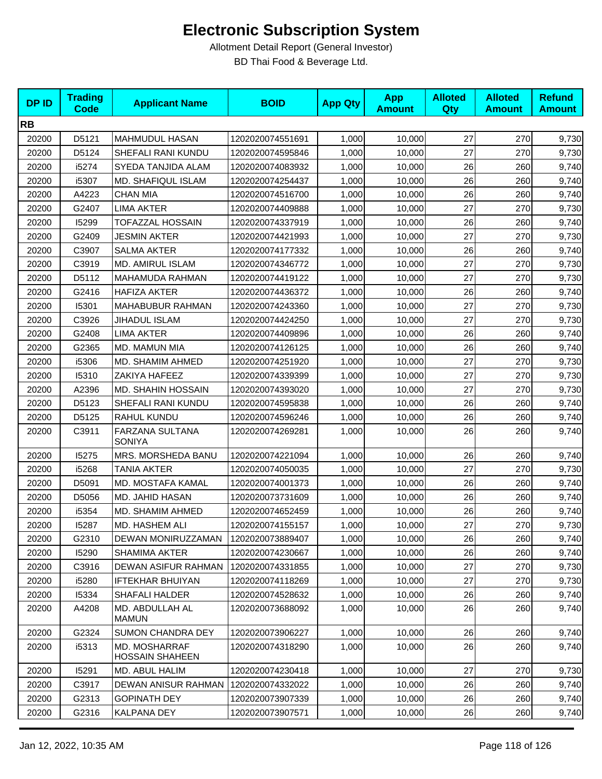| <b>DPID</b> | <b>Trading</b><br><b>Code</b> | <b>Applicant Name</b>                          | <b>BOID</b>      | <b>App Qty</b> | <b>App</b><br><b>Amount</b> | <b>Alloted</b><br><b>Qty</b> | <b>Alloted</b><br><b>Amount</b> | <b>Refund</b><br><b>Amount</b> |
|-------------|-------------------------------|------------------------------------------------|------------------|----------------|-----------------------------|------------------------------|---------------------------------|--------------------------------|
| <b>RB</b>   |                               |                                                |                  |                |                             |                              |                                 |                                |
| 20200       | D5121                         | <b>MAHMUDUL HASAN</b>                          | 1202020074551691 | 1,000          | 10,000                      | 27                           | 270                             | 9,730                          |
| 20200       | D5124                         | SHEFALI RANI KUNDU                             | 1202020074595846 | 1,000          | 10,000                      | 27                           | 270                             | 9,730                          |
| 20200       | i5274                         | SYEDA TANJIDA ALAM                             | 1202020074083932 | 1,000          | 10,000                      | 26                           | 260                             | 9,740                          |
| 20200       | i5307                         | MD. SHAFIQUL ISLAM                             | 1202020074254437 | 1,000          | 10,000                      | 26                           | 260                             | 9,740                          |
| 20200       | A4223                         | <b>CHAN MIA</b>                                | 1202020074516700 | 1,000          | 10,000                      | 26                           | 260                             | 9,740                          |
| 20200       | G2407                         | LIMA AKTER                                     | 1202020074409888 | 1,000          | 10,000                      | 27                           | 270                             | 9,730                          |
| 20200       | 15299                         | TOFAZZAL HOSSAIN                               | 1202020074337919 | 1,000          | 10,000                      | 26                           | 260                             | 9,740                          |
| 20200       | G2409                         | <b>JESMIN AKTER</b>                            | 1202020074421993 | 1,000          | 10,000                      | 27                           | 270                             | 9,730                          |
| 20200       | C3907                         | <b>SALMA AKTER</b>                             | 1202020074177332 | 1,000          | 10,000                      | 26                           | 260                             | 9,740                          |
| 20200       | C3919                         | <b>MD. AMIRUL ISLAM</b>                        | 1202020074346772 | 1,000          | 10,000                      | 27                           | 270                             | 9,730                          |
| 20200       | D5112                         | MAHAMUDA RAHMAN                                | 1202020074419122 | 1,000          | 10,000                      | 27                           | 270                             | 9,730                          |
| 20200       | G2416                         | <b>HAFIZA AKTER</b>                            | 1202020074436372 | 1,000          | 10,000                      | 26                           | 260                             | 9,740                          |
| 20200       | 15301                         | MAHABUBUR RAHMAN                               | 1202020074243360 | 1,000          | 10,000                      | 27                           | 270                             | 9,730                          |
| 20200       | C3926                         | JIHADUL ISLAM                                  | 1202020074424250 | 1,000          | 10,000                      | 27                           | 270                             | 9,730                          |
| 20200       | G2408                         | <b>LIMA AKTER</b>                              | 1202020074409896 | 1,000          | 10,000                      | 26                           | 260                             | 9,740                          |
| 20200       | G2365                         | MD. MAMUN MIA                                  | 1202020074126125 | 1,000          | 10,000                      | 26                           | 260                             | 9,740                          |
| 20200       | i5306                         | MD. SHAMIM AHMED                               | 1202020074251920 | 1,000          | 10,000                      | 27                           | 270                             | 9,730                          |
| 20200       | 15310                         | ZAKIYA HAFEEZ                                  | 1202020074339399 | 1,000          | 10,000                      | 27                           | 270                             | 9,730                          |
| 20200       | A2396                         | <b>MD. SHAHIN HOSSAIN</b>                      | 1202020074393020 | 1,000          | 10,000                      | 27                           | 270                             | 9,730                          |
| 20200       | D5123                         | SHEFALI RANI KUNDU                             | 1202020074595838 | 1,000          | 10,000                      | 26                           | 260                             | 9,740                          |
| 20200       | D5125                         | RAHUL KUNDU                                    | 1202020074596246 | 1,000          | 10,000                      | 26                           | 260                             | 9,740                          |
| 20200       | C3911                         | FARZANA SULTANA<br><b>SONIYA</b>               | 1202020074269281 | 1,000          | 10,000                      | 26                           | 260                             | 9,740                          |
| 20200       | 15275                         | MRS. MORSHEDA BANU                             | 1202020074221094 | 1,000          | 10,000                      | 26                           | 260                             | 9,740                          |
| 20200       | i5268                         | TANIA AKTER                                    | 1202020074050035 | 1,000          | 10,000                      | 27                           | 270                             | 9,730                          |
| 20200       | D5091                         | MD. MOSTAFA KAMAL                              | 1202020074001373 | 1,000          | 10,000                      | 26                           | 260                             | 9,740                          |
| 20200       | D5056                         | MD. JAHID HASAN                                | 1202020073731609 | 1,000          | 10,000                      | 26                           | 260                             | 9,740                          |
| 20200       | i5354                         | MD. SHAMIM AHMED                               | 1202020074652459 | 1,000          | 10,000                      | 26                           | 260                             | 9,740                          |
| 20200       | 15287                         | MD. HASHEM ALI                                 | 1202020074155157 | 1,000          | 10,000                      | 27                           | 270                             | 9,730                          |
| 20200       | G2310                         | DEWAN MONIRUZZAMAN                             | 1202020073889407 | 1,000          | 10,000                      | 26                           | 260                             | 9,740                          |
| 20200       | 15290                         | <b>SHAMIMA AKTER</b>                           | 1202020074230667 | 1,000          | 10,000                      | 26                           | 260                             | 9,740                          |
| 20200       | C3916                         | DEWAN ASIFUR RAHMAN                            | 1202020074331855 | 1,000          | 10,000                      | 27                           | 270                             | 9,730                          |
| 20200       | i5280                         | IFTEKHAR BHUIYAN                               | 1202020074118269 | 1,000          | 10,000                      | 27                           | 270                             | 9,730                          |
| 20200       | 15334                         | <b>SHAFALI HALDER</b>                          | 1202020074528632 | 1,000          | 10,000                      | 26                           | 260                             | 9,740                          |
| 20200       | A4208                         | MD. ABDULLAH AL<br><b>MAMUN</b>                | 1202020073688092 | 1,000          | 10,000                      | 26                           | 260                             | 9,740                          |
| 20200       | G2324                         | SUMON CHANDRA DEY                              | 1202020073906227 | 1,000          | 10,000                      | 26                           | 260                             | 9,740                          |
| 20200       | i5313                         | <b>MD. MOSHARRAF</b><br><b>HOSSAIN SHAHEEN</b> | 1202020074318290 | 1,000          | 10,000                      | 26                           | 260                             | 9,740                          |
| 20200       | 15291                         | MD. ABUL HALIM                                 | 1202020074230418 | 1,000          | 10,000                      | 27                           | 270                             | 9,730                          |
| 20200       | C3917                         | DEWAN ANISUR RAHMAN                            | 1202020074332022 | 1,000          | 10,000                      | 26                           | 260                             | 9,740                          |
| 20200       | G2313                         | <b>GOPINATH DEY</b>                            | 1202020073907339 | 1,000          | 10,000                      | 26                           | 260                             | 9,740                          |
| 20200       | G2316                         | KALPANA DEY                                    | 1202020073907571 | 1,000          | 10,000                      | 26                           | 260                             | 9,740                          |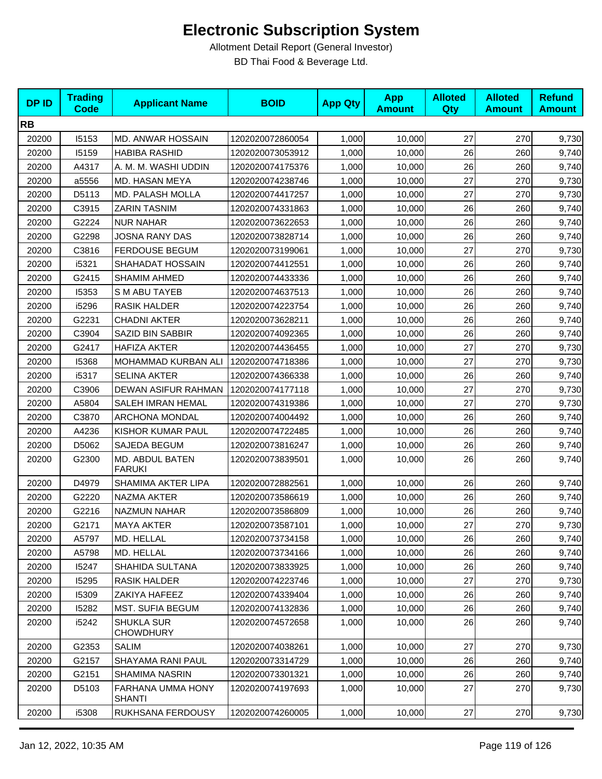| <b>DP ID</b> | <b>Trading</b><br><b>Code</b> | <b>Applicant Name</b>                 | <b>BOID</b>      | <b>App Qty</b> | <b>App</b><br><b>Amount</b> | <b>Alloted</b><br>Qty | <b>Alloted</b><br><b>Amount</b> | <b>Refund</b><br><b>Amount</b> |
|--------------|-------------------------------|---------------------------------------|------------------|----------------|-----------------------------|-----------------------|---------------------------------|--------------------------------|
| <b>RB</b>    |                               |                                       |                  |                |                             |                       |                                 |                                |
| 20200        | 15153                         | MD. ANWAR HOSSAIN                     | 1202020072860054 | 1,000          | 10,000                      | 27                    | 270                             | 9,730                          |
| 20200        | 15159                         | <b>HABIBA RASHID</b>                  | 1202020073053912 | 1,000          | 10.000                      | 26                    | 260                             | 9,740                          |
| 20200        | A4317                         | A. M. M. WASHI UDDIN                  | 1202020074175376 | 1,000          | 10,000                      | 26                    | 260                             | 9,740                          |
| 20200        | a5556                         | MD. HASAN MEYA                        | 1202020074238746 | 1,000          | 10,000                      | 27                    | 270                             | 9,730                          |
| 20200        | D5113                         | MD. PALASH MOLLA                      | 1202020074417257 | 1,000          | 10,000                      | 27                    | 270                             | 9,730                          |
| 20200        | C3915                         | <b>ZARIN TASNIM</b>                   | 1202020074331863 | 1,000          | 10,000                      | 26                    | 260                             | 9,740                          |
| 20200        | G2224                         | <b>NUR NAHAR</b>                      | 1202020073622653 | 1,000          | 10,000                      | 26                    | 260                             | 9,740                          |
| 20200        | G2298                         | <b>JOSNA RANY DAS</b>                 | 1202020073828714 | 1,000          | 10,000                      | 26                    | 260                             | 9,740                          |
| 20200        | C3816                         | <b>FERDOUSE BEGUM</b>                 | 1202020073199061 | 1,000          | 10,000                      | 27                    | 270                             | 9,730                          |
| 20200        | i5321                         | SHAHADAT HOSSAIN                      | 1202020074412551 | 1,000          | 10,000                      | 26                    | 260                             | 9,740                          |
| 20200        | G2415                         | <b>SHAMIM AHMED</b>                   | 1202020074433336 | 1,000          | 10,000                      | 26                    | 260                             | 9,740                          |
| 20200        | 15353                         | S M ABU TAYEB                         | 1202020074637513 | 1,000          | 10,000                      | 26                    | 260                             | 9,740                          |
| 20200        | i5296                         | <b>RASIK HALDER</b>                   | 1202020074223754 | 1,000          | 10,000                      | 26                    | 260                             | 9,740                          |
| 20200        | G2231                         | <b>CHADNI AKTER</b>                   | 1202020073628211 | 1,000          | 10,000                      | 26                    | 260                             | 9,740                          |
| 20200        | C3904                         | SAZID BIN SABBIR                      | 1202020074092365 | 1,000          | 10,000                      | 26                    | 260                             | 9,740                          |
| 20200        | G2417                         | <b>HAFIZA AKTER</b>                   | 1202020074436455 | 1,000          | 10,000                      | 27                    | 270                             | 9,730                          |
| 20200        | 15368                         | <b>MOHAMMAD KURBAN ALI</b>            | 1202020074718386 | 1,000          | 10,000                      | 27                    | 270                             | 9,730                          |
| 20200        | i5317                         | <b>SELINA AKTER</b>                   | 1202020074366338 | 1,000          | 10,000                      | 26                    | 260                             | 9,740                          |
| 20200        | C3906                         | DEWAN ASIFUR RAHMAN                   | 1202020074177118 | 1,000          | 10,000                      | 27                    | 270                             | 9,730                          |
| 20200        | A5804                         | <b>SALEH IMRAN HEMAL</b>              | 1202020074319386 | 1,000          | 10,000                      | 27                    | 270                             | 9,730                          |
| 20200        | C3870                         | <b>ARCHONA MONDAL</b>                 | 1202020074004492 | 1,000          | 10,000                      | 26                    | 260                             | 9,740                          |
| 20200        | A4236                         | KISHOR KUMAR PAUL                     | 1202020074722485 | 1,000          | 10,000                      | 26                    | 260                             | 9,740                          |
| 20200        | D5062                         | SAJEDA BEGUM                          | 1202020073816247 | 1,000          | 10,000                      | 26                    | 260                             | 9,740                          |
| 20200        | G2300                         | MD. ABDUL BATEN<br><b>FARUKI</b>      | 1202020073839501 | 1,000          | 10,000                      | 26                    | 260                             | 9,740                          |
| 20200        | D4979                         | SHAMIMA AKTER LIPA                    | 1202020072882561 | 1,000          | 10,000                      | 26                    | 260                             | 9,740                          |
| 20200        | G2220                         | NAZMA AKTER                           | 1202020073586619 | 1,000          | 10,000                      | 26                    | 260                             | 9,740                          |
| 20200        | G2216                         | <b>NAZMUN NAHAR</b>                   | 1202020073586809 | 1,000          | 10,000                      | 26                    | 260                             | 9,740                          |
| 20200        | G2171                         | <b>MAYA AKTER</b>                     | 1202020073587101 | 1,000          | 10,000                      | 27                    | 270                             | 9,730                          |
| 20200        | A5797                         | MD. HELLAL                            | 1202020073734158 | 1,000          | 10,000                      | 26                    | 260                             | 9,740                          |
| 20200        | A5798                         | MD. HELLAL                            | 1202020073734166 | 1,000          | 10,000                      | 26                    | 260                             | 9,740                          |
| 20200        | 15247                         | SHAHIDA SULTANA                       | 1202020073833925 | 1,000          | 10,000                      | 26                    | 260                             | 9,740                          |
| 20200        | 15295                         | RASIK HALDER                          | 1202020074223746 | 1,000          | 10,000                      | 27                    | 270                             | 9,730                          |
| 20200        | 15309                         | ZAKIYA HAFEEZ                         | 1202020074339404 | 1,000          | 10,000                      | 26                    | 260                             | 9,740                          |
| 20200        | 15282                         | MST. SUFIA BEGUM                      | 1202020074132836 | 1,000          | 10,000                      | 26                    | 260                             | 9,740                          |
| 20200        | i5242                         | <b>SHUKLA SUR</b><br><b>CHOWDHURY</b> | 1202020074572658 | 1,000          | 10,000                      | 26                    | 260                             | 9,740                          |
| 20200        | G2353                         | <b>SALIM</b>                          | 1202020074038261 | 1,000          | 10,000                      | 27                    | 270                             | 9,730                          |
| 20200        | G2157                         | SHAYAMA RANI PAUL                     | 1202020073314729 | 1,000          | 10,000                      | 26                    | 260                             | 9,740                          |
| 20200        | G2151                         | SHAMIMA NASRIN                        | 1202020073301321 | 1,000          | 10,000                      | 26                    | 260                             | 9,740                          |
| 20200        | D5103                         | FARHANA UMMA HONY<br><b>SHANTI</b>    | 1202020074197693 | 1,000          | 10,000                      | 27                    | 270                             | 9,730                          |
| 20200        | i5308                         | RUKHSANA FERDOUSY                     | 1202020074260005 | 1,000          | 10,000                      | 27                    | 270                             | 9,730                          |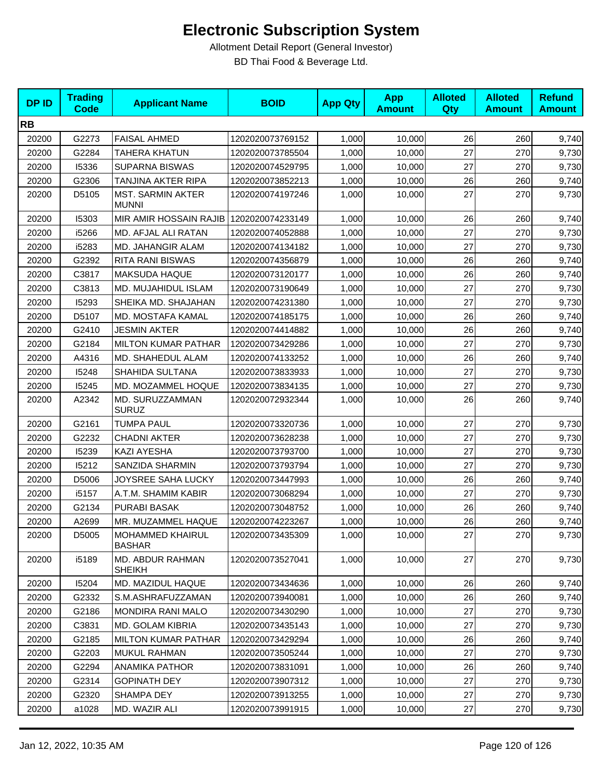| <b>DPID</b> | <b>Trading</b><br><b>Code</b> | <b>Applicant Name</b>                    | <b>BOID</b>      | <b>App Qty</b> | <b>App</b><br><b>Amount</b> | <b>Alloted</b><br><b>Qty</b> | <b>Alloted</b><br><b>Amount</b> | <b>Refund</b><br><b>Amount</b> |
|-------------|-------------------------------|------------------------------------------|------------------|----------------|-----------------------------|------------------------------|---------------------------------|--------------------------------|
| <b>RB</b>   |                               |                                          |                  |                |                             |                              |                                 |                                |
| 20200       | G2273                         | <b>FAISAL AHMED</b>                      | 1202020073769152 | 1,000          | 10,000                      | 26                           | 260                             | 9,740                          |
| 20200       | G2284                         | TAHERA KHATUN                            | 1202020073785504 | 1,000          | 10,000                      | 27                           | 270                             | 9,730                          |
| 20200       | 15336                         | <b>SUPARNA BISWAS</b>                    | 1202020074529795 | 1,000          | 10,000                      | 27                           | 270                             | 9,730                          |
| 20200       | G2306                         | TANJINA AKTER RIPA                       | 1202020073852213 | 1,000          | 10,000                      | 26                           | 260                             | 9,740                          |
| 20200       | D5105                         | <b>MST. SARMIN AKTER</b><br><b>MUNNI</b> | 1202020074197246 | 1,000          | 10,000                      | 27                           | 270                             | 9,730                          |
| 20200       | 15303                         | MIR AMIR HOSSAIN RAJIB                   | 1202020074233149 | 1,000          | 10,000                      | 26                           | 260                             | 9,740                          |
| 20200       | i5266                         | MD. AFJAL ALI RATAN                      | 1202020074052888 | 1,000          | 10,000                      | 27                           | 270                             | 9,730                          |
| 20200       | i5283                         | MD. JAHANGIR ALAM                        | 1202020074134182 | 1,000          | 10,000                      | 27                           | 270                             | 9,730                          |
| 20200       | G2392                         | <b>RITA RANI BISWAS</b>                  | 1202020074356879 | 1,000          | 10,000                      | 26                           | 260                             | 9,740                          |
| 20200       | C3817                         | <b>MAKSUDA HAQUE</b>                     | 1202020073120177 | 1,000          | 10,000                      | 26                           | 260                             | 9,740                          |
| 20200       | C3813                         | MD. MUJAHIDUL ISLAM                      | 1202020073190649 | 1,000          | 10,000                      | 27                           | 270                             | 9,730                          |
| 20200       | 15293                         | SHEIKA MD. SHAJAHAN                      | 1202020074231380 | 1,000          | 10,000                      | 27                           | 270                             | 9,730                          |
| 20200       | D5107                         | MD. MOSTAFA KAMAL                        | 1202020074185175 | 1,000          | 10,000                      | 26                           | 260                             | 9,740                          |
| 20200       | G2410                         | <b>JESMIN AKTER</b>                      | 1202020074414882 | 1,000          | 10,000                      | 26                           | 260                             | 9,740                          |
| 20200       | G2184                         | <b>MILTON KUMAR PATHAR</b>               | 1202020073429286 | 1,000          | 10,000                      | 27                           | 270                             | 9,730                          |
| 20200       | A4316                         | MD. SHAHEDUL ALAM                        | 1202020074133252 | 1,000          | 10,000                      | 26                           | 260                             | 9,740                          |
| 20200       | 15248                         | SHAHIDA SULTANA                          | 1202020073833933 | 1,000          | 10,000                      | 27                           | 270                             | 9,730                          |
| 20200       | 15245                         | MD. MOZAMMEL HOQUE                       | 1202020073834135 | 1,000          | 10,000                      | 27                           | 270                             | 9,730                          |
| 20200       | A2342                         | MD. SURUZZAMMAN<br><b>SURUZ</b>          | 1202020072932344 | 1,000          | 10,000                      | 26                           | 260                             | 9,740                          |
| 20200       | G2161                         | <b>TUMPA PAUL</b>                        | 1202020073320736 | 1,000          | 10,000                      | 27                           | 270                             | 9,730                          |
| 20200       | G2232                         | <b>CHADNI AKTER</b>                      | 1202020073628238 | 1,000          | 10,000                      | 27                           | 270                             | 9,730                          |
| 20200       | 15239                         | KAZI AYESHA                              | 1202020073793700 | 1,000          | 10,000                      | 27                           | 270                             | 9,730                          |
| 20200       | 15212                         | SANZIDA SHARMIN                          | 1202020073793794 | 1,000          | 10,000                      | 27                           | 270                             | 9,730                          |
| 20200       | D5006                         | JOYSREE SAHA LUCKY                       | 1202020073447993 | 1,000          | 10,000                      | 26                           | 260                             | 9,740                          |
| 20200       | i5157                         | A.T.M. SHAMIM KABIR                      | 1202020073068294 | 1,000          | 10,000                      | 27                           | 270                             | 9,730                          |
| 20200       | G2134                         | PURABI BASAK                             | 1202020073048752 | 1,000          | 10,000                      | 26                           | 260                             | 9,740                          |
| 20200       | A2699                         | MR. MUZAMMEL HAQUE                       | 1202020074223267 | 1,000          | 10,000                      | 26                           | 260                             | 9,740                          |
| 20200       | D5005                         | <b>MOHAMMED KHAIRUL</b><br><b>BASHAR</b> | 1202020073435309 | 1,000          | 10,000                      | 27                           | 270                             | 9,730                          |
| 20200       | i5189                         | MD. ABDUR RAHMAN<br><b>SHEIKH</b>        | 1202020073527041 | 1,000          | 10,000                      | 27                           | 270                             | 9,730                          |
| 20200       | 15204                         | MD. MAZIDUL HAQUE                        | 1202020073434636 | 1,000          | 10,000                      | 26                           | 260                             | 9,740                          |
| 20200       | G2332                         | S.M.ASHRAFUZZAMAN                        | 1202020073940081 | 1,000          | 10,000                      | 26                           | 260                             | 9,740                          |
| 20200       | G2186                         | <b>MONDIRA RANI MALO</b>                 | 1202020073430290 | 1,000          | 10,000                      | 27                           | 270                             | 9,730                          |
| 20200       | C3831                         | MD. GOLAM KIBRIA                         | 1202020073435143 | 1,000          | 10,000                      | 27                           | 270                             | 9,730                          |
| 20200       | G2185                         | MILTON KUMAR PATHAR                      | 1202020073429294 | 1,000          | 10,000                      | 26                           | 260                             | 9,740                          |
| 20200       | G2203                         | MUKUL RAHMAN                             | 1202020073505244 | 1,000          | 10,000                      | 27                           | 270                             | 9,730                          |
| 20200       | G2294                         | <b>ANAMIKA PATHOR</b>                    | 1202020073831091 | 1,000          | 10,000                      | 26                           | 260                             | 9,740                          |
| 20200       | G2314                         | <b>GOPINATH DEY</b>                      | 1202020073907312 | 1,000          | 10,000                      | 27                           | 270                             | 9,730                          |
| 20200       | G2320                         | SHAMPA DEY                               | 1202020073913255 | 1,000          | 10,000                      | 27                           | 270                             | 9,730                          |
| 20200       | a1028                         | MD. WAZIR ALI                            | 1202020073991915 | 1,000          | 10,000                      | 27                           | 270                             | 9,730                          |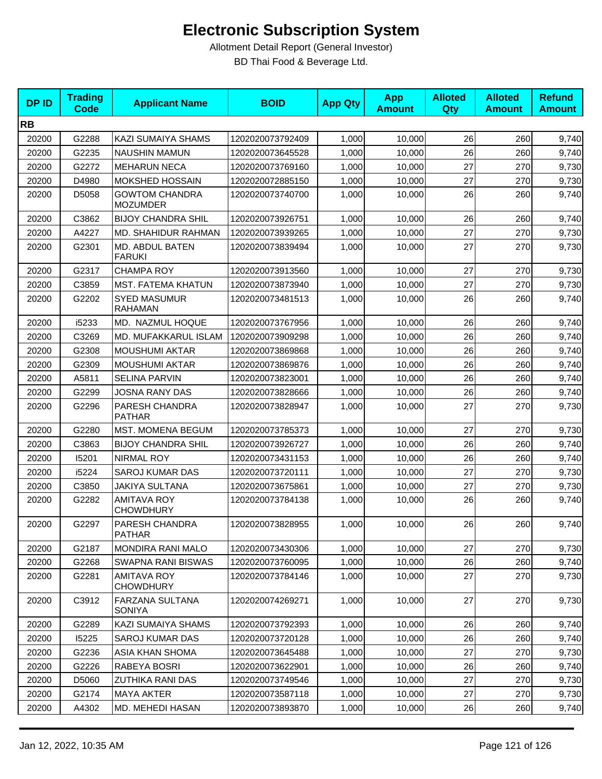| <b>DPID</b> | <b>Trading</b><br><b>Code</b> | <b>Applicant Name</b>                    | <b>BOID</b>      | <b>App Qty</b> | <b>App</b><br><b>Amount</b> | <b>Alloted</b><br>Qty | <b>Alloted</b><br><b>Amount</b> | <b>Refund</b><br><b>Amount</b> |
|-------------|-------------------------------|------------------------------------------|------------------|----------------|-----------------------------|-----------------------|---------------------------------|--------------------------------|
| <b>RB</b>   |                               |                                          |                  |                |                             |                       |                                 |                                |
| 20200       | G2288                         | <b>KAZI SUMAIYA SHAMS</b>                | 1202020073792409 | 1,000          | 10,000                      | 26                    | 260                             | 9,740                          |
| 20200       | G2235                         | <b>NAUSHIN MAMUN</b>                     | 1202020073645528 | 1,000          | 10,000                      | 26                    | 260                             | 9,740                          |
| 20200       | G2272                         | <b>MEHARUN NECA</b>                      | 1202020073769160 | 1,000          | 10,000                      | 27                    | 270                             | 9,730                          |
| 20200       | D4980                         | MOKSHED HOSSAIN                          | 1202020072885150 | 1,000          | 10,000                      | 27                    | 270                             | 9,730                          |
| 20200       | D5058                         | <b>GOWTOM CHANDRA</b><br><b>MOZUMDER</b> | 1202020073740700 | 1,000          | 10,000                      | 26                    | 260                             | 9,740                          |
| 20200       | C3862                         | <b>BIJOY CHANDRA SHIL</b>                | 1202020073926751 | 1,000          | 10,000                      | 26                    | 260                             | 9,740                          |
| 20200       | A4227                         | MD. SHAHIDUR RAHMAN                      | 1202020073939265 | 1,000          | 10,000                      | 27                    | 270                             | 9,730                          |
| 20200       | G2301                         | MD. ABDUL BATEN<br><b>FARUKI</b>         | 1202020073839494 | 1,000          | 10,000                      | 27                    | 270                             | 9,730                          |
| 20200       | G2317                         | <b>CHAMPA ROY</b>                        | 1202020073913560 | 1,000          | 10,000                      | 27                    | 270                             | 9,730                          |
| 20200       | C3859                         | MST. FATEMA KHATUN                       | 1202020073873940 | 1,000          | 10,000                      | 27                    | 270                             | 9,730                          |
| 20200       | G2202                         | <b>SYED MASUMUR</b><br><b>RAHAMAN</b>    | 1202020073481513 | 1,000          | 10.000                      | 26                    | 260                             | 9,740                          |
| 20200       | i5233                         | MD. NAZMUL HOQUE                         | 1202020073767956 | 1,000          | 10,000                      | 26                    | 260                             | 9,740                          |
| 20200       | C3269                         | MD. MUFAKKARUL ISLAM                     | 1202020073909298 | 1,000          | 10,000                      | 26                    | 260                             | 9,740                          |
| 20200       | G2308                         | <b>MOUSHUMI AKTAR</b>                    | 1202020073869868 | 1,000          | 10,000                      | 26                    | 260                             | 9,740                          |
| 20200       | G2309                         | <b>MOUSHUMI AKTAR</b>                    | 1202020073869876 | 1,000          | 10,000                      | 26                    | 260                             | 9,740                          |
| 20200       | A5811                         | <b>SELINA PARVIN</b>                     | 1202020073823001 | 1,000          | 10,000                      | 26                    | 260                             | 9,740                          |
| 20200       | G2299                         | JOSNA RANY DAS                           | 1202020073828666 | 1,000          | 10,000                      | 26                    | 260                             | 9,740                          |
| 20200       | G2296                         | PARESH CHANDRA<br><b>PATHAR</b>          | 1202020073828947 | 1,000          | 10,000                      | 27                    | 270                             | 9,730                          |
| 20200       | G2280                         | MST. MOMENA BEGUM                        | 1202020073785373 | 1,000          | 10,000                      | 27                    | 270                             | 9,730                          |
| 20200       | C3863                         | <b>BIJOY CHANDRA SHIL</b>                | 1202020073926727 | 1,000          | 10,000                      | 26                    | 260                             | 9,740                          |
| 20200       | 15201                         | <b>NIRMAL ROY</b>                        | 1202020073431153 | 1,000          | 10,000                      | 26                    | 260                             | 9,740                          |
| 20200       | i5224                         | <b>SAROJ KUMAR DAS</b>                   | 1202020073720111 | 1,000          | 10,000                      | 27                    | 270                             | 9,730                          |
| 20200       | C3850                         | JAKIYA SULTANA                           | 1202020073675861 | 1,000          | 10,000                      | 27                    | 270                             | 9,730                          |
| 20200       | G2282                         | <b>AMITAVA ROY</b><br><b>CHOWDHURY</b>   | 1202020073784138 | 1,000          | 10,000                      | 26                    | 260                             | 9,740                          |
| 20200       | G2297                         | PARESH CHANDRA<br><b>PATHAR</b>          | 1202020073828955 | 1,000          | 10,000                      | 26                    | 260                             | 9,740                          |
| 20200       | G2187                         | <b>MONDIRA RANI MALO</b>                 | 1202020073430306 | 1,000          | 10,000                      | 27                    | 270                             | 9,730                          |
| 20200       | G2268                         | SWAPNA RANI BISWAS                       | 1202020073760095 | 1,000          | 10,000                      | 26                    | 260                             | 9,740                          |
| 20200       | G2281                         | <b>AMITAVA ROY</b><br><b>CHOWDHURY</b>   | 1202020073784146 | 1,000          | 10,000                      | 27                    | 270                             | 9,730                          |
| 20200       | C3912                         | FARZANA SULTANA<br><b>SONIYA</b>         | 1202020074269271 | 1,000          | 10,000                      | 27                    | 270                             | 9,730                          |
| 20200       | G2289                         | <b>KAZI SUMAIYA SHAMS</b>                | 1202020073792393 | 1,000          | 10,000                      | 26                    | 260                             | 9,740                          |
| 20200       | 15225                         | <b>SAROJ KUMAR DAS</b>                   | 1202020073720128 | 1,000          | 10,000                      | 26                    | 260                             | 9,740                          |
| 20200       | G2236                         | ASIA KHAN SHOMA                          | 1202020073645488 | 1,000          | 10,000                      | 27                    | 270                             | 9,730                          |
| 20200       | G2226                         | RABEYA BOSRI                             | 1202020073622901 | 1,000          | 10,000                      | 26                    | 260                             | 9,740                          |
| 20200       | D5060                         | <b>ZUTHIKA RANI DAS</b>                  | 1202020073749546 | 1,000          | 10,000                      | 27                    | 270                             | 9,730                          |
| 20200       | G2174                         | <b>MAYA AKTER</b>                        | 1202020073587118 | 1,000          | 10,000                      | 27                    | 270                             | 9,730                          |
| 20200       | A4302                         | MD. MEHEDI HASAN                         | 1202020073893870 | 1,000          | 10,000                      | 26                    | 260                             | 9,740                          |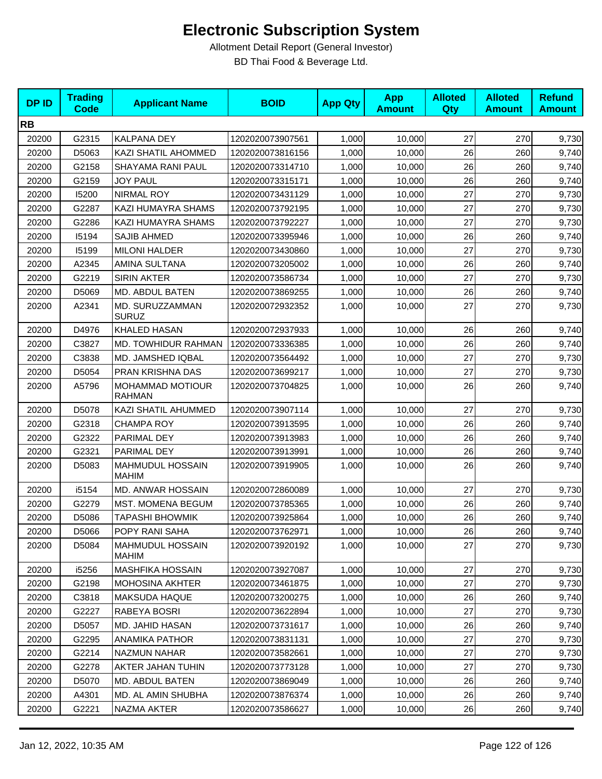| <b>DPID</b> | <b>Trading</b><br><b>Code</b> | <b>Applicant Name</b>             | <b>BOID</b>      | <b>App Qty</b> | <b>App</b><br><b>Amount</b> | <b>Alloted</b><br><b>Qty</b> | <b>Alloted</b><br><b>Amount</b> | <b>Refund</b><br><b>Amount</b> |
|-------------|-------------------------------|-----------------------------------|------------------|----------------|-----------------------------|------------------------------|---------------------------------|--------------------------------|
| <b>RB</b>   |                               |                                   |                  |                |                             |                              |                                 |                                |
| 20200       | G2315                         | KALPANA DEY                       | 1202020073907561 | 1,000          | 10,000                      | 27                           | 270                             | 9,730                          |
| 20200       | D5063                         | KAZI SHATIL AHOMMED               | 1202020073816156 | 1,000          | 10,000                      | 26                           | 260                             | 9,740                          |
| 20200       | G2158                         | SHAYAMA RANI PAUL                 | 1202020073314710 | 1,000          | 10,000                      | 26                           | 260                             | 9,740                          |
| 20200       | G2159                         | <b>JOY PAUL</b>                   | 1202020073315171 | 1,000          | 10,000                      | 26                           | 260                             | 9,740                          |
| 20200       | 15200                         | <b>NIRMAL ROY</b>                 | 1202020073431129 | 1,000          | 10,000                      | 27                           | 270                             | 9,730                          |
| 20200       | G2287                         | KAZI HUMAYRA SHAMS                | 1202020073792195 | 1,000          | 10,000                      | 27                           | 270                             | 9,730                          |
| 20200       | G2286                         | KAZI HUMAYRA SHAMS                | 1202020073792227 | 1,000          | 10,000                      | 27                           | 270                             | 9,730                          |
| 20200       | 15194                         | <b>SAJIB AHMED</b>                | 1202020073395946 | 1,000          | 10,000                      | 26                           | 260                             | 9,740                          |
| 20200       | 15199                         | <b>MILONI HALDER</b>              | 1202020073430860 | 1,000          | 10,000                      | 27                           | 270                             | 9,730                          |
| 20200       | A2345                         | AMINA SULTANA                     | 1202020073205002 | 1,000          | 10,000                      | 26                           | 260                             | 9,740                          |
| 20200       | G2219                         | <b>SIRIN AKTER</b>                | 1202020073586734 | 1,000          | 10,000                      | 27                           | 270                             | 9,730                          |
| 20200       | D5069                         | MD. ABDUL BATEN                   | 1202020073869255 | 1,000          | 10,000                      | 26                           | 260                             | 9,740                          |
| 20200       | A2341                         | MD. SURUZZAMMAN<br><b>SURUZ</b>   | 1202020072932352 | 1,000          | 10,000                      | 27                           | 270                             | 9,730                          |
| 20200       | D4976                         | KHALED HASAN                      | 1202020072937933 | 1,000          | 10,000                      | 26                           | 260                             | 9,740                          |
| 20200       | C3827                         | MD. TOWHIDUR RAHMAN               | 1202020073336385 | 1,000          | 10,000                      | 26                           | 260                             | 9,740                          |
| 20200       | C3838                         | MD. JAMSHED IQBAL                 | 1202020073564492 | 1,000          | 10,000                      | 27                           | 270                             | 9,730                          |
| 20200       | D5054                         | PRAN KRISHNA DAS                  | 1202020073699217 | 1,000          | 10,000                      | 27                           | 270                             | 9,730                          |
| 20200       | A5796                         | MOHAMMAD MOTIOUR<br><b>RAHMAN</b> | 1202020073704825 | 1,000          | 10,000                      | 26                           | 260                             | 9,740                          |
| 20200       | D5078                         | KAZI SHATIL AHUMMED               | 1202020073907114 | 1,000          | 10,000                      | 27                           | 270                             | 9,730                          |
| 20200       | G2318                         | <b>CHAMPA ROY</b>                 | 1202020073913595 | 1,000          | 10,000                      | 26                           | 260                             | 9,740                          |
| 20200       | G2322                         | PARIMAL DEY                       | 1202020073913983 | 1,000          | 10,000                      | 26                           | 260                             | 9,740                          |
| 20200       | G2321                         | PARIMAL DEY                       | 1202020073913991 | 1,000          | 10,000                      | 26                           | 260                             | 9,740                          |
| 20200       | D5083                         | MAHMUDUL HOSSAIN<br><b>MAHIM</b>  | 1202020073919905 | 1,000          | 10,000                      | 26                           | 260                             | 9,740                          |
| 20200       | i5154                         | MD. ANWAR HOSSAIN                 | 1202020072860089 | 1,000          | 10,000                      | 27                           | 270                             | 9,730                          |
| 20200       | G2279                         | MST. MOMENA BEGUM                 | 1202020073785365 | 1,000          | 10,000                      | 26                           | 260                             | 9,740                          |
| 20200       | D5086                         | <b>TAPASHI BHOWMIK</b>            | 1202020073925864 | 1,000          | 10,000                      | 26                           | 260                             | 9,740                          |
| 20200       | D5066                         | POPY RANI SAHA                    | 1202020073762971 | 1,000          | 10,000                      | 26                           | 260                             | 9,740                          |
| 20200       | D5084                         | <b>MAHMUDUL HOSSAIN</b><br>MAHIM  | 1202020073920192 | 1,000          | 10,000                      | 27                           | 270                             | 9,730                          |
| 20200       | i5256                         | <b>MASHFIKA HOSSAIN</b>           | 1202020073927087 | 1,000          | 10,000                      | 27                           | 270                             | 9,730                          |
| 20200       | G2198                         | <b>MOHOSINA AKHTER</b>            | 1202020073461875 | 1,000          | 10,000                      | 27                           | 270                             | 9,730                          |
| 20200       | C3818                         | <b>MAKSUDA HAQUE</b>              | 1202020073200275 | 1,000          | 10,000                      | 26                           | 260                             | 9,740                          |
| 20200       | G2227                         | RABEYA BOSRI                      | 1202020073622894 | 1,000          | 10,000                      | 27                           | 270                             | 9,730                          |
| 20200       | D5057                         | MD. JAHID HASAN                   | 1202020073731617 | 1,000          | 10,000                      | 26                           | 260                             | 9,740                          |
| 20200       | G2295                         | ANAMIKA PATHOR                    | 1202020073831131 | 1,000          | 10,000                      | 27                           | 270                             | 9,730                          |
| 20200       | G2214                         | NAZMUN NAHAR                      | 1202020073582661 | 1,000          | 10,000                      | 27                           | 270                             | 9,730                          |
| 20200       | G2278                         | AKTER JAHAN TUHIN                 | 1202020073773128 | 1,000          | 10,000                      | 27                           | 270                             | 9,730                          |
| 20200       | D5070                         | MD. ABDUL BATEN                   | 1202020073869049 | 1,000          | 10,000                      | 26                           | 260                             | 9,740                          |
| 20200       | A4301                         | MD. AL AMIN SHUBHA                | 1202020073876374 | 1,000          | 10,000                      | 26                           | 260                             | 9,740                          |
| 20200       | G2221                         | NAZMA AKTER                       | 1202020073586627 | 1,000          | 10,000                      | 26                           | 260                             | 9,740                          |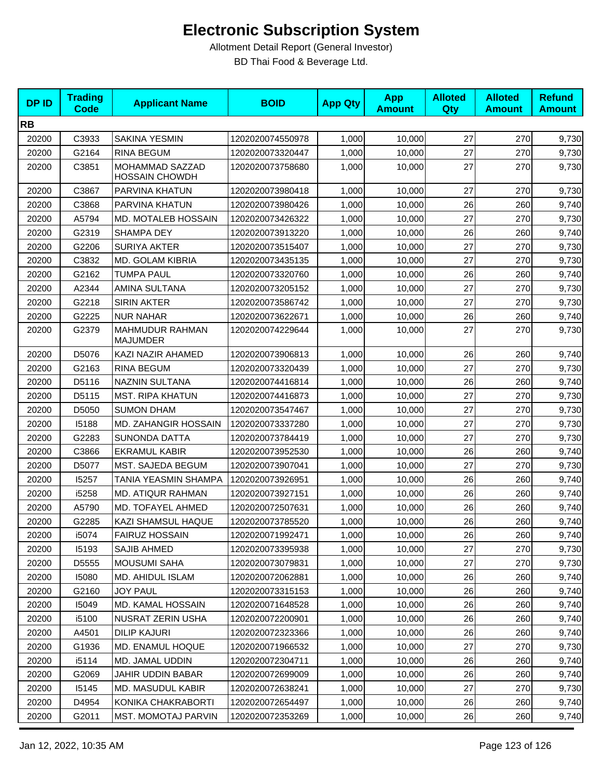| <b>DPID</b> | <b>Trading</b><br>Code | <b>Applicant Name</b>                    | <b>BOID</b>      | <b>App Qty</b> | <b>App</b><br><b>Amount</b> | <b>Alloted</b><br>Qty | <b>Alloted</b><br><b>Amount</b> | <b>Refund</b><br><b>Amount</b> |
|-------------|------------------------|------------------------------------------|------------------|----------------|-----------------------------|-----------------------|---------------------------------|--------------------------------|
| <b>RB</b>   |                        |                                          |                  |                |                             |                       |                                 |                                |
| 20200       | C3933                  | <b>SAKINA YESMIN</b>                     | 1202020074550978 | 1,000          | 10,000                      | 27                    | 270                             | 9,730                          |
| 20200       | G2164                  | <b>RINA BEGUM</b>                        | 1202020073320447 | 1,000          | 10,000                      | 27                    | 270                             | 9,730                          |
| 20200       | C3851                  | MOHAMMAD SAZZAD<br><b>HOSSAIN CHOWDH</b> | 1202020073758680 | 1,000          | 10,000                      | 27                    | 270                             | 9,730                          |
| 20200       | C3867                  | PARVINA KHATUN                           | 1202020073980418 | 1,000          | 10,000                      | 27                    | 270                             | 9,730                          |
| 20200       | C3868                  | PARVINA KHATUN                           | 1202020073980426 | 1,000          | 10.000                      | 26                    | 260                             | 9,740                          |
| 20200       | A5794                  | MD. MOTALEB HOSSAIN                      | 1202020073426322 | 1,000          | 10,000                      | 27                    | 270                             | 9,730                          |
| 20200       | G2319                  | SHAMPA DEY                               | 1202020073913220 | 1,000          | 10,000                      | 26                    | 260                             | 9,740                          |
| 20200       | G2206                  | <b>SURIYA AKTER</b>                      | 1202020073515407 | 1,000          | 10,000                      | 27                    | 270                             | 9,730                          |
| 20200       | C3832                  | <b>MD. GOLAM KIBRIA</b>                  | 1202020073435135 | 1,000          | 10,000                      | 27                    | 270                             | 9,730                          |
| 20200       | G2162                  | <b>TUMPA PAUL</b>                        | 1202020073320760 | 1,000          | 10,000                      | 26                    | 260                             | 9,740                          |
| 20200       | A2344                  | AMINA SULTANA                            | 1202020073205152 | 1,000          | 10,000                      | 27                    | 270                             | 9,730                          |
| 20200       | G2218                  | <b>SIRIN AKTER</b>                       | 1202020073586742 | 1,000          | 10,000                      | 27                    | 270                             | 9,730                          |
| 20200       | G2225                  | <b>NUR NAHAR</b>                         | 1202020073622671 | 1,000          | 10,000                      | 26                    | 260                             | 9,740                          |
| 20200       | G2379                  | MAHMUDUR RAHMAN<br><b>MAJUMDER</b>       | 1202020074229644 | 1,000          | 10,000                      | 27                    | 270                             | 9,730                          |
| 20200       | D5076                  | KAZI NAZIR AHAMED                        | 1202020073906813 | 1,000          | 10,000                      | 26                    | 260                             | 9,740                          |
| 20200       | G2163                  | <b>RINA BEGUM</b>                        | 1202020073320439 | 1,000          | 10,000                      | 27                    | 270                             | 9,730                          |
| 20200       | D5116                  | NAZNIN SULTANA                           | 1202020074416814 | 1,000          | 10,000                      | 26                    | 260                             | 9,740                          |
| 20200       | D5115                  | <b>MST. RIPA KHATUN</b>                  | 1202020074416873 | 1,000          | 10,000                      | 27                    | 270                             | 9,730                          |
| 20200       | D5050                  | <b>SUMON DHAM</b>                        | 1202020073547467 | 1,000          | 10,000                      | 27                    | 270                             | 9,730                          |
| 20200       | 15188                  | MD. ZAHANGIR HOSSAIN                     | 1202020073337280 | 1,000          | 10,000                      | 27                    | 270                             | 9,730                          |
| 20200       | G2283                  | <b>SUNONDA DATTA</b>                     | 1202020073784419 | 1,000          | 10,000                      | 27                    | 270                             | 9,730                          |
| 20200       | C3866                  | <b>EKRAMUL KABIR</b>                     | 1202020073952530 | 1,000          | 10,000                      | 26                    | 260                             | 9,740                          |
| 20200       | D5077                  | MST. SAJEDA BEGUM                        | 1202020073907041 | 1,000          | 10,000                      | 27                    | 270                             | 9,730                          |
| 20200       | 15257                  | TANIA YEASMIN SHAMPA                     | 1202020073926951 | 1,000          | 10,000                      | 26                    | 260                             | 9,740                          |
| 20200       | i5258                  | MD. ATIQUR RAHMAN                        | 1202020073927151 | 1,000          | 10,000                      | 26                    | 260                             | 9,740                          |
| 20200       | A5790                  | MD. TOFAYEL AHMED                        | 1202020072507631 | 1,000          | 10,000                      | 26                    | 260                             | 9,740                          |
| 20200       | G2285                  | KAZI SHAMSUL HAQUE                       | 1202020073785520 | 1,000          | 10,000                      | 26                    | 260                             | 9,740                          |
| 20200       | i5074                  | <b>FAIRUZ HOSSAIN</b>                    | 1202020071992471 | 1,000          | 10,000                      | 26                    | 260                             | 9,740                          |
| 20200       | 15193                  | <b>SAJIB AHMED</b>                       | 1202020073395938 | 1,000          | 10,000                      | 27                    | 270                             | 9,730                          |
| 20200       | D5555                  | <b>MOUSUMI SAHA</b>                      | 1202020073079831 | 1,000          | 10,000                      | 27                    | 270                             | 9,730                          |
| 20200       | 15080                  | MD. AHIDUL ISLAM                         | 1202020072062881 | 1,000          | 10,000                      | 26                    | 260                             | 9,740                          |
| 20200       | G2160                  | <b>JOY PAUL</b>                          | 1202020073315153 | 1,000          | 10,000                      | 26                    | 260                             | 9,740                          |
| 20200       | 15049                  | MD. KAMAL HOSSAIN                        | 1202020071648528 | 1,000          | 10.000                      | 26                    | 260                             | 9,740                          |
| 20200       | i5100                  | NUSRAT ZERIN USHA                        | 1202020072200901 | 1,000          | 10,000                      | 26                    | 260                             | 9,740                          |
| 20200       | A4501                  | <b>DILIP KAJURI</b>                      | 1202020072323366 | 1,000          | 10,000                      | 26                    | 260                             | 9,740                          |
| 20200       | G1936                  | MD. ENAMUL HOQUE                         | 1202020071966532 | 1,000          | 10,000                      | 27                    | 270                             | 9,730                          |
| 20200       | i5114                  | MD. JAMAL UDDIN                          | 1202020072304711 | 1,000          | 10,000                      | 26                    | 260                             | 9,740                          |
| 20200       | G2069                  | JAHIR UDDIN BABAR                        | 1202020072699009 | 1,000          | 10,000                      | 26                    | 260                             | 9,740                          |
| 20200       | 15145                  | MD. MASUDUL KABIR                        | 1202020072638241 | 1,000          | 10,000                      | 27                    | 270                             | 9,730                          |
| 20200       | D4954                  | KONIKA CHAKRABORTI                       | 1202020072654497 | 1,000          | 10,000                      | 26                    | 260                             | 9,740                          |
| 20200       | G2011                  | <b>MST. MOMOTAJ PARVIN</b>               | 1202020072353269 | 1,000          | 10,000                      | 26                    | 260                             | 9,740                          |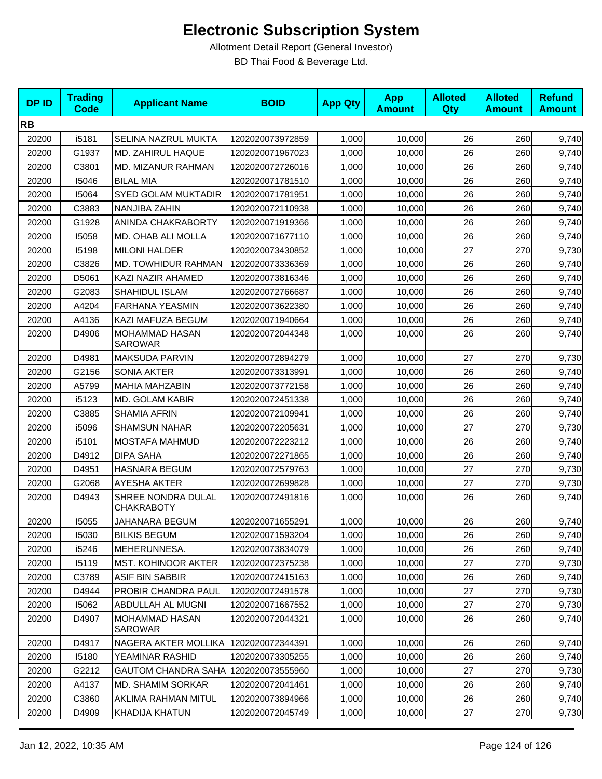| <b>DPID</b> | <b>Trading</b><br><b>Code</b> | <b>Applicant Name</b>                   | <b>BOID</b>      | <b>App Qty</b> | <b>App</b><br><b>Amount</b> | <b>Alloted</b><br>Qty | <b>Alloted</b><br><b>Amount</b> | <b>Refund</b><br><b>Amount</b> |
|-------------|-------------------------------|-----------------------------------------|------------------|----------------|-----------------------------|-----------------------|---------------------------------|--------------------------------|
| <b>RB</b>   |                               |                                         |                  |                |                             |                       |                                 |                                |
| 20200       | i5181                         | <b>SELINA NAZRUL MUKTA</b>              | 1202020073972859 | 1,000          | 10,000                      | 26                    | 260                             | 9,740                          |
| 20200       | G1937                         | MD. ZAHIRUL HAQUE                       | 1202020071967023 | 1,000          | 10.000                      | 26                    | 260                             | 9,740                          |
| 20200       | C3801                         | MD. MIZANUR RAHMAN                      | 1202020072726016 | 1,000          | 10,000                      | 26                    | 260                             | 9,740                          |
| 20200       | 15046                         | <b>BILAL MIA</b>                        | 1202020071781510 | 1,000          | 10,000                      | 26                    | 260                             | 9,740                          |
| 20200       | 15064                         | <b>SYED GOLAM MUKTADIR</b>              | 1202020071781951 | 1,000          | 10,000                      | 26                    | 260                             | 9,740                          |
| 20200       | C3883                         | NANJIBA ZAHIN                           | 1202020072110938 | 1,000          | 10,000                      | 26                    | 260                             | 9,740                          |
| 20200       | G1928                         | ANINDA CHAKRABORTY                      | 1202020071919366 | 1,000          | 10,000                      | 26                    | 260                             | 9,740                          |
| 20200       | 15058                         | MD. OHAB ALI MOLLA                      | 1202020071677110 | 1,000          | 10,000                      | 26                    | 260                             | 9,740                          |
| 20200       | 15198                         | <b>MILONI HALDER</b>                    | 1202020073430852 | 1,000          | 10,000                      | 27                    | 270                             | 9,730                          |
| 20200       | C3826                         | MD. TOWHIDUR RAHMAN                     | 1202020073336369 | 1,000          | 10,000                      | 26                    | 260                             | 9,740                          |
| 20200       | D5061                         | KAZI NAZIR AHAMED                       | 1202020073816346 | 1,000          | 10,000                      | 26                    | 260                             | 9,740                          |
| 20200       | G2083                         | SHAHIDUL ISLAM                          | 1202020072766687 | 1,000          | 10,000                      | 26                    | 260                             | 9,740                          |
| 20200       | A4204                         | <b>FARHANA YEASMIN</b>                  | 1202020073622380 | 1,000          | 10,000                      | 26                    | 260                             | 9,740                          |
| 20200       | A4136                         | KAZI MAFUZA BEGUM                       | 1202020071940664 | 1,000          | 10,000                      | 26                    | 260                             | 9,740                          |
| 20200       | D4906                         | MOHAMMAD HASAN<br><b>SAROWAR</b>        | 1202020072044348 | 1,000          | 10,000                      | 26                    | 260                             | 9,740                          |
| 20200       | D4981                         | MAKSUDA PARVIN                          | 1202020072894279 | 1,000          | 10,000                      | 27                    | 270                             | 9,730                          |
| 20200       | G2156                         | <b>SONIA AKTER</b>                      | 1202020073313991 | 1,000          | 10,000                      | 26                    | 260                             | 9,740                          |
| 20200       | A5799                         | <b>MAHIA MAHZABIN</b>                   | 1202020073772158 | 1,000          | 10,000                      | 26                    | 260                             | 9,740                          |
| 20200       | i5123                         | MD. GOLAM KABIR                         | 1202020072451338 | 1,000          | 10,000                      | 26                    | 260                             | 9,740                          |
| 20200       | C3885                         | <b>SHAMIA AFRIN</b>                     | 1202020072109941 | 1,000          | 10,000                      | 26                    | 260                             | 9,740                          |
| 20200       | i5096                         | <b>SHAMSUN NAHAR</b>                    | 1202020072205631 | 1,000          | 10,000                      | 27                    | 270                             | 9,730                          |
| 20200       | i5101                         | MOSTAFA MAHMUD                          | 1202020072223212 | 1,000          | 10,000                      | 26                    | 260                             | 9,740                          |
| 20200       | D4912                         | <b>DIPA SAHA</b>                        | 1202020072271865 | 1,000          | 10,000                      | 26                    | 260                             | 9,740                          |
| 20200       | D4951                         | <b>HASNARA BEGUM</b>                    | 1202020072579763 | 1,000          | 10,000                      | 27                    | 270                             | 9,730                          |
| 20200       | G2068                         | <b>AYESHA AKTER</b>                     | 1202020072699828 | 1,000          | 10,000                      | 27                    | 270                             | 9,730                          |
| 20200       | D4943                         | SHREE NONDRA DULAL<br><b>CHAKRABOTY</b> | 1202020072491816 | 1,000          | 10,000                      | 26                    | 260                             | 9,740                          |
| 20200       | 15055                         | JAHANARA BEGUM                          | 1202020071655291 | 1,000          | 10,000                      | 26                    | 260                             | 9,740                          |
| 20200       | 15030                         | <b>BILKIS BEGUM</b>                     | 1202020071593204 | 1,000          | 10,000                      | 26                    | 260                             | 9,740                          |
| 20200       | i5246                         | MEHERUNNESA.                            | 1202020073834079 | 1,000          | 10,000                      | 26                    | 260                             | 9,740                          |
| 20200       | 15119                         | <b>MST. KOHINOOR AKTER</b>              | 1202020072375238 | 1,000          | 10,000                      | 27                    | 270                             | 9,730                          |
| 20200       | C3789                         | ASIF BIN SABBIR                         | 1202020072415163 | 1,000          | 10,000                      | 26                    | 260                             | 9,740                          |
| 20200       | D4944                         | PROBIR CHANDRA PAUL                     | 1202020072491578 | 1,000          | 10,000                      | 27                    | 270                             | 9,730                          |
| 20200       | 15062                         | ABDULLAH AL MUGNI                       | 1202020071667552 | 1,000          | 10,000                      | 27                    | 270                             | 9,730                          |
| 20200       | D4907                         | MOHAMMAD HASAN<br><b>SAROWAR</b>        | 1202020072044321 | 1,000          | 10,000                      | 26                    | 260                             | 9,740                          |
| 20200       | D4917                         | NAGERA AKTER MOLLIKA                    | 1202020072344391 | 1,000          | 10,000                      | 26                    | 260                             | 9,740                          |
| 20200       | 15180                         | YEAMINAR RASHID                         | 1202020073305255 | 1,000          | 10,000                      | 26                    | 260                             | 9,740                          |
| 20200       | G2212                         | GAUTOM CHANDRA SAHA   1202020073555960  |                  | 1,000          | 10,000                      | 27                    | 270                             | 9,730                          |
| 20200       | A4137                         | MD. SHAMIM SORKAR                       | 1202020072041461 | 1,000          | 10,000                      | 26                    | 260                             | 9,740                          |
| 20200       | C3860                         | AKLIMA RAHMAN MITUL                     | 1202020073894966 | 1,000          | 10,000                      | 26                    | 260                             | 9,740                          |
| 20200       | D4909                         | KHADIJA KHATUN                          | 1202020072045749 | 1,000          | 10,000                      | 27                    | 270                             | 9,730                          |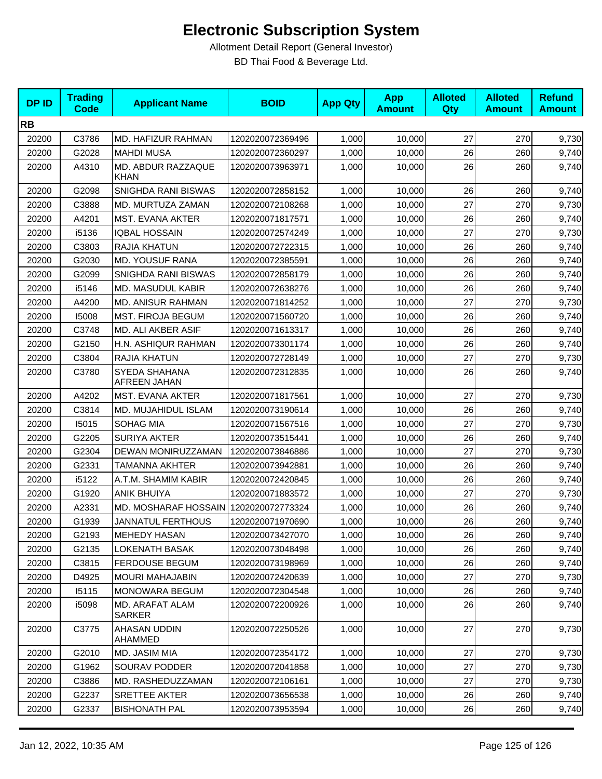| <b>DPID</b> | <b>Trading</b><br><b>Code</b> | <b>Applicant Name</b>                 | <b>BOID</b>      | <b>App Qty</b> | <b>App</b><br><b>Amount</b> | <b>Alloted</b><br>Qty | <b>Alloted</b><br><b>Amount</b> | <b>Refund</b><br><b>Amount</b> |
|-------------|-------------------------------|---------------------------------------|------------------|----------------|-----------------------------|-----------------------|---------------------------------|--------------------------------|
| <b>RB</b>   |                               |                                       |                  |                |                             |                       |                                 |                                |
| 20200       | C3786                         | MD. HAFIZUR RAHMAN                    | 1202020072369496 | 1,000          | 10,000                      | 27                    | 270                             | 9,730                          |
| 20200       | G2028                         | <b>MAHDI MUSA</b>                     | 1202020072360297 | 1,000          | 10,000                      | 26                    | 260                             | 9,740                          |
| 20200       | A4310                         | MD. ABDUR RAZZAQUE<br><b>KHAN</b>     | 1202020073963971 | 1,000          | 10,000                      | 26                    | 260                             | 9,740                          |
| 20200       | G2098                         | SNIGHDA RANI BISWAS                   | 1202020072858152 | 1,000          | 10.000                      | 26                    | 260                             | 9,740                          |
| 20200       | C3888                         | MD. MURTUZA ZAMAN                     | 1202020072108268 | 1,000          | 10,000                      | 27                    | 270                             | 9,730                          |
| 20200       | A4201                         | MST. EVANA AKTER                      | 1202020071817571 | 1,000          | 10,000                      | 26                    | 260                             | 9,740                          |
| 20200       | i5136                         | <b>IQBAL HOSSAIN</b>                  | 1202020072574249 | 1,000          | 10,000                      | 27                    | 270                             | 9,730                          |
| 20200       | C3803                         | RAJIA KHATUN                          | 1202020072722315 | 1,000          | 10,000                      | 26                    | 260                             | 9,740                          |
| 20200       | G2030                         | <b>MD. YOUSUF RANA</b>                | 1202020072385591 | 1,000          | 10,000                      | 26                    | 260                             | 9,740                          |
| 20200       | G2099                         | SNIGHDA RANI BISWAS                   | 1202020072858179 | 1,000          | 10,000                      | 26                    | 260                             | 9,740                          |
| 20200       | i5146                         | MD. MASUDUL KABIR                     | 1202020072638276 | 1,000          | 10,000                      | 26                    | 260                             | 9,740                          |
| 20200       | A4200                         | MD. ANISUR RAHMAN                     | 1202020071814252 | 1,000          | 10,000                      | 27                    | 270                             | 9,730                          |
| 20200       | 15008                         | <b>MST. FIROJA BEGUM</b>              | 1202020071560720 | 1,000          | 10,000                      | 26                    | 260                             | 9,740                          |
| 20200       | C3748                         | MD. ALI AKBER ASIF                    | 1202020071613317 | 1,000          | 10,000                      | 26                    | 260                             | 9,740                          |
| 20200       | G2150                         | H.N. ASHIQUR RAHMAN                   | 1202020073301174 | 1,000          | 10,000                      | 26                    | 260                             | 9,740                          |
| 20200       | C3804                         | RAJIA KHATUN                          | 1202020072728149 | 1,000          | 10,000                      | 27                    | 270                             | 9,730                          |
| 20200       | C3780                         | SYEDA SHAHANA<br>AFREEN JAHAN         | 1202020072312835 | 1,000          | 10,000                      | 26                    | 260                             | 9,740                          |
| 20200       | A4202                         | MST. EVANA AKTER                      | 1202020071817561 | 1,000          | 10,000                      | 27                    | 270                             | 9,730                          |
| 20200       | C3814                         | MD. MUJAHIDUL ISLAM                   | 1202020073190614 | 1,000          | 10,000                      | 26                    | 260                             | 9,740                          |
| 20200       | 15015                         | <b>SOHAG MIA</b>                      | 1202020071567516 | 1,000          | 10,000                      | 27                    | 270                             | 9,730                          |
| 20200       | G2205                         | <b>SURIYA AKTER</b>                   | 1202020073515441 | 1,000          | 10,000                      | 26                    | 260                             | 9,740                          |
| 20200       | G2304                         | DEWAN MONIRUZZAMAN                    | 1202020073846886 | 1,000          | 10,000                      | 27                    | 270                             | 9,730                          |
| 20200       | G2331                         | <b>TAMANNA AKHTER</b>                 | 1202020073942881 | 1,000          | 10,000                      | 26                    | 260                             | 9,740                          |
| 20200       | i5122                         | A.T.M. SHAMIM KABIR                   | 1202020072420845 | 1,000          | 10,000                      | 26                    | 260                             | 9,740                          |
| 20200       | G1920                         | <b>ANIK BHUIYA</b>                    | 1202020071883572 | 1,000          | 10,000                      | 27                    | 270                             | 9,730                          |
| 20200       | A2331                         | MD. MOSHARAF HOSSAIN 1202020072773324 |                  | 1,000          | 10,000                      | 26                    | 260                             | 9,740                          |
| 20200       | G1939                         | <b>JANNATUL FERTHOUS</b>              | 1202020071970690 | 1,000          | 10,000                      | 26                    | 260                             | 9,740                          |
| 20200       | G2193                         | <b>MEHEDY HASAN</b>                   | 1202020073427070 | 1,000          | 10,000                      | 26                    | 260                             | 9,740                          |
| 20200       | G2135                         | <b>LOKENATH BASAK</b>                 | 1202020073048498 | 1,000          | 10,000                      | 26                    | 260                             | 9,740                          |
| 20200       | C3815                         | <b>FERDOUSE BEGUM</b>                 | 1202020073198969 | 1,000          | 10,000                      | 26                    | 260                             | 9,740                          |
| 20200       | D4925                         | <b>MOURI MAHAJABIN</b>                | 1202020072420639 | 1,000          | 10,000                      | 27                    | 270                             | 9,730                          |
| 20200       | 15115                         | <b>MONOWARA BEGUM</b>                 | 1202020072304548 | 1,000          | 10,000                      | 26                    | 260                             | 9,740                          |
| 20200       | i5098                         | MD. ARAFAT ALAM<br>SARKER             | 1202020072200926 | 1,000          | 10,000                      | 26                    | 260                             | 9,740                          |
| 20200       | C3775                         | AHASAN UDDIN<br>AHAMMED               | 1202020072250526 | 1,000          | 10,000                      | 27                    | 270                             | 9,730                          |
| 20200       | G2010                         | MD. JASIM MIA                         | 1202020072354172 | 1,000          | 10,000                      | 27                    | 270                             | 9,730                          |
| 20200       | G1962                         | <b>SOURAV PODDER</b>                  | 1202020072041858 | 1,000          | 10,000                      | 27                    | 270                             | 9,730                          |
| 20200       | C3886                         | MD. RASHEDUZZAMAN                     | 1202020072106161 | 1,000          | 10,000                      | 27                    | 270                             | 9,730                          |
| 20200       | G2237                         | SRETTEE AKTER                         | 1202020073656538 | 1,000          | 10,000                      | 26                    | 260                             | 9,740                          |
| 20200       | G2337                         | <b>BISHONATH PAL</b>                  | 1202020073953594 | 1,000          | 10,000                      | 26                    | 260                             | 9,740                          |